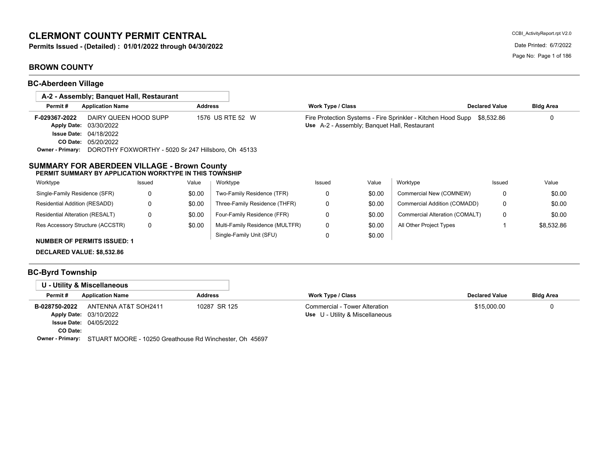# **CLERMONT COUNTY PERMIT CENTRAL**

**Permits Issued - (Detailed) : 01/01/2022 through 04/30/2022** Date Printed: 6/7/2022

# **BROWN COUNTY**

**BC-Aberdeen Village**

| A-2 - Assembly: Banguet Hall, Restaurant                                                                       |                                                     |                |                                 |                                              |        |                                                                         |                       |                  |
|----------------------------------------------------------------------------------------------------------------|-----------------------------------------------------|----------------|---------------------------------|----------------------------------------------|--------|-------------------------------------------------------------------------|-----------------------|------------------|
| Permit#<br><b>Application Name</b>                                                                             |                                                     | <b>Address</b> |                                 | Work Type / Class                            |        |                                                                         | <b>Declared Value</b> | <b>Bldg Area</b> |
| DAIRY QUEEN HOOD SUPP<br>F-029367-2022<br><b>Apply Date:</b><br>03/30/2022<br><b>Issue Date:</b><br>04/18/2022 |                                                     |                | 1576 US RTE 52 W                | Use A-2 - Assembly; Banquet Hall, Restaurant |        | Fire Protection Systems - Fire Sprinkler - Kitchen Hood Supp \$8,532.86 |                       | 0                |
| 05/20/2022<br><b>CO Date:</b>                                                                                  |                                                     |                |                                 |                                              |        |                                                                         |                       |                  |
| <b>Owner - Primary:</b>                                                                                        | DOROTHY FOXWORTHY - 5020 Sr 247 Hillsboro, Oh 45133 |                |                                 |                                              |        |                                                                         |                       |                  |
| Worktype                                                                                                       | Issued                                              | Value          | Worktype                        | Issued                                       | Value  | Worktype                                                                | Issued                | Value            |
| PERMIT SUMMARY BY APPLICATION WORKTYPE IN THIS TOWNSHIP                                                        |                                                     |                |                                 |                                              |        |                                                                         |                       |                  |
| Single-Family Residence (SFR)                                                                                  | 0                                                   | \$0.00         | Two-Family Residence (TFR)      | 0                                            | \$0.00 | Commercial New (COMNEW)                                                 | 0                     | \$0.00           |
|                                                                                                                |                                                     |                |                                 |                                              |        |                                                                         |                       |                  |
| Residential Addition (RESADD)                                                                                  | 0                                                   | \$0.00         | Three-Family Residence (THFR)   | 0                                            | \$0.00 | Commercial Addition (COMADD)                                            | 0                     | \$0.00           |
| Residential Alteration (RESALT)                                                                                | 0                                                   | \$0.00         | Four-Family Residence (FFR)     | 0                                            | \$0.00 | Commercial Alteration (COMALT)                                          | 0                     | \$0.00           |
| Res Accessory Structure (ACCSTR)                                                                               | 0                                                   | \$0.00         | Multi-Family Residence (MULTFR) | 0                                            | \$0.00 | All Other Project Types                                                 |                       | \$8,532.86       |
|                                                                                                                |                                                     |                | Single-Family Unit (SFU)        | 0                                            | \$0.00 |                                                                         |                       |                  |
| <b>NUMBER OF PERMITS ISSUED: 1</b>                                                                             |                                                     |                |                                 |                                              |        |                                                                         |                       |                  |

# **BC-Byrd Township**

| U - Utility & Miscellaneous                                                                                                                                                                                                                                                             |                |                                                                  |                       |                  |
|-----------------------------------------------------------------------------------------------------------------------------------------------------------------------------------------------------------------------------------------------------------------------------------------|----------------|------------------------------------------------------------------|-----------------------|------------------|
| Permit#<br><b>Application Name</b>                                                                                                                                                                                                                                                      | <b>Address</b> | Work Type / Class                                                | <b>Declared Value</b> | <b>Bldg Area</b> |
| ANTENNA AT&T SOH2411<br>B-028750-2022<br>Apply Date: 03/10/2022                                                                                                                                                                                                                         | 10287 SR 125   | Commercial - Tower Alteration<br>Use U - Utility & Miscellaneous | \$15,000.00           |                  |
| <b>Issue Date: 04/05/2022</b>                                                                                                                                                                                                                                                           |                |                                                                  |                       |                  |
| CO Date:                                                                                                                                                                                                                                                                                |                |                                                                  |                       |                  |
| $\mathsf{Q}_{\text{model}}$ $\mathsf{Q}_{\text{model}}$ $\mathsf{Q}_{\text{model}}$ $\mathsf{Q}_{\text{model}}$ $\mathsf{Q}_{\text{model}}$ $\mathsf{Q}_{\text{model}}$ $\mathsf{Q}_{\text{model}}$ $\mathsf{Q}_{\text{model}}$ $\mathsf{Q}_{\text{model}}$ $\mathsf{Q}_{\text{model}}$ |                |                                                                  |                       |                  |

**Owner - Primary:** STUART MOORE - 10250 Greathouse Rd Winchester, Oh 45697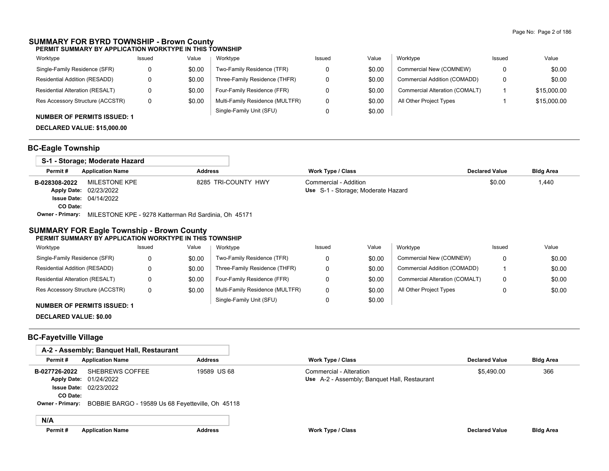### **SUMMARY FOR BYRD TOWNSHIP - Brown County PERMIT SUMMARY BY APPLICATION WORKTYPE IN THIS TOWNSHIP**

| Worktype                           | Issued | Value  | Worktype                        | Issued | Value  | Worktype                       | Issued | Value       |
|------------------------------------|--------|--------|---------------------------------|--------|--------|--------------------------------|--------|-------------|
| Single-Family Residence (SFR)      |        | \$0.00 | Two-Family Residence (TFR)      |        | \$0.00 | Commercial New (COMNEW)        |        | \$0.00      |
| Residential Addition (RESADD)      |        | \$0.00 | Three-Family Residence (THFR)   |        | \$0.00 | Commercial Addition (COMADD)   |        | \$0.00      |
| Residential Alteration (RESALT)    |        | \$0.00 | Four-Family Residence (FFR)     |        | \$0.00 | Commercial Alteration (COMALT) |        | \$15,000.00 |
| Res Accessory Structure (ACCSTR)   |        | \$0.00 | Multi-Family Residence (MULTFR) |        | \$0.00 | All Other Project Types        |        | \$15,000.00 |
| <b>NUMBER OF PERMITS ISSUED: 1</b> |        |        | Single-Family Unit (SFU)        |        | \$0.00 |                                |        |             |

## **DECLARED VALUE: \$15,000.00**

## **BC-Eagle Township**

|                         | S-1 - Storage: Moderate Hazard                       |                     |                                    |                       |                  |
|-------------------------|------------------------------------------------------|---------------------|------------------------------------|-----------------------|------------------|
| Permit#                 | <b>Application Name</b>                              | Address             | Work Type / Class                  | <b>Declared Value</b> | <b>Bldg Area</b> |
| B-028308-2022           | MILESTONE KPE                                        | 8285 TRI-COUNTY HWY | Commercial - Addition              | \$0.00                | 1,440            |
|                         | Apply Date: 02/23/2022                               |                     | Use S-1 - Storage: Moderate Hazard |                       |                  |
|                         | <b>Issue Date: 04/14/2022</b>                        |                     |                                    |                       |                  |
| CO Date:                |                                                      |                     |                                    |                       |                  |
| <b>Owner - Primary:</b> | MILESTONE KPE - 9278 Katterman Rd Sardinia, Oh 45171 |                     |                                    |                       |                  |

### **SUMMARY FOR Eagle Township - Brown County PERMIT SUMMARY BY APPLICATION WORKTYPE IN THIS TOWNSHIP**

| Worktype                         | Issued | Value  | Worktype                        | Issued | Value  | Worktype                       | Issued | Value  |
|----------------------------------|--------|--------|---------------------------------|--------|--------|--------------------------------|--------|--------|
| Single-Family Residence (SFR)    |        | \$0.00 | Two-Family Residence (TFR)      |        | \$0.00 | Commercial New (COMNEW)        |        | \$0.00 |
| Residential Addition (RESADD)    |        | \$0.00 | Three-Family Residence (THFR)   |        | \$0.00 | Commercial Addition (COMADD)   |        | \$0.00 |
| Residential Alteration (RESALT)  |        | \$0.00 | Four-Family Residence (FFR)     |        | \$0.00 | Commercial Alteration (COMALT) | 0      | \$0.00 |
| Res Accessory Structure (ACCSTR) |        | \$0.00 | Multi-Family Residence (MULTFR) |        | \$0.00 | All Other Project Types        |        | \$0.00 |
|                                  |        |        | Single-Family Unit (SFU)        |        | \$0.00 |                                |        |        |

### **NUMBER OF PERMITS ISSUED: 1**

**DECLARED VALUE: \$0.00**

## **BC-Fayetville Village**

|                         | A-2 - Assembly; Banquet Hall, Restaurant          |                |                                              |                       |                  |
|-------------------------|---------------------------------------------------|----------------|----------------------------------------------|-----------------------|------------------|
| Permit#                 | <b>Application Name</b>                           | <b>Address</b> | <b>Work Type / Class</b>                     | <b>Declared Value</b> | <b>Bldg Area</b> |
| B-027726-2022           | SHEBREWS COFFEE                                   | 19589 US 68    | Commercial - Alteration                      | \$5.490.00            | 366              |
|                         | Apply Date: 01/24/2022                            |                | Use A-2 - Assembly; Banquet Hall, Restaurant |                       |                  |
|                         | <b>Issue Date: 02/23/2022</b>                     |                |                                              |                       |                  |
| CO Date:                |                                                   |                |                                              |                       |                  |
| <b>Owner - Primary:</b> | BOBBIE BARGO - 19589 Us 68 Feyetteville, Oh 45118 |                |                                              |                       |                  |
|                         |                                                   |                |                                              |                       |                  |
| N/A                     |                                                   |                |                                              |                       |                  |
| Permit#                 | <b>Application Name</b>                           | <b>Address</b> | <b>Work Type / Class</b>                     | <b>Declared Value</b> | <b>Bldg Area</b> |
|                         |                                                   |                |                                              |                       |                  |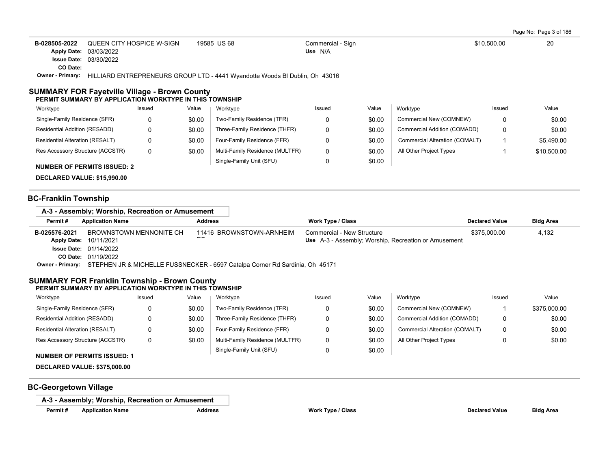Page No: Page 3 of 186

| B-028505-2022           | QUEEN CITY HOSPICE W-SIGN     | 19585 US 68                                                                 | Commercial - Sign | \$10,500.00 | 20 |
|-------------------------|-------------------------------|-----------------------------------------------------------------------------|-------------------|-------------|----|
|                         | Apply Date: 03/03/2022        |                                                                             | Use N/A           |             |    |
|                         | <b>Issue Date: 03/30/2022</b> |                                                                             |                   |             |    |
| CO Date:                |                               |                                                                             |                   |             |    |
| <b>Owner - Primary:</b> |                               | HILLIARD ENTREPRENEURS GROUP LTD - 4441 Wyandotte Woods BI Dublin, Oh 43016 |                   |             |    |

#### **SUMMARY FOR Fayetville Village - Brown County PERMIT SUMMARY BY APPLICATION WORKTYPE IN THIS TOWNSHIP**

| Worktype                               | Issued | Value  | Worktype                        | Issued | Value  | Worktype                       | Issued | Value       |
|----------------------------------------|--------|--------|---------------------------------|--------|--------|--------------------------------|--------|-------------|
| Single-Family Residence (SFR)          | 0      | \$0.00 | Two-Family Residence (TFR)      |        | \$0.00 | Commercial New (COMNEW)        |        | \$0.00      |
| Residential Addition (RESADD)          |        | \$0.00 | Three-Family Residence (THFR)   |        | \$0.00 | Commercial Addition (COMADD)   |        | \$0.00      |
| <b>Residential Alteration (RESALT)</b> | 0      | \$0.00 | Four-Family Residence (FFR)     |        | \$0.00 | Commercial Alteration (COMALT) |        | \$5.490.00  |
| Res Accessory Structure (ACCSTR)       | 0      | \$0.00 | Multi-Family Residence (MULTFR) |        | \$0.00 | All Other Project Types        |        | \$10,500.00 |
| <b>NUMBER OF PERMITS ISSUED: 2</b>     |        |        | Single-Family Unit (SFU)        |        | \$0.00 |                                |        |             |

**DECLARED VALUE: \$15,990.00**

### **BC-Franklin Township**

### **A-3 - Assembly; Worship, Recreation or Amusement**

| Permit#            | <b>Application Name</b>                                                                       | Address                  | Work Type / Class                                    | <b>Declared Value</b> | <b>Bldg Area</b> |
|--------------------|-----------------------------------------------------------------------------------------------|--------------------------|------------------------------------------------------|-----------------------|------------------|
| B-025576-2021      | BROWNSTOWN MENNONITE CH                                                                       | 11416 BROWNSTOWN-ARNHEIM | Commercial - New Structure                           | \$375.000.00          | 4.132            |
| <b>Apply Date:</b> | 10/11/2021                                                                                    |                          | Use A-3 - Assembly; Worship, Recreation or Amusement |                       |                  |
|                    | <b>Issue Date: 01/14/2022</b>                                                                 |                          |                                                      |                       |                  |
|                    | <b>CO Date: 01/19/2022</b>                                                                    |                          |                                                      |                       |                  |
|                    | Owner - Primary: STEPHEN JR & MICHELLE FUSSNECKER - 6597 Catalpa Corner Rd Sardinia, Oh 45171 |                          |                                                      |                       |                  |

### **SUMMARY FOR Franklin Township - Brown County PERMIT SUMMARY BY APPLICATION WORKTYPE IN THIS TOWNSHIP**

| Worktype                         | Issued | Value  | Worktype                        | Issued | Value  | Worktype                       | Issued | Value        |
|----------------------------------|--------|--------|---------------------------------|--------|--------|--------------------------------|--------|--------------|
| Single-Family Residence (SFR)    |        | \$0.00 | Two-Family Residence (TFR)      |        | \$0.00 | Commercial New (COMNEW)        |        | \$375,000.00 |
| Residential Addition (RESADD)    |        | \$0.00 | Three-Family Residence (THFR)   |        | \$0.00 | Commercial Addition (COMADD)   |        | \$0.00       |
| Residential Alteration (RESALT)  |        | \$0.00 | Four-Family Residence (FFR)     |        | \$0.00 | Commercial Alteration (COMALT) |        | \$0.00       |
| Res Accessory Structure (ACCSTR) |        | \$0.00 | Multi-Family Residence (MULTFR) |        | \$0.00 | All Other Project Types        |        | \$0.00       |
|                                  |        |        | Single-Family Unit (SFU)        |        | \$0.00 |                                |        |              |

#### **NUMBER OF PERMITS ISSUED: 1**

**DECLARED VALUE: \$375,000.00**

### **BC-Georgetown Village**

**A-3 - Assembly; Worship, Recreation or Amusement**

**Permit # Application Name Address Work Type / Class Declared Value Bldg Area**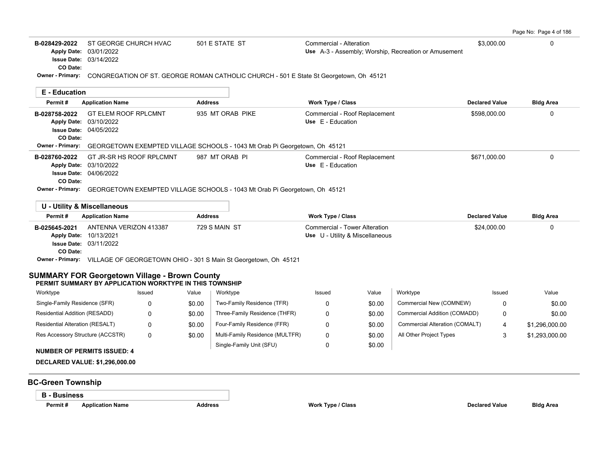| Page No: Page 4 of 186 |  |
|------------------------|--|
|------------------------|--|

| B-028429-2022<br><b>Apply Date:</b><br>CO Date:                       | ST GEORGE CHURCH HVAC<br>03/01/2022<br><b>Issue Date: 03/14/2022</b>                                            | 501 E STATE ST    | Commercial - Alteration<br>Use A-3 - Assembly; Worship, Recreation or Amusement                         | \$3,000.00            | 0                |
|-----------------------------------------------------------------------|-----------------------------------------------------------------------------------------------------------------|-------------------|---------------------------------------------------------------------------------------------------------|-----------------------|------------------|
|                                                                       |                                                                                                                 |                   | Owner - Primary: CONGREGATION OF ST. GEORGE ROMAN CATHOLIC CHURCH - 501 E State St Georgetown, Oh 45121 |                       |                  |
| <b>E</b> - Education                                                  |                                                                                                                 |                   |                                                                                                         |                       |                  |
| Permit#                                                               | <b>Application Name</b>                                                                                         | <b>Address</b>    | <b>Work Type / Class</b>                                                                                | <b>Declared Value</b> | <b>Bldg Area</b> |
| B-028758-2022<br><b>Apply Date:</b><br><b>Issue Date:</b><br>CO Date: | <b>GT ELEM ROOF RPLCMNT</b><br>03/10/2022<br>04/05/2022                                                         | 935 MT ORAB PIKE  | Commercial - Roof Replacement<br>Use E - Education                                                      | \$598,000.00          | 0                |
| Owner - Primary:                                                      | GEORGETOWN EXEMPTED VILLAGE SCHOOLS - 1043 Mt Orab Pi Georgetown, Oh 45121                                      |                   |                                                                                                         |                       |                  |
| B-028760-2022<br><b>Apply Date:</b><br><b>Issue Date:</b><br>CO Date: | GT JR-SR HS ROOF RPLCMNT<br>03/10/2022<br>04/06/2022                                                            | 987 MT ORAB PI    | Commercial - Roof Replacement<br>Use E - Education                                                      | \$671,000.00          | 0                |
| Owner - Primary:                                                      | GEORGETOWN EXEMPTED VILLAGE SCHOOLS - 1043 Mt Orab Pi Georgetown, Oh 45121                                      |                   |                                                                                                         |                       |                  |
|                                                                       | U - Utility & Miscellaneous                                                                                     |                   |                                                                                                         |                       |                  |
| Permit#                                                               | <b>Application Name</b>                                                                                         | <b>Address</b>    | <b>Work Type / Class</b>                                                                                | <b>Declared Value</b> | <b>Bldg Area</b> |
| B-025645-2021<br><b>Apply Date:</b><br><b>Issue Date:</b><br>CO Date: | ANTENNA VERIZON 413387<br>10/13/2021<br>03/11/2022                                                              | 729 S MAIN ST     | Commercial - Tower Alteration<br>Use U - Utility & Miscellaneous                                        | \$24,000.00           | 0                |
|                                                                       | Owner - Primary: VILLAGE OF GEORGETOWN OHIO - 301 S Main St Georgetown, Oh 45121                                |                   |                                                                                                         |                       |                  |
|                                                                       | <b>SUMMARY FOR Georgetown Village - Brown County</b><br>PERMIT SUMMARY BY APPLICATION WORKTYPE IN THIS TOWNSHIP |                   |                                                                                                         |                       |                  |
| Worktype                                                              | Issued                                                                                                          | Value<br>Worktype | Worktype<br>Value<br>Issued                                                                             | Issued                | Value            |
|                                                                       |                                                                                                                 |                   |                                                                                                         |                       |                  |

| Worktype                               | Issued | Value  | Worktype                        | Issued | Value  | Worktvpe                       | Issued | Value          |
|----------------------------------------|--------|--------|---------------------------------|--------|--------|--------------------------------|--------|----------------|
| Single-Family Residence (SFR)          |        | \$0.00 | Two-Family Residence (TFR)      |        | \$0.00 | Commercial New (COMNEW)        |        | \$0.00         |
| Residential Addition (RESADD)          |        | \$0.00 | Three-Family Residence (THFR)   |        | \$0.00 | Commercial Addition (COMADD)   | 0      | \$0.00         |
| <b>Residential Alteration (RESALT)</b> |        | \$0.00 | Four-Family Residence (FFR)     |        | \$0.00 | Commercial Alteration (COMALT) |        | \$1,296,000.00 |
| Res Accessory Structure (ACCSTR)       | 0      | \$0.00 | Multi-Family Residence (MULTFR) |        | \$0.00 | All Other Project Types        |        | \$1,293,000.00 |
| NUMBER OF BERMITS ISSUED. 4            |        |        | Single-Family Unit (SFU)        |        | \$0.00 |                                |        |                |

**NUMBER OF PERMITS ISSUED: 4**

**DECLARED VALUE: \$1,296,000.00**

# **BC-Green Township**

## **B - Business**

**Permit #** Application Name **Address Address Work Type / Class Work Type / Class Declared Value Bldg Area**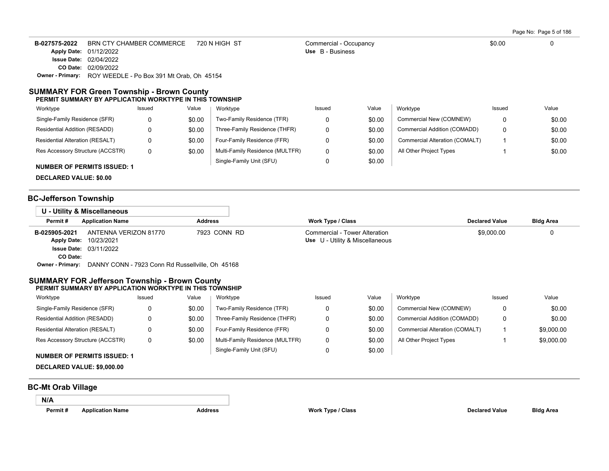Page No: Page 5 of 186

| B-027575-2022 | BRN CTY CHAMBER COMMERCE                                          | 720 N HIGH ST | Commercial - Occupancy | \$0.00 |  |  |  |  |  |
|---------------|-------------------------------------------------------------------|---------------|------------------------|--------|--|--|--|--|--|
|               | <b>Apply Date: 01/12/2022</b>                                     |               | Use B - Business       |        |  |  |  |  |  |
|               | <b>Issue Date: 02/04/2022</b>                                     |               |                        |        |  |  |  |  |  |
|               | <b>CO Date: 02/09/2022</b>                                        |               |                        |        |  |  |  |  |  |
|               | <b>Owner - Primary:</b> ROY WEEDLE - Po Box 391 Mt Orab, Oh 45154 |               |                        |        |  |  |  |  |  |

#### **SUMMARY FOR Green Township - Brown County PERMIT SUMMARY BY APPLICATION WORKTYPE IN THIS TOWNSHIP**

| Worktype                               | Issued | Value  | Worktype                        | Issued | Value  | Worktype                       | Issued | Value  |
|----------------------------------------|--------|--------|---------------------------------|--------|--------|--------------------------------|--------|--------|
| Single-Family Residence (SFR)          |        | \$0.00 | Two-Family Residence (TFR)      |        | \$0.00 | Commercial New (COMNEW)        | 0      | \$0.00 |
| Residential Addition (RESADD)          |        | \$0.00 | Three-Family Residence (THFR)   |        | \$0.00 | Commercial Addition (COMADD)   | 0      | \$0.00 |
| <b>Residential Alteration (RESALT)</b> |        | \$0.00 | Four-Family Residence (FFR)     |        | \$0.00 | Commercial Alteration (COMALT) |        | \$0.00 |
| Res Accessory Structure (ACCSTR)       | 0      | \$0.00 | Multi-Family Residence (MULTFR) |        | \$0.00 | All Other Project Types        |        | \$0.00 |
| <b>NUMBER OF PERMITS ISSUED: 1</b>     |        |        | Single-Family Unit (SFU)        |        | \$0.00 |                                |        |        |

**DECLARED VALUE: \$0.00**

### **BC-Jefferson Township**

|                         | U - Utility & Miscellaneous                      |                |                                 |                       |                  |
|-------------------------|--------------------------------------------------|----------------|---------------------------------|-----------------------|------------------|
| Permit#                 | <b>Application Name</b>                          | <b>Address</b> | <b>Work Type / Class</b>        | <b>Declared Value</b> | <b>Bldg Area</b> |
| B-025905-2021           | ANTENNA VERIZON 81770                            | 7923 CONN RD   | Commercial - Tower Alteration   | \$9.000.00            | 0                |
| <b>Apply Date:</b>      | 10/23/2021                                       |                | Use U - Utility & Miscellaneous |                       |                  |
|                         | <b>Issue Date: 03/11/2022</b>                    |                |                                 |                       |                  |
| CO Date:                |                                                  |                |                                 |                       |                  |
| <b>Owner - Primary:</b> | DANNY CONN - 7923 Conn Rd Russellville, Oh 45168 |                |                                 |                       |                  |

#### **SUMMARY FOR Jefferson Township - Brown County PERMIT SUMMARY BY APPLICATION WORKTYPE IN THIS TOWNSHIP**

| Worktype                         | Issued | Value  | Worktype                        | Issued | Value  | Worktype                       | Issued | Value      |
|----------------------------------|--------|--------|---------------------------------|--------|--------|--------------------------------|--------|------------|
| Single-Family Residence (SFR)    | O      | \$0.00 | Two-Family Residence (TFR)      |        | \$0.00 | Commercial New (COMNEW)        | 0      | \$0.00     |
| Residential Addition (RESADD)    |        | \$0.00 | Three-Family Residence (THFR)   |        | \$0.00 | Commercial Addition (COMADD)   | 0      | \$0.00     |
| Residential Alteration (RESALT)  |        | \$0.00 | Four-Family Residence (FFR)     |        | \$0.00 | Commercial Alteration (COMALT) |        | \$9,000.00 |
| Res Accessory Structure (ACCSTR) | 0      | \$0.00 | Multi-Family Residence (MULTFR) |        | \$0.00 | All Other Project Types        |        | \$9,000.00 |
|                                  |        |        | Single-Family Unit (SFU)        |        | \$0.00 |                                |        |            |

## **NUMBER OF PERMITS ISSUED: 1**

**DECLARED VALUE: \$9,000.00**

### **BC-Mt Orab Village**

**N/A**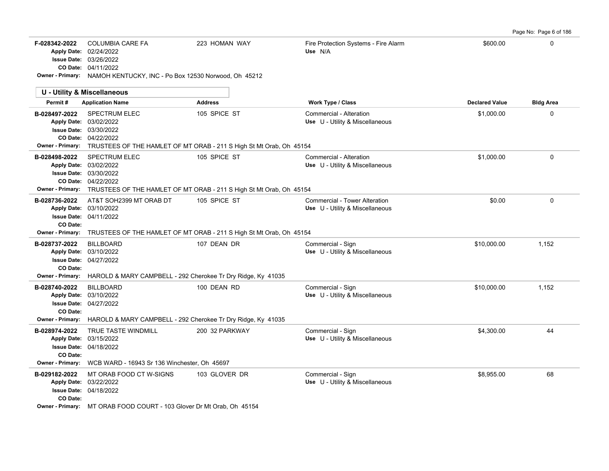| Page No: Page 6 of 186 |  |
|------------------------|--|
|                        |  |

| F-028342-2022                                        | <b>COLUMBIA CARE FA</b><br>Apply Date: 02/24/2022<br><b>Issue Date: 03/26/2022</b><br>CO Date: 04/11/2022<br>Owner - Primary: NAMOH KENTUCKY, INC - Po Box 12530 Norwood, Oh 45212             | 223 HOMAN WAY  | Fire Protection Systems - Fire Alarm<br>Use N/A                  | \$600.00              | $\Omega$         |
|------------------------------------------------------|------------------------------------------------------------------------------------------------------------------------------------------------------------------------------------------------|----------------|------------------------------------------------------------------|-----------------------|------------------|
|                                                      | <b>U - Utility &amp; Miscellaneous</b>                                                                                                                                                         |                |                                                                  |                       |                  |
| Permit#                                              | <b>Application Name</b>                                                                                                                                                                        | <b>Address</b> | <b>Work Type / Class</b>                                         | <b>Declared Value</b> | <b>Bldg Area</b> |
| B-028497-2022                                        | <b>SPECTRUM ELEC</b><br>Apply Date: 03/02/2022<br><b>Issue Date: 03/30/2022</b><br>CO Date: 04/22/2022<br>Owner - Primary: TRUSTEES OF THE HAMLET OF MT ORAB - 211 S High St Mt Orab, Oh 45154 | 105 SPICE ST   | Commercial - Alteration<br>Use U - Utility & Miscellaneous       | \$1,000.00            | 0                |
| B-028498-2022                                        | <b>SPECTRUM ELEC</b><br>Apply Date: 03/02/2022<br>Issue Date: 03/30/2022<br>CO Date: 04/22/2022<br>Owner - Primary: TRUSTEES OF THE HAMLET OF MT ORAB - 211 S High St Mt Orab, Oh 45154        | 105 SPICE ST   | Commercial - Alteration<br>Use U - Utility & Miscellaneous       | \$1,000.00            | 0                |
| B-028736-2022<br>CO Date:                            | AT&T SOH2399 MT ORAB DT<br>Apply Date: 03/10/2022<br><b>Issue Date: 04/11/2022</b>                                                                                                             | 105 SPICE ST   | Commercial - Tower Alteration<br>Use U - Utility & Miscellaneous | \$0.00                | $\mathbf 0$      |
|                                                      | Owner - Primary: TRUSTEES OF THE HAMLET OF MT ORAB - 211 S High St Mt Orab, Oh 45154                                                                                                           |                |                                                                  |                       |                  |
| B-028737-2022<br>CO Date:<br>Owner - Primary:        | <b>BILLBOARD</b><br>Apply Date: 03/10/2022<br><b>Issue Date: 04/27/2022</b>                                                                                                                    | 107 DEAN DR    | Commercial - Sign<br>Use U - Utility & Miscellaneous             | \$10,000.00           | 1,152            |
|                                                      | HAROLD & MARY CAMPBELL - 292 Cherokee Tr Dry Ridge, Ky 41035                                                                                                                                   |                |                                                                  |                       |                  |
| B-028740-2022<br>CO Date:<br><b>Owner - Primary:</b> | <b>BILLBOARD</b><br>Apply Date: 03/10/2022<br>Issue Date: 04/27/2022                                                                                                                           | 100 DEAN RD    | Commercial - Sign<br>Use U - Utility & Miscellaneous             | \$10,000.00           | 1,152            |
|                                                      | HAROLD & MARY CAMPBELL - 292 Cherokee Tr Dry Ridge, Ky 41035                                                                                                                                   |                |                                                                  |                       |                  |
| B-028974-2022<br>CO Date:                            | TRUE TASTE WINDMILL<br>Apply Date: 03/15/2022<br><b>Issue Date: 04/18/2022</b><br>Owner - Primary: WCB WARD - 16943 Sr 136 Winchester, Oh 45697                                                | 200 32 PARKWAY | Commercial - Sign<br>Use U - Utility & Miscellaneous             | \$4,300.00            | 44               |
| B-029182-2022<br>CO Date:                            | MT ORAB FOOD CT W-SIGNS<br>Apply Date: 03/22/2022<br>Issue Date: 04/18/2022                                                                                                                    | 103 GLOVER DR  | Commercial - Sign<br>Use U - Utility & Miscellaneous             | \$8,955.00            | 68               |
|                                                      | Owner - Primary: MT ORAB FOOD COURT - 103 Glover Dr Mt Orab, Oh 45154                                                                                                                          |                |                                                                  |                       |                  |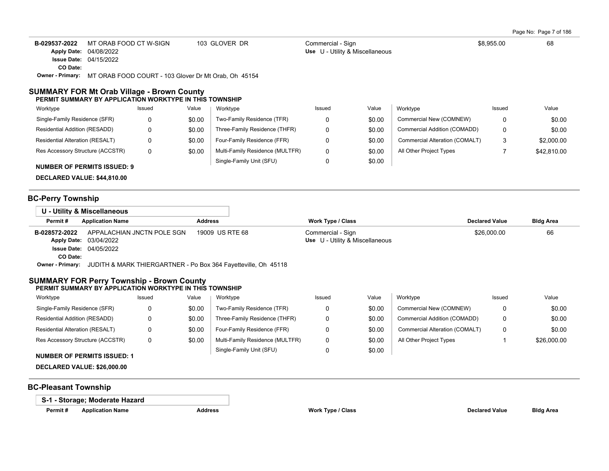Page No: Page 7 of 186

| B-029537-2022 | MT ORAB FOOD CT W-SIGN        | 103 GLOVER DR     | Commercial - Sign               | \$8.955.00 | 68 |
|---------------|-------------------------------|-------------------|---------------------------------|------------|----|
|               | Apply Date: 04/08/2022        |                   | Use U - Utility & Miscellaneous |            |    |
|               | <b>Issue Date: 04/15/2022</b> |                   |                                 |            |    |
| CO Date:      |                               |                   |                                 |            |    |
| __            |                               | _ _ _ _ _ _ _ _ _ |                                 |            |    |

**Owner - Primary:** MT ORAB FOOD COURT - 103 Glover Dr Mt Orab, Oh 45154

#### **SUMMARY FOR Mt Orab Village - Brown County PERMIT SUMMARY BY APPLICATION WORKTYPE IN THIS TOWNSHIP**

| Worktype                           | Issued | Value  | Worktype                        | Issued | Value  | Worktype                       | Issued | Value       |
|------------------------------------|--------|--------|---------------------------------|--------|--------|--------------------------------|--------|-------------|
| Single-Family Residence (SFR)      | 0      | \$0.00 | Two-Family Residence (TFR)      |        | \$0.00 | Commercial New (COMNEW)        |        | \$0.00      |
| Residential Addition (RESADD)      | 0      | \$0.00 | Three-Family Residence (THFR)   |        | \$0.00 | Commercial Addition (COMADD)   |        | \$0.00      |
| Residential Alteration (RESALT)    | 0      | \$0.00 | Four-Family Residence (FFR)     |        | \$0.00 | Commercial Alteration (COMALT) |        | \$2,000.00  |
| Res Accessory Structure (ACCSTR)   | 0      | \$0.00 | Multi-Family Residence (MULTFR) |        | \$0.00 | All Other Project Types        |        | \$42,810.00 |
| <b>NUMBER OF PERMITS ISSUED: 9</b> |        |        | Single-Family Unit (SFU)        |        | \$0.00 |                                |        |             |

**DECLARED VALUE: \$44,810.00**

### **BC-Perry Township**

|                         | U - Utility & Miscellaneous                                    |                 |                   |                                 |                       |                  |
|-------------------------|----------------------------------------------------------------|-----------------|-------------------|---------------------------------|-----------------------|------------------|
| Permit#                 | <b>Application Name</b>                                        | <b>Address</b>  | Work Type / Class |                                 | <b>Declared Value</b> | <b>Bldg Area</b> |
| B-028572-2022           | APPALACHIAN JNCTN POLE SGN                                     | 19009 US RTE 68 | Commercial - Sign |                                 | \$26,000.00           | 66               |
|                         | <b>Apply Date: 03/04/2022</b>                                  |                 |                   | Use U - Utility & Miscellaneous |                       |                  |
|                         | <b>Issue Date: 04/05/2022</b>                                  |                 |                   |                                 |                       |                  |
| CO Date:                |                                                                |                 |                   |                                 |                       |                  |
| <b>Owner - Primary:</b> | JUDITH & MARK THIERGARTNER - Po Box 364 Fayetteville, Oh 45118 |                 |                   |                                 |                       |                  |

#### **SUMMARY FOR Perry Township - Brown County PERMIT SUMMARY BY APPLICATION WORKTYPE IN THIS TOWNSHIP**

| Worktype                         | Issued | Value  | Worktype                        | Issued | Value  | Worktype                       | Issued | Value       |
|----------------------------------|--------|--------|---------------------------------|--------|--------|--------------------------------|--------|-------------|
| Single-Family Residence (SFR)    |        | \$0.00 | Two-Family Residence (TFR)      |        | \$0.00 | Commercial New (COMNEW)        |        | \$0.00      |
| Residential Addition (RESADD)    |        | \$0.00 | Three-Family Residence (THFR)   |        | \$0.00 | Commercial Addition (COMADD)   |        | \$0.00      |
| Residential Alteration (RESALT)  |        | \$0.00 | Four-Family Residence (FFR)     |        | \$0.00 | Commercial Alteration (COMALT) |        | \$0.00      |
| Res Accessory Structure (ACCSTR) |        | \$0.00 | Multi-Family Residence (MULTFR) |        | \$0.00 | All Other Project Types        |        | \$26,000.00 |
|                                  |        |        | Single-Family Unit (SFU)        |        | \$0.00 |                                |        |             |

- **NUMBER OF PERMITS ISSUED: 1**
- **DECLARED VALUE: \$26,000.00**

### **BC-Pleasant Township**

**S-1 - Storage; Moderate Hazard**

**Permit # Application Name Address Work Type / Class Declared Value Bldg Area**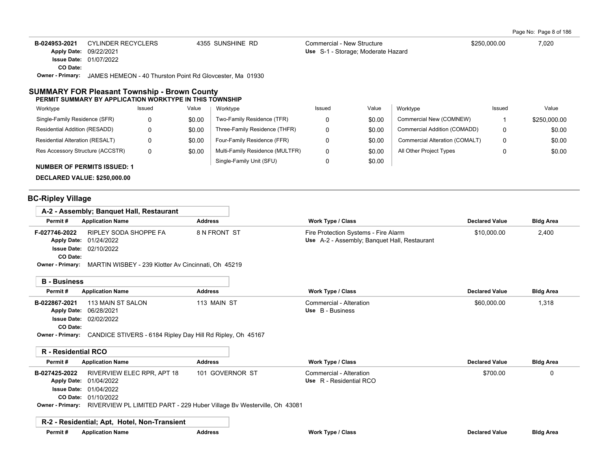Page No: Page 8 of 186

| B-024953-2021                 | CYLINDER RECYCLERS                                       | 4355 SUNSHINE RD | Commercial - New Structure         | \$250,000.00 | 7.020 |
|-------------------------------|----------------------------------------------------------|------------------|------------------------------------|--------------|-------|
| <b>Apply Date: 09/22/2021</b> |                                                          |                  | Use S-1 - Storage: Moderate Hazard |              |       |
|                               | <b>Issue Date: 01/07/2022</b>                            |                  |                                    |              |       |
| CO Date:                      |                                                          |                  |                                    |              |       |
| <b>Owner - Primary:</b>       | JAMES HEMEON - 40 Thurston Point Rd Glovcester, Ma 01930 |                  |                                    |              |       |

### **SUMMARY FOR Pleasant Township - Brown County PERMIT SUMMARY BY APPLICATION WORKTYPE IN THIS TOWNSHIP**

| Worktype                           | Issued | Value  | Worktype                        | Issued | Value  | Worktype                       | Issued | Value        |
|------------------------------------|--------|--------|---------------------------------|--------|--------|--------------------------------|--------|--------------|
| Single-Family Residence (SFR)      | 0      | \$0.00 | Two-Family Residence (TFR)      |        | \$0.00 | Commercial New (COMNEW)        |        | \$250,000.00 |
| Residential Addition (RESADD)      | 0      | \$0.00 | Three-Family Residence (THFR)   |        | \$0.00 | Commercial Addition (COMADD)   | 0      | \$0.00       |
| Residential Alteration (RESALT)    | 0      | \$0.00 | Four-Family Residence (FFR)     |        | \$0.00 | Commercial Alteration (COMALT) | 0      | \$0.00       |
| Res Accessory Structure (ACCSTR)   | 0      | \$0.00 | Multi-Family Residence (MULTFR) | 0      | \$0.00 | All Other Project Types        |        | \$0.00       |
| <b>NUMBER OF PERMITS ISSUED: 1</b> |        |        | Single-Family Unit (SFU)        |        | \$0.00 |                                |        |              |

**DECLARED VALUE: \$250,000.00**

# **BC-Ripley Village**

| Permit#<br><b>Application Name</b>                                                                                                                                 | <b>Address</b>                                                                            | <b>Work Type / Class</b>                                                             | <b>Declared Value</b> | <b>Bldg Area</b> |  |
|--------------------------------------------------------------------------------------------------------------------------------------------------------------------|-------------------------------------------------------------------------------------------|--------------------------------------------------------------------------------------|-----------------------|------------------|--|
| <b>RIPLEY SODA SHOPPE FA</b><br>F-027746-2022<br>01/24/2022<br><b>Apply Date:</b><br><b>Issue Date: 02/10/2022</b><br>CO Date:<br><b>Owner - Primary:</b>          | 8 N FRONT ST                                                                              | Fire Protection Systems - Fire Alarm<br>Use A-2 - Assembly; Banquet Hall, Restaurant | \$10,000.00           | 2,400            |  |
| MARTIN WISBEY - 239 Klotter Av Cincinnati, Oh 45219                                                                                                                |                                                                                           |                                                                                      |                       |                  |  |
| <b>B</b> - Business                                                                                                                                                |                                                                                           |                                                                                      |                       |                  |  |
| Permit#<br><b>Application Name</b>                                                                                                                                 | <b>Address</b>                                                                            | Work Type / Class                                                                    | <b>Declared Value</b> | <b>Bldg Area</b> |  |
| 113 MAIN ST SALON<br>B-022867-2021<br>06/28/2021<br><b>Apply Date:</b><br>02/02/2022<br><b>Issue Date:</b><br>CO Date:                                             | 113 MAIN ST                                                                               | Commercial - Alteration<br>Use B - Business                                          | \$60,000.00           | 1,318            |  |
| <b>Owner - Primary:</b><br>CANDICE STIVERS - 6184 Ripley Day Hill Rd Ripley, Oh 45167                                                                              |                                                                                           |                                                                                      |                       |                  |  |
| <b>R</b> - Residential RCO                                                                                                                                         |                                                                                           |                                                                                      |                       |                  |  |
| Permit#<br><b>Application Name</b>                                                                                                                                 | <b>Address</b>                                                                            | <b>Work Type / Class</b>                                                             | <b>Declared Value</b> | <b>Bldg Area</b> |  |
| RIVERVIEW ELEC RPR, APT 18<br>B-027425-2022<br><b>Apply Date:</b><br>01/04/2022<br><b>Issue Date: 01/04/2022</b><br>CO Date: 01/10/2022<br><b>Owner - Primary:</b> | 101 GOVERNOR ST<br>RIVERVIEW PL LIMITED PART - 229 Huber Village By Westerville, Oh 43081 | Commercial - Alteration<br>Use R - Residential RCO                                   | \$700.00              | 0                |  |
| R-2 - Residential; Apt, Hotel, Non-Transient                                                                                                                       |                                                                                           |                                                                                      |                       |                  |  |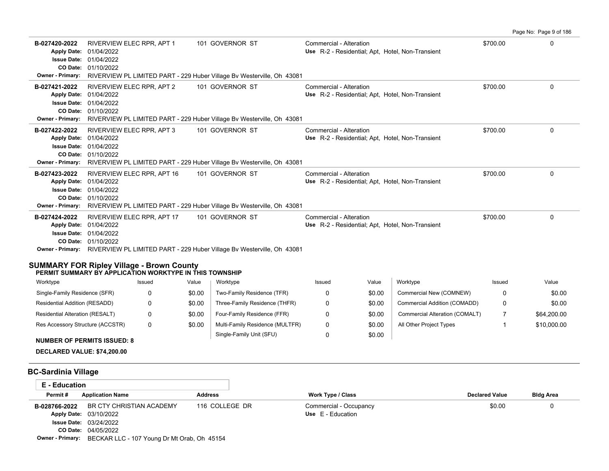Page No: Page 9 of 186 **B-027420-2022** RIVERVIEW ELEC RPR, APT 1 101 GOVERNOR ST Commercial - Alteration 6 100 100 100 100 100 100 100 10 01/10/2022 **CO Date:** 01/04/2022 **Issue Date:** Apply Date: 01/04/2022 **Apply Date: Use** R-2 - Residential; Apt, Hotel, Non-Transient **Owner - Primary:** RIVERVIEW PL LIMITED PART - 229 Huber Village Bv Westerville, Oh 43081 **B-027421-2022** \$700.00 0 RIVERVIEW ELEC RPR, APT 2 101 GOVERNOR ST Commercial - Alteration 01/10/2022 **CO Date:** 01/04/2022 **Issue Date:** Apply Date: 01/04/2022 Use R-2 - Residential; Apt, Hotel, Non-Transient **Owner - Primary:** RIVERVIEW PL LIMITED PART - 229 Huber Village Bv Westerville, Oh 43081 **B-027422-2022** \$700.00 0 RIVERVIEW ELEC RPR, APT 3 101 GOVERNOR ST Commercial - Alteration 01/10/2022 **CO Date:** 01/04/2022 **Issue Date:** Apply Date: 01/04/2022 **Apply Date: Use** R-2 - Residential; Apt, Hotel, Non-Transient **Owner - Primary:** RIVERVIEW PL LIMITED PART - 229 Huber Village Bv Westerville, Oh 43081 **B-027423-2022** RIVERVIEW ELEC RPR, APT 16 101 GOVERNOR ST Commercial - Alteration 6 100 00 100 100 00 00 00 00 0 01/10/2022 **CO Date:** 01/04/2022 **Issue Date:** Apply Date: 01/04/2022 Use R-2 - Residential; Apt, Hotel, Non-Transient **Owner - Primary:** RIVERVIEW PL LIMITED PART - 229 Huber Village Bv Westerville, Oh 43081 **B-027424-2022** RIVERVIEW ELEC RPR, APT 17 101 GOVERNOR ST Commercial - Alteration 6 67 100 10 10 10 10 10 10 10 01/10/2022 **CO Date:** 01/04/2022 **Issue Date:** Apply Date: 01/04/2022 Use R-2 - Residential; Apt, Hotel, Non-Transient **Owner - Primary:** RIVERVIEW PL LIMITED PART - 229 Huber Village Bv Westerville, Oh 43081 **SUMMARY FOR Ripley Village - Brown County PERMIT SUMMARY BY APPLICATION WORKTYPE IN THIS TOWNSHIP** Issued Value Issued Value Worktype Issued Value Worktype **Worktype** 

| <b>VVUINIVUE</b>                 | 1554 <del>c</del> u | valuc  | <b>VVUINLYDE</b>                | issucu | valuc  | <b>VYUINLYDE</b>               | issucu   | valuc       |
|----------------------------------|---------------------|--------|---------------------------------|--------|--------|--------------------------------|----------|-------------|
| Single-Family Residence (SFR)    |                     | \$0.00 | Two-Family Residence (TFR)      |        | \$0.00 | Commercial New (COMNEW)        | $\Omega$ | \$0.00      |
| Residential Addition (RESADD)    |                     | \$0.00 | Three-Family Residence (THFR)   |        | \$0.00 | Commercial Addition (COMADD)   | $\Omega$ | \$0.00      |
| Residential Alteration (RESALT)  |                     | \$0.00 | Four-Family Residence (FFR)     |        | \$0.00 | Commercial Alteration (COMALT) |          | \$64,200.00 |
| Res Accessory Structure (ACCSTR) |                     | \$0.00 | Multi-Family Residence (MULTFR) |        | \$0.00 | All Other Project Types        |          | \$10,000.00 |
|                                  |                     |        | Single-Family Unit (SFU)        |        | \$0.00 |                                |          |             |

# **NUMBER OF PERMITS ISSUED: 8**

**DECLARED VALUE: \$74,200.00**

### **BC-Sardinia Village**

| E - Education |                                                                     |                |                          |                       |                  |  |  |  |  |
|---------------|---------------------------------------------------------------------|----------------|--------------------------|-----------------------|------------------|--|--|--|--|
| Permit#       | <b>Application Name</b>                                             | <b>Address</b> | <b>Work Type / Class</b> | <b>Declared Value</b> | <b>Bldg Area</b> |  |  |  |  |
| B-028766-2022 | BR CTY CHRISTIAN ACADEMY                                            | 116 COLLEGE DR | Commercial - Occupancy   | \$0.00                |                  |  |  |  |  |
|               | Use E - Education<br>Apply Date: 03/10/2022                         |                |                          |                       |                  |  |  |  |  |
|               | <b>Issue Date: 03/24/2022</b>                                       |                |                          |                       |                  |  |  |  |  |
|               | CO Date: 04/05/2022                                                 |                |                          |                       |                  |  |  |  |  |
|               | <b>Owner - Primary:</b> BECKAR LLC - 107 Young Dr Mt Orab, Oh 45154 |                |                          |                       |                  |  |  |  |  |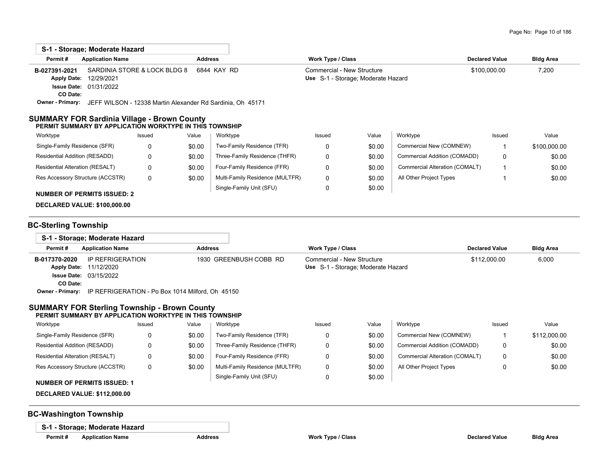| S-1 - Storage: Moderate Hazard                          |                         |                                                                   |                |                                 |                            |                                    |                                |                       |                  |
|---------------------------------------------------------|-------------------------|-------------------------------------------------------------------|----------------|---------------------------------|----------------------------|------------------------------------|--------------------------------|-----------------------|------------------|
| Permit#                                                 | <b>Application Name</b> |                                                                   | <b>Address</b> |                                 | <b>Work Type / Class</b>   |                                    |                                | <b>Declared Value</b> | <b>Bldg Area</b> |
| B-027391-2021                                           |                         | SARDINIA STORE & LOCK BLDG 8                                      | 6844 KAY RD    |                                 | Commercial - New Structure |                                    |                                | \$100,000.00          | 7,200            |
| <b>Apply Date:</b>                                      | 12/29/2021              |                                                                   |                |                                 |                            | Use S-1 - Storage; Moderate Hazard |                                |                       |                  |
| <b>Issue Date:</b>                                      | 01/31/2022              |                                                                   |                |                                 |                            |                                    |                                |                       |                  |
| CO Date:                                                |                         |                                                                   |                |                                 |                            |                                    |                                |                       |                  |
| <b>Owner - Primary:</b>                                 |                         | JEFF WILSON - 12338 Martin Alexander Rd Sardinia, Oh 45171        |                |                                 |                            |                                    |                                |                       |                  |
| SUMMARY FOR Sardinia Village - Brown County<br>Worktype |                         | PERMIT SUMMARY BY APPLICATION WORKTYPE IN THIS TOWNSHIP<br>Issued | Value          | Worktype                        | Issued                     | Value                              | Worktype                       | Issued                | Value            |
| Single-Family Residence (SFR)                           |                         | 0                                                                 | \$0.00         | Two-Family Residence (TFR)      | 0                          | \$0.00                             | Commercial New (COMNEW)        |                       | \$100,000.00     |
| Residential Addition (RESADD)                           |                         | 0                                                                 | \$0.00         | Three-Family Residence (THFR)   | 0                          | \$0.00                             | Commercial Addition (COMADD)   | 0                     | \$0.00           |
| Residential Alteration (RESALT)                         |                         | 0                                                                 | \$0.00         | Four-Family Residence (FFR)     | 0                          | \$0.00                             | Commercial Alteration (COMALT) |                       | \$0.00           |
| Res Accessory Structure (ACCSTR)                        |                         | 0                                                                 | \$0.00         | Multi-Family Residence (MULTFR) | 0                          | \$0.00                             | All Other Project Types        |                       | \$0.00           |
|                                                         |                         |                                                                   |                | Single-Family Unit (SFU)        | 0                          | \$0.00                             |                                |                       |                  |

#### **NUMBER OF PERMITS ISSUED: 2**

**DECLARED VALUE: \$100,000.00**

## **BC-Sterling Township**

|                  | S-1 - Storage; Moderate Hazard                   |                        |                                    |                       |                  |
|------------------|--------------------------------------------------|------------------------|------------------------------------|-----------------------|------------------|
| Permit#          | <b>Application Name</b>                          | <b>Address</b>         | Work Type / Class                  | <b>Declared Value</b> | <b>Bldg Area</b> |
| B-017370-2020    | IP REFRIGERATION                                 | 1930 GREENBUSH COBB RD | Commercial - New Structure         | \$112,000.00          | 6,000            |
|                  | <b>Apply Date: 11/12/2020</b>                    |                        | Use S-1 - Storage: Moderate Hazard |                       |                  |
|                  | <b>Issue Date: 03/15/2022</b>                    |                        |                                    |                       |                  |
| CO Date:         |                                                  |                        |                                    |                       |                  |
| Owner - Primary: | IP REFRIGERATION - Po Box 1014 Milford, Oh 45150 |                        |                                    |                       |                  |

## **SUMMARY FOR Sterling Township - Brown County**

#### **PERMIT SUMMARY BY APPLICATION WORKTYPE IN THIS TOWNSHIP**

| Worktype                           | Issued | Value  | Worktype                        | Issued | Value  | Worktype                       | Issued | Value        |
|------------------------------------|--------|--------|---------------------------------|--------|--------|--------------------------------|--------|--------------|
| Single-Family Residence (SFR)      |        | \$0.00 | Two-Family Residence (TFR)      |        | \$0.00 | Commercial New (COMNEW)        |        | \$112,000.00 |
| Residential Addition (RESADD)      |        | \$0.00 | Three-Family Residence (THFR)   |        | \$0.00 | Commercial Addition (COMADD)   |        | \$0.00       |
| Residential Alteration (RESALT)    |        | \$0.00 | Four-Family Residence (FFR)     |        | \$0.00 | Commercial Alteration (COMALT) |        | \$0.00       |
| Res Accessory Structure (ACCSTR)   |        | \$0.00 | Multi-Family Residence (MULTFR) |        | \$0.00 | All Other Project Types        |        | \$0.00       |
| <b>NUMBER OF PERMITS ISSUED: 1</b> |        |        | Single-Family Unit (SFU)        |        | \$0.00 |                                |        |              |
|                                    |        |        |                                 |        |        |                                |        |              |

**DECLARED VALUE: \$112,000.00**

## **BC-Washington Township**

**S-1 - Storage; Moderate Hazard**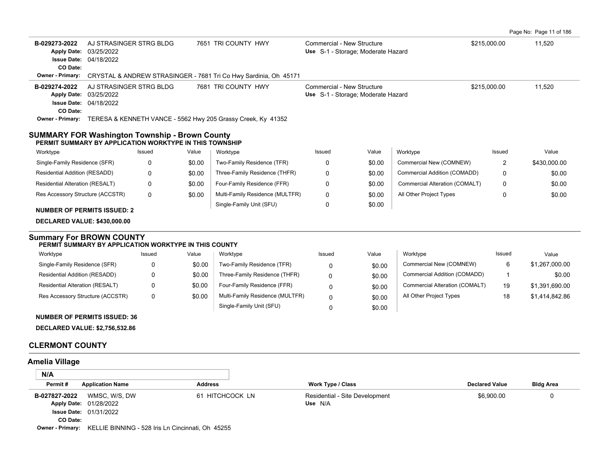|  | Page No: Page 11 of 186 |  |  |  |  |  |
|--|-------------------------|--|--|--|--|--|
|--|-------------------------|--|--|--|--|--|

| B-029273-2022<br><b>Apply Date:</b><br><b>Issue Date: 04/18/2022</b><br>CO Date:                                 | AJ STRASINGER STRG BLDG<br>03/25/2022 |                                                   |                | 7651 TRI COUNTY HWY                                                           | Commercial - New Structure<br>Use S-1 - Storage; Moderate Hazard |                                    |                                | \$215,000.00          | 11,520           |
|------------------------------------------------------------------------------------------------------------------|---------------------------------------|---------------------------------------------------|----------------|-------------------------------------------------------------------------------|------------------------------------------------------------------|------------------------------------|--------------------------------|-----------------------|------------------|
| <b>Owner - Primary:</b>                                                                                          |                                       |                                                   |                | CRYSTAL & ANDREW STRASINGER - 7681 Tri Co Hwy Sardinia, Oh 45171              |                                                                  |                                    |                                |                       |                  |
| B-029274-2022<br>Apply Date: 03/25/2022<br><b>Issue Date: 04/18/2022</b>                                         | AJ STRASINGER STRG BLDG               |                                                   |                | 7681 TRI COUNTY HWY                                                           | Commercial - New Structure                                       | Use S-1 - Storage; Moderate Hazard |                                | \$215,000.00          | 11,520           |
| CO Date:                                                                                                         |                                       |                                                   |                | Owner - Primary: TERESA & KENNETH VANCE - 5562 Hwy 205 Grassy Creek, Ky 41352 |                                                                  |                                    |                                |                       |                  |
| <b>SUMMARY FOR Washington Township - Brown County</b><br>PERMIT SUMMARY BY APPLICATION WORKTYPE IN THIS TOWNSHIP |                                       |                                                   |                |                                                                               |                                                                  |                                    |                                |                       |                  |
| Worktype                                                                                                         |                                       | Issued                                            | Value          | Worktype                                                                      | Issued                                                           | Value                              | Worktype                       | Issued                | Value            |
| Single-Family Residence (SFR)                                                                                    |                                       | 0                                                 | \$0.00         | Two-Family Residence (TFR)                                                    | 0                                                                | \$0.00                             | Commercial New (COMNEW)        | 2                     | \$430,000.00     |
| Residential Addition (RESADD)                                                                                    |                                       | 0                                                 | \$0.00         | Three-Family Residence (THFR)                                                 | 0                                                                | \$0.00                             | Commercial Addition (COMADD)   | 0                     | \$0.00           |
| Residential Alteration (RESALT)                                                                                  |                                       | 0                                                 | \$0.00         | Four-Family Residence (FFR)                                                   | 0                                                                | \$0.00                             | Commercial Alteration (COMALT) | 0                     | \$0.00           |
| Res Accessory Structure (ACCSTR)                                                                                 |                                       | 0                                                 | \$0.00         | Multi-Family Residence (MULTFR)                                               | 0                                                                | \$0.00                             | All Other Project Types        | 0                     | \$0.00           |
|                                                                                                                  |                                       |                                                   |                | Single-Family Unit (SFU)                                                      | 0                                                                | \$0.00                             |                                |                       |                  |
| <b>NUMBER OF PERMITS ISSUED: 2</b>                                                                               |                                       |                                                   |                |                                                                               |                                                                  |                                    |                                |                       |                  |
| <b>DECLARED VALUE: \$430,000.00</b>                                                                              |                                       |                                                   |                |                                                                               |                                                                  |                                    |                                |                       |                  |
| <b>Summary For BROWN COUNTY</b><br>PERMIT SUMMARY BY APPLICATION WORKTYPE IN THIS COUNTY                         |                                       |                                                   |                |                                                                               |                                                                  |                                    |                                |                       |                  |
| Worktype                                                                                                         |                                       | Issued                                            | Value          | Worktype                                                                      | Issued                                                           | Value                              | Worktype                       | Issued                | Value            |
| Single-Family Residence (SFR)                                                                                    |                                       | 0                                                 | \$0.00         | Two-Family Residence (TFR)                                                    | 0                                                                | \$0.00                             | Commercial New (COMNEW)        | 6                     | \$1,267,000.00   |
| Residential Addition (RESADD)                                                                                    |                                       | 0                                                 | \$0.00         | Three-Family Residence (THFR)                                                 | 0                                                                | \$0.00                             | Commercial Addition (COMADD)   | 1                     | \$0.00           |
| Residential Alteration (RESALT)                                                                                  |                                       | 0                                                 | \$0.00         | Four-Family Residence (FFR)                                                   | $\mathbf 0$                                                      | \$0.00                             | Commercial Alteration (COMALT) | 19                    | \$1,391,690.00   |
| Res Accessory Structure (ACCSTR)                                                                                 |                                       | $\Omega$                                          | \$0.00         | Multi-Family Residence (MULTFR)                                               | $\Omega$                                                         | \$0.00                             | All Other Project Types        | 18                    | \$1,414,842.86   |
|                                                                                                                  |                                       |                                                   |                | Single-Family Unit (SFU)                                                      | $\Omega$                                                         | \$0.00                             |                                |                       |                  |
| <b>NUMBER OF PERMITS ISSUED: 36</b>                                                                              |                                       |                                                   |                |                                                                               |                                                                  |                                    |                                |                       |                  |
| <b>DECLARED VALUE: \$2,756,532.86</b>                                                                            |                                       |                                                   |                |                                                                               |                                                                  |                                    |                                |                       |                  |
| <b>CLERMONT COUNTY</b>                                                                                           |                                       |                                                   |                |                                                                               |                                                                  |                                    |                                |                       |                  |
| <b>Amelia Village</b>                                                                                            |                                       |                                                   |                |                                                                               |                                                                  |                                    |                                |                       |                  |
| N/A                                                                                                              |                                       |                                                   |                |                                                                               |                                                                  |                                    |                                |                       |                  |
| Permit#                                                                                                          | <b>Application Name</b>               |                                                   | <b>Address</b> |                                                                               | <b>Work Type / Class</b>                                         |                                    |                                | <b>Declared Value</b> | <b>Bldg Area</b> |
| B-027827-2022<br>Apply Date: 01/28/2022<br><b>Issue Date: 01/31/2022</b><br>CO Date:<br>Owner - Primary:         | WMSC, W/S, DW                         | KELLIE BINNING - 528 Iris Ln Cincinnati, Oh 45255 |                | 61 HITCHCOCK LN                                                               | Residential - Site Development<br>Use N/A                        |                                    |                                | \$6,900.00            | 0                |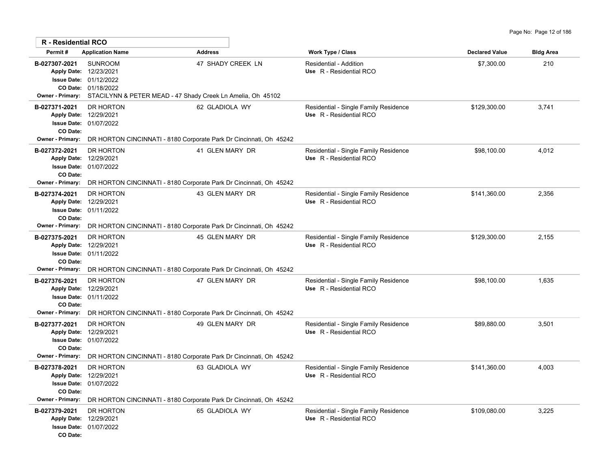| R - Residential RCO                                  |                                                                                                                                                          |                   |                                                                  |                       |                  |
|------------------------------------------------------|----------------------------------------------------------------------------------------------------------------------------------------------------------|-------------------|------------------------------------------------------------------|-----------------------|------------------|
| Permit#                                              | <b>Application Name</b>                                                                                                                                  | <b>Address</b>    | Work Type / Class                                                | <b>Declared Value</b> | <b>Bldg Area</b> |
| B-027307-2021<br><b>Owner - Primary:</b>             | <b>SUNROOM</b><br>Apply Date: 12/23/2021<br>Issue Date: 01/12/2022<br>CO Date: 01/18/2022<br>STACILYNN & PETER MEAD - 47 Shady Creek Ln Amelia, Oh 45102 | 47 SHADY CREEK LN | <b>Residential - Addition</b><br>Use R - Residential RCO         | \$7,300.00            | 210              |
| B-027371-2021<br>CO Date:<br><b>Owner - Primary:</b> | DR HORTON<br>Apply Date: 12/29/2021<br><b>Issue Date: 01/07/2022</b><br>DR HORTON CINCINNATI - 8180 Corporate Park Dr Cincinnati, Oh 45242               | 62 GLADIOLA WY    | Residential - Single Family Residence<br>Use R - Residential RCO | \$129,300.00          | 3,741            |
| B-027372-2021<br>CO Date:<br><b>Owner - Primary:</b> | DR HORTON<br>Apply Date: 12/29/2021<br><b>Issue Date: 01/07/2022</b><br>DR HORTON CINCINNATI - 8180 Corporate Park Dr Cincinnati, Oh 45242               | 41 GLEN MARY DR   | Residential - Single Family Residence<br>Use R - Residential RCO | \$98,100.00           | 4,012            |
| B-027374-2021<br>CO Date:<br>Owner - Primary:        | DR HORTON<br>Apply Date: 12/29/2021<br><b>Issue Date: 01/11/2022</b><br>DR HORTON CINCINNATI - 8180 Corporate Park Dr Cincinnati, Oh 45242               | 43 GLEN MARY DR   | Residential - Single Family Residence<br>Use R - Residential RCO | \$141,360.00          | 2,356            |
| B-027375-2021<br>CO Date:<br><b>Owner - Primary:</b> | DR HORTON<br>Apply Date: 12/29/2021<br><b>Issue Date: 01/11/2022</b><br>DR HORTON CINCINNATI - 8180 Corporate Park Dr Cincinnati, Oh 45242               | 45 GLEN MARY DR   | Residential - Single Family Residence<br>Use R - Residential RCO | \$129,300.00          | 2,155            |
| B-027376-2021<br>CO Date:<br>Owner - Primary:        | DR HORTON<br>Apply Date: 12/29/2021<br>Issue Date: 01/11/2022<br>DR HORTON CINCINNATI - 8180 Corporate Park Dr Cincinnati, Oh 45242                      | 47 GLEN MARY DR   | Residential - Single Family Residence<br>Use R - Residential RCO | \$98,100.00           | 1,635            |
| B-027377-2021<br>CO Date:<br>Owner - Primary:        | DR HORTON<br>Apply Date: 12/29/2021<br><b>Issue Date: 01/07/2022</b><br>DR HORTON CINCINNATI - 8180 Corporate Park Dr Cincinnati, Oh 45242               | 49 GLEN MARY DR   | Residential - Single Family Residence<br>Use R - Residential RCO | \$89,880.00           | 3,501            |
| B-027378-2021<br>CO Date:<br><b>Owner - Primary:</b> | DR HORTON<br>Apply Date: 12/29/2021<br>Issue Date: 01/07/2022<br>DR HORTON CINCINNATI - 8180 Corporate Park Dr Cincinnati, Oh 45242                      | 63 GLADIOLA WY    | Residential - Single Family Residence<br>Use R - Residential RCO | \$141,360.00          | 4,003            |
| B-027379-2021<br>CO Date:                            | DR HORTON<br>Apply Date: 12/29/2021<br><b>Issue Date: 01/07/2022</b>                                                                                     | 65 GLADIOLA WY    | Residential - Single Family Residence<br>Use R - Residential RCO | \$109,080.00          | 3,225            |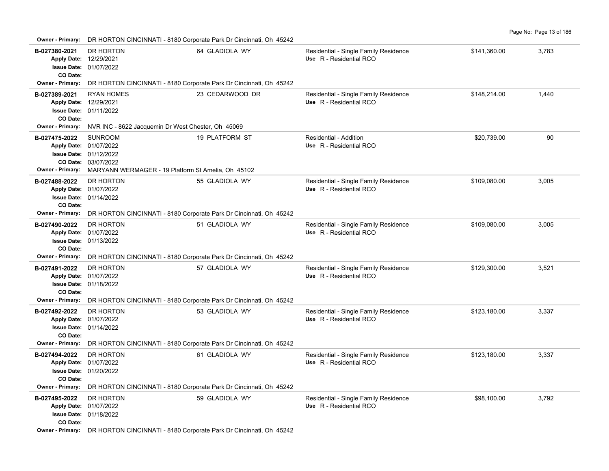| B-027380-2021<br>CO Date:                            | DR HORTON<br>Apply Date: 12/29/2021<br>Issue Date: 01/07/2022                                                                                          | 64 GLADIOLA WY                                                     | Residential - Single Family Residence<br>Use R - Residential RCO | \$141,360.00 | 3,783 |  |  |  |  |  |
|------------------------------------------------------|--------------------------------------------------------------------------------------------------------------------------------------------------------|--------------------------------------------------------------------|------------------------------------------------------------------|--------------|-------|--|--|--|--|--|
| Owner - Primary:                                     | DR HORTON CINCINNATI - 8180 Corporate Park Dr Cincinnati, Oh 45242                                                                                     |                                                                    |                                                                  |              |       |  |  |  |  |  |
| B-027389-2021<br>CO Date:<br><b>Owner - Primary:</b> | <b>RYAN HOMES</b><br>Apply Date: 12/29/2021<br>Issue Date: 01/11/2022<br>NVR INC - 8622 Jacquemin Dr West Chester, Oh 45069                            | 23 CEDARWOOD DR                                                    | Residential - Single Family Residence<br>Use R - Residential RCO | \$148,214.00 | 1,440 |  |  |  |  |  |
|                                                      |                                                                                                                                                        |                                                                    |                                                                  |              |       |  |  |  |  |  |
| B-027475-2022<br><b>Owner - Primary:</b>             | <b>SUNROOM</b><br>Apply Date: 01/07/2022<br><b>Issue Date: 01/12/2022</b><br>CO Date: 03/07/2022<br>MARYANN WERMAGER - 19 Platform St Amelia, Oh 45102 | 19 PLATFORM ST                                                     | Residential - Addition<br>Use R - Residential RCO                | \$20,739.00  | 90    |  |  |  |  |  |
| B-027488-2022<br>CO Date:                            | DR HORTON<br>Apply Date: 01/07/2022<br>Issue Date: 01/14/2022                                                                                          | 55 GLADIOLA WY                                                     | Residential - Single Family Residence<br>Use R - Residential RCO | \$109,080.00 | 3,005 |  |  |  |  |  |
| Owner - Primary:                                     |                                                                                                                                                        | DR HORTON CINCINNATI - 8180 Corporate Park Dr Cincinnati, Oh 45242 |                                                                  |              |       |  |  |  |  |  |
| B-027490-2022<br>CO Date:<br>Owner - Primary:        | DR HORTON<br>Apply Date: 01/07/2022<br>Issue Date: 01/13/2022<br>DR HORTON CINCINNATI - 8180 Corporate Park Dr Cincinnati, Oh 45242                    | 51 GLADIOLA WY                                                     | Residential - Single Family Residence<br>Use R - Residential RCO | \$109,080.00 | 3,005 |  |  |  |  |  |
| B-027491-2022                                        | DR HORTON                                                                                                                                              | 57 GLADIOLA WY                                                     | Residential - Single Family Residence                            | \$129,300.00 | 3,521 |  |  |  |  |  |
| CO Date:                                             | Apply Date: 01/07/2022<br>Issue Date: 01/18/2022                                                                                                       |                                                                    | Use R - Residential RCO                                          |              |       |  |  |  |  |  |
| <b>Owner - Primary:</b>                              | DR HORTON CINCINNATI - 8180 Corporate Park Dr Cincinnati, Oh 45242                                                                                     |                                                                    |                                                                  |              |       |  |  |  |  |  |
| B-027492-2022<br>CO Date:                            | DR HORTON<br>Apply Date: 01/07/2022<br><b>Issue Date: 01/14/2022</b>                                                                                   | 53 GLADIOLA WY                                                     | Residential - Single Family Residence<br>Use R - Residential RCO | \$123,180.00 | 3,337 |  |  |  |  |  |
| <b>Owner - Primary:</b>                              | DR HORTON CINCINNATI - 8180 Corporate Park Dr Cincinnati, Oh 45242                                                                                     |                                                                    |                                                                  |              |       |  |  |  |  |  |
| B-027494-2022<br>CO Date:<br><b>Owner - Primary:</b> | DR HORTON<br>Apply Date: 01/07/2022<br><b>Issue Date: 01/20/2022</b><br>DR HORTON CINCINNATI - 8180 Corporate Park Dr Cincinnati, Oh 45242             | 61 GLADIOLA WY                                                     | Residential - Single Family Residence<br>Use R - Residential RCO | \$123,180.00 | 3,337 |  |  |  |  |  |
| B-027495-2022                                        | DR HORTON                                                                                                                                              | 59 GLADIOLA WY                                                     | Residential - Single Family Residence                            | \$98,100.00  | 3,792 |  |  |  |  |  |
| CO Date:                                             | Apply Date: 01/07/2022<br><b>Issue Date: 01/18/2022</b>                                                                                                |                                                                    | Use R - Residential RCO                                          |              |       |  |  |  |  |  |
|                                                      | Owner - Primary: DR HORTON CINCINNATI - 8180 Corporate Park Dr Cincinnati, Oh 45242                                                                    |                                                                    |                                                                  |              |       |  |  |  |  |  |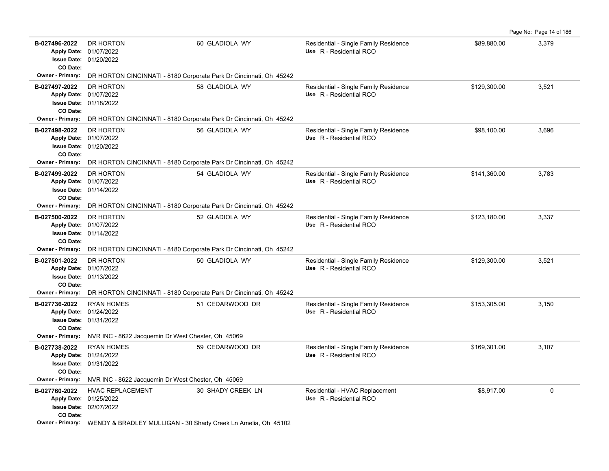**B-027496-2022** \$89,880.00 3,379 DR HORTON 60 GLADIOLA WY Residential - Single Family Residence 01/20/2022 **Issue Date:** 01/07/2022 **Apply Date: Use** R - Residential RCO **CO Date: Owner - Primary:** DR HORTON CINCINNATI - 8180 Corporate Park Dr Cincinnati, Oh 45242 B-027497-2022 DR HORTON **58 GLADIOLA WY** Residential - Single Family Residence \$129,300.00 3,521 01/18/2022 **Issue Date:** 01/07/2022 **Apply Date: Use** R - Residential RCO **CO Date: Owner - Primary:** DR HORTON CINCINNATI - 8180 Corporate Park Dr Cincinnati, Oh 45242 B-027498-2022 DR HORTON 56 GLADIOLA WY Residential - Single Family Residence \$98,100.00 3,696 01/20/2022 **Issue Date:** 01/07/2022 **Apply Date: Use** R - Residential RCO **CO Date: Owner - Primary:** DR HORTON CINCINNATI - 8180 Corporate Park Dr Cincinnati, Oh 45242 B-027499-2022 DR HORTON **54 GLADIOLA WY** Residential - Single Family Residence \$141,360.00 3,783 01/14/2022 **Issue Date:** Apply Date: 01/07/2022 **Apply Date: Use** R - Residential RCO **CO Date: Owner - Primary:** DR HORTON CINCINNATI - 8180 Corporate Park Dr Cincinnati, Oh 45242 B-027500-2022 DR HORTON 52 GLADIOLA WY Residential - Single Family Residence \$123,180.00 5,337 01/14/2022 **Issue Date:** 01/07/2022 **Apply Date: Use** R - Residential RCO **CO Date: Owner - Primary:** DR HORTON CINCINNATI - 8180 Corporate Park Dr Cincinnati, Oh 45242 B-027501-2022 DR HORTON 50 GLADIOLA WY Residential - Single Family Residence \$129,300.00 5,521 01/13/2022 **Issue Date:** Apply Date: 01/07/2022 **Apply Date: Use** R - Residential RCO **CO Date: Owner - Primary:** DR HORTON CINCINNATI - 8180 Corporate Park Dr Cincinnati, Oh 45242 B-027736-2022 RYAN HOMES 51 CEDARWOOD DR Residential - Single Family Residence \$153,305.00 3,150 01/31/2022 **Issue Date:** Apply Date: 01/24/2022 **Apply Date: Use** R - Residential RCO **CO Date: Owner - Primary:** NVR INC - 8622 Jacquemin Dr West Chester, Oh 45069 B-027738-2022 RYAN HOMES 59 CEDARWOOD DR Residential - Single Family Residence \$169,301.00 3,107 01/31/2022 **Issue Date:** 01/24/2022 **Apply Date: Use** R - Residential RCO **CO Date: Owner - Primary:** NVR INC - 8622 Jacquemin Dr West Chester, Oh 45069 B-027760-2022 HVAC REPLACEMENT 30 SHADY CREEK LN Residential - HVAC Replacement \$8,917.00 \$8,917.00 02/07/2022 **Issue Date:** 01/25/2022 **Apply Date: Use** R - Residential RCO **CO Date: Owner - Primary:** WENDY & BRADLEY MULLIGAN - 30 Shady Creek Ln Amelia, Oh 45102

Page No: Page 14 of 186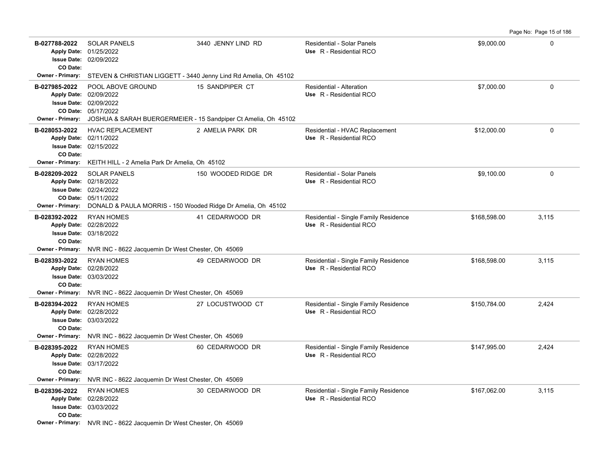Page No: Page 15 of 186

| B-027788-2022<br>CO Date:                            | <b>SOLAR PANELS</b><br>Apply Date: 01/25/2022<br><b>Issue Date: 02/09/2022</b>                                                                                 | 3440 JENNY LIND RD                                                                | Residential - Solar Panels<br>Use R - Residential RCO            | \$9,000.00   | 0        |
|------------------------------------------------------|----------------------------------------------------------------------------------------------------------------------------------------------------------------|-----------------------------------------------------------------------------------|------------------------------------------------------------------|--------------|----------|
|                                                      | Owner - Primary: STEVEN & CHRISTIAN LIGGETT - 3440 Jenny Lind Rd Amelia, Oh 45102                                                                              |                                                                                   |                                                                  |              |          |
| B-027985-2022<br><b>Owner - Primary:</b>             | POOL ABOVE GROUND<br>Apply Date: 02/09/2022<br><b>Issue Date: 02/09/2022</b><br>CO Date: 05/17/2022                                                            | 15 SANDPIPER CT<br>JOSHUA & SARAH BUERGERMEIER - 15 Sandpiper Ct Amelia, Oh 45102 | Residential - Alteration<br>Use R - Residential RCO              | \$7,000.00   | 0        |
| B-028053-2022<br>CO Date:<br>Owner - Primary:        | <b>HVAC REPLACEMENT</b><br>Apply Date: 02/11/2022<br><b>Issue Date: 02/15/2022</b><br>KEITH HILL - 2 Amelia Park Dr Amelia, Oh 45102                           | 2 AMELIA PARK DR                                                                  | Residential - HVAC Replacement<br>Use R - Residential RCO        | \$12,000.00  | $\Omega$ |
| B-028209-2022<br>Owner - Primary:                    | <b>SOLAR PANELS</b><br>Apply Date: 02/18/2022<br>Issue Date: 02/24/2022<br>CO Date: 05/11/2022<br>DONALD & PAULA MORRIS - 150 Wooded Ridge Dr Amelia, Oh 45102 | 150 WOODED RIDGE DR                                                               | <b>Residential - Solar Panels</b><br>Use R - Residential RCO     | \$9,100.00   | 0        |
| B-028392-2022<br>CO Date:<br><b>Owner - Primary:</b> | <b>RYAN HOMES</b><br>Apply Date: 02/28/2022<br><b>Issue Date: 03/18/2022</b><br>NVR INC - 8622 Jacquemin Dr West Chester, Oh 45069                             | 41 CEDARWOOD DR                                                                   | Residential - Single Family Residence<br>Use R - Residential RCO | \$168,598.00 | 3,115    |
| B-028393-2022<br>CO Date:<br><b>Owner - Primary:</b> | <b>RYAN HOMES</b><br>Apply Date: 02/28/2022<br><b>Issue Date: 03/03/2022</b><br>NVR INC - 8622 Jacquemin Dr West Chester, Oh 45069                             | 49 CEDARWOOD DR                                                                   | Residential - Single Family Residence<br>Use R - Residential RCO | \$168,598.00 | 3,115    |
| B-028394-2022<br>CO Date:<br><b>Owner - Primary:</b> | <b>RYAN HOMES</b><br>Apply Date: 02/28/2022<br><b>Issue Date: 03/03/2022</b><br>NVR INC - 8622 Jacquemin Dr West Chester, Oh 45069                             | 27 LOCUSTWOOD CT                                                                  | Residential - Single Family Residence<br>Use R - Residential RCO | \$150,784.00 | 2,424    |
| B-028395-2022<br>CO Date:<br>Owner - Primary:        | <b>RYAN HOMES</b><br>Apply Date: 02/28/2022<br><b>Issue Date: 03/17/2022</b><br>NVR INC - 8622 Jacquemin Dr West Chester, Oh 45069                             | 60 CEDARWOOD DR                                                                   | Residential - Single Family Residence<br>Use R - Residential RCO | \$147,995.00 | 2,424    |
| B-028396-2022<br>CO Date:                            | <b>RYAN HOMES</b><br>Apply Date: 02/28/2022<br><b>Issue Date: 03/03/2022</b><br>Owner - Primary: NVR INC - 8622 Jacquemin Dr West Chester, Oh 45069            | 30 CEDARWOOD DR                                                                   | Residential - Single Family Residence<br>Use R - Residential RCO | \$167,062.00 | 3,115    |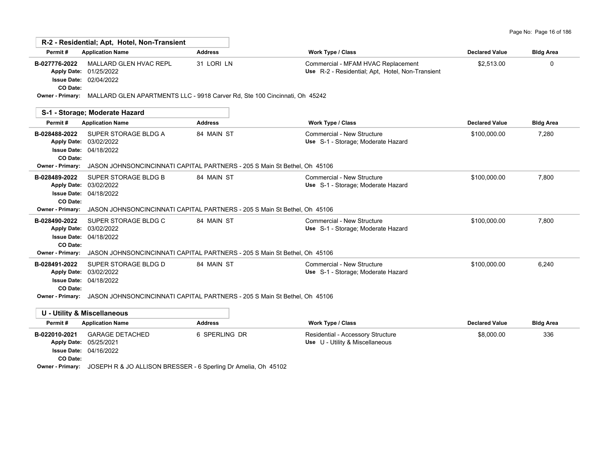| Page No: Page 16 of 186 |  |  |  |  |  |
|-------------------------|--|--|--|--|--|
|-------------------------|--|--|--|--|--|

| Permit#                   | <b>Application Name</b>                                                                           | <b>Address</b> | <b>Work Type / Class</b>                                                               | <b>Declared Value</b> | <b>Bldg Area</b> |
|---------------------------|---------------------------------------------------------------------------------------------------|----------------|----------------------------------------------------------------------------------------|-----------------------|------------------|
| B-027776-2022<br>CO Date: | MALLARD GLEN HVAC REPL<br>Apply Date: 01/25/2022<br>Issue Date: 02/04/2022                        | 31 LORI LN     | Commercial - MFAM HVAC Replacement<br>Use R-2 - Residential; Apt, Hotel, Non-Transient | \$2,513.00            | $\mathbf{0}$     |
|                           | Owner - Primary: MALLARD GLEN APARTMENTS LLC - 9918 Carver Rd, Ste 100 Cincinnati, Oh 45242       |                |                                                                                        |                       |                  |
|                           | S-1 - Storage; Moderate Hazard                                                                    |                |                                                                                        |                       |                  |
| Permit#                   | <b>Application Name</b>                                                                           | <b>Address</b> | <b>Work Type / Class</b>                                                               | <b>Declared Value</b> | <b>Bldg Area</b> |
| B-028488-2022<br>CO Date: | SUPER STORAGE BLDG A<br>Apply Date: 03/02/2022<br><b>Issue Date: 04/18/2022</b>                   | 84 MAIN ST     | Commercial - New Structure<br>Use S-1 - Storage; Moderate Hazard                       | \$100,000.00          | 7,280            |
| Owner - Primary:          | JASON JOHNSONCINCINNATI CAPITAL PARTNERS - 205 S Main St Bethel, Oh 45106                         |                |                                                                                        |                       |                  |
| B-028489-2022<br>CO Date: | SUPER STORAGE BLDG B<br>Apply Date: 03/02/2022<br><b>Issue Date: 04/18/2022</b>                   | 84 MAIN ST     | Commercial - New Structure<br>Use S-1 - Storage; Moderate Hazard                       | \$100.000.00          | 7.800            |
| Owner - Primary:          | JASON JOHNSONCINCINNATI CAPITAL PARTNERS - 205 S Main St Bethel, Oh 45106                         |                |                                                                                        |                       |                  |
| B-028490-2022<br>CO Date: | SUPER STORAGE BLDG C<br>Apply Date: 03/02/2022<br><b>Issue Date: 04/18/2022</b>                   | 84 MAIN ST     | Commercial - New Structure<br>Use S-1 - Storage: Moderate Hazard                       | \$100,000.00          | 7,800            |
|                           | <b>Owner - Primary:</b> JASON JOHNSONCINCINNATI CAPITAL PARTNERS - 205 S Main St Bethel, Oh 45106 |                |                                                                                        |                       |                  |
| B-028491-2022<br>CO Date: | SUPER STORAGE BLDG D<br>Apply Date: 03/02/2022<br><b>Issue Date: 04/18/2022</b>                   | 84 MAIN ST     | Commercial - New Structure<br>Use S-1 - Storage; Moderate Hazard                       | \$100,000.00          | 6,240            |
|                           | Owner - Primary: JASON JOHNSONCINCINNATI CAPITAL PARTNERS - 205 S Main St Bethel, Oh 45106        |                |                                                                                        |                       |                  |
|                           | <b>U - Utility &amp; Miscellaneous</b>                                                            |                |                                                                                        |                       |                  |
| Permit#                   | <b>Application Name</b>                                                                           | <b>Address</b> | <b>Work Type / Class</b>                                                               | <b>Declared Value</b> | <b>Bldg Area</b> |
| B-022010-2021<br>CO Date: | <b>GARAGE DETACHED</b><br>Apply Date: 05/25/2021<br><b>Issue Date: 04/16/2022</b>                 | 6 SPERLING DR  | Residential - Accessory Structure<br>Use U - Utility & Miscellaneous                   | \$8,000.00            | 336              |

**Owner - Primary:** JOSEPH R & JO ALLISON BRESSER - 6 Sperling Dr Amelia, Oh 45102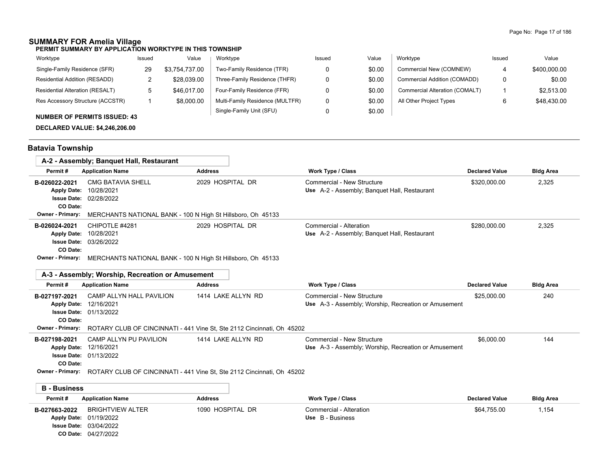### **SUMMARY FOR Amelia Village**

**PERMIT SUMMARY BY APPLICATION WORKTYPE IN THIS TOWNSHIP**

| Worktype                            | Issued | Value          | Worktype                        | Issued | Value  | Worktype                       | Issued | Value        |
|-------------------------------------|--------|----------------|---------------------------------|--------|--------|--------------------------------|--------|--------------|
| Single-Family Residence (SFR)       | 29     | \$3.754.737.00 | Two-Family Residence (TFR)      |        | \$0.00 | Commercial New (COMNEW)        |        | \$400.000.00 |
| Residential Addition (RESADD)       |        | \$28,039.00    | Three-Family Residence (THFR)   |        | \$0.00 | Commercial Addition (COMADD)   | 0      | \$0.00       |
| Residential Alteration (RESALT)     |        | \$46,017.00    | Four-Family Residence (FFR)     |        | \$0.00 | Commercial Alteration (COMALT) |        | \$2,513.00   |
| Res Accessory Structure (ACCSTR)    |        | \$8,000.00     | Multi-Family Residence (MULTFR) |        | \$0.00 | All Other Project Types        | 6      | \$48,430.00  |
| <b>NUMBER OF PERMITS ISSUED: 43</b> |        |                | Single-Family Unit (SFU)        |        | \$0.00 |                                |        |              |

**DECLARED VALUE: \$4,246,206.00**

# **Batavia Township**

| A-2 - Assembly; Banquet Hall, Restaurant |                  |                                                                           |                  |                                                                            |                       |                  |
|------------------------------------------|------------------|---------------------------------------------------------------------------|------------------|----------------------------------------------------------------------------|-----------------------|------------------|
|                                          | Permit#          | <b>Application Name</b>                                                   | <b>Address</b>   | <b>Work Type / Class</b>                                                   | <b>Declared Value</b> | <b>Bldg Area</b> |
|                                          | B-026022-2021    | <b>CMG BATAVIA SHELL</b><br>Apply Date: 10/28/2021                        | 2029 HOSPITAL DR | Commercial - New Structure<br>Use A-2 - Assembly; Banquet Hall, Restaurant | \$320,000.00          | 2,325            |
|                                          |                  | <b>Issue Date: 02/28/2022</b>                                             |                  |                                                                            |                       |                  |
|                                          | CO Date:         |                                                                           |                  |                                                                            |                       |                  |
|                                          | Owner - Primary: | MERCHANTS NATIONAL BANK - 100 N High St Hillsboro, Oh 45133               |                  |                                                                            |                       |                  |
|                                          | B-026024-2021    | CHIPOTLE #4281                                                            | 2029 HOSPITAL DR | Commercial - Alteration                                                    | \$280,000.00          | 2.325            |
|                                          |                  | Apply Date: 10/28/2021                                                    |                  | Use A-2 - Assembly: Banquet Hall, Restaurant                               |                       |                  |
|                                          |                  | <b>Issue Date: 03/26/2022</b>                                             |                  |                                                                            |                       |                  |
|                                          | CO Date:         |                                                                           |                  |                                                                            |                       |                  |
|                                          |                  | Owner - Primary: MEDCHANTS NATIONAL RANK 100 N High St Hillshoro Ob 15133 |                  |                                                                            |                       |                  |

|  | <b>Owner - Primary:</b> MERCHANTS NATIONAL BANK - 100 N High St Hillsboro, Oh 45133 |  |  |
|--|-------------------------------------------------------------------------------------|--|--|
|--|-------------------------------------------------------------------------------------|--|--|

|                         | A-3 - Assembly: Worship, Recreation or Amusement                       |                                                                        |                                                      |                       |                  |
|-------------------------|------------------------------------------------------------------------|------------------------------------------------------------------------|------------------------------------------------------|-----------------------|------------------|
| Permit#                 | <b>Application Name</b>                                                | <b>Address</b>                                                         | Work Type / Class                                    | <b>Declared Value</b> | <b>Bldg Area</b> |
| B-027197-2021           | CAMP ALLYN HALL PAVILION                                               | 1414 LAKE ALLYN RD                                                     | Commercial - New Structure                           | \$25,000.00           | 240              |
| <b>Apply Date:</b>      | 12/16/2021                                                             |                                                                        | Use A-3 - Assembly; Worship, Recreation or Amusement |                       |                  |
| <b>Issue Date:</b>      | 01/13/2022                                                             |                                                                        |                                                      |                       |                  |
| CO Date:                |                                                                        |                                                                        |                                                      |                       |                  |
| <b>Owner - Primary:</b> | ROTARY CLUB OF CINCINNATI - 441 Vine St, Ste 2112 Cincinnati, Oh 45202 |                                                                        |                                                      |                       |                  |
| B-027198-2021           | CAMP ALLYN PU PAVILION                                                 | 1414 LAKE ALLYN RD                                                     | Commercial - New Structure                           | \$6,000.00            | 144              |
| <b>Apply Date:</b>      | 12/16/2021                                                             |                                                                        | Use A-3 - Assembly; Worship, Recreation or Amusement |                       |                  |
|                         | <b>Issue Date: 01/13/2022</b>                                          |                                                                        |                                                      |                       |                  |
| CO Date:                |                                                                        |                                                                        |                                                      |                       |                  |
| <b>Owner - Primary:</b> |                                                                        | ROTARY CLUB OF CINCINNATI - 441 Vine St, Ste 2112 Cincinnati, Oh 45202 |                                                      |                       |                  |
|                         |                                                                        |                                                                        |                                                      |                       |                  |
| <b>B</b> - Business     |                                                                        |                                                                        |                                                      |                       |                  |
| Permit#                 | <b>Application Name</b>                                                | <b>Address</b>                                                         | Work Type / Class                                    | <b>Declared Value</b> | <b>Bldg Area</b> |
| B-027663-2022           | <b>BRIGHTVIEW ALTER</b>                                                | 1090 HOSPITAL DR                                                       | Commercial - Alteration                              | \$64,755.00           | 1.154            |
| <b>Apply Date:</b>      | 01/19/2022                                                             |                                                                        | Use B - Business                                     |                       |                  |
|                         | <b>Issue Date: 03/04/2022</b>                                          |                                                                        |                                                      |                       |                  |

04/27/2022 **CO Date:**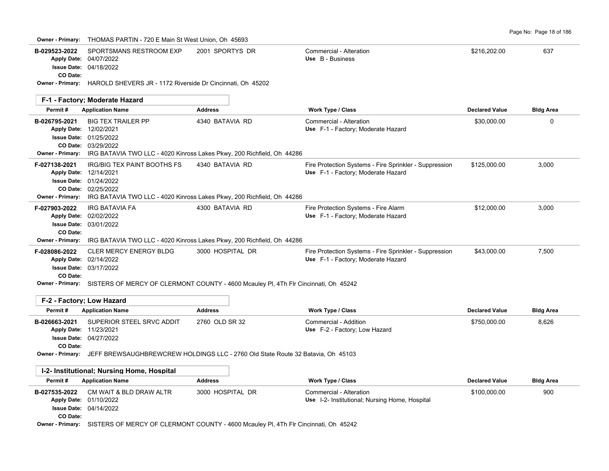| B-029523-2022<br>Apply Date: 04/07/2022<br>CO Date:                                                      | SPORTSMANS RESTROOM EXP<br><b>Issue Date: 04/18/2022</b>                                                                                                                              | 2001 SPORTYS DR  | Commercial - Alteration<br>Use B - Business                                                  | \$216,202.00          | 637              |
|----------------------------------------------------------------------------------------------------------|---------------------------------------------------------------------------------------------------------------------------------------------------------------------------------------|------------------|----------------------------------------------------------------------------------------------|-----------------------|------------------|
|                                                                                                          | Owner - Primary: HAROLD SHEVERS JR - 1172 Riverside Dr Cincinnati, Oh 45202                                                                                                           |                  |                                                                                              |                       |                  |
|                                                                                                          | F-1 - Factory; Moderate Hazard                                                                                                                                                        |                  |                                                                                              |                       |                  |
| Permit#                                                                                                  | <b>Application Name</b>                                                                                                                                                               | <b>Address</b>   | Work Type / Class                                                                            | <b>Declared Value</b> | <b>Bldg Area</b> |
| B-026795-2021<br>Apply Date: 12/02/2021                                                                  | <b>BIG TEX TRAILER PP</b><br><b>Issue Date: 01/25/2022</b><br>CO Date: 03/29/2022<br>Owner - Primary: IRG BATAVIA TWO LLC - 4020 Kinross Lakes Pkwy, 200 Richfield, Oh 44286          | 4340 BATAVIA RD  | Commercial - Alteration<br>Use F-1 - Factory; Moderate Hazard                                | \$30,000.00           | 0                |
| F-027138-2021<br>Apply Date: 12/14/2021                                                                  | <b>IRG/BIG TEX PAINT BOOTHS FS</b><br><b>Issue Date: 01/24/2022</b><br>CO Date: 02/25/2022<br>Owner - Primary: IRG BATAVIA TWO LLC - 4020 Kinross Lakes Pkwy, 200 Richfield, Oh 44286 | 4340 BATAVIA RD  | Fire Protection Systems - Fire Sprinkler - Suppression<br>Use F-1 - Factory; Moderate Hazard | \$125,000.00          | 3,000            |
| F-027903-2022<br>Apply Date: 02/02/2022<br>CO Date:<br>Owner - Primary:                                  | IRG BATAVIA FA<br><b>Issue Date: 03/01/2022</b><br>IRG BATAVIA TWO LLC - 4020 Kinross Lakes Pkwy, 200 Richfield, Oh 44286                                                             | 4300 BATAVIA RD  | Fire Protection Systems - Fire Alarm<br>Use F-1 - Factory; Moderate Hazard                   | \$12,000.00           | 3,000            |
| F-028086-2022<br>Apply Date: 02/14/2022<br>CO Date:                                                      | <b>CLER MERCY ENERGY BLDG</b><br><b>Issue Date: 03/17/2022</b><br>Owner - Primary: SISTERS OF MERCY OF CLERMONT COUNTY - 4600 Mcauley PI, 4Th FIr Cincinnati, Oh 45242                | 3000 HOSPITAL DR | Fire Protection Systems - Fire Sprinkler - Suppression<br>Use F-1 - Factory; Moderate Hazard | \$43,000.00           | 7,500            |
| F-2 - Factory; Low Hazard                                                                                |                                                                                                                                                                                       |                  |                                                                                              |                       |                  |
| Permit#                                                                                                  | <b>Application Name</b>                                                                                                                                                               | <b>Address</b>   | Work Type / Class                                                                            | <b>Declared Value</b> | <b>Bidg Area</b> |
| B-026663-2021<br>Apply Date: 11/23/2021<br>CO Date:                                                      | SUPERIOR STEEL SRVC ADDIT<br><b>Issue Date: 04/27/2022</b>                                                                                                                            | 2760 OLD SR 32   | Commercial - Addition<br>Use F-2 - Factory; Low Hazard                                       | \$750,000.00          | 8,626            |
|                                                                                                          | Owner - Primary: JEFF BREWSAUGHBREWCREW HOLDINGS LLC - 2760 Old State Route 32 Batavia, Oh 45103                                                                                      |                  |                                                                                              |                       |                  |
|                                                                                                          | I-2- Institutional; Nursing Home, Hospital                                                                                                                                            |                  |                                                                                              |                       |                  |
| Permit#                                                                                                  | <b>Application Name</b>                                                                                                                                                               | <b>Address</b>   | <b>Work Type / Class</b>                                                                     | <b>Declared Value</b> | <b>Bldg Area</b> |
| B-027535-2022<br>Apply Date: 01/10/2022<br><b>Issue Date: 04/14/2022</b><br>CO Date:<br>Owner - Primary: | CM WAIT & BLD DRAW ALTR<br>SISTERS OF MERCY OF CLERMONT COUNTY - 4600 Mcauley PI, 4Th FIr Cincinnati, Oh 45242                                                                        | 3000 HOSPITAL DR | Commercial - Alteration<br>Use I-2- Institutional; Nursing Home, Hospital                    | \$100,000.00          | 900              |

**Owner - Primary:** THOMAS PARTIN - 720 E Main St West Union, Oh 45693

Page No: Page 18 of 186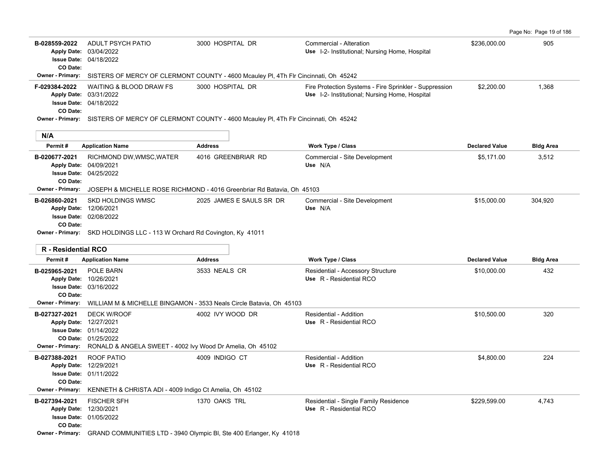Page No: Page 19 of 186

| B-028559-2022<br>CO Date:  | ADULT PSYCH PATIO<br>Apply Date: 03/04/2022<br><b>Issue Date: 04/18/2022</b>                                                                                                       | 3000 HOSPITAL DR                                                                                     | Commercial - Alteration<br>Use I-2- Institutional; Nursing Home, Hospital                                | \$236,000.00          | 905              |  |  |  |
|----------------------------|------------------------------------------------------------------------------------------------------------------------------------------------------------------------------------|------------------------------------------------------------------------------------------------------|----------------------------------------------------------------------------------------------------------|-----------------------|------------------|--|--|--|
| Owner - Primary:           | SISTERS OF MERCY OF CLERMONT COUNTY - 4600 Mcauley PI, 4Th FIr Cincinnati, Oh 45242                                                                                                |                                                                                                      |                                                                                                          |                       |                  |  |  |  |
| F-029384-2022<br>CO Date:  | <b>WAITING &amp; BLOOD DRAW FS</b><br>Apply Date: 03/31/2022<br><b>Issue Date: 04/18/2022</b>                                                                                      | 3000 HOSPITAL DR                                                                                     | Fire Protection Systems - Fire Sprinkler - Suppression<br>Use I-2- Institutional; Nursing Home, Hospital | \$2,200.00            | 1,368            |  |  |  |
|                            |                                                                                                                                                                                    | Owner - Primary: SISTERS OF MERCY OF CLERMONT COUNTY - 4600 Mcauley PI, 4Th FIr Cincinnati, Oh 45242 |                                                                                                          |                       |                  |  |  |  |
| N/A                        |                                                                                                                                                                                    |                                                                                                      |                                                                                                          |                       |                  |  |  |  |
| Permit#                    | <b>Application Name</b>                                                                                                                                                            | <b>Address</b>                                                                                       | Work Type / Class                                                                                        | <b>Declared Value</b> | <b>Bldg Area</b> |  |  |  |
| B-020677-2021<br>CO Date:  | RICHMOND DW, WMSC, WATER<br>Apply Date: 04/09/2021<br><b>Issue Date: 04/25/2022</b>                                                                                                | 4016 GREENBRIAR RD                                                                                   | Commercial - Site Development<br>Use N/A                                                                 | \$5,171.00            | 3,512            |  |  |  |
| Owner - Primary:           |                                                                                                                                                                                    | JOSEPH & MICHELLE ROSE RICHMOND - 4016 Greenbriar Rd Batavia, Oh 45103                               |                                                                                                          |                       |                  |  |  |  |
| B-026860-2021              | <b>SKD HOLDINGS WMSC</b>                                                                                                                                                           | 2025 JAMES E SAULS SR DR                                                                             | Commercial - Site Development                                                                            | \$15,000.00           | 304,920          |  |  |  |
|                            | Apply Date: 12/06/2021<br><b>Issue Date: 02/08/2022</b>                                                                                                                            |                                                                                                      | Use N/A                                                                                                  |                       |                  |  |  |  |
| CO Date:                   |                                                                                                                                                                                    |                                                                                                      |                                                                                                          |                       |                  |  |  |  |
|                            | Owner - Primary: SKD HOLDINGS LLC - 113 W Orchard Rd Covington, Ky 41011                                                                                                           |                                                                                                      |                                                                                                          |                       |                  |  |  |  |
|                            |                                                                                                                                                                                    |                                                                                                      |                                                                                                          |                       |                  |  |  |  |
| <b>R</b> - Residential RCO |                                                                                                                                                                                    |                                                                                                      |                                                                                                          |                       |                  |  |  |  |
| Permit#                    | <b>Application Name</b>                                                                                                                                                            | <b>Address</b>                                                                                       | <b>Work Type / Class</b>                                                                                 | <b>Declared Value</b> | <b>Bldg Area</b> |  |  |  |
| B-025965-2021<br>CO Date:  | POLE BARN<br>Apply Date: 10/26/2021<br>Issue Date: 03/16/2022                                                                                                                      | 3533 NEALS CR                                                                                        | Residential - Accessory Structure<br>Use R - Residential RCO                                             | \$10,000.00           | 432              |  |  |  |
|                            |                                                                                                                                                                                    | <b>Owner - Primary:</b> WILLIAM M & MICHELLE BINGAMON - 3533 Neals Circle Batavia, Oh 45103          |                                                                                                          |                       |                  |  |  |  |
| B-027327-2021              | <b>DECK W/ROOF</b><br>Apply Date: 12/27/2021<br><b>Issue Date: 01/14/2022</b><br>CO Date: 01/25/2022<br>Owner - Primary: RONALD & ANGELA SWEET - 4002 lvy Wood Dr Amelia, Oh 45102 | 4002 IVY WOOD DR                                                                                     | Residential - Addition<br>Use R - Residential RCO                                                        | \$10,500.00           | 320              |  |  |  |
| B-027388-2021              | ROOF PATIO                                                                                                                                                                         | 4009 INDIGO CT                                                                                       | Residential - Addition                                                                                   | \$4,800.00            | 224              |  |  |  |
|                            | Apply Date: 12/29/2021                                                                                                                                                             |                                                                                                      | Use R - Residential RCO                                                                                  |                       |                  |  |  |  |
|                            | <b>Issue Date: 01/11/2022</b>                                                                                                                                                      |                                                                                                      |                                                                                                          |                       |                  |  |  |  |
| CO Date:                   |                                                                                                                                                                                    |                                                                                                      |                                                                                                          |                       |                  |  |  |  |
| <b>Owner - Primary:</b>    | KENNETH & CHRISTA ADI - 4009 Indigo Ct Amelia, Oh 45102                                                                                                                            |                                                                                                      |                                                                                                          |                       |                  |  |  |  |
| B-027394-2021              | <b>FISCHER SFH</b>                                                                                                                                                                 | 1370 OAKS TRL                                                                                        | Residential - Single Family Residence                                                                    | \$229,599.00          | 4,743            |  |  |  |
|                            | Apply Date: 12/30/2021                                                                                                                                                             |                                                                                                      | Use R - Residential RCO                                                                                  |                       |                  |  |  |  |
| CO Date:                   | Issue Date: 01/05/2022                                                                                                                                                             |                                                                                                      |                                                                                                          |                       |                  |  |  |  |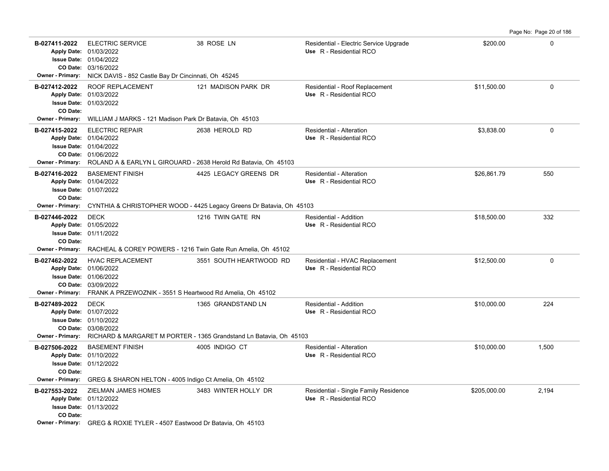| B-027411-2022<br>Owner - Primary:                    | <b>ELECTRIC SERVICE</b><br>Apply Date: 01/03/2022<br><b>Issue Date: 01/04/2022</b><br>CO Date: 03/16/2022<br>NICK DAVIS - 852 Castle Bay Dr Cincinnati, Oh 45245                               | 38 ROSE LN                                                                               | Residential - Electric Service Upgrade<br>Use R - Residential RCO | \$200.00     | $\mathbf 0$ |
|------------------------------------------------------|------------------------------------------------------------------------------------------------------------------------------------------------------------------------------------------------|------------------------------------------------------------------------------------------|-------------------------------------------------------------------|--------------|-------------|
| B-027412-2022<br>CO Date:                            | ROOF REPLACEMENT<br>Apply Date: 01/03/2022<br><b>Issue Date: 01/03/2022</b>                                                                                                                    | 121 MADISON PARK DR                                                                      | Residential - Roof Replacement<br>Use R - Residential RCO         | \$11,500.00  | $\mathbf 0$ |
|                                                      | Owner - Primary: WILLIAM J MARKS - 121 Madison Park Dr Batavia, Oh 45103                                                                                                                       |                                                                                          |                                                                   |              |             |
| B-027415-2022                                        | <b>ELECTRIC REPAIR</b><br>Apply Date: 01/04/2022<br>Issue Date: 01/04/2022<br>CO Date: 01/06/2022<br>Owner - Primary: ROLAND A & EARLYN L GIROUARD - 2638 Herold Rd Batavia, Oh 45103          | 2638 HEROLD RD                                                                           | Residential - Alteration<br>Use R - Residential RCO               | \$3,838.00   | $\Omega$    |
| B-027416-2022<br>CO Date:                            | <b>BASEMENT FINISH</b><br>Apply Date: 01/04/2022<br>Issue Date: 01/07/2022                                                                                                                     | 4425 LEGACY GREENS DR                                                                    | Residential - Alteration<br>Use R - Residential RCO               | \$26,861.79  | 550         |
| <b>Owner - Primary:</b>                              |                                                                                                                                                                                                | CYNTHIA & CHRISTOPHER WOOD - 4425 Legacy Greens Dr Batavia, Oh 45103                     |                                                                   |              |             |
| B-027446-2022<br>CO Date:                            | <b>DECK</b><br>Apply Date: 01/05/2022<br><b>Issue Date: 01/11/2022</b>                                                                                                                         | 1216 TWIN GATE RN                                                                        | Residential - Addition<br>Use R - Residential RCO                 | \$18,500.00  | 332         |
| <b>Owner - Primary:</b>                              | RACHEAL & COREY POWERS - 1216 Twin Gate Run Amelia, Oh 45102                                                                                                                                   |                                                                                          |                                                                   |              |             |
| B-027462-2022                                        | <b>HVAC REPLACEMENT</b><br>Apply Date: 01/06/2022<br><b>Issue Date: 01/06/2022</b><br>CO Date: 03/09/2022<br><b>Owner - Primary:</b> FRANK A PRZEWOZNIK - 3551 S Heartwood Rd Amelia, Oh 45102 | 3551 SOUTH HEARTWOOD RD                                                                  | Residential - HVAC Replacement<br>Use R - Residential RCO         | \$12,500.00  | 0           |
| B-027489-2022<br><b>Owner - Primary:</b>             | <b>DECK</b><br>Apply Date: 01/07/2022<br><b>Issue Date: 01/10/2022</b><br>CO Date: 03/08/2022                                                                                                  | 1365 GRANDSTAND LN<br>RICHARD & MARGARET M PORTER - 1365 Grandstand Ln Batavia, Oh 45103 | Residential - Addition<br>Use R - Residential RCO                 | \$10,000.00  | 224         |
| B-027506-2022<br>CO Date:<br><b>Owner - Primary:</b> | <b>BASEMENT FINISH</b><br>Apply Date: 01/10/2022<br>Issue Date: 01/12/2022<br>GREG & SHARON HELTON - 4005 Indigo Ct Amelia, Oh 45102                                                           | 4005 INDIGO CT                                                                           | Residential - Alteration<br>Use R - Residential RCO               | \$10,000.00  | 1,500       |
| B-027553-2022<br>CO Date:                            | ZIELMAN JAMES HOMES<br>Apply Date: 01/12/2022<br><b>Issue Date: 01/13/2022</b><br>Owner - Primary: GREG & ROXIE TYLER - 4507 Eastwood Dr Batavia, Oh 45103                                     | 3483 WINTER HOLLY DR                                                                     | Residential - Single Family Residence<br>Use R - Residential RCO  | \$205,000.00 | 2,194       |

Page No: Page 20 of 186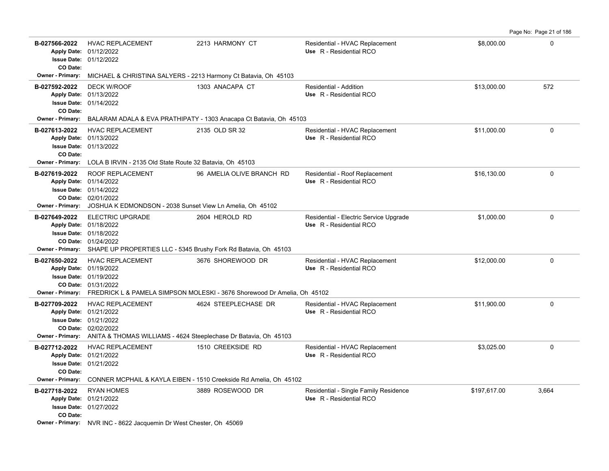Page No: Page 21 of 186

| B-027566-2022           | <b>HVAC REPLACEMENT</b><br>Apply Date: 01/12/2022                                      | 2213 HARMONY CT                                                                           | Residential - HVAC Replacement<br>Use R - Residential RCO | \$8,000.00   | $\Omega$ |
|-------------------------|----------------------------------------------------------------------------------------|-------------------------------------------------------------------------------------------|-----------------------------------------------------------|--------------|----------|
|                         | <b>Issue Date: 01/12/2022</b>                                                          |                                                                                           |                                                           |              |          |
| CO Date:                |                                                                                        |                                                                                           |                                                           |              |          |
| Owner - Primary:        | MICHAEL & CHRISTINA SALYERS - 2213 Harmony Ct Batavia, Oh 45103                        |                                                                                           |                                                           |              |          |
| B-027592-2022           | <b>DECK W/ROOF</b>                                                                     | 1303 ANACAPA CT                                                                           | Residential - Addition                                    | \$13,000.00  | 572      |
|                         | Apply Date: 01/13/2022                                                                 |                                                                                           | Use R - Residential RCO                                   |              |          |
|                         | <b>Issue Date: 01/14/2022</b>                                                          |                                                                                           |                                                           |              |          |
| CO Date:                |                                                                                        |                                                                                           |                                                           |              |          |
| Owner - Primary:        |                                                                                        | BALARAM ADALA & EVA PRATHIPATY - 1303 Anacapa Ct Batavia, Oh 45103                        |                                                           |              |          |
| B-027613-2022           | <b>HVAC REPLACEMENT</b>                                                                | 2135 OLD SR 32                                                                            | Residential - HVAC Replacement                            | \$11,000.00  | 0        |
|                         | Apply Date: 01/13/2022                                                                 |                                                                                           | Use R - Residential RCO                                   |              |          |
| CO Date:                | <b>Issue Date: 01/13/2022</b>                                                          |                                                                                           |                                                           |              |          |
| Owner - Primary:        | LOLA B IRVIN - 2135 Old State Route 32 Batavia, Oh 45103                               |                                                                                           |                                                           |              |          |
| B-027619-2022           | ROOF REPLACEMENT                                                                       | 96 AMELIA OLIVE BRANCH RD                                                                 | Residential - Roof Replacement                            | \$16,130.00  | 0        |
|                         | Apply Date: 01/14/2022                                                                 |                                                                                           | Use R - Residential RCO                                   |              |          |
|                         | <b>Issue Date: 01/14/2022</b>                                                          |                                                                                           |                                                           |              |          |
|                         | CO Date: 02/01/2022                                                                    |                                                                                           |                                                           |              |          |
| Owner - Primary:        | JOSHUA K EDMONDSON - 2038 Sunset View Ln Amelia, Oh 45102                              |                                                                                           |                                                           |              |          |
| B-027649-2022           | <b>ELECTRIC UPGRADE</b>                                                                | 2604 HEROLD RD                                                                            | Residential - Electric Service Upgrade                    | \$1,000.00   | $\Omega$ |
|                         | Apply Date: 01/18/2022                                                                 |                                                                                           | Use R - Residential RCO                                   |              |          |
|                         | <b>Issue Date: 01/18/2022</b>                                                          |                                                                                           |                                                           |              |          |
| Owner - Primary:        | CO Date: 01/24/2022<br>SHAPE UP PROPERTIES LLC - 5345 Brushy Fork Rd Batavia, Oh 45103 |                                                                                           |                                                           |              |          |
|                         | <b>HVAC REPLACEMENT</b>                                                                | 3676 SHOREWOOD DR                                                                         |                                                           | \$12,000.00  | $\Omega$ |
| B-027650-2022           | Apply Date: 01/19/2022                                                                 |                                                                                           | Residential - HVAC Replacement<br>Use R - Residential RCO |              |          |
|                         | <b>Issue Date: 01/19/2022</b>                                                          |                                                                                           |                                                           |              |          |
|                         | CO Date: 01/31/2022                                                                    |                                                                                           |                                                           |              |          |
|                         |                                                                                        | Owner - Primary: FREDRICK L & PAMELA SIMPSON MOLESKI - 3676 Shorewood Dr Amelia, Oh 45102 |                                                           |              |          |
| B-027709-2022           | <b>HVAC REPLACEMENT</b>                                                                | 4624 STEEPLECHASE DR                                                                      | Residential - HVAC Replacement                            | \$11,900.00  | $\Omega$ |
|                         | Apply Date: 01/21/2022                                                                 |                                                                                           | Use R - Residential RCO                                   |              |          |
|                         | <b>Issue Date: 01/21/2022</b>                                                          |                                                                                           |                                                           |              |          |
|                         | CO Date: 02/02/2022                                                                    |                                                                                           |                                                           |              |          |
|                         | Owner - Primary: ANITA & THOMAS WILLIAMS - 4624 Steeplechase Dr Batavia, Oh 45103      |                                                                                           |                                                           |              |          |
| B-027712-2022           | HVAC REPLACEMENT                                                                       | 1510 CREEKSIDE RD                                                                         | Residential - HVAC Replacement                            | \$3,025.00   | 0        |
|                         | Apply Date: 01/21/2022                                                                 |                                                                                           | Use R - Residential RCO                                   |              |          |
| CO Date:                | Issue Date: 01/21/2022                                                                 |                                                                                           |                                                           |              |          |
| <b>Owner - Primary:</b> |                                                                                        | CONNER MCPHAIL & KAYLA EIBEN - 1510 Creekside Rd Amelia, Oh 45102                         |                                                           |              |          |
| B-027718-2022           | <b>RYAN HOMES</b>                                                                      | 3889 ROSEWOOD DR                                                                          | Residential - Single Family Residence                     | \$197,617.00 | 3,664    |
|                         | Apply Date: 01/21/2022                                                                 |                                                                                           | Use R - Residential RCO                                   |              |          |
|                         | <b>Issue Date: 01/27/2022</b>                                                          |                                                                                           |                                                           |              |          |
| CO Date:                |                                                                                        |                                                                                           |                                                           |              |          |
|                         | Owner - Primary: NVR INC - 8622 Jacquemin Dr West Chester, Oh 45069                    |                                                                                           |                                                           |              |          |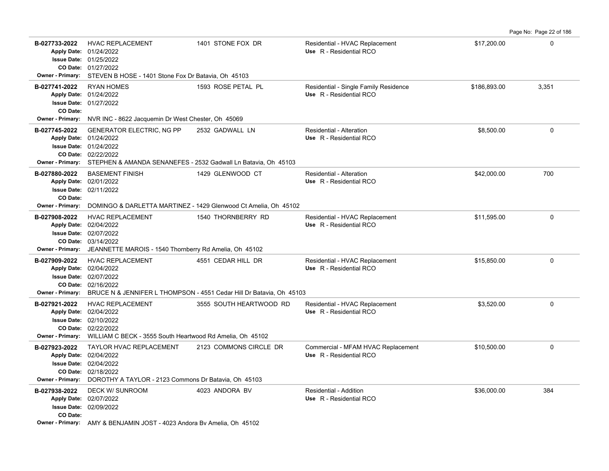| Page No: Page 22 of 186 |  |  |
|-------------------------|--|--|
|                         |  |  |

| B-027733-2022<br><b>Owner - Primary:</b>             | <b>HVAC REPLACEMENT</b><br>Apply Date: 01/24/2022<br><b>Issue Date: 01/25/2022</b><br>CO Date: 01/27/2022<br>STEVEN B HOSE - 1401 Stone Fox Dr Batavia, Oh 45103                                      | 1401 STONE FOX DR                                                                          | Residential - HVAC Replacement<br>Use R - Residential RCO        | \$17,200.00  | 0            |
|------------------------------------------------------|-------------------------------------------------------------------------------------------------------------------------------------------------------------------------------------------------------|--------------------------------------------------------------------------------------------|------------------------------------------------------------------|--------------|--------------|
| B-027741-2022<br>CO Date:                            | <b>RYAN HOMES</b><br>Apply Date: 01/24/2022<br><b>Issue Date: 01/27/2022</b>                                                                                                                          | 1593 ROSE PETAL PL                                                                         | Residential - Single Family Residence<br>Use R - Residential RCO | \$186,893.00 | 3,351        |
| <b>Owner - Primary:</b>                              | NVR INC - 8622 Jacquemin Dr West Chester, Oh 45069                                                                                                                                                    |                                                                                            |                                                                  |              |              |
| B-027745-2022                                        | <b>GENERATOR ELECTRIC, NG PP</b><br>Apply Date: 01/24/2022<br><b>Issue Date: 01/24/2022</b><br>CO Date: 02/22/2022<br>Owner - Primary: STEPHEN & AMANDA SENANEFES - 2532 Gadwall Ln Batavia, Oh 45103 | 2532 GADWALL LN                                                                            | Residential - Alteration<br>Use R - Residential RCO              | \$8.500.00   | 0            |
| B-027880-2022<br>CO Date:<br><b>Owner - Primary:</b> | <b>BASEMENT FINISH</b><br>Apply Date: 02/01/2022<br><b>Issue Date: 02/11/2022</b>                                                                                                                     | 1429 GLENWOOD CT<br>DOMINGO & DARLETTA MARTINEZ - 1429 Glenwood Ct Amelia, Oh 45102        | Residential - Alteration<br>Use R - Residential RCO              | \$42,000.00  | 700          |
| B-027908-2022<br><b>Owner - Primary:</b>             | <b>HVAC REPLACEMENT</b><br>Apply Date: 02/04/2022<br><b>Issue Date: 02/07/2022</b><br>CO Date: 03/14/2022<br>JEANNETTE MAROIS - 1540 Thornberry Rd Amelia, Oh 45102                                   | 1540 THORNBERRY RD                                                                         | Residential - HVAC Replacement<br>Use R - Residential RCO        | \$11.595.00  | $\mathbf{0}$ |
| B-027909-2022<br><b>Owner - Primary:</b>             | <b>HVAC REPLACEMENT</b><br>Apply Date: 02/04/2022<br><b>Issue Date: 02/07/2022</b><br>CO Date: 02/16/2022                                                                                             | 4551 CEDAR HILL DR<br>BRUCE N & JENNIFER L THOMPSON - 4551 Cedar Hill Dr Batavia, Oh 45103 | Residential - HVAC Replacement<br>Use R - Residential RCO        | \$15.850.00  | $\mathbf 0$  |
| B-027921-2022                                        | <b>HVAC REPLACEMENT</b><br>Apply Date: 02/04/2022<br><b>Issue Date: 02/10/2022</b><br>CO Date: 02/22/2022<br>Owner - Primary: WILLIAM C BECK - 3555 South Heartwood Rd Amelia, Oh 45102               | 3555 SOUTH HEARTWOOD RD                                                                    | Residential - HVAC Replacement<br>Use R - Residential RCO        | \$3,520.00   | $\mathbf 0$  |
| B-027923-2022<br><b>Owner - Primary:</b>             | TAYLOR HVAC REPLACEMENT<br>Apply Date: 02/04/2022<br><b>Issue Date: 02/04/2022</b><br>CO Date: 02/18/2022<br>DOROTHY A TAYLOR - 2123 Commons Dr Batavia, Oh 45103                                     | 2123 COMMONS CIRCLE DR                                                                     | Commercial - MFAM HVAC Replacement<br>Use R - Residential RCO    | \$10,500.00  | 0            |
| B-027938-2022<br>CO Date:                            | <b>DECK W/ SUNROOM</b><br>Apply Date: 02/07/2022<br><b>Issue Date: 02/09/2022</b><br>Owner - Primary: AMY & BENJAMIN JOST - 4023 Andora Bv Amelia, Oh 45102                                           | 4023 ANDORA BV                                                                             | Residential - Addition<br>Use R - Residential RCO                | \$36,000.00  | 384          |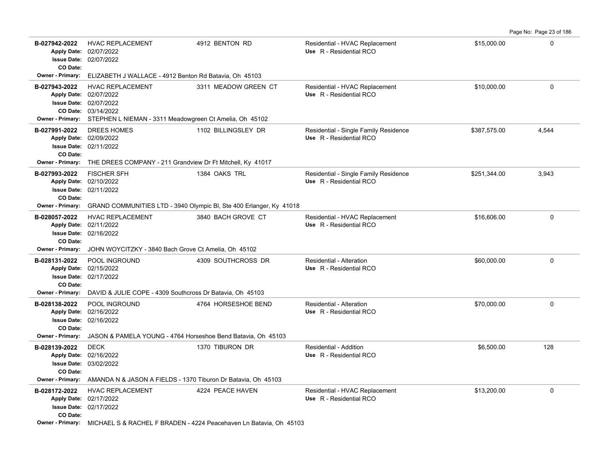**B-027942-2022** \$15,000.00 0 HVAC REPLACEMENT 4912 BENTON RD Residential - HVAC Replacement 02/07/2022 **Issue Date:** Apply Date: 02/07/2022 **Apply Date: Use** R - Residential RCO **CO Date: Owner - Primary:** ELIZABETH J WALLACE - 4912 Benton Rd Batavia, Oh 45103 B-027943-2022 HVAC REPLACEMENT 3311 MEADOW GREEN CT Residential - HVAC Replacement \$10,000.00 \$10,000.00 0 03/14/2022 **CO Date:** 02/07/2022 **Issue Date:** 02/07/2022 **Apply Date: Use** R - Residential RCO **Owner - Primary:** STEPHEN L NIEMAN - 3311 Meadowgreen Ct Amelia, Oh 45102 B-027991-2022 DREES HOMES 1102 BILLINGSLEY DR Residential - Single Family Residence \$387,575.00 4,544 02/11/2022 **Issue Date:** 02/09/2022 **Apply Date: Use** R - Residential RCO **CO Date: Owner - Primary:** THE DREES COMPANY - 211 Grandview Dr Ft Mitchell, Ky 41017 B-027993-2022 FISCHER SFH 1384 OAKS TRL Residential - Single Family Residence \$251,344.00 3,943 02/11/2022 **Issue Date:** Apply Date: 02/10/2022 **Apply Date: Use** R - Residential RCO **CO Date: Owner - Primary:** GRAND COMMUNITIES LTD - 3940 Olympic Bl, Ste 400 Erlanger, Ky 41018 B-028057-2022 HVAC REPLACEMENT 3840 BACH GROVE CT Residential - HVAC Replacement \$16,606.00 \$16,606.00 0 02/16/2022 **Issue Date:** Apply Date: 02/11/2022 **Apply Date: Use** R - Residential RCO **CO Date: Owner - Primary:** JOHN WOYCITZKY - 3840 Bach Grove Ct Amelia, Oh 45102 **B-028131-2022** POOL INGROUND 4309 SOUTHCROSS DR Residential - Alteration \$60,000.00 \$60,000.00 0 02/17/2022 **Issue Date:** Apply Date: 02/15/2022 **Apply Date: Use** R - Residential RCO **CO Date: Owner - Primary:** DAVID & JULIE COPE - 4309 Southcross Dr Batavia, Oh 45103 **B-028138-2022** POOL INGROUND 4764 HORSESHOE BEND Residential - Alteration \$70,000.00 \$70,000.00 0 02/16/2022 **Issue Date:** Apply Date: 02/16/2022 **Apply Date: Use** R - Residential RCO **CO Date: Owner - Primary:** JASON & PAMELA YOUNG - 4764 Horseshoe Bend Batavia, Oh 45103 **B-028139-2022** DECK 1370 TIBURON DR Residential - Addition \$6,500.00 128 03/02/2022 **Issue Date:** Apply Date: 02/16/2022 DECK 1370 TIBURON DR Residential - Addition **Apply Date: Use** R - Residential RCO **CO Date: Owner - Primary:** AMANDA N & JASON A FIELDS - 1370 Tiburon Dr Batavia, Oh 45103 **B-028172-2022** HVAC REPLACEMENT 4224 PEACE HAVEN Residential - HVAC Replacement \$13,200.00 \$13,200.00 0 02/17/2022 **Issue Date:** 02/17/2022 **Apply Date: Use** R - Residential RCO **CO Date:**

Page No: Page 23 of 186

**Owner - Primary:** MICHAEL S & RACHEL F BRADEN - 4224 Peacehaven Ln Batavia, Oh 45103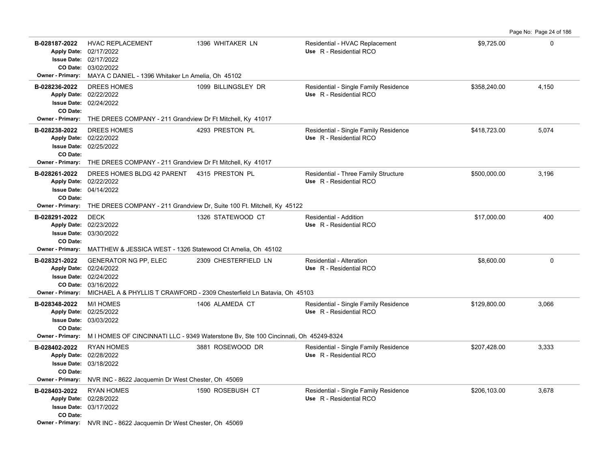**B-028187-2022** HVAC REPLACEMENT 1396 WHITAKER LN Residential - HVAC Replacement \$9,725.00 \$9,725.00 03/02/2022 **CO Date:** 02/17/2022 **Issue Date:** Apply Date: 02/17/2022 **Apply Date: Use** R - Residential RCO **Owner - Primary:** MAYA C DANIEL - 1396 Whitaker Ln Amelia, Oh 45102 B-028236-2022 DREES HOMES 1099 BILLINGSLEY DR Residential - Single Family Residence \$358,240.00 4,150 02/24/2022 **Issue Date:** 02/22/2022 **Apply Date: Use** R - Residential RCO **CO Date: Owner - Primary:** THE DREES COMPANY - 211 Grandview Dr Ft Mitchell, Ky 41017 B-028238-2022 DREES HOMES 4293 PRESTON PL Residential - Single Family Residence \$418,723.00 5,074 02/25/2022 **Issue Date:** 02/22/2022 **Apply Date: Use** R - Residential RCO **CO Date: Owner - Primary:** THE DREES COMPANY - 211 Grandview Dr Ft Mitchell, Ky 41017 B-028261-2022 DREES HOMES BLDG 42 PARENT 4315 PRESTON PL Residential - Three Family Structure  $$500,000.00$  3,196 04/14/2022 **Issue Date:** Apply Date: 02/22/2022 **Apply Date: Use** R - Residential RCO **CO Date: Owner - Primary:** THE DREES COMPANY - 211 Grandview Dr, Suite 100 Ft. Mitchell, Ky 45122 **B-028291-2022** \$17,000.00 400 DECK 1326 STATEWOOD CT Residential - Addition 03/30/2022 **Issue Date:** Apply Date: 02/23/2022 **Apply Date: Use** R - Residential RCO **CO Date: Owner - Primary:** MATTHEW & JESSICA WEST - 1326 Statewood Ct Amelia, Oh 45102 **B-028321-2022** \$8,600.00 0 GENERATOR NG PP, ELEC 2309 CHESTERFIELD LN Residential - Alteration 03/16/2022 **CO Date:** 02/24/2022 **Issue Date:** Apply Date: 02/24/2022 **Apply Date: Use** R - Residential RCO **Owner - Primary:** MICHAEL A & PHYLLIS T CRAWFORD - 2309 Chesterfield Ln Batavia, Oh 45103 B-028348-2022 M/I HOMES **1406 ALAMEDA CT** Residential - Single Family Residence \$129,800.00 3,066 03/03/2022 **Issue Date:** Apply Date: 02/25/2022 **Apply Date: Use** R - Residential RCO **CO Date: Owner - Primary:** M I HOMES OF CINCINNATI LLC - 9349 Waterstone Bv, Ste 100 Cincinnati, Oh 45249-8324 B-028402-2022 RYAN HOMES 3,333 3333 ROSEWOOD DR Residential - Single Family Residence \$207,428.00 3,333 03/18/2022 **Issue Date:** Apply Date: 02/28/2022 **Apply Date: Use** R - Residential RCO **CO Date: Owner - Primary:** NVR INC - 8622 Jacquemin Dr West Chester, Oh 45069 B-028403-2022 RYAN HOMES 1590 ROSEBUSH CT Residential - Single Family Residence \$206,103.00 3,678 03/17/2022 **Issue Date:** 02/28/2022 **Apply Date: Use** R - Residential RCO **CO Date: Owner - Primary:** NVR INC - 8622 Jacquemin Dr West Chester, Oh 45069

Page No: Page 24 of 186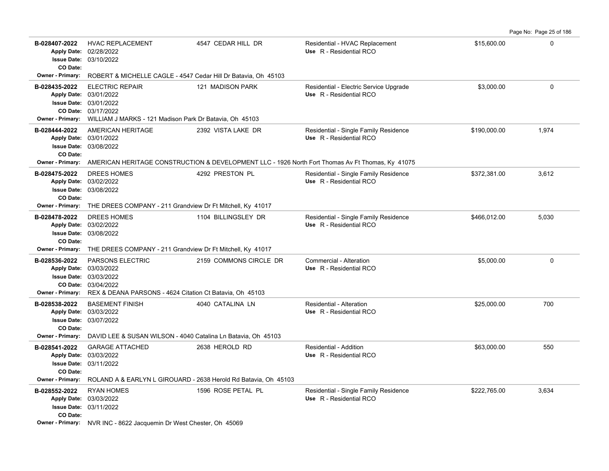**B-028407-2022** \$15,600.00 0 HVAC REPLACEMENT 4547 CEDAR HILL DR Residential - HVAC Replacement 03/10/2022 **Issue Date:** Apply Date: 02/28/2022 **Apply Date: Use** R - Residential RCO **CO Date: Owner - Primary:** ROBERT & MICHELLE CAGLE - 4547 Cedar Hill Dr Batavia, Oh 45103 **B-028435-2022** ELECTRIC REPAIR 121 MADISON PARK Residential - Electric Service Upgrade \$3,000.00 \$3,000.00 0 03/17/2022 **CO Date:** 03/01/2022 **Issue Date:** 03/01/2022 **Apply Date: Use** R - Residential RCO **Owner - Primary:** WILLIAM J MARKS - 121 Madison Park Dr Batavia, Oh 45103 B-028444-2022 AMERICAN HERITAGE 2392 VISTA LAKE DR Residential - Single Family Residence \$190,000.00 1,974 03/08/2022 **Issue Date:** 03/01/2022 **Apply Date: Use** R - Residential RCO **CO Date: Owner - Primary:** AMERICAN HERITAGE CONSTRUCTION & DEVELOPMENT LLC - 1926 North Fort Thomas Av Ft Thomas, Ky 41075 B-028475-2022 DREES HOMES 4292 PRESTON PL Residential - Single Family Residence \$372,381.00 3,612 03/08/2022 **Issue Date:** 03/02/2022 **Apply Date: Use** R - Residential RCO **CO Date: Owner - Primary:** THE DREES COMPANY - 211 Grandview Dr Ft Mitchell, Ky 41017 B-028478-2022 DREES HOMES 1104 BILLINGSLEY DR Residential - Single Family Residence \$466,012.00 5,030 03/08/2022 **Issue Date:** Apply Date: 03/02/2022 **Apply Date: Use** R - Residential RCO **CO Date: Owner - Primary:** THE DREES COMPANY - 211 Grandview Dr Ft Mitchell, Ky 41017 **B-028536-2022** PARSONS ELECTRIC 2159 COMMONS CIRCLE DR Commercial - Alteration 35,000.00 \$5,000.00 0 03/04/2022 **CO Date:** 03/03/2022 **Issue Date:** 03/03/2022 **Apply Date: Use** R - Residential RCO **Owner - Primary:** REX & DEANA PARSONS - 4624 Citation Ct Batavia, Oh 45103 **B-028538-2022** \$25,000.00 700 03/07/2022 **Issue Date:** Apply Date: 03/03/2022 BASEMENT FINISH 4040 CATALINA LN Residential - Alteration **Apply Date: Use** R - Residential RCO **CO Date: Owner - Primary:** DAVID LEE & SUSAN WILSON - 4040 Catalina Ln Batavia, Oh 45103 **B-028541-2022** \$63,000.00 550 03/11/2022 **Issue Date:** Apply Date: 03/03/2022 GARAGE ATTACHED 2638 HEROLD RD Residential - Addition **Apply Date: Use** R - Residential RCO **CO Date: Owner - Primary:** ROLAND A & EARLYN L GIROUARD - 2638 Herold Rd Batavia, Oh 45103 B-028552-2022 RYAN HOMES 1596 ROSE PETAL PL Residential - Single Family Residence \$222,765.00 3,634 03/11/2022 **Issue Date:** 03/03/2022 **Apply Date: Use** R - Residential RCO **CO Date:**

Page No: Page 25 of 186

**Owner - Primary:** NVR INC - 8622 Jacquemin Dr West Chester, Oh 45069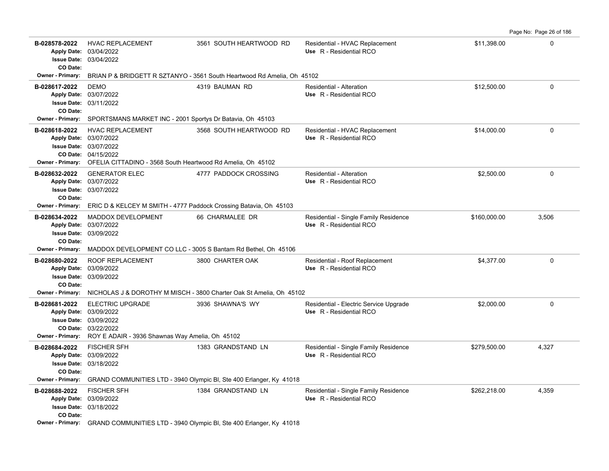B-028578-2022 HVAC REPLACEMENT 3561 SOUTH HEARTWOOD RD Residential - HVAC Replacement \$11,398.00 \$11,398.00 03/04/2022 Apply Date: 03/04/2022 **Apply Date: Use** R - Residential RCO **Issue Date: CO Date: Owner - Primary:** BRIAN P & BRIDGETT R SZTANYO - 3561 South Heartwood Rd Amelia, Oh 45102 **B-028617-2022** \$12,500.00 0 DEMO 4319 BAUMAN RD Residential - Alteration 03/11/2022 **Issue Date:** 03/07/2022 **Apply Date: Use** R - Residential RCO **CO Date: Owner - Primary:** SPORTSMANS MARKET INC - 2001 Sportys Dr Batavia, Oh 45103 B-028618-2022 HVAC REPLACEMENT 3568 SOUTH HEARTWOOD RD Residential - HVAC Replacement \$14,000.00 \$14,000.00 04/15/2022 **CO Date:** 03/07/2022 **Issue Date:** 03/07/2022 **Apply Date: Use** R - Residential RCO **Owner - Primary:** OFELIA CITTADINO - 3568 South Heartwood Rd Amelia, Oh 45102 **B-028632-2022** \$2,500.00 0 GENERATOR ELEC 4777 PADDOCK CROSSING Residential - Alteration 03/07/2022 **Issue Date:** Apply Date: 03/07/2022 **Apply Date: Use** R - Residential RCO **CO Date: Owner - Primary:** ERIC D & KELCEY M SMITH - 4777 Paddock Crossing Batavia, Oh 45103 B-028634-2022 MADDOX DEVELOPMENT 66 CHARMALEE DR Residential - Single Family Residence \$160,000.00 3,506 03/09/2022 **Issue Date:** 03/07/2022 **Apply Date: Use** R - Residential RCO **CO Date: Owner - Primary:** MADDOX DEVELOPMENT CO LLC - 3005 S Bantam Rd Bethel, Oh 45106 B-028680-2022 ROOF REPLACEMENT 3800 CHARTER OAK Residential - Roof Replacement \$4,377.00 \$4,377.00 03/09/2022 **Issue Date:** 03/09/2022 **Apply Date: Use** R - Residential RCO **CO Date: Owner - Primary:** NICHOLAS J & DOROTHY M MISCH - 3800 Charter Oak St Amelia, Oh 45102 B-028681-2022 ELECTRIC UPGRADE 3936 SHAWNA'S WY Residential - Electric Service Upgrade \$2,000.00 \$2,000.00 03/22/2022 **CO Date:** 03/09/2022 **Issue Date:** Apply Date: 03/09/2022 **Apply Date: Use** R - Residential RCO **Owner - Primary:** ROY E ADAIR - 3936 Shawnas Way Amelia, Oh 45102 B-028684-2022 FISCHER SFH 1383 GRANDSTAND LN Residential - Single Family Residence \$279,500.00 4,327 03/18/2022 **Issue Date:** 03/09/2022 **Apply Date: Use** R - Residential RCO **CO Date: Owner - Primary:** GRAND COMMUNITIES LTD - 3940 Olympic Bl, Ste 400 Erlanger, Ky 41018 **B-028688-2022** \$262,218.00 4,359 FISCHER SFH 1384 GRANDSTAND LN Residential - Single Family Residence 03/18/2022 **Issue Date:** 03/09/2022 **Apply Date: Use** R - Residential RCO **CO Date: Owner - Primary:** GRAND COMMUNITIES LTD - 3940 Olympic Bl, Ste 400 Erlanger, Ky 41018

Page No: Page 26 of 186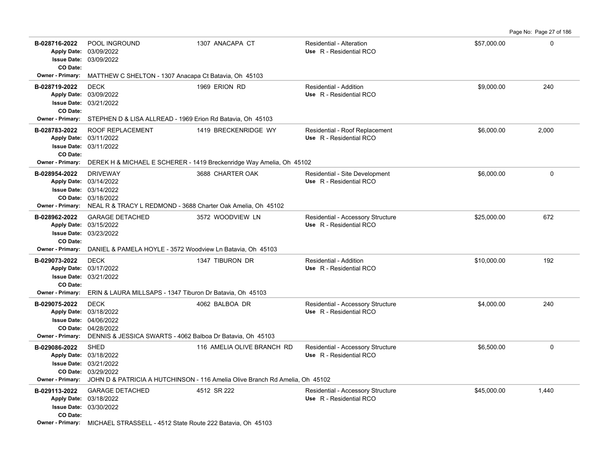Page No: Page 27 of 186

| B-028716-2022<br>CO Date:                            | POOL INGROUND<br>Apply Date: 03/09/2022<br><b>Issue Date: 03/09/2022</b>                                                                                         | 1307 ANACAPA CT                                                                                            | <b>Residential - Alteration</b><br>Use R - Residential RCO   | \$57,000.00 | 0     |  |  |  |
|------------------------------------------------------|------------------------------------------------------------------------------------------------------------------------------------------------------------------|------------------------------------------------------------------------------------------------------------|--------------------------------------------------------------|-------------|-------|--|--|--|
| Owner - Primary:                                     | MATTHEW C SHELTON - 1307 Anacapa Ct Batavia, Oh 45103                                                                                                            |                                                                                                            |                                                              |             |       |  |  |  |
| B-028719-2022<br>CO Date:                            | <b>DECK</b><br>Apply Date: 03/09/2022<br><b>Issue Date: 03/21/2022</b>                                                                                           | 1969 ERION RD                                                                                              | <b>Residential - Addition</b><br>Use R - Residential RCO     | \$9,000.00  | 240   |  |  |  |
|                                                      | Owner - Primary: STEPHEN D & LISA ALLREAD - 1969 Erion Rd Batavia, Oh 45103                                                                                      |                                                                                                            |                                                              |             |       |  |  |  |
| B-028783-2022<br>CO Date:                            | <b>ROOF REPLACEMENT</b><br>Apply Date: 03/11/2022<br><b>Issue Date: 03/11/2022</b>                                                                               | 1419 BRECKENRIDGE WY                                                                                       | Residential - Roof Replacement<br>Use R - Residential RCO    | \$6,000.00  | 2,000 |  |  |  |
| Owner - Primary:                                     |                                                                                                                                                                  | DEREK H & MICHAEL E SCHERER - 1419 Breckenridge Way Amelia, Oh 45102                                       |                                                              |             |       |  |  |  |
| B-028954-2022<br>Owner - Primary:                    | <b>DRIVEWAY</b><br>Apply Date: 03/14/2022<br>Issue Date: 03/14/2022<br>CO Date: 03/18/2022<br>NEAL R & TRACY L REDMOND - 3688 Charter Oak Amelia, Oh 45102       | 3688 CHARTER OAK                                                                                           | Residential - Site Development<br>Use R - Residential RCO    | \$6,000.00  | 0     |  |  |  |
| B-028962-2022<br>CO Date:<br><b>Owner - Primary:</b> | <b>GARAGE DETACHED</b><br>Apply Date: 03/15/2022<br><b>Issue Date: 03/23/2022</b><br>DANIEL & PAMELA HOYLE - 3572 Woodview Ln Batavia, Oh 45103                  | 3572 WOODVIEW LN                                                                                           | Residential - Accessory Structure<br>Use R - Residential RCO | \$25,000.00 | 672   |  |  |  |
| B-029073-2022<br>CO Date:<br><b>Owner - Primary:</b> | <b>DECK</b><br>Apply Date: 03/17/2022<br><b>Issue Date: 03/21/2022</b><br>ERIN & LAURA MILLSAPS - 1347 Tiburon Dr Batavia, Oh 45103                              | 1347 TIBURON DR                                                                                            | <b>Residential - Addition</b><br>Use R - Residential RCO     | \$10,000.00 | 192   |  |  |  |
|                                                      | <b>DECK</b>                                                                                                                                                      |                                                                                                            |                                                              |             |       |  |  |  |
| B-029075-2022<br><b>Owner - Primary:</b>             | Apply Date: 03/18/2022<br><b>Issue Date: 04/06/2022</b><br>CO Date: 04/28/2022<br>DENNIS & JESSICA SWARTS - 4062 Balboa Dr Batavia, Oh 45103                     | 4062 BALBOA DR                                                                                             | Residential - Accessory Structure<br>Use R - Residential RCO | \$4,000.00  | 240   |  |  |  |
| B-029086-2022<br>Owner - Primary:                    | SHED<br>Apply Date: 03/18/2022<br><b>Issue Date: 03/21/2022</b><br>CO Date: 03/29/2022                                                                           | 116 AMELIA OLIVE BRANCH RD<br>JOHN D & PATRICIA A HUTCHINSON - 116 Amelia Olive Branch Rd Amelia, Oh 45102 | Residential - Accessory Structure<br>Use R - Residential RCO | \$6,500.00  | 0     |  |  |  |
| B-029113-2022<br>CO Date:                            | <b>GARAGE DETACHED</b><br>Apply Date: 03/18/2022<br><b>Issue Date: 03/30/2022</b><br>Owner - Primary: MICHAEL STRASSELL - 4512 State Route 222 Batavia, Oh 45103 | 4512 SR 222                                                                                                | Residential - Accessory Structure<br>Use R - Residential RCO | \$45,000.00 | 1,440 |  |  |  |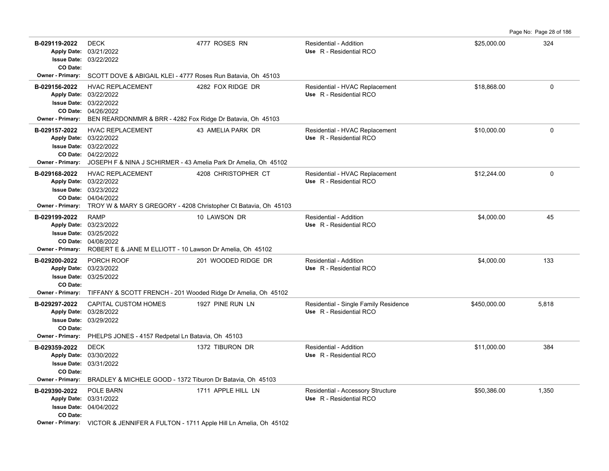Page No: Page 28 of 186

| B-029119-2022<br>CO Date:                       | <b>DECK</b><br>Apply Date: 03/21/2022<br>Issue Date: 03/22/2022                                                                                                       | 4777 ROSES RN       | <b>Residential - Addition</b><br>Use R - Residential RCO         | \$25,000.00  | 324          |  |  |
|-------------------------------------------------|-----------------------------------------------------------------------------------------------------------------------------------------------------------------------|---------------------|------------------------------------------------------------------|--------------|--------------|--|--|
| Owner - Primary:                                | SCOTT DOVE & ABIGAIL KLEI - 4777 Roses Run Batavia, Oh 45103                                                                                                          |                     |                                                                  |              |              |  |  |
| B-029156-2022<br><b>Owner - Primary:</b>        | <b>HVAC REPLACEMENT</b><br>Apply Date: 03/22/2022<br>Issue Date: 03/22/2022<br>CO Date: 04/26/2022<br>BEN REARDONMMR & BRR - 4282 Fox Ridge Dr Batavia, Oh 45103      | 4282 FOX RIDGE DR   | Residential - HVAC Replacement<br>Use R - Residential RCO        | \$18,868.00  | $\mathbf{0}$ |  |  |
| B-029157-2022<br><b>Owner - Primary:</b>        | <b>HVAC REPLACEMENT</b><br>Apply Date: 03/22/2022<br>Issue Date: 03/22/2022<br>CO Date: 04/22/2022<br>JOSEPH F & NINA J SCHIRMER - 43 Amelia Park Dr Amelia, Oh 45102 | 43 AMELIA PARK DR   | Residential - HVAC Replacement<br>Use R - Residential RCO        | \$10,000.00  | 0            |  |  |
| B-029168-2022<br>Owner - Primary:               | HVAC REPLACEMENT<br>Apply Date: 03/22/2022<br>Issue Date: 03/23/2022<br>CO Date: 04/04/2022<br>TROY W & MARY S GREGORY - 4208 Christopher Ct Batavia, Oh 45103        | 4208 CHRISTOPHER CT | Residential - HVAC Replacement<br>Use R - Residential RCO        | \$12,244.00  | $\mathbf 0$  |  |  |
| B-029199-2022<br><b>Owner - Primary:</b>        | <b>RAMP</b><br>Apply Date: 03/23/2022<br>Issue Date: 03/25/2022<br>CO Date: 04/08/2022<br>ROBERT E & JANE M ELLIOTT - 10 Lawson Dr Amelia, Oh 45102                   | 10 LAWSON DR        | <b>Residential - Addition</b><br>Use R - Residential RCO         | \$4,000.00   | 45           |  |  |
| B-029200-2022<br><b>Issue Date:</b><br>CO Date: | PORCH ROOF<br>Apply Date: 03/23/2022<br>03/25/2022                                                                                                                    | 201 WOODED RIDGE DR | <b>Residential - Addition</b><br>Use R - Residential RCO         | \$4,000.00   | 133          |  |  |
| Owner - Primary:<br>B-029297-2022<br>CO Date:   | TIFFANY & SCOTT FRENCH - 201 Wooded Ridge Dr Amelia, Oh 45102<br><b>CAPITAL CUSTOM HOMES</b><br>Apply Date: 03/28/2022<br>Issue Date: 03/29/2022                      | 1927 PINE RUN LN    | Residential - Single Family Residence<br>Use R - Residential RCO | \$450,000.00 | 5,818        |  |  |
| Owner - Primary:                                | PHELPS JONES - 4157 Redpetal Ln Batavia, Oh 45103                                                                                                                     |                     |                                                                  |              |              |  |  |
| B-029359-2022<br>CO Date:                       | <b>DECK</b><br>Apply Date: 03/30/2022<br><b>Issue Date: 03/31/2022</b>                                                                                                | 1372 TIBURON DR     | <b>Residential - Addition</b><br>Use R - Residential RCO         | \$11,000.00  | 384          |  |  |
| Owner - Primary:                                | BRADLEY & MICHELE GOOD - 1372 Tiburon Dr Batavia, Oh 45103                                                                                                            |                     |                                                                  |              |              |  |  |
| B-029390-2022<br>CO Date:                       | POLE BARN<br>Apply Date: 03/31/2022<br>Issue Date: 04/04/2022                                                                                                         | 1711 APPLE HILL LN  | Residential - Accessory Structure<br>Use R - Residential RCO     | \$50,386.00  | 1,350        |  |  |
|                                                 | Owner - Primary: VICTOR & JENNIFER A FULTON - 1711 Apple Hill Ln Amelia, Oh 45102                                                                                     |                     |                                                                  |              |              |  |  |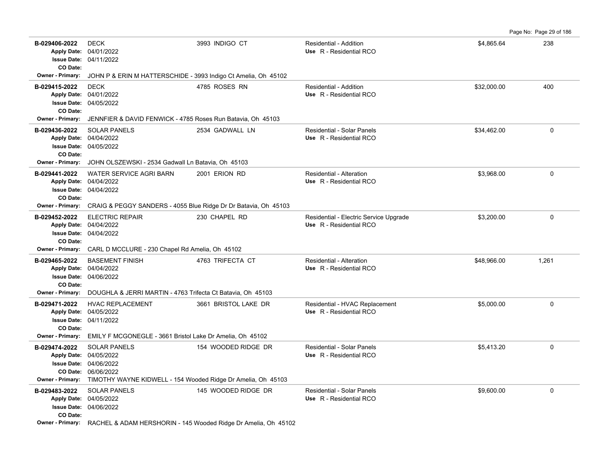Page No: Page 29 of 186

| B-029406-2022<br>CO Date:                            | <b>DECK</b><br>Apply Date: 04/01/2022<br><b>Issue Date: 04/11/2022</b>                                                                                                | 3993 INDIGO CT       | Residential - Addition<br>Use R - Residential RCO                 | \$4,865.64  | 238      |
|------------------------------------------------------|-----------------------------------------------------------------------------------------------------------------------------------------------------------------------|----------------------|-------------------------------------------------------------------|-------------|----------|
| Owner - Primary:                                     | JOHN P & ERIN M HATTERSCHIDE - 3993 Indigo Ct Amelia, Oh 45102                                                                                                        |                      |                                                                   |             |          |
| B-029415-2022<br>CO Date:<br><b>Owner - Primary:</b> | <b>DECK</b><br>Apply Date: 04/01/2022<br><b>Issue Date: 04/05/2022</b><br>JENNFIER & DAVID FENWICK - 4785 Roses Run Batavia, Oh 45103                                 | 4785 ROSES RN        | Residential - Addition<br>Use R - Residential RCO                 | \$32,000.00 | 400      |
| B-029436-2022<br>CO Date:<br><b>Owner - Primary:</b> | <b>SOLAR PANELS</b><br>Apply Date: 04/04/2022<br><b>Issue Date: 04/05/2022</b><br>JOHN OLSZEWSKI - 2534 Gadwall Ln Batavia, Oh 45103                                  | 2534 GADWALL LN      | Residential - Solar Panels<br>Use R - Residential RCO             | \$34,462.00 | 0        |
| B-029441-2022<br>CO Date:<br><b>Owner - Primary:</b> | <b>WATER SERVICE AGRI BARN</b><br>Apply Date: 04/04/2022<br><b>Issue Date: 04/04/2022</b><br>CRAIG & PEGGY SANDERS - 4055 Blue Ridge Dr Dr Batavia, Oh 45103          | 2001 ERION RD        | Residential - Alteration<br>Use R - Residential RCO               | \$3,968.00  | 0        |
| B-029452-2022<br>CO Date:<br><b>Owner - Primary:</b> | <b>ELECTRIC REPAIR</b><br>Apply Date: 04/04/2022<br><b>Issue Date: 04/04/2022</b><br>CARL D MCCLURE - 230 Chapel Rd Amelia, Oh 45102                                  | 230 CHAPEL RD        | Residential - Electric Service Upgrade<br>Use R - Residential RCO | \$3.200.00  | $\Omega$ |
| B-029465-2022<br>CO Date:<br><b>Owner - Primary:</b> | <b>BASEMENT FINISH</b><br>Apply Date: 04/04/2022<br><b>Issue Date: 04/06/2022</b><br>DOUGHLA & JERRI MARTIN - 4763 Trifecta Ct Batavia, Oh 45103                      | 4763 TRIFECTA CT     | Residential - Alteration<br>Use R - Residential RCO               | \$48.966.00 | 1.261    |
| B-029471-2022<br>CO Date:<br>Owner - Primary:        | <b>HVAC REPLACEMENT</b><br>Apply Date: 04/05/2022<br><b>Issue Date: 04/11/2022</b><br>EMILY F MCGONEGLE - 3661 Bristol Lake Dr Amelia, Oh 45102                       | 3661 BRISTOL LAKE DR | Residential - HVAC Replacement<br>Use R - Residential RCO         | \$5,000.00  | 0        |
| B-029474-2022<br><b>Owner - Primary:</b>             | <b>SOLAR PANELS</b><br>Apply Date: 04/05/2022<br><b>Issue Date: 04/06/2022</b><br>CO Date: 06/06/2022<br>TIMOTHY WAYNE KIDWELL - 154 Wooded Ridge Dr Amelia, Oh 45103 | 154 WOODED RIDGE DR  | Residential - Solar Panels<br>Use R - Residential RCO             | \$5,413.20  | 0        |
| B-029483-2022<br>CO Date:                            | <b>SOLAR PANELS</b><br>Apply Date: 04/05/2022<br><b>Issue Date: 04/06/2022</b><br>Owner - Primary: RACHEL & ADAM HERSHORIN - 145 Wooded Ridge Dr Amelia, Oh 45102     | 145 WOODED RIDGE DR  | Residential - Solar Panels<br>Use R - Residential RCO             | \$9,600.00  | 0        |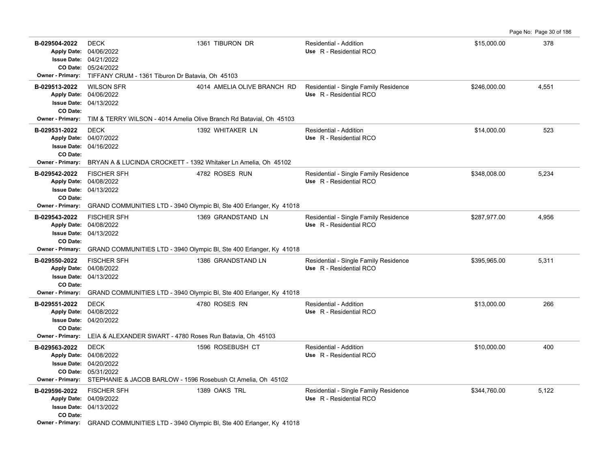Page No: Page 30 of 186

| B-029504-2022             | <b>DECK</b><br>Apply Date: 04/06/2022<br><b>Issue Date: 04/21/2022</b><br>CO Date: 05/24/2022                                                                                  | 1361 TIBURON DR                                                                      | Residential - Addition<br>Use R - Residential RCO                | \$15,000.00  | 378   |
|---------------------------|--------------------------------------------------------------------------------------------------------------------------------------------------------------------------------|--------------------------------------------------------------------------------------|------------------------------------------------------------------|--------------|-------|
| <b>Owner - Primary:</b>   | TIFFANY CRUM - 1361 Tiburon Dr Batavia, Oh 45103                                                                                                                               |                                                                                      |                                                                  |              |       |
| B-029513-2022<br>CO Date: | <b>WILSON SFR</b><br>Apply Date: 04/06/2022<br><b>Issue Date: 04/13/2022</b>                                                                                                   | 4014 AMELIA OLIVE BRANCH RD                                                          | Residential - Single Family Residence<br>Use R - Residential RCO | \$246,000.00 | 4,551 |
| Owner - Primary:          | TIM & TERRY WILSON - 4014 Amelia Olive Branch Rd Batavial, Oh 45103                                                                                                            |                                                                                      |                                                                  |              |       |
| B-029531-2022<br>CO Date: | <b>DECK</b><br>Apply Date: 04/07/2022<br><b>Issue Date: 04/16/2022</b>                                                                                                         | 1392 WHITAKER LN                                                                     | Residential - Addition<br>Use R - Residential RCO                | \$14,000.00  | 523   |
| <b>Owner - Primary:</b>   | BRYAN A & LUCINDA CROCKETT - 1392 Whitaker Ln Amelia, Oh 45102                                                                                                                 |                                                                                      |                                                                  |              |       |
| B-029542-2022<br>CO Date: | <b>FISCHER SFH</b><br>Apply Date: 04/08/2022<br><b>Issue Date: 04/13/2022</b>                                                                                                  | 4782 ROSES RUN                                                                       | Residential - Single Family Residence<br>Use R - Residential RCO | \$348,008.00 | 5,234 |
| Owner - Primary:          |                                                                                                                                                                                | GRAND COMMUNITIES LTD - 3940 Olympic BI, Ste 400 Erlanger, Ky 41018                  |                                                                  |              |       |
| B-029543-2022<br>CO Date: | <b>FISCHER SFH</b><br>Apply Date: 04/08/2022<br><b>Issue Date: 04/13/2022</b>                                                                                                  | 1369 GRANDSTAND LN                                                                   | Residential - Single Family Residence<br>Use R - Residential RCO | \$287,977.00 | 4,956 |
| Owner - Primary:          |                                                                                                                                                                                | GRAND COMMUNITIES LTD - 3940 Olympic BI, Ste 400 Erlanger, Ky 41018                  |                                                                  |              |       |
| B-029550-2022<br>CO Date: | <b>FISCHER SFH</b><br>Apply Date: 04/08/2022<br><b>Issue Date: 04/13/2022</b>                                                                                                  | 1386 GRANDSTAND LN                                                                   | Residential - Single Family Residence<br>Use R - Residential RCO | \$395,965.00 | 5,311 |
| Owner - Primary:          |                                                                                                                                                                                | GRAND COMMUNITIES LTD - 3940 Olympic BI, Ste 400 Erlanger, Ky 41018                  |                                                                  |              |       |
| B-029551-2022<br>CO Date: | <b>DECK</b><br>Apply Date: 04/08/2022<br><b>Issue Date: 04/20/2022</b>                                                                                                         | 4780 ROSES RN                                                                        | Residential - Addition<br>Use R - Residential RCO                | \$13,000.00  | 266   |
| <b>Owner - Primary:</b>   | LEIA & ALEXANDER SWART - 4780 Roses Run Batavia, Oh 45103                                                                                                                      |                                                                                      |                                                                  |              |       |
| B-029563-2022             | <b>DECK</b><br>Apply Date: 04/08/2022<br><b>Issue Date: 04/20/2022</b><br>CO Date: 05/31/2022<br>Owner - Primary: STEPHANIE & JACOB BARLOW - 1596 Rosebush Ct Amelia, Oh 45102 | 1596 ROSEBUSH CT                                                                     | Residential - Addition<br>Use R - Residential RCO                | \$10,000.00  | 400   |
| B-029596-2022             | <b>FISCHER SFH</b>                                                                                                                                                             | 1389 OAKS TRL                                                                        | Residential - Single Family Residence                            | \$344,760.00 | 5,122 |
| CO Date:                  | Apply Date: 04/09/2022<br><b>Issue Date: 04/13/2022</b>                                                                                                                        | Owner - Primary: GRAND COMMUNITIES LTD - 3940 Olympic BI, Ste 400 Erlanger, Ky 41018 | Use R - Residential RCO                                          |              |       |
|                           |                                                                                                                                                                                |                                                                                      |                                                                  |              |       |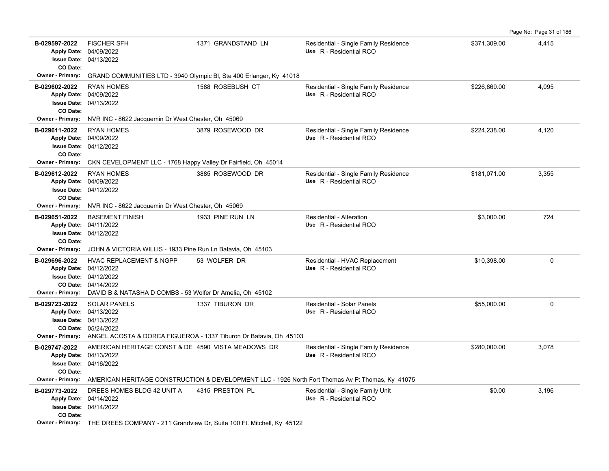**B-029597-2022** \$371,309.00 4,415 FISCHER SFH 1371 GRANDSTAND LN Residential - Single Family Residence 04/13/2022 **Issue Date:** 04/09/2022 **Apply Date: Use** R - Residential RCO **CO Date: Owner - Primary:** GRAND COMMUNITIES LTD - 3940 Olympic Bl, Ste 400 Erlanger, Ky 41018 B-029602-2022 RYAN HOMES 1588 ROSEBUSH CT Residential - Single Family Residence \$226,869.00 4,095 04/13/2022 **Issue Date:** 04/09/2022 **Apply Date: Use** R - Residential RCO **CO Date: Owner - Primary:** NVR INC - 8622 Jacquemin Dr West Chester, Oh 45069 B-029611-2022 RYAN HOMES 3879 ROSEWOOD DR Residential - Single Family Residence \$224,238.00 4,120 04/12/2022 **Issue Date:** 04/09/2022 **Apply Date: Use** R - Residential RCO **CO Date: Owner - Primary:** CKN CEVELOPMENT LLC - 1768 Happy Valley Dr Fairfield, Oh 45014 B-029612-2022 RYAN HOMES 3,355 3885 ROSEWOOD DR Residential - Single Family Residence \$181,071.00 3,355 04/12/2022 **Issue Date:** Apply Date: 04/09/2022 **Apply Date: Use** R - Residential RCO **CO Date: Owner - Primary:** NVR INC - 8622 Jacquemin Dr West Chester, Oh 45069 **B-029651-2022** \$3,000.00 724 04/12/2022 **Issue Date:** Apply Date: 04/11/2022 BASEMENT FINISH 1933 PINE RUN LN Residential - Alteration **Apply Date: Use** R - Residential RCO **CO Date: Owner - Primary:** JOHN & VICTORIA WILLIS - 1933 Pine Run Ln Batavia, Oh 45103 B-029696-2022 HVAC REPLACEMENT & NGPP 53 WOLFER DR Residential - HVAC Replacement \$10,398.00 \$10,398.00 0 04/14/2022 **CO Date:** 04/12/2022 **Issue Date:** Apply Date: 04/12/2022 **Apply Date: Use** R - Residential RCO **Owner - Primary:** DAVID B & NATASHA D COMBS - 53 Wolfer Dr Amelia, Oh 45102 **B-029723-2022** \$55,000.00 0 SOLAR PANELS 1337 TIBURON DR Residential - Solar Panels 05/24/2022 **CO Date:** 04/13/2022 **Issue Date:** Apply Date: 04/13/2022 **Apply Date: Use** R - Residential RCO **Owner - Primary:** ANGEL ACOSTA & DORCA FIGUEROA - 1337 Tiburon Dr Batavia, Oh 45103 B-029747-2022 AMERICAN HERITAGE CONST & DE' 4590 VISTA MEADOWS DR Residential - Single Family Residence \$280,000.00 \$280,000.00 3,078 04/16/2022 **Issue Date:** Apply Date: 04/13/2022 **Apply Date: Use** R - Residential RCO **CO Date: Owner - Primary:** AMERICAN HERITAGE CONSTRUCTION & DEVELOPMENT LLC - 1926 North Fort Thomas Av Ft Thomas, Ky 41075 **B-029773-2022** \$0.00 3,196 DREES HOMES BLDG 42 UNIT A 4315 PRESTON PL Residential - Single Family Unit 04/14/2022 **Issue Date:** 04/14/2022 **Apply Date: Use** R - Residential RCO **CO Date: Owner - Primary:** THE DREES COMPANY - 211 Grandview Dr, Suite 100 Ft. Mitchell, Ky 45122

Page No: Page 31 of 186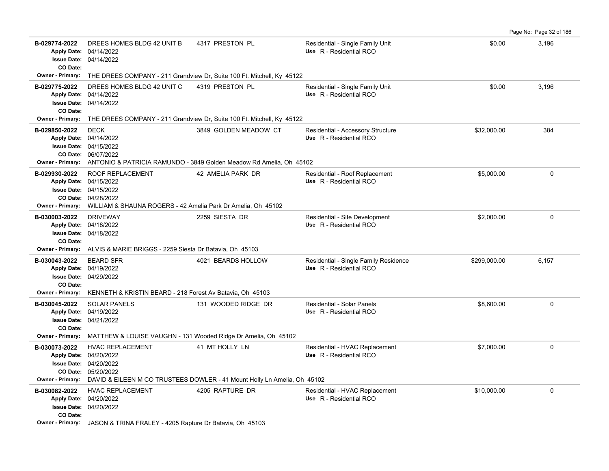|                                                      |                                                                                                                                                                          |                                                                                              |                                                                  |              | Page No: Page 32 of 186 |
|------------------------------------------------------|--------------------------------------------------------------------------------------------------------------------------------------------------------------------------|----------------------------------------------------------------------------------------------|------------------------------------------------------------------|--------------|-------------------------|
| B-029774-2022<br>CO Date:                            | DREES HOMES BLDG 42 UNIT B<br>Apply Date: 04/14/2022<br><b>Issue Date: 04/14/2022</b>                                                                                    | 4317 PRESTON PL                                                                              | Residential - Single Family Unit<br>Use R - Residential RCO      | \$0.00       | 3,196                   |
| Owner - Primary:                                     |                                                                                                                                                                          | THE DREES COMPANY - 211 Grandview Dr, Suite 100 Ft. Mitchell, Ky 45122                       |                                                                  |              |                         |
| B-029775-2022<br><b>Issue Date:</b><br>CO Date:      | DREES HOMES BLDG 42 UNIT C<br>Apply Date: 04/14/2022<br>04/14/2022                                                                                                       | 4319 PRESTON PL                                                                              | Residential - Single Family Unit<br>Use R - Residential RCO      | \$0.00       | 3,196                   |
| Owner - Primary:                                     |                                                                                                                                                                          | THE DREES COMPANY - 211 Grandview Dr, Suite 100 Ft. Mitchell, Ky 45122                       |                                                                  |              |                         |
| B-029850-2022<br><b>Owner - Primary:</b>             | <b>DECK</b><br>Apply Date: 04/14/2022<br><b>Issue Date: 04/15/2022</b><br>CO Date: 06/07/2022                                                                            | 3849 GOLDEN MEADOW CT<br>ANTONIO & PATRICIA RAMUNDO - 3849 Golden Meadow Rd Amelia, Oh 45102 | Residential - Accessory Structure<br>Use R - Residential RCO     | \$32,000.00  | 384                     |
| B-029930-2022<br><b>Owner - Primary:</b>             | ROOF REPLACEMENT<br>Apply Date: 04/15/2022<br><b>Issue Date: 04/15/2022</b><br>CO Date: 04/28/2022<br>WILLIAM & SHAUNA ROGERS - 42 Amelia Park Dr Amelia, Oh 45102       | 42 AMELIA PARK DR                                                                            | Residential - Roof Replacement<br>Use R - Residential RCO        | \$5,000.00   | $\mathbf 0$             |
| B-030003-2022<br>CO Date:<br><b>Owner - Primary:</b> | <b>DRIVEWAY</b><br>Apply Date: 04/18/2022<br><b>Issue Date: 04/18/2022</b><br>ALVIS & MARIE BRIGGS - 2259 Siesta Dr Batavia, Oh 45103                                    | 2259 SIESTA DR                                                                               | Residential - Site Development<br>Use R - Residential RCO        | \$2,000.00   | $\Omega$                |
| B-030043-2022<br>CO Date:<br><b>Owner - Primary:</b> | <b>BEARD SFR</b><br>Apply Date: 04/19/2022<br><b>Issue Date: 04/29/2022</b><br>KENNETH & KRISTIN BEARD - 218 Forest Av Batavia, Oh 45103                                 | 4021 BEARDS HOLLOW                                                                           | Residential - Single Family Residence<br>Use R - Residential RCO | \$299,000.00 | 6,157                   |
| B-030045-2022<br>CO Date:                            | <b>SOLAR PANELS</b><br>Apply Date: 04/19/2022<br><b>Issue Date: 04/21/2022</b><br><b>Owner - Primary:</b> MATTHEW & LOUISE VAUGHN - 131 Wooded Ridge Dr Amelia, Oh 45102 | 131 WOODED RIDGE DR                                                                          | Residential - Solar Panels<br>Use R - Residential RCO            | \$8,600.00   | $\Omega$                |
| B-030073-2022<br><b>Owner - Primary:</b>             | <b>HVAC REPLACEMENT</b><br>Apply Date: 04/20/2022<br><b>Issue Date: 04/20/2022</b><br>CO Date: 05/20/2022                                                                | 41 MT HOLLY LN<br>DAVID & EILEEN M CO TRUSTEES DOWLER - 41 Mount Holly Ln Amelia, Oh 45102   | Residential - HVAC Replacement<br>Use R - Residential RCO        | \$7,000.00   | $\Omega$                |
| B-030082-2022<br>CO Date:                            | <b>HVAC REPLACEMENT</b><br>Apply Date: 04/20/2022<br><b>Issue Date: 04/20/2022</b><br>Owner - Primary: JASON & TRINA FRALEY - 4205 Rapture Dr Batavia, Oh 45103          | 4205 RAPTURE DR                                                                              | Residential - HVAC Replacement<br>Use R - Residential RCO        | \$10,000.00  | $\Omega$                |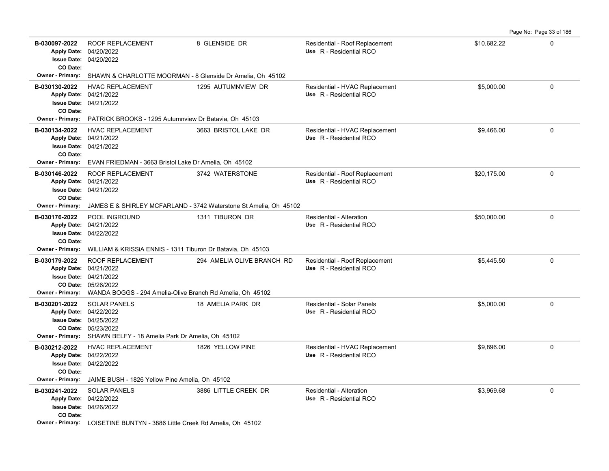Page No: Page 33 of 186

| B-030097-2022<br>CO Date:         | <b>ROOF REPLACEMENT</b><br>Apply Date: 04/20/2022<br><b>Issue Date: 04/20/2022</b>                                                                                                      | 8 GLENSIDE DR                                                     | Residential - Roof Replacement<br>Use R - Residential RCO    | \$10,682.22 | $\mathbf 0$ |  |  |
|-----------------------------------|-----------------------------------------------------------------------------------------------------------------------------------------------------------------------------------------|-------------------------------------------------------------------|--------------------------------------------------------------|-------------|-------------|--|--|
| <b>Owner - Primary:</b>           | SHAWN & CHARLOTTE MOORMAN - 8 Glenside Dr Amelia, Oh 45102                                                                                                                              |                                                                   |                                                              |             |             |  |  |
| B-030130-2022<br>CO Date:         | <b>HVAC REPLACEMENT</b><br>Apply Date: 04/21/2022<br><b>Issue Date: 04/21/2022</b>                                                                                                      | 1295 AUTUMNVIEW DR                                                | Residential - HVAC Replacement<br>Use R - Residential RCO    | \$5.000.00  | $\mathbf 0$ |  |  |
| <b>Owner - Primary:</b>           | PATRICK BROOKS - 1295 Autumnview Dr Batavia, Oh 45103                                                                                                                                   |                                                                   |                                                              |             |             |  |  |
| B-030134-2022<br>CO Date:         | <b>HVAC REPLACEMENT</b><br>Apply Date: 04/21/2022<br><b>Issue Date: 04/21/2022</b>                                                                                                      | 3663 BRISTOL LAKE DR                                              | Residential - HVAC Replacement<br>Use R - Residential RCO    | \$9,466.00  | $\mathbf 0$ |  |  |
| Owner - Primary:                  |                                                                                                                                                                                         | EVAN FRIEDMAN - 3663 Bristol Lake Dr Amelia, Oh 45102             |                                                              |             |             |  |  |
| B-030146-2022<br>CO Date:         | <b>ROOF REPLACEMENT</b><br>Apply Date: 04/21/2022<br><b>Issue Date: 04/21/2022</b>                                                                                                      | 3742 WATERSTONE                                                   | Residential - Roof Replacement<br>Use R - Residential RCO    | \$20,175.00 | $\mathbf 0$ |  |  |
| Owner - Primary:                  |                                                                                                                                                                                         | JAMES E & SHIRLEY MCFARLAND - 3742 Waterstone St Amelia, Oh 45102 |                                                              |             |             |  |  |
| B-030176-2022<br>CO Date:         | POOL INGROUND<br>Apply Date: 04/21/2022<br><b>Issue Date: 04/22/2022</b>                                                                                                                | 1311 TIBURON DR                                                   | <b>Residential - Alteration</b><br>Use R - Residential RCO   | \$50,000.00 | $\Omega$    |  |  |
| Owner - Primary:                  | WILLIAM & KRISSIA ENNIS - 1311 Tiburon Dr Batavia, Oh 45103                                                                                                                             |                                                                   |                                                              |             |             |  |  |
| B-030179-2022                     | <b>ROOF REPLACEMENT</b><br>Apply Date: 04/21/2022<br><b>Issue Date: 04/21/2022</b><br>CO Date: 05/26/2022<br>Owner - Primary: WANDA BOGGS - 294 Amelia-Olive Branch Rd Amelia, Oh 45102 | 294 AMELIA OLIVE BRANCH RD                                        | Residential - Roof Replacement<br>Use R - Residential RCO    | \$5,445.50  | $\mathbf 0$ |  |  |
| B-030201-2022<br>Owner - Primary: | <b>SOLAR PANELS</b><br>Apply Date: 04/22/2022<br><b>Issue Date: 04/25/2022</b><br>CO Date: 05/23/2022<br>SHAWN BELFY - 18 Amelia Park Dr Amelia, Oh 45102                               | 18 AMELIA PARK DR                                                 | <b>Residential - Solar Panels</b><br>Use R - Residential RCO | \$5,000.00  | $\mathbf 0$ |  |  |
| B-030212-2022<br>CO Date:         | HVAC REPLACEMENT<br>Apply Date: 04/22/2022<br><b>Issue Date: 04/22/2022</b>                                                                                                             | 1826 YELLOW PINE                                                  | Residential - HVAC Replacement<br>Use R - Residential RCO    | \$9,896.00  | $\mathbf 0$ |  |  |
| <b>Owner - Primary:</b>           | JAIME BUSH - 1826 Yellow Pine Amelia, Oh 45102                                                                                                                                          |                                                                   |                                                              |             |             |  |  |
| B-030241-2022<br>CO Date:         | <b>SOLAR PANELS</b><br>Apply Date: 04/22/2022<br><b>Issue Date: 04/26/2022</b>                                                                                                          | 3886 LITTLE CREEK DR                                              | Residential - Alteration<br>Use R - Residential RCO          | \$3.969.68  | $\mathbf 0$ |  |  |
|                                   | Owner - Primary: LOISETINE BUNTYN - 3886 Little Creek Rd Amelia, Oh 45102                                                                                                               |                                                                   |                                                              |             |             |  |  |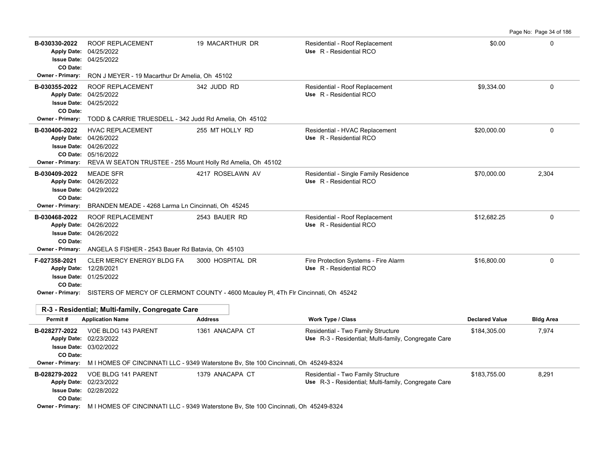Page No: Page 34 of 186 **B-030330-2022** \$0.00 0 ROOF REPLACEMENT 19 MACARTHUR DR Residential - Roof Replacement 04/25/2022 **Issue Date:** Apply Date: 04/25/2022 **Apply Date: Use** R - Residential RCO **CO Date: Owner - Primary:** RON J MEYER - 19 Macarthur Dr Amelia, Oh 45102 B-030355-2022 ROOF REPLACEMENT 342 JUDD RD Residential - Roof Replacement \$9,334.00 \$9,334.00 04/25/2022 **Issue Date:** 04/25/2022 **Apply Date: Use** R - Residential RCO **CO Date: Owner - Primary:** TODD & CARRIE TRUESDELL - 342 Judd Rd Amelia, Oh 45102 **B-030406-2022** HVAC REPLACEMENT 255 MT HOLLY RD Residential - HVAC Replacement \$20,000.00 0 0 0 05/16/2022 **CO Date:** 04/26/2022 **Issue Date:** 04/26/2022 **Apply Date: Use** R - Residential RCO **Owner - Primary:** REVA W SEATON TRUSTEE - 255 Mount Holly Rd Amelia, Oh 45102 **B-030409-2022** \$70,000.00 2,304 MEADE SFR 4217 ROSELAWN AV Residential - Single Family Residence 04/29/2022 **Issue Date:** Apply Date: 04/26/2022 **Apply Date: Use** R - Residential RCO **CO Date: Owner - Primary:** BRANDEN MEADE - 4268 Larma Ln Cincinnati, Oh 45245 **B-030468-2022** \$12,682.25 0 ROOF REPLACEMENT 2543 BAUER RD Residential - Roof Replacement 04/26/2022 **Issue Date:** Apply Date: 04/26/2022 **Apply Date: Use** R - Residential RCO **CO Date: Owner - Primary:** ANGELA S FISHER - 2543 Bauer Rd Batavia, Oh 45103 **F-027358-2021** CLER MERCY ENERGY BLDG FA 3000 HOSPITAL DR Fire Protection Systems - Fire Alarm \$16,800.00 \$16,800.00 01/25/2022 **Issue Date:** 12/28/2021 **Apply Date: Use** R - Residential RCO **CO Date: Owner - Primary:** SISTERS OF MERCY OF CLERMONT COUNTY - 4600 Mcauley Pl, 4Th Flr Cincinnati, Oh 45242 **R-3 - Residential; Multi-family, Congregate Care**

| Permit#                 | <b>Application Name</b>       | <b>Address</b>                                                                      | <b>Work Type / Class</b>                             | <b>Declared Value</b> | <b>Bldg Area</b> |
|-------------------------|-------------------------------|-------------------------------------------------------------------------------------|------------------------------------------------------|-----------------------|------------------|
| B-028277-2022           | VOE BLDG 143 PARENT           | 1361 ANACAPA CT                                                                     | Residential - Two Family Structure                   | \$184,305.00          | 7,974            |
|                         | Apply Date: 02/23/2022        |                                                                                     | Use R-3 - Residential; Multi-family, Congregate Care |                       |                  |
|                         | <b>Issue Date: 03/02/2022</b> |                                                                                     |                                                      |                       |                  |
| CO Date:                |                               |                                                                                     |                                                      |                       |                  |
| <b>Owner - Primary:</b> |                               | M I HOMES OF CINCINNATI LLC - 9349 Waterstone Bv, Ste 100 Cincinnati, Oh 45249-8324 |                                                      |                       |                  |
| B-028279-2022           | VOE BLDG 141 PARENT           | 1379 ANACAPA CT                                                                     | Residential - Two Family Structure                   | \$183,755.00          | 8,291            |
|                         | Apply Date: 02/23/2022        |                                                                                     | Use R-3 - Residential: Multi-family, Congregate Care |                       |                  |
|                         | <b>Issue Date: 02/28/2022</b> |                                                                                     |                                                      |                       |                  |
| CO Date:                |                               |                                                                                     |                                                      |                       |                  |
| Owner - Primary:        |                               | M I HOMES OF CINCINNATI LLC - 9349 Waterstone By, Ste 100 Cincinnati, Oh 45249-8324 |                                                      |                       |                  |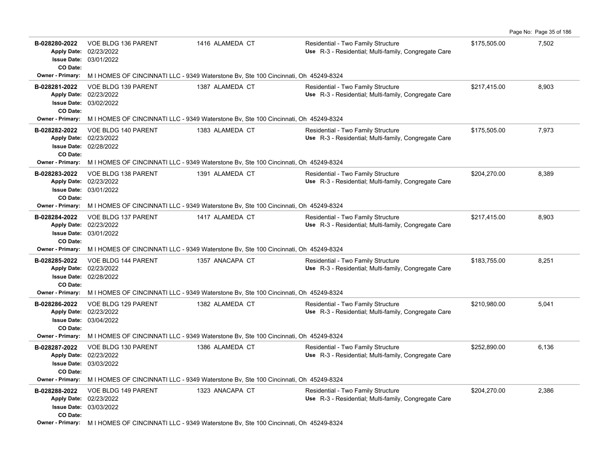| B-028280-2022<br><b>Apply Date:</b><br>CO Date:                       | VOE BLDG 136 PARENT<br>02/23/2022<br><b>Issue Date: 03/01/2022</b>                                   | 1416 ALAMEDA CT                                                                     | Residential - Two Family Structure<br>Use R-3 - Residential; Multi-family, Congregate Care | \$175,505.00 | 7,502 |  |  |
|-----------------------------------------------------------------------|------------------------------------------------------------------------------------------------------|-------------------------------------------------------------------------------------|--------------------------------------------------------------------------------------------|--------------|-------|--|--|
|                                                                       | Owner - Primary: M I HOMES OF CINCINNATI LLC - 9349 Waterstone Bv, Ste 100 Cincinnati, Oh 45249-8324 |                                                                                     |                                                                                            |              |       |  |  |
| B-028281-2022<br>CO Date:                                             | VOE BLDG 139 PARENT<br>Apply Date: 02/23/2022<br><b>Issue Date: 03/02/2022</b>                       | 1387 ALAMEDA CT                                                                     | Residential - Two Family Structure<br>Use R-3 - Residential; Multi-family, Congregate Care | \$217,415.00 | 8,903 |  |  |
|                                                                       | Owner - Primary: MIHOMES OF CINCINNATI LLC - 9349 Waterstone Bv, Ste 100 Cincinnati, Oh 45249-8324   |                                                                                     |                                                                                            |              |       |  |  |
| B-028282-2022<br>CO Date:                                             | VOE BLDG 140 PARENT<br>Apply Date: 02/23/2022<br><b>Issue Date: 02/28/2022</b>                       | 1383 ALAMEDA CT                                                                     | Residential - Two Family Structure<br>Use R-3 - Residential; Multi-family, Congregate Care | \$175,505.00 | 7,973 |  |  |
| <b>Owner - Primary:</b>                                               |                                                                                                      | M I HOMES OF CINCINNATI LLC - 9349 Waterstone Bv, Ste 100 Cincinnati, Oh 45249-8324 |                                                                                            |              |       |  |  |
| B-028283-2022<br>CO Date:                                             | VOE BLDG 138 PARENT<br>Apply Date: 02/23/2022<br><b>Issue Date: 03/01/2022</b>                       | 1391 ALAMEDA CT                                                                     | Residential - Two Family Structure<br>Use R-3 - Residential; Multi-family, Congregate Care | \$204,270.00 | 8,389 |  |  |
| <b>Owner - Primary:</b>                                               |                                                                                                      | M I HOMES OF CINCINNATI LLC - 9349 Waterstone Bv, Ste 100 Cincinnati, Oh 45249-8324 |                                                                                            |              |       |  |  |
| B-028284-2022<br><b>Apply Date:</b><br><b>Issue Date:</b><br>CO Date: | VOE BLDG 137 PARENT<br>02/23/2022<br>03/01/2022                                                      | 1417 ALAMEDA CT                                                                     | Residential - Two Family Structure<br>Use R-3 - Residential; Multi-family, Congregate Care | \$217,415.00 | 8,903 |  |  |
|                                                                       | Owner - Primary: M I HOMES OF CINCINNATI LLC - 9349 Waterstone By, Ste 100 Cincinnati, Oh 45249-8324 |                                                                                     |                                                                                            |              |       |  |  |
| B-028285-2022<br>CO Date:                                             | VOE BLDG 144 PARENT<br>Apply Date: 02/23/2022<br><b>Issue Date: 02/28/2022</b>                       | 1357 ANACAPA CT                                                                     | Residential - Two Family Structure<br>Use R-3 - Residential; Multi-family, Congregate Care | \$183,755.00 | 8,251 |  |  |
| <b>Owner - Primary:</b>                                               | M I HOMES OF CINCINNATI LLC - 9349 Waterstone Bv, Ste 100 Cincinnati, Oh 45249-8324                  |                                                                                     |                                                                                            |              |       |  |  |
| B-028286-2022<br>CO Date:                                             | VOE BLDG 129 PARENT<br>Apply Date: 02/23/2022<br><b>Issue Date: 03/04/2022</b>                       | 1382 ALAMEDA CT                                                                     | Residential - Two Family Structure<br>Use R-3 - Residential; Multi-family, Congregate Care | \$210,980.00 | 5,041 |  |  |
| <b>Owner - Primary:</b>                                               |                                                                                                      | M I HOMES OF CINCINNATI LLC - 9349 Waterstone Bv, Ste 100 Cincinnati, Oh 45249-8324 |                                                                                            |              |       |  |  |
| B-028287-2022<br><b>Issue Date:</b><br>CO Date:                       | VOE BLDG 130 PARENT<br>Apply Date: 02/23/2022<br>03/03/2022                                          | 1386 ALAMEDA CT                                                                     | Residential - Two Family Structure<br>Use R-3 - Residential; Multi-family, Congregate Care | \$252,890.00 | 6,136 |  |  |
| <b>Owner - Primary:</b>                                               | M I HOMES OF CINCINNATI LLC - 9349 Waterstone Bv, Ste 100 Cincinnati, Oh 45249-8324                  |                                                                                     |                                                                                            |              |       |  |  |
| B-028288-2022<br>CO Date:                                             | VOE BLDG 149 PARENT<br>Apply Date: 02/23/2022<br><b>Issue Date: 03/03/2022</b>                       | 1323 ANACAPA CT                                                                     | Residential - Two Family Structure<br>Use R-3 - Residential; Multi-family, Congregate Care | \$204,270.00 | 2,386 |  |  |
|                                                                       | Owner - Primary: M   HOMES OF CINCINNATI LLC - 9349 Waterstone Bv, Ste 100 Cincinnati, Oh 45249-8324 |                                                                                     |                                                                                            |              |       |  |  |

Page No: Page 35 of 186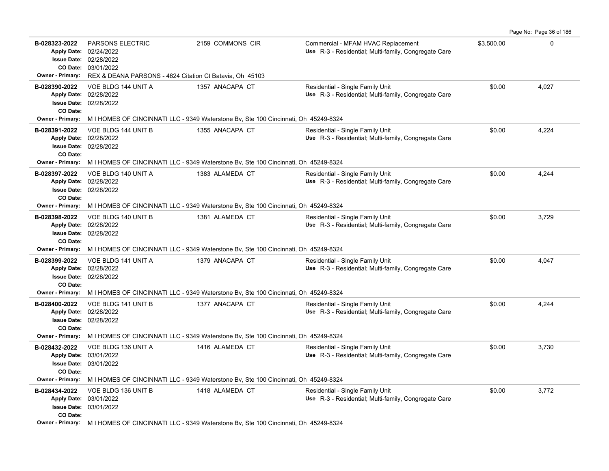|                                                                                |                                                                                                                                      |                                                                                                        |                                                                                            |            | Page No: Page 36 of 186 |
|--------------------------------------------------------------------------------|--------------------------------------------------------------------------------------------------------------------------------------|--------------------------------------------------------------------------------------------------------|--------------------------------------------------------------------------------------------|------------|-------------------------|
| B-028323-2022<br>Apply Date: 02/24/2022<br><b>Owner - Primary:</b>             | <b>PARSONS ELECTRIC</b><br>Issue Date: 02/28/2022<br>CO Date: 03/01/2022<br>REX & DEANA PARSONS - 4624 Citation Ct Batavia, Oh 45103 | 2159 COMMONS CIR                                                                                       | Commercial - MFAM HVAC Replacement<br>Use R-3 - Residential; Multi-family, Congregate Care | \$3,500.00 | $\Omega$                |
|                                                                                |                                                                                                                                      |                                                                                                        |                                                                                            |            |                         |
| B-028390-2022<br>Apply Date: 02/28/2022<br>CO Date:                            | VOE BLDG 144 UNIT A<br>Issue Date: 02/28/2022                                                                                        | 1357 ANACAPA CT                                                                                        | Residential - Single Family Unit<br>Use R-3 - Residential; Multi-family, Congregate Care   | \$0.00     | 4,027                   |
| <b>Owner - Primary:</b>                                                        |                                                                                                                                      | M I HOMES OF CINCINNATI LLC - 9349 Waterstone Bv, Ste 100 Cincinnati, Oh 45249-8324                    |                                                                                            |            |                         |
| B-028391-2022<br>Apply Date: 02/28/2022<br>CO Date:<br>Owner - Primary:        | VOE BLDG 144 UNIT B<br><b>Issue Date: 02/28/2022</b>                                                                                 | 1355 ANACAPA CT<br>M I HOMES OF CINCINNATI LLC - 9349 Waterstone By, Ste 100 Cincinnati, Oh 45249-8324 | Residential - Single Family Unit<br>Use R-3 - Residential; Multi-family, Congregate Care   | \$0.00     | 4,224                   |
|                                                                                |                                                                                                                                      |                                                                                                        |                                                                                            |            |                         |
| B-028397-2022<br>Apply Date: 02/28/2022<br>CO Date:                            | VOE BLDG 140 UNIT A<br><b>Issue Date: 02/28/2022</b>                                                                                 | 1383 ALAMEDA CT                                                                                        | Residential - Single Family Unit<br>Use R-3 - Residential; Multi-family, Congregate Care   | \$0.00     | 4,244                   |
|                                                                                |                                                                                                                                      | Owner - Primary: MIHOMES OF CINCINNATI LLC - 9349 Waterstone Bv, Ste 100 Cincinnati, Oh 45249-8324     |                                                                                            |            |                         |
| B-028398-2022<br>Apply Date: 02/28/2022<br>CO Date:                            | VOE BLDG 140 UNIT B<br><b>Issue Date: 02/28/2022</b>                                                                                 | 1381 ALAMEDA CT                                                                                        | Residential - Single Family Unit<br>Use R-3 - Residential: Multi-family, Congregate Care   | \$0.00     | 3,729                   |
|                                                                                |                                                                                                                                      | Owner - Primary: MIHOMES OF CINCINNATI LLC - 9349 Waterstone Bv, Ste 100 Cincinnati, Oh 45249-8324     |                                                                                            |            |                         |
| B-028399-2022<br>Apply Date: 02/28/2022<br>CO Date:                            | VOE BLDG 141 UNIT A<br><b>Issue Date: 02/28/2022</b>                                                                                 | 1379 ANACAPA CT                                                                                        | Residential - Single Family Unit<br>Use R-3 - Residential; Multi-family, Congregate Care   | \$0.00     | 4,047                   |
|                                                                                |                                                                                                                                      | Owner - Primary: MIHOMES OF CINCINNATI LLC - 9349 Waterstone Bv, Ste 100 Cincinnati, Oh 45249-8324     |                                                                                            |            |                         |
| B-028400-2022<br>Apply Date: 02/28/2022<br>CO Date:                            | VOE BLDG 141 UNIT B<br><b>Issue Date: 02/28/2022</b>                                                                                 | 1377 ANACAPA CT                                                                                        | Residential - Single Family Unit<br>Use R-3 - Residential; Multi-family, Congregate Care   | \$0.00     | 4,244                   |
|                                                                                |                                                                                                                                      | Owner - Primary: M I HOMES OF CINCINNATI LLC - 9349 Waterstone By, Ste 100 Cincinnati, Oh 45249-8324   |                                                                                            |            |                         |
| B-028432-2022<br>Apply Date: 03/01/2022<br>CO Date:<br><b>Owner - Primary:</b> | VOE BLDG 136 UNIT A<br>Issue Date: 03/01/2022                                                                                        | 1416 ALAMEDA CT<br>M I HOMES OF CINCINNATI LLC - 9349 Waterstone Bv, Ste 100 Cincinnati, Oh 45249-8324 | Residential - Single Family Unit<br>Use R-3 - Residential; Multi-family, Congregate Care   | \$0.00     | 3,730                   |
| B-028434-2022                                                                  | VOE BLDG 136 UNIT B                                                                                                                  | 1418 ALAMEDA CT                                                                                        | Residential - Single Family Unit                                                           | \$0.00     | 3,772                   |
| Apply Date: 03/01/2022<br>CO Date:                                             | Issue Date: 03/01/2022                                                                                                               |                                                                                                        | Use R-3 - Residential; Multi-family, Congregate Care                                       |            |                         |
|                                                                                |                                                                                                                                      | Owner - Primary: MIHOMES OF CINCINNATI LLC - 9349 Waterstone By, Ste 100 Cincinnati, Oh 45249-8324     |                                                                                            |            |                         |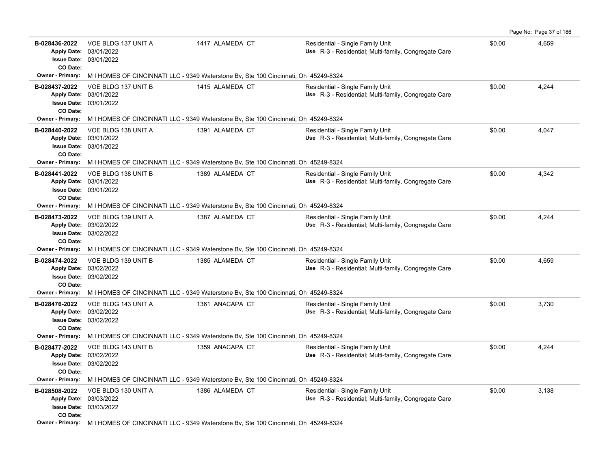| B-028436-2022<br><b>Apply Date:</b><br><b>Issue Date:</b><br>CO Date: | VOE BLDG 137 UNIT A<br>03/01/2022<br>03/01/2022                                     | 1417 ALAMEDA CT                                                                                      | Residential - Single Family Unit<br>Use R-3 - Residential; Multi-family, Congregate Care | \$0.00 | 4,659 |  |  |  |  |  |
|-----------------------------------------------------------------------|-------------------------------------------------------------------------------------|------------------------------------------------------------------------------------------------------|------------------------------------------------------------------------------------------|--------|-------|--|--|--|--|--|
| <b>Owner - Primary:</b>                                               | M I HOMES OF CINCINNATI LLC - 9349 Waterstone Bv, Ste 100 Cincinnati, Oh 45249-8324 |                                                                                                      |                                                                                          |        |       |  |  |  |  |  |
| B-028437-2022<br><b>Apply Date:</b><br><b>Issue Date:</b><br>CO Date: | VOE BLDG 137 UNIT B<br>03/01/2022<br>03/01/2022                                     | 1415 ALAMEDA CT                                                                                      | Residential - Single Family Unit<br>Use R-3 - Residential; Multi-family, Congregate Care | \$0.00 | 4,244 |  |  |  |  |  |
|                                                                       |                                                                                     | Owner - Primary: M I HOMES OF CINCINNATI LLC - 9349 Waterstone By, Ste 100 Cincinnati, Oh 45249-8324 |                                                                                          |        |       |  |  |  |  |  |
| B-028440-2022<br>CO Date:                                             | VOE BLDG 138 UNIT A<br>Apply Date: 03/01/2022<br>Issue Date: 03/01/2022             | 1391 ALAMEDA CT                                                                                      | Residential - Single Family Unit<br>Use R-3 - Residential; Multi-family, Congregate Care | \$0.00 | 4,047 |  |  |  |  |  |
| <b>Owner - Primary:</b>                                               |                                                                                     | M I HOMES OF CINCINNATI LLC - 9349 Waterstone Bv, Ste 100 Cincinnati, Oh 45249-8324                  |                                                                                          |        |       |  |  |  |  |  |
| B-028441-2022<br>CO Date:                                             | VOE BLDG 138 UNIT B<br>Apply Date: 03/01/2022<br><b>Issue Date: 03/01/2022</b>      | 1389 ALAMEDA CT                                                                                      | Residential - Single Family Unit<br>Use R-3 - Residential; Multi-family, Congregate Care | \$0.00 | 4,342 |  |  |  |  |  |
| <b>Owner - Primary:</b>                                               |                                                                                     | M I HOMES OF CINCINNATI LLC - 9349 Waterstone Bv, Ste 100 Cincinnati, Oh 45249-8324                  |                                                                                          |        |       |  |  |  |  |  |
| B-028473-2022<br><b>Apply Date:</b><br><b>Issue Date:</b><br>CO Date: | VOE BLDG 139 UNIT A<br>03/02/2022<br>03/02/2022                                     | 1387 ALAMEDA CT                                                                                      | Residential - Single Family Unit<br>Use R-3 - Residential; Multi-family, Congregate Care | \$0.00 | 4,244 |  |  |  |  |  |
|                                                                       |                                                                                     | Owner - Primary: M I HOMES OF CINCINNATI LLC - 9349 Waterstone By, Ste 100 Cincinnati, Oh 45249-8324 |                                                                                          |        |       |  |  |  |  |  |
| B-028474-2022<br>CO Date:                                             | VOE BLDG 139 UNIT B<br>Apply Date: 03/02/2022<br>Issue Date: 03/02/2022             | 1385 ALAMEDA CT                                                                                      | Residential - Single Family Unit<br>Use R-3 - Residential; Multi-family, Congregate Care | \$0.00 | 4,659 |  |  |  |  |  |
| <b>Owner - Primary:</b>                                               |                                                                                     | M I HOMES OF CINCINNATI LLC - 9349 Waterstone Bv, Ste 100 Cincinnati, Oh 45249-8324                  |                                                                                          |        |       |  |  |  |  |  |
| B-028476-2022<br>CO Date:                                             | VOE BLDG 143 UNIT A<br>Apply Date: 03/02/2022<br><b>Issue Date: 03/02/2022</b>      | 1361 ANACAPA CT                                                                                      | Residential - Single Family Unit<br>Use R-3 - Residential; Multi-family, Congregate Care | \$0.00 | 3,730 |  |  |  |  |  |
| <b>Owner - Primary:</b>                                               |                                                                                     | M I HOMES OF CINCINNATI LLC - 9349 Waterstone Bv, Ste 100 Cincinnati, Oh 45249-8324                  |                                                                                          |        |       |  |  |  |  |  |
| B-028477-2022<br><b>Apply Date:</b><br><b>Issue Date:</b><br>CO Date: | VOE BLDG 143 UNIT B<br>03/02/2022<br>03/02/2022                                     | 1359 ANACAPA CT                                                                                      | Residential - Single Family Unit<br>Use R-3 - Residential; Multi-family, Congregate Care | \$0.00 | 4,244 |  |  |  |  |  |
| <b>Owner - Primary:</b>                                               |                                                                                     | M I HOMES OF CINCINNATI LLC - 9349 Waterstone Bv, Ste 100 Cincinnati, Oh 45249-8324                  |                                                                                          |        |       |  |  |  |  |  |
| B-028508-2022<br><b>Issue Date:</b><br>CO Date:                       | VOE BLDG 130 UNIT A<br>Apply Date: 03/03/2022<br>03/03/2022                         | 1386 ALAMEDA CT                                                                                      | Residential - Single Family Unit<br>Use R-3 - Residential; Multi-family, Congregate Care | \$0.00 | 3,138 |  |  |  |  |  |
|                                                                       |                                                                                     | Owner - Primary: MIHOMES OF CINCINNATI LLC - 9349 Waterstone Bv, Ste 100 Cincinnati, Oh 45249-8324   |                                                                                          |        |       |  |  |  |  |  |

Page No: Page 37 of 186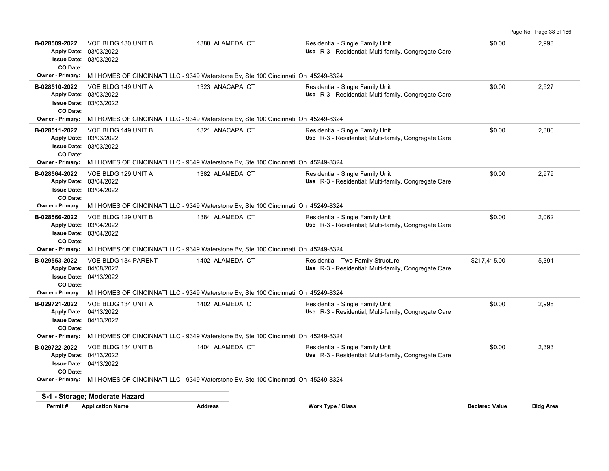|                           |                                                                                |                                                                                                      |                                                                                            |                       | Page No: Page 38 of 186 |
|---------------------------|--------------------------------------------------------------------------------|------------------------------------------------------------------------------------------------------|--------------------------------------------------------------------------------------------|-----------------------|-------------------------|
| B-028509-2022<br>CO Date: | VOE BLDG 130 UNIT B<br>Apply Date: 03/03/2022<br><b>Issue Date: 03/03/2022</b> | 1388 ALAMEDA CT                                                                                      | Residential - Single Family Unit<br>Use R-3 - Residential; Multi-family, Congregate Care   | \$0.00                | 2,998                   |
| Owner - Primary:          |                                                                                | M I HOMES OF CINCINNATI LLC - 9349 Waterstone Bv, Ste 100 Cincinnati, Oh 45249-8324                  |                                                                                            |                       |                         |
| B-028510-2022<br>CO Date: | VOE BLDG 149 UNIT A<br>Apply Date: 03/03/2022<br><b>Issue Date: 03/03/2022</b> | 1323 ANACAPA CT                                                                                      | Residential - Single Family Unit<br>Use R-3 - Residential; Multi-family, Congregate Care   | \$0.00                | 2,527                   |
| Owner - Primary:          |                                                                                | M I HOMES OF CINCINNATI LLC - 9349 Waterstone Bv, Ste 100 Cincinnati, Oh 45249-8324                  |                                                                                            |                       |                         |
| B-028511-2022<br>CO Date: | VOE BLDG 149 UNIT B<br>Apply Date: 03/03/2022<br><b>Issue Date: 03/03/2022</b> | 1321 ANACAPA CT                                                                                      | Residential - Single Family Unit<br>Use R-3 - Residential; Multi-family, Congregate Care   | \$0.00                | 2,386                   |
|                           |                                                                                | Owner - Primary: M I HOMES OF CINCINNATI LLC - 9349 Waterstone By, Ste 100 Cincinnati, Oh 45249-8324 |                                                                                            |                       |                         |
| B-028564-2022<br>CO Date: | VOE BLDG 129 UNIT A<br>Apply Date: 03/04/2022<br><b>Issue Date: 03/04/2022</b> | 1382 ALAMEDA CT                                                                                      | Residential - Single Family Unit<br>Use R-3 - Residential; Multi-family, Congregate Care   | \$0.00                | 2,979                   |
| <b>Owner - Primary:</b>   |                                                                                | M I HOMES OF CINCINNATI LLC - 9349 Waterstone Bv, Ste 100 Cincinnati, Oh 45249-8324                  |                                                                                            |                       |                         |
| B-028566-2022<br>CO Date: | VOE BLDG 129 UNIT B<br>Apply Date: 03/04/2022<br><b>Issue Date: 03/04/2022</b> | 1384 ALAMEDA CT                                                                                      | Residential - Single Family Unit<br>Use R-3 - Residential; Multi-family, Congregate Care   | \$0.00                | 2,062                   |
| <b>Owner - Primary:</b>   |                                                                                | M I HOMES OF CINCINNATI LLC - 9349 Waterstone By, Ste 100 Cincinnati, Oh 45249-8324                  |                                                                                            |                       |                         |
| B-029553-2022<br>CO Date: | VOE BLDG 134 PARENT<br>Apply Date: 04/08/2022<br><b>Issue Date: 04/13/2022</b> | 1402 ALAMEDA CT                                                                                      | Residential - Two Family Structure<br>Use R-3 - Residential; Multi-family, Congregate Care | \$217,415.00          | 5,391                   |
| <b>Owner - Primary:</b>   |                                                                                | M I HOMES OF CINCINNATI LLC - 9349 Waterstone By, Ste 100 Cincinnati, Oh 45249-8324                  |                                                                                            |                       |                         |
| B-029721-2022<br>CO Date: | VOE BLDG 134 UNIT A<br>Apply Date: 04/13/2022<br><b>Issue Date: 04/13/2022</b> | 1402 ALAMEDA CT                                                                                      | Residential - Single Family Unit<br>Use R-3 - Residential; Multi-family, Congregate Care   | \$0.00                | 2,998                   |
| <b>Owner - Primary:</b>   |                                                                                | M I HOMES OF CINCINNATI LLC - 9349 Waterstone By, Ste 100 Cincinnati, Oh 45249-8324                  |                                                                                            |                       |                         |
| B-029722-2022<br>CO Date: | VOE BLDG 134 UNIT B<br>Apply Date: 04/13/2022<br><b>Issue Date: 04/13/2022</b> | 1404 ALAMEDA CT                                                                                      | Residential - Single Family Unit<br>Use R-3 - Residential; Multi-family, Congregate Care   | \$0.00                | 2,393                   |
|                           |                                                                                | Owner - Primary: M I HOMES OF CINCINNATI LLC - 9349 Waterstone By, Ste 100 Cincinnati, Oh 45249-8324 |                                                                                            |                       |                         |
|                           | S-1 - Storage; Moderate Hazard                                                 |                                                                                                      |                                                                                            |                       |                         |
| Permit#                   | <b>Application Name</b>                                                        | <b>Address</b>                                                                                       | <b>Work Type / Class</b>                                                                   | <b>Declared Value</b> | <b>Bldg Area</b>        |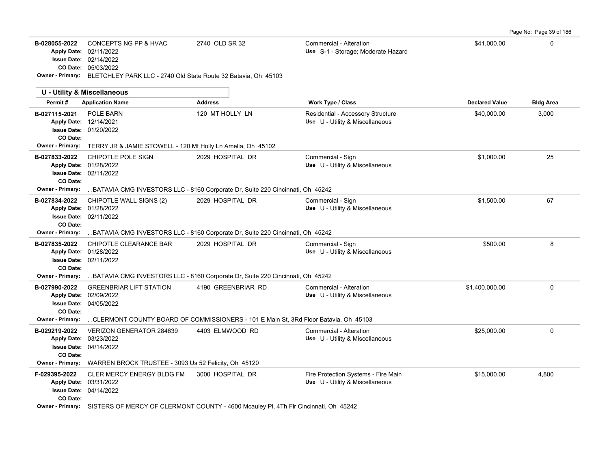Page No: Page 39 of 186

| B-028055-2022 | CONCEPTS NG PP & HVAC                                                                  | 2740 OLD SR 32 | Commercial - Alteration            | \$41.000.00 |  |
|---------------|----------------------------------------------------------------------------------------|----------------|------------------------------------|-------------|--|
|               | Apply Date: 02/11/2022                                                                 |                | Use S-1 - Storage: Moderate Hazard |             |  |
|               | <b>Issue Date: 02/14/2022</b>                                                          |                |                                    |             |  |
|               | <b>CO Date: 05/03/2022</b>                                                             |                |                                    |             |  |
|               | <b>Owner - Primary:</b> BLETCHLEY PARK LLC - 2740 Old State Route 32 Batavia, Oh 45103 |                |                                    |             |  |

|                                                                         | <b>U - Utility &amp; Miscellaneous</b>                                                                                                                                    |                                                                                                     |                                                                        |                       |                  |
|-------------------------------------------------------------------------|---------------------------------------------------------------------------------------------------------------------------------------------------------------------------|-----------------------------------------------------------------------------------------------------|------------------------------------------------------------------------|-----------------------|------------------|
| Permit#                                                                 | <b>Application Name</b>                                                                                                                                                   | <b>Address</b>                                                                                      | Work Type / Class                                                      | <b>Declared Value</b> | <b>Bldg Area</b> |
| B-027115-2021<br>Apply Date: 12/14/2021<br>CO Date:<br>Owner - Primary: | POLE BARN<br><b>Issue Date: 01/20/2022</b><br>TERRY JR & JAMIE STOWELL - 120 Mt Holly Ln Amelia, Oh 45102                                                                 | 120 MT HOLLY LN                                                                                     | Residential - Accessory Structure<br>Use U - Utility & Miscellaneous   | \$40,000.00           | 3,000            |
| B-027833-2022<br>CO Date:<br>Owner - Primary:                           | CHIPOTLE POLE SIGN<br>Apply Date: 01/28/2022<br><b>Issue Date: 02/11/2022</b>                                                                                             | 2029 HOSPITAL DR<br>. BATAVIA CMG INVESTORS LLC - 8160 Corporate Dr, Suite 220 Cincinnati, Oh 45242 | Commercial - Sign<br>Use U - Utility & Miscellaneous                   | \$1,000.00            | 25               |
| B-027834-2022<br>CO Date:<br><b>Owner - Primary:</b>                    | CHIPOTLE WALL SIGNS (2)<br>Apply Date: 01/28/2022<br><b>Issue Date: 02/11/2022</b><br>BATAVIA CMG INVESTORS LLC - 8160 Corporate Dr, Suite 220 Cincinnati, Oh 45242.      | 2029 HOSPITAL DR                                                                                    | Commercial - Sign<br>Use U - Utility & Miscellaneous                   | \$1,500.00            | 67               |
| B-027835-2022<br>CO Date:<br><b>Owner - Primary:</b>                    | CHIPOTLE CLEARANCE BAR<br>Apply Date: 01/28/2022<br><b>Issue Date: 02/11/2022</b><br>BATAVIA CMG INVESTORS LLC - 8160 Corporate Dr. Suite 220 Cincinnati. Oh 45242.       | 2029 HOSPITAL DR                                                                                    | Commercial - Sign<br>Use U - Utility & Miscellaneous                   | \$500.00              | 8                |
| B-027990-2022<br>Apply Date: 02/09/2022<br>CO Date:<br>Owner - Primary: | <b>GREENBRIAR LIFT STATION</b><br><b>Issue Date: 04/05/2022</b><br>CLERMONT COUNTY BOARD OF COMMISSIONERS - 101 E Main St, 3Rd Floor Batavia, Oh 45103                    | 4190 GREENBRIAR RD                                                                                  | Commercial - Alteration<br>Use U - Utility & Miscellaneous             | \$1,400,000.00        | $\mathbf 0$      |
| B-029219-2022<br>Apply Date: 03/23/2022<br>CO Date:                     | VERIZON GENERATOR 284639<br><b>Issue Date: 04/14/2022</b><br>Owner - Primary: WARREN BROCK TRUSTEE - 3093 Us 52 Felicity, Oh 45120                                        | 4403 ELMWOOD RD                                                                                     | Commercial - Alteration<br>Use U - Utility & Miscellaneous             | \$25,000.00           | 0                |
| F-029395-2022<br>Apply Date: 03/31/2022<br>CO Date:                     | <b>CLER MERCY ENERGY BLDG FM</b><br><b>Issue Date: 04/14/2022</b><br>Owner - Primary: SISTERS OF MERCY OF CLERMONT COUNTY - 4600 Mcauley PI, 4Th FIr Cincinnati, Oh 45242 | 3000 HOSPITAL DR                                                                                    | Fire Protection Systems - Fire Main<br>Use U - Utility & Miscellaneous | \$15,000.00           | 4,800            |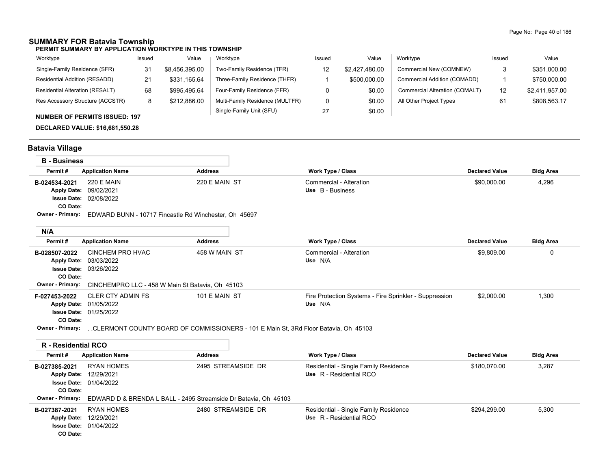### **SUMMARY FOR Batavia Township**

**PERMIT SUMMARY BY APPLICATION WORKTYPE IN THIS TOWNSHIP**

| Worktype                         | Issued | Value          | Worktype                        | Issued | Value          | Worktype                       | Issued | Value          |
|----------------------------------|--------|----------------|---------------------------------|--------|----------------|--------------------------------|--------|----------------|
| Single-Family Residence (SFR)    | 31     | \$8,456,395.00 | Two-Family Residence (TFR)      |        | \$2.427.480.00 | Commercial New (COMNEW)        |        | \$351,000.00   |
| Residential Addition (RESADD)    | 21     | \$331.165.64   | Three-Family Residence (THFR)   |        | \$500,000.00   | Commercial Addition (COMADD)   |        | \$750,000.00   |
| Residential Alteration (RESALT)  | 68     | \$995.495.64   | Four-Family Residence (FFR)     |        | \$0.00         | Commercial Alteration (COMALT) | 12     | \$2,411,957.00 |
| Res Accessory Structure (ACCSTR) | 8      | \$212,886.00   | Multi-Family Residence (MULTFR) |        | \$0.00         | All Other Project Types        |        | \$808,563.17   |
|                                  |        |                | Single-Family Unit (SFU)        | 27     | \$0.00         |                                |        |                |

#### **NUMBER OF PERMITS ISSUED: 197**

**DECLARED VALUE: \$16,681,550.28**

# **Batavia Village**

| <b>B</b> - Business                             |                                                           |                                                       |                                             |                       |                  |  |  |  |  |
|-------------------------------------------------|-----------------------------------------------------------|-------------------------------------------------------|---------------------------------------------|-----------------------|------------------|--|--|--|--|
| Permit#                                         | <b>Application Name</b>                                   | <b>Address</b>                                        | <b>Work Type / Class</b>                    | <b>Declared Value</b> | <b>Bldg Area</b> |  |  |  |  |
| B-024534-2021<br><b>Apply Date:</b><br>CO Date: | 220 E MAIN<br>09/02/2021<br><b>Issue Date: 02/08/2022</b> | 220 E MAIN ST                                         | Commercial - Alteration<br>Use B - Business | \$90,000.00           | 4,296            |  |  |  |  |
| <b>Owner - Primary:</b>                         |                                                           | EDWARD BUNN - 10717 Fincastle Rd Winchester, Oh 45697 |                                             |                       |                  |  |  |  |  |

| N/A                     |                                                  |                |                                                        |                       |                  |
|-------------------------|--------------------------------------------------|----------------|--------------------------------------------------------|-----------------------|------------------|
| Permit#                 | <b>Application Name</b>                          | <b>Address</b> | <b>Work Type / Class</b>                               | <b>Declared Value</b> | <b>Bldg Area</b> |
| B-028507-2022           | CINCHEM PRO HVAC                                 | 458 W MAIN ST  | Commercial - Alteration                                | \$9,809.00            | υ                |
|                         | Apply Date: 03/03/2022                           |                | Use N/A                                                |                       |                  |
|                         | <b>Issue Date: 03/26/2022</b>                    |                |                                                        |                       |                  |
| CO Date:                |                                                  |                |                                                        |                       |                  |
| <b>Owner - Primary:</b> | CINCHEMPRO LLC - 458 W Main St Batavia, Oh 45103 |                |                                                        |                       |                  |
| F-027453-2022           | CLER CTY ADMIN FS                                | 101 E MAIN ST  | Fire Protection Systems - Fire Sprinkler - Suppression | \$2,000.00            | 1,300            |
|                         | Apply Date: 01/05/2022                           |                | Use N/A                                                |                       |                  |
|                         | <b>Issue Date: 01/25/2022</b>                    |                |                                                        |                       |                  |
| <b>CO Date:</b>         |                                                  |                |                                                        |                       |                  |

**Owner - Primary:** . .CLERMONT COUNTY BOARD OF COMMISSIONERS - 101 E Main St, 3Rd Floor Batavia, Oh 45103

| R - Residential RCO                           |                                                                                                                                          |                    |                                                                  |                       |                  |
|-----------------------------------------------|------------------------------------------------------------------------------------------------------------------------------------------|--------------------|------------------------------------------------------------------|-----------------------|------------------|
| Permit#                                       | <b>Application Name</b>                                                                                                                  | <b>Address</b>     | <b>Work Type / Class</b>                                         | <b>Declared Value</b> | <b>Bldg Area</b> |
| B-027385-2021<br>CO Date:                     | RYAN HOMES<br>Apply Date: 12/29/2021<br><b>Issue Date: 01/04/2022</b>                                                                    | 2495 STREAMSIDE DR | Residential - Single Family Residence<br>Use R - Residential RCO | \$180.070.00          | 3,287            |
| Owner - Primary:<br>B-027387-2021<br>CO Date: | EDWARD D & BRENDA L BALL - 2495 Streamside Dr Batavia, Oh 45103<br>RYAN HOMES<br>Apply Date: 12/29/2021<br><b>Issue Date: 01/04/2022</b> | 2480 STREAMSIDE DR | Residential - Single Family Residence<br>Use R - Residential RCO | \$294.299.00          | 5,300            |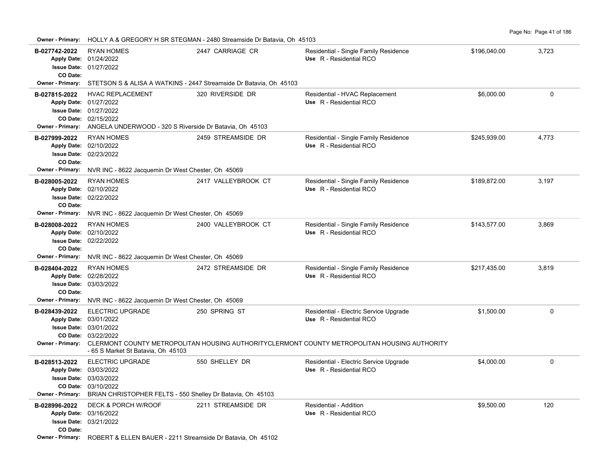| <b>Owner - Primary:</b>                                                    | HOLLY A & GREGORY H SR STEGMAN - 2480 Streamside Dr Batavia, Oh 45103                                                                                                 |                     |                                                                                                                                                                                    |              |          |  |  |  |  |  |
|----------------------------------------------------------------------------|-----------------------------------------------------------------------------------------------------------------------------------------------------------------------|---------------------|------------------------------------------------------------------------------------------------------------------------------------------------------------------------------------|--------------|----------|--|--|--|--|--|
| B-027742-2022<br>CO Date:                                                  | <b>RYAN HOMES</b><br>Apply Date: 01/24/2022<br><b>Issue Date: 01/27/2022</b>                                                                                          | 2447 CARRIAGE CR    | Residential - Single Family Residence<br>Use R - Residential RCO                                                                                                                   | \$196,040.00 | 3,723    |  |  |  |  |  |
| Owner - Primary:                                                           | STETSON S & ALISA A WATKINS - 2447 Streamside Dr Batavia, Oh 45103                                                                                                    |                     |                                                                                                                                                                                    |              |          |  |  |  |  |  |
| B-027815-2022<br>Owner - Primary:                                          | <b>HVAC REPLACEMENT</b><br>Apply Date: 01/27/2022<br><b>Issue Date: 01/27/2022</b><br>CO Date: 02/15/2022<br>ANGELA UNDERWOOD - 320 S Riverside Dr Batavia, Oh 45103  | 320 RIVERSIDE DR    | Residential - HVAC Replacement<br>Use R - Residential RCO                                                                                                                          | \$6,000.00   | 0        |  |  |  |  |  |
| B-027999-2022<br>CO Date:<br><b>Owner - Primary:</b>                       | <b>RYAN HOMES</b><br>Apply Date: 02/10/2022<br><b>Issue Date: 02/23/2022</b><br>NVR INC - 8622 Jacquemin Dr West Chester, Oh 45069                                    | 2459 STREAMSIDE DR  | Residential - Single Family Residence<br>Use R - Residential RCO                                                                                                                   | \$245,939.00 | 4,773    |  |  |  |  |  |
| B-028005-2022<br><b>Apply Date:</b><br>CO Date:<br>Owner - Primary:        | <b>RYAN HOMES</b><br>02/10/2022<br>Issue Date: 02/22/2022<br>NVR INC - 8622 Jacquemin Dr West Chester, Oh 45069                                                       | 2417 VALLEYBROOK CT | Residential - Single Family Residence<br>Use R - Residential RCO                                                                                                                   | \$189,872.00 | 3,197    |  |  |  |  |  |
| B-028008-2022<br><b>Apply Date:</b><br>CO Date:<br><b>Owner - Primary:</b> | <b>RYAN HOMES</b><br>02/10/2022<br><b>Issue Date: 02/22/2022</b><br>NVR INC - 8622 Jacquemin Dr West Chester, Oh 45069                                                | 2400 VALLEYBROOK CT | Residential - Single Family Residence<br>Use R - Residential RCO                                                                                                                   | \$143,577.00 | 3,869    |  |  |  |  |  |
| B-028404-2022<br>CO Date:                                                  | <b>RYAN HOMES</b><br>Apply Date: 02/28/2022<br>Issue Date: 03/03/2022<br>Owner - Primary: NVR INC - 8622 Jacquemin Dr West Chester, Oh 45069                          | 2472 STREAMSIDE DR  | Residential - Single Family Residence<br>Use R - Residential RCO                                                                                                                   | \$217,435.00 | 3,819    |  |  |  |  |  |
| B-028439-2022                                                              | <b>ELECTRIC UPGRADE</b><br>Apply Date: 03/01/2022<br>Issue Date: 03/01/2022<br>CO Date: 03/22/2022<br>- 65 S Market St Batavia, Oh 45103                              | 250 SPRING ST       | Residential - Electric Service Upgrade<br>Use R - Residential RCO<br>Owner - Primary: CLERMONT COUNTY METROPOLITAN HOUSING AUTHORITYCLERMONT COUNTY METROPOLITAN HOUSING AUTHORITY | \$1.500.00   | $\Omega$ |  |  |  |  |  |
| B-028513-2022<br><b>Apply Date:</b>                                        | <b>ELECTRIC UPGRADE</b><br>03/03/2022<br>Issue Date: 03/03/2022<br>CO Date: 03/10/2022<br>Owner - Primary: BRIAN CHRISTOPHER FELTS - 550 Shelley Dr Batavia, Oh 45103 | 550 SHELLEY DR      | Residential - Electric Service Upgrade<br>Use R - Residential RCO                                                                                                                  | \$4,000.00   | 0        |  |  |  |  |  |
| B-028996-2022<br>CO Date:                                                  | <b>DECK &amp; PORCH W/ROOF</b><br>Apply Date: 03/16/2022<br><b>Issue Date: 03/21/2022</b>                                                                             | 2211 STREAMSIDE DR  | Residential - Addition<br>Use R - Residential RCO                                                                                                                                  | \$9,500.00   | 120      |  |  |  |  |  |

**Owner - Primary:** ROBERT & ELLEN BAUER - 2211 Streamside Dr Batavia, Oh 45102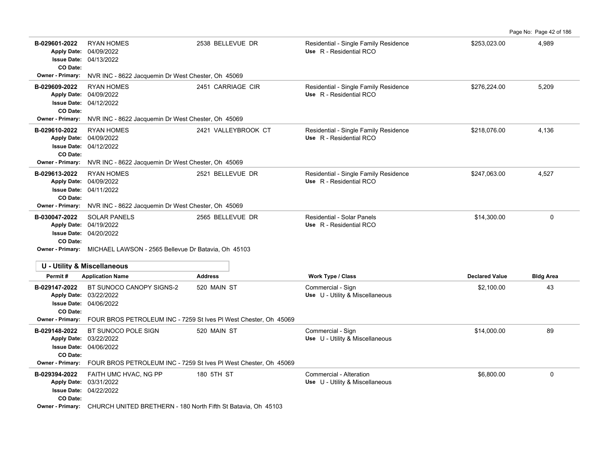| Page No: Page 42 of 186 |
|-------------------------|
|                         |

| B-029601-2022<br><b>Apply Date:</b><br>CO Date:        | <b>RYAN HOMES</b><br>04/09/2022<br><b>Issue Date: 04/13/2022</b>                                                                                        | 2538 BELLEVUE DR    | Residential - Single Family Residence<br>Use R - Residential RCO | \$253,023.00          | 4,989            |  |  |  |  |
|--------------------------------------------------------|---------------------------------------------------------------------------------------------------------------------------------------------------------|---------------------|------------------------------------------------------------------|-----------------------|------------------|--|--|--|--|
| <b>Owner - Primary:</b>                                | NVR INC - 8622 Jacquemin Dr West Chester, Oh 45069                                                                                                      |                     |                                                                  |                       |                  |  |  |  |  |
| B-029609-2022<br>CO Date:                              | <b>RYAN HOMES</b><br>Apply Date: 04/09/2022<br>Issue Date: 04/12/2022                                                                                   | 2451 CARRIAGE CIR   | Residential - Single Family Residence<br>Use R - Residential RCO | \$276,224.00          | 5,209            |  |  |  |  |
| Owner - Primary:                                       | NVR INC - 8622 Jacquemin Dr West Chester, Oh 45069                                                                                                      |                     |                                                                  |                       |                  |  |  |  |  |
| B-029610-2022<br>CO Date:                              | <b>RYAN HOMES</b><br>Apply Date: 04/09/2022<br>Issue Date: 04/12/2022                                                                                   | 2421 VALLEYBROOK CT | Residential - Single Family Residence<br>Use R - Residential RCO | \$218,076.00          | 4,136            |  |  |  |  |
| <b>Owner - Primary:</b>                                | NVR INC - 8622 Jacquemin Dr West Chester, Oh 45069                                                                                                      |                     |                                                                  |                       |                  |  |  |  |  |
| B-029613-2022<br><b>Apply Date:</b><br><b>CO Date:</b> | <b>RYAN HOMES</b><br>04/09/2022<br><b>Issue Date: 04/11/2022</b>                                                                                        | 2521 BELLEVUE DR    | Residential - Single Family Residence<br>Use R - Residential RCO | \$247,063.00          | 4,527            |  |  |  |  |
| <b>Owner - Primary:</b>                                | NVR INC - 8622 Jacquemin Dr West Chester, Oh 45069                                                                                                      |                     |                                                                  |                       |                  |  |  |  |  |
| B-030047-2022<br>CO Date:                              | <b>SOLAR PANELS</b><br>Apply Date: 04/19/2022<br><b>Issue Date: 04/20/2022</b><br>Owner - Primary: MICHAEL LAWSON - 2565 Bellevue Dr Batavia, Oh 45103  | 2565 BELLEVUE DR    | <b>Residential - Solar Panels</b><br>Use R - Residential RCO     | \$14,300.00           | $\mathbf 0$      |  |  |  |  |
|                                                        | <b>U - Utility &amp; Miscellaneous</b>                                                                                                                  |                     |                                                                  |                       |                  |  |  |  |  |
| Permit#                                                | <b>Application Name</b>                                                                                                                                 | <b>Address</b>      | Work Type / Class                                                | <b>Declared Value</b> | <b>Bldg Area</b> |  |  |  |  |
| B-029147-2022<br>CO Date:<br>Owner - Primary:          | BT SUNOCO CANOPY SIGNS-2<br>Apply Date: 03/22/2022<br><b>Issue Date: 04/06/2022</b><br>FOUR BROS PETROLEUM INC - 7259 St Ives PI West Chester, Oh 45069 | 520 MAIN ST         | Commercial - Sign<br>Use U - Utility & Miscellaneous             | \$2,100.00            | 43               |  |  |  |  |
| B-029148-2022<br><b>Apply Date:</b><br>CO Date:        | BT SUNOCO POLE SIGN<br>03/22/2022<br>Issue Date: 04/06/2022                                                                                             | 520 MAIN ST         | Commercial - Sign<br>Use U - Utility & Miscellaneous             | \$14,000.00           | 89               |  |  |  |  |
| <b>Owner - Primary:</b>                                | FOUR BROS PETROLEUM INC - 7259 St Ives PI West Chester, Oh 45069                                                                                        |                     |                                                                  |                       |                  |  |  |  |  |
| B-029394-2022<br>CO Date:                              | FAITH UMC HVAC, NG PP<br>Apply Date: 03/31/2022<br><b>Issue Date: 04/22/2022</b>                                                                        | 180 5TH ST          | Commercial - Alteration<br>Use U - Utility & Miscellaneous       | \$6,800.00            | 0                |  |  |  |  |
|                                                        | Owner - Primary: CHURCH UNITED BRETHERN - 180 North Fifth St Batavia, Oh 45103                                                                          |                     |                                                                  |                       |                  |  |  |  |  |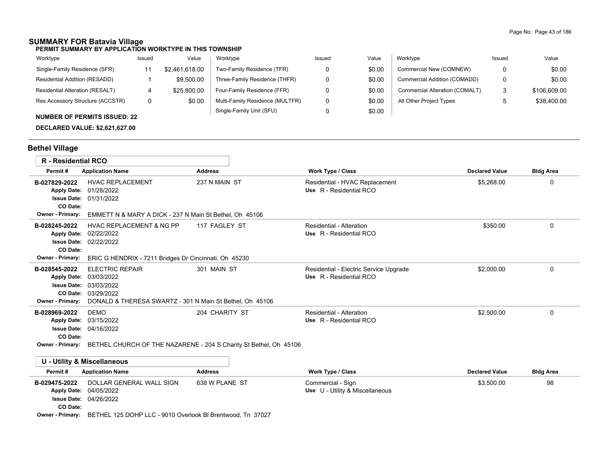# **SUMMARY FOR Batavia Village**

**PERMIT SUMMARY BY APPLICATION WORKTYPE IN THIS TOWNSHIP**

| Worktype                               | Issued | Value          | Worktype                        | Issued | Value  | Worktype                       | Issued | Value        |
|----------------------------------------|--------|----------------|---------------------------------|--------|--------|--------------------------------|--------|--------------|
| Single-Family Residence (SFR)          |        | \$2.461.618.00 | Two-Family Residence (TFR)      |        | \$0.00 | Commercial New (COMNEW)        | 0      | \$0.00       |
| Residential Addition (RESADD)          |        | \$9,500.00     | Three-Family Residence (THFR)   |        | \$0.00 | Commercial Addition (COMADD)   | 0      | \$0.00       |
| <b>Residential Alteration (RESALT)</b> | 4      | \$25,800.00    | Four-Family Residence (FFR)     |        | \$0.00 | Commercial Alteration (COMALT) | د.     | \$106,609.00 |
| Res Accessory Structure (ACCSTR)       | 0      | \$0.00         | Multi-Family Residence (MULTFR) |        | \$0.00 | All Other Project Types        |        | \$38,400.00  |
| AUBURER OF BERMITO IOOUER, OO          |        |                | Single-Family Unit (SFU)        |        | \$0.00 |                                |        |              |

### **NUMBER OF PERMITS ISSUED: 22**

**DECLARED VALUE: \$2,621,627.00**

# **Bethel Village**

| <b>R</b> - Residential RCO                                                                       |                                                                                                                              |                |                                                                   |                       |                  |
|--------------------------------------------------------------------------------------------------|------------------------------------------------------------------------------------------------------------------------------|----------------|-------------------------------------------------------------------|-----------------------|------------------|
| Permit#                                                                                          | <b>Application Name</b>                                                                                                      | <b>Address</b> | <b>Work Type / Class</b>                                          | <b>Declared Value</b> | <b>Bldg Area</b> |
| B-027829-2022<br><b>Apply Date:</b><br><b>Issue Date:</b><br>CO Date:<br><b>Owner - Primary:</b> | <b>HVAC REPLACEMENT</b><br>01/28/2022<br>01/31/2022<br>EMMETT N & MARY A DICK - 237 N Main St Bethel, Oh 45106               | 237 N MAIN ST  | Residential - HVAC Replacement<br>Use R - Residential RCO         | \$5,268.00            | 0                |
| B-028245-2022<br><b>Apply Date:</b><br><b>Issue Date:</b><br>CO Date:<br>Owner - Primary:        | <b>HVAC REPLACEMENT &amp; NG PP</b><br>02/22/2022<br>02/22/2022<br>ERIC G HENDRIX - 7211 Bridges Dr Cincinnati, Oh 45230     | 117 FAGLEY ST  | Residential - Alteration<br>Use R - Residential RCO               | \$350.00              | $\Omega$         |
| B-028545-2022<br><b>Apply Date:</b><br><b>Issue Date:</b><br>CO Date:<br><b>Owner - Primary:</b> | <b>ELECTRIC REPAIR</b><br>03/03/2022<br>03/03/2022<br>03/29/2022<br>DONALD & THERESA SWARTZ - 301 N Main St Bethel, Oh 45106 | 301 MAIN ST    | Residential - Electric Service Upgrade<br>Use R - Residential RCO | \$2,000.00            | 0                |
| B-028969-2022<br><b>Apply Date:</b><br><b>Issue Date:</b><br>CO Date:<br>Owner - Primary:        | <b>DEMO</b><br>03/15/2022<br>04/16/2022<br>BETHEL CHURCH OF THE NAZARENE - 204 S Charity St Bethel, Oh 45106                 | 204 CHARITY ST | Residential - Alteration<br>Use R - Residential RCO               | \$2,500.00            | $\Omega$         |
|                                                                                                  | <b>U - Utility &amp; Miscellaneous</b>                                                                                       |                |                                                                   |                       |                  |
| Permit#                                                                                          | <b>Application Name</b>                                                                                                      | <b>Address</b> | <b>Work Type / Class</b>                                          | <b>Declared Value</b> | <b>Bldg Area</b> |
| B-029475-2022                                                                                    | DOLLAR GENERAL WALL SIGN                                                                                                     | 638 W PLANE ST | Commercial - Sign                                                 | \$3.500.00            | 98               |

**Apply Date: Use** U - Utility & Miscellaneous

04/26/2022 **Issue Date:**

**CO Date:**

Apply Date: 04/05/2022

**Owner - Primary:** BETHEL 125 DOHP LLC - 9010 Overlook Bl Brentwood, Tn 37027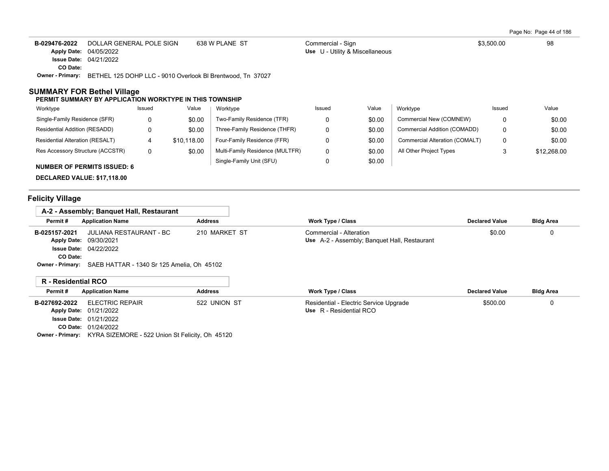Page No: Page 44 of 186

| B-029476-2022               | DOLLAR GENERAL POLE SIGN                                                                                                                                                                                                                                                                                                                                                             | 638 W PLANE ST        | Commercial - Sign                      | \$3.500.00 | 98 |
|-----------------------------|--------------------------------------------------------------------------------------------------------------------------------------------------------------------------------------------------------------------------------------------------------------------------------------------------------------------------------------------------------------------------------------|-----------------------|----------------------------------------|------------|----|
|                             | Apply Date: 04/05/2022                                                                                                                                                                                                                                                                                                                                                               |                       | <b>Use</b> U - Utility & Miscellaneous |            |    |
|                             | <b>Issue Date: 04/21/2022</b>                                                                                                                                                                                                                                                                                                                                                        |                       |                                        |            |    |
| CO Date:                    |                                                                                                                                                                                                                                                                                                                                                                                      |                       |                                        |            |    |
| $\sim$ $\sim$ $\sim$ $\sim$ | $\overline{a}$ $\overline{a}$ $\overline{a}$ $\overline{a}$ $\overline{a}$ $\overline{a}$ $\overline{a}$ $\overline{a}$ $\overline{a}$ $\overline{a}$ $\overline{a}$ $\overline{a}$ $\overline{a}$ $\overline{a}$ $\overline{a}$ $\overline{a}$ $\overline{a}$ $\overline{a}$ $\overline{a}$ $\overline{a}$ $\overline{a}$ $\overline{a}$ $\overline{a}$ $\overline{a}$ $\overline{$ | $\bullet - \bullet -$ |                                        |            |    |

**Owner - Primary:** BETHEL 125 DOHP LLC - 9010 Overlook Bl Brentwood, Tn 37027

#### **SUMMARY FOR Bethel Village**

#### **PERMIT SUMMARY BY APPLICATION WORKTYPE IN THIS TOWNSHIP**

| Worktype                           | Issued | Value       | Worktype                        | Issued | Value  | Worktype                       | Issued               | Value       |
|------------------------------------|--------|-------------|---------------------------------|--------|--------|--------------------------------|----------------------|-------------|
| Single-Family Residence (SFR)      |        | \$0.00      | Two-Family Residence (TFR)      |        | \$0.00 | Commercial New (COMNEW)        |                      | \$0.00      |
| Residential Addition (RESADD)      |        | \$0.00      | Three-Family Residence (THFR)   |        | \$0.00 | Commercial Addition (COMADD)   |                      | \$0.00      |
| Residential Alteration (RESALT)    |        | \$10.118.00 | Four-Family Residence (FFR)     |        | \$0.00 | Commercial Alteration (COMALT) |                      | \$0.00      |
| Res Accessory Structure (ACCSTR)   | 0      | \$0.00      | Multi-Family Residence (MULTFR) |        | \$0.00 | All Other Project Types        | $\ddot{\phantom{1}}$ | \$12,268.00 |
| <b>NUMBER OF PERMITS ISSUED: 6</b> |        |             | Single-Family Unit (SFU)        |        | \$0.00 |                                |                      |             |

Commercial - Sign

**DECLARED VALUE: \$17,118.00**

# **Felicity Village**

| A-2 - Assembly: Banguet Hall. Restaurant                           |                |                                                                         |                       |                  |
|--------------------------------------------------------------------|----------------|-------------------------------------------------------------------------|-----------------------|------------------|
| Permit #<br><b>Application Name</b>                                | <b>Address</b> | <b>Work Type / Class</b>                                                | <b>Declared Value</b> | <b>Bldg Area</b> |
| JULIANA RESTAURANT - BC<br>B-025157-2021<br>Apply Date: 09/30/2021 | 210 MARKET ST  | Commercial - Alteration<br>Use A-2 - Assembly; Banquet Hall, Restaurant | \$0.00                | 0                |
| <b>Issue Date: 04/22/2022</b><br>CO Date:                          |                |                                                                         |                       |                  |
| Owner - Primary: SAEB HATTAR - 1340 Sr 125 Amelia, Oh 45102        |                |                                                                         |                       |                  |
| D. Desidential DCO                                                 |                |                                                                         |                       |                  |

| Permit#       |                 | <b>Address</b>                                                                                                                               | <b>Work Type / Class</b>               | <b>Declared Value</b> | <b>Bldg Area</b> |
|---------------|-----------------|----------------------------------------------------------------------------------------------------------------------------------------------|----------------------------------------|-----------------------|------------------|
| B-027692-2022 | ELECTRIC REPAIR | 522 UNION ST                                                                                                                                 | Residential - Electric Service Upgrade | \$500.00              |                  |
|               |                 |                                                                                                                                              | Use R - Residential RCO                |                       |                  |
|               |                 |                                                                                                                                              |                                        |                       |                  |
|               |                 |                                                                                                                                              |                                        |                       |                  |
|               |                 | IN " INGSIUGHLICH IN YOU<br><b>Application Name</b><br><b>Apply Date: 01/21/2022</b><br><b>Issue Date: 01/21/2022</b><br>CO Date: 01/24/2022 |                                        |                       |                  |

**Owner - Primary:** KYRA SIZEMORE - 522 Union St Felicity, Oh 45120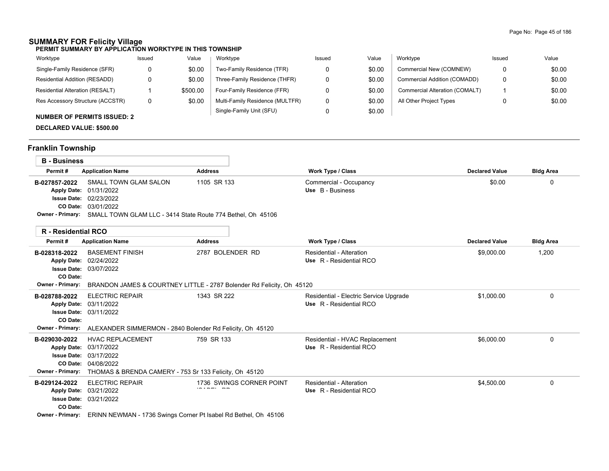#### **SUMMARY FOR Felicity Village PERMIT SUMMARY BY APPLICATION WORKTYPE IN THIS TOWNSHIP**

| Worktype                         | Issued | Value    | Worktype                        | Issued | Value  | Worktype                       | Issued | Value  |
|----------------------------------|--------|----------|---------------------------------|--------|--------|--------------------------------|--------|--------|
| Single-Family Residence (SFR)    |        | \$0.00   | Two-Family Residence (TFR)      |        | \$0.00 | Commercial New (COMNEW)        |        | \$0.00 |
| Residential Addition (RESADD)    |        | \$0.00   | Three-Family Residence (THFR)   |        | \$0.00 | Commercial Addition (COMADD)   |        | \$0.00 |
| Residential Alteration (RESALT)  |        | \$500.00 | Four-Family Residence (FFR)     |        | \$0.00 | Commercial Alteration (COMALT) |        | \$0.00 |
| Res Accessory Structure (ACCSTR) |        | \$0.00   | Multi-Family Residence (MULTFR) |        | \$0.00 | All Other Project Types        |        | \$0.00 |
|                                  |        |          | Single-Family Unit (SFU)        |        | \$0.00 |                                |        |        |

# **NUMBER OF PERMITS ISSUED: 2**

**DECLARED VALUE: \$500.00**

# **Franklin Township**

| <b>B</b> - Business                                                                                    |                                                                                                                      |                                            |                       |                  |
|--------------------------------------------------------------------------------------------------------|----------------------------------------------------------------------------------------------------------------------|--------------------------------------------|-----------------------|------------------|
| Permit#<br><b>Application Name</b>                                                                     | <b>Address</b>                                                                                                       | Work Type / Class                          | <b>Declared Value</b> | <b>Bldg Area</b> |
| B-027857-2022<br>Apply Date: 01/31/2022<br><b>Issue Date: 02/23/2022</b><br><b>CO Date: 03/01/2022</b> | 1105 SR 133<br>SMALL TOWN GLAM SALON<br>Owner - Primary: SMALL TOWN GLAM LLC - 3414 State Route 774 Bethel, Oh 45106 | Commercial - Occupancy<br>Use B - Business | \$0.00                |                  |

| <b>R</b> - Residential RCO                                                                |                                                                                                                                                     |                                                                                      |                                                                   |                       |                  |
|-------------------------------------------------------------------------------------------|-----------------------------------------------------------------------------------------------------------------------------------------------------|--------------------------------------------------------------------------------------|-------------------------------------------------------------------|-----------------------|------------------|
| Permit#                                                                                   | <b>Application Name</b>                                                                                                                             | <b>Address</b>                                                                       | <b>Work Type / Class</b>                                          | <b>Declared Value</b> | <b>Bldg Area</b> |
| B-028318-2022<br><b>Apply Date:</b><br><b>Issue Date:</b><br>CO Date:<br>Owner - Primary: | <b>BASEMENT FINISH</b><br>02/24/2022<br>03/07/2022                                                                                                  | 2787 BOLENDER RD                                                                     | Residential - Alteration<br>Use R - Residential RCO               | \$9,000.00            | 1,200            |
| B-028788-2022<br><b>Apply Date:</b><br>CO Date:                                           | <b>ELECTRIC REPAIR</b><br>03/11/2022<br><b>Issue Date: 03/11/2022</b><br>Owner - Primary: ALEXANDER SIMMERMON - 2840 Bolender Rd Felicity, Oh 45120 | BRANDON JAMES & COURTNEY LITTLE - 2787 Bolender Rd Felicity, Oh 45120<br>1343 SR 222 | Residential - Electric Service Upgrade<br>Use R - Residential RCO | \$1,000.00            | 0                |
| B-029030-2022<br><b>Issue Date:</b><br><b>Owner - Primary:</b>                            | <b>HVAC REPLACEMENT</b><br>Apply Date: 03/17/2022<br>03/17/2022<br>CO Date: 04/08/2022<br>THOMAS & BRENDA CAMERY - 753 Sr 133 Felicity, Oh 45120    | 759 SR 133                                                                           | Residential - HVAC Replacement<br>Use R - Residential RCO         | \$6,000.00            | 0                |
| B-029124-2022<br><b>Apply Date:</b><br>CO Date:<br><b>Owner - Primary:</b>                | <b>ELECTRIC REPAIR</b><br>03/21/2022<br><b>Issue Date: 03/21/2022</b><br>ERINN NEWMAN - 1736 Swings Corner Pt Isabel Rd Bethel, Oh 45106            | 1736 SWINGS CORNER POINT                                                             | Residential - Alteration<br>Use R - Residential RCO               | \$4,500.00            | 0                |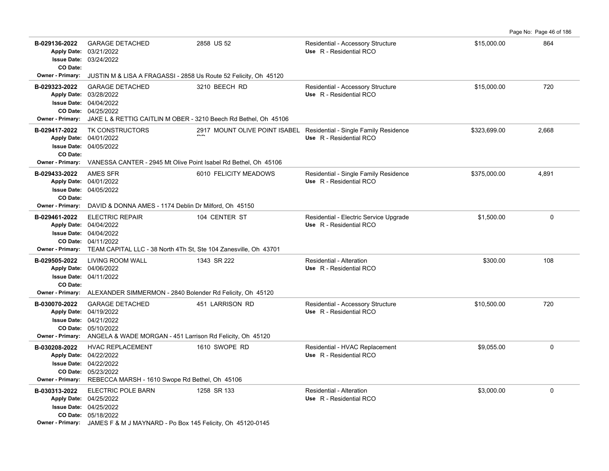| Page No: Page 46 of 186 |  |  |  |
|-------------------------|--|--|--|
|-------------------------|--|--|--|

| B-029136-2022<br>CO Date:                            | <b>GARAGE DETACHED</b><br>Apply Date: 03/21/2022<br><b>Issue Date: 03/24/2022</b>                                                                                                             | 2858 US 52            | Residential - Accessory Structure<br>Use R - Residential RCO                                   | \$15,000.00  | 864   |
|------------------------------------------------------|-----------------------------------------------------------------------------------------------------------------------------------------------------------------------------------------------|-----------------------|------------------------------------------------------------------------------------------------|--------------|-------|
| <b>Owner - Primary:</b>                              | JUSTIN M & LISA A FRAGASSI - 2858 Us Route 52 Felicity, Oh 45120                                                                                                                              |                       |                                                                                                |              |       |
| B-029323-2022                                        | <b>GARAGE DETACHED</b><br>Apply Date: 03/28/2022<br><b>Issue Date: 04/04/2022</b><br>CO Date: 04/25/2022<br>Owner - Primary: JAKE L & RETTIG CAITLIN M OBER - 3210 Beech Rd Bethel, Oh 45106  | 3210 BEECH RD         | Residential - Accessory Structure<br>Use R - Residential RCO                                   | \$15,000.00  | 720   |
| B-029417-2022<br>CO Date:<br><b>Owner - Primary:</b> | TK CONSTRUCTORS<br>Apply Date: 04/01/2022<br><b>Issue Date: 04/05/2022</b><br>VANESSA CANTER - 2945 Mt Olive Point Isabel Rd Bethel, Oh 45106                                                 |                       | 2917 MOUNT OLIVE POINT ISABEL Residential - Single Family Residence<br>Use R - Residential RCO | \$323,699.00 | 2,668 |
| B-029433-2022<br>CO Date:<br>Owner - Primary:        | AMES SFR<br>Apply Date: 04/01/2022<br><b>Issue Date: 04/05/2022</b><br>DAVID & DONNA AMES - 1174 Deblin Dr Milford, Oh 45150                                                                  | 6010 FELICITY MEADOWS | Residential - Single Family Residence<br>Use R - Residential RCO                               | \$375,000.00 | 4,891 |
| B-029461-2022                                        | <b>ELECTRIC REPAIR</b><br>Apply Date: 04/04/2022<br><b>Issue Date: 04/04/2022</b><br>CO Date: 04/11/2022<br>Owner - Primary: TEAM CAPITAL LLC - 38 North 4Th St, Ste 104 Zanesville, Oh 43701 | 104 CENTER ST         | Residential - Electric Service Upgrade<br>Use R - Residential RCO                              | \$1,500.00   | 0     |
| B-029505-2022<br>CO Date:                            | LIVING ROOM WALL<br>Apply Date: 04/06/2022<br><b>Issue Date: 04/11/2022</b><br>Owner - Primary: ALEXANDER SIMMERMON - 2840 Bolender Rd Felicity, Oh 45120                                     | 1343 SR 222           | Residential - Alteration<br>Use R - Residential RCO                                            | \$300.00     | 108   |
| B-030070-2022                                        | <b>GARAGE DETACHED</b><br>Apply Date: 04/19/2022<br><b>Issue Date: 04/21/2022</b><br>CO Date: 05/10/2022<br>Owner - Primary: ANGELA & WADE MORGAN - 451 Larrison Rd Felicity, Oh 45120        | 451 LARRISON RD       | Residential - Accessory Structure<br>Use R - Residential RCO                                   | \$10,500.00  | 720   |
| B-030208-2022                                        | <b>HVAC REPLACEMENT</b><br>Apply Date: 04/22/2022<br><b>Issue Date: 04/22/2022</b><br>CO Date: 05/23/2022<br>Owner - Primary: REBECCA MARSH - 1610 Swope Rd Bethel, Oh 45106                  | 1610 SWOPE RD         | Residential - HVAC Replacement<br>Use R - Residential RCO                                      | \$9,055.00   | 0     |
| B-030313-2022                                        | ELECTRIC POLE BARN<br>Apply Date: 04/25/2022<br><b>Issue Date: 04/25/2022</b><br>CO Date: 05/18/2022<br>Owner - Primary: JAMES F & M J MAYNARD - Po Box 145 Felicity, Oh 45120-0145           | 1258 SR 133           | Residential - Alteration<br>Use R - Residential RCO                                            | \$3,000.00   | 0     |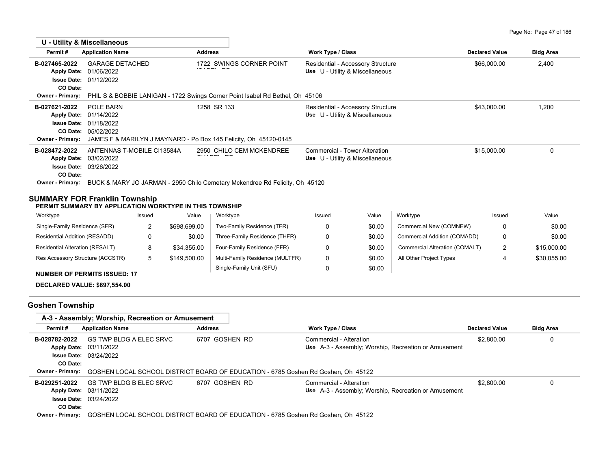|                                                                                      | U - Utility & Miscellaneous                                                                                                      |                                                                               |                                                                      |                       |                  |
|--------------------------------------------------------------------------------------|----------------------------------------------------------------------------------------------------------------------------------|-------------------------------------------------------------------------------|----------------------------------------------------------------------|-----------------------|------------------|
| Permit#                                                                              | <b>Application Name</b>                                                                                                          | <b>Address</b>                                                                | Work Type / Class                                                    | <b>Declared Value</b> | <b>Bldg Area</b> |
| B-027465-2022<br><b>Apply Date:</b>                                                  | <b>GARAGE DETACHED</b><br>01/06/2022                                                                                             | 1722 SWINGS CORNER POINT                                                      | Residential - Accessory Structure<br>Use U - Utility & Miscellaneous | \$66,000.00           | 2,400            |
| CO Date:<br>Owner - Primary:                                                         | <b>Issue Date: 01/12/2022</b>                                                                                                    | PHIL S & BOBBIE LANIGAN - 1722 Swings Corner Point Isabel Rd Bethel, Oh 45106 |                                                                      |                       |                  |
| B-027621-2022<br><b>Apply Date:</b><br><b>Issue Date:</b><br><b>Owner - Primary:</b> | POLE BARN<br>01/14/2022<br>01/18/2022<br>CO Date: 05/02/2022<br>JAMES F & MARILYN J MAYNARD - Po Box 145 Felicity, Oh 45120-0145 | 1258 SR 133                                                                   | Residential - Accessory Structure<br>Use U - Utility & Miscellaneous | \$43,000.00           | 1,200            |
| B-028472-2022<br><b>Apply Date:</b><br><b>Issue Date:</b><br>CO Date:                | ANTENNAS T-MOBILE CI13584A<br>03/02/2022<br>03/26/2022                                                                           | 2950 CHILO CEM MCKENDREE                                                      | Commercial - Tower Alteration<br>Use U - Utility & Miscellaneous     | \$15,000.00           | 0                |
| <b>Owner - Primary:</b>                                                              | BUCK & MARY JO JARMAN - 2950 Chilo Cemetary Mckendree Rd Felicity, Oh 45120<br>SUMMARY FOR Franklin Township                     |                                                                               |                                                                      |                       |                  |
|                                                                                      | PERMIT SUMMARY BY APPLICATION WORKTYPE IN THIS TOWNSHIP                                                                          |                                                                               |                                                                      |                       |                  |

| Worktype                            | Issued | Value        | Worktype                        | Issued | Value  | Worktype                       | Issued | Value       |
|-------------------------------------|--------|--------------|---------------------------------|--------|--------|--------------------------------|--------|-------------|
| Single-Family Residence (SFR)       |        | \$698,699.00 | Two-Family Residence (TFR)      |        | \$0.00 | Commercial New (COMNEW)        |        | \$0.00      |
| Residential Addition (RESADD)       |        | \$0.00       | Three-Family Residence (THFR)   |        | \$0.00 | Commercial Addition (COMADD)   |        | \$0.00      |
| Residential Alteration (RESALT)     |        | \$34.355.00  | Four-Family Residence (FFR)     |        | \$0.00 | Commercial Alteration (COMALT) |        | \$15,000.00 |
| Res Accessory Structure (ACCSTR)    |        | \$149,500.00 | Multi-Family Residence (MULTFR) |        | \$0.00 | All Other Project Types        |        | \$30.055.00 |
| <b>NUMBER OF PERMITS ISSUED: 17</b> |        |              | Single-Family Unit (SFU)        |        | \$0.00 |                                |        |             |
|                                     |        |              |                                 |        |        |                                |        |             |

**DECLARED VALUE: \$897,554.00**

# **Goshen Township**

|                         | A-3 - Assembly: Worship, Recreation or Amusement  |                                                                                   |                                                                                 |                       |                  |
|-------------------------|---------------------------------------------------|-----------------------------------------------------------------------------------|---------------------------------------------------------------------------------|-----------------------|------------------|
| Permit#                 | <b>Application Name</b>                           | <b>Address</b>                                                                    | <b>Work Type / Class</b>                                                        | <b>Declared Value</b> | <b>Bldg Area</b> |
| B-028782-2022           | GS TWP BLDG A ELEC SRVC<br>Apply Date: 03/11/2022 | 6707 GOSHEN RD                                                                    | Commercial - Alteration<br>Use A-3 - Assembly; Worship, Recreation or Amusement | \$2,800.00            | 0                |
|                         | <b>Issue Date: 03/24/2022</b>                     |                                                                                   |                                                                                 |                       |                  |
| CO Date:                |                                                   |                                                                                   |                                                                                 |                       |                  |
| <b>Owner - Primary:</b> |                                                   | GOSHEN LOCAL SCHOOL DISTRICT BOARD OF EDUCATION - 6785 Goshen Rd Goshen, Oh 45122 |                                                                                 |                       |                  |
| B-029251-2022           | GS TWP BLDG B ELEC SRVC                           | 6707 GOSHEN RD                                                                    | Commercial - Alteration                                                         | \$2,800.00            | 0                |
|                         | <b>Apply Date: 03/11/2022</b>                     |                                                                                   | Use A-3 - Assembly; Worship, Recreation or Amusement                            |                       |                  |
|                         | <b>Issue Date: 03/24/2022</b>                     |                                                                                   |                                                                                 |                       |                  |
| CO Date:                |                                                   |                                                                                   |                                                                                 |                       |                  |
| <b>Owner - Primary:</b> |                                                   | GOSHEN LOCAL SCHOOL DISTRICT BOARD OF EDUCATION - 6785 Goshen Rd Goshen. Oh 45122 |                                                                                 |                       |                  |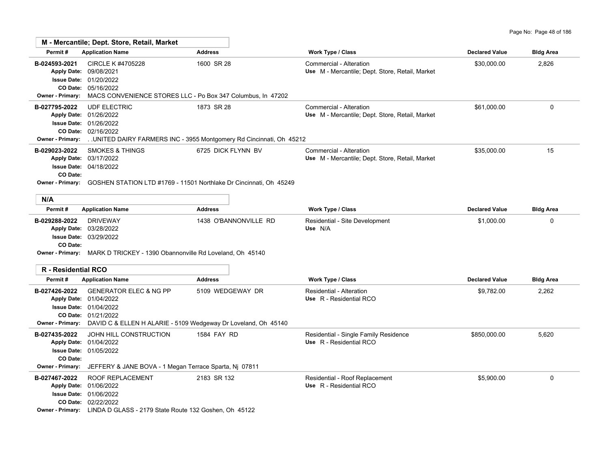|                                                             | M - Mercantile; Dept. Store, Retail, Market                                                                                                                                  |                                                                                                           |                                                                            |                       |                  |
|-------------------------------------------------------------|------------------------------------------------------------------------------------------------------------------------------------------------------------------------------|-----------------------------------------------------------------------------------------------------------|----------------------------------------------------------------------------|-----------------------|------------------|
| Permit#                                                     | <b>Application Name</b>                                                                                                                                                      | <b>Address</b>                                                                                            | Work Type / Class                                                          | <b>Declared Value</b> | <b>Bldg Area</b> |
| B-024593-2021<br>Apply Date: 09/08/2021<br>Owner - Primary: | CIRCLE K #4705228<br><b>Issue Date: 01/20/2022</b><br>CO Date: 05/16/2022                                                                                                    | 1600 SR 28<br>MACS CONVENIENCE STORES LLC - Po Box 347 Columbus, In 47202                                 | Commercial - Alteration<br>Use M - Mercantile; Dept. Store, Retail, Market | \$30,000.00           | 2,826            |
| B-027795-2022<br><b>Owner - Primary:</b>                    | <b>UDF ELECTRIC</b><br>Apply Date: 01/26/2022<br>Issue Date: 01/26/2022<br>CO Date: 02/16/2022                                                                               | 1873 SR 28<br>. UNITED DAIRY FARMERS INC - 3955 Montgomery Rd Cincinnati, Oh 45212                        | Commercial - Alteration<br>Use M - Mercantile; Dept. Store, Retail, Market | \$61,000.00           | 0                |
| B-029023-2022<br>CO Date:                                   | <b>SMOKES &amp; THINGS</b><br>Apply Date: 03/17/2022<br><b>Issue Date: 04/18/2022</b>                                                                                        | 6725 DICK FLYNN BV<br>Owner - Primary: GOSHEN STATION LTD #1769 - 11501 Northlake Dr Cincinnati, Oh 45249 | Commercial - Alteration<br>Use M - Mercantile; Dept. Store, Retail, Market | \$35,000.00           | 15               |
| N/A                                                         |                                                                                                                                                                              |                                                                                                           |                                                                            |                       |                  |
| Permit#                                                     | <b>Application Name</b>                                                                                                                                                      | <b>Address</b>                                                                                            | Work Type / Class                                                          | <b>Declared Value</b> | <b>Bldg Area</b> |
| B-029288-2022<br>CO Date:                                   | <b>DRIVEWAY</b><br>Apply Date: 03/28/2022<br><b>Issue Date: 03/29/2022</b><br>Owner - Primary: MARK D TRICKEY - 1390 Obannonville Rd Loveland, Oh 45140                      | 1438 O'BANNONVILLE RD                                                                                     | Residential - Site Development<br>Use N/A                                  | \$1,000.00            | 0                |
| R - Residential RCO                                         |                                                                                                                                                                              |                                                                                                           |                                                                            |                       |                  |
| Permit#                                                     | <b>Application Name</b>                                                                                                                                                      | <b>Address</b>                                                                                            | Work Type / Class                                                          | <b>Declared Value</b> | <b>Bldg Area</b> |
| B-027426-2022<br><b>Owner - Primary:</b>                    | <b>GENERATOR ELEC &amp; NG PP</b><br>Apply Date: 01/04/2022<br><b>Issue Date: 01/04/2022</b><br>CO Date: 01/21/2022                                                          | 5109 WEDGEWAY DR<br>DAVID C & ELLEN H ALARIE - 5109 Wedgeway Dr Loveland, Oh 45140                        | Residential - Alteration<br>Use R - Residential RCO                        | \$9,782.00            | 2,262            |
| B-027435-2022<br>CO Date:<br><b>Owner - Primary:</b>        | JOHN HILL CONSTRUCTION<br>Apply Date: 01/04/2022<br>Issue Date: 01/05/2022<br>JEFFERY & JANE BOVA - 1 Megan Terrace Sparta, Nj 07811                                         | 1584 FAY RD                                                                                               | Residential - Single Family Residence<br>Use R - Residential RCO           | \$850,000.00          | 5,620            |
| B-027467-2022                                               | <b>ROOF REPLACEMENT</b><br>Apply Date: 01/06/2022<br>Issue Date: 01/06/2022<br>CO Date: 02/22/2022<br>Owner - Primary: LINDA D GLASS - 2179 State Route 132 Goshen, Oh 45122 | 2183 SR 132                                                                                               | Residential - Roof Replacement<br>Use R - Residential RCO                  | \$5,900.00            | 0                |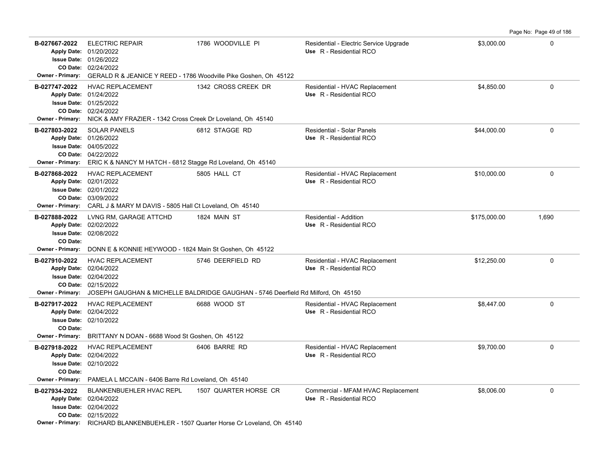**B-027667-2022** ELECTRIC REPAIR 1786 WOODVILLE PI Residential - Electric Service Upgrade \$3,000.00 \$3,000.00 0 02/24/2022 **CO Date:** 01/26/2022 **Issue Date:** 01/20/2022 **Apply Date: Use** R - Residential RCO **Owner - Primary:** GERALD R & JEANICE Y REED - 1786 Woodville Pike Goshen, Oh 45122 **B-027747-2022** HVAC REPLACEMENT 1342 CROSS CREEK DR Residential - HVAC Replacement \$4,850.00 \$4,850.00 02/24/2022 **CO Date:** 01/25/2022 **Issue Date:** 01/24/2022 **Apply Date: Use** R - Residential RCO **Owner - Primary:** NICK & AMY FRAZIER - 1342 Cross Creek Dr Loveland, Oh 45140 **B-027803-2022** SOLAR PANELS 6812 STAGGE\_RD Residential - Solar Panels \$44,000.00 0 04/22/2022 **CO Date:** 04/05/2022 **Issue Date:** 01/26/2022 **Apply Date: Use** R - Residential RCO SOLAR PANELS 6812 STAGGE RD Residential - Solar Panels **Owner - Primary:** ERIC K & NANCY M HATCH - 6812 Stagge Rd Loveland, Oh 45140 **B-027868-2022** \$10,000.00 0 HVAC REPLACEMENT 5805 HALL CT Residential - HVAC Replacement 03/09/2022 **CO Date:** 02/01/2022 **Issue Date:** Apply Date: 02/01/2022 **Apply Date: Use** R - Residential RCO **Owner - Primary:** CARL J & MARY M DAVIS - 5805 Hall Ct Loveland, Oh 45140 **B-027888-2022** \$175,000.00 1,690 LVNG RM, GARAGE ATTCHD 1824 MAIN ST Residential - Addition 02/08/2022 **Issue Date:** Apply Date: 02/02/2022 **Apply Date: Use** R - Residential RCO **CO Date: Owner - Primary:** DONN E & KONNIE HEYWOOD - 1824 Main St Goshen, Oh 45122 **B-027910-2022** \$12,250.00 0 HVAC REPLACEMENT 5746 DEERFIELD RD Residential - HVAC Replacement 02/15/2022 **CO Date:** 02/04/2022 **Issue Date:** Apply Date: 02/04/2022 **Apply Date: Use** R - Residential RCO **Owner - Primary:** JOSEPH GAUGHAN & MICHELLE BALDRIDGE GAUGHAN - 5746 Deerfield Rd Milford, Oh 45150 **B-027917-2022** HVAC REPLACEMENT 6688 WOOD ST Residential - HVAC Replacement \$8,447.00 \$8,447.00 02/10/2022 **Issue Date:** Apply Date: 02/04/2022 **Apply Date: Use** R - Residential RCO **CO Date: Owner - Primary:** BRITTANY N DOAN - 6688 Wood St Goshen, Oh 45122 **B-027918-2022** \$9,700.00 0 HVAC REPLACEMENT 6406 BARRE RD Residential - HVAC Replacement 02/10/2022 **Issue Date:** 02/04/2022 **Apply Date: Use** R - Residential RCO

**CO Date: Owner - Primary:** PAMELA L MCCAIN - 6406 Barre Rd Loveland, Oh 45140 **B-027934-2022** \$8,006.00 0 BLANKENBUEHLER HVAC REPL 1507 QUARTER HORSE CR Commercial - MFAM HVAC Replacement 02/15/2022 **CO Date:** 02/04/2022 **Issue Date:** Apply Date: 02/04/2022 **Apply Date: Use** R - Residential RCO

**Owner - Primary:** RICHARD BLANKENBUEHLER - 1507 Quarter Horse Cr Loveland, Oh 45140

Page No: Page 49 of 186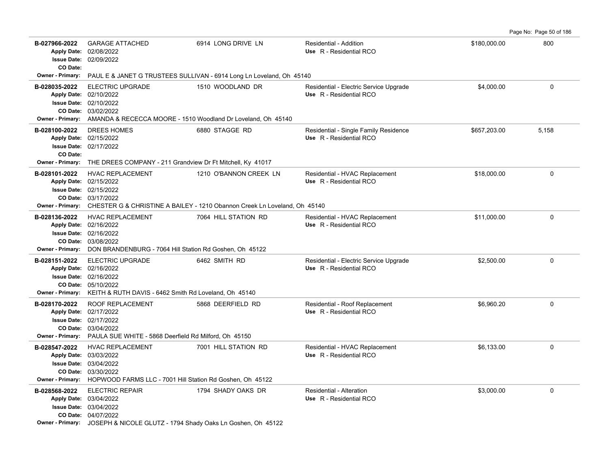Page No: Page 50 of 186

| B-027966-2022<br>CO Date:                     | <b>GARAGE ATTACHED</b><br>Apply Date: 02/08/2022<br><b>Issue Date: 02/09/2022</b>                                                                                                        | 6914 LONG DRIVE LN                                                                                  | Residential - Addition<br>Use R - Residential RCO                 | \$180,000.00 | 800         |
|-----------------------------------------------|------------------------------------------------------------------------------------------------------------------------------------------------------------------------------------------|-----------------------------------------------------------------------------------------------------|-------------------------------------------------------------------|--------------|-------------|
| <b>Owner - Primary:</b>                       |                                                                                                                                                                                          | PAUL E & JANET G TRUSTEES SULLIVAN - 6914 Long Ln Loveland, Oh 45140                                |                                                                   |              |             |
| B-028035-2022<br><b>Owner - Primary:</b>      | <b>ELECTRIC UPGRADE</b><br>Apply Date: 02/10/2022<br><b>Issue Date: 02/10/2022</b><br>CO Date: 03/02/2022<br>AMANDA & RECECCA MOORE - 1510 Woodland Dr Loveland, Oh 45140                | 1510 WOODLAND DR                                                                                    | Residential - Electric Service Upgrade<br>Use R - Residential RCO | \$4,000.00   | $\mathbf 0$ |
| B-028100-2022<br>CO Date:<br>Owner - Primary: | <b>DREES HOMES</b><br>Apply Date: 02/15/2022<br><b>Issue Date: 02/17/2022</b><br>THE DREES COMPANY - 211 Grandview Dr Ft Mitchell, Ky 41017                                              | 6880 STAGGE RD                                                                                      | Residential - Single Family Residence<br>Use R - Residential RCO  | \$657,203.00 | 5,158       |
| B-028101-2022<br>Owner - Primary:             | <b>HVAC REPLACEMENT</b><br>Apply Date: 02/15/2022<br>Issue Date: 02/15/2022<br>CO Date: 03/17/2022                                                                                       | 1210 O'BANNON CREEK LN<br>CHESTER G & CHRISTINE A BAILEY - 1210 Obannon Creek Ln Loveland, Oh 45140 | Residential - HVAC Replacement<br>Use R - Residential RCO         | \$18,000.00  | 0           |
| B-028136-2022<br><b>Owner - Primary:</b>      | <b>HVAC REPLACEMENT</b><br>Apply Date: 02/16/2022<br><b>Issue Date: 02/16/2022</b><br>CO Date: 03/08/2022<br>DON BRANDENBURG - 7064 Hill Station Rd Goshen, Oh 45122                     | 7064 HILL STATION RD                                                                                | Residential - HVAC Replacement<br>Use R - Residential RCO         | \$11,000.00  | $\mathbf 0$ |
| B-028151-2022<br><b>Owner - Primary:</b>      | <b>ELECTRIC UPGRADE</b><br>Apply Date: 02/16/2022<br><b>Issue Date: 02/16/2022</b><br>CO Date: 05/10/2022<br>KEITH & RUTH DAVIS - 6462 Smith Rd Loveland, Oh 45140                       | 6462 SMITH RD                                                                                       | Residential - Electric Service Upgrade<br>Use R - Residential RCO | \$2,500.00   | 0           |
| B-028170-2022<br>Owner - Primary:             | ROOF REPLACEMENT<br>Apply Date: 02/17/2022<br><b>Issue Date: 02/17/2022</b><br>CO Date: 03/04/2022<br>PAULA SUE WHITE - 5868 Deerfield Rd Milford, Oh 45150                              | 5868 DEERFIELD RD                                                                                   | Residential - Roof Replacement<br>Use R - Residential RCO         | \$6,960.20   | 0           |
| B-028547-2022<br>Owner - Primary:             | <b>HVAC REPLACEMENT</b><br>Apply Date: 03/03/2022<br><b>Issue Date: 03/04/2022</b><br>CO Date: 03/30/2022<br>HOPWOOD FARMS LLC - 7001 Hill Station Rd Goshen, Oh 45122                   | 7001 HILL STATION RD                                                                                | Residential - HVAC Replacement<br>Use R - Residential RCO         | \$6,133.00   | 0           |
| B-028568-2022                                 | <b>ELECTRIC REPAIR</b><br>Apply Date: 03/04/2022<br><b>Issue Date: 03/04/2022</b><br>CO Date: 04/07/2022<br>Owner - Primary: JOSEPH & NICOLE GLUTZ - 1794 Shady Oaks Ln Goshen, Oh 45122 | 1794 SHADY OAKS DR                                                                                  | Residential - Alteration<br>Use R - Residential RCO               | \$3,000.00   | 0           |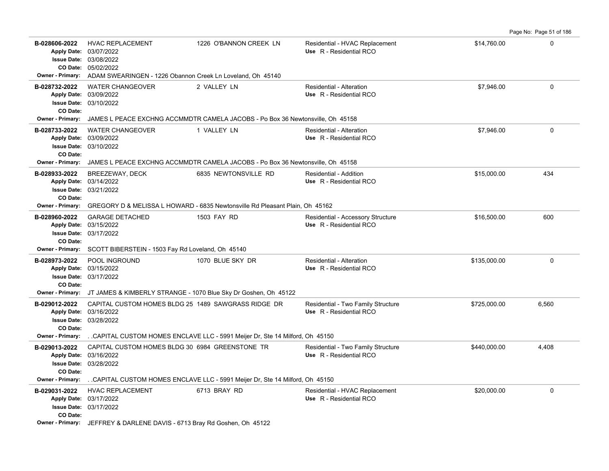**B-028606-2022** HVAC REPLACEMENT 1226 O'BANNON CREEK LN Residential - HVAC Replacement \$14,760.00 \$14,760.00 05/02/2022 **CO Date:** 03/08/2022 **Issue Date:** Apply Date: 03/07/2022 **Apply Date: Use** R - Residential RCO **Owner - Primary:** ADAM SWEARINGEN - 1226 Obannon Creek Ln Loveland, Oh 45140 **B-028732-2022** \$7,946.00 0 WATER CHANGEOVER 2 VALLEY LN Residential - Alteration 03/10/2022 **Issue Date:** 03/09/2022 **Apply Date: Use** R - Residential RCO **CO Date: Owner - Primary:** JAMES L PEACE EXCHNG ACCMMDTR CAMELA JACOBS - Po Box 36 Newtonsville, Oh 45158 **B-028733-2022** \$7,946.00 0 03/10/2022 **Issue Date:** 03/09/2022 **Apply Date: Use** R - Residential RCO WATER CHANGEOVER 1 VALLEY LN Residential - Alteration **CO Date: Owner - Primary:** JAMES L PEACE EXCHNG ACCMMDTR CAMELA JACOBS - Po Box 36 Newtonsville, Oh 45158 **B-028933-2022** \$15,000.00 434 BREEZEWAY, DECK 6835 NEWTONSVILLE RD Residential - Addition 03/21/2022 **Issue Date:** Apply Date: 03/14/2022 **Apply Date: Use** R - Residential RCO **CO Date: Owner - Primary:** GREGORY D & MELISSA L HOWARD - 6835 Newtonsville Rd Pleasant Plain, Oh 45162 **B-028960-2022** \$16,500.00 600 GARAGE DETACHED 1503 FAY RD Residential - Accessory Structure 03/17/2022 **Issue Date:** 03/15/2022 **Apply Date: Use** R - Residential RCO **CO Date: Owner - Primary:** SCOTT BIBERSTEIN - 1503 Fay Rd Loveland, Oh 45140 **B-028973-2022** POOL INGROUND 1070 BLUE SKY DR Residential - Alteration 5135,000.00 00 00 00 00 00 00 00 00 00 00 03/17/2022 **Issue Date:** Apply Date: 03/15/2022 POOL INGROUND 1070 BLUE SKY DR Residential - Alteration **Apply Date: Use** R - Residential RCO **CO Date: Owner - Primary:** JT JAMES & KIMBERLY STRANGE - 1070 Blue Sky Dr Goshen, Oh 45122 B-029012-2022 CAPITAL CUSTOM HOMES BLDG 25 1489 SAWGRASS RIDGE DR Residential - Two Family Structure  $$725,000.00$  6,560 03/28/2022 **Issue Date:** Apply Date: 03/16/2022 **Apply Date: Use** R - Residential RCO **CO Date: Owner - Primary:** . .CAPITAL CUSTOM HOMES ENCLAVE LLC - 5991 Meijer Dr, Ste 14 Milford, Oh 45150 B-029013-2022 CAPITAL CUSTOM HOMES BLDG 30 6984 GREENSTONE TR Residential - Two Family Structure  $4.408$ 03/28/2022 **Issue Date:** Apply Date: 03/16/2022 **Apply Date: Use** R - Residential RCO **CO Date: Owner - Primary:** . .CAPITAL CUSTOM HOMES ENCLAVE LLC - 5991 Meijer Dr, Ste 14 Milford, Oh 45150 **B-029031-2022** \$20,000.00 0 HVAC REPLACEMENT 6713 BRAY RD Residential - HVAC Replacement 03/17/2022 **Issue Date:** 03/17/2022 **Apply Date: Use** R - Residential RCO **CO Date:**

Page No: Page 51 of 186

**Owner - Primary:** JEFFREY & DARLENE DAVIS - 6713 Bray Rd Goshen, Oh 45122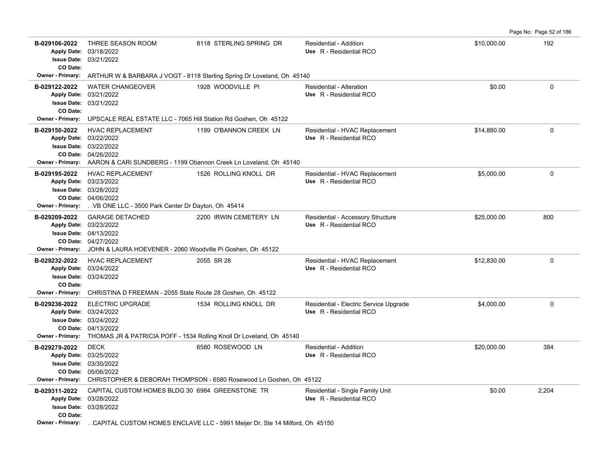**B-029106-2022** \$10,000.00 192 THREE SEASON ROOM 8118 STERLING SPRING DR Residential - Addition 03/21/2022 **Issue Date:** Apply Date: 03/18/2022 **Apply Date: Use** R - Residential RCO **CO Date: Owner - Primary:** ARTHUR W & BARBARA J VOGT - 8118 Sterling Spring Dr Loveland, Oh 45140 **B-029122-2022** WATER CHANGEOVER 1928 WOODVILLE PI Residential - Alteration 60 00 00 00 00 00 00 00 0 03/21/2022 **Issue Date:** 03/21/2022 **Apply Date: Use** R - Residential RCO **CO Date: Owner - Primary:** UPSCALE REAL ESTATE LLC - 7065 Hill Station Rd Goshen, Oh 45122 **B-029150-2022** HVAC REPLACEMENT 1199 O'BANNON CREEK LN Residential - HVAC Replacement \$14,880.00 \$14,880.00 0 04/26/2022 **CO Date:** 03/22/2022 **Issue Date:** 03/22/2022 **Apply Date: Use** R - Residential RCO **Owner - Primary:** AARON & CARI SUNDBERG - 1199 Obannon Creek Ln Loveland, Oh 45140 B-029195-2022 HVAC REPLACEMENT 1526 ROLLING KNOLL DR Residential - HVAC Replacement \$5,000.00 \$5,000.00 0 04/06/2022 **CO Date:** 03/28/2022 **Issue Date:** Apply Date: 03/23/2022 **Apply Date: Use** R - Residential RCO **Owner - Primary:** . .VB ONE LLC - 3500 Park Center Dr Dayton, Oh 45414 B-029209-2022 GARAGE DETACHED 2200 IRWIN CEMETERY LN Residential - Accessory Structure \$25,000.00 \$25,000.00 800 04/27/2022 **CO Date:** 04/13/2022 **Issue Date:** 03/23/2022 **Apply Date: Use** R - Residential RCO **Owner - Primary:** JOHN & LAURA HOEVENER - 2060 Woodville Pi Goshen, Oh 45122 **B-029232-2022** HVAC REPLACEMENT 2055 SR 28 Residential - HVAC Replacement \$12,830.00 0 0 03/24/2022 **Issue Date:** Apply Date: 03/24/2022 **Apply Date: Use** R - Residential RCO **CO Date: Owner - Primary:** CHRISTINA D FREEMAN - 2055 State Route 28 Goshen, Oh 45122 **B-029236-2022** ELECTRIC UPGRADE 1534 ROLLING KNOLL DR Residential - Electric Service Upgrade \$4,000.00 \$4,000.00 04/13/2022 **CO Date:** 03/24/2022 **Issue Date:** Apply Date: 03/24/2022 **Apply Date: Use** R - Residential RCO **Owner - Primary:** THOMAS JR & PATRICIA POFF - 1534 Rolling Knoll Dr Loveland, Oh 45140 **B-029279-2022** \$20,000.00 384 05/06/2022 **CO Date:** 03/30/2022 **Issue Date:** Apply Date: 03/25/2022 DECK 6580 ROSEWOOD LN Residential - Addition **Apply Date: Use** R - Residential RCO **Owner - Primary:** CHRISTOPHER & DEBORAH THOMPSON - 6580 Rosewood Ln Goshen, Oh 45122 B-029311-2022 CAPITAL CUSTOM HOMES BLDG 30 6984 GREENSTONE TR Residential - Single Family Unit  $$0.00$  \$0.00 2,204 03/28/2022 **Issue Date:** 03/28/2022 **Apply Date: Use** R - Residential RCO **CO Date:**

Page No: Page 52 of 186

**Owner - Primary:** . .CAPITAL CUSTOM HOMES ENCLAVE LLC - 5991 Meijer Dr, Ste 14 Milford, Oh 45150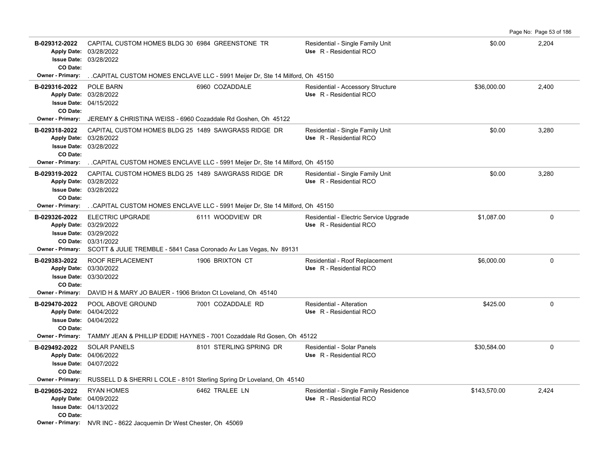|                                                                            |                                                                                                                                                                       |                                                                                                   |                                                                   |              | Page No: Page 53 of 186 |
|----------------------------------------------------------------------------|-----------------------------------------------------------------------------------------------------------------------------------------------------------------------|---------------------------------------------------------------------------------------------------|-------------------------------------------------------------------|--------------|-------------------------|
| B-029312-2022<br><b>Apply Date:</b><br><b>Issue Date:</b><br>CO Date:      | CAPITAL CUSTOM HOMES BLDG 30 6984 GREENSTONE TR<br>03/28/2022<br>03/28/2022                                                                                           |                                                                                                   | Residential - Single Family Unit<br>Use R - Residential RCO       | \$0.00       | 2,204                   |
| Owner - Primary:                                                           |                                                                                                                                                                       | . CAPITAL CUSTOM HOMES ENCLAVE LLC - 5991 Meijer Dr, Ste 14 Milford, Oh 45150                     |                                                                   |              |                         |
| B-029316-2022<br><b>Apply Date:</b><br><b>Issue Date:</b><br>CO Date:      | POLE BARN<br>03/28/2022<br>04/15/2022                                                                                                                                 | 6960 COZADDALE                                                                                    | Residential - Accessory Structure<br>Use R - Residential RCO      | \$36,000.00  | 2,400                   |
| Owner - Primary:                                                           | JEREMY & CHRISTINA WEISS - 6960 Cozaddale Rd Goshen, Oh 45122                                                                                                         |                                                                                                   |                                                                   |              |                         |
| B-029318-2022<br>CO Date:                                                  | CAPITAL CUSTOM HOMES BLDG 25 1489 SAWGRASS RIDGE DR<br>Apply Date: 03/28/2022<br><b>Issue Date: 03/28/2022</b>                                                        |                                                                                                   | Residential - Single Family Unit<br>Use R - Residential RCO       | \$0.00       | 3,280                   |
| Owner - Primary:                                                           |                                                                                                                                                                       | CAPITAL CUSTOM HOMES ENCLAVE LLC - 5991 Meijer Dr, Ste 14 Milford, Oh 45150                       |                                                                   |              |                         |
| B-029319-2022<br><b>Apply Date:</b><br>CO Date:                            | CAPITAL CUSTOM HOMES BLDG 25 1489 SAWGRASS RIDGE DR<br>03/28/2022<br><b>Issue Date: 03/28/2022</b>                                                                    |                                                                                                   | Residential - Single Family Unit<br>Use R - Residential RCO       | \$0.00       | 3,280                   |
| <b>Owner - Primary:</b>                                                    |                                                                                                                                                                       | CAPITAL CUSTOM HOMES ENCLAVE LLC - 5991 Meijer Dr, Ste 14 Milford, Oh 45150                       |                                                                   |              |                         |
| B-029326-2022<br>CO Date:<br><b>Owner - Primary:</b>                       | <b>ELECTRIC UPGRADE</b><br>Apply Date: 03/29/2022<br><b>Issue Date: 03/29/2022</b><br>03/31/2022<br>SCOTT & JULIE TREMBLE - 5841 Casa Coronado Av Las Vegas, Nv 89131 | 6111 WOODVIEW DR                                                                                  | Residential - Electric Service Upgrade<br>Use R - Residential RCO | \$1,087.00   | $\Omega$                |
| B-029383-2022<br><b>Issue Date:</b><br>CO Date:                            | <b>ROOF REPLACEMENT</b><br>Apply Date: 03/30/2022<br>03/30/2022                                                                                                       | 1906 BRIXTON CT                                                                                   | Residential - Roof Replacement<br>Use R - Residential RCO         | \$6,000.00   | $\Omega$                |
| <b>Owner - Primary:</b>                                                    | DAVID H & MARY JO BAUER - 1906 Brixton Ct Loveland, Oh 45140                                                                                                          |                                                                                                   |                                                                   |              |                         |
| B-029470-2022<br><b>Apply Date:</b><br>CO Date:                            | POOL ABOVE GROUND<br>04/04/2022<br><b>Issue Date: 04/04/2022</b>                                                                                                      | 7001 COZADDALE RD                                                                                 | Residential - Alteration<br>Use R - Residential RCO               | \$425.00     | $\Omega$                |
| <b>Owner - Primary:</b>                                                    | TAMMY JEAN & PHILLIP EDDIE HAYNES - 7001 Cozaddale Rd Gosen, Oh 45122                                                                                                 |                                                                                                   |                                                                   |              |                         |
| B-029492-2022<br><b>Issue Date:</b><br>CO Date:<br><b>Owner - Primary:</b> | <b>SOLAR PANELS</b><br>Apply Date: 04/06/2022<br>04/07/2022                                                                                                           | 8101 STERLING SPRING DR<br>RUSSELL D & SHERRI L COLE - 8101 Sterling Spring Dr Loveland, Oh 45140 | Residential - Solar Panels<br>Use R - Residential RCO             | \$30,584.00  | $\Omega$                |
| B-029605-2022                                                              | <b>RYAN HOMES</b>                                                                                                                                                     | 6462 TRALEE LN                                                                                    | Residential - Single Family Residence                             | \$143,570.00 | 2,424                   |
| CO Date:                                                                   | Apply Date: 04/09/2022<br><b>Issue Date: 04/13/2022</b>                                                                                                               |                                                                                                   | Use R - Residential RCO                                           |              |                         |
|                                                                            | Owner - Primary: NVR INC - 8622 Jacquemin Dr West Chester, Oh 45069                                                                                                   |                                                                                                   |                                                                   |              |                         |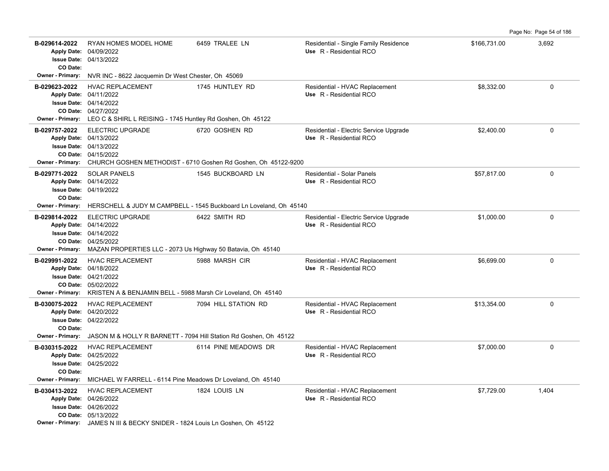|                                                                            |                                                                                                                                                                                           |                                                                                         |                                                                   |              | Page No: Page 54 of 186 |
|----------------------------------------------------------------------------|-------------------------------------------------------------------------------------------------------------------------------------------------------------------------------------------|-----------------------------------------------------------------------------------------|-------------------------------------------------------------------|--------------|-------------------------|
| B-029614-2022<br>CO Date:                                                  | RYAN HOMES MODEL HOME<br>Apply Date: 04/09/2022<br><b>Issue Date: 04/13/2022</b>                                                                                                          | 6459 TRALEE LN                                                                          | Residential - Single Family Residence<br>Use R - Residential RCO  | \$166,731.00 | 3,692                   |
| <b>Owner - Primary:</b>                                                    | NVR INC - 8622 Jacquemin Dr West Chester, Oh 45069                                                                                                                                        |                                                                                         |                                                                   |              |                         |
| B-029623-2022                                                              | HVAC REPLACEMENT<br>Apply Date: 04/11/2022<br><b>Issue Date: 04/14/2022</b><br>CO Date: 04/27/2022<br>Owner - Primary: LEO C & SHIRL L REISING - 1745 Huntley Rd Goshen, Oh 45122         | 1745 HUNTLEY RD                                                                         | Residential - HVAC Replacement<br>Use R - Residential RCO         | \$8.332.00   | $\Omega$                |
| B-029757-2022<br><b>Owner - Primary:</b>                                   | <b>ELECTRIC UPGRADE</b><br>Apply Date: 04/13/2022<br><b>Issue Date: 04/13/2022</b><br>CO Date: 04/15/2022                                                                                 | 6720 GOSHEN RD<br>CHURCH GOSHEN METHODIST - 6710 Goshen Rd Goshen, Oh 45122-9200        | Residential - Electric Service Upgrade<br>Use R - Residential RCO | \$2,400.00   | $\mathbf{0}$            |
| B-029771-2022<br>CO Date:<br><b>Owner - Primary:</b>                       | <b>SOLAR PANELS</b><br>Apply Date: 04/14/2022<br><b>Issue Date: 04/19/2022</b>                                                                                                            | 1545 BUCKBOARD LN<br>HERSCHELL & JUDY M CAMPBELL - 1545 Buckboard Ln Loveland, Oh 45140 | Residential - Solar Panels<br>Use R - Residential RCO             | \$57,817.00  | $\Omega$                |
| B-029814-2022                                                              | <b>ELECTRIC UPGRADE</b><br>Apply Date: 04/14/2022<br><b>Issue Date: 04/14/2022</b><br>CO Date: 04/25/2022<br>Owner - Primary: MAZAN PROPERTIES LLC - 2073 Us Highway 50 Batavia, Oh 45140 | 6422 SMITH RD                                                                           | Residential - Electric Service Upgrade<br>Use R - Residential RCO | \$1,000.00   | $\mathbf 0$             |
| B-029991-2022<br>Owner - Primary:                                          | <b>HVAC REPLACEMENT</b><br>Apply Date: 04/18/2022<br><b>Issue Date: 04/21/2022</b><br>CO Date: 05/02/2022<br>KRISTEN A & BENJAMIN BELL - 5988 Marsh Cir Loveland, Oh 45140                | 5988 MARSH CIR                                                                          | Residential - HVAC Replacement<br>Use R - Residential RCO         | \$6,699.00   | $\mathbf 0$             |
| B-030075-2022<br>CO Date:<br><b>Owner - Primary:</b>                       | <b>HVAC REPLACEMENT</b><br>Apply Date: 04/20/2022<br><b>Issue Date: 04/22/2022</b><br>JASON M & HOLLY R BARNETT - 7094 Hill Station Rd Goshen, Oh 45122                                   | 7094 HILL STATION RD                                                                    | Residential - HVAC Replacement<br>Use R - Residential RCO         | \$13,354.00  | $\mathbf 0$             |
| B-030315-2022<br><b>Issue Date:</b><br>CO Date:<br><b>Owner - Primary:</b> | <b>HVAC REPLACEMENT</b><br>Apply Date: 04/25/2022<br>04/25/2022<br>MICHAEL W FARRELL - 6114 Pine Meadows Dr Loveland, Oh 45140                                                            | 6114 PINE MEADOWS DR                                                                    | Residential - HVAC Replacement<br>Use R - Residential RCO         | \$7,000.00   | $\mathbf 0$             |
| B-030413-2022                                                              | <b>HVAC REPLACEMENT</b><br>Apply Date: 04/26/2022<br><b>Issue Date: 04/26/2022</b><br>CO Date: 05/13/2022<br>Owner - Primary: JAMES N III & BECKY SNIDER - 1824 Louis Ln Goshen, Oh 45122 | 1824 LOUIS LN                                                                           | Residential - HVAC Replacement<br>Use R - Residential RCO         | \$7,729.00   | 1,404                   |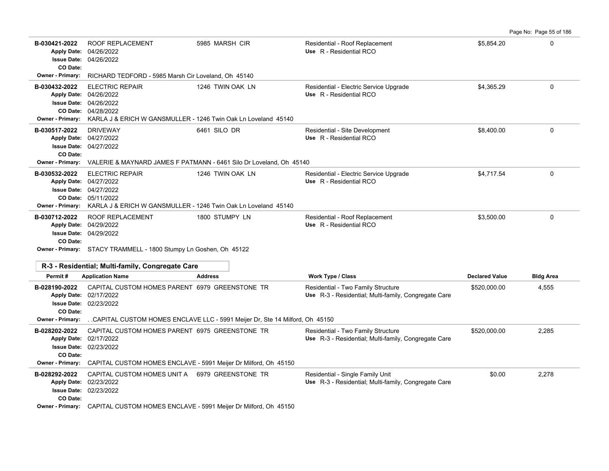| B-030421-2022<br><b>Apply Date:</b>      | <b>ROOF REPLACEMENT</b><br>04/26/2022<br><b>Issue Date: 04/26/2022</b><br>CO Date:                                                                                                    | 5985 MARSH CIR                                                                     | Residential - Roof Replacement<br>Use R - Residential RCO                                  | \$5.854.20            | $\mathbf{0}$     |
|------------------------------------------|---------------------------------------------------------------------------------------------------------------------------------------------------------------------------------------|------------------------------------------------------------------------------------|--------------------------------------------------------------------------------------------|-----------------------|------------------|
| <b>Owner - Primary:</b>                  | RICHARD TEDFORD - 5985 Marsh Cir Loveland, Oh 45140                                                                                                                                   |                                                                                    |                                                                                            |                       |                  |
| B-030432-2022<br><b>Owner - Primary:</b> | <b>ELECTRIC REPAIR</b><br>Apply Date: 04/26/2022<br><b>Issue Date: 04/26/2022</b><br>CO Date: 04/28/2022                                                                              | 1246 TWIN OAK LN<br>KARLA J & ERICH W GANSMULLER - 1246 Twin Oak Ln Loveland 45140 | Residential - Electric Service Upgrade<br>Use R - Residential RCO                          | \$4,365.29            | $\mathbf 0$      |
| B-030517-2022                            | <b>DRIVEWAY</b><br>Apply Date: 04/27/2022<br><b>Issue Date: 04/27/2022</b><br>CO Date:<br><b>Owner - Primary:</b> VALERIE & MAYNARD JAMES F PATMANN - 6461 Silo Dr Loveland, Oh 45140 | 6461 SILO DR                                                                       | Residential - Site Development<br>Use R - Residential RCO                                  | \$8,400.00            | $\mathbf{0}$     |
| B-030532-2022<br>Owner - Primary:        | <b>ELECTRIC REPAIR</b><br>Apply Date: 04/27/2022<br><b>Issue Date: 04/27/2022</b><br>CO Date: 05/11/2022                                                                              | 1246 TWIN OAK LN<br>KARLA J & ERICH W GANSMULLER - 1246 Twin Oak Ln Loveland 45140 | Residential - Electric Service Upgrade<br>Use R - Residential RCO                          | \$4,717.54            | $\mathbf 0$      |
| B-030712-2022                            | <b>ROOF REPLACEMENT</b><br>Apply Date: 04/29/2022<br><b>Issue Date: 04/29/2022</b><br>CO Date:<br>Owner - Primary: STACY TRAMMELL - 1800 Stumpy Ln Goshen, Oh 45122                   | 1800 STUMPY LN                                                                     | Residential - Roof Replacement<br>Use R - Residential RCO                                  | \$3.500.00            | $\Omega$         |
|                                          | R-3 - Residential; Multi-family, Congregate Care                                                                                                                                      |                                                                                    |                                                                                            |                       |                  |
| Permit#                                  | <b>Application Name</b>                                                                                                                                                               | <b>Address</b>                                                                     | Work Type / Class                                                                          | <b>Declared Value</b> | <b>Bldg Area</b> |
| B-028190-2022                            | CAPITAL CUSTOM HOMES PARENT 6979 GREENSTONE TR<br>Apply Date: 02/17/2022<br><b>Issue Date: 02/23/2022</b><br>CO Date:                                                                 |                                                                                    | Residential - Two Family Structure<br>Use R-3 - Residential; Multi-family, Congregate Care | \$520,000.00          | 4,555            |
| <b>Owner - Primary:</b>                  |                                                                                                                                                                                       | CAPITAL CUSTOM HOMES ENCLAVE LLC - 5991 Meijer Dr, Ste 14 Milford, Oh 45150        |                                                                                            |                       |                  |
| B-028202-2022<br>Owner - Primary:        | CAPITAL CUSTOM HOMES PARENT 6975 GREENSTONE TR<br>Apply Date: 02/17/2022<br><b>Issue Date: 02/23/2022</b><br>CO Date:                                                                 | CAPITAL CUSTOM HOMES ENCLAVE - 5991 Meijer Dr Milford, Oh 45150                    | Residential - Two Family Structure<br>Use R-3 - Residential; Multi-family, Congregate Care | \$520,000.00          | 2,285            |
| B-028292-2022                            | CAPITAL CUSTOM HOMES UNIT A 6979 GREENSTONE TR<br>Apply Date: 02/23/2022<br><b>Issue Date: 02/23/2022</b><br>CO Date:                                                                 |                                                                                    | Residential - Single Family Unit<br>Use R-3 - Residential; Multi-family, Congregate Care   | \$0.00                | 2,278            |
|                                          | Owner - Primary: CADITAL CLISTOM HOMES ENCLAVE 6001 Mojier Dr Milford Ob 45150                                                                                                        |                                                                                    |                                                                                            |                       |                  |

**Owner - Primary:** CAPITAL CUSTOM HOMES ENCLAVE - 5991 Meijer Dr Milford, Oh 45150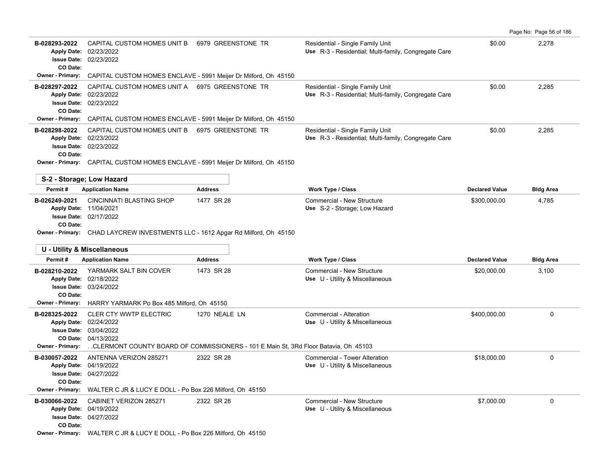| Page No: Page 56 of 186 |  |
|-------------------------|--|
|-------------------------|--|

| B-028293-2022<br>CO Date: | CAPITAL CUSTOM HOMES UNIT B<br>6979 GREENSTONE TR<br>Apply Date: 02/23/2022<br><b>Issue Date: 02/23/2022</b> |                | Residential - Single Family Unit<br>Use R-3 - Residential; Multi-family, Congregate Care | \$0.00                | 2,278            |
|---------------------------|--------------------------------------------------------------------------------------------------------------|----------------|------------------------------------------------------------------------------------------|-----------------------|------------------|
| <b>Owner - Primary:</b>   | CAPITAL CUSTOM HOMES ENCLAVE - 5991 Meijer Dr Milford, Oh 45150                                              |                |                                                                                          |                       |                  |
| B-028297-2022<br>CO Date: | CAPITAL CUSTOM HOMES UNIT A 6975 GREENSTONE TR<br>Apply Date: 02/23/2022<br><b>Issue Date: 02/23/2022</b>    |                | Residential - Single Family Unit<br>Use R-3 - Residential; Multi-family, Congregate Care | \$0.00                | 2,285            |
| Owner - Primary:          | CAPITAL CUSTOM HOMES ENCLAVE - 5991 Meijer Dr Milford, Oh 45150                                              |                |                                                                                          |                       |                  |
| B-028298-2022<br>CO Date: | CAPITAL CUSTOM HOMES UNIT B 6975 GREENSTONE TR<br>Apply Date: 02/23/2022<br><b>Issue Date: 02/23/2022</b>    |                | Residential - Single Family Unit<br>Use R-3 - Residential; Multi-family, Congregate Care | \$0.00                | 2,285            |
|                           | Owner - Primary: CAPITAL CUSTOM HOMES ENCLAVE - 5991 Meijer Dr Milford, Oh 45150                             |                |                                                                                          |                       |                  |
| S-2 - Storage; Low Hazard |                                                                                                              |                |                                                                                          |                       |                  |
| Permit#                   | <b>Application Name</b>                                                                                      | <b>Address</b> | Work Type / Class                                                                        | <b>Declared Value</b> | <b>Bldg Area</b> |
| B-026249-2021             | <b>CINCINNATI BLASTING SHOP</b>                                                                              | 1477 SR 28     | Commercial - New Structure                                                               | \$300,000.00          | 4,785            |
| Apply Date: 11/04/2021    |                                                                                                              |                | Use S-2 - Storage; Low Hazard                                                            |                       |                  |
|                           | <b>Issue Date: 02/17/2022</b>                                                                                |                |                                                                                          |                       |                  |
| CO Date:                  |                                                                                                              |                |                                                                                          |                       |                  |
|                           |                                                                                                              |                |                                                                                          |                       |                  |
|                           | Owner - Primary: CHAD LAYCREW INVESTMENTS LLC - 1612 Apgar Rd Milford, Oh 45150                              |                |                                                                                          |                       |                  |
|                           | U - Utility & Miscellaneous                                                                                  |                |                                                                                          |                       |                  |
| Permit#                   | <b>Application Name</b>                                                                                      | <b>Address</b> | <b>Work Type / Class</b>                                                                 | <b>Declared Value</b> | <b>Bldg Area</b> |
| B-028210-2022             | YARMARK SALT BIN COVER<br>Apply Date: 02/18/2022<br><b>Issue Date: 03/24/2022</b>                            | 1473 SR 28     | Commercial - New Structure<br>Use U - Utility & Miscellaneous                            | \$20,000.00           | 3,100            |
| CO Date:                  |                                                                                                              |                |                                                                                          |                       |                  |
|                           | Owner - Primary: HARRY YARMARK Po Box 485 Milford, Oh 45150                                                  |                |                                                                                          |                       |                  |
| B-028325-2022             | CLER CTY WWTP ELECTRIC<br>Apply Date: 02/24/2022                                                             | 1270 NEALE LN  | Commercial - Alteration                                                                  | \$400,000.00          | 0                |
|                           | <b>Issue Date: 03/04/2022</b>                                                                                |                | Use U - Utility & Miscellaneous                                                          |                       |                  |
|                           | CO Date: 04/13/2022                                                                                          |                |                                                                                          |                       |                  |
| <b>Owner - Primary:</b>   | CLERMONT COUNTY BOARD OF COMMISSIONERS - 101 E Main St, 3Rd Floor Batavia, Oh 45103.                         |                |                                                                                          |                       |                  |
| B-030057-2022             | ANTENNA VERIZON 285271                                                                                       | 2322 SR 28     | Commercial - Tower Alteration                                                            | \$18,000.00           | 0                |
|                           | Apply Date: 04/19/2022<br><b>Issue Date: 04/27/2022</b>                                                      |                | Use U - Utility & Miscellaneous                                                          |                       |                  |
| CO Date:                  |                                                                                                              |                |                                                                                          |                       |                  |
| <b>Owner - Primary:</b>   | WALTER C JR & LUCY E DOLL - Po Box 226 Milford, Oh 45150                                                     |                |                                                                                          |                       |                  |
| B-030066-2022             | CABINET VERIZON 285271                                                                                       | 2322 SR 28     | Commercial - New Structure                                                               | \$7,000.00            | 0                |
|                           | Apply Date: 04/19/2022                                                                                       |                | Use U - Utility & Miscellaneous                                                          |                       |                  |
| CO Date:                  | <b>Issue Date: 04/27/2022</b>                                                                                |                |                                                                                          |                       |                  |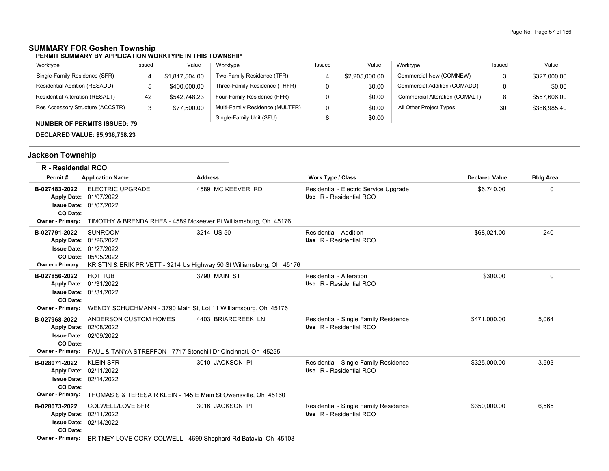### Page No: Page 57 of 186

# **SUMMARY FOR Goshen Township**

#### **PERMIT SUMMARY BY APPLICATION WORKTYPE IN THIS TOWNSHIP**

| Worktype                            | Issued | Value          | Worktype                        | Issued | Value          | Worktype                       | Issued | Value        |
|-------------------------------------|--------|----------------|---------------------------------|--------|----------------|--------------------------------|--------|--------------|
| Single-Family Residence (SFR)       |        | \$1.817.504.00 | Two-Family Residence (TFR)      |        | \$2,205,000.00 | Commercial New (COMNEW)        |        | \$327,000.00 |
| Residential Addition (RESADD)       |        | \$400,000.00   | Three-Family Residence (THFR)   |        | \$0.00         | Commercial Addition (COMADD)   |        | \$0.00       |
| Residential Alteration (RESALT)     | 42     | \$542,748.23   | Four-Family Residence (FFR)     |        | \$0.00         | Commercial Alteration (COMALT) |        | \$557,606.00 |
| Res Accessory Structure (ACCSTR)    |        | \$77,500.00    | Multi-Family Residence (MULTFR) |        | \$0.00         | All Other Project Types        | 30     | \$386,985.40 |
| <b>NUMBER OF PERMITS ISSUED: 79</b> |        |                | Single-Family Unit (SFU)        |        | \$0.00         |                                |        |              |

**DECLARED VALUE: \$5,936,758.23**

# **Jackson Township**

| <b>R</b> - Residential RCO                                                 |                                                                                                                                             |                                                                                     |                                                                   |                       |                  |
|----------------------------------------------------------------------------|---------------------------------------------------------------------------------------------------------------------------------------------|-------------------------------------------------------------------------------------|-------------------------------------------------------------------|-----------------------|------------------|
| Permit#                                                                    | <b>Application Name</b>                                                                                                                     | <b>Address</b>                                                                      | Work Type / Class                                                 | <b>Declared Value</b> | <b>Bldg Area</b> |
| B-027483-2022<br>CO Date:                                                  | <b>ELECTRIC UPGRADE</b><br>Apply Date: 01/07/2022<br><b>Issue Date: 01/07/2022</b>                                                          | 4589 MC KEEVER RD                                                                   | Residential - Electric Service Upgrade<br>Use R - Residential RCO | \$6,740.00            | $\Omega$         |
| <b>Owner - Primary:</b>                                                    | TIMOTHY & BRENDA RHEA - 4589 Mckeever Pi Williamsburg, Oh 45176                                                                             |                                                                                     |                                                                   |                       |                  |
| B-027791-2022<br><b>Owner - Primary:</b>                                   | <b>SUNROOM</b><br>Apply Date: 01/26/2022<br><b>Issue Date: 01/27/2022</b><br>CO Date: 05/05/2022                                            | 3214 US 50<br>KRISTIN & ERIK PRIVETT - 3214 Us Highway 50 St Williamsburg, Oh 45176 | Residential - Addition<br>Use R - Residential RCO                 | \$68,021.00           | 240              |
| B-027856-2022<br>CO Date:<br>Owner - Primary:                              | <b>HOT TUB</b><br>Apply Date: 01/31/2022<br><b>Issue Date: 01/31/2022</b><br>WENDY SCHUCHMANN - 3790 Main St, Lot 11 Williamsburg, Oh 45176 | 3790 MAIN ST                                                                        | Residential - Alteration<br>Use R - Residential RCO               | \$300.00              | 0                |
| B-027968-2022<br><b>Issue Date:</b><br>CO Date:<br>Owner - Primary:        | ANDERSON CUSTOM HOMES<br>Apply Date: 02/08/2022<br>02/09/2022<br>PAUL & TANYA STREFFON - 7717 Stonehill Dr Cincinnati. Oh 45255             | 4403 BRIARCREEK LN                                                                  | Residential - Single Family Residence<br>Use R - Residential RCO  | \$471,000.00          | 5,064            |
| B-028071-2022<br><b>Apply Date:</b><br>CO Date:<br><b>Owner - Primary:</b> | <b>KLEIN SFR</b><br>02/11/2022<br><b>Issue Date: 02/14/2022</b><br>THOMAS S & TERESA R KLEIN - 145 E Main St Owensville, Oh 45160           | 3010 JACKSON PI                                                                     | Residential - Single Family Residence<br>Use R - Residential RCO  | \$325,000.00          | 3,593            |
| B-028073-2022<br><b>Issue Date:</b><br>CO Date:<br>Owner - Primary:        | <b>COLWELL/LOVE SFR</b><br>Apply Date: 02/11/2022<br>02/14/2022<br>BRITNEY LOVE CORY COLWELL - 4699 Shephard Rd Batavia, Oh 45103           | 3016 JACKSON PI                                                                     | Residential - Single Family Residence<br>Use R - Residential RCO  | \$350,000.00          | 6,565            |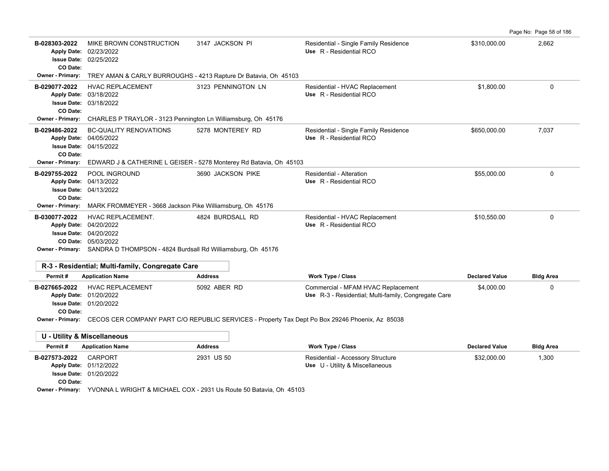|                                                                                                  |                                                                                                                                                                                                                                                |                    |                                                                  |              | Page No: Page 58 of 186 |
|--------------------------------------------------------------------------------------------------|------------------------------------------------------------------------------------------------------------------------------------------------------------------------------------------------------------------------------------------------|--------------------|------------------------------------------------------------------|--------------|-------------------------|
| B-028303-2022<br>CO Date:<br>Owner - Primary:                                                    | MIKE BROWN CONSTRUCTION<br>Apply Date: 02/23/2022<br><b>Issue Date: 02/25/2022</b><br>TREY AMAN & CARLY BURROUGHS - 4213 Rapture Dr Batavia, Oh 45103                                                                                          | 3147 JACKSON PI    | Residential - Single Family Residence<br>Use R - Residential RCO | \$310,000.00 | 2,662                   |
| B-029077-2022<br>CO Date:<br>Owner - Primary:                                                    | <b>HVAC REPLACEMENT</b><br>Apply Date: 03/18/2022<br><b>Issue Date: 03/18/2022</b><br>CHARLES P TRAYLOR - 3123 Pennington Ln Williamsburg, Oh 45176                                                                                            | 3123 PENNINGTON LN | Residential - HVAC Replacement<br>Use R - Residential RCO        | \$1,800.00   | 0                       |
| B-029486-2022<br><b>Apply Date:</b><br><b>Issue Date:</b><br>CO Date:<br><b>Owner - Primary:</b> | <b>BC-QUALITY RENOVATIONS</b><br>04/05/2022<br>04/15/2022<br>EDWARD J & CATHERINE L GEISER - 5278 Monterey Rd Batavia, Oh 45103                                                                                                                | 5278 MONTEREY RD   | Residential - Single Family Residence<br>Use R - Residential RCO | \$650,000.00 | 7,037                   |
| B-029755-2022<br>CO Date:                                                                        | POOL INGROUND<br>Apply Date: 04/13/2022<br><b>Issue Date: 04/13/2022</b><br>Owner - Primary: MARK FROMMEYER - 3668 Jackson Pike Williamsburg, Oh 45176                                                                                         | 3690 JACKSON PIKE  | Residential - Alteration<br>Use R - Residential RCO              | \$55,000.00  | $\Omega$                |
| B-030077-2022                                                                                    | HVAC REPLACEMENT.<br>Apply Date: 04/20/2022<br><b>Issue Date: 04/20/2022</b><br>CO Date: 05/03/2022<br><b>Owner - Primary:</b> SANDRA D THOMPSON - 4824 Burdsall Rd Williamsburg, Oh 45176<br>R-3 - Residential; Multi-family, Congregate Care | 4824 BURDSALL RD   | Residential - HVAC Replacement<br>Use R - Residential RCO        | \$10,550.00  | 0                       |

| Permit#       | <b>Application Name</b>       | <b>Address</b> | Work Type / Class                                    | <b>Declared Value</b> | <b>Bldg Area</b> |
|---------------|-------------------------------|----------------|------------------------------------------------------|-----------------------|------------------|
| B-027665-2022 | HVAC REPLACEMENT              | 5092 ABER RD   | Commercial - MFAM HVAC Replacement                   | \$4,000.00            |                  |
|               | <b>Apply Date: 01/20/2022</b> |                | Use R-3 - Residential; Multi-family, Congregate Care |                       |                  |
|               | <b>Issue Date: 01/20/2022</b> |                |                                                      |                       |                  |
| CO Date:      |                               |                |                                                      |                       |                  |

**Owner - Primary:** CECOS CER COMPANY PART C/O REPUBLIC SERVICES - Property Tax Dept Po Box 29246 Phoenix, Az 85038

| U - Utility & Miscellaneous |                                                                    |                |                                   |                       |                  |
|-----------------------------|--------------------------------------------------------------------|----------------|-----------------------------------|-----------------------|------------------|
| Permit#                     | <b>Application Name</b>                                            | <b>Address</b> | Work Type / Class                 | <b>Declared Value</b> | <b>Bldg Area</b> |
| B-027573-2022               | CARPORT                                                            | 2931 US 50     | Residential - Accessory Structure | \$32,000.00           | 1,300            |
|                             | <b>Apply Date: 01/12/2022</b>                                      |                | Use U - Utility & Miscellaneous   |                       |                  |
|                             | <b>Issue Date: 01/20/2022</b>                                      |                |                                   |                       |                  |
| CO Date:                    |                                                                    |                |                                   |                       |                  |
| <b>Owner - Primary:</b>     | YVONNA L WRIGHT & MICHAEL COX - 2931 Us Route 50 Batavia, Oh 45103 |                |                                   |                       |                  |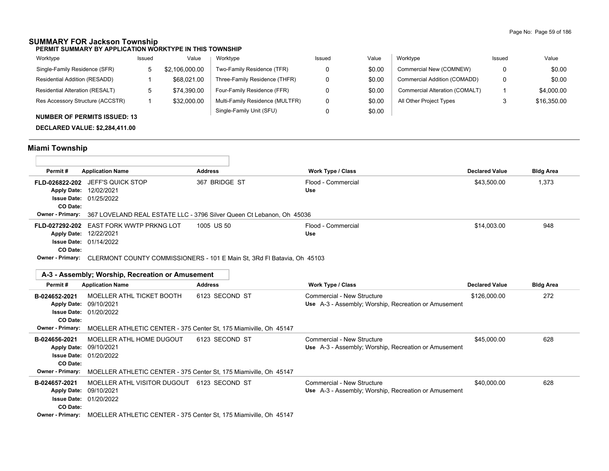### **SUMMARY FOR Jackson Township**

**PERMIT SUMMARY BY APPLICATION WORKTYPE IN THIS TOWNSHIP**

| Worktype                            | Issued | Value          | Worktype                        | Issued | Value  | Worktype                       | Issued | Value       |
|-------------------------------------|--------|----------------|---------------------------------|--------|--------|--------------------------------|--------|-------------|
| Single-Family Residence (SFR)       |        | \$2.106.000.00 | Two-Family Residence (TFR)      |        | \$0.00 | Commercial New (COMNEW)        |        | \$0.00      |
| Residential Addition (RESADD)       |        | \$68,021.00    | Three-Family Residence (THFR)   |        | \$0.00 | Commercial Addition (COMADD)   | 0      | \$0.00      |
| Residential Alteration (RESALT)     | ີ      | \$74.390.00    | Four-Family Residence (FFR)     |        | \$0.00 | Commercial Alteration (COMALT) |        | \$4,000.00  |
| Res Accessory Structure (ACCSTR)    |        | \$32,000.00    | Multi-Family Residence (MULTFR) |        | \$0.00 | All Other Project Types        |        | \$16,350.00 |
| <b>NUMBER OF PERMITS ISSUED: 13</b> |        |                | Single-Family Unit (SFU)        |        | \$0.00 |                                |        |             |

### **DECLARED VALUE: \$2,284,411.00**

# **Miami Township**

| Permit#                 | <b>Application Name</b>                                                                   | <b>Address</b>                                                        | Work Type / Class                                                                  | <b>Declared Value</b> | <b>Bldg Area</b> |
|-------------------------|-------------------------------------------------------------------------------------------|-----------------------------------------------------------------------|------------------------------------------------------------------------------------|-----------------------|------------------|
|                         | FLD-026822-202 JEFF'S QUICK STOP                                                          | 367 BRIDGE ST                                                         | Flood - Commercial                                                                 | \$43,500.00           | 1,373            |
|                         | Apply Date: 12/02/2021                                                                    |                                                                       | Use                                                                                |                       |                  |
|                         | <b>Issue Date: 01/25/2022</b>                                                             |                                                                       |                                                                                    |                       |                  |
| CO Date:                |                                                                                           |                                                                       |                                                                                    |                       |                  |
| <b>Owner - Primary:</b> |                                                                                           | 367 LOVELAND REAL ESTATE LLC - 3796 Silver Queen Ct Lebanon, Oh 45036 |                                                                                    |                       |                  |
|                         | FLD-027292-202 EAST FORK WWTP PRKNG LOT                                                   | 1005 US 50                                                            | Flood - Commercial                                                                 | \$14,003.00           | 948              |
|                         | Apply Date: 12/22/2021                                                                    |                                                                       | <b>Use</b>                                                                         |                       |                  |
|                         | <b>Issue Date: 01/14/2022</b>                                                             |                                                                       |                                                                                    |                       |                  |
| CO Date:                | Owner - Primary: CLERMONT COUNTY COMMISSIONERS - 101 E Main St, 3Rd Fl Batavia, Oh 45103  |                                                                       |                                                                                    |                       |                  |
|                         |                                                                                           |                                                                       |                                                                                    |                       |                  |
|                         | A-3 - Assembly: Worship, Recreation or Amusement                                          |                                                                       |                                                                                    |                       |                  |
| Permit#                 | <b>Application Name</b>                                                                   | <b>Address</b>                                                        | <b>Work Type / Class</b>                                                           | <b>Declared Value</b> | <b>Bldg Area</b> |
| B-024652-2021           | MOELLER ATHL TICKET BOOTH                                                                 | 6123 SECOND ST                                                        | Commercial - New Structure                                                         | \$126,000.00          | 272              |
| <b>Apply Date:</b>      | 09/10/2021                                                                                |                                                                       | Use A-3 - Assembly; Worship, Recreation or Amusement                               |                       |                  |
| <b>Issue Date:</b>      | 01/20/2022                                                                                |                                                                       |                                                                                    |                       |                  |
| CO Date:                |                                                                                           |                                                                       |                                                                                    |                       |                  |
| <b>Owner - Primary:</b> | MOELLER ATHLETIC CENTER - 375 Center St, 175 Miamiville, Oh 45147                         |                                                                       |                                                                                    |                       |                  |
| B-024656-2021           | MOELLER ATHL HOME DUGOUT                                                                  | 6123 SECOND ST                                                        | Commercial - New Structure                                                         | \$45.000.00           | 628              |
|                         | Apply Date: 09/10/2021                                                                    |                                                                       | Use A-3 - Assembly; Worship, Recreation or Amusement                               |                       |                  |
| CO Date:                | <b>Issue Date: 01/20/2022</b>                                                             |                                                                       |                                                                                    |                       |                  |
| <b>Owner - Primary:</b> | MOELLER ATHLETIC CENTER - 375 Center St, 175 Miamiville, Oh 45147                         |                                                                       |                                                                                    |                       |                  |
|                         |                                                                                           |                                                                       |                                                                                    |                       |                  |
| B-024657-2021           | MOELLER ATHL VISITOR DUGOUT 6123 SECOND ST<br>Apply Date: 09/10/2021                      |                                                                       | Commercial - New Structure<br>Use A-3 - Assembly: Worship, Recreation or Amusement | \$40,000.00           | 628              |
|                         | <b>Issue Date: 01/20/2022</b>                                                             |                                                                       |                                                                                    |                       |                  |
| CO Date:                |                                                                                           |                                                                       |                                                                                    |                       |                  |
|                         | <b>Owner - Primary:</b> MOELLER ATHLETIC CENTER - 375 Center St, 175 Miamiville, Oh 45147 |                                                                       |                                                                                    |                       |                  |
|                         |                                                                                           |                                                                       |                                                                                    |                       |                  |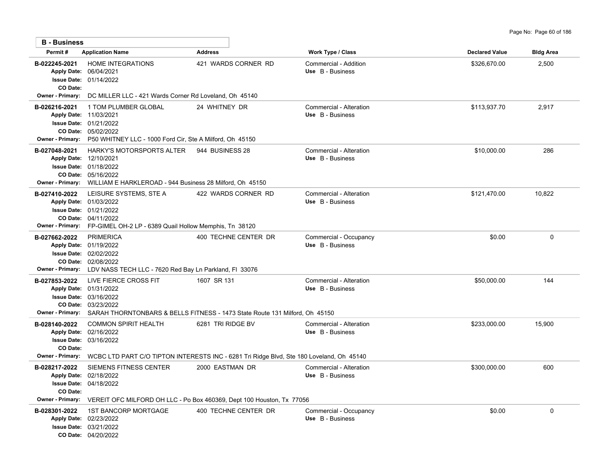| <b>B</b> - Business                                  |                                                                                                                                                                                          |                                                                                                               |                                             |                       |                  |
|------------------------------------------------------|------------------------------------------------------------------------------------------------------------------------------------------------------------------------------------------|---------------------------------------------------------------------------------------------------------------|---------------------------------------------|-----------------------|------------------|
| Permit#                                              | <b>Application Name</b>                                                                                                                                                                  | <b>Address</b>                                                                                                | Work Type / Class                           | <b>Declared Value</b> | <b>Bldg Area</b> |
| B-022245-2021<br>CO Date:                            | <b>HOME INTEGRATIONS</b><br>Apply Date: 06/04/2021<br><b>Issue Date: 01/14/2022</b>                                                                                                      | 421 WARDS CORNER RD                                                                                           | Commercial - Addition<br>Use B - Business   | \$326,670.00          | 2,500            |
| <b>Owner - Primary:</b>                              | DC MILLER LLC - 421 Wards Corner Rd Loveland, Oh 45140                                                                                                                                   |                                                                                                               |                                             |                       |                  |
| B-026216-2021                                        | 1 TOM PLUMBER GLOBAL<br>Apply Date: 11/03/2021<br><b>Issue Date: 01/21/2022</b><br>CO Date: 05/02/2022<br>Owner - Primary: P50 WHITNEY LLC - 1000 Ford Cir, Ste A Milford, Oh 45150      | 24 WHITNEY DR                                                                                                 | Commercial - Alteration<br>Use B - Business | \$113,937.70          | 2,917            |
| B-027048-2021                                        | HARKY'S MOTORSPORTS ALTER<br>Apply Date: 12/10/2021<br><b>Issue Date: 01/18/2022</b><br>CO Date: 05/16/2022<br>Owner - Primary: WILLIAM E HARKLEROAD - 944 Business 28 Milford, Oh 45150 | 944 BUSINESS 28                                                                                               | Commercial - Alteration<br>Use B - Business | \$10,000.00           | 286              |
| B-027410-2022<br>Owner - Primary:                    | LEISURE SYSTEMS, STE A<br>Apply Date: 01/03/2022<br><b>Issue Date: 01/21/2022</b><br>CO Date: 04/11/2022<br>FP-GIMEL OH-2 LP - 6389 Quail Hollow Memphis, Tn 38120                       | 422 WARDS CORNER RD                                                                                           | Commercial - Alteration<br>Use B - Business | \$121,470.00          | 10,822           |
| B-027662-2022<br><b>Owner - Primary:</b>             | <b>PRIMERICA</b><br>Apply Date: 01/19/2022<br><b>Issue Date: 02/02/2022</b><br>CO Date: 02/08/2022<br>LDV NASS TECH LLC - 7620 Red Bay Ln Parkland, FI 33076                             | 400 TECHNE CENTER DR                                                                                          | Commercial - Occupancy<br>Use B - Business  | \$0.00                | $\Omega$         |
| B-027853-2022<br><b>Owner - Primary:</b>             | LIVE FIERCE CROSS FIT<br>Apply Date: 01/31/2022<br>Issue Date: 03/16/2022<br>CO Date: 03/23/2022                                                                                         | 1607 SR 131<br>SARAH THORNTONBARS & BELLS FITNESS - 1473 State Route 131 Milford, Oh 45150                    | Commercial - Alteration<br>Use B - Business | \$50,000.00           | 144              |
| B-028140-2022<br>CO Date:<br>Owner - Primary:        | <b>COMMON SPIRIT HEALTH</b><br>Apply Date: 02/16/2022<br>Issue Date: 03/16/2022                                                                                                          | 6281 TRI RIDGE BV<br>WCBC LTD PART C/O TIPTON INTERESTS INC - 6281 Tri Ridge Blvd, Ste 180 Loveland, Oh 45140 | Commercial - Alteration<br>Use B - Business | \$233,000.00          | 15,900           |
| B-028217-2022<br>CO Date:<br><b>Owner - Primary:</b> | SIEMENS FITNESS CENTER<br>Apply Date: 02/18/2022<br><b>Issue Date: 04/18/2022</b>                                                                                                        | 2000 EASTMAN DR<br>VEREIT OFC MILFORD OH LLC - Po Box 460369, Dept 100 Houston, Tx 77056                      | Commercial - Alteration<br>Use B - Business | \$300,000.00          | 600              |
| B-028301-2022                                        | <b>1ST BANCORP MORTGAGE</b><br>Apply Date: 02/23/2022<br><b>Issue Date: 03/21/2022</b><br>CO Date: 04/20/2022                                                                            | 400 TECHNE CENTER DR                                                                                          | Commercial - Occupancy<br>Use B - Business  | \$0.00                | 0                |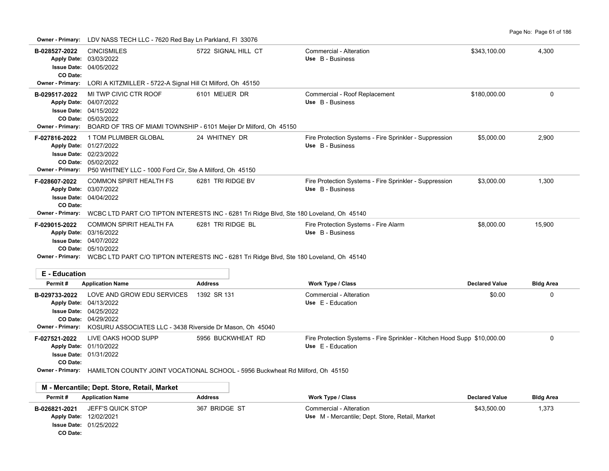**Owner - Primary:** LDV NASS TECH LLC - 7620 Red Bay Ln Parkland, Fl 33076

**CO Date:**

| B-028527-2022<br>CO Date:                | <b>CINCISMILES</b><br>Apply Date: 03/03/2022<br>Issue Date: 04/05/2022                                                                                                                 | 5722 SIGNAL HILL CT                                                                                                            | Commercial - Alteration<br>Use B - Business                                                            | \$343.100.00          | 4,300                     |
|------------------------------------------|----------------------------------------------------------------------------------------------------------------------------------------------------------------------------------------|--------------------------------------------------------------------------------------------------------------------------------|--------------------------------------------------------------------------------------------------------|-----------------------|---------------------------|
| <b>Owner - Primary:</b>                  | LORI A KITZMILLER - 5722-A Signal Hill Ct Milford, Oh 45150                                                                                                                            |                                                                                                                                |                                                                                                        |                       |                           |
| B-029517-2022                            | MI TWP CIVIC CTR ROOF<br>Apply Date: 04/07/2022<br>Issue Date: 04/15/2022<br>CO Date: 05/03/2022<br>Owner - Primary: BOARD OF TRS OF MIAMI TOWNSHIP - 6101 Meijer Dr Milford, Oh 45150 | 6101 MEIJER DR                                                                                                                 | Commercial - Roof Replacement<br>Use B - Business                                                      | \$180,000.00          | 0                         |
| F-027816-2022<br><b>Owner - Primary:</b> | 1 TOM PLUMBER GLOBAL<br>Apply Date: 01/27/2022<br>Issue Date: 02/23/2022<br>CO Date: 05/02/2022<br>P50 WHITNEY LLC - 1000 Ford Cir, Ste A Milford, Oh 45150                            | 24 WHITNEY DR                                                                                                                  | Fire Protection Systems - Fire Sprinkler - Suppression<br>Use B - Business                             | \$5,000.00            | 2,900                     |
| F-028607-2022<br>CO Date:                | <b>COMMON SPIRIT HEALTH FS</b><br>Apply Date: 03/07/2022<br><b>Issue Date: 04/04/2022</b>                                                                                              | 6281 TRI RIDGE BV<br>Owner - Primary: WCBC LTD PART C/O TIPTON INTERESTS INC - 6281 Tri Ridge Blvd, Ste 180 Loveland, Oh 45140 | Fire Protection Systems - Fire Sprinkler - Suppression<br>Use B - Business                             | \$3,000.00            | 1,300                     |
| F-029015-2022                            | <b>COMMON SPIRIT HEALTH FA</b><br>Apply Date: 03/16/2022<br>Issue Date: 04/07/2022<br>CO Date: 05/10/2022                                                                              | 6281 TRI RIDGE BL<br>Owner - Primary: WCBC LTD PART C/O TIPTON INTERESTS INC - 6281 Tri Ridge Blvd, Ste 180 Loveland, Oh 45140 | Fire Protection Systems - Fire Alarm<br>Use B - Business                                               | \$8,000.00            | 15,900                    |
| <b>E</b> - Education<br>Permit#          | <b>Application Name</b>                                                                                                                                                                | <b>Address</b>                                                                                                                 | Work Type / Class                                                                                      | <b>Declared Value</b> | <b>Bldg Area</b>          |
| B-029733-2022<br>Owner - Primary:        | LOVE AND GROW EDU SERVICES<br>Apply Date: 04/13/2022<br><b>Issue Date: 04/25/2022</b><br>CO Date: 04/29/2022<br>KOSURU ASSOCIATES LLC - 3438 Riverside Dr Mason, Oh 45040              | 1392 SR 131                                                                                                                    | Commercial - Alteration<br>Use E - Education                                                           | \$0.00                | 0                         |
| F-027521-2022<br>CO Date:                | LIVE OAKS HOOD SUPP<br>Apply Date: 01/10/2022<br>Issue Date: 01/31/2022                                                                                                                | 5956 BUCKWHEAT RD<br>Owner - Primary: HAMILTON COUNTY JOINT VOCATIONAL SCHOOL - 5956 Buckwheat Rd Milford, Oh 45150            | Fire Protection Systems - Fire Sprinkler - Kitchen Hood Supp \$10,000.00<br>Use E - Education          |                       | $\Omega$                  |
| Permit#                                  | M - Mercantile; Dept. Store, Retail, Market<br><b>Application Name</b>                                                                                                                 | <b>Address</b>                                                                                                                 |                                                                                                        | <b>Declared Value</b> |                           |
| B-026821-2021<br>Apply Date: 12/02/2021  | JEFF'S QUICK STOP<br>Issue Date: 01/25/2022                                                                                                                                            | 367 BRIDGE ST                                                                                                                  | <b>Work Type / Class</b><br>Commercial - Alteration<br>Use M - Mercantile; Dept. Store, Retail, Market | \$43,500.00           | <b>Bldg Area</b><br>1,373 |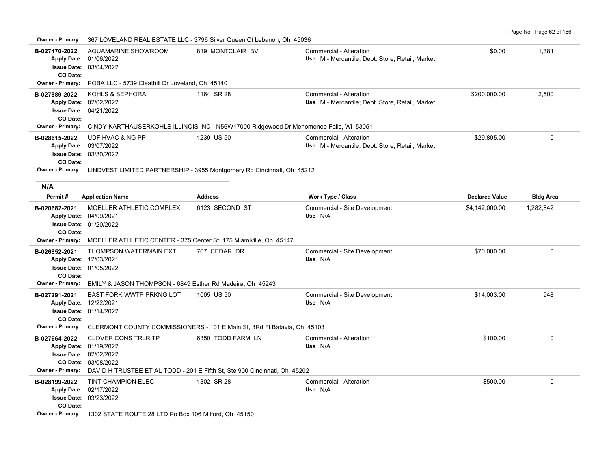Page No: Page 62 of 186

| <b>Owner - Primary:</b>                             |                                                                                                                                                        | 367 LOVELAND REAL ESTATE LLC - 3796 Silver Queen Ct Lebanon, Oh 45036                                  |                                                                            |                       |                  |
|-----------------------------------------------------|--------------------------------------------------------------------------------------------------------------------------------------------------------|--------------------------------------------------------------------------------------------------------|----------------------------------------------------------------------------|-----------------------|------------------|
| B-027470-2022<br>CO Date:                           | AQUAMARINE SHOWROOM<br>Apply Date: 01/06/2022<br><b>Issue Date: 03/04/2022</b>                                                                         | 819 MONTCLAIR BV                                                                                       | Commercial - Alteration<br>Use M - Mercantile; Dept. Store, Retail, Market | \$0.00                | 1,381            |
| <b>Owner - Primary:</b>                             | POBA LLC - 5739 Cleathill Dr Loveland, Oh 45140                                                                                                        |                                                                                                        |                                                                            |                       |                  |
| B-027889-2022<br>CO Date:                           | KOHLS & SEPHORA<br>Apply Date: 02/02/2022<br><b>Issue Date: 04/21/2022</b>                                                                             | 1164 SR 28                                                                                             | Commercial - Alteration<br>Use M - Mercantile; Dept. Store, Retail, Market | \$200,000.00          | 2,500            |
| <b>Owner - Primary:</b>                             |                                                                                                                                                        | CINDY KARTHAUSERKOHLS ILLINOIS INC - N56W17000 Ridgewood Dr Menomonee Falls, Wi 53051                  |                                                                            |                       |                  |
| B-028615-2022<br>CO Date:                           | UDF HVAC & NG PP<br>Apply Date: 03/07/2022<br><b>Issue Date: 03/30/2022</b>                                                                            | 1239 US 50                                                                                             | Commercial - Alteration<br>Use M - Mercantile: Dept. Store, Retail, Market | \$29,895.00           | $\mathbf 0$      |
|                                                     |                                                                                                                                                        | Owner - Primary: LINDVEST LIMITED PARTNERSHIP - 3955 Montgomery Rd Cincinnati, Oh 45212                |                                                                            |                       |                  |
| N/A                                                 |                                                                                                                                                        |                                                                                                        |                                                                            |                       |                  |
| Permit#                                             | <b>Application Name</b>                                                                                                                                | <b>Address</b>                                                                                         | <b>Work Type / Class</b>                                                   | <b>Declared Value</b> | <b>Bldg Area</b> |
| B-020682-2021<br>Apply Date: 04/09/2021<br>CO Date: | MOELLER ATHLETIC COMPLEX<br><b>Issue Date: 01/20/2022</b><br>Owner - Primary: MOELLER ATHLETIC CENTER - 375 Center St, 175 Miamiville, Oh 45147        | 6123 SECOND ST                                                                                         | Commercial - Site Development<br>Use N/A                                   | \$4,142,000.00        | 1,282,842        |
| B-026852-2021<br>Apply Date: 12/03/2021<br>CO Date: | THOMPSON WATERMAIN EXT<br><b>Issue Date: 01/05/2022</b>                                                                                                | 767 CEDAR DR                                                                                           | Commercial - Site Development<br>Use N/A                                   | \$70,000.00           | $\mathbf{0}$     |
| <b>Owner - Primary:</b>                             | EMILY & JASON THOMPSON - 6849 Esther Rd Madeira, Oh 45243                                                                                              |                                                                                                        |                                                                            |                       |                  |
| B-027291-2021<br>Apply Date: 12/22/2021<br>CO Date: | EAST FORK WWTP PRKNG LOT<br><b>Issue Date: 01/14/2022</b>                                                                                              | 1005 US 50<br>Owner - Primary: CLERMONT COUNTY COMMISSIONERS - 101 E Main St, 3Rd FI Batavia, Oh 45103 | Commercial - Site Development<br>Use N/A                                   | \$14,003.00           | 948              |
| B-027664-2022<br><b>Owner - Primary:</b>            | <b>CLOVER CONS TRLR TP</b><br>Apply Date: 01/19/2022<br><b>Issue Date: 02/02/2022</b><br><b>CO Date: 03/08/2022</b>                                    | 6350 TODD FARM LN<br>DAVID H TRUSTEE ET AL TODD - 201 E Fifth St, Ste 900 Cincinnati, Oh 45202         | Commercial - Alteration<br>Use N/A                                         | \$100.00              | $\Omega$         |
| B-028199-2022<br>CO Date:                           | TINT CHAMPION ELEC<br>Apply Date: 02/17/2022<br><b>Issue Date: 03/23/2022</b><br>Owner - Primary: 1302 STATE ROUTE 28 LTD Po Box 106 Milford, Oh 45150 | 1302 SR 28                                                                                             | Commercial - Alteration<br>Use N/A                                         | \$500.00              | 0                |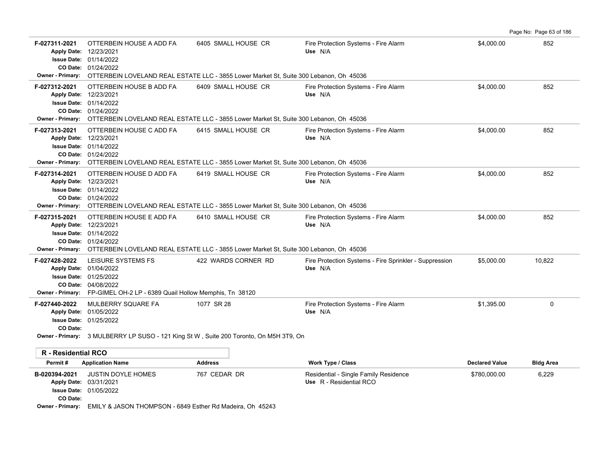|                                          |                                                                                                                                                                                 |                                                                                                                                |                                                                   |                       | Page No: Page 63 of 186 |
|------------------------------------------|---------------------------------------------------------------------------------------------------------------------------------------------------------------------------------|--------------------------------------------------------------------------------------------------------------------------------|-------------------------------------------------------------------|-----------------------|-------------------------|
| F-027311-2021                            | OTTERBEIN HOUSE A ADD FA<br>Apply Date: 12/23/2021<br><b>Issue Date: 01/14/2022</b><br>CO Date: 01/24/2022                                                                      | 6405 SMALL HOUSE CR<br>Owner - Primary: OTTERBEIN LOVELAND REAL ESTATE LLC - 3855 Lower Market St, Suite 300 Lebanon, Oh 45036 | Fire Protection Systems - Fire Alarm<br>Use N/A                   | \$4,000.00            | 852                     |
| F-027312-2021                            | OTTERBEIN HOUSE B ADD FA<br>Apply Date: 12/23/2021<br>Issue Date: 01/14/2022<br>CO Date: 01/24/2022                                                                             | 6409 SMALL HOUSE CR<br>Owner - Primary: OTTERBEIN LOVELAND REAL ESTATE LLC - 3855 Lower Market St, Suite 300 Lebanon, Oh 45036 | Fire Protection Systems - Fire Alarm<br>Use N/A                   | \$4.000.00            | 852                     |
| F-027313-2021                            | OTTERBEIN HOUSE C ADD FA<br>Apply Date: 12/23/2021<br><b>Issue Date: 01/14/2022</b><br>CO Date: 01/24/2022                                                                      | 6415 SMALL HOUSE CR<br>Owner - Primary: OTTERBEIN LOVELAND REAL ESTATE LLC - 3855 Lower Market St, Suite 300 Lebanon, Oh 45036 | Fire Protection Systems - Fire Alarm<br>Use N/A                   | \$4,000.00            | 852                     |
| F-027314-2021<br><b>Owner - Primary:</b> | OTTERBEIN HOUSE D ADD FA<br>Apply Date: 12/23/2021<br><b>Issue Date: 01/14/2022</b><br>CO Date: 01/24/2022                                                                      | 6419 SMALL HOUSE CR<br>OTTERBEIN LOVELAND REAL ESTATE LLC - 3855 Lower Market St, Suite 300 Lebanon, Oh 45036                  | Fire Protection Systems - Fire Alarm<br>Use N/A                   | \$4,000.00            | 852                     |
| F-027315-2021                            | OTTERBEIN HOUSE E ADD FA<br>Apply Date: 12/23/2021<br><b>Issue Date: 01/14/2022</b><br>CO Date: 01/24/2022                                                                      | 6410 SMALL HOUSE CR<br>Owner - Primary: OTTERBEIN LOVELAND REAL ESTATE LLC - 3855 Lower Market St, Suite 300 Lebanon, Oh 45036 | Fire Protection Systems - Fire Alarm<br>Use N/A                   | \$4,000.00            | 852                     |
| F-027428-2022                            | LEISURE SYSTEMS FS<br>Apply Date: 01/04/2022<br><b>Issue Date: 01/25/2022</b><br>CO Date: 04/08/2022<br>Owner - Primary: FP-GIMEL OH-2 LP - 6389 Quail Hollow Memphis, Tn 38120 | 422 WARDS CORNER RD                                                                                                            | Fire Protection Systems - Fire Sprinkler - Suppression<br>Use N/A | \$5,000.00            | 10,822                  |
| F-027440-2022<br>CO Date:                | MULBERRY SQUARE FA<br>Apply Date: 01/05/2022<br><b>Issue Date: 01/25/2022</b>                                                                                                   | 1077 SR 28<br>Owner - Primary: 3 MULBERRY LP SUSO - 121 King St W, Suite 200 Toronto, On M5H 3T9, On                           | Fire Protection Systems - Fire Alarm<br>Use N/A                   | \$1,395.00            | $\Omega$                |
| <b>R</b> - Residential RCO               |                                                                                                                                                                                 |                                                                                                                                |                                                                   |                       |                         |
| Permit#                                  | <b>Application Name</b>                                                                                                                                                         | <b>Address</b>                                                                                                                 | <b>Work Type / Class</b>                                          | <b>Declared Value</b> | <b>Bldg Area</b>        |
| B-020394-2021<br>CO Date:                | <b>JUSTIN DOYLE HOMES</b><br>Apply Date: 03/31/2021<br><b>Issue Date: 01/05/2022</b>                                                                                            | 767 CEDAR DR                                                                                                                   | Residential - Single Family Residence<br>Use R - Residential RCO  | \$780,000.00          | 6,229                   |

**Owner - Primary:** EMILY & JASON THOMPSON - 6849 Esther Rd Madeira, Oh 45243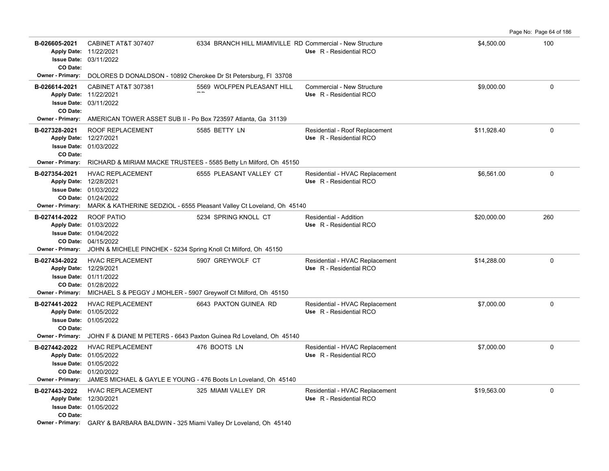|                                                                                |                                                                                                                                                                     |                                                                                                  |                                                           |             | Page No: Page 64 of 186 |
|--------------------------------------------------------------------------------|---------------------------------------------------------------------------------------------------------------------------------------------------------------------|--------------------------------------------------------------------------------------------------|-----------------------------------------------------------|-------------|-------------------------|
| B-026605-2021<br>Apply Date: 11/22/2021<br>CO Date:                            | CABINET AT&T 307407<br><b>Issue Date: 03/11/2022</b>                                                                                                                | 6334 BRANCH HILL MIAMIVILLE RD Commercial - New Structure                                        | Use R - Residential RCO                                   | \$4,500.00  | 100                     |
| <b>Owner - Primary:</b>                                                        | DOLORES D DONALDSON - 10892 Cherokee Dr St Petersburg, FI 33708                                                                                                     |                                                                                                  |                                                           |             |                         |
| B-026614-2021<br>Apply Date: 11/22/2021<br>CO Date:                            | CABINET AT&T 307381<br><b>Issue Date: 03/11/2022</b>                                                                                                                | 5569 WOLFPEN PLEASANT HILL                                                                       | Commercial - New Structure<br>Use R - Residential RCO     | \$9,000.00  | 0                       |
| Owner - Primary:                                                               | AMERICAN TOWER ASSET SUB II - Po Box 723597 Atlanta, Ga 31139                                                                                                       |                                                                                                  |                                                           |             |                         |
| B-027328-2021<br>Apply Date: 12/27/2021<br>CO Date:<br><b>Owner - Primary:</b> | ROOF REPLACEMENT<br><b>Issue Date: 01/03/2022</b>                                                                                                                   | 5585 BETTY LN                                                                                    | Residential - Roof Replacement<br>Use R - Residential RCO | \$11,928.40 | 0                       |
|                                                                                | RICHARD & MIRIAM MACKE TRUSTEES - 5585 Betty Ln Milford, Oh 45150                                                                                                   |                                                                                                  |                                                           |             |                         |
| B-027354-2021<br>Apply Date: 12/28/2021<br><b>Owner - Primary:</b>             | <b>HVAC REPLACEMENT</b><br><b>Issue Date: 01/03/2022</b><br>CO Date: 01/24/2022                                                                                     | 6555 PLEASANT VALLEY CT<br>MARK & KATHERINE SEDZIOL - 6555 Pleasant Valley Ct Loveland, Oh 45140 | Residential - HVAC Replacement<br>Use R - Residential RCO | \$6,561.00  | 0                       |
|                                                                                |                                                                                                                                                                     |                                                                                                  |                                                           |             |                         |
| B-027414-2022<br>Apply Date: 01/03/2022<br><b>Owner - Primary:</b>             | <b>ROOF PATIO</b><br><b>Issue Date: 01/04/2022</b><br>CO Date: 04/15/2022<br>JOHN & MICHELE PINCHEK - 5234 Spring Knoll Ct Milford, Oh 45150                        | 5234 SPRING KNOLL CT                                                                             | Residential - Addition<br>Use R - Residential RCO         | \$20,000.00 | 260                     |
| B-027434-2022<br>Apply Date: 12/29/2021                                        | <b>HVAC REPLACEMENT</b><br><b>Issue Date: 01/11/2022</b><br>CO Date: 01/28/2022<br>Owner - Primary: MICHAEL S & PEGGY J MOHLER - 5907 Greywolf Ct Milford, Oh 45150 | 5907 GREYWOLF CT                                                                                 | Residential - HVAC Replacement<br>Use R - Residential RCO | \$14,288.00 | $\Omega$                |
| B-027441-2022<br>Apply Date: 01/05/2022<br>CO Date:                            | <b>HVAC REPLACEMENT</b><br><b>Issue Date: 01/05/2022</b>                                                                                                            | 6643 PAXTON GUINEA RD                                                                            | Residential - HVAC Replacement<br>Use R - Residential RCO | \$7,000.00  | $\Omega$                |
| <b>Owner - Primary:</b>                                                        | JOHN F & DIANE M PETERS - 6643 Paxton Guinea Rd Loveland, Oh 45140                                                                                                  |                                                                                                  |                                                           |             |                         |
| B-027442-2022<br>Apply Date: 01/05/2022<br><b>Owner - Primary:</b>             | <b>HVAC REPLACEMENT</b><br><b>Issue Date: 01/05/2022</b><br>CO Date: 01/20/2022<br>JAMES MICHAEL & GAYLE E YOUNG - 476 Boots Ln Loveland, Oh 45140                  | 476 BOOTS LN                                                                                     | Residential - HVAC Replacement<br>Use R - Residential RCO | \$7,000.00  | $\Omega$                |
| B-027443-2022<br>Apply Date: 12/30/2021<br>CO Date:                            | <b>HVAC REPLACEMENT</b><br><b>Issue Date: 01/05/2022</b><br>Owner - Primary: GARY & BARBARA BALDWIN - 325 Miami Valley Dr Loveland, Oh 45140                        | 325 MIAMI VALLEY DR                                                                              | Residential - HVAC Replacement<br>Use R - Residential RCO | \$19,563.00 | $\Omega$                |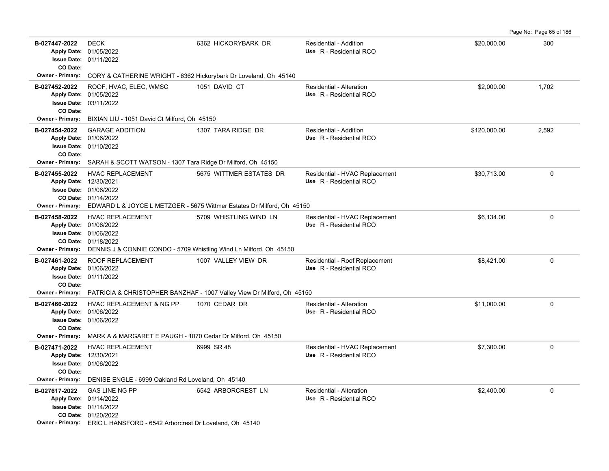Page No: Page 65 of 186

| B-027447-2022                            | <b>DECK</b><br>Apply Date: 01/05/2022<br><b>Issue Date: 01/11/2022</b>                                                                                                       | 6362 HICKORYBARK DR                                                                               | Residential - Addition<br>Use R - Residential RCO         | \$20,000.00  | 300          |
|------------------------------------------|------------------------------------------------------------------------------------------------------------------------------------------------------------------------------|---------------------------------------------------------------------------------------------------|-----------------------------------------------------------|--------------|--------------|
| CO Date:<br>Owner - Primary:             |                                                                                                                                                                              | CORY & CATHERINE WRIGHT - 6362 Hickorybark Dr Loveland, Oh 45140                                  |                                                           |              |              |
| B-027452-2022<br>CO Date:                | ROOF, HVAC, ELEC, WMSC<br>Apply Date: 01/05/2022<br><b>Issue Date: 03/11/2022</b>                                                                                            | 1051 DAVID CT                                                                                     | Residential - Alteration<br>Use R - Residential RCO       | \$2,000.00   | 1,702        |
| Owner - Primary:                         | BIXIAN LIU - 1051 David Ct Milford, Oh 45150                                                                                                                                 |                                                                                                   |                                                           |              |              |
| B-027454-2022<br>CO Date:                | <b>GARAGE ADDITION</b><br>Apply Date: 01/06/2022<br><b>Issue Date: 01/10/2022</b>                                                                                            | 1307 TARA RIDGE DR                                                                                | Residential - Addition<br>Use R - Residential RCO         | \$120,000.00 | 2,592        |
| Owner - Primary:                         | SARAH & SCOTT WATSON - 1307 Tara Ridge Dr Milford, Oh 45150                                                                                                                  |                                                                                                   |                                                           |              |              |
| B-027455-2022<br><b>Owner - Primary:</b> | <b>HVAC REPLACEMENT</b><br>Apply Date: 12/30/2021<br>Issue Date: 01/06/2022<br>CO Date: 01/14/2022                                                                           | 5675 WITTMER ESTATES DR<br>EDWARD L & JOYCE L METZGER - 5675 Wittmer Estates Dr Milford, Oh 45150 | Residential - HVAC Replacement<br>Use R - Residential RCO | \$30,713.00  | $\mathbf{0}$ |
| B-027458-2022<br>Owner - Primary:        | <b>HVAC REPLACEMENT</b><br>Apply Date: 01/06/2022<br>Issue Date: 01/06/2022<br>CO Date: 01/18/2022<br>DENNIS J & CONNIE CONDO - 5709 Whistling Wind Ln Milford, Oh 45150     | 5709 WHISTLING WIND LN                                                                            | Residential - HVAC Replacement<br>Use R - Residential RCO | \$6,134.00   | $\mathbf 0$  |
| B-027461-2022<br>CO Date:                | ROOF REPLACEMENT<br>Apply Date: 01/06/2022<br><b>Issue Date: 01/11/2022</b>                                                                                                  | 1007 VALLEY VIEW DR                                                                               | Residential - Roof Replacement<br>Use R - Residential RCO | \$8,421.00   | 0            |
| <b>Owner - Primary:</b>                  |                                                                                                                                                                              | PATRICIA & CHRISTOPHER BANZHAF - 1007 Valley View Dr Milford, Oh 45150                            |                                                           |              |              |
| B-027466-2022<br>CO Date:                | <b>HVAC REPLACEMENT &amp; NG PP</b><br>Apply Date: 01/06/2022<br>Issue Date: 01/06/2022                                                                                      | 1070 CEDAR DR                                                                                     | Residential - Alteration<br>Use R - Residential RCO       | \$11,000.00  | 0            |
| <b>Owner - Primary:</b>                  | MARK A & MARGARET E PAUGH - 1070 Cedar Dr Milford, Oh 45150                                                                                                                  |                                                                                                   |                                                           |              |              |
| B-027471-2022<br>CO Date:                | <b>HVAC REPLACEMENT</b><br>Apply Date: 12/30/2021<br><b>Issue Date: 01/06/2022</b>                                                                                           | 6999 SR 48                                                                                        | Residential - HVAC Replacement<br>Use R - Residential RCO | \$7,300.00   | 0            |
| Owner - Primary:                         | DENISE ENGLE - 6999 Oakland Rd Loveland, Oh 45140                                                                                                                            |                                                                                                   |                                                           |              |              |
| B-027617-2022                            | <b>GAS LINE NG PP</b><br>Apply Date: 01/14/2022<br>Issue Date: 01/14/2022<br>CO Date: 01/20/2022<br>Owner - Primary: ERIC L HANSFORD - 6542 Arborcrest Dr Loveland, Oh 45140 | 6542 ARBORCREST LN                                                                                | Residential - Alteration<br>Use R - Residential RCO       | \$2,400.00   | $\mathsf 0$  |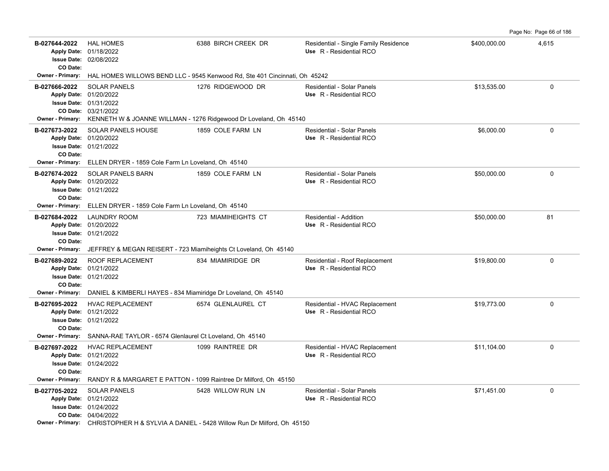B-027644-2022 HAL HOMES 6388 BIRCH CREEK DR Residential - Single Family Residence \$400,000.00 4,615 02/08/2022 **Issue Date:** Apply Date: 01/18/2022 **Apply Date: Use** R - Residential RCO **CO Date: Owner - Primary:** HAL HOMES WILLOWS BEND LLC - 9545 Kenwood Rd, Ste 401 Cincinnati, Oh 45242 **B-027666-2022** \$13,535.00 0 SOLAR PANELS 1276 RIDGEWOOD DR Residential - Solar Panels 03/21/2022 **CO Date:** 01/31/2022 **Issue Date:** 01/20/2022 **Apply Date: Use** R - Residential RCO **Owner - Primary:** KENNETH W & JOANNE WILLMAN - 1276 Ridgewood Dr Loveland, Oh 45140 **B-027673-2022** \$6,000.00 0 SOLAR PANELS HOUSE 1859 COLE FARM LN Residential - Solar Panels 01/21/2022 **Issue Date:** 01/20/2022 **Apply Date: Use** R - Residential RCO **CO Date: Owner - Primary:** ELLEN DRYER - 1859 Cole Farm Ln Loveland, Oh 45140 **B-027674-2022** \$50,000.00 0 SOLAR PANELS BARN 1859 COLE FARM LN Residential - Solar Panels 01/21/2022 **Issue Date:** Apply Date: 01/20/2022 **Apply Date: Use** R - Residential RCO **CO Date: Owner - Primary:** ELLEN DRYER - 1859 Cole Farm Ln Loveland, Oh 45140 **B-027684-2022** LAUNDRY ROOM 723 MIAMIHEIGHTS CT Residential - Addition 681 81 81 01/21/2022 **Issue Date:** Apply Date: 01/20/2022 **Apply Date: Use** R - Residential RCO **CO Date: Owner - Primary:** JEFFREY & MEGAN REISERT - 723 Miamiheights Ct Loveland, Oh 45140 B-027689-2022 ROOF REPLACEMENT 834 MIAMIRIDGE DR Residential - Roof Replacement \$19,800.00 \$19,800.00 01/21/2022 **Issue Date:** Apply Date: 01/21/2022 **Apply Date: Use** R - Residential RCO **CO Date: Owner - Primary:** DANIEL & KIMBERLI HAYES - 834 Miamiridge Dr Loveland, Oh 45140 B-027695-2022 HVAC REPLACEMENT 6574 GLENLAUREL CT Residential - HVAC Replacement \$19,773.00 \$19,773.00 01/21/2022 **Issue Date:** Apply Date: 01/21/2022 **Apply Date: Use** R - Residential RCO **CO Date: Owner - Primary:** SANNA-RAE TAYLOR - 6574 Glenlaurel Ct Loveland, Oh 45140 B-027697-2022 HVAC REPLACEMENT 1099 RAINTREE DR Residential - HVAC Replacement \$11,104.00 \$11,104.00 01/24/2022 **Issue Date:** 01/21/2022 **Apply Date: Use** R - Residential RCO **CO Date: Owner - Primary:** RANDY R & MARGARET E PATTON - 1099 Raintree Dr Milford, Oh 45150 **B-027705-2022** \$71,451.00 0 SOLAR PANELS 5428 WILLOW RUN LN Residential - Solar Panels 04/04/2022 **CO Date:** 01/24/2022 **Issue Date:** 01/21/2022 **Apply Date: Use** R - Residential RCO

Page No: Page 66 of 186

**Owner - Primary:** CHRISTOPHER H & SYLVIA A DANIEL - 5428 Willow Run Dr Milford, Oh 45150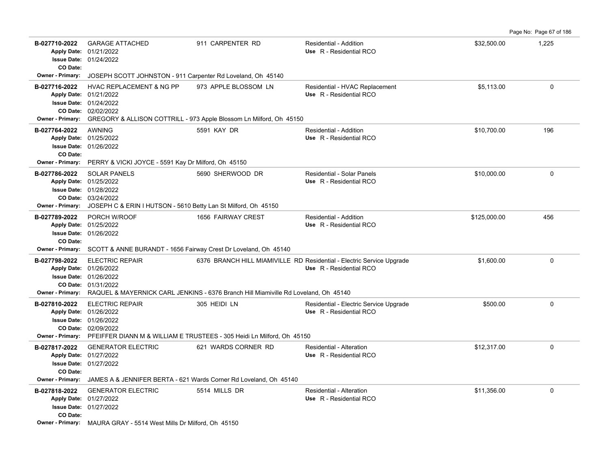Page No: Page 67 of 186

| B-027710-2022<br>CO Date:                                           | <b>GARAGE ATTACHED</b><br>Apply Date: 01/21/2022<br><b>Issue Date: 01/24/2022</b>                                                                                                                                              | 911 CARPENTER RD                                                                            | Residential - Addition<br>Use R - Residential RCO                                                | \$32,500.00  | 1,225       |
|---------------------------------------------------------------------|--------------------------------------------------------------------------------------------------------------------------------------------------------------------------------------------------------------------------------|---------------------------------------------------------------------------------------------|--------------------------------------------------------------------------------------------------|--------------|-------------|
| <b>Owner - Primary:</b>                                             | JOSEPH SCOTT JOHNSTON - 911 Carpenter Rd Loveland, Oh 45140                                                                                                                                                                    |                                                                                             |                                                                                                  |              |             |
| B-027716-2022<br><b>Owner - Primary:</b>                            | <b>HVAC REPLACEMENT &amp; NG PP</b><br>Apply Date: 01/21/2022<br>Issue Date: 01/24/2022<br>CO Date: 02/02/2022                                                                                                                 | 973 APPLE BLOSSOM LN<br>GREGORY & ALLISON COTTRILL - 973 Apple Blossom Ln Milford, Oh 45150 | Residential - HVAC Replacement<br>Use R - Residential RCO                                        | \$5,113.00   | 0           |
| B-027764-2022<br>CO Date:                                           | <b>AWNING</b><br>Apply Date: 01/25/2022<br><b>Issue Date: 01/26/2022</b>                                                                                                                                                       | 5591 KAY DR                                                                                 | Residential - Addition<br>Use R - Residential RCO                                                | \$10,700.00  | 196         |
| <b>Owner - Primary:</b><br>B-027786-2022<br><b>Owner - Primary:</b> | PERRY & VICKI JOYCE - 5591 Kay Dr Milford, Oh 45150<br><b>SOLAR PANELS</b><br>Apply Date: 01/25/2022<br><b>Issue Date: 01/28/2022</b><br>CO Date: 03/24/2022<br>JOSEPH C & ERIN I HUTSON - 5610 Betty Lan St Milford, Oh 45150 | 5690 SHERWOOD DR                                                                            | Residential - Solar Panels<br>Use R - Residential RCO                                            | \$10,000.00  | 0           |
| B-027789-2022<br>CO Date:                                           | PORCH W/ROOF<br>Apply Date: 01/25/2022<br>Issue Date: 01/26/2022<br>Owner - Primary: SCOTT & ANNE BURANDT - 1656 Fairway Crest Dr Loveland, Oh 45140                                                                           | 1656 FAIRWAY CREST                                                                          | Residential - Addition<br>Use R - Residential RCO                                                | \$125,000.00 | 456         |
| B-027798-2022<br><b>Owner - Primary:</b>                            | <b>ELECTRIC REPAIR</b><br>Apply Date: 01/26/2022<br>Issue Date: 01/26/2022<br>CO Date: 01/31/2022                                                                                                                              | RAQUEL & MAYERNICK CARL JENKINS - 6376 Branch Hill Miamiville Rd Loveland, Oh 45140         | 6376 BRANCH HILL MIAMIVILLE RD Residential - Electric Service Upgrade<br>Use R - Residential RCO | \$1,600.00   | 0           |
| B-027810-2022<br><b>Owner - Primary:</b>                            | <b>ELECTRIC REPAIR</b><br>Apply Date: 01/26/2022<br><b>Issue Date: 01/26/2022</b><br>CO Date: 02/09/2022                                                                                                                       | 305 HEIDI LN<br>PFEIFFER DIANN M & WILLIAM E TRUSTEES - 305 Heidi Ln Milford, Oh 45150      | Residential - Electric Service Upgrade<br>Use R - Residential RCO                                | \$500.00     | 0           |
| B-027817-2022<br>CO Date:<br><b>Owner - Primary:</b>                | <b>GENERATOR ELECTRIC</b><br>Apply Date: 01/27/2022<br>Issue Date: 01/27/2022                                                                                                                                                  | 621 WARDS CORNER RD<br>JAMES A & JENNIFER BERTA - 621 Wards Corner Rd Loveland, Oh 45140    | Residential - Alteration<br>Use R - Residential RCO                                              | \$12,317.00  | 0           |
| B-027818-2022<br>CO Date:                                           | <b>GENERATOR ELECTRIC</b><br>Apply Date: 01/27/2022<br><b>Issue Date: 01/27/2022</b><br>Owner - Primary: MAURA GRAY - 5514 West Mills Dr Milford, Oh 45150                                                                     | 5514 MILLS DR                                                                               | Residential - Alteration<br>Use R - Residential RCO                                              | \$11.356.00  | $\mathbf 0$ |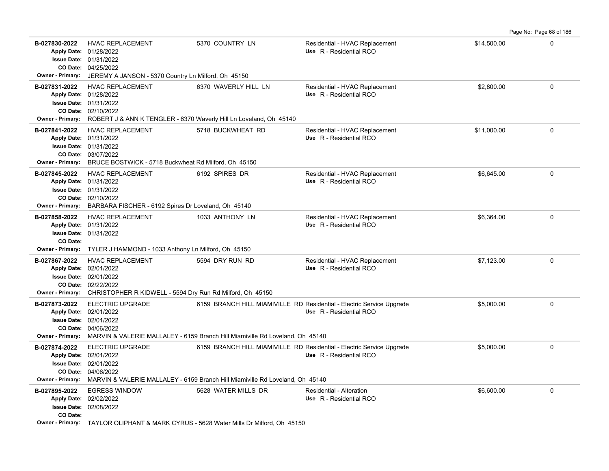**B-027830-2022** HVAC REPLACEMENT 5370 COUNTRY LN Residential - HVAC Replacement \$14,500.00 \$14,500.00 04/25/2022 **CO Date:** 01/31/2022 **Issue Date:** Apply Date: 01/28/2022 **Apply Date: Use** R - Residential RCO **Owner - Primary:** JEREMY A JANSON - 5370 Country Ln Milford, Oh 45150 **B-027831-2022** \$2,800.00 0 HVAC REPLACEMENT 6370 WAVERLY HILL LN Residential - HVAC Replacement 02/10/2022 **CO Date:** 01/31/2022 **Issue Date:** 01/28/2022 **Apply Date: Use** R - Residential RCO **Owner - Primary:** ROBERT J & ANN K TENGLER - 6370 Waverly Hill Ln Loveland, Oh 45140 **B-027841-2022** \$11,000.00 0 03/07/2022 **CO Date:** 01/31/2022 **Issue Date:** 01/31/2022 **Apply Date: Use** R - Residential RCO Residential - HVAC Replacement **Owner - Primary:** BRUCE BOSTWICK - 5718 Buckwheat Rd Milford, Oh 45150 **B-027845-2022** HVAC REPLACEMENT 6192 SPIRES DR Residential - HVAC Replacement \$6,645.00 \$6,645.00 02/10/2022 **CO Date:** 01/31/2022 **Issue Date:** Apply Date: 01/31/2022 **Apply Date: Use** R - Residential RCO **Owner - Primary:** BARBARA FISCHER - 6192 Spires Dr Loveland, Oh 45140 **B-027858-2022** HVAC REPLACEMENT 1033 ANTHONY LN Residential - HVAC Replacement \$6,364.00 \$6,364.00 01/31/2022 **Issue Date:** 01/31/2022 **Apply Date: Use** R - Residential RCO **CO Date: Owner - Primary:** TYLER J HAMMOND - 1033 Anthony Ln Milford, Oh 45150 **B-027867-2022** HVAC REPLACEMENT 5594 DRY RUN RD Residential - HVAC Replacement \$7,123.00 \$7,123.00 02/22/2022 **CO Date:** 02/01/2022 **Issue Date:** Apply Date: 02/01/2022 **Apply Date: Use** R - Residential RCO **Owner - Primary:** CHRISTOPHER R KIDWELL - 5594 Dry Run Rd Milford, Oh 45150 B-027873-2022 ELECTRIC UPGRADE 6159 BRANCH HILL MIAMIVILLE RD Residential - Electric Service Upgrade \$5,000.00 \$5,000.00 04/06/2022 **CO Date:** 02/01/2022 **Issue Date:** Apply Date: 02/01/2022 **Apply Date: Use** R - Residential RCO **Owner - Primary:** MARVIN & VALERIE MALLALEY - 6159 Branch Hill Miamiville Rd Loveland, Oh 45140 B-027874-2022 ELECTRIC UPGRADE 6159 BRANCH HILL MIAMIVILLE RD Residential - Electric Service Upgrade \$5,000.00 \$5,000.00 04/06/2022 **CO Date:** 02/01/2022 **Issue Date:** 02/01/2022 **Apply Date: Use** R - Residential RCO **Owner - Primary:** MARVIN & VALERIE MALLALEY - 6159 Branch Hill Miamiville Rd Loveland, Oh 45140 **B-027895-2022** \$6,600.00 0 EGRESS WINDOW 5628 WATER MILLS DR Residential - Alteration 02/08/2022 **Issue Date:** 02/02/2022 **Apply Date: Use** R - Residential RCO **CO Date:**

Page No: Page 68 of 186

**Owner - Primary:** TAYLOR OLIPHANT & MARK CYRUS - 5628 Water Mills Dr Milford, Oh 45150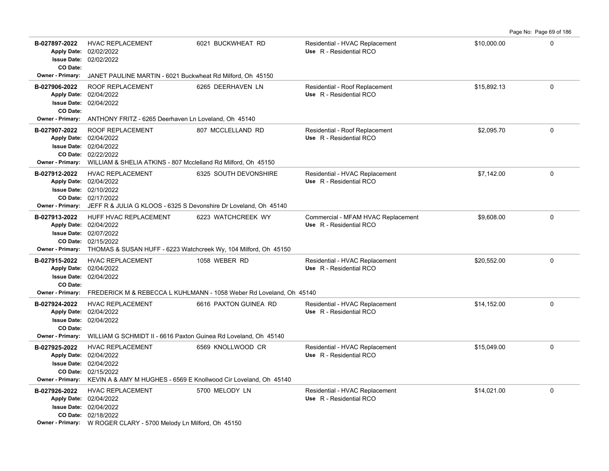**B-027897-2022** \$10,000.00 0 HVAC REPLACEMENT 6021 BUCKWHEAT RD Residential - HVAC Replacement 02/02/2022 **Issue Date:** Apply Date: 02/02/2022 **Apply Date: Use** R - Residential RCO **CO Date: Owner - Primary:** JANET PAULINE MARTIN - 6021 Buckwheat Rd Milford, Oh 45150 B-027906-2022 ROOF REPLACEMENT 6265 DEERHAVEN LN Residential - Roof Replacement \$15,892.13 0 02/04/2022 **Issue Date:** 02/04/2022 **Apply Date: Use** R - Residential RCO **CO Date: Owner - Primary:** ANTHONY FRITZ - 6265 Deerhaven Ln Loveland, Oh 45140 B-027907-2022 ROOF REPLACEMENT 807 MCCLELLAND RD Residential - Roof Replacement \$2,095.70 \$2,095.70 02/22/2022 **CO Date:** 02/04/2022 **Issue Date:** 02/04/2022 **Apply Date: Use** R - Residential RCO **Owner - Primary:** WILLIAM & SHELIA ATKINS - 807 Mcclelland Rd Milford, Oh 45150 B-027912-2022 HVAC REPLACEMENT 6325 SOUTH DEVONSHIRE Residential - HVAC Replacement \$7,142.00 \$7,142.00 02/17/2022 **CO Date:** 02/10/2022 **Issue Date:** Apply Date: 02/04/2022 **Apply Date: Use** R - Residential RCO **Owner - Primary:** JEFF R & JULIA G KLOOS - 6325 S Devonshire Dr Loveland, Oh 45140 **B-027913-2022** \$9,608.00 0 HUFF HVAC REPLACEMENT 6223 WATCHCREEK WY Commercial - MFAM HVAC Replacement 02/15/2022 **CO Date:** 02/07/2022 **Issue Date:** 02/04/2022 **Apply Date: Use** R - Residential RCO **Owner - Primary:** THOMAS & SUSAN HUFF - 6223 Watchcreek Wy, 104 Milford, Oh 45150 **B-027915-2022** \$20,552.00 0 HVAC REPLACEMENT 1058 WEBER RD Residential - HVAC Replacement 02/04/2022 **Issue Date:** Apply Date: 02/04/2022 **Apply Date: Use** R - Residential RCO **CO Date: Owner - Primary:** FREDERICK M & REBECCA L KUHLMANN - 1058 Weber Rd Loveland, Oh 45140 B-027924-2022 HVAC REPLACEMENT 6616 PAXTON GUINEA RD Residential - HVAC Replacement \$14,152.00 \$14,152.00 02/04/2022 **Issue Date:** Apply Date: 02/04/2022 **Apply Date: Use** R - Residential RCO **CO Date: Owner - Primary:** WILLIAM G SCHMIDT II - 6616 Paxton Guinea Rd Loveland, Oh 45140 B-027925-2022 HVAC REPLACEMENT 6569 KNOLLWOOD CR Residential - HVAC Replacement \$15,049.00 0 0 02/15/2022 **CO Date:** 02/04/2022 **Issue Date:** 02/04/2022 **Apply Date: Use** R - Residential RCO **Owner - Primary:** KEVIN A & AMY M HUGHES - 6569 E Knollwood Cir Loveland, Oh 45140 **B-027926-2022** HVAC REPLACEMENT 5700 MELODY LN Residential - HVAC Replacement \$14,021.00 \$14,021.00 02/18/2022 **CO Date:** 02/04/2022 **Issue Date:** Apply Date: 02/04/2022 **Apply Date: Use** R - Residential RCO

Page No: Page 69 of 186

**Owner - Primary:** W ROGER CLARY - 5700 Melody Ln Milford, Oh 45150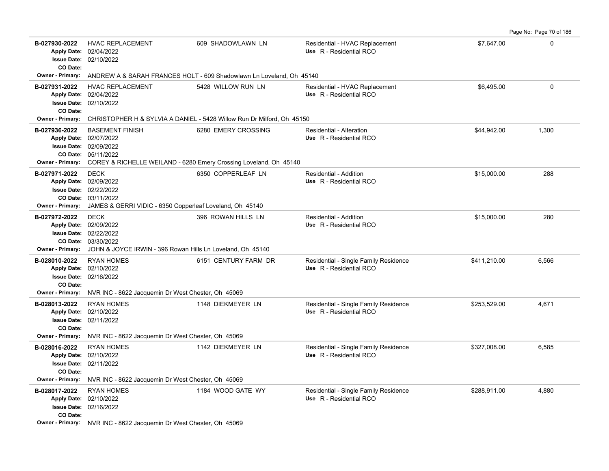**B-027930-2022** \$7,647.00 0 HVAC REPLACEMENT 609 SHADOWLAWN LN Residential - HVAC Replacement 02/10/2022 **Issue Date:** Apply Date: 02/04/2022 **Apply Date: Use** R - Residential RCO **CO Date: Owner - Primary:** ANDREW A & SARAH FRANCES HOLT - 609 Shadowlawn Ln Loveland, Oh 45140 **B-027931-2022** \$6,495.00 0 HVAC REPLACEMENT 5428 WILLOW RUN LN Residential - HVAC Replacement 02/10/2022 **Issue Date:** 02/04/2022 **Apply Date: Use** R - Residential RCO **CO Date: Owner - Primary:** CHRISTOPHER H & SYLVIA A DANIEL - 5428 Willow Run Dr Milford, Oh 45150 **B-027936-2022** \$44,942.00 1,300 BASEMENT FINISH 6280 EMERY CROSSING Residential - Alteration 05/11/2022 **CO Date:** 02/09/2022 **Issue Date:** 02/07/2022 **Apply Date: Use** R - Residential RCO **Owner - Primary:** COREY & RICHELLE WEILAND - 6280 Emery Crossing Loveland, Oh 45140 **B-027971-2022** \$15,000.00 288 DECK 6350 COPPERLEAF LN Residential - Addition 03/11/2022 **CO Date:** 02/22/2022 **Issue Date:** Apply Date: 02/09/2022 **Apply Date: Use** R - Residential RCO **Owner - Primary:** JAMES & GERRI VIDIC - 6350 Copperleaf Loveland, Oh 45140 **B-027972-2022** \$15,000.00 280 DECK 396 ROWAN HILLS LN Residential - Addition 03/30/2022 **CO Date:** 02/22/2022 **Issue Date:** 02/09/2022 **Apply Date: Use** R - Residential RCO **Owner - Primary:** JOHN & JOYCE IRWIN - 396 Rowan Hills Ln Loveland, Oh 45140 B-028010-2022 RYAN HOMES 6151 CENTURY FARM DR Residential - Single Family Residence \$411,210.00 6,566 02/16/2022 **Issue Date:** 02/10/2022 **Apply Date: Use** R - Residential RCO **CO Date: Owner - Primary:** NVR INC - 8622 Jacquemin Dr West Chester, Oh 45069 B-028013-2022 RYAN HOMES 1148 DIEKMEYER LN Residential - Single Family Residence \$253,529.00 4,671 02/11/2022 **Issue Date:** Apply Date: 02/10/2022 **Apply Date: Use** R - Residential RCO **CO Date: Owner - Primary:** NVR INC - 8622 Jacquemin Dr West Chester, Oh 45069 **B-028016-2022** \$327,008.00 6,585 RYAN HOMES 1142 DIEKMEYER LN Residential - Single Family Residence 02/11/2022 **Issue Date:** 02/10/2022 **Apply Date: Use** R - Residential RCO **CO Date: Owner - Primary:** NVR INC - 8622 Jacquemin Dr West Chester, Oh 45069 B-028017-2022 RYAN HOMES 1184 WOOD GATE WY Residential - Single Family Residence \$288,911.00 4,880 02/16/2022 **Issue Date:** 02/10/2022 **Apply Date: Use** R - Residential RCO **CO Date:**

Page No: Page 70 of 186

**Owner - Primary:** NVR INC - 8622 Jacquemin Dr West Chester, Oh 45069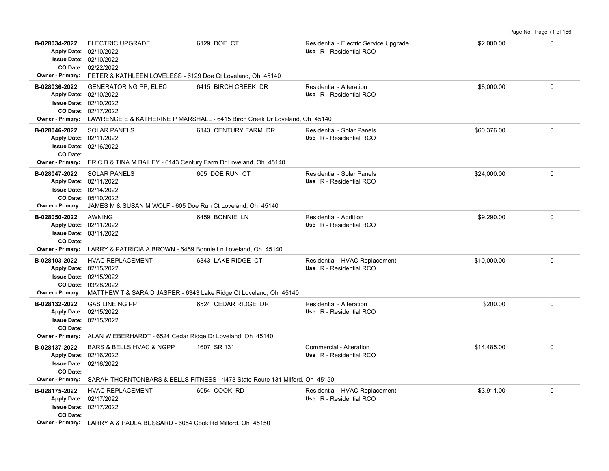| B-028034-2022<br><b>Apply Date:</b>                            | <b>ELECTRIC UPGRADE</b><br>02/10/2022<br><b>Issue Date: 02/10/2022</b><br>CO Date: 02/22/2022                                                           | 6129 DOE CT                                                                                       | Residential - Electric Service Upgrade<br>Use R - Residential RCO | \$2,000.00  | $\Omega$    |
|----------------------------------------------------------------|---------------------------------------------------------------------------------------------------------------------------------------------------------|---------------------------------------------------------------------------------------------------|-------------------------------------------------------------------|-------------|-------------|
|                                                                | Owner - Primary: PETER & KATHLEEN LOVELESS - 6129 Doe Ct Loveland, Oh 45140                                                                             |                                                                                                   |                                                                   |             |             |
| B-028036-2022<br>CO Date:<br><b>Owner - Primary:</b>           | <b>GENERATOR NG PP, ELEC</b><br>Apply Date: 02/10/2022<br><b>Issue Date: 02/10/2022</b><br>02/17/2022                                                   | 6415 BIRCH CREEK DR<br>LAWRENCE E & KATHERINE P MARSHALL - 6415 Birch Creek Dr Loveland, Oh 45140 | Residential - Alteration<br>Use R - Residential RCO               | \$8,000.00  | $\mathbf 0$ |
|                                                                |                                                                                                                                                         |                                                                                                   |                                                                   |             |             |
| B-028046-2022<br>CO Date:                                      | <b>SOLAR PANELS</b><br>Apply Date: 02/11/2022<br><b>Issue Date: 02/16/2022</b>                                                                          | 6143 CENTURY FARM DR                                                                              | <b>Residential - Solar Panels</b><br>Use R - Residential RCO      | \$60,376.00 | $\Omega$    |
| <b>Owner - Primary:</b>                                        | ERIC B & TINA M BAILEY - 6143 Century Farm Dr Loveland, Oh 45140                                                                                        |                                                                                                   |                                                                   |             |             |
| B-028047-2022<br><b>Apply Date:</b><br><b>Owner - Primary:</b> | <b>SOLAR PANELS</b><br>02/11/2022<br><b>Issue Date: 02/14/2022</b><br>CO Date: 05/10/2022<br>JAMES M & SUSAN M WOLF - 605 Doe Run Ct Loveland, Oh 45140 | 605 DOE RUN CT                                                                                    | Residential - Solar Panels<br>Use R - Residential RCO             | \$24,000.00 | $\Omega$    |
| B-028050-2022                                                  | <b>AWNING</b>                                                                                                                                           | 6459 BONNIE LN                                                                                    | Residential - Addition                                            | \$9,290.00  | $\mathbf 0$ |
| <b>Apply Date:</b>                                             | 02/11/2022                                                                                                                                              |                                                                                                   | Use R - Residential RCO                                           |             |             |
| <b>Issue Date:</b>                                             | 03/11/2022                                                                                                                                              |                                                                                                   |                                                                   |             |             |
| CO Date:                                                       |                                                                                                                                                         |                                                                                                   |                                                                   |             |             |
|                                                                | Owner - Primary: LARRY & PATRICIA A BROWN - 6459 Bonnie Ln Loveland, Oh 45140                                                                           |                                                                                                   |                                                                   |             |             |
| B-028103-2022                                                  | <b>HVAC REPLACEMENT</b>                                                                                                                                 | 6343 LAKE RIDGE CT                                                                                | Residential - HVAC Replacement                                    | \$10,000.00 | $\Omega$    |
|                                                                | Apply Date: 02/15/2022<br><b>Issue Date: 02/15/2022</b>                                                                                                 |                                                                                                   | Use R - Residential RCO                                           |             |             |
|                                                                | CO Date: 03/28/2022                                                                                                                                     |                                                                                                   |                                                                   |             |             |
| <b>Owner - Primary:</b>                                        |                                                                                                                                                         | MATTHEW T & SARA D JASPER - 6343 Lake Ridge Ct Loveland, Oh 45140                                 |                                                                   |             |             |
| B-028132-2022                                                  | <b>GAS LINE NG PP</b>                                                                                                                                   | 6524 CEDAR RIDGE DR                                                                               | Residential - Alteration                                          | \$200.00    | 0           |
|                                                                | Apply Date: 02/15/2022                                                                                                                                  |                                                                                                   | Use R - Residential RCO                                           |             |             |
| CO Date:                                                       | <b>Issue Date: 02/15/2022</b>                                                                                                                           |                                                                                                   |                                                                   |             |             |
|                                                                | Owner - Primary: ALAN W EBERHARDT - 6524 Cedar Ridge Dr Loveland, Oh 45140                                                                              |                                                                                                   |                                                                   |             |             |
| B-028137-2022                                                  | BARS & BELLS HVAC & NGPP                                                                                                                                | 1607 SR 131                                                                                       | Commercial - Alteration                                           | \$14,485.00 | $\mathbf 0$ |
|                                                                | Apply Date: 02/16/2022                                                                                                                                  |                                                                                                   | Use R - Residential RCO                                           |             |             |
|                                                                | <b>Issue Date: 02/16/2022</b>                                                                                                                           |                                                                                                   |                                                                   |             |             |
| CO Date:<br><b>Owner - Primary:</b>                            |                                                                                                                                                         | SARAH THORNTONBARS & BELLS FITNESS - 1473 State Route 131 Milford, Oh 45150                       |                                                                   |             |             |
|                                                                |                                                                                                                                                         |                                                                                                   |                                                                   |             |             |
| B-028175-2022                                                  | <b>HVAC REPLACEMENT</b><br>Apply Date: 02/17/2022                                                                                                       | 6054 COOK RD                                                                                      | Residential - HVAC Replacement<br>Use R - Residential RCO         | \$3,911.00  | $\mathbf 0$ |
|                                                                | <b>Issue Date: 02/17/2022</b>                                                                                                                           |                                                                                                   |                                                                   |             |             |
| CO Date:                                                       |                                                                                                                                                         |                                                                                                   |                                                                   |             |             |
|                                                                | Owner - Primary: LARRY A & PAULA BUSSARD - 6054 Cook Rd Milford, Oh 45150                                                                               |                                                                                                   |                                                                   |             |             |

Page No: Page 71 of 186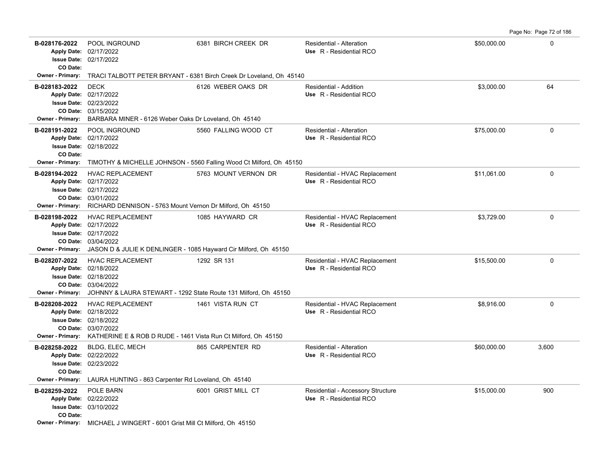Page No: Page 72 of 186

| B-028176-2022<br>CO Date:                             | POOL INGROUND<br>Apply Date: 02/17/2022<br><b>Issue Date: 02/17/2022</b>                                                                                                                      | 6381 BIRCH CREEK DR                                                                         | Residential - Alteration<br>Use R - Residential RCO          | \$50,000.00 | 0     |
|-------------------------------------------------------|-----------------------------------------------------------------------------------------------------------------------------------------------------------------------------------------------|---------------------------------------------------------------------------------------------|--------------------------------------------------------------|-------------|-------|
| Owner - Primary:                                      | TRACI TALBOTT PETER BRYANT - 6381 Birch Creek Dr Loveland, Oh 45140                                                                                                                           |                                                                                             |                                                              |             |       |
| B-028183-2022                                         | <b>DECK</b><br>Apply Date: 02/17/2022<br><b>Issue Date: 02/23/2022</b><br>CO Date: 03/15/2022<br>Owner - Primary: BARBARA MINER - 6126 Weber Oaks Dr Loveland, Oh 45140                       | 6126 WEBER OAKS DR                                                                          | Residential - Addition<br>Use R - Residential RCO            | \$3,000.00  | 64    |
| B-028191-2022<br>CO Date:                             | POOL INGROUND<br>Apply Date: 02/17/2022<br><b>Issue Date: 02/18/2022</b>                                                                                                                      | 5560 FALLING WOOD CT                                                                        | Residential - Alteration<br>Use R - Residential RCO          | \$75,000.00 | 0     |
| Owner - Primary:<br>B-028194-2022<br>Owner - Primary: | <b>HVAC REPLACEMENT</b><br>Apply Date: 02/17/2022<br>Issue Date: 02/17/2022<br>CO Date: 03/01/2022<br>RICHARD DENNISON - 5763 Mount Vernon Dr Milford, Oh 45150                               | TIMOTHY & MICHELLE JOHNSON - 5560 Falling Wood Ct Milford, Oh 45150<br>5763 MOUNT VERNON DR | Residential - HVAC Replacement<br>Use R - Residential RCO    | \$11,061.00 | 0     |
| B-028198-2022<br><b>Owner - Primary:</b>              | <b>HVAC REPLACEMENT</b><br>Apply Date: 02/17/2022<br><b>Issue Date: 02/17/2022</b><br>CO Date: 03/04/2022<br>JASON D & JULIE K DENLINGER - 1085 Hayward Cir Milford, Oh 45150                 | 1085 HAYWARD CR                                                                             | Residential - HVAC Replacement<br>Use R - Residential RCO    | \$3,729.00  | 0     |
| B-028207-2022                                         | <b>HVAC REPLACEMENT</b><br>Apply Date: 02/18/2022<br><b>Issue Date: 02/18/2022</b><br>CO Date: 03/04/2022<br>Owner - Primary: JOHNNY & LAURA STEWART - 1292 State Route 131 Milford, Oh 45150 | 1292 SR 131                                                                                 | Residential - HVAC Replacement<br>Use R - Residential RCO    | \$15,500.00 | 0     |
| B-028208-2022                                         | <b>HVAC REPLACEMENT</b><br>Apply Date: 02/18/2022<br><b>Issue Date: 02/18/2022</b><br>CO Date: 03/07/2022<br>Owner - Primary: KATHERINE E & ROB D RUDE - 1461 Vista Run Ct Milford, Oh 45150  | 1461 VISTA RUN CT                                                                           | Residential - HVAC Replacement<br>Use R - Residential RCO    | \$8,916.00  | 0     |
| B-028258-2022<br>CO Date:<br>Owner - Primary:         | BLDG, ELEC, MECH<br>Apply Date: 02/22/2022<br><b>Issue Date: 02/23/2022</b><br>LAURA HUNTING - 863 Carpenter Rd Loveland, Oh 45140                                                            | 865 CARPENTER RD                                                                            | Residential - Alteration<br>Use R - Residential RCO          | \$60,000.00 | 3,600 |
| B-028259-2022<br>CO Date:                             | POLE BARN<br>Apply Date: 02/22/2022<br>Issue Date: 03/10/2022<br><b>Owner - Primary:</b> MICHAEL J WINGERT - 6001 Grist Mill Ct Milford, Oh 45150                                             | 6001 GRIST MILL CT                                                                          | Residential - Accessory Structure<br>Use R - Residential RCO | \$15,000.00 | 900   |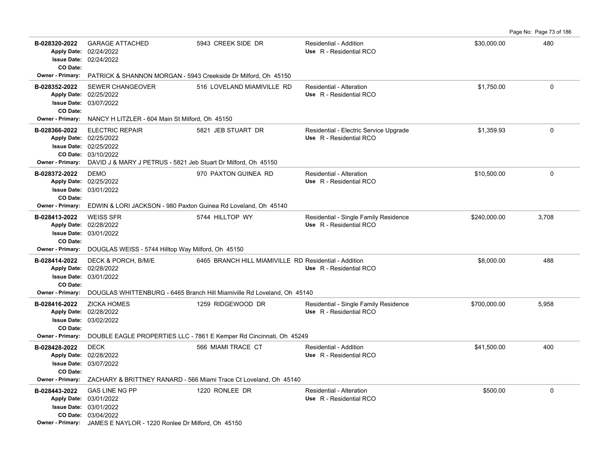Page No: Page 73 of 186

| B-028320-2022<br>CO Date:                | <b>GARAGE ATTACHED</b><br>Apply Date: 02/24/2022<br><b>Issue Date: 02/24/2022</b>                                                                                          | 5943 CREEK SIDE DR                                                      | <b>Residential - Addition</b><br>Use R - Residential RCO          | \$30,000.00  | 480      |
|------------------------------------------|----------------------------------------------------------------------------------------------------------------------------------------------------------------------------|-------------------------------------------------------------------------|-------------------------------------------------------------------|--------------|----------|
| Owner - Primary:                         | PATRICK & SHANNON MORGAN - 5943 Creekside Dr Milford, Oh 45150                                                                                                             |                                                                         |                                                                   |              |          |
| B-028352-2022<br>CO Date:                | <b>SEWER CHANGEOVER</b><br>Apply Date: 02/25/2022<br><b>Issue Date: 03/07/2022</b>                                                                                         | 516 LOVELAND MIAMIVILLE RD                                              | Residential - Alteration<br>Use R - Residential RCO               | \$1,750.00   | 0        |
| <b>Owner - Primary:</b>                  | NANCY H LITZLER - 604 Main St Milford, Oh 45150                                                                                                                            |                                                                         |                                                                   |              |          |
| B-028366-2022<br><b>Owner - Primary:</b> | <b>ELECTRIC REPAIR</b><br>Apply Date: 02/25/2022<br><b>Issue Date: 02/25/2022</b><br>CO Date: 03/10/2022<br>DAVID J & MARY J PETRUS - 5821 Jeb Stuart Dr Milford, Oh 45150 | 5821 JEB STUART DR                                                      | Residential - Electric Service Upgrade<br>Use R - Residential RCO | \$1,359.93   | 0        |
| B-028372-2022<br>CO Date:                | <b>DEMO</b><br>Apply Date: 02/25/2022<br><b>Issue Date: 03/01/2022</b>                                                                                                     | 970 PAXTON GUINEA RD                                                    | Residential - Alteration<br>Use R - Residential RCO               | \$10,500.00  | $\Omega$ |
| Owner - Primary:                         | EDWIN & LORI JACKSON - 980 Paxton Guinea Rd Loveland, Oh 45140                                                                                                             |                                                                         |                                                                   |              |          |
| B-028413-2022<br>CO Date:                | <b>WEISS SFR</b><br>Apply Date: 02/28/2022<br><b>Issue Date: 03/01/2022</b>                                                                                                | 5744 HILLTOP WY                                                         | Residential - Single Family Residence<br>Use R - Residential RCO  | \$240,000.00 | 3,708    |
| <b>Owner - Primary:</b>                  | DOUGLAS WEISS - 5744 Hilltop Way Milford, Oh 45150                                                                                                                         |                                                                         |                                                                   |              |          |
| B-028414-2022<br>CO Date:                | DECK & PORCH, B/M/E<br>Apply Date: 02/28/2022<br><b>Issue Date: 03/01/2022</b>                                                                                             | 6465 BRANCH HILL MIAMIVILLE RD Residential - Addition                   | Use R - Residential RCO                                           | \$8,000.00   | 488      |
| <b>Owner - Primary:</b>                  |                                                                                                                                                                            | DOUGLAS WHITTENBURG - 6465 Branch Hill Miamiville Rd Loveland, Oh 45140 |                                                                   |              |          |
| B-028416-2022<br>CO Date:                | <b>ZICKA HOMES</b><br>Apply Date: 02/28/2022<br><b>Issue Date: 03/02/2022</b>                                                                                              | 1259 RIDGEWOOD DR                                                       | Residential - Single Family Residence<br>Use R - Residential RCO  | \$700,000.00 | 5,958    |
| Owner - Primary:                         |                                                                                                                                                                            | DOUBLE EAGLE PROPERTIES LLC - 7861 E Kemper Rd Cincinnati, Oh 45249     |                                                                   |              |          |
| B-028428-2022<br>CO Date:                | <b>DECK</b><br>Apply Date: 02/28/2022<br><b>Issue Date: 03/07/2022</b>                                                                                                     | 566 MIAMI TRACE CT                                                      | <b>Residential - Addition</b><br>Use R - Residential RCO          | \$41,500.00  | 400      |
| <b>Owner - Primary:</b>                  |                                                                                                                                                                            | ZACHARY & BRITTNEY RANARD - 566 Miami Trace Ct Loveland, Oh 45140       |                                                                   |              |          |
| B-028443-2022                            | <b>GAS LINE NG PP</b><br>Apply Date: 03/01/2022<br><b>Issue Date: 03/01/2022</b><br>CO Date: 03/04/2022                                                                    | 1220 RONLEE DR                                                          | Residential - Alteration<br>Use R - Residential RCO               | \$500.00     | 0        |
|                                          | Owner - Primary: JAMES E NAYLOR - 1220 Ronlee Dr Milford, Oh 45150                                                                                                         |                                                                         |                                                                   |              |          |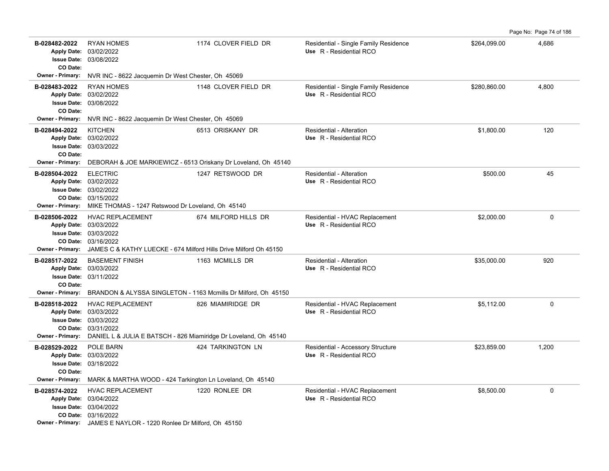Page No: Page 74 of 186

| B-028482-2022<br>CO Date:                            | <b>RYAN HOMES</b><br>Apply Date: 03/02/2022<br><b>Issue Date: 03/08/2022</b>                                                                                            | 1174 CLOVER FIELD DR | Residential - Single Family Residence<br>Use R - Residential RCO | \$264,099.00 | 4,686       |
|------------------------------------------------------|-------------------------------------------------------------------------------------------------------------------------------------------------------------------------|----------------------|------------------------------------------------------------------|--------------|-------------|
| Owner - Primary:                                     | NVR INC - 8622 Jacquemin Dr West Chester, Oh 45069                                                                                                                      |                      |                                                                  |              |             |
| B-028483-2022<br>CO Date:                            | <b>RYAN HOMES</b><br>Apply Date: 03/02/2022<br><b>Issue Date: 03/08/2022</b>                                                                                            | 1148 CLOVER FIELD DR | Residential - Single Family Residence<br>Use R - Residential RCO | \$280,860.00 | 4,800       |
| Owner - Primary:                                     | NVR INC - 8622 Jacquemin Dr West Chester, Oh 45069                                                                                                                      |                      |                                                                  |              |             |
| B-028494-2022<br>CO Date:                            | <b>KITCHEN</b><br>Apply Date: 03/02/2022<br><b>Issue Date: 03/03/2022</b>                                                                                               | 6513 ORISKANY DR     | Residential - Alteration<br>Use R - Residential RCO              | \$1,800.00   | 120         |
| <b>Owner - Primary:</b>                              | DEBORAH & JOE MARKIEWICZ - 6513 Oriskany Dr Loveland, Oh 45140                                                                                                          |                      |                                                                  |              |             |
| B-028504-2022<br><b>Owner - Primary:</b>             | <b>ELECTRIC</b><br>Apply Date: 03/02/2022<br><b>Issue Date: 03/02/2022</b><br>CO Date: 03/15/2022<br>MIKE THOMAS - 1247 Retswood Dr Loveland, Oh 45140                  | 1247 RETSWOOD DR     | Residential - Alteration<br>Use R - Residential RCO              | \$500.00     | 45          |
| B-028506-2022<br><b>Owner - Primary:</b>             | HVAC REPLACEMENT<br>Apply Date: 03/03/2022<br><b>Issue Date: 03/03/2022</b><br>CO Date: 03/16/2022<br>JAMES C & KATHY LUECKE - 674 Milford Hills Drive Milford Oh 45150 | 674 MILFORD HILLS DR | Residential - HVAC Replacement<br>Use R - Residential RCO        | \$2,000.00   | $\Omega$    |
| B-028517-2022<br>CO Date:<br><b>Owner - Primary:</b> | <b>BASEMENT FINISH</b><br>Apply Date: 03/03/2022<br><b>Issue Date: 03/11/2022</b><br>BRANDON & ALYSSA SINGLETON - 1163 Mcmills Dr Milford, Oh 45150                     | 1163 MCMILLS DR      | Residential - Alteration<br>Use R - Residential RCO              | \$35,000.00  | 920         |
| B-028518-2022<br><b>Owner - Primary:</b>             | <b>HVAC REPLACEMENT</b><br>Apply Date: 03/03/2022<br>Issue Date: 03/03/2022<br>CO Date: 03/31/2022<br>DANIEL L & JULIA E BATSCH - 826 Miamiridge Dr Loveland, Oh 45140  | 826 MIAMIRIDGE DR    | Residential - HVAC Replacement<br>Use R - Residential RCO        | \$5,112.00   | 0           |
| B-028529-2022<br>CO Date:<br><b>Owner - Primary:</b> | POLE BARN<br>Apply Date: 03/03/2022<br><b>Issue Date: 03/18/2022</b>                                                                                                    | 424 TARKINGTON LN    | Residential - Accessory Structure<br>Use R - Residential RCO     | \$23.859.00  | 1,200       |
| B-028574-2022                                        | MARK & MARTHA WOOD - 424 Tarkington Ln Loveland, Oh 45140<br><b>HVAC REPLACEMENT</b>                                                                                    | 1220 RONLEE DR       |                                                                  | \$8,500.00   | $\mathbf 0$ |
|                                                      | Apply Date: 03/04/2022<br><b>Issue Date: 03/04/2022</b><br>CO Date: 03/16/2022<br>Owner - Primary: JAMES E NAYLOR - 1220 Ronlee Dr Milford, Oh 45150                    |                      | Residential - HVAC Replacement<br>Use R - Residential RCO        |              |             |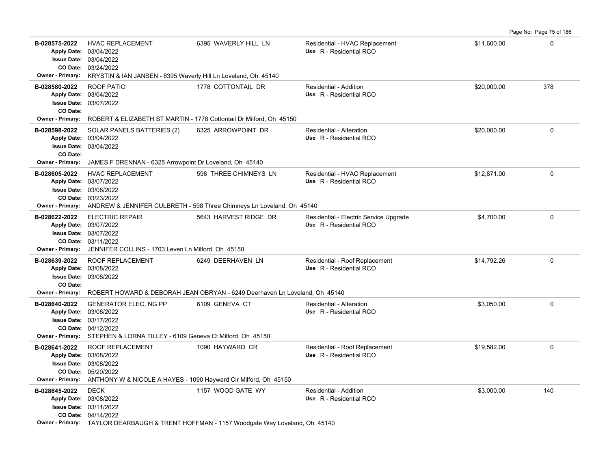**B-028575-2022** \$11,600.00 0 HVAC REPLACEMENT 6395 WAVERLY HILL LN Residential - HVAC Replacement 03/24/2022 **CO Date:** 03/04/2022 **Issue Date:** Apply Date: 03/04/2022 **Apply Date: Use** R - Residential RCO **Owner - Primary:** KRYSTIN & IAN JANSEN - 6395 Waverly Hill Ln Loveland, Oh 45140 **B-028580-2022** \$20,000.00 378 ROOF PATIO 1778 COTTONTAIL DR Residential - Addition 03/07/2022 **Issue Date:** 03/04/2022 **Apply Date: Use** R - Residential RCO **CO Date: Owner - Primary:** ROBERT & ELIZABETH ST MARTIN - 1778 Cottontail Dr Milford, Oh 45150 **B-028598-2022** \$20,000.00 0 SOLAR PANELS BATTERIES (2) 6325 ARROWPOINT DR Residential - Alteration 03/04/2022 **Issue Date:** 03/04/2022 **Apply Date: Use** R - Residential RCO **CO Date: Owner - Primary:** JAMES F DRENNAN - 6325 Arrowpoint Dr Loveland, Oh 45140 B-028605-2022 HVAC REPLACEMENT 598 THREE CHIMNEYS LN Residential - HVAC Replacement \$12,871.00 \$12,871.00 03/23/2022 **CO Date:** 03/08/2022 **Issue Date:** Apply Date: 03/07/2022 **Apply Date: Use** R - Residential RCO **Owner - Primary:** ANDREW & JENNIFER CULBRETH - 598 Three Chimneys Ln Loveland, Oh 45140 **B-028622-2022** ELECTRIC REPAIR 5643 HARVEST RIDGE DR Residential - Electric Service Upgrade \$4,700.00 \$4,700.00 03/11/2022 **CO Date:** 03/07/2022 **Issue Date:** 03/07/2022 **Apply Date: Use** R - Residential RCO **Owner - Primary:** JENNIFER COLLINS - 1703 Leven Ln Milford, Oh 45150 B-028639-2022 ROOF REPLACEMENT 6249 DEERHAVEN LN Residential - Roof Replacement \$14,792.26 \$14,792.26 03/08/2022 **Issue Date:** Apply Date: 03/08/2022 **Apply Date: Use** R - Residential RCO **CO Date: Owner - Primary:** ROBERT HOWARD & DEBORAH JEAN OBRYAN - 6249 Deerhaven Ln Loveland, Oh 45140 **B-028640-2022** \$3,050.00 0 GENERATOR ELEC, NG PP 6109 GENEVA CT Residential - Alteration 04/12/2022 **CO Date:** 03/17/2022 **Issue Date:** Apply Date: 03/08/2022 **Apply Date: Use** R - Residential RCO **Owner - Primary:** STEPHEN & LORNA TILLEY - 6109 Geneva Ct Milford, Oh 45150 B-028641-2022 ROOF REPLACEMENT 1090 HAYWARD CR Residential - Roof Replacement \$19,582.00 \$19,582.00 05/20/2022 **CO Date:** 03/08/2022 **Issue Date:** 03/08/2022 **Apply Date: Use** R - Residential RCO **Owner - Primary:** ANTHONY W & NICOLE A HAYES - 1090 Hayward Cir Milford, Oh 45150 **B-028645-2022** \$3,000.00 140 DECK 1157 WOOD GATE WY Residential - Addition 04/14/2022 **CO Date:** 03/11/2022 **Issue Date:** Apply Date: 03/08/2022 **Apply Date: Use** R - Residential RCO **Owner - Primary:** TAYLOR DEARBAUGH & TRENT HOFFMAN - 1157 Woodgate Way Loveland, Oh 45140

Page No: Page 75 of 186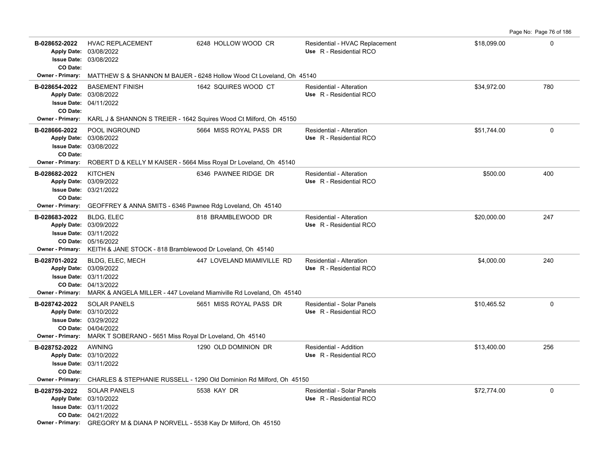B-028652-2022 HVAC REPLACEMENT 6248 HOLLOW WOOD CR Residential - HVAC Replacement \$18,099.00 \$18,099.00 03/08/2022 Apply Date: 03/08/2022 **Apply Date: Use** R - Residential RCO **Issue Date: CO Date: Owner - Primary:** MATTHEW S & SHANNON M BAUER - 6248 Hollow Wood Ct Loveland, Oh 45140 **B-028654-2022** \$34,972.00 780 BASEMENT FINISH 1642 SQUIRES WOOD CT Residential - Alteration 04/11/2022 **Issue Date:** 03/08/2022 **Apply Date: Use** R - Residential RCO **CO Date: Owner - Primary:** KARL J & SHANNON S TREIER - 1642 Squires Wood Ct Milford, Oh 45150 **B-028666-2022** POOL INGROUND 5664 MISS ROYAL PASS DR Residential - Alteration \$51,744.00 \$51,744.00 03/08/2022 **Issue Date:** 03/08/2022 **Apply Date: Use** R - Residential RCO **CO Date: Owner - Primary:** ROBERT D & KELLY M KAISER - 5664 Miss Royal Dr Loveland, Oh 45140 **B-028682-2022** \$500.00 400 KITCHEN 6346 PAWNEE RIDGE DR Residential - Alteration 03/21/2022 **Issue Date:** Apply Date: 03/09/2022 **Apply Date: Use** R - Residential RCO **CO Date: Owner - Primary:** GEOFFREY & ANNA SMITS - 6346 Pawnee Rdg Loveland, Oh 45140 **B-028683-2022** \$20,000.00 247 BLDG, ELEC 818 BRAMBLEWOOD DR Residential - Alteration 05/16/2022 **CO Date:** 03/11/2022 **Issue Date:** Apply Date: 03/09/2022 **Apply Date: Use** R - Residential RCO **Owner - Primary:** KEITH & JANE STOCK - 818 Bramblewood Dr Loveland, Oh 45140 **B-028701-2022** \$4,000.00 240 BLDG, ELEC, MECH 447 LOVELAND MIAMIVILLE RD Residential - Alteration 04/13/2022 **CO Date:** 03/11/2022 **Issue Date:** Apply Date: 03/09/2022 **Apply Date: Use** R - Residential RCO **Owner - Primary:** MARK & ANGELA MILLER - 447 Loveland Miamiville Rd Loveland, Oh 45140 **B-028742-2022** SOLAR PANELS 5651 MISS ROYAL PASS DR Residential - Solar Panels \$10,465.52 \$10,465.52 04/04/2022 **CO Date:** 03/29/2022 **Issue Date:** Apply Date: 03/10/2022 **Apply Date: Use** R - Residential RCO **Owner - Primary:** MARK T SOBERANO - 5651 Miss Royal Dr Loveland, Oh 45140 **B-028752-2022** \$13,400.00 256 AWNING 1290 OLD DOMINION DR Residential - Addition 03/11/2022 **Issue Date:** Apply Date: 03/10/2022 **Apply Date: Use** R - Residential RCO **CO Date: Owner - Primary:** CHARLES & STEPHANIE RUSSELL - 1290 Old Dominion Rd Milford, Oh 45150 **B-028759-2022** \$72,774.00 0 SOLAR PANELS 5538 KAY DR Residential - Solar Panels 04/21/2022 **CO Date:** 03/11/2022 **Issue Date:** 03/10/2022 **Apply Date: Use** R - Residential RCO

Page No: Page 76 of 186

**Owner - Primary:** GREGORY M & DIANA P NORVELL - 5538 Kay Dr Milford, Oh 45150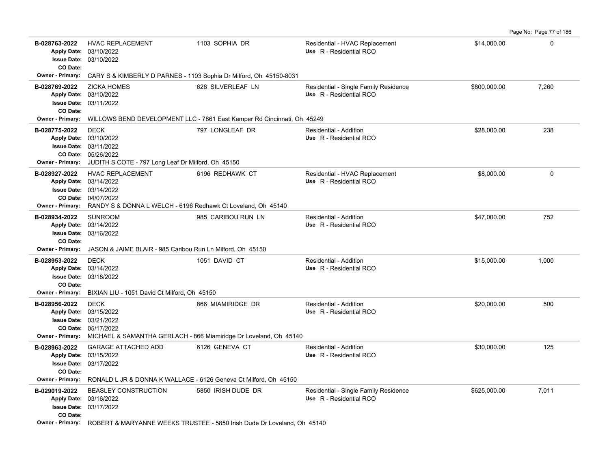Page No: Page 77 of 186

| B-028763-2022<br>CO Date:                            | <b>HVAC REPLACEMENT</b><br>Apply Date: 03/10/2022<br><b>Issue Date: 03/10/2022</b>                                                                                        | 1103 SOPHIA DR                                                                         | Residential - HVAC Replacement<br>Use R - Residential RCO        | \$14,000.00  | 0        |
|------------------------------------------------------|---------------------------------------------------------------------------------------------------------------------------------------------------------------------------|----------------------------------------------------------------------------------------|------------------------------------------------------------------|--------------|----------|
|                                                      |                                                                                                                                                                           | Owner - Primary: CARY S & KIMBERLY D PARNES - 1103 Sophia Dr Milford, Oh 45150-8031    |                                                                  |              |          |
| B-028769-2022<br>CO Date:                            | <b>ZICKA HOMES</b><br>Apply Date: 03/10/2022<br><b>Issue Date: 03/11/2022</b>                                                                                             | 626 SILVERLEAF LN                                                                      | Residential - Single Family Residence<br>Use R - Residential RCO | \$800,000.00 | 7,260    |
| <b>Owner - Primary:</b>                              |                                                                                                                                                                           | WILLOWS BEND DEVELOPMENT LLC - 7861 East Kemper Rd Cincinnati, Oh 45249                |                                                                  |              |          |
| B-028775-2022<br><b>Owner - Primary:</b>             | <b>DECK</b><br>Apply Date: 03/10/2022<br><b>Issue Date: 03/11/2022</b><br>CO Date: 05/26/2022<br>JUDITH S COTE - 797 Long Leaf Dr Milford, Oh 45150                       | 797 LONGLEAF DR                                                                        | Residential - Addition<br>Use R - Residential RCO                | \$28,000.00  | 238      |
| B-028927-2022<br>Owner - Primary:                    | <b>HVAC REPLACEMENT</b><br>Apply Date: 03/14/2022<br><b>Issue Date: 03/14/2022</b><br>CO Date: 04/07/2022<br>RANDY S & DONNA L WELCH - 6196 Redhawk Ct Loveland, Oh 45140 | 6196 REDHAWK CT                                                                        | Residential - HVAC Replacement<br>Use R - Residential RCO        | \$8,000.00   | $\Omega$ |
| B-028934-2022<br>CO Date:<br><b>Owner - Primary:</b> | <b>SUNROOM</b><br>Apply Date: 03/14/2022<br><b>Issue Date: 03/16/2022</b><br>JASON & JAIME BLAIR - 985 Caribou Run Ln Milford, Oh 45150                                   | 985 CARIBOU RUN LN                                                                     | Residential - Addition<br>Use R - Residential RCO                | \$47,000.00  | 752      |
| B-028953-2022<br>CO Date:                            | <b>DECK</b><br>Apply Date: 03/14/2022<br><b>Issue Date: 03/18/2022</b>                                                                                                    | 1051 DAVID CT                                                                          | Residential - Addition<br>Use R - Residential RCO                | \$15,000.00  | 1,000    |
| <b>Owner - Primary:</b>                              | BIXIAN LIU - 1051 David Ct Milford, Oh 45150                                                                                                                              |                                                                                        |                                                                  |              |          |
| B-028956-2022<br>Owner - Primary:                    | <b>DECK</b><br>Apply Date: 03/15/2022<br><b>Issue Date: 03/21/2022</b><br>CO Date: 05/17/2022                                                                             | 866 MIAMIRIDGE DR<br>MICHAEL & SAMANTHA GERLACH - 866 Miamiridge Dr Loveland, Oh 45140 | Residential - Addition<br>Use R - Residential RCO                | \$20,000.00  | 500      |
| B-028963-2022<br>CO Date:                            | <b>GARAGE ATTACHED ADD</b><br>Apply Date: 03/15/2022<br><b>Issue Date: 03/17/2022</b>                                                                                     | 6126 GENEVA CT                                                                         | Residential - Addition<br>Use R - Residential RCO                | \$30,000.00  | 125      |
| <b>Owner - Primary:</b>                              |                                                                                                                                                                           | RONALD L JR & DONNA K WALLACE - 6126 Geneva Ct Milford, Oh 45150                       |                                                                  |              |          |
| B-029019-2022<br>CO Date:                            | <b>BEASLEY CONSTRUCTION</b><br>Apply Date: 03/16/2022<br><b>Issue Date: 03/17/2022</b>                                                                                    | 5850 IRISH DUDE DR                                                                     | Residential - Single Family Residence<br>Use R - Residential RCO | \$625,000.00 | 7,011    |
| <b>Owner - Primary:</b>                              |                                                                                                                                                                           | ROBERT & MARYANNE WEEKS TRUSTEE - 5850 Irish Dude Dr Loveland, Oh 45140                |                                                                  |              |          |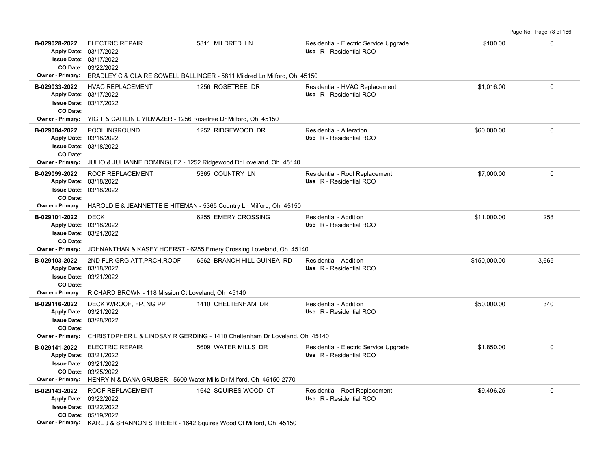|                                               |                                                                                                          |                                                                                                             |                                                                   |              | Page No: Page 78 of 186 |
|-----------------------------------------------|----------------------------------------------------------------------------------------------------------|-------------------------------------------------------------------------------------------------------------|-------------------------------------------------------------------|--------------|-------------------------|
| B-029028-2022                                 | <b>ELECTRIC REPAIR</b><br>Apply Date: 03/17/2022<br>Issue Date: 03/17/2022<br>CO Date: 03/22/2022        | 5811 MILDRED LN<br>Owner - Primary: BRADLEY C & CLAIRE SOWELL BALLINGER - 5811 Mildred Ln Milford, Oh 45150 | Residential - Electric Service Upgrade<br>Use R - Residential RCO | \$100.00     | $\Omega$                |
| B-029033-2022<br>CO Date:                     | <b>HVAC REPLACEMENT</b><br>Apply Date: 03/17/2022<br><b>Issue Date: 03/17/2022</b>                       | 1256 ROSETREE DR                                                                                            | Residential - HVAC Replacement<br>Use R - Residential RCO         | \$1.016.00   | $\Omega$                |
|                                               | Owner - Primary: YIGIT & CAITLIN L YILMAZER - 1256 Rosetree Dr Milford, Oh 45150                         |                                                                                                             |                                                                   |              |                         |
| B-029084-2022<br>CO Date:<br>Owner - Primary: | POOL INGROUND<br>Apply Date: 03/18/2022<br><b>Issue Date: 03/18/2022</b>                                 | 1252 RIDGEWOOD DR<br>JULIO & JULIANNE DOMINGUEZ - 1252 Ridgewood Dr Loveland, Oh 45140                      | Residential - Alteration<br>Use R - Residential RCO               | \$60,000.00  | 0                       |
| B-029099-2022<br>CO Date:                     | ROOF REPLACEMENT<br>Apply Date: 03/18/2022<br><b>Issue Date: 03/18/2022</b>                              | 5365 COUNTRY LN                                                                                             | Residential - Roof Replacement<br>Use R - Residential RCO         | \$7,000.00   | 0                       |
|                                               |                                                                                                          | Owner - Primary: HAROLD E & JEANNETTE E HITEMAN - 5365 Country Ln Milford, Oh 45150                         |                                                                   |              |                         |
| B-029101-2022<br>CO Date:                     | <b>DECK</b><br>Apply Date: 03/18/2022<br><b>Issue Date: 03/21/2022</b>                                   | 6255 EMERY CROSSING                                                                                         | <b>Residential - Addition</b><br>Use R - Residential RCO          | \$11.000.00  | 258                     |
|                                               |                                                                                                          | <b>Owner - Primary:</b> JOHNANTHAN & KASEY HOERST - 6255 Emery Crossing Loveland, Oh 45140                  |                                                                   |              |                         |
| B-029103-2022<br>CO Date:                     | 2ND FLR, GRG ATT, PRCH, ROOF<br>Apply Date: 03/18/2022<br><b>Issue Date: 03/21/2022</b>                  | 6562 BRANCH HILL GUINEA RD                                                                                  | Residential - Addition<br>Use R - Residential RCO                 | \$150,000.00 | 3,665                   |
|                                               | <b>Owner - Primary:</b> RICHARD BROWN - 118 Mission Ct Loveland, Oh 45140                                |                                                                                                             |                                                                   |              |                         |
| B-029116-2022<br>CO Date:                     | DECK W/ROOF, FP, NG PP<br>Apply Date: 03/21/2022<br>Issue Date: 03/28/2022                               | 1410 CHELTENHAM DR                                                                                          | Residential - Addition<br>Use R - Residential RCO                 | \$50,000.00  | 340                     |
|                                               |                                                                                                          | Owner - Primary: CHRISTOPHER L & LINDSAY R GERDING - 1410 Cheltenham Dr Loveland, Oh 45140                  |                                                                   |              |                         |
| B-029141-2022<br>Owner - Primary:             | <b>ELECTRIC REPAIR</b><br>Apply Date: 03/21/2022<br><b>Issue Date: 03/21/2022</b><br>CO Date: 03/25/2022 | 5609 WATER MILLS DR<br>HENRY N & DANA GRUBER - 5609 Water Mills Dr Milford, Oh 45150-2770                   | Residential - Electric Service Upgrade<br>Use R - Residential RCO | \$1,850.00   | 0                       |
| B-029143-2022                                 | ROOF REPLACEMENT<br>Apply Date: 03/22/2022<br>Issue Date: 03/22/2022<br>CO Date: 05/19/2022              | 1642 SQUIRES WOOD CT<br>Owner - Primary: KARL J & SHANNON S TREIER - 1642 Squires Wood Ct Milford, Oh 45150 | Residential - Roof Replacement<br>Use R - Residential RCO         | \$9,496.25   | $\mathbf 0$             |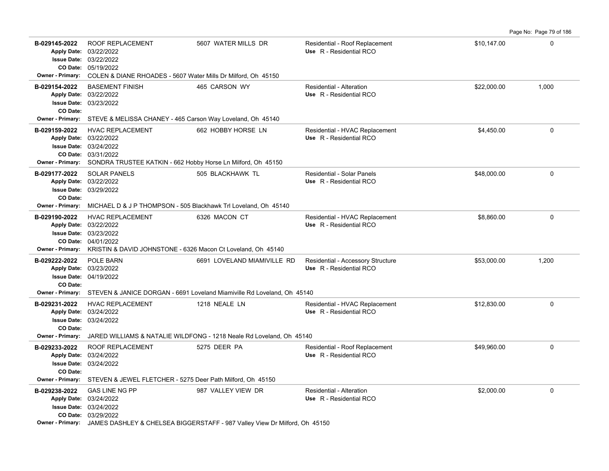**B-029145-2022** ROOF REPLACEMENT 5607 WATER MILLS DR Residential - Roof Replacement \$10,147.00 \$10,147.00 05/19/2022 **CO Date:** 03/22/2022 **Issue Date:** Apply Date: 03/22/2022 **Apply Date: Use** R - Residential RCO **Owner - Primary:** COLEN & DIANE RHOADES - 5607 Water Mills Dr Milford, Oh 45150 **B-029154-2022** \$22,000.00 1,000 BASEMENT FINISH 465 CARSON WY Residential - Alteration 03/23/2022 **Issue Date:** 03/22/2022 **Apply Date: Use** R - Residential RCO **CO Date: Owner - Primary:** STEVE & MELISSA CHANEY - 465 Carson Way Loveland, Oh 45140 **B-029159-2022** HVAC REPLACEMENT 662 HOBBY HORSE LN Residential - HVAC Replacement \$4,450.00 \$4,450.00 03/31/2022 **CO Date:** 03/24/2022 **Issue Date:** 03/22/2022 **Apply Date: Use** R - Residential RCO **Owner - Primary:** SONDRA TRUSTEE KATKIN - 662 Hobby Horse Ln Milford, Oh 45150 **B-029177-2022** \$48,000.00 0 SOLAR PANELS 505 BLACKHAWK TL Residential - Solar Panels 03/29/2022 **Issue Date:** Apply Date: 03/22/2022 **Apply Date: Use** R - Residential RCO **CO Date: Owner - Primary:** MICHAEL D & J P THOMPSON - 505 Blackhawk Trl Loveland, Oh 45140 **B-029190-2022** HVAC REPLACEMENT 6326 MACON CT Residential - HVAC Replacement \$8,860.00 \$8,860.00 04/01/2022 **CO Date:** 03/23/2022 **Issue Date:** Apply Date: 03/22/2022 **Apply Date: Use** R - Residential RCO **Owner - Primary:** KRISTIN & DAVID JOHNSTONE - 6326 Macon Ct Loveland, Oh 45140 B-029222-2022 POLE BARN 6691 LOVELAND MIAMIVILLE RD Residential - Accessory Structure \$53,000.00 1,200 04/19/2022 **Issue Date:** Apply Date: 03/23/2022 **Apply Date: Use** R - Residential RCO **CO Date: Owner - Primary:** STEVEN & JANICE DORGAN - 6691 Loveland Miamiville Rd Loveland, Oh 45140 **B-029231-2022** \$12,830.00 0 HVAC REPLACEMENT 1218 NEALE LN Residential - HVAC Replacement 03/24/2022 **Issue Date:** Apply Date: 03/24/2022 **Apply Date: Use** R - Residential RCO **CO Date: Owner - Primary:** JARED WILLIAMS & NATALIE WILDFONG - 1218 Neale Rd Loveland, Oh 45140 **B-029233-2022** ROOF REPLACEMENT 5275 DEER PA Residential - Roof Replacement \$49,960.00 0 0 03/24/2022 **Issue Date:** 03/24/2022 **Apply Date: Use** R - Residential RCO **CO Date: Owner - Primary:** STEVEN & JEWEL FLETCHER - 5275 Deer Path Milford, Oh 45150 **B-029238-2022** GAS LINE NG PP 987 VALLEY VIEW DR Residential - Alteration \$2,000.00 0 03/29/2022 **CO Date:** 03/24/2022 **Issue Date:** Apply Date: 03/24/2022 GAS LINE NG PP 987 VALLEY VIEW DR Residential - Alteration **Apply Date: Use** R - Residential RCO

Page No: Page 79 of 186

**Owner - Primary:** JAMES DASHLEY & CHELSEA BIGGERSTAFF - 987 Valley View Dr Milford, Oh 45150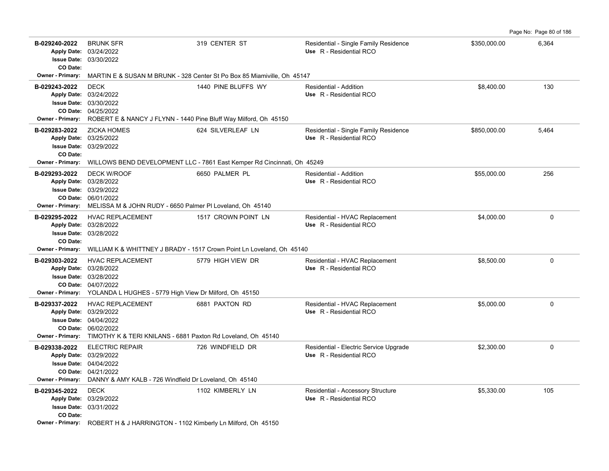| B-029240-2022<br>CO Date:                     | <b>BRUNK SFR</b><br>Apply Date: 03/24/2022<br><b>Issue Date: 03/30/2022</b>                                                                                                                | 319 CENTER ST       | Residential - Single Family Residence<br>Use R - Residential RCO  | \$350,000.00 | 6,364       |
|-----------------------------------------------|--------------------------------------------------------------------------------------------------------------------------------------------------------------------------------------------|---------------------|-------------------------------------------------------------------|--------------|-------------|
|                                               | Owner - Primary: MARTIN E & SUSAN M BRUNK - 328 Center St Po Box 85 Miamiville, Oh 45147                                                                                                   |                     |                                                                   |              |             |
| B-029243-2022                                 | <b>DECK</b><br>Apply Date: 03/24/2022<br><b>Issue Date: 03/30/2022</b><br>CO Date: 04/25/2022<br>Owner - Primary: ROBERT E & NANCY J FLYNN - 1440 Pine Bluff Way Milford, Oh 45150         | 1440 PINE BLUFFS WY | <b>Residential - Addition</b><br>Use R - Residential RCO          | \$8,400.00   | 130         |
| B-029283-2022<br>CO Date:<br>Owner - Primary: | <b>ZICKA HOMES</b><br>Apply Date: 03/25/2022<br><b>Issue Date: 03/29/2022</b><br>WILLOWS BEND DEVELOPMENT LLC - 7861 East Kemper Rd Cincinnati, Oh 45249                                   | 624 SILVERLEAF LN   | Residential - Single Family Residence<br>Use R - Residential RCO  | \$850,000.00 | 5,464       |
| B-029293-2022                                 | <b>DECK W/ROOF</b><br>Apply Date: 03/28/2022<br><b>Issue Date: 03/29/2022</b><br>CO Date: 06/01/2022<br>Owner - Primary: MELISSA M & JOHN RUDY - 6650 Palmer PI Loveland, Oh 45140         | 6650 PALMER PL      | Residential - Addition<br>Use R - Residential RCO                 | \$55,000.00  | 256         |
| B-029295-2022<br>CO Date:                     | <b>HVAC REPLACEMENT</b><br>Apply Date: 03/28/2022<br><b>Issue Date: 03/28/2022</b><br>Owner - Primary: WILLIAM K & WHITTNEY J BRADY - 1517 Crown Point Ln Loveland, Oh 45140               | 1517 CROWN POINT LN | Residential - HVAC Replacement<br>Use R - Residential RCO         | \$4,000.00   | $\Omega$    |
| B-029303-2022                                 | <b>HVAC REPLACEMENT</b><br>Apply Date: 03/28/2022<br><b>Issue Date: 03/28/2022</b><br>CO Date: 04/07/2022<br>Owner - Primary: YOLANDA L HUGHES - 5779 High View Dr Milford, Oh 45150       | 5779 HIGH VIEW DR   | Residential - HVAC Replacement<br>Use R - Residential RCO         | \$8,500.00   | $\mathbf 0$ |
| B-029337-2022                                 | <b>HVAC REPLACEMENT</b><br>Apply Date: 03/29/2022<br><b>Issue Date: 04/04/2022</b><br>CO Date: 06/02/2022<br>Owner - Primary: TIMOTHY K & TERI KNILANS - 6881 Paxton Rd Loveland, Oh 45140 | 6881 PAXTON RD      | Residential - HVAC Replacement<br>Use R - Residential RCO         | \$5,000.00   | $\mathbf 0$ |
| B-029338-2022                                 | <b>ELECTRIC REPAIR</b><br>Apply Date: 03/29/2022<br><b>Issue Date: 04/04/2022</b><br>CO Date: 04/21/2022<br>Owner - Primary: DANNY & AMY KALB - 726 Windfield Dr Loveland, Oh 45140        | 726 WINDFIELD DR    | Residential - Electric Service Upgrade<br>Use R - Residential RCO | \$2,300.00   | $\mathbf 0$ |
| B-029345-2022<br>CO Date:                     | <b>DECK</b><br>Apply Date: 03/29/2022<br><b>Issue Date: 03/31/2022</b><br>Owner - Primary: ROBERT H & J HARRINGTON - 1102 Kimberly Ln Milford, Oh 45150                                    | 1102 KIMBERLY LN    | Residential - Accessory Structure<br>Use R - Residential RCO      | \$5,330.00   | 105         |

Page No: Page 80 of 186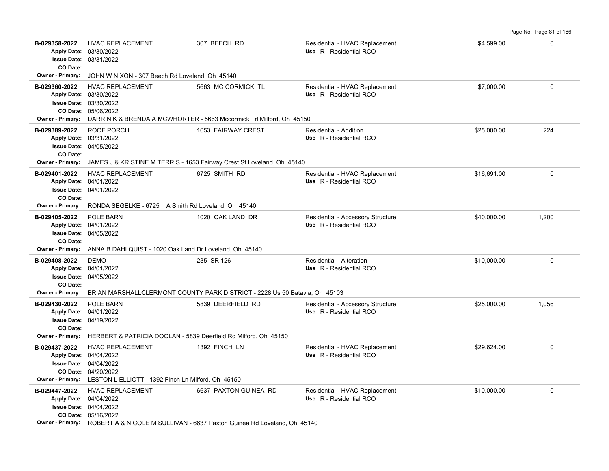| B-029358-2022<br>CO Date: | <b>HVAC REPLACEMENT</b><br>Apply Date: 03/30/2022<br><b>Issue Date: 03/31/2022</b>                                                                                                                    | 307 BEECH RD          | Residential - HVAC Replacement<br>Use R - Residential RCO    | \$4,599.00  | $\mathbf 0$ |
|---------------------------|-------------------------------------------------------------------------------------------------------------------------------------------------------------------------------------------------------|-----------------------|--------------------------------------------------------------|-------------|-------------|
| Owner - Primary:          | JOHN W NIXON - 307 Beech Rd Loveland, Oh 45140                                                                                                                                                        |                       |                                                              |             |             |
| B-029360-2022             | <b>HVAC REPLACEMENT</b><br>Apply Date: 03/30/2022<br><b>Issue Date: 03/30/2022</b><br>CO Date: 05/06/2022<br>Owner - Primary: DARRIN K & BRENDA A MCWHORTER - 5663 Mccormick Trl Milford, Oh 45150    | 5663 MC CORMICK TL    | Residential - HVAC Replacement<br>Use R - Residential RCO    | \$7,000.00  | $\Omega$    |
| B-029389-2022<br>CO Date: | ROOF PORCH<br>Apply Date: 03/31/2022<br><b>Issue Date: 04/05/2022</b><br>Owner - Primary: JAMES J & KRISTINE M TERRIS - 1653 Fairway Crest St Loveland, Oh 45140                                      | 1653 FAIRWAY CREST    | Residential - Addition<br>Use R - Residential RCO            | \$25,000.00 | 224         |
| B-029401-2022<br>CO Date: | <b>HVAC REPLACEMENT</b><br>Apply Date: 04/01/2022<br><b>Issue Date: 04/01/2022</b>                                                                                                                    | 6725 SMITH RD         | Residential - HVAC Replacement<br>Use R - Residential RCO    | \$16,691.00 | $\mathbf 0$ |
|                           | <b>Owner - Primary:</b> RONDA SEGELKE - 6725 A Smith Rd Loveland, Oh 45140                                                                                                                            |                       |                                                              |             |             |
| B-029405-2022<br>CO Date: | <b>POLE BARN</b><br>Apply Date: 04/01/2022<br><b>Issue Date: 04/05/2022</b>                                                                                                                           | 1020 OAK LAND DR      | Residential - Accessory Structure<br>Use R - Residential RCO | \$40.000.00 | 1.200       |
| <b>Owner - Primary:</b>   | ANNA B DAHLQUIST - 1020 Oak Land Dr Loveland, Oh 45140                                                                                                                                                |                       |                                                              |             |             |
| B-029408-2022<br>CO Date: | <b>DEMO</b><br>Apply Date: 04/01/2022<br><b>Issue Date: 04/05/2022</b>                                                                                                                                | 235 SR 126            | Residential - Alteration<br>Use R - Residential RCO          | \$10,000.00 | $\mathbf 0$ |
|                           | Owner - Primary: BRIAN MARSHALLCLERMONT COUNTY PARK DISTRICT - 2228 Us 50 Batavia, Oh 45103                                                                                                           |                       |                                                              |             |             |
| B-029430-2022<br>CO Date: | POLE BARN<br>Apply Date: 04/01/2022<br><b>Issue Date: 04/19/2022</b>                                                                                                                                  | 5839 DEERFIELD RD     | Residential - Accessory Structure<br>Use R - Residential RCO | \$25,000.00 | 1,056       |
|                           | Owner - Primary: HERBERT & PATRICIA DOOLAN - 5839 Deerfield Rd Milford, Oh 45150                                                                                                                      |                       |                                                              |             |             |
| B-029437-2022             | <b>HVAC REPLACEMENT</b><br>Apply Date: 04/04/2022<br><b>Issue Date: 04/04/2022</b><br>CO Date: 04/20/2022<br>Owner - Primary: LESTON L ELLIOTT - 1392 Finch Ln Milford, Oh 45150                      | 1392 FINCH LN         | Residential - HVAC Replacement<br>Use R - Residential RCO    | \$29,624.00 | $\Omega$    |
| B-029447-2022             | <b>HVAC REPLACEMENT</b><br>Apply Date: 04/04/2022<br><b>Issue Date: 04/04/2022</b><br>CO Date: 05/16/2022<br>Owner - Primary: ROBERT A & NICOLE M SULLIVAN - 6637 Paxton Guinea Rd Loveland, Oh 45140 | 6637 PAXTON GUINEA RD | Residential - HVAC Replacement<br>Use R - Residential RCO    | \$10,000.00 | $\mathbf 0$ |

Page No: Page 81 of 186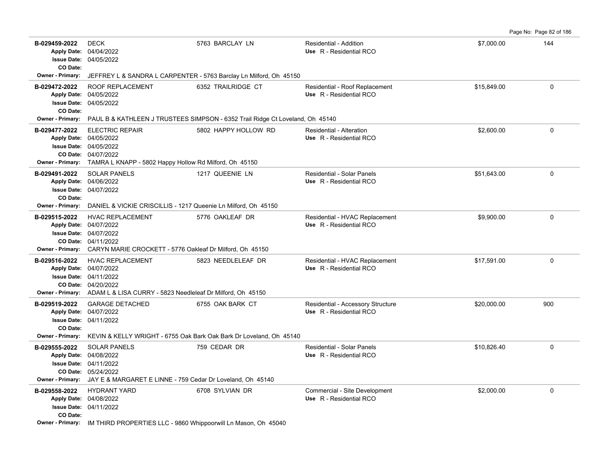Page No: Page 82 of 186

| B-029459-2022<br>CO Date:                     | <b>DECK</b><br>Apply Date: 04/04/2022<br><b>Issue Date: 04/05/2022</b>                                                                                                                   | 5763 BARCLAY LN                                                                         | Residential - Addition<br>Use R - Residential RCO            | \$7,000.00  | 144         |
|-----------------------------------------------|------------------------------------------------------------------------------------------------------------------------------------------------------------------------------------------|-----------------------------------------------------------------------------------------|--------------------------------------------------------------|-------------|-------------|
| Owner - Primary:                              |                                                                                                                                                                                          | JEFFREY L & SANDRA L CARPENTER - 5763 Barclay Ln Milford, Oh 45150                      |                                                              |             |             |
| B-029472-2022<br>CO Date:                     | ROOF REPLACEMENT<br>Apply Date: 04/05/2022<br><b>Issue Date: 04/05/2022</b>                                                                                                              | 6352 TRAILRIDGE CT                                                                      | Residential - Roof Replacement<br>Use R - Residential RCO    | \$15,849.00 | 0           |
| Owner - Primary:                              |                                                                                                                                                                                          | PAUL B & KATHLEEN J TRUSTEES SIMPSON - 6352 Trail Ridge Ct Loveland, Oh 45140           |                                                              |             |             |
| B-029477-2022<br><b>Owner - Primary:</b>      | <b>ELECTRIC REPAIR</b><br>Apply Date: 04/05/2022<br><b>Issue Date: 04/05/2022</b><br>CO Date: 04/07/2022<br>TAMRA L KNAPP - 5802 Happy Hollow Rd Milford, Oh 45150                       | 5802 HAPPY HOLLOW RD                                                                    | Residential - Alteration<br>Use R - Residential RCO          | \$2,600.00  | 0           |
| B-029491-2022<br>CO Date:                     | <b>SOLAR PANELS</b><br>Apply Date: 04/06/2022<br><b>Issue Date: 04/07/2022</b>                                                                                                           | 1217 QUEENIE LN                                                                         | Residential - Solar Panels<br>Use R - Residential RCO        | \$51,643.00 | 0           |
| Owner - Primary:                              | DANIEL & VICKIE CRISCILLIS - 1217 Queenie Ln Milford, Oh 45150                                                                                                                           |                                                                                         |                                                              |             |             |
| B-029515-2022                                 | <b>HVAC REPLACEMENT</b><br>Apply Date: 04/07/2022<br><b>Issue Date: 04/07/2022</b><br>CO Date: 04/11/2022<br>Owner - Primary: CARYN MARIE CROCKETT - 5776 Oakleaf Dr Milford, Oh 45150   | 5776 OAKLEAF DR                                                                         | Residential - HVAC Replacement<br>Use R - Residential RCO    | \$9,900.00  | $\mathbf 0$ |
| B-029516-2022                                 | <b>HVAC REPLACEMENT</b><br>Apply Date: 04/07/2022<br><b>Issue Date: 04/11/2022</b><br>CO Date: 04/20/2022<br>Owner - Primary: ADAM L & LISA CURRY - 5823 Needleleaf Dr Milford, Oh 45150 | 5823 NEEDLELEAF DR                                                                      | Residential - HVAC Replacement<br>Use R - Residential RCO    | \$17,591.00 | 0           |
| B-029519-2022<br>CO Date:<br>Owner - Primary: | <b>GARAGE DETACHED</b><br>Apply Date: 04/07/2022<br><b>Issue Date: 04/11/2022</b>                                                                                                        | 6755 OAK BARK CT<br>KEVIN & KELLY WRIGHT - 6755 Oak Bark Oak Bark Dr Loveland, Oh 45140 | Residential - Accessory Structure<br>Use R - Residential RCO | \$20,000.00 | 900         |
| B-029555-2022                                 | <b>SOLAR PANELS</b>                                                                                                                                                                      | 759 CEDAR DR                                                                            | Residential - Solar Panels                                   | \$10,826.40 | 0           |
| Owner - Primary:                              | Apply Date: 04/08/2022<br><b>Issue Date: 04/11/2022</b><br>CO Date: 05/24/2022<br>JAY E & MARGARET E LINNE - 759 Cedar Dr Loveland, Oh 45140                                             |                                                                                         | Use R - Residential RCO                                      |             |             |
| B-029558-2022<br>CO Date:                     | <b>HYDRANT YARD</b><br>Apply Date: 04/08/2022<br><b>Issue Date: 04/11/2022</b><br>Owner - Primary: IM THIRD PROPERTIES LLC - 9860 Whippoorwill Ln Mason, Oh 45040                        | 6708 SYLVIAN DR                                                                         | Commercial - Site Development<br>Use R - Residential RCO     | \$2,000.00  | 0           |
|                                               |                                                                                                                                                                                          |                                                                                         |                                                              |             |             |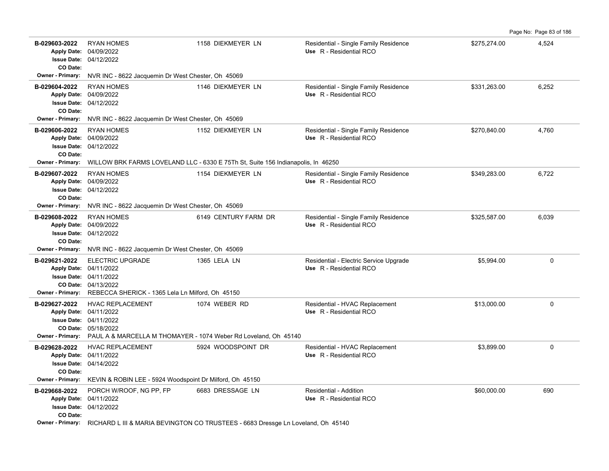Page No: Page 83 of 186

| B-029603-2022<br>CO Date:                     | <b>RYAN HOMES</b><br>Apply Date: 04/09/2022<br><b>Issue Date: 04/12/2022</b>                                                                                                 | 1158 DIEKMEYER LN                                                                | Residential - Single Family Residence<br>Use R - Residential RCO  | \$275,274.00 | 4,524       |
|-----------------------------------------------|------------------------------------------------------------------------------------------------------------------------------------------------------------------------------|----------------------------------------------------------------------------------|-------------------------------------------------------------------|--------------|-------------|
| Owner - Primary:                              | NVR INC - 8622 Jacquemin Dr West Chester, Oh 45069                                                                                                                           |                                                                                  |                                                                   |              |             |
| B-029604-2022<br>CO Date:                     | <b>RYAN HOMES</b><br>Apply Date: 04/09/2022<br><b>Issue Date: 04/12/2022</b>                                                                                                 | 1146 DIEKMEYER LN                                                                | Residential - Single Family Residence<br>Use R - Residential RCO  | \$331,263.00 | 6,252       |
| <b>Owner - Primary:</b>                       | NVR INC - 8622 Jacquemin Dr West Chester, Oh 45069                                                                                                                           |                                                                                  |                                                                   |              |             |
| B-029606-2022<br>CO Date:                     | <b>RYAN HOMES</b><br>Apply Date: 04/09/2022<br><b>Issue Date: 04/12/2022</b>                                                                                                 | 1152 DIEKMEYER LN                                                                | Residential - Single Family Residence<br>Use R - Residential RCO  | \$270,840.00 | 4,760       |
| Owner - Primary:                              | WILLOW BRK FARMS LOVELAND LLC - 6330 E 75Th St, Suite 156 Indianapolis, In 46250                                                                                             |                                                                                  |                                                                   |              |             |
| B-029607-2022<br>CO Date:                     | <b>RYAN HOMES</b><br>Apply Date: 04/09/2022<br><b>Issue Date: 04/12/2022</b>                                                                                                 | 1154 DIEKMEYER LN                                                                | Residential - Single Family Residence<br>Use R - Residential RCO  | \$349,283.00 | 6,722       |
| <b>Owner - Primary:</b>                       | NVR INC - 8622 Jacquemin Dr West Chester, Oh 45069                                                                                                                           |                                                                                  |                                                                   |              |             |
| B-029608-2022<br>CO Date:                     | <b>RYAN HOMES</b><br>Apply Date: 04/09/2022<br><b>Issue Date: 04/12/2022</b>                                                                                                 | 6149 CENTURY FARM DR                                                             | Residential - Single Family Residence<br>Use R - Residential RCO  | \$325,587.00 | 6.039       |
| Owner - Primary:                              | NVR INC - 8622 Jacquemin Dr West Chester, Oh 45069                                                                                                                           |                                                                                  |                                                                   |              |             |
| B-029621-2022<br><b>Owner - Primary:</b>      | ELECTRIC UPGRADE<br>Apply Date: 04/11/2022<br><b>Issue Date: 04/11/2022</b><br>CO Date: 04/13/2022<br>REBECCA SHERICK - 1365 Lela Ln Milford, Oh 45150                       | 1365 LELA LN                                                                     | Residential - Electric Service Upgrade<br>Use R - Residential RCO | \$5,994.00   | $\mathbf 0$ |
| B-029627-2022<br><b>Owner - Primary:</b>      | <b>HVAC REPLACEMENT</b><br>Apply Date: 04/11/2022<br><b>Issue Date: 04/11/2022</b><br>CO Date: 05/18/2022<br>PAUL A & MARCELLA M THOMAYER - 1074 Weber Rd Loveland, Oh 45140 | 1074 WEBER RD                                                                    | Residential - HVAC Replacement<br>Use R - Residential RCO         | \$13,000.00  | 0           |
| B-029628-2022<br>CO Date:<br>Owner - Primary: | <b>HVAC REPLACEMENT</b><br>Apply Date: 04/11/2022<br><b>Issue Date: 04/14/2022</b><br>KEVIN & ROBIN LEE - 5924 Woodspoint Dr Milford, Oh 45150                               | 5924 WOODSPOINT DR                                                               | Residential - HVAC Replacement<br>Use R - Residential RCO         | \$3.899.00   | 0           |
| B-029668-2022                                 | PORCH W/ROOF, NG PP, FP                                                                                                                                                      | 6683 DRESSAGE LN                                                                 | Residential - Addition                                            | \$60,000.00  | 690         |
| CO Date:                                      | Apply Date: 04/11/2022<br><b>Issue Date: 04/12/2022</b>                                                                                                                      |                                                                                  | Use R - Residential RCO                                           |              |             |
| <b>Owner - Primary:</b>                       |                                                                                                                                                                              | RICHARD L III & MARIA BEVINGTON CO TRUSTEES - 6683 Dressge Ln Loveland, Oh 45140 |                                                                   |              |             |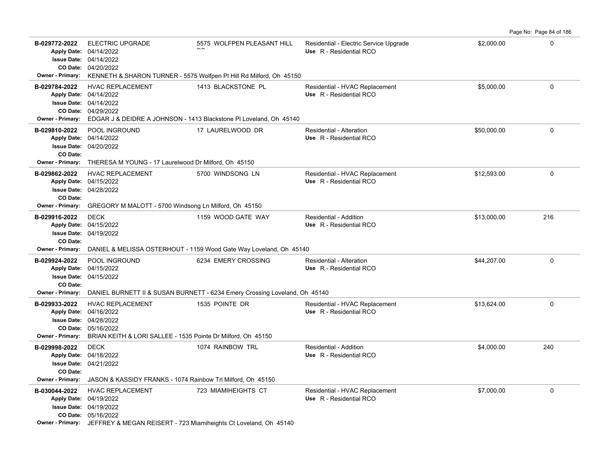|                                                                    |                                                                                                                                                                                                       |                                                                                                                                                                                          |                                                                   |             | Page No: Page 84 of 186 |
|--------------------------------------------------------------------|-------------------------------------------------------------------------------------------------------------------------------------------------------------------------------------------------------|------------------------------------------------------------------------------------------------------------------------------------------------------------------------------------------|-------------------------------------------------------------------|-------------|-------------------------|
| B-029772-2022                                                      | <b>ELECTRIC UPGRADE</b><br>Apply Date: 04/14/2022<br>Issue Date: 04/14/2022<br>CO Date: 04/20/2022                                                                                                    | 5575 WOLFPEN PLEASANT HILL<br>Owner - Primary: KENNETH & SHARON TURNER - 5575 Wolfpen PI Hill Rd Milford, Oh 45150                                                                       | Residential - Electric Service Upgrade<br>Use R - Residential RCO | \$2,000.00  | $\Omega$                |
| B-029784-2022                                                      | <b>HVAC REPLACEMENT</b><br>Apply Date: 04/14/2022<br><b>Issue Date: 04/14/2022</b><br>CO Date: 04/29/2022                                                                                             | 1413 BLACKSTONE PL<br>Owner - Primary: EDGAR J & DEIDRE A JOHNSON - 1413 Blackstone PI Loveland, Oh 45140                                                                                | Residential - HVAC Replacement<br>Use R - Residential RCO         | \$5.000.00  | $\Omega$                |
| B-029810-2022<br>CO Date:                                          | POOL INGROUND<br>Apply Date: 04/14/2022<br><b>Issue Date: 04/20/2022</b><br>Owner - Primary: THERESA M YOUNG - 17 Laurelwood Dr Milford, Oh 45150                                                     | 17 LAURELWOOD DR                                                                                                                                                                         | Residential - Alteration<br>Use R - Residential RCO               | \$50,000.00 | 0                       |
| B-029862-2022<br>CO Date:<br><b>Owner - Primary:</b>               | <b>HVAC REPLACEMENT</b><br>Apply Date: 04/15/2022<br><b>Issue Date: 04/28/2022</b><br>GREGORY M MALOTT - 5700 Windsong Ln Milford, Oh 45150                                                           | 5700 WINDSONG LN                                                                                                                                                                         | Residential - HVAC Replacement<br>Use R - Residential RCO         | \$12,593.00 | $\mathbf 0$             |
| B-029916-2022<br>Apply Date: 04/15/2022<br>CO Date:                | <b>DECK</b><br><b>Issue Date: 04/19/2022</b>                                                                                                                                                          | 1159 WOOD GATE WAY                                                                                                                                                                       | Residential - Addition<br>Use R - Residential RCO                 | \$13,000.00 | 216                     |
| <b>Owner - Primary:</b><br>B-029924-2022<br>CO Date:               | POOL INGROUND<br>Apply Date: 04/15/2022<br><b>Issue Date: 04/15/2022</b>                                                                                                                              | DANIEL & MELISSA OSTERHOUT - 1159 Wood Gate Way Loveland, Oh 45140<br>6234 EMERY CROSSING<br>Owner - Primary: DANIEL BURNETT II & SUSAN BURNETT - 6234 Emery Crossing Loveland, Oh 45140 | <b>Residential - Alteration</b><br>Use R - Residential RCO        | \$44,207.00 | $\Omega$                |
| B-029933-2022<br>Apply Date: 04/16/2022<br><b>Owner - Primary:</b> | <b>HVAC REPLACEMENT</b><br>Issue Date: 04/28/2022<br>CO Date: 05/16/2022<br>BRIAN KEITH & LORI SALLEE - 1535 Pointe Dr Milford, Oh 45150                                                              | 1535 POINTE DR                                                                                                                                                                           | Residential - HVAC Replacement<br>Use R - Residential RCO         | \$13,624.00 | $\Omega$                |
| B-029998-2022<br>CO Date:<br>Owner - Primary:                      | <b>DECK</b><br>Apply Date: 04/18/2022<br><b>Issue Date: 04/21/2022</b><br>JASON & KASSIDY FRANKS - 1074 Rainbow Trl Milford, Oh 45150                                                                 | 1074 RAINBOW TRL                                                                                                                                                                         | Residential - Addition<br>Use R - Residential RCO                 | \$4,000.00  | 240                     |
| B-030044-2022                                                      | <b>HVAC REPLACEMENT</b><br>Apply Date: 04/19/2022<br><b>Issue Date: 04/19/2022</b><br>CO Date: 05/16/2022<br><b>Owner - Primary:</b> JEFFREY & MEGAN REISERT - 723 Miamiheights Ct Loveland, Oh 45140 | 723 MIAMIHEIGHTS CT                                                                                                                                                                      | Residential - HVAC Replacement<br>Use R - Residential RCO         | \$7,000.00  | $\mathbf 0$             |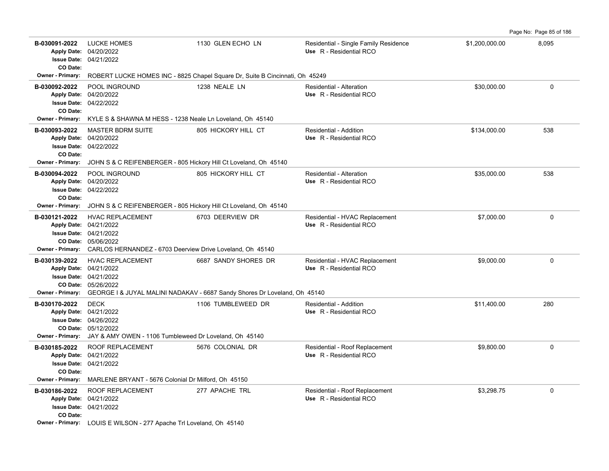B-030091-2022 LUCKE HOMES 1130 GLEN ECHO LN Residential - Single Family Residence \$1,200,000.00 8,095 04/21/2022 **Issue Date:** Apply Date: 04/20/2022 **Apply Date: Use** R - Residential RCO **CO Date: Owner - Primary:** ROBERT LUCKE HOMES INC - 8825 Chapel Square Dr, Suite B Cincinnati, Oh 45249 **B-030092-2022** POOL INGROUND 1238 NEALE LN Residential - Alteration \$30,000.00 \$30,000.00 0 04/22/2022 **Issue Date:** 04/20/2022 **Apply Date: Use** R - Residential RCO **CO Date: Owner - Primary:** KYLE S & SHAWNA M HESS - 1238 Neale Ln Loveland, Oh 45140 **B-030093-2022** MASTER BDRM SUITE 805 HICKORY HILL CT Residential - Addition 8134,000.00 538 04/22/2022 **Issue Date:** 04/20/2022 **Apply Date: Use** R - Residential RCO **CO Date: Owner - Primary:** JOHN S & C REIFENBERGER - 805 Hickory Hill Ct Loveland, Oh 45140 **B-030094-2022** POOL INGROUND 805 HICKORY HILL CT Residential - Alteration \$35,000.00 \$35,000.00 538 04/22/2022 **Issue Date:** Apply Date: 04/20/2022 **Apply Date: Use** R - Residential RCO **CO Date: Owner - Primary:** JOHN S & C REIFENBERGER - 805 Hickory Hill Ct Loveland, Oh 45140 **B-030121-2022** HVAC REPLACEMENT 6703 DEERVIEW DR Residential - HVAC Replacement \$7,000.00 \$7,000.00 05/06/2022 **CO Date:** 04/21/2022 **Issue Date:** Apply Date: 04/21/2022 **Apply Date: Use** R - Residential RCO **Owner - Primary:** CARLOS HERNANDEZ - 6703 Deerview Drive Loveland, Oh 45140 B-030139-2022 HVAC REPLACEMENT 6687 SANDY SHORES DR Residential - HVAC Replacement \$9,000.00 \$9,000.00 0 05/26/2022 **CO Date:** 04/21/2022 **Issue Date:** Apply Date: 04/21/2022 **Apply Date: Use** R - Residential RCO **Owner - Primary:** GEORGE I & JUYAL MALINI NADAKAV - 6687 Sandy Shores Dr Loveland, Oh 45140 **B-030170-2022** \$11,400.00 280 DECK 1106 TUMBLEWEED DR Residential - Addition 05/12/2022 **CO Date:** 04/26/2022 **Issue Date:** Apply Date: 04/21/2022 **Apply Date: Use** R - Residential RCO **Owner - Primary:** JAY & AMY OWEN - 1106 Tumbleweed Dr Loveland, Oh 45140 B-030185-2022 ROOF REPLACEMENT 5676 COLONIAL DR Residential - Roof Replacement \$9,800.00 \$9,800.00 0 04/21/2022 **Issue Date:** 04/21/2022 **Apply Date: Use** R - Residential RCO **CO Date: Owner - Primary:** MARLENE BRYANT - 5676 Colonial Dr Milford, Oh 45150 **B-030186-2022** \$3,298.75 0 ROOF REPLACEMENT 277 APACHE TRL Residential - Roof Replacement 04/21/2022 **Issue Date:** 04/21/2022 **Apply Date: Use** R - Residential RCO **CO Date: Owner - Primary:** LOUIS E WILSON - 277 Apache Trl Loveland, Oh 45140

Page No: Page 85 of 186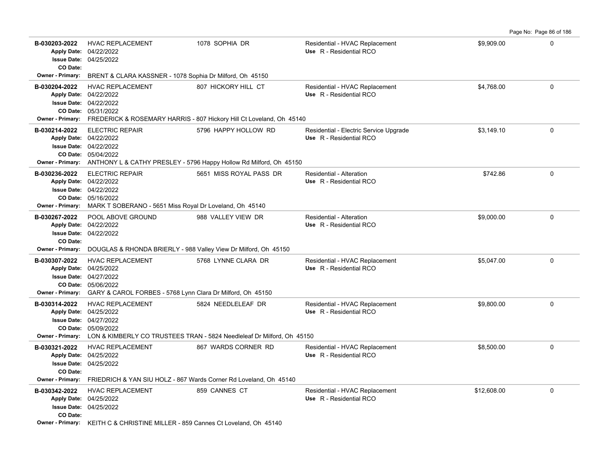**B-030203-2022** HVAC REPLACEMENT 1078 SOPHIA DR Residential - HVAC Replacement \$9,909.00 \$9,909.00 04/25/2022 **Issue Date:** Apply Date: 04/22/2022 **Apply Date: Use** R - Residential RCO **CO Date: Owner - Primary:** BRENT & CLARA KASSNER - 1078 Sophia Dr Milford, Oh 45150 **B-030204-2022** \$4,768.00 0 HVAC REPLACEMENT 807 HICKORY HILL CT Residential - HVAC Replacement 05/31/2022 **CO Date:** 04/22/2022 **Issue Date:** 04/22/2022 **Apply Date: Use** R - Residential RCO **Owner - Primary:** FREDERICK & ROSEMARY HARRIS - 807 Hickory Hill Ct Loveland, Oh 45140 **B-030214-2022** ELECTRIC REPAIR 5796 HAPPY HOLLOW RD Residential - Electric Service Upgrade \$3,149.10 \$3,149.10 05/04/2022 **CO Date:** 04/22/2022 **Issue Date:** 04/22/2022 **Apply Date: Use** R - Residential RCO **Owner - Primary:** ANTHONY L & CATHY PRESLEY - 5796 Happy Hollow Rd Milford, Oh 45150 **B-030236-2022** \$742.86 0 ELECTRIC REPAIR 5651 MISS ROYAL PASS DR Residential - Alteration 05/16/2022 **CO Date:** 04/22/2022 **Issue Date:** Apply Date: 04/22/2022 **Apply Date: Use** R - Residential RCO **Owner - Primary:** MARK T SOBERANO - 5651 Miss Royal Dr Loveland, Oh 45140 **B-030267-2022** POOL ABOVE GROUND 988 VALLEY VIEW DR Residential - Alteration 59,000.00 \$9,000.00 0 04/22/2022 **Issue Date:** Apply Date: 04/22/2022 **Apply Date: Use** R - Residential RCO **CO Date: Owner - Primary:** DOUGLAS & RHONDA BRIERLY - 988 Valley View Dr Milford, Oh 45150 B-030307-2022 HVAC REPLACEMENT 5768 LYNNE CLARA DR Residential - HVAC Replacement \$5,047.00 \$5,047.00 05/06/2022 **CO Date:** 04/27/2022 **Issue Date:** Apply Date: 04/25/2022 **Apply Date: Use** R - Residential RCO **Owner - Primary:** GARY & CAROL FORBES - 5768 Lynn Clara Dr Milford, Oh 45150 **B-030314-2022** HVAC REPLACEMENT 5824 NEEDLELEAF DR Residential - HVAC Replacement \$9,800.00 \$9,800.00 0 05/09/2022 **CO Date:** 04/27/2022 **Issue Date:** Apply Date: 04/25/2022 **Apply Date: Use** R - Residential RCO **Owner - Primary:** LON & KIMBERLY CO TRUSTEES TRAN - 5824 Needleleaf Dr Milford, Oh 45150 **B-030321-2022** \$8,500.00 0 HVAC REPLACEMENT 867 WARDS CORNER RD Residential - HVAC Replacement 04/25/2022 **Issue Date:** 04/25/2022 **Apply Date: Use** R - Residential RCO **CO Date: Owner - Primary:** FRIEDRICH & YAN SIU HOLZ - 867 Wards Corner Rd Loveland, Oh 45140 **B-030342-2022** HVAC REPLACEMENT 859 CANNES CT Residential - HVAC Replacement \$12,608.00 \$12,608.00 0 04/25/2022 **Issue Date:** 04/25/2022 **Apply Date: Use** R - Residential RCO **CO Date: Owner - Primary:** KEITH C & CHRISTINE MILLER - 859 Cannes Ct Loveland, Oh 45140

Page No: Page 86 of 186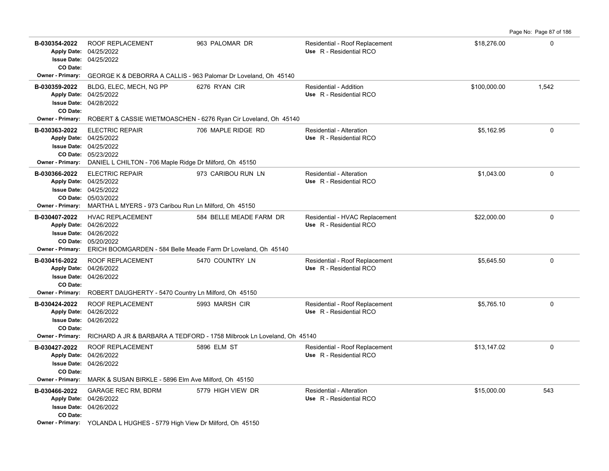Page No: Page 87 of 186

| B-030354-2022                                        | ROOF REPLACEMENT<br>Apply Date: 04/25/2022                                                                                                                                 | 963 PALOMAR DR                                                         | Residential - Roof Replacement<br>Use R - Residential RCO | \$18,276.00  | $\Omega$    |
|------------------------------------------------------|----------------------------------------------------------------------------------------------------------------------------------------------------------------------------|------------------------------------------------------------------------|-----------------------------------------------------------|--------------|-------------|
| CO Date:                                             | <b>Issue Date: 04/25/2022</b>                                                                                                                                              |                                                                        |                                                           |              |             |
|                                                      | Owner - Primary: GEORGE K & DEBORRA A CALLIS - 963 Palomar Dr Loveland, Oh 45140                                                                                           |                                                                        |                                                           |              |             |
| B-030359-2022<br>CO Date:                            | BLDG, ELEC, MECH, NG PP<br>Apply Date: 04/25/2022<br><b>Issue Date: 04/28/2022</b>                                                                                         | 6276 RYAN CIR                                                          | Residential - Addition<br>Use R - Residential RCO         | \$100,000.00 | 1,542       |
| Owner - Primary:                                     |                                                                                                                                                                            | ROBERT & CASSIE WIETMOASCHEN - 6276 Ryan Cir Loveland, Oh 45140        |                                                           |              |             |
| B-030363-2022<br><b>Owner - Primary:</b>             | <b>ELECTRIC REPAIR</b><br>Apply Date: 04/25/2022<br><b>Issue Date: 04/25/2022</b><br>CO Date: 05/23/2022<br>DANIEL L CHILTON - 706 Maple Ridge Dr Milford, Oh 45150        | 706 MAPLE RIDGE RD                                                     | Residential - Alteration<br>Use R - Residential RCO       | \$5,162.95   | $\mathbf 0$ |
| B-030366-2022<br><b>Owner - Primary:</b>             | <b>ELECTRIC REPAIR</b><br>Apply Date: 04/25/2022<br><b>Issue Date: 04/25/2022</b><br>CO Date: 05/03/2022<br>MARTHA L MYERS - 973 Caribou Run Ln Milford, Oh 45150          | 973 CARIBOU RUN LN                                                     | Residential - Alteration<br>Use R - Residential RCO       | \$1,043.00   | $\Omega$    |
| B-030407-2022<br>Owner - Primary:                    | <b>HVAC REPLACEMENT</b><br>Apply Date: 04/26/2022<br><b>Issue Date: 04/26/2022</b><br>CO Date: 05/20/2022<br>ERICH BOOMGARDEN - 584 Belle Meade Farm Dr Loveland, Oh 45140 | 584 BELLE MEADE FARM DR                                                | Residential - HVAC Replacement<br>Use R - Residential RCO | \$22,000.00  | $\Omega$    |
| B-030416-2022<br>CO Date:                            | <b>ROOF REPLACEMENT</b><br>Apply Date: 04/26/2022<br><b>Issue Date: 04/26/2022</b>                                                                                         | 5470 COUNTRY LN                                                        | Residential - Roof Replacement<br>Use R - Residential RCO | \$5,645.50   | $\mathbf 0$ |
| <b>Owner - Primary:</b><br>B-030424-2022<br>CO Date: | ROBERT DAUGHERTY - 5470 Country Ln Milford, Oh 45150<br><b>ROOF REPLACEMENT</b><br>Apply Date: 04/26/2022<br><b>Issue Date: 04/26/2022</b>                                 | 5993 MARSH CIR                                                         | Residential - Roof Replacement<br>Use R - Residential RCO | \$5.765.10   | $\mathbf 0$ |
| <b>Owner - Primary:</b>                              |                                                                                                                                                                            | RICHARD A JR & BARBARA A TEDFORD - 1758 Milbrook Ln Loveland, Oh 45140 |                                                           |              |             |
| B-030427-2022<br>CO Date:                            | <b>ROOF REPLACEMENT</b><br>Apply Date: 04/26/2022<br><b>Issue Date: 04/26/2022</b>                                                                                         | 5896 ELM ST                                                            | Residential - Roof Replacement<br>Use R - Residential RCO | \$13,147.02  | $\mathbf 0$ |
| Owner - Primary:                                     | MARK & SUSAN BIRKLE - 5896 Elm Ave Milford, Oh 45150                                                                                                                       |                                                                        |                                                           |              |             |
| B-030466-2022<br>CO Date:                            | <b>GARAGE REC RM, BDRM</b><br>Apply Date: 04/26/2022<br><b>Issue Date: 04/26/2022</b>                                                                                      | 5779 HIGH VIEW DR                                                      | Residential - Alteration<br>Use R - Residential RCO       | \$15,000.00  | 543         |
|                                                      | Owner - Primary: YOLANDA L HUGHES - 5779 High View Dr Milford, Oh 45150                                                                                                    |                                                                        |                                                           |              |             |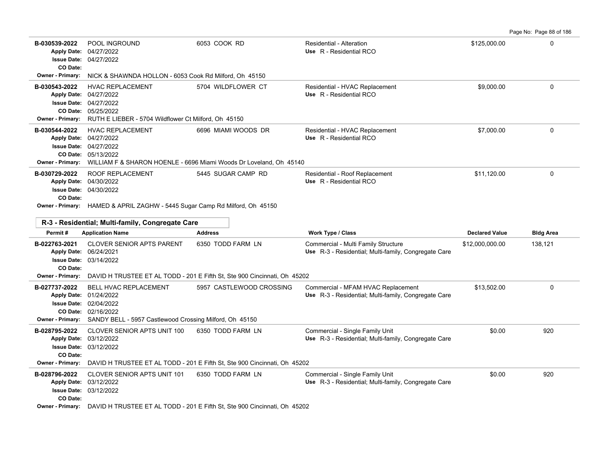Page No: Page 88 of 186

| B-030539-2022<br>CO Date:                        | POOL INGROUND<br>Apply Date: 04/27/2022<br><b>Issue Date: 04/27/2022</b>                                                                                                                    | 6053 COOK RD                                                                              | <b>Residential - Alteration</b><br>Use R - Residential RCO                                  | \$125,000.00          | $\Omega$         |
|--------------------------------------------------|---------------------------------------------------------------------------------------------------------------------------------------------------------------------------------------------|-------------------------------------------------------------------------------------------|---------------------------------------------------------------------------------------------|-----------------------|------------------|
| <b>Owner - Primary:</b>                          | NICK & SHAWNDA HOLLON - 6053 Cook Rd Milford, Oh 45150                                                                                                                                      |                                                                                           |                                                                                             |                       |                  |
| B-030543-2022<br><b>Owner - Primary:</b>         | <b>HVAC REPLACEMENT</b><br>Apply Date: 04/27/2022<br>Issue Date: 04/27/2022<br>CO Date: 05/25/2022<br>RUTH E LIEBER - 5704 Wildflower Ct Milford, Oh 45150                                  | 5704 WILDFLOWER CT                                                                        | Residential - HVAC Replacement<br>Use R - Residential RCO                                   | \$9.000.00            | 0                |
| B-030544-2022<br><b>Owner - Primary:</b>         | <b>HVAC REPLACEMENT</b><br>Apply Date: 04/27/2022<br><b>Issue Date: 04/27/2022</b><br>CO Date: 05/13/2022                                                                                   | 6696 MIAMI WOODS DR<br>WILLIAM F & SHARON HOENLE - 6696 Miami Woods Dr Loveland, Oh 45140 | Residential - HVAC Replacement<br>Use R - Residential RCO                                   | \$7,000.00            | $\Omega$         |
| B-030729-2022<br>CO Date:                        | <b>ROOF REPLACEMENT</b><br>Apply Date: 04/30/2022<br>Issue Date: 04/30/2022<br>Owner - Primary: HAMED & APRIL ZAGHW - 5445 Sugar Camp Rd Milford, Oh 45150                                  | 5445 SUGAR CAMP RD                                                                        | Residential - Roof Replacement<br>Use R - Residential RCO                                   | \$11,120.00           | $\Omega$         |
| R-3 - Residential; Multi-family, Congregate Care |                                                                                                                                                                                             |                                                                                           |                                                                                             |                       |                  |
|                                                  |                                                                                                                                                                                             |                                                                                           |                                                                                             |                       |                  |
| Permit#                                          | <b>Application Name</b>                                                                                                                                                                     | <b>Address</b>                                                                            | Work Type / Class                                                                           | <b>Declared Value</b> | <b>Bldg Area</b> |
| B-022763-2021<br>CO Date:                        | <b>CLOVER SENIOR APTS PARENT</b><br>Apply Date: 06/24/2021<br><b>Issue Date: 03/14/2022</b>                                                                                                 | 6350 TODD FARM LN                                                                         | Commercial - Multi Family Structure<br>Use R-3 - Residential; Multi-family, Congregate Care | \$12,000,000.00       | 138,121          |
| Owner - Primary:                                 |                                                                                                                                                                                             | DAVID H TRUSTEE ET AL TODD - 201 E Fifth St, Ste 900 Cincinnati, Oh 45202                 |                                                                                             |                       |                  |
| B-027737-2022<br>Owner - Primary:                | BELL HVAC REPLACEMENT<br>Apply Date: 01/24/2022<br><b>Issue Date: 02/04/2022</b><br>CO Date: 02/16/2022<br>SANDY BELL - 5957 Castlewood Crossing Milford, Oh 45150                          | 5957 CASTLEWOOD CROSSING                                                                  | Commercial - MFAM HVAC Replacement<br>Use R-3 - Residential; Multi-family, Congregate Care  | \$13,502.00           | 0                |
| B-028795-2022<br>CO Date:                        | CLOVER SENIOR APTS UNIT 100<br>Apply Date: 03/12/2022<br><b>Issue Date: 03/12/2022</b>                                                                                                      | 6350 TODD FARM LN                                                                         | Commercial - Single Family Unit<br>Use R-3 - Residential; Multi-family, Congregate Care     | \$0.00                | 920              |
| <b>Owner - Primary:</b>                          |                                                                                                                                                                                             | DAVID H TRUSTEE ET AL TODD - 201 E Fifth St, Ste 900 Cincinnati, Oh 45202                 |                                                                                             |                       |                  |
| B-028796-2022<br>CO Date:                        | <b>CLOVER SENIOR APTS UNIT 101</b><br>Apply Date: 03/12/2022<br><b>Issue Date: 03/12/2022</b><br>Owner - Primary: DAVID H TRUSTEE ET AL TODD - 201 E Fifth St, Ste 900 Cincinnati, Oh 45202 | 6350 TODD FARM LN                                                                         | Commercial - Single Family Unit<br>Use R-3 - Residential; Multi-family, Congregate Care     | \$0.00                | 920              |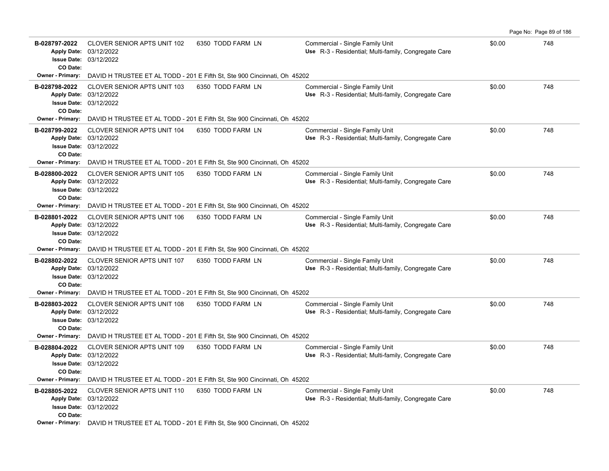| B-028797-2022<br>CO Date: | <b>CLOVER SENIOR APTS UNIT 102</b><br>Apply Date: 03/12/2022<br><b>Issue Date: 03/12/2022</b> | 6350 TODD FARM LN                                                                                  | Commercial - Single Family Unit<br>Use R-3 - Residential; Multi-family, Congregate Care | \$0.00 | 748 |
|---------------------------|-----------------------------------------------------------------------------------------------|----------------------------------------------------------------------------------------------------|-----------------------------------------------------------------------------------------|--------|-----|
| Owner - Primary:          |                                                                                               | DAVID H TRUSTEE ET AL TODD - 201 E Fifth St, Ste 900 Cincinnati, Oh 45202                          |                                                                                         |        |     |
| B-028798-2022<br>CO Date: | <b>CLOVER SENIOR APTS UNIT 103</b><br>Apply Date: 03/12/2022<br><b>Issue Date: 03/12/2022</b> | 6350 TODD FARM LN                                                                                  | Commercial - Single Family Unit<br>Use R-3 - Residential; Multi-family, Congregate Care | \$0.00 | 748 |
| <b>Owner - Primary:</b>   |                                                                                               | DAVID H TRUSTEE ET AL TODD - 201 E Fifth St, Ste 900 Cincinnati, Oh 45202                          |                                                                                         |        |     |
| B-028799-2022<br>CO Date: | <b>CLOVER SENIOR APTS UNIT 104</b><br>Apply Date: 03/12/2022<br><b>Issue Date: 03/12/2022</b> | 6350 TODD FARM LN                                                                                  | Commercial - Single Family Unit<br>Use R-3 - Residential; Multi-family, Congregate Care | \$0.00 | 748 |
| <b>Owner - Primary:</b>   |                                                                                               | DAVID H TRUSTEE ET AL TODD - 201 E Fifth St, Ste 900 Cincinnati, Oh 45202                          |                                                                                         |        |     |
| B-028800-2022<br>CO Date: | <b>CLOVER SENIOR APTS UNIT 105</b><br>Apply Date: 03/12/2022<br><b>Issue Date: 03/12/2022</b> | 6350 TODD FARM LN                                                                                  | Commercial - Single Family Unit<br>Use R-3 - Residential: Multi-family, Congregate Care | \$0.00 | 748 |
| <b>Owner - Primary:</b>   |                                                                                               | DAVID H TRUSTEE ET AL TODD - 201 E Fifth St, Ste 900 Cincinnati, Oh 45202                          |                                                                                         |        |     |
| B-028801-2022<br>CO Date: | <b>CLOVER SENIOR APTS UNIT 106</b><br>Apply Date: 03/12/2022<br><b>Issue Date: 03/12/2022</b> | 6350 TODD FARM LN                                                                                  | Commercial - Single Family Unit<br>Use R-3 - Residential; Multi-family, Congregate Care | \$0.00 | 748 |
|                           |                                                                                               | <b>Owner - Primary:</b> DAVID H TRUSTEE ET AL TODD - 201 E Fifth St, Ste 900 Cincinnati, Oh 45202  |                                                                                         |        |     |
| B-028802-2022<br>CO Date: | CLOVER SENIOR APTS UNIT 107<br>Apply Date: 03/12/2022<br><b>Issue Date: 03/12/2022</b>        | 6350 TODD FARM LN                                                                                  | Commercial - Single Family Unit<br>Use R-3 - Residential; Multi-family, Congregate Care | \$0.00 | 748 |
| Owner - Primary:          |                                                                                               | DAVID H TRUSTEE ET AL TODD - 201 E Fifth St, Ste 900 Cincinnati, Oh 45202                          |                                                                                         |        |     |
| B-028803-2022<br>CO Date: | <b>CLOVER SENIOR APTS UNIT 108</b><br>Apply Date: 03/12/2022<br>Issue Date: 03/12/2022        | 6350 TODD FARM LN                                                                                  | Commercial - Single Family Unit<br>Use R-3 - Residential; Multi-family, Congregate Care | \$0.00 | 748 |
|                           |                                                                                               | Owner - Primary: DAVID H TRUSTEE ET AL TODD - 201 E Fifth St, Ste 900 Cincinnati, Oh 45202         |                                                                                         |        |     |
| B-028804-2022<br>CO Date: | CLOVER SENIOR APTS UNIT 109<br>Apply Date: 03/12/2022<br><b>Issue Date: 03/12/2022</b>        | 6350 TODD FARM LN                                                                                  | Commercial - Single Family Unit<br>Use R-3 - Residential; Multi-family, Congregate Care | \$0.00 | 748 |
| <b>Owner - Primary:</b>   |                                                                                               | DAVID H TRUSTEE ET AL TODD - 201 E Fifth St, Ste 900 Cincinnati, Oh 45202                          |                                                                                         |        |     |
| B-028805-2022<br>CO Date: | CLOVER SENIOR APTS UNIT 110<br>Apply Date: 03/12/2022<br><b>Issue Date: 03/12/2022</b>        | 6350 TODD FARM LN                                                                                  | Commercial - Single Family Unit<br>Use R-3 - Residential; Multi-family, Congregate Care | \$0.00 | 748 |
|                           |                                                                                               | <b>Owner - Primary:</b> DAVID H TRUSTEE ET AL TODD - 201 E Fifth St. Ste 900 Cincinnati, Oh. 45202 |                                                                                         |        |     |

Page No: Page 89 of 186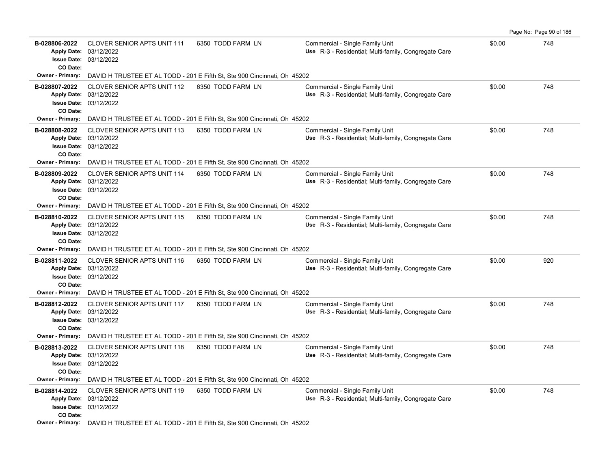| B-028806-2022                | <b>CLOVER SENIOR APTS UNIT 111</b>                      | 6350 TODD FARM LN                                                                                  | Commercial - Single Family Unit                                                         | \$0.00 | 748 |
|------------------------------|---------------------------------------------------------|----------------------------------------------------------------------------------------------------|-----------------------------------------------------------------------------------------|--------|-----|
|                              | Apply Date: 03/12/2022                                  |                                                                                                    | Use R-3 - Residential; Multi-family, Congregate Care                                    |        |     |
|                              | <b>Issue Date: 03/12/2022</b>                           |                                                                                                    |                                                                                         |        |     |
| CO Date:<br>Owner - Primary: |                                                         | DAVID H TRUSTEE ET AL TODD - 201 E Fifth St, Ste 900 Cincinnati, Oh 45202                          |                                                                                         |        |     |
|                              |                                                         |                                                                                                    |                                                                                         |        |     |
| B-028807-2022                | CLOVER SENIOR APTS UNIT 112<br>Apply Date: 03/12/2022   | 6350 TODD FARM LN                                                                                  | Commercial - Single Family Unit<br>Use R-3 - Residential; Multi-family, Congregate Care | \$0.00 | 748 |
|                              | <b>Issue Date: 03/12/2022</b>                           |                                                                                                    |                                                                                         |        |     |
| CO Date:                     |                                                         |                                                                                                    |                                                                                         |        |     |
| <b>Owner - Primary:</b>      |                                                         | DAVID H TRUSTEE ET AL TODD - 201 E Fifth St, Ste 900 Cincinnati, Oh 45202                          |                                                                                         |        |     |
| B-028808-2022                | <b>CLOVER SENIOR APTS UNIT 113</b>                      | 6350 TODD FARM LN                                                                                  | Commercial - Single Family Unit                                                         | \$0.00 | 748 |
|                              | Apply Date: 03/12/2022                                  |                                                                                                    | Use R-3 - Residential; Multi-family, Congregate Care                                    |        |     |
|                              | <b>Issue Date: 03/12/2022</b>                           |                                                                                                    |                                                                                         |        |     |
| CO Date:                     |                                                         | Owner - Primary: DAVID H TRUSTEE ET AL TODD - 201 E Fifth St, Ste 900 Cincinnati, Oh 45202         |                                                                                         |        |     |
| B-028809-2022                | <b>CLOVER SENIOR APTS UNIT 114</b>                      | 6350 TODD FARM LN                                                                                  |                                                                                         | \$0.00 | 748 |
|                              | Apply Date: 03/12/2022                                  |                                                                                                    | Commercial - Single Family Unit<br>Use R-3 - Residential: Multi-family, Congregate Care |        |     |
|                              | <b>Issue Date: 03/12/2022</b>                           |                                                                                                    |                                                                                         |        |     |
| CO Date:                     |                                                         |                                                                                                    |                                                                                         |        |     |
| <b>Owner - Primary:</b>      |                                                         | DAVID H TRUSTEE ET AL TODD - 201 E Fifth St, Ste 900 Cincinnati, Oh 45202                          |                                                                                         |        |     |
| B-028810-2022                | <b>CLOVER SENIOR APTS UNIT 115</b>                      | 6350 TODD FARM LN                                                                                  | Commercial - Single Family Unit                                                         | \$0.00 | 748 |
|                              | Apply Date: 03/12/2022                                  |                                                                                                    | Use R-3 - Residential; Multi-family, Congregate Care                                    |        |     |
| CO Date:                     | <b>Issue Date: 03/12/2022</b>                           |                                                                                                    |                                                                                         |        |     |
|                              |                                                         | <b>Owner - Primary:</b> DAVID H TRUSTEE ET AL TODD - 201 E Fifth St, Ste 900 Cincinnati, Oh 45202  |                                                                                         |        |     |
| B-028811-2022                | <b>CLOVER SENIOR APTS UNIT 116</b>                      | 6350 TODD FARM LN                                                                                  | Commercial - Single Family Unit                                                         | \$0.00 | 920 |
|                              | Apply Date: 03/12/2022                                  |                                                                                                    | Use R-3 - Residential; Multi-family, Congregate Care                                    |        |     |
|                              | <b>Issue Date: 03/12/2022</b>                           |                                                                                                    |                                                                                         |        |     |
| CO Date:                     |                                                         |                                                                                                    |                                                                                         |        |     |
| Owner - Primary:             |                                                         | DAVID H TRUSTEE ET AL TODD - 201 E Fifth St, Ste 900 Cincinnati, Oh 45202                          |                                                                                         |        |     |
| B-028812-2022                | <b>CLOVER SENIOR APTS UNIT 117</b>                      | 6350 TODD FARM LN                                                                                  | Commercial - Single Family Unit                                                         | \$0.00 | 748 |
|                              | Apply Date: 03/12/2022                                  |                                                                                                    | Use R-3 - Residential; Multi-family, Congregate Care                                    |        |     |
| CO Date:                     | <b>Issue Date: 03/12/2022</b>                           |                                                                                                    |                                                                                         |        |     |
|                              |                                                         | Owner - Primary: DAVID H TRUSTEE ET AL TODD - 201 E Fifth St, Ste 900 Cincinnati, Oh 45202         |                                                                                         |        |     |
| B-028813-2022                | <b>CLOVER SENIOR APTS UNIT 118</b>                      | 6350 TODD FARM LN                                                                                  | Commercial - Single Family Unit                                                         | \$0.00 | 748 |
|                              | Apply Date: 03/12/2022                                  |                                                                                                    | Use R-3 - Residential; Multi-family, Congregate Care                                    |        |     |
|                              | <b>Issue Date: 03/12/2022</b>                           |                                                                                                    |                                                                                         |        |     |
| CO Date:                     |                                                         |                                                                                                    |                                                                                         |        |     |
| <b>Owner - Primary:</b>      |                                                         | DAVID H TRUSTEE ET AL TODD - 201 E Fifth St, Ste 900 Cincinnati, Oh 45202                          |                                                                                         |        |     |
| B-028814-2022                | <b>CLOVER SENIOR APTS UNIT 119</b>                      | 6350 TODD FARM LN                                                                                  | Commercial - Single Family Unit                                                         | \$0.00 | 748 |
|                              | Apply Date: 03/12/2022<br><b>Issue Date: 03/12/2022</b> |                                                                                                    | Use R-3 - Residential; Multi-family, Congregate Care                                    |        |     |
| CO Date:                     |                                                         |                                                                                                    |                                                                                         |        |     |
|                              |                                                         | <b>Owner - Primary:</b> DAVID H TRUSTEE ET AL TODD - 201 E Fifth St. Ste 900 Cincinnati, Oh. 45202 |                                                                                         |        |     |

Page No: Page 90 of 186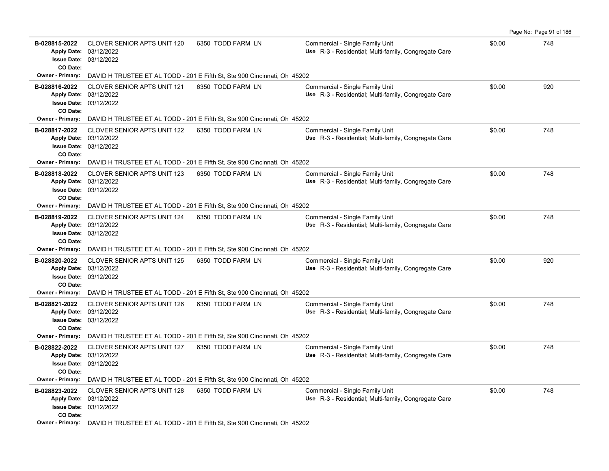| B-028815-2022<br><b>Apply Date:</b>             | <b>CLOVER SENIOR APTS UNIT 120</b><br>03/12/2022                                              | 6350 TODD FARM LN                                                                          | Commercial - Single Family Unit<br>Use R-3 - Residential: Multi-family, Congregate Care | \$0.00 | 748 |
|-------------------------------------------------|-----------------------------------------------------------------------------------------------|--------------------------------------------------------------------------------------------|-----------------------------------------------------------------------------------------|--------|-----|
|                                                 | <b>Issue Date: 03/12/2022</b>                                                                 |                                                                                            |                                                                                         |        |     |
| CO Date:<br><b>Owner - Primary:</b>             |                                                                                               | DAVID H TRUSTEE ET AL TODD - 201 E Fifth St, Ste 900 Cincinnati, Oh 45202                  |                                                                                         |        |     |
| B-028816-2022                                   | <b>CLOVER SENIOR APTS UNIT 121</b><br>Apply Date: 03/12/2022<br>Issue Date: 03/12/2022        | 6350 TODD FARM LN                                                                          | Commercial - Single Family Unit<br>Use R-3 - Residential; Multi-family, Congregate Care | \$0.00 | 920 |
| CO Date:<br><b>Owner - Primary:</b>             |                                                                                               | DAVID H TRUSTEE ET AL TODD - 201 E Fifth St, Ste 900 Cincinnati, Oh 45202                  |                                                                                         |        |     |
| B-028817-2022<br>CO Date:                       | <b>CLOVER SENIOR APTS UNIT 122</b><br>Apply Date: 03/12/2022<br><b>Issue Date: 03/12/2022</b> | 6350 TODD FARM LN                                                                          | Commercial - Single Family Unit<br>Use R-3 - Residential; Multi-family, Congregate Care | \$0.00 | 748 |
| <b>Owner - Primary:</b>                         |                                                                                               | DAVID H TRUSTEE ET AL TODD - 201 E Fifth St, Ste 900 Cincinnati, Oh 45202                  |                                                                                         |        |     |
| B-028818-2022<br>CO Date:                       | <b>CLOVER SENIOR APTS UNIT 123</b><br>Apply Date: 03/12/2022<br><b>Issue Date: 03/12/2022</b> | 6350 TODD FARM LN                                                                          | Commercial - Single Family Unit<br>Use R-3 - Residential; Multi-family, Congregate Care | \$0.00 | 748 |
| <b>Owner - Primary:</b>                         |                                                                                               | DAVID H TRUSTEE ET AL TODD - 201 E Fifth St, Ste 900 Cincinnati, Oh 45202                  |                                                                                         |        |     |
| B-028819-2022<br>CO Date:                       | <b>CLOVER SENIOR APTS UNIT 124</b><br>Apply Date: 03/12/2022<br><b>Issue Date: 03/12/2022</b> | 6350 TODD FARM LN                                                                          | Commercial - Single Family Unit<br>Use R-3 - Residential; Multi-family, Congregate Care | \$0.00 | 748 |
| <b>Owner - Primary:</b>                         |                                                                                               | DAVID H TRUSTEE ET AL TODD - 201 E Fifth St, Ste 900 Cincinnati, Oh 45202                  |                                                                                         |        |     |
| B-028820-2022<br>CO Date:                       | <b>CLOVER SENIOR APTS UNIT 125</b><br>Apply Date: 03/12/2022<br><b>Issue Date: 03/12/2022</b> | 6350 TODD FARM LN                                                                          | Commercial - Single Family Unit<br>Use R-3 - Residential; Multi-family, Congregate Care | \$0.00 | 920 |
| <b>Owner - Primary:</b>                         |                                                                                               | DAVID H TRUSTEE ET AL TODD - 201 E Fifth St, Ste 900 Cincinnati, Oh 45202                  |                                                                                         |        |     |
| B-028821-2022<br><b>Apply Date:</b><br>CO Date: | <b>CLOVER SENIOR APTS UNIT 126</b><br>03/12/2022<br><b>Issue Date: 03/12/2022</b>             | 6350 TODD FARM LN                                                                          | Commercial - Single Family Unit<br>Use R-3 - Residential; Multi-family, Congregate Care | \$0.00 | 748 |
| Owner - Primary:                                |                                                                                               | DAVID H TRUSTEE ET AL TODD - 201 E Fifth St, Ste 900 Cincinnati, Oh 45202                  |                                                                                         |        |     |
| B-028822-2022<br>CO Date:                       | CLOVER SENIOR APTS UNIT 127<br>Apply Date: 03/12/2022<br><b>Issue Date: 03/12/2022</b>        | 6350 TODD FARM LN                                                                          | Commercial - Single Family Unit<br>Use R-3 - Residential; Multi-family, Congregate Care | \$0.00 | 748 |
| <b>Owner - Primary:</b>                         |                                                                                               | DAVID H TRUSTEE ET AL TODD - 201 E Fifth St, Ste 900 Cincinnati, Oh 45202                  |                                                                                         |        |     |
| B-028823-2022<br>CO Date:                       | <b>CLOVER SENIOR APTS UNIT 128</b><br>Apply Date: 03/12/2022<br><b>Issue Date: 03/12/2022</b> | 6350 TODD FARM LN                                                                          | Commercial - Single Family Unit<br>Use R-3 - Residential; Multi-family, Congregate Care | \$0.00 | 748 |
|                                                 |                                                                                               | Owner - Primary: DAVID H TRUSTEE ET AL TODD - 201 E Fifth St, Ste 900 Cincinnati, Oh 45202 |                                                                                         |        |     |

Page No: Page 91 of 186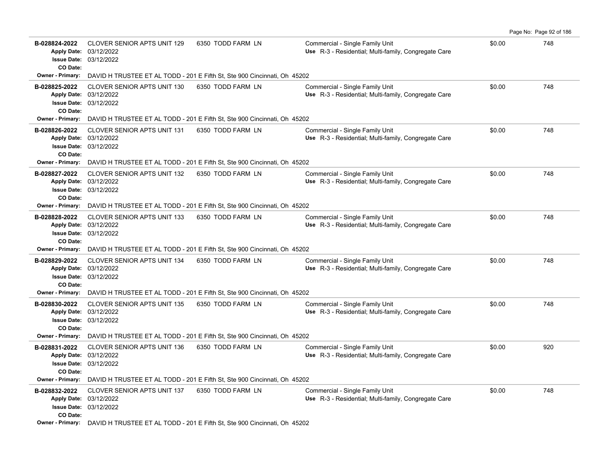| B-028824-2022<br>CO Date: | <b>CLOVER SENIOR APTS UNIT 129</b><br>Apply Date: 03/12/2022<br><b>Issue Date: 03/12/2022</b> | 6350 TODD FARM LN                                                                                  | Commercial - Single Family Unit<br>Use R-3 - Residential; Multi-family, Congregate Care | \$0.00 | 748 |
|---------------------------|-----------------------------------------------------------------------------------------------|----------------------------------------------------------------------------------------------------|-----------------------------------------------------------------------------------------|--------|-----|
| Owner - Primary:          |                                                                                               | DAVID H TRUSTEE ET AL TODD - 201 E Fifth St, Ste 900 Cincinnati, Oh 45202                          |                                                                                         |        |     |
| B-028825-2022<br>CO Date: | <b>CLOVER SENIOR APTS UNIT 130</b><br>Apply Date: 03/12/2022<br><b>Issue Date: 03/12/2022</b> | 6350 TODD FARM LN                                                                                  | Commercial - Single Family Unit<br>Use R-3 - Residential; Multi-family, Congregate Care | \$0.00 | 748 |
| <b>Owner - Primary:</b>   |                                                                                               | DAVID H TRUSTEE ET AL TODD - 201 E Fifth St, Ste 900 Cincinnati, Oh 45202                          |                                                                                         |        |     |
| B-028826-2022<br>CO Date: | <b>CLOVER SENIOR APTS UNIT 131</b><br>Apply Date: 03/12/2022<br><b>Issue Date: 03/12/2022</b> | 6350 TODD FARM LN                                                                                  | Commercial - Single Family Unit<br>Use R-3 - Residential; Multi-family, Congregate Care | \$0.00 | 748 |
| <b>Owner - Primary:</b>   |                                                                                               | DAVID H TRUSTEE ET AL TODD - 201 E Fifth St, Ste 900 Cincinnati, Oh 45202                          |                                                                                         |        |     |
| B-028827-2022<br>CO Date: | <b>CLOVER SENIOR APTS UNIT 132</b><br>Apply Date: 03/12/2022<br><b>Issue Date: 03/12/2022</b> | 6350 TODD FARM LN                                                                                  | Commercial - Single Family Unit<br>Use R-3 - Residential: Multi-family, Congregate Care | \$0.00 | 748 |
| <b>Owner - Primary:</b>   |                                                                                               | DAVID H TRUSTEE ET AL TODD - 201 E Fifth St, Ste 900 Cincinnati, Oh 45202                          |                                                                                         |        |     |
| B-028828-2022<br>CO Date: | <b>CLOVER SENIOR APTS UNIT 133</b><br>Apply Date: 03/12/2022<br><b>Issue Date: 03/12/2022</b> | 6350 TODD FARM LN                                                                                  | Commercial - Single Family Unit<br>Use R-3 - Residential; Multi-family, Congregate Care | \$0.00 | 748 |
|                           |                                                                                               | <b>Owner - Primary:</b> DAVID H TRUSTEE ET AL TODD - 201 E Fifth St, Ste 900 Cincinnati, Oh 45202  |                                                                                         |        |     |
| B-028829-2022<br>CO Date: | <b>CLOVER SENIOR APTS UNIT 134</b><br>Apply Date: 03/12/2022<br><b>Issue Date: 03/12/2022</b> | 6350 TODD FARM LN                                                                                  | Commercial - Single Family Unit<br>Use R-3 - Residential; Multi-family, Congregate Care | \$0.00 | 748 |
| Owner - Primary:          |                                                                                               | DAVID H TRUSTEE ET AL TODD - 201 E Fifth St, Ste 900 Cincinnati, Oh 45202                          |                                                                                         |        |     |
| B-028830-2022<br>CO Date: | <b>CLOVER SENIOR APTS UNIT 135</b><br>Apply Date: 03/12/2022<br>Issue Date: 03/12/2022        | 6350 TODD FARM LN                                                                                  | Commercial - Single Family Unit<br>Use R-3 - Residential; Multi-family, Congregate Care | \$0.00 | 748 |
|                           |                                                                                               | Owner - Primary: DAVID H TRUSTEE ET AL TODD - 201 E Fifth St, Ste 900 Cincinnati, Oh 45202         |                                                                                         |        |     |
| B-028831-2022<br>CO Date: | <b>CLOVER SENIOR APTS UNIT 136</b><br>Apply Date: 03/12/2022<br><b>Issue Date: 03/12/2022</b> | 6350 TODD FARM LN                                                                                  | Commercial - Single Family Unit<br>Use R-3 - Residential; Multi-family, Congregate Care | \$0.00 | 920 |
| <b>Owner - Primary:</b>   |                                                                                               | DAVID H TRUSTEE ET AL TODD - 201 E Fifth St, Ste 900 Cincinnati, Oh 45202                          |                                                                                         |        |     |
| B-028832-2022<br>CO Date: | <b>CLOVER SENIOR APTS UNIT 137</b><br>Apply Date: 03/12/2022<br><b>Issue Date: 03/12/2022</b> | 6350 TODD FARM LN                                                                                  | Commercial - Single Family Unit<br>Use R-3 - Residential; Multi-family, Congregate Care | \$0.00 | 748 |
|                           |                                                                                               | <b>Owner - Primary:</b> DAVID H TRUSTEE ET AL TODD - 201 E Fifth St. Ste 900 Cincinnati, Oh. 45202 |                                                                                         |        |     |

Page No: Page 92 of 186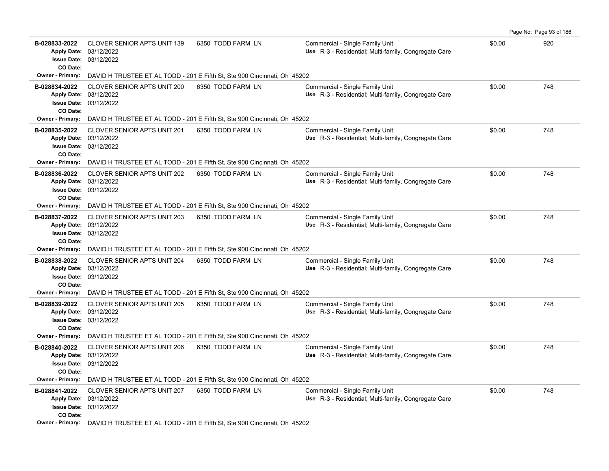| B-028833-2022<br>CO Date: | <b>CLOVER SENIOR APTS UNIT 139</b><br>Apply Date: 03/12/2022<br>Issue Date: 03/12/2022            | 6350 TODD FARM LN | Commercial - Single Family Unit<br>Use R-3 - Residential; Multi-family, Congregate Care | \$0.00 | 920 |
|---------------------------|---------------------------------------------------------------------------------------------------|-------------------|-----------------------------------------------------------------------------------------|--------|-----|
| <b>Owner - Primary:</b>   | DAVID H TRUSTEE ET AL TODD - 201 E Fifth St, Ste 900 Cincinnati, Oh 45202                         |                   |                                                                                         |        |     |
| B-028834-2022<br>CO Date: | <b>CLOVER SENIOR APTS UNIT 200</b><br>Apply Date: 03/12/2022<br>Issue Date: 03/12/2022            | 6350 TODD FARM LN | Commercial - Single Family Unit<br>Use R-3 - Residential; Multi-family, Congregate Care | \$0.00 | 748 |
|                           | Owner - Primary: DAVID H TRUSTEE ET AL TODD - 201 E Fifth St, Ste 900 Cincinnati, Oh 45202        |                   |                                                                                         |        |     |
| B-028835-2022<br>CO Date: | CLOVER SENIOR APTS UNIT 201<br>Apply Date: 03/12/2022<br>Issue Date: 03/12/2022                   | 6350 TODD FARM LN | Commercial - Single Family Unit<br>Use R-3 - Residential; Multi-family, Congregate Care | \$0.00 | 748 |
| <b>Owner - Primary:</b>   | DAVID H TRUSTEE ET AL TODD - 201 E Fifth St, Ste 900 Cincinnati, Oh 45202                         |                   |                                                                                         |        |     |
| B-028836-2022<br>CO Date: | <b>CLOVER SENIOR APTS UNIT 202</b><br>Apply Date: 03/12/2022<br>Issue Date: 03/12/2022            | 6350 TODD FARM LN | Commercial - Single Family Unit<br>Use R-3 - Residential: Multi-family, Congregate Care | \$0.00 | 748 |
|                           | <b>Owner - Primary:</b> DAVID H TRUSTEE ET AL TODD - 201 E Fifth St, Ste 900 Cincinnati, Oh 45202 |                   |                                                                                         |        |     |
| B-028837-2022<br>CO Date: | <b>CLOVER SENIOR APTS UNIT 203</b><br>Apply Date: 03/12/2022<br>Issue Date: 03/12/2022            | 6350 TODD FARM LN | Commercial - Single Family Unit<br>Use R-3 - Residential; Multi-family, Congregate Care | \$0.00 | 748 |
| Owner - Primary:          | DAVID H TRUSTEE ET AL TODD - 201 E Fifth St, Ste 900 Cincinnati, Oh 45202                         |                   |                                                                                         |        |     |
| B-028838-2022<br>CO Date: | <b>CLOVER SENIOR APTS UNIT 204</b><br>Apply Date: 03/12/2022<br>Issue Date: 03/12/2022            | 6350 TODD FARM LN | Commercial - Single Family Unit<br>Use R-3 - Residential; Multi-family, Congregate Care | \$0.00 | 748 |
| Owner - Primary:          | DAVID H TRUSTEE ET AL TODD - 201 E Fifth St, Ste 900 Cincinnati, Oh 45202                         |                   |                                                                                         |        |     |
| B-028839-2022<br>CO Date: | <b>CLOVER SENIOR APTS UNIT 205</b><br>Apply Date: 03/12/2022<br>Issue Date: 03/12/2022            | 6350 TODD FARM LN | Commercial - Single Family Unit<br>Use R-3 - Residential; Multi-family, Congregate Care | \$0.00 | 748 |
| Owner - Primary:          | DAVID H TRUSTEE ET AL TODD - 201 E Fifth St, Ste 900 Cincinnati, Oh 45202                         |                   |                                                                                         |        |     |
| B-028840-2022<br>CO Date: | <b>CLOVER SENIOR APTS UNIT 206</b><br>Apply Date: 03/12/2022<br>Issue Date: 03/12/2022            | 6350 TODD FARM LN | Commercial - Single Family Unit<br>Use R-3 - Residential; Multi-family, Congregate Care | \$0.00 | 748 |
| Owner - Primary:          | DAVID H TRUSTEE ET AL TODD - 201 E Fifth St, Ste 900 Cincinnati, Oh 45202                         |                   |                                                                                         |        |     |
| B-028841-2022<br>CO Date: | CLOVER SENIOR APTS UNIT 207<br>Apply Date: 03/12/2022<br><b>Issue Date: 03/12/2022</b>            | 6350 TODD FARM LN | Commercial - Single Family Unit<br>Use R-3 - Residential; Multi-family, Congregate Care | \$0.00 | 748 |
|                           | Owner - Primary: DAVID H TRUSTEE ET AL TODD - 201 E Fifth St, Ste 900 Cincinnati, Oh 45202        |                   |                                                                                         |        |     |

Page No: Page 93 of 186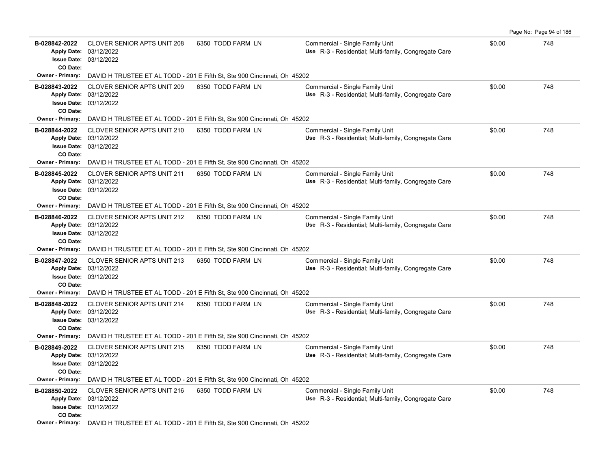| B-028842-2022<br>CO Date:           | <b>CLOVER SENIOR APTS UNIT 208</b><br>Apply Date: 03/12/2022<br><b>Issue Date: 03/12/2022</b>     | 6350 TODD FARM LN | Commercial - Single Family Unit<br>Use R-3 - Residential; Multi-family, Congregate Care | \$0.00 | 748 |
|-------------------------------------|---------------------------------------------------------------------------------------------------|-------------------|-----------------------------------------------------------------------------------------|--------|-----|
|                                     | Owner - Primary: DAVID H TRUSTEE ET AL TODD - 201 E Fifth St, Ste 900 Cincinnati, Oh 45202        |                   |                                                                                         |        |     |
| B-028843-2022<br>CO Date:           | <b>CLOVER SENIOR APTS UNIT 209</b><br>Apply Date: 03/12/2022<br><b>Issue Date: 03/12/2022</b>     | 6350 TODD FARM LN | Commercial - Single Family Unit<br>Use R-3 - Residential; Multi-family, Congregate Care | \$0.00 | 748 |
| Owner - Primary:                    | DAVID H TRUSTEE ET AL TODD - 201 E Fifth St, Ste 900 Cincinnati, Oh 45202                         |                   |                                                                                         |        |     |
| B-028844-2022<br>CO Date:           | CLOVER SENIOR APTS UNIT 210<br>Apply Date: 03/12/2022<br><b>Issue Date: 03/12/2022</b>            | 6350 TODD FARM LN | Commercial - Single Family Unit<br>Use R-3 - Residential; Multi-family, Congregate Care | \$0.00 | 748 |
| <b>Owner - Primary:</b>             | DAVID H TRUSTEE ET AL TODD - 201 E Fifth St, Ste 900 Cincinnati, Oh 45202                         |                   |                                                                                         |        |     |
| B-028845-2022<br>CO Date:           | <b>CLOVER SENIOR APTS UNIT 211</b><br>Apply Date: 03/12/2022<br><b>Issue Date: 03/12/2022</b>     | 6350 TODD FARM LN | Commercial - Single Family Unit<br>Use R-3 - Residential; Multi-family, Congregate Care | \$0.00 | 748 |
| Owner - Primary:                    | DAVID H TRUSTEE ET AL TODD - 201 E Fifth St, Ste 900 Cincinnati, Oh 45202                         |                   |                                                                                         |        |     |
| B-028846-2022                       | CLOVER SENIOR APTS UNIT 212<br>Apply Date: 03/12/2022<br><b>Issue Date: 03/12/2022</b>            | 6350 TODD FARM LN | Commercial - Single Family Unit<br>Use R-3 - Residential; Multi-family, Congregate Care | \$0.00 | 748 |
| CO Date:<br>Owner - Primary:        | DAVID H TRUSTEE ET AL TODD - 201 E Fifth St, Ste 900 Cincinnati, Oh 45202                         |                   |                                                                                         |        |     |
| B-028847-2022<br>CO Date:           | <b>CLOVER SENIOR APTS UNIT 213</b><br>Apply Date: 03/12/2022<br><b>Issue Date: 03/12/2022</b>     | 6350 TODD FARM LN | Commercial - Single Family Unit<br>Use R-3 - Residential; Multi-family, Congregate Care | \$0.00 | 748 |
|                                     | <b>Owner - Primary:</b> DAVID H TRUSTEE ET AL TODD - 201 E Fifth St, Ste 900 Cincinnati, Oh 45202 |                   |                                                                                         |        |     |
| B-028848-2022<br>CO Date:           | <b>CLOVER SENIOR APTS UNIT 214</b><br>Apply Date: 03/12/2022<br><b>Issue Date: 03/12/2022</b>     | 6350 TODD FARM LN | Commercial - Single Family Unit<br>Use R-3 - Residential; Multi-family, Congregate Care | \$0.00 | 748 |
| Owner - Primary:                    | DAVID H TRUSTEE ET AL TODD - 201 E Fifth St, Ste 900 Cincinnati, Oh 45202                         |                   |                                                                                         |        |     |
| B-028849-2022                       | CLOVER SENIOR APTS UNIT 215<br>Apply Date: 03/12/2022<br><b>Issue Date: 03/12/2022</b>            | 6350 TODD FARM LN | Commercial - Single Family Unit<br>Use R-3 - Residential; Multi-family, Congregate Care | \$0.00 | 748 |
| CO Date:<br><b>Owner - Primary:</b> | DAVID H TRUSTEE ET AL TODD - 201 E Fifth St, Ste 900 Cincinnati, Oh 45202                         |                   |                                                                                         |        |     |
| B-028850-2022<br>CO Date:           | <b>CLOVER SENIOR APTS UNIT 216</b><br>Apply Date: 03/12/2022<br><b>Issue Date: 03/12/2022</b>     | 6350 TODD FARM LN | Commercial - Single Family Unit<br>Use R-3 - Residential; Multi-family, Congregate Care | \$0.00 | 748 |
|                                     | Owner - Primary: DAVID H TRUSTEE ET AL TODD - 201 E Fifth St, Ste 900 Cincinnati, Oh 45202        |                   |                                                                                         |        |     |

Page No: Page 94 of 186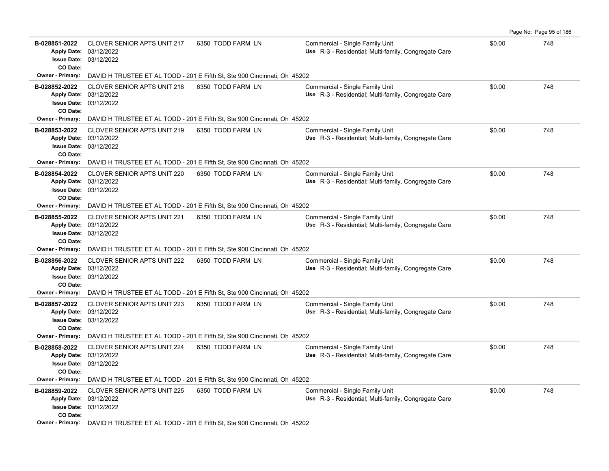| B-028851-2022<br>CO Date: | <b>CLOVER SENIOR APTS UNIT 217</b><br>Apply Date: 03/12/2022<br><b>Issue Date: 03/12/2022</b> | 6350 TODD FARM LN                                                                                  | Commercial - Single Family Unit<br>Use R-3 - Residential; Multi-family, Congregate Care | \$0.00 | 748 |
|---------------------------|-----------------------------------------------------------------------------------------------|----------------------------------------------------------------------------------------------------|-----------------------------------------------------------------------------------------|--------|-----|
| Owner - Primary:          |                                                                                               | DAVID H TRUSTEE ET AL TODD - 201 E Fifth St, Ste 900 Cincinnati, Oh 45202                          |                                                                                         |        |     |
| B-028852-2022<br>CO Date: | <b>CLOVER SENIOR APTS UNIT 218</b><br>Apply Date: 03/12/2022<br><b>Issue Date: 03/12/2022</b> | 6350 TODD FARM LN                                                                                  | Commercial - Single Family Unit<br>Use R-3 - Residential; Multi-family, Congregate Care | \$0.00 | 748 |
| <b>Owner - Primary:</b>   |                                                                                               | DAVID H TRUSTEE ET AL TODD - 201 E Fifth St, Ste 900 Cincinnati, Oh 45202                          |                                                                                         |        |     |
| B-028853-2022<br>CO Date: | <b>CLOVER SENIOR APTS UNIT 219</b><br>Apply Date: 03/12/2022<br><b>Issue Date: 03/12/2022</b> | 6350 TODD FARM LN                                                                                  | Commercial - Single Family Unit<br>Use R-3 - Residential; Multi-family, Congregate Care | \$0.00 | 748 |
| <b>Owner - Primary:</b>   |                                                                                               | DAVID H TRUSTEE ET AL TODD - 201 E Fifth St, Ste 900 Cincinnati, Oh 45202                          |                                                                                         |        |     |
| B-028854-2022<br>CO Date: | <b>CLOVER SENIOR APTS UNIT 220</b><br>Apply Date: 03/12/2022<br><b>Issue Date: 03/12/2022</b> | 6350 TODD FARM LN                                                                                  | Commercial - Single Family Unit<br>Use R-3 - Residential: Multi-family, Congregate Care | \$0.00 | 748 |
| <b>Owner - Primary:</b>   |                                                                                               | DAVID H TRUSTEE ET AL TODD - 201 E Fifth St, Ste 900 Cincinnati, Oh 45202                          |                                                                                         |        |     |
| B-028855-2022<br>CO Date: | <b>CLOVER SENIOR APTS UNIT 221</b><br>Apply Date: 03/12/2022<br><b>Issue Date: 03/12/2022</b> | 6350 TODD FARM LN                                                                                  | Commercial - Single Family Unit<br>Use R-3 - Residential; Multi-family, Congregate Care | \$0.00 | 748 |
|                           |                                                                                               | <b>Owner - Primary:</b> DAVID H TRUSTEE ET AL TODD - 201 E Fifth St, Ste 900 Cincinnati, Oh 45202  |                                                                                         |        |     |
| B-028856-2022<br>CO Date: | <b>CLOVER SENIOR APTS UNIT 222</b><br>Apply Date: 03/12/2022<br><b>Issue Date: 03/12/2022</b> | 6350 TODD FARM LN                                                                                  | Commercial - Single Family Unit<br>Use R-3 - Residential; Multi-family, Congregate Care | \$0.00 | 748 |
| Owner - Primary:          |                                                                                               | DAVID H TRUSTEE ET AL TODD - 201 E Fifth St, Ste 900 Cincinnati, Oh 45202                          |                                                                                         |        |     |
| B-028857-2022<br>CO Date: | <b>CLOVER SENIOR APTS UNIT 223</b><br>Apply Date: 03/12/2022<br>Issue Date: 03/12/2022        | 6350 TODD FARM LN                                                                                  | Commercial - Single Family Unit<br>Use R-3 - Residential; Multi-family, Congregate Care | \$0.00 | 748 |
|                           |                                                                                               | Owner - Primary: DAVID H TRUSTEE ET AL TODD - 201 E Fifth St, Ste 900 Cincinnati, Oh 45202         |                                                                                         |        |     |
| B-028858-2022<br>CO Date: | <b>CLOVER SENIOR APTS UNIT 224</b><br>Apply Date: 03/12/2022<br><b>Issue Date: 03/12/2022</b> | 6350 TODD FARM LN                                                                                  | Commercial - Single Family Unit<br>Use R-3 - Residential; Multi-family, Congregate Care | \$0.00 | 748 |
| <b>Owner - Primary:</b>   |                                                                                               | DAVID H TRUSTEE ET AL TODD - 201 E Fifth St, Ste 900 Cincinnati, Oh 45202                          |                                                                                         |        |     |
| B-028859-2022<br>CO Date: | <b>CLOVER SENIOR APTS UNIT 225</b><br>Apply Date: 03/12/2022<br><b>Issue Date: 03/12/2022</b> | 6350 TODD FARM LN                                                                                  | Commercial - Single Family Unit<br>Use R-3 - Residential; Multi-family, Congregate Care | \$0.00 | 748 |
|                           |                                                                                               | <b>Owner - Primary:</b> DAVID H TRUSTEE ET AL TODD - 201 E Fifth St. Ste 900 Cincinnati, Oh. 45202 |                                                                                         |        |     |

Page No: Page 95 of 186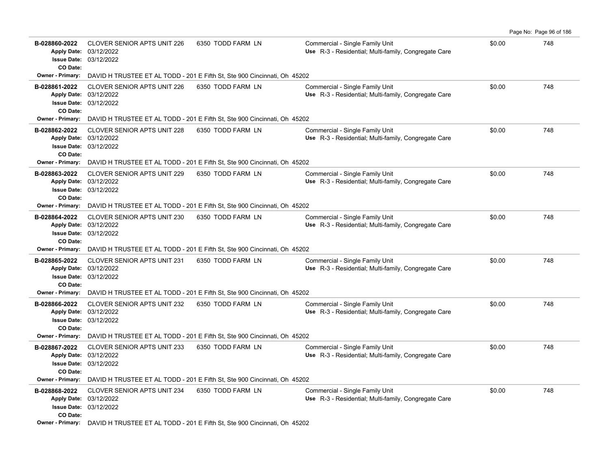| B-028860-2022<br>CO Date:                            | <b>CLOVER SENIOR APTS UNIT 226</b><br>Apply Date: 03/12/2022<br><b>Issue Date: 03/12/2022</b> | 6350 TODD FARM LN                                                                                  | Commercial - Single Family Unit<br>Use R-3 - Residential; Multi-family, Congregate Care | \$0.00 | 748 |
|------------------------------------------------------|-----------------------------------------------------------------------------------------------|----------------------------------------------------------------------------------------------------|-----------------------------------------------------------------------------------------|--------|-----|
| <b>Owner - Primary:</b>                              |                                                                                               | DAVID H TRUSTEE ET AL TODD - 201 E Fifth St, Ste 900 Cincinnati, Oh 45202                          |                                                                                         |        |     |
| B-028861-2022<br>CO Date:                            | <b>CLOVER SENIOR APTS UNIT 226</b><br>Apply Date: 03/12/2022<br><b>Issue Date: 03/12/2022</b> | 6350 TODD FARM LN                                                                                  | Commercial - Single Family Unit<br>Use R-3 - Residential: Multi-family, Congregate Care | \$0.00 | 748 |
| <b>Owner - Primary:</b>                              |                                                                                               | DAVID H TRUSTEE ET AL TODD - 201 E Fifth St, Ste 900 Cincinnati, Oh 45202                          |                                                                                         |        |     |
| B-028862-2022<br>CO Date:                            | <b>CLOVER SENIOR APTS UNIT 228</b><br>Apply Date: 03/12/2022<br><b>Issue Date: 03/12/2022</b> | 6350 TODD FARM LN                                                                                  | Commercial - Single Family Unit<br>Use R-3 - Residential; Multi-family, Congregate Care | \$0.00 | 748 |
| <b>Owner - Primary:</b>                              |                                                                                               | DAVID H TRUSTEE ET AL TODD - 201 E Fifth St, Ste 900 Cincinnati, Oh 45202                          |                                                                                         |        |     |
| B-028863-2022<br>CO Date:                            | <b>CLOVER SENIOR APTS UNIT 229</b><br>Apply Date: 03/12/2022<br><b>Issue Date: 03/12/2022</b> | 6350 TODD FARM LN                                                                                  | Commercial - Single Family Unit<br>Use R-3 - Residential; Multi-family, Congregate Care | \$0.00 | 748 |
| Owner - Primary:                                     |                                                                                               | DAVID H TRUSTEE ET AL TODD - 201 E Fifth St, Ste 900 Cincinnati, Oh 45202                          |                                                                                         |        |     |
| B-028864-2022<br><b>Apply Date:</b><br>CO Date:      | CLOVER SENIOR APTS UNIT 230<br>03/12/2022<br><b>Issue Date: 03/12/2022</b>                    | 6350 TODD FARM LN                                                                                  | Commercial - Single Family Unit<br>Use R-3 - Residential; Multi-family, Congregate Care | \$0.00 | 748 |
|                                                      |                                                                                               | <b>Owner - Primary:</b> DAVID H TRUSTEE ET AL TODD - 201 E Fifth St, Ste 900 Cincinnati, Oh 45202  |                                                                                         |        |     |
| B-028865-2022<br>CO Date:                            | <b>CLOVER SENIOR APTS UNIT 231</b><br>Apply Date: 03/12/2022<br><b>Issue Date: 03/12/2022</b> | 6350 TODD FARM LN                                                                                  | Commercial - Single Family Unit<br>Use R-3 - Residential; Multi-family, Congregate Care | \$0.00 | 748 |
| <b>Owner - Primary:</b>                              |                                                                                               | DAVID H TRUSTEE ET AL TODD - 201 E Fifth St, Ste 900 Cincinnati, Oh 45202                          |                                                                                         |        |     |
| B-028866-2022<br>CO Date:                            | <b>CLOVER SENIOR APTS UNIT 232</b><br>Apply Date: 03/12/2022<br><b>Issue Date: 03/12/2022</b> | 6350 TODD FARM LN                                                                                  | Commercial - Single Family Unit<br>Use R-3 - Residential; Multi-family, Congregate Care | \$0.00 | 748 |
|                                                      |                                                                                               | Owner - Primary: DAVID H TRUSTEE ET AL TODD - 201 E Fifth St, Ste 900 Cincinnati, Oh 45202         |                                                                                         |        |     |
| B-028867-2022<br>CO Date:<br><b>Owner - Primary:</b> | <b>CLOVER SENIOR APTS UNIT 233</b><br>Apply Date: 03/12/2022<br><b>Issue Date: 03/12/2022</b> | 6350 TODD FARM LN<br>DAVID H TRUSTEE ET AL TODD - 201 E Fifth St, Ste 900 Cincinnati, Oh 45202     | Commercial - Single Family Unit<br>Use R-3 - Residential; Multi-family, Congregate Care | \$0.00 | 748 |
| B-028868-2022                                        | <b>CLOVER SENIOR APTS UNIT 234</b>                                                            | 6350 TODD FARM LN                                                                                  | Commercial - Single Family Unit                                                         | \$0.00 | 748 |
| CO Date:                                             | Apply Date: 03/12/2022<br><b>Issue Date: 03/12/2022</b>                                       |                                                                                                    | Use R-3 - Residential; Multi-family, Congregate Care                                    |        |     |
|                                                      |                                                                                               | <b>Owner - Primary:</b> DAVID H TRUSTEE ET AL TODD - 201 E Fifth St. Ste 900 Cincinnati, Oh. 45202 |                                                                                         |        |     |

Page No: Page 96 of 186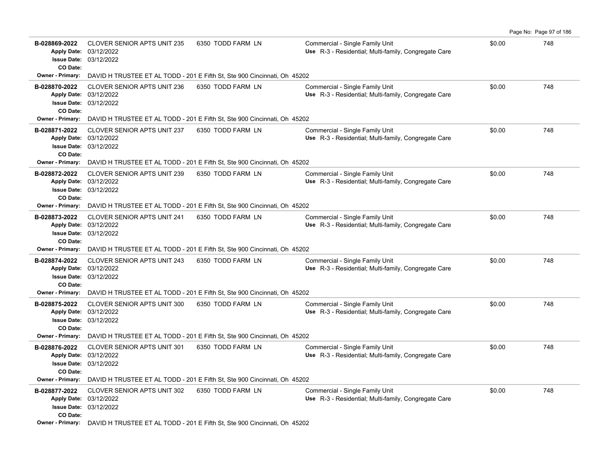| B-028869-2022<br>CO Date:                       | <b>CLOVER SENIOR APTS UNIT 235</b><br>Apply Date: 03/12/2022<br><b>Issue Date: 03/12/2022</b> | 6350 TODD FARM LN                                                                                  | Commercial - Single Family Unit<br>Use R-3 - Residential; Multi-family, Congregate Care | \$0.00 | 748 |
|-------------------------------------------------|-----------------------------------------------------------------------------------------------|----------------------------------------------------------------------------------------------------|-----------------------------------------------------------------------------------------|--------|-----|
|                                                 |                                                                                               | Owner - Primary: DAVID H TRUSTEE ET AL TODD - 201 E Fifth St, Ste 900 Cincinnati, Oh 45202         |                                                                                         |        |     |
| B-028870-2022<br>CO Date:                       | <b>CLOVER SENIOR APTS UNIT 236</b><br>Apply Date: 03/12/2022<br><b>Issue Date: 03/12/2022</b> | 6350 TODD FARM LN                                                                                  | Commercial - Single Family Unit<br>Use R-3 - Residential; Multi-family, Congregate Care | \$0.00 | 748 |
| <b>Owner - Primary:</b>                         |                                                                                               | DAVID H TRUSTEE ET AL TODD - 201 E Fifth St, Ste 900 Cincinnati, Oh 45202                          |                                                                                         |        |     |
| B-028871-2022<br>CO Date:                       | <b>CLOVER SENIOR APTS UNIT 237</b><br>Apply Date: 03/12/2022<br><b>Issue Date: 03/12/2022</b> | 6350 TODD FARM LN                                                                                  | Commercial - Single Family Unit<br>Use R-3 - Residential; Multi-family, Congregate Care | \$0.00 | 748 |
| <b>Owner - Primary:</b>                         |                                                                                               | DAVID H TRUSTEE ET AL TODD - 201 E Fifth St, Ste 900 Cincinnati, Oh 45202                          |                                                                                         |        |     |
| B-028872-2022<br>CO Date:                       | <b>CLOVER SENIOR APTS UNIT 239</b><br>Apply Date: 03/12/2022<br><b>Issue Date: 03/12/2022</b> | 6350 TODD FARM LN                                                                                  | Commercial - Single Family Unit<br>Use R-3 - Residential; Multi-family, Congregate Care | \$0.00 | 748 |
| <b>Owner - Primary:</b>                         |                                                                                               | DAVID H TRUSTEE ET AL TODD - 201 E Fifth St, Ste 900 Cincinnati, Oh 45202                          |                                                                                         |        |     |
| B-028873-2022<br><b>Apply Date:</b><br>CO Date: | <b>CLOVER SENIOR APTS UNIT 241</b><br>03/12/2022<br><b>Issue Date: 03/12/2022</b>             | 6350 TODD FARM LN                                                                                  | Commercial - Single Family Unit<br>Use R-3 - Residential; Multi-family, Congregate Care | \$0.00 | 748 |
|                                                 |                                                                                               | <b>Owner - Primary:</b> DAVID H TRUSTEE ET AL TODD - 201 E Fifth St, Ste 900 Cincinnati, Oh 45202  |                                                                                         |        |     |
| B-028874-2022<br>CO Date:                       | <b>CLOVER SENIOR APTS UNIT 243</b><br>Apply Date: 03/12/2022<br><b>Issue Date: 03/12/2022</b> | 6350 TODD FARM LN                                                                                  | Commercial - Single Family Unit<br>Use R-3 - Residential; Multi-family, Congregate Care | \$0.00 | 748 |
| <b>Owner - Primary:</b>                         |                                                                                               | DAVID H TRUSTEE ET AL TODD - 201 E Fifth St, Ste 900 Cincinnati, Oh 45202                          |                                                                                         |        |     |
| B-028875-2022<br>CO Date:                       | <b>CLOVER SENIOR APTS UNIT 300</b><br>Apply Date: 03/12/2022<br><b>Issue Date: 03/12/2022</b> | 6350 TODD FARM LN                                                                                  | Commercial - Single Family Unit<br>Use R-3 - Residential; Multi-family, Congregate Care | \$0.00 | 748 |
|                                                 |                                                                                               | <b>Owner - Primary:</b> DAVID H TRUSTEE ET AL TODD - 201 E Fifth St, Ste 900 Cincinnati, Oh 45202  |                                                                                         |        |     |
| B-028876-2022<br>CO Date:                       | <b>CLOVER SENIOR APTS UNIT 301</b><br>Apply Date: 03/12/2022<br><b>Issue Date: 03/12/2022</b> | 6350 TODD FARM LN                                                                                  | Commercial - Single Family Unit<br>Use R-3 - Residential; Multi-family, Congregate Care | \$0.00 | 748 |
| <b>Owner - Primary:</b>                         |                                                                                               | DAVID H TRUSTEE ET AL TODD - 201 E Fifth St, Ste 900 Cincinnati, Oh 45202                          |                                                                                         |        |     |
| B-028877-2022<br>CO Date:                       | CLOVER SENIOR APTS UNIT 302<br>Apply Date: 03/12/2022<br><b>Issue Date: 03/12/2022</b>        | 6350 TODD FARM LN                                                                                  | Commercial - Single Family Unit<br>Use R-3 - Residential: Multi-family, Congregate Care | \$0.00 | 748 |
|                                                 |                                                                                               | <b>Owner - Primary:</b> DAVID H TRUSTEE ET AL TODD - 201 E Fifth St. Ste 900 Cincinnati, Oh. 45202 |                                                                                         |        |     |

Page No: Page 97 of 186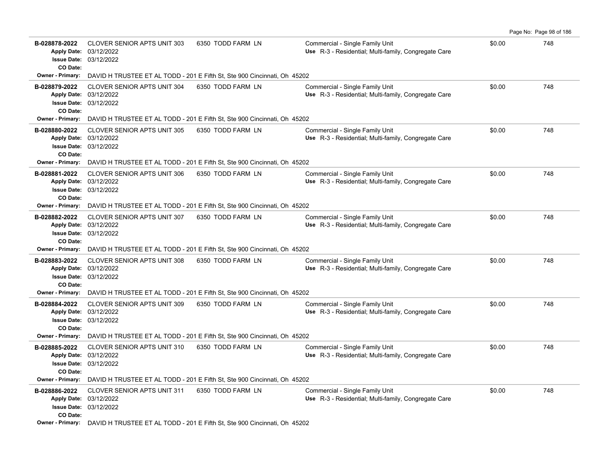| B-028878-2022             | <b>CLOVER SENIOR APTS UNIT 303</b><br>Apply Date: 03/12/2022<br><b>Issue Date: 03/12/2022</b> | 6350 TODD FARM LN                                                                                  | Commercial - Single Family Unit<br>Use R-3 - Residential; Multi-family, Congregate Care | \$0.00 | 748 |
|---------------------------|-----------------------------------------------------------------------------------------------|----------------------------------------------------------------------------------------------------|-----------------------------------------------------------------------------------------|--------|-----|
| CO Date:                  |                                                                                               |                                                                                                    |                                                                                         |        |     |
| Owner - Primary:          |                                                                                               | DAVID H TRUSTEE ET AL TODD - 201 E Fifth St, Ste 900 Cincinnati, Oh 45202                          |                                                                                         |        |     |
| B-028879-2022<br>CO Date: | <b>CLOVER SENIOR APTS UNIT 304</b><br>Apply Date: 03/12/2022<br><b>Issue Date: 03/12/2022</b> | 6350 TODD FARM LN                                                                                  | Commercial - Single Family Unit<br>Use R-3 - Residential; Multi-family, Congregate Care | \$0.00 | 748 |
| <b>Owner - Primary:</b>   |                                                                                               | DAVID H TRUSTEE ET AL TODD - 201 E Fifth St, Ste 900 Cincinnati, Oh 45202                          |                                                                                         |        |     |
| B-028880-2022<br>CO Date: | <b>CLOVER SENIOR APTS UNIT 305</b><br>Apply Date: 03/12/2022<br><b>Issue Date: 03/12/2022</b> | 6350 TODD FARM LN                                                                                  | Commercial - Single Family Unit<br>Use R-3 - Residential; Multi-family, Congregate Care | \$0.00 | 748 |
| <b>Owner - Primary:</b>   |                                                                                               | DAVID H TRUSTEE ET AL TODD - 201 E Fifth St, Ste 900 Cincinnati, Oh 45202                          |                                                                                         |        |     |
| B-028881-2022<br>CO Date: | <b>CLOVER SENIOR APTS UNIT 306</b><br>Apply Date: 03/12/2022<br><b>Issue Date: 03/12/2022</b> | 6350 TODD FARM LN                                                                                  | Commercial - Single Family Unit<br>Use R-3 - Residential: Multi-family, Congregate Care | \$0.00 | 748 |
| <b>Owner - Primary:</b>   |                                                                                               | DAVID H TRUSTEE ET AL TODD - 201 E Fifth St, Ste 900 Cincinnati, Oh 45202                          |                                                                                         |        |     |
| B-028882-2022<br>CO Date: | <b>CLOVER SENIOR APTS UNIT 307</b><br>Apply Date: 03/12/2022<br><b>Issue Date: 03/12/2022</b> | 6350 TODD FARM LN                                                                                  | Commercial - Single Family Unit<br>Use R-3 - Residential; Multi-family, Congregate Care | \$0.00 | 748 |
|                           |                                                                                               | <b>Owner - Primary:</b> DAVID H TRUSTEE ET AL TODD - 201 E Fifth St, Ste 900 Cincinnati, Oh 45202  |                                                                                         |        |     |
| B-028883-2022<br>CO Date: | <b>CLOVER SENIOR APTS UNIT 308</b><br>Apply Date: 03/12/2022<br><b>Issue Date: 03/12/2022</b> | 6350 TODD FARM LN                                                                                  | Commercial - Single Family Unit<br>Use R-3 - Residential; Multi-family, Congregate Care | \$0.00 | 748 |
| <b>Owner - Primary:</b>   |                                                                                               | DAVID H TRUSTEE ET AL TODD - 201 E Fifth St, Ste 900 Cincinnati, Oh 45202                          |                                                                                         |        |     |
| B-028884-2022<br>CO Date: | <b>CLOVER SENIOR APTS UNIT 309</b><br>Apply Date: 03/12/2022<br>Issue Date: 03/12/2022        | 6350 TODD FARM LN                                                                                  | Commercial - Single Family Unit<br>Use R-3 - Residential; Multi-family, Congregate Care | \$0.00 | 748 |
|                           |                                                                                               | Owner - Primary: DAVID H TRUSTEE ET AL TODD - 201 E Fifth St, Ste 900 Cincinnati, Oh 45202         |                                                                                         |        |     |
| B-028885-2022<br>CO Date: | CLOVER SENIOR APTS UNIT 310<br>Apply Date: 03/12/2022<br><b>Issue Date: 03/12/2022</b>        | 6350 TODD FARM LN                                                                                  | Commercial - Single Family Unit<br>Use R-3 - Residential; Multi-family, Congregate Care | \$0.00 | 748 |
| <b>Owner - Primary:</b>   |                                                                                               | DAVID H TRUSTEE ET AL TODD - 201 E Fifth St, Ste 900 Cincinnati, Oh 45202                          |                                                                                         |        |     |
| B-028886-2022<br>CO Date: | <b>CLOVER SENIOR APTS UNIT 311</b><br>Apply Date: 03/12/2022<br><b>Issue Date: 03/12/2022</b> | 6350 TODD FARM LN                                                                                  | Commercial - Single Family Unit<br>Use R-3 - Residential; Multi-family, Congregate Care | \$0.00 | 748 |
|                           |                                                                                               | <b>Owner - Primary:</b> DAVID H TRUSTEE ET AL TODD - 201 E Fifth St. Ste 900 Cincinnati, Oh. 45202 |                                                                                         |        |     |

Page No: Page 98 of 186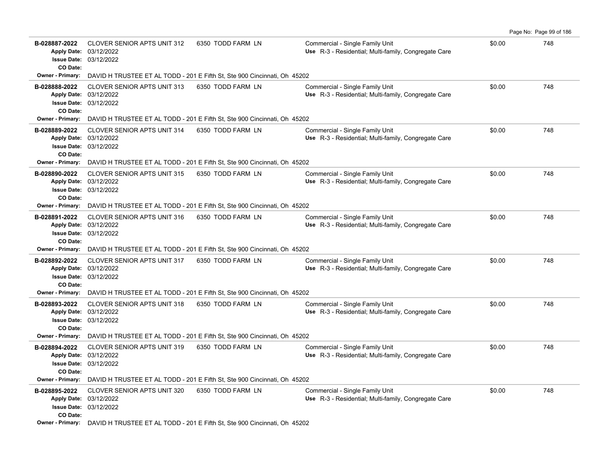| B-028887-2022<br>CO Date: | <b>CLOVER SENIOR APTS UNIT 312</b><br>Apply Date: 03/12/2022<br><b>Issue Date: 03/12/2022</b> | 6350 TODD FARM LN                                                                                  | Commercial - Single Family Unit<br>Use R-3 - Residential; Multi-family, Congregate Care | \$0.00 | 748 |
|---------------------------|-----------------------------------------------------------------------------------------------|----------------------------------------------------------------------------------------------------|-----------------------------------------------------------------------------------------|--------|-----|
| Owner - Primary:          |                                                                                               | DAVID H TRUSTEE ET AL TODD - 201 E Fifth St, Ste 900 Cincinnati, Oh 45202                          |                                                                                         |        |     |
| B-028888-2022<br>CO Date: | CLOVER SENIOR APTS UNIT 313<br>Apply Date: 03/12/2022<br><b>Issue Date: 03/12/2022</b>        | 6350 TODD FARM LN                                                                                  | Commercial - Single Family Unit<br>Use R-3 - Residential; Multi-family, Congregate Care | \$0.00 | 748 |
| <b>Owner - Primary:</b>   |                                                                                               | DAVID H TRUSTEE ET AL TODD - 201 E Fifth St, Ste 900 Cincinnati, Oh 45202                          |                                                                                         |        |     |
| B-028889-2022<br>CO Date: | <b>CLOVER SENIOR APTS UNIT 314</b><br>Apply Date: 03/12/2022<br><b>Issue Date: 03/12/2022</b> | 6350 TODD FARM LN                                                                                  | Commercial - Single Family Unit<br>Use R-3 - Residential; Multi-family, Congregate Care | \$0.00 | 748 |
| <b>Owner - Primary:</b>   |                                                                                               | DAVID H TRUSTEE ET AL TODD - 201 E Fifth St, Ste 900 Cincinnati, Oh 45202                          |                                                                                         |        |     |
| B-028890-2022<br>CO Date: | <b>CLOVER SENIOR APTS UNIT 315</b><br>Apply Date: 03/12/2022<br><b>Issue Date: 03/12/2022</b> | 6350 TODD FARM LN                                                                                  | Commercial - Single Family Unit<br>Use R-3 - Residential: Multi-family, Congregate Care | \$0.00 | 748 |
| <b>Owner - Primary:</b>   |                                                                                               | DAVID H TRUSTEE ET AL TODD - 201 E Fifth St, Ste 900 Cincinnati, Oh 45202                          |                                                                                         |        |     |
| B-028891-2022<br>CO Date: | <b>CLOVER SENIOR APTS UNIT 316</b><br>Apply Date: 03/12/2022<br><b>Issue Date: 03/12/2022</b> | 6350 TODD FARM LN                                                                                  | Commercial - Single Family Unit<br>Use R-3 - Residential; Multi-family, Congregate Care | \$0.00 | 748 |
|                           |                                                                                               | <b>Owner - Primary:</b> DAVID H TRUSTEE ET AL TODD - 201 E Fifth St, Ste 900 Cincinnati, Oh 45202  |                                                                                         |        |     |
| B-028892-2022<br>CO Date: | <b>CLOVER SENIOR APTS UNIT 317</b><br>Apply Date: 03/12/2022<br><b>Issue Date: 03/12/2022</b> | 6350 TODD FARM LN                                                                                  | Commercial - Single Family Unit<br>Use R-3 - Residential; Multi-family, Congregate Care | \$0.00 | 748 |
| <b>Owner - Primary:</b>   |                                                                                               | DAVID H TRUSTEE ET AL TODD - 201 E Fifth St, Ste 900 Cincinnati, Oh 45202                          |                                                                                         |        |     |
| B-028893-2022<br>CO Date: | <b>CLOVER SENIOR APTS UNIT 318</b><br>Apply Date: 03/12/2022<br>Issue Date: 03/12/2022        | 6350 TODD FARM LN                                                                                  | Commercial - Single Family Unit<br>Use R-3 - Residential; Multi-family, Congregate Care | \$0.00 | 748 |
|                           |                                                                                               | Owner - Primary: DAVID H TRUSTEE ET AL TODD - 201 E Fifth St, Ste 900 Cincinnati, Oh 45202         |                                                                                         |        |     |
| B-028894-2022<br>CO Date: | <b>CLOVER SENIOR APTS UNIT 319</b><br>Apply Date: 03/12/2022<br><b>Issue Date: 03/12/2022</b> | 6350 TODD FARM LN                                                                                  | Commercial - Single Family Unit<br>Use R-3 - Residential; Multi-family, Congregate Care | \$0.00 | 748 |
| <b>Owner - Primary:</b>   |                                                                                               | DAVID H TRUSTEE ET AL TODD - 201 E Fifth St, Ste 900 Cincinnati, Oh 45202                          |                                                                                         |        |     |
| B-028895-2022<br>CO Date: | <b>CLOVER SENIOR APTS UNIT 320</b><br>Apply Date: 03/12/2022<br><b>Issue Date: 03/12/2022</b> | 6350 TODD FARM LN                                                                                  | Commercial - Single Family Unit<br>Use R-3 - Residential; Multi-family, Congregate Care | \$0.00 | 748 |
|                           |                                                                                               | <b>Owner - Primary:</b> DAVID H TRUSTEE ET AL TODD - 201 E Fifth St. Ste 900 Cincinnati, Oh. 45202 |                                                                                         |        |     |

Page No: Page 99 of 186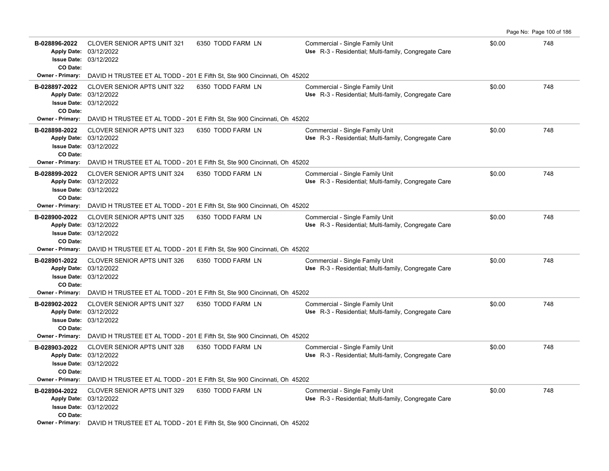|                                                      |                                                                                                                                                                                                    |                   |                                                                                         |        | Page No: Page 100 of 186 |
|------------------------------------------------------|----------------------------------------------------------------------------------------------------------------------------------------------------------------------------------------------------|-------------------|-----------------------------------------------------------------------------------------|--------|--------------------------|
| B-028896-2022<br>CO Date:                            | <b>CLOVER SENIOR APTS UNIT 321</b><br>Apply Date: 03/12/2022<br><b>Issue Date: 03/12/2022</b>                                                                                                      | 6350 TODD FARM LN | Commercial - Single Family Unit<br>Use R-3 - Residential; Multi-family, Congregate Care | \$0.00 | 748                      |
| Owner - Primary:                                     | DAVID H TRUSTEE ET AL TODD - 201 E Fifth St, Ste 900 Cincinnati, Oh 45202                                                                                                                          |                   |                                                                                         |        |                          |
| B-028897-2022<br>CO Date:                            | <b>CLOVER SENIOR APTS UNIT 322</b><br>Apply Date: 03/12/2022<br>Issue Date: 03/12/2022                                                                                                             | 6350 TODD FARM LN | Commercial - Single Family Unit<br>Use R-3 - Residential; Multi-family, Congregate Care | \$0.00 | 748                      |
| <b>Owner - Primary:</b>                              | DAVID H TRUSTEE ET AL TODD - 201 E Fifth St, Ste 900 Cincinnati, Oh 45202                                                                                                                          |                   |                                                                                         |        |                          |
| B-028898-2022<br>CO Date:<br>Owner - Primary:        | <b>CLOVER SENIOR APTS UNIT 323</b><br>Apply Date: 03/12/2022<br><b>Issue Date: 03/12/2022</b>                                                                                                      | 6350 TODD FARM LN | Commercial - Single Family Unit<br>Use R-3 - Residential; Multi-family, Congregate Care | \$0.00 | 748                      |
|                                                      | DAVID H TRUSTEE ET AL TODD - 201 E Fifth St, Ste 900 Cincinnati, Oh 45202                                                                                                                          |                   |                                                                                         |        |                          |
| B-028899-2022<br>CO Date:                            | CLOVER SENIOR APTS UNIT 324<br>Apply Date: 03/12/2022<br><b>Issue Date: 03/12/2022</b>                                                                                                             | 6350 TODD FARM LN | Commercial - Single Family Unit<br>Use R-3 - Residential; Multi-family, Congregate Care | \$0.00 | 748                      |
|                                                      | Owner - Primary: DAVID H TRUSTEE ET AL TODD - 201 E Fifth St, Ste 900 Cincinnati, Oh 45202                                                                                                         |                   |                                                                                         |        |                          |
| B-028900-2022<br>CO Date:                            | <b>CLOVER SENIOR APTS UNIT 325</b><br>Apply Date: 03/12/2022<br><b>Issue Date: 03/12/2022</b>                                                                                                      | 6350 TODD FARM LN | Commercial - Single Family Unit<br>Use R-3 - Residential; Multi-family, Congregate Care | \$0.00 | 748                      |
| <b>Owner - Primary:</b>                              | DAVID H TRUSTEE ET AL TODD - 201 E Fifth St, Ste 900 Cincinnati, Oh 45202                                                                                                                          |                   |                                                                                         |        |                          |
| B-028901-2022<br>CO Date:                            | <b>CLOVER SENIOR APTS UNIT 326</b><br>Apply Date: 03/12/2022<br><b>Issue Date: 03/12/2022</b>                                                                                                      | 6350 TODD FARM LN | Commercial - Single Family Unit<br>Use R-3 - Residential; Multi-family, Congregate Care | \$0.00 | 748                      |
| Owner - Primary:                                     | DAVID H TRUSTEE ET AL TODD - 201 E Fifth St, Ste 900 Cincinnati, Oh 45202                                                                                                                          |                   |                                                                                         |        |                          |
| B-028902-2022<br>CO Date:                            | <b>CLOVER SENIOR APTS UNIT 327</b><br>Apply Date: 03/12/2022<br><b>Issue Date: 03/12/2022</b>                                                                                                      | 6350 TODD FARM LN | Commercial - Single Family Unit<br>Use R-3 - Residential; Multi-family, Congregate Care | \$0.00 | 748                      |
| <b>Owner - Primary:</b>                              | DAVID H TRUSTEE ET AL TODD - 201 E Fifth St, Ste 900 Cincinnati, Oh 45202                                                                                                                          |                   |                                                                                         |        |                          |
| B-028903-2022<br>CO Date:<br><b>Owner - Primary:</b> | <b>CLOVER SENIOR APTS UNIT 328</b><br>Apply Date: 03/12/2022<br><b>Issue Date: 03/12/2022</b><br>DAVID H TRUSTEE ET AL TODD - 201 E Fifth St, Ste 900 Cincinnati, Oh 45202                         | 6350 TODD FARM LN | Commercial - Single Family Unit<br>Use R-3 - Residential; Multi-family, Congregate Care | \$0.00 | 748                      |
| B-028904-2022<br>CO Date:                            | <b>CLOVER SENIOR APTS UNIT 329</b><br>Apply Date: 03/12/2022<br><b>Issue Date: 03/12/2022</b><br><b>Owner - Primary:</b> DAVID H TRUSTEE ET AL TODD - 201 E Fifth St, Ste 900 Cincinnati, Oh 45202 | 6350 TODD FARM LN | Commercial - Single Family Unit<br>Use R-3 - Residential; Multi-family, Congregate Care | \$0.00 | 748                      |
|                                                      |                                                                                                                                                                                                    |                   |                                                                                         |        |                          |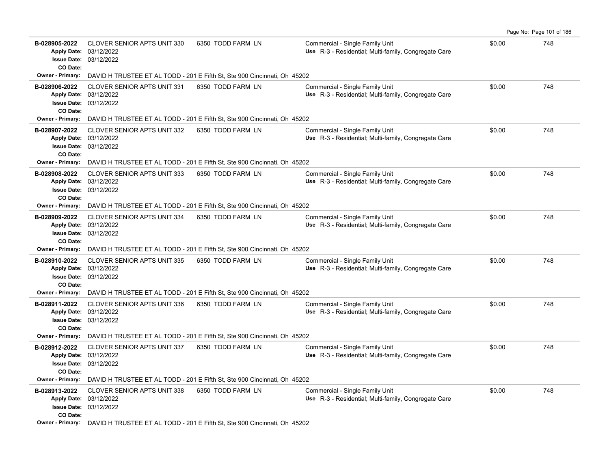| B-028905-2022<br>CO Date: | <b>CLOVER SENIOR APTS UNIT 330</b><br>Apply Date: 03/12/2022<br><b>Issue Date: 03/12/2022</b> | 6350 TODD FARM LN                                                                          | Commercial - Single Family Unit<br>Use R-3 - Residential; Multi-family, Congregate Care | \$0.00 | 748 |
|---------------------------|-----------------------------------------------------------------------------------------------|--------------------------------------------------------------------------------------------|-----------------------------------------------------------------------------------------|--------|-----|
| Owner - Primary:          |                                                                                               | DAVID H TRUSTEE ET AL TODD - 201 E Fifth St, Ste 900 Cincinnati, Oh 45202                  |                                                                                         |        |     |
| B-028906-2022<br>CO Date: | <b>CLOVER SENIOR APTS UNIT 331</b><br>Apply Date: 03/12/2022<br><b>Issue Date: 03/12/2022</b> | 6350 TODD FARM LN                                                                          | Commercial - Single Family Unit<br>Use R-3 - Residential; Multi-family, Congregate Care | \$0.00 | 748 |
| <b>Owner - Primary:</b>   |                                                                                               | DAVID H TRUSTEE ET AL TODD - 201 E Fifth St, Ste 900 Cincinnati, Oh 45202                  |                                                                                         |        |     |
| B-028907-2022<br>CO Date: | <b>CLOVER SENIOR APTS UNIT 332</b><br>Apply Date: 03/12/2022<br><b>Issue Date: 03/12/2022</b> | 6350 TODD FARM LN                                                                          | Commercial - Single Family Unit<br>Use R-3 - Residential; Multi-family, Congregate Care | \$0.00 | 748 |
| <b>Owner - Primary:</b>   |                                                                                               | DAVID H TRUSTEE ET AL TODD - 201 E Fifth St, Ste 900 Cincinnati, Oh 45202                  |                                                                                         |        |     |
| B-028908-2022<br>CO Date: | CLOVER SENIOR APTS UNIT 333<br>Apply Date: 03/12/2022<br><b>Issue Date: 03/12/2022</b>        | 6350 TODD FARM LN                                                                          | Commercial - Single Family Unit<br>Use R-3 - Residential; Multi-family, Congregate Care | \$0.00 | 748 |
| <b>Owner - Primary:</b>   |                                                                                               | DAVID H TRUSTEE ET AL TODD - 201 E Fifth St, Ste 900 Cincinnati, Oh 45202                  |                                                                                         |        |     |
| B-028909-2022<br>CO Date: | <b>CLOVER SENIOR APTS UNIT 334</b><br>Apply Date: 03/12/2022<br><b>Issue Date: 03/12/2022</b> | 6350 TODD FARM LN                                                                          | Commercial - Single Family Unit<br>Use R-3 - Residential; Multi-family, Congregate Care | \$0.00 | 748 |
| <b>Owner - Primary:</b>   |                                                                                               | DAVID H TRUSTEE ET AL TODD - 201 E Fifth St, Ste 900 Cincinnati, Oh 45202                  |                                                                                         |        |     |
| B-028910-2022<br>CO Date: | <b>CLOVER SENIOR APTS UNIT 335</b><br>Apply Date: 03/12/2022<br><b>Issue Date: 03/12/2022</b> | 6350 TODD FARM LN                                                                          | Commercial - Single Family Unit<br>Use R-3 - Residential; Multi-family, Congregate Care | \$0.00 | 748 |
| <b>Owner - Primary:</b>   |                                                                                               | DAVID H TRUSTEE ET AL TODD - 201 E Fifth St, Ste 900 Cincinnati, Oh 45202                  |                                                                                         |        |     |
| B-028911-2022<br>CO Date: | <b>CLOVER SENIOR APTS UNIT 336</b><br>Apply Date: 03/12/2022<br><b>Issue Date: 03/12/2022</b> | 6350 TODD FARM LN                                                                          | Commercial - Single Family Unit<br>Use R-3 - Residential; Multi-family, Congregate Care | \$0.00 | 748 |
| Owner - Primary:          |                                                                                               | DAVID H TRUSTEE ET AL TODD - 201 E Fifth St, Ste 900 Cincinnati, Oh 45202                  |                                                                                         |        |     |
| B-028912-2022<br>CO Date: | <b>CLOVER SENIOR APTS UNIT 337</b><br>Apply Date: 03/12/2022<br><b>Issue Date: 03/12/2022</b> | 6350 TODD FARM LN                                                                          | Commercial - Single Family Unit<br>Use R-3 - Residential; Multi-family, Congregate Care | \$0.00 | 748 |
| <b>Owner - Primary:</b>   |                                                                                               | DAVID H TRUSTEE ET AL TODD - 201 E Fifth St, Ste 900 Cincinnati, Oh 45202                  |                                                                                         |        |     |
| B-028913-2022<br>CO Date: | <b>CLOVER SENIOR APTS UNIT 338</b><br>Apply Date: 03/12/2022<br><b>Issue Date: 03/12/2022</b> | 6350 TODD FARM LN                                                                          | Commercial - Single Family Unit<br>Use R-3 - Residential; Multi-family, Congregate Care | \$0.00 | 748 |
|                           |                                                                                               | Owner - Primary: DAVID H TRUSTEE ET AL TODD - 201 E Fifth St, Ste 900 Cincinnati, Oh 45202 |                                                                                         |        |     |

Page No: Page 101 of 186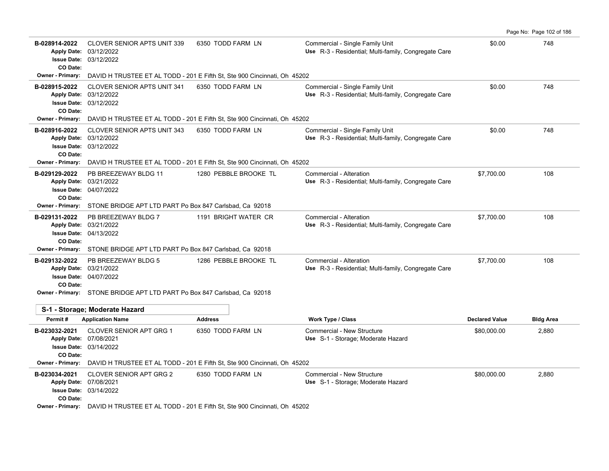| B-028914-2022<br><b>Apply Date:</b><br>CO Date:     | <b>CLOVER SENIOR APTS UNIT 339</b><br>03/12/2022<br><b>Issue Date: 03/12/2022</b>                                                                          | 6350 TODD FARM LN                                                         | Commercial - Single Family Unit<br>Use R-3 - Residential; Multi-family, Congregate Care | \$0.00                | 748              |  |  |
|-----------------------------------------------------|------------------------------------------------------------------------------------------------------------------------------------------------------------|---------------------------------------------------------------------------|-----------------------------------------------------------------------------------------|-----------------------|------------------|--|--|
| <b>Owner - Primary:</b>                             |                                                                                                                                                            | DAVID H TRUSTEE ET AL TODD - 201 E Fifth St, Ste 900 Cincinnati, Oh 45202 |                                                                                         |                       |                  |  |  |
| B-028915-2022<br>CO Date:                           | <b>CLOVER SENIOR APTS UNIT 341</b><br>Apply Date: 03/12/2022<br><b>Issue Date: 03/12/2022</b>                                                              | 6350 TODD FARM LN                                                         | Commercial - Single Family Unit<br>Use R-3 - Residential; Multi-family, Congregate Care | \$0.00                | 748              |  |  |
| <b>Owner - Primary:</b>                             |                                                                                                                                                            | DAVID H TRUSTEE ET AL TODD - 201 E Fifth St, Ste 900 Cincinnati, Oh 45202 |                                                                                         |                       |                  |  |  |
| B-028916-2022<br>CO Date:                           | <b>CLOVER SENIOR APTS UNIT 343</b><br>Apply Date: 03/12/2022<br><b>Issue Date: 03/12/2022</b>                                                              | 6350 TODD FARM LN                                                         | Commercial - Single Family Unit<br>Use R-3 - Residential; Multi-family, Congregate Care | \$0.00                | 748              |  |  |
| <b>Owner - Primary:</b>                             |                                                                                                                                                            | DAVID H TRUSTEE ET AL TODD - 201 E Fifth St, Ste 900 Cincinnati, Oh 45202 |                                                                                         |                       |                  |  |  |
| B-029129-2022<br>CO Date:                           | PB BREEZEWAY BLDG 11<br>Apply Date: 03/21/2022<br><b>Issue Date: 04/07/2022</b>                                                                            | 1280 PEBBLE BROOKE TL                                                     | Commercial - Alteration<br>Use R-3 - Residential; Multi-family, Congregate Care         | \$7,700.00            | 108              |  |  |
|                                                     | Owner - Primary: STONE BRIDGE APT LTD PART Po Box 847 Carlsbad, Ca 92018                                                                                   |                                                                           |                                                                                         |                       |                  |  |  |
| B-029131-2022<br>CO Date:                           | PB BREEZEWAY BLDG 7<br>Apply Date: 03/21/2022<br><b>Issue Date: 04/13/2022</b>                                                                             | 1191 BRIGHT WATER CR                                                      | Commercial - Alteration<br>Use R-3 - Residential; Multi-family, Congregate Care         | \$7,700.00            | 108              |  |  |
| <b>Owner - Primary:</b>                             | STONE BRIDGE APT LTD PART Po Box 847 Carlsbad, Ca 92018                                                                                                    |                                                                           |                                                                                         |                       |                  |  |  |
| B-029132-2022<br>CO Date:                           | PB BREEZEWAY BLDG 5<br>Apply Date: 03/21/2022<br><b>Issue Date: 04/07/2022</b><br>Owner - Primary: STONE BRIDGE APT LTD PART Po Box 847 Carlsbad, Ca 92018 | 1286 PEBBLE BROOKE TL                                                     | Commercial - Alteration<br>Use R-3 - Residential; Multi-family, Congregate Care         | \$7,700.00            | 108              |  |  |
|                                                     |                                                                                                                                                            |                                                                           |                                                                                         |                       |                  |  |  |
| Permit#                                             | S-1 - Storage; Moderate Hazard                                                                                                                             | <b>Address</b>                                                            |                                                                                         | <b>Declared Value</b> |                  |  |  |
| B-023032-2021                                       | <b>Application Name</b>                                                                                                                                    |                                                                           | <b>Work Type / Class</b>                                                                |                       | <b>Bldg Area</b> |  |  |
| Apply Date: 07/08/2021<br>CO Date:                  | CLOVER SENIOR APT GRG 1<br><b>Issue Date: 03/14/2022</b>                                                                                                   | 6350 TODD FARM LN                                                         | Commercial - New Structure<br>Use S-1 - Storage; Moderate Hazard                        | \$80,000.00           | 2,880            |  |  |
| <b>Owner - Primary:</b>                             |                                                                                                                                                            | DAVID H TRUSTEE ET AL TODD - 201 E Fifth St, Ste 900 Cincinnati, Oh 45202 |                                                                                         |                       |                  |  |  |
| B-023034-2021<br>Apply Date: 07/08/2021<br>CO Date: | <b>CLOVER SENIOR APT GRG 2</b><br><b>Issue Date: 03/14/2022</b>                                                                                            | 6350 TODD FARM LN                                                         | Commercial - New Structure<br>Use S-1 - Storage; Moderate Hazard                        | \$80,000.00           | 2,880            |  |  |
|                                                     | <b>Owner - Primary:</b> DAVID H TRUSTEE ET AL TODD - 201 E Fifth St, Ste 900 Cincinnati, Oh 45202                                                          |                                                                           |                                                                                         |                       |                  |  |  |

Page No: Page 102 of 186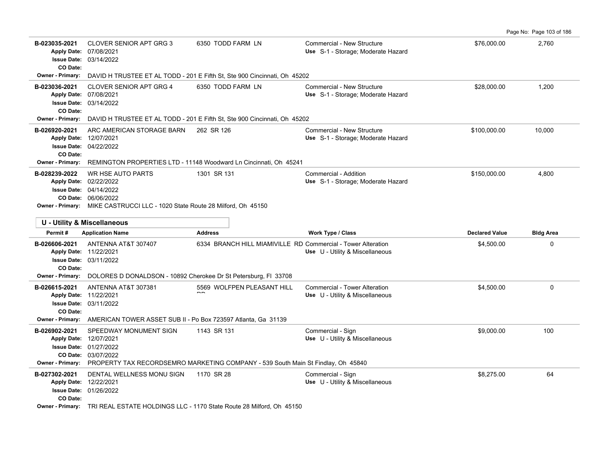|                                      |                                                                                                                                                                                           |                                                                                                     |                                                                         |                                     | Page No: Page 103 of 186 |
|--------------------------------------|-------------------------------------------------------------------------------------------------------------------------------------------------------------------------------------------|-----------------------------------------------------------------------------------------------------|-------------------------------------------------------------------------|-------------------------------------|--------------------------|
| B-023035-2021<br>CO Date:            | <b>CLOVER SENIOR APT GRG 3</b><br>Apply Date: 07/08/2021<br><b>Issue Date: 03/14/2022</b>                                                                                                 | 6350 TODD FARM LN                                                                                   | Commercial - New Structure<br>Use S-1 - Storage; Moderate Hazard        | \$76,000.00                         | 2,760                    |
| <b>Owner - Primary:</b>              |                                                                                                                                                                                           | DAVID H TRUSTEE ET AL TODD - 201 E Fifth St, Ste 900 Cincinnati, Oh 45202                           |                                                                         |                                     |                          |
| B-023036-2021<br>CO Date:            | <b>CLOVER SENIOR APT GRG 4</b><br>Apply Date: 07/08/2021<br><b>Issue Date: 03/14/2022</b>                                                                                                 | 6350 TODD FARM LN                                                                                   | Commercial - New Structure<br>Use S-1 - Storage; Moderate Hazard        | \$28,000.00                         | 1,200                    |
|                                      |                                                                                                                                                                                           | <b>Owner - Primary:</b> DAVID H TRUSTEE ET AL TODD - 201 E Fifth St, Ste 900 Cincinnati, Oh 45202   |                                                                         |                                     |                          |
| B-026920-2021<br>CO Date:            | ARC AMERICAN STORAGE BARN<br>Apply Date: 12/07/2021<br><b>Issue Date: 04/22/2022</b>                                                                                                      | 262 SR 126                                                                                          | Commercial - New Structure<br>Use S-1 - Storage; Moderate Hazard        | \$100,000.00                        | 10,000                   |
| <b>Owner - Primary:</b>              |                                                                                                                                                                                           | REMINGTON PROPERTIES LTD - 11148 Woodward Ln Cincinnati, Oh 45241                                   |                                                                         |                                     |                          |
| B-028239-2022                        | <b>WR HSE AUTO PARTS</b><br>Apply Date: 02/22/2022<br><b>Issue Date: 04/14/2022</b><br>CO Date: 06/06/2022<br>Owner - Primary: MIKE CASTRUCCI LLC - 1020 State Route 28 Milford, Oh 45150 | 1301 SR 131                                                                                         | Commercial - Addition<br>Use S-1 - Storage; Moderate Hazard             | \$150,000.00                        | 4,800                    |
|                                      |                                                                                                                                                                                           |                                                                                                     |                                                                         |                                     |                          |
|                                      |                                                                                                                                                                                           |                                                                                                     |                                                                         |                                     |                          |
|                                      | U - Utility & Miscellaneous                                                                                                                                                               |                                                                                                     |                                                                         |                                     |                          |
| Permit#<br>B-026606-2021<br>CO Date: | <b>Application Name</b><br>ANTENNA AT&T 307407<br>Apply Date: 11/22/2021<br><b>Issue Date: 03/11/2022</b>                                                                                 | <b>Address</b><br>6334 BRANCH HILL MIAMIVILLE RD Commercial - Tower Alteration                      | Work Type / Class<br>Use U - Utility & Miscellaneous                    | <b>Declared Value</b><br>\$4,500.00 | <b>Bldg Area</b><br>0    |
|                                      | Owner - Primary: DOLORES D DONALDSON - 10892 Cherokee Dr St Petersburg, FI 33708                                                                                                          |                                                                                                     |                                                                         |                                     |                          |
| B-026615-2021<br>CO Date:            | ANTENNA AT&T 307381<br>Apply Date: 11/22/2021<br><b>Issue Date: 03/11/2022</b>                                                                                                            | 5569 WOLFPEN PLEASANT HILL                                                                          | <b>Commercial - Tower Alteration</b><br>Use U - Utility & Miscellaneous | \$4,500.00                          | 0                        |
| B-026902-2021                        | Owner - Primary: AMERICAN TOWER ASSET SUB II - Po Box 723597 Atlanta, Ga 31139<br>SPEEDWAY MONUMENT SIGN<br>Apply Date: 12/07/2021                                                        | 1143 SR 131                                                                                         | Commercial - Sign<br>Use U - Utility & Miscellaneous                    | \$9,000.00                          | 100                      |
|                                      | <b>Issue Date: 01/27/2022</b><br>CO Date: 03/07/2022                                                                                                                                      | Owner - Primary: PROPERTY TAX RECORDSEMRO MARKETING COMPANY - 539 South Main St Findlay, Oh 45840   |                                                                         |                                     |                          |
| B-027302-2021<br>CO Date:            | DENTAL WELLNESS MONU SIGN<br>Apply Date: 12/22/2021<br>Issue Date: 01/26/2022                                                                                                             | 1170 SR 28<br>Owner - Primary: TRI REAL ESTATE HOLDINGS LLC - 1170 State Route 28 Milford, Oh 45150 | Commercial - Sign<br>Use U - Utility & Miscellaneous                    | \$8,275.00                          | 64                       |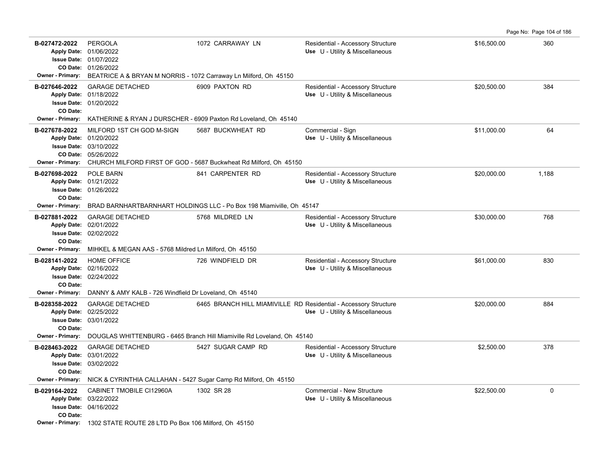| B-027472-2022<br><b>Owner - Primary:</b>                                   | <b>PERGOLA</b><br>Apply Date: 01/06/2022<br><b>Issue Date: 01/07/2022</b><br>CO Date: 01/26/2022<br>BEATRICE A & BRYAN M NORRIS - 1072 Carraway Ln Milford, Oh 45150 | 1072 CARRAWAY LN                                                                                        | Residential - Accessory Structure<br>Use U - Utility & Miscellaneous | \$16,500.00 | 360          |
|----------------------------------------------------------------------------|----------------------------------------------------------------------------------------------------------------------------------------------------------------------|---------------------------------------------------------------------------------------------------------|----------------------------------------------------------------------|-------------|--------------|
| B-027646-2022<br>CO Date:                                                  | <b>GARAGE DETACHED</b><br>Apply Date: 01/18/2022<br><b>Issue Date: 01/20/2022</b>                                                                                    | 6909 PAXTON RD                                                                                          | Residential - Accessory Structure<br>Use U - Utility & Miscellaneous | \$20,500.00 | 384          |
| <b>Owner - Primary:</b>                                                    | KATHERINE & RYAN J DURSCHER - 6909 Paxton Rd Loveland, Oh 45140                                                                                                      |                                                                                                         |                                                                      |             |              |
| B-027678-2022                                                              | MILFORD 1ST CH GOD M-SIGN<br>Apply Date: 01/20/2022<br>Issue Date: 03/10/2022<br>CO Date: 05/26/2022                                                                 | 5687 BUCKWHEAT RD<br>Owner - Primary: CHURCH MILFORD FIRST OF GOD - 5687 Buckwheat Rd Milford, Oh 45150 | Commercial - Sign<br>Use U - Utility & Miscellaneous                 | \$11.000.00 | 64           |
| B-027698-2022<br>CO Date:                                                  | <b>POLE BARN</b><br>Apply Date: 01/21/2022<br><b>Issue Date: 01/26/2022</b>                                                                                          | 841 CARPENTER RD                                                                                        | Residential - Accessory Structure<br>Use U - Utility & Miscellaneous | \$20,000.00 | 1.188        |
| <b>Owner - Primary:</b>                                                    |                                                                                                                                                                      | BRAD BARNHARTBARNHART HOLDINGS LLC - Po Box 198 Miamiville, Oh 45147                                    |                                                                      |             |              |
| B-027881-2022<br><b>Apply Date:</b><br><b>Issue Date:</b><br>CO Date:      | <b>GARAGE DETACHED</b><br>02/01/2022<br>02/02/2022                                                                                                                   | 5768 MILDRED LN                                                                                         | Residential - Accessory Structure<br>Use U - Utility & Miscellaneous | \$30,000.00 | 768          |
|                                                                            | <b>Owner - Primary:</b> MIHKEL & MEGAN AAS - 5768 Mildred Ln Milford, Oh 45150                                                                                       |                                                                                                         |                                                                      |             |              |
| B-028141-2022<br>CO Date:                                                  | <b>HOME OFFICE</b><br>Apply Date: 02/16/2022<br><b>Issue Date: 02/24/2022</b>                                                                                        | 726 WINDFIELD DR                                                                                        | Residential - Accessory Structure<br>Use U - Utility & Miscellaneous | \$61.000.00 | 830          |
| <b>Owner - Primary:</b>                                                    | DANNY & AMY KALB - 726 Windfield Dr Loveland, Oh 45140                                                                                                               |                                                                                                         |                                                                      |             |              |
| B-028358-2022<br>CO Date:                                                  | <b>GARAGE DETACHED</b><br>Apply Date: 02/25/2022<br><b>Issue Date: 03/01/2022</b>                                                                                    | 6465 BRANCH HILL MIAMIVILLE RD Residential - Accessory Structure                                        | Use U - Utility & Miscellaneous                                      | \$20,000.00 | 884          |
| <b>Owner - Primary:</b>                                                    |                                                                                                                                                                      | DOUGLAS WHITTENBURG - 6465 Branch Hill Miamiville Rd Loveland, Oh 45140                                 |                                                                      |             |              |
| B-028463-2022<br><b>Apply Date:</b><br>CO Date:<br><b>Owner - Primary:</b> | <b>GARAGE DETACHED</b><br>03/01/2022<br><b>Issue Date: 03/02/2022</b><br>NICK & CYRINTHIA CALLAHAN - 5427 Sugar Camp Rd Milford, Oh 45150                            | 5427 SUGAR CAMP RD                                                                                      | Residential - Accessory Structure<br>Use U - Utility & Miscellaneous | \$2,500.00  | 378          |
| B-029164-2022<br>CO Date:                                                  | CABINET TMOBILE CI12960A<br>Apply Date: 03/22/2022<br><b>Issue Date: 04/16/2022</b>                                                                                  | 1302 SR 28                                                                                              | Commercial - New Structure<br>Use U - Utility & Miscellaneous        | \$22,500.00 | $\mathbf{0}$ |
|                                                                            | Owner - Primary: 1302 STATE ROUTE 28 LTD Po Box 106 Milford, Oh 45150                                                                                                |                                                                                                         |                                                                      |             |              |

Page No: Page 104 of 186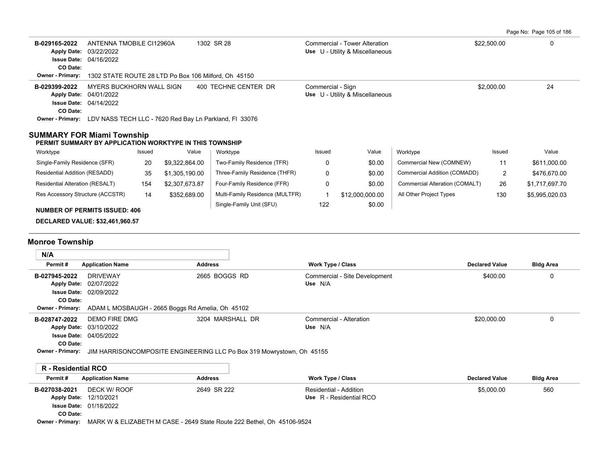| Page No: Page 105 of 186 |  |  |  |  |
|--------------------------|--|--|--|--|
|--------------------------|--|--|--|--|

| B-029165-2022<br><b>Apply Date:</b><br><b>Issue Date: 04/16/2022</b><br>CO Date: | ANTENNA TMOBILE CI12960A<br>03/22/2022                         |        |                                                                         | 1302 SR 28                                                                                |                               | Commercial - Tower Alteration<br>Use U - Utility & Miscellaneous |                                | \$22,500.00           | 0                |
|----------------------------------------------------------------------------------|----------------------------------------------------------------|--------|-------------------------------------------------------------------------|-------------------------------------------------------------------------------------------|-------------------------------|------------------------------------------------------------------|--------------------------------|-----------------------|------------------|
| Owner - Primary:                                                                 |                                                                |        | 1302 STATE ROUTE 28 LTD Po Box 106 Milford, Oh 45150                    |                                                                                           |                               |                                                                  |                                |                       |                  |
| B-029399-2022<br>Apply Date: 04/01/2022<br>CO Date:                              | MYERS BUCKHORN WALL SIGN<br><b>Issue Date: 04/14/2022</b>      |        | Owner - Primary: LDV NASS TECH LLC - 7620 Red Bay Ln Parkland, FI 33076 | 400 TECHNE CENTER DR                                                                      | Commercial - Sign             | Use U - Utility & Miscellaneous                                  |                                | \$2,000.00            | 24               |
| <b>SUMMARY FOR Miami Township</b>                                                |                                                                |        |                                                                         |                                                                                           |                               |                                                                  |                                |                       |                  |
| PERMIT SUMMARY BY APPLICATION WORKTYPE IN THIS TOWNSHIP                          |                                                                |        |                                                                         |                                                                                           |                               |                                                                  |                                |                       |                  |
| Worktype                                                                         |                                                                | Issued | Value                                                                   | Worktype                                                                                  | Issued                        | Value                                                            | Worktype                       | Issued                | Value            |
| Single-Family Residence (SFR)                                                    |                                                                | 20     | \$9,322,864.00                                                          | Two-Family Residence (TFR)                                                                | $\Omega$                      | \$0.00                                                           | Commercial New (COMNEW)        | 11                    | \$611,000.00     |
| Residential Addition (RESADD)                                                    |                                                                | 35     | \$1,305,190.00                                                          | Three-Family Residence (THFR)                                                             | 0                             | \$0.00                                                           | Commercial Addition (COMADD)   | $\overline{2}$        | \$476,670.00     |
| Residential Alteration (RESALT)                                                  |                                                                | 154    | \$2,307,673.87                                                          | Four-Family Residence (FFR)                                                               | 0                             | \$0.00                                                           | Commercial Alteration (COMALT) | 26                    | \$1,717,697.70   |
| Res Accessory Structure (ACCSTR)                                                 |                                                                | 14     | \$352,689.00                                                            | Multi-Family Residence (MULTFR)                                                           | $\mathbf{1}$                  | \$12,000,000.00                                                  | All Other Project Types        | 130                   | \$5,995,020.03   |
| <b>NUMBER OF PERMITS ISSUED: 406</b>                                             |                                                                |        |                                                                         | Single-Family Unit (SFU)                                                                  | 122                           | \$0.00                                                           |                                |                       |                  |
|                                                                                  |                                                                |        |                                                                         |                                                                                           |                               |                                                                  |                                |                       |                  |
| <b>DECLARED VALUE: \$32,461,960.57</b>                                           |                                                                |        |                                                                         |                                                                                           |                               |                                                                  |                                |                       |                  |
| <b>Monroe Township</b>                                                           |                                                                |        |                                                                         |                                                                                           |                               |                                                                  |                                |                       |                  |
| N/A                                                                              |                                                                |        |                                                                         |                                                                                           |                               |                                                                  |                                |                       |                  |
| Permit#                                                                          | <b>Application Name</b>                                        |        | <b>Address</b>                                                          |                                                                                           | Work Type / Class             |                                                                  |                                | <b>Declared Value</b> | <b>Bldg Area</b> |
| B-027945-2022<br><b>Apply Date:</b><br>CO Date:<br>Owner - Primary:              | <b>DRIVEWAY</b><br>02/07/2022<br><b>Issue Date: 02/09/2022</b> |        | ADAM L MOSBAUGH - 2665 Boggs Rd Amelia, Oh 45102                        | 2665 BOGGS RD                                                                             | Use N/A                       | Commercial - Site Development                                    |                                | \$400.00              | 0                |
| B-028747-2022<br>Apply Date: 03/10/2022<br>CO Date:<br>Owner - Primary:          | <b>DEMO FIRE DMG</b><br><b>Issue Date: 04/05/2022</b>          |        |                                                                         | 3204 MARSHALL DR<br>JIM HARRISONCOMPOSITE ENGINEERING LLC Po Box 319 Mowrystown, Oh 45155 | Use N/A                       | Commercial - Alteration                                          |                                | \$20,000.00           | 0                |
| <b>R</b> - Residential RCO                                                       |                                                                |        |                                                                         |                                                                                           |                               |                                                                  |                                |                       |                  |
| Permit#                                                                          | <b>Application Name</b>                                        |        | <b>Address</b>                                                          |                                                                                           | Work Type / Class             |                                                                  |                                | <b>Declared Value</b> | <b>Bldg Area</b> |
| B-027038-2021<br>Apply Date: 12/10/2021<br>CO Date:                              | DECK W/ ROOF<br>Issue Date: 01/18/2022                         |        |                                                                         | 2649 SR 222                                                                               | <b>Residential - Addition</b> | Use R - Residential RCO                                          |                                | \$5,000.00            | 560              |

**Owner - Primary:** MARK W & ELIZABETH M CASE - 2649 State Route 222 Bethel, Oh 45106-9524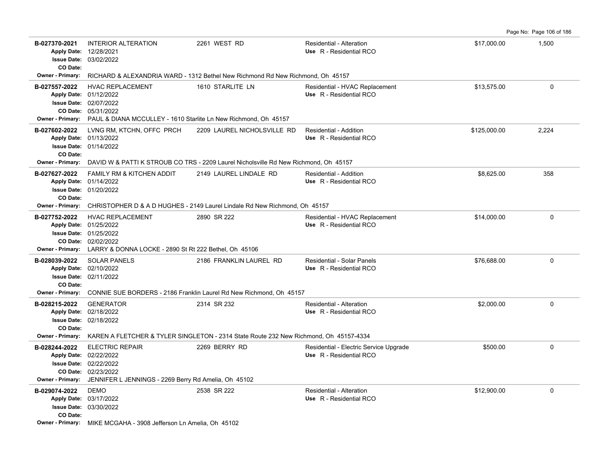**B-027370-2021** \$17,000.00 1,500 INTERIOR ALTERATION 2261 WEST RD Residential - Alteration 03/02/2022 **Issue Date:** Apply Date: 12/28/2021 **Apply Date: Use** R - Residential RCO **CO Date: Owner - Primary:** RICHARD & ALEXANDRIA WARD - 1312 Bethel New Richmond Rd New Richmond, Oh 45157 **B-027557-2022** HVAC REPLACEMENT 1610 STARLITE LN Residential - HVAC Replacement \$13,575.00 \$13,575.00 0 05/31/2022 **CO Date:** 02/07/2022 **Issue Date:** 01/12/2022 **Apply Date: Use** R - Residential RCO **Owner - Primary:** PAUL & DIANA MCCULLEY - 1610 Starlite Ln New Richmond, Oh 45157 **B-027602-2022** LVNG RM. KTCHN. OFFC PRCH 2209 LAUREL NICHOLSVILLE RD Residential - Addition \$125,000.00 \$125,000.00 2.224 01/14/2022 **Issue Date:** 01/13/2022 **Apply Date: Use** R - Residential RCO 2209 LAUREL NICHOLSVILLE RD **CO Date: Owner - Primary:** DAVID W & PATTI K STROUB CO TRS - 2209 Laurel Nicholsville Rd New Richmond, Oh 45157 **B-027627-2022** \$8,625.00 358 FAMILY RM & KITCHEN ADDIT 2149 LAUREL LINDALE RD Residential - Addition 01/20/2022 **Issue Date:** Apply Date: 01/14/2022 **Apply Date: Use** R - Residential RCO **CO Date: Owner - Primary:** CHRISTOPHER D & A D HUGHES - 2149 Laurel Lindale Rd New Richmond, Oh 45157 **B-027752-2022** HVAC REPLACEMENT 2890 SR 222 Residential - HVAC Replacement \$14,000.00 0 0 02/02/2022 **CO Date:** 01/25/2022 **Issue Date:** Apply Date: 01/25/2022 **Apply Date: Use** R - Residential RCO **Owner - Primary:** LARRY & DONNA LOCKE - 2890 St Rt 222 Bethel, Oh 45106 **B-028039-2022** \$76,688.00 0 SOLAR PANELS 2186 FRANKLIN LAUREL RD Residential - Solar Panels 02/11/2022 **Issue Date:** Apply Date: 02/10/2022 **Apply Date: Use** R - Residential RCO **CO Date: Owner - Primary:** CONNIE SUE BORDERS - 2186 Franklin Laurel Rd New Richmond, Oh 45157 **B-028215-2022** \$2,000.00 0 02/18/2022 **Issue Date:** Apply Date: 02/18/2022 GENERATOR 2314 SR 232 Residential - Alteration **Apply Date: Use** R - Residential RCO **CO Date: Owner - Primary:** KAREN A FLETCHER & TYLER SINGLETON - 2314 State Route 232 New Richmond, Oh 45157-4334 **B-028244-2022** ELECTRIC REPAIR 2269 BERRY RD Residential - Electric Service Upgrade \$500.00 \$500.00 02/23/2022 **CO Date:** 02/22/2022 **Issue Date:** Apply Date: 02/22/2022 **Apply Date: Use** R - Residential RCO **Owner - Primary:** JENNIFER L JENNINGS - 2269 Berry Rd Amelia, Oh 45102 **B-029074-2022** DEMO 2538 SR 222 Residential - Alteration \$12,900.00 0 03/30/2022 **Issue Date:** Apply Date: 03/17/2022 DEMO 2538 SR 222 Residential - Alteration **Apply Date: Use** R - Residential RCO **CO Date: Owner - Primary:** MIKE MCGAHA - 3908 Jefferson Ln Amelia, Oh 45102

Page No: Page 106 of 186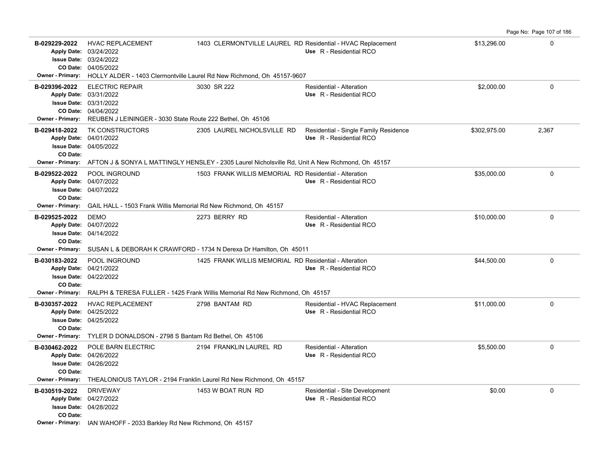|                                                                                                                 |                                                                                                             |                                                                                                                                                        |                                                                  |              | Page No: Page 107 of 186 |
|-----------------------------------------------------------------------------------------------------------------|-------------------------------------------------------------------------------------------------------------|--------------------------------------------------------------------------------------------------------------------------------------------------------|------------------------------------------------------------------|--------------|--------------------------|
| B-029229-2022<br>Apply Date: 03/24/2022<br><b>Issue Date: 03/24/2022</b>                                        | <b>HVAC REPLACEMENT</b><br>CO Date: 04/05/2022                                                              | 1403 CLERMONTVILLE LAUREL RD Residential - HVAC Replacement<br>Owner - Primary: HOLLY ALDER - 1403 Clermontville Laurel Rd New Richmond, Oh 45157-9607 | Use R - Residential RCO                                          | \$13,296.00  | $\mathbf 0$              |
| B-029396-2022<br>Apply Date: 03/31/2022<br><b>Issue Date: 03/31/2022</b><br><b>Owner - Primary:</b>             | <b>ELECTRIC REPAIR</b><br>CO Date: 04/04/2022<br>REUBEN J LEININGER - 3030 State Route 222 Bethel, Oh 45106 | 3030 SR 222                                                                                                                                            | <b>Residential - Alteration</b><br>Use R - Residential RCO       | \$2,000.00   | $\mathbf 0$              |
| B-029418-2022<br>Apply Date: 04/01/2022<br><b>Issue Date: 04/05/2022</b><br>CO Date:<br><b>Owner - Primary:</b> | TK CONSTRUCTORS                                                                                             | 2305 LAUREL NICHOLSVILLE RD<br>AFTON J & SONYA L MATTINGLY HENSLEY - 2305 Laurel Nicholsville Rd, Unit A New Richmond, Oh 45157                        | Residential - Single Family Residence<br>Use R - Residential RCO | \$302,975.00 | 2,367                    |
| B-029522-2022<br>Apply Date: 04/07/2022<br><b>Issue Date: 04/07/2022</b><br>CO Date:<br><b>Owner - Primary:</b> | POOL INGROUND<br>GAIL HALL - 1503 Frank Willis Memorial Rd New Richmond, Oh 45157                           | 1503 FRANK WILLIS MEMORIAL RD Residential - Alteration                                                                                                 | Use R - Residential RCO                                          | \$35,000.00  | $\mathbf 0$              |
| B-029525-2022<br>Apply Date: 04/07/2022<br><b>Issue Date: 04/14/2022</b><br>CO Date:<br><b>Owner - Primary:</b> | <b>DEMO</b>                                                                                                 | 2273 BERRY RD<br>SUSAN L & DEBORAH K CRAWFORD - 1734 N Derexa Dr Hamilton, Oh 45011                                                                    | Residential - Alteration<br>Use R - Residential RCO              | \$10,000.00  | $\Omega$                 |
| B-030183-2022<br>Apply Date: 04/21/2022<br><b>Issue Date: 04/22/2022</b><br>CO Date:<br><b>Owner - Primary:</b> | POOL INGROUND                                                                                               | 1425 FRANK WILLIS MEMORIAL RD Residential - Alteration<br>RALPH & TERESA FULLER - 1425 Frank Willis Memorial Rd New Richmond, Oh 45157                 | Use R - Residential RCO                                          | \$44,500.00  | $\Omega$                 |
| B-030357-2022<br>Apply Date: 04/25/2022<br><b>Issue Date: 04/25/2022</b><br>CO Date:<br><b>Owner - Primary:</b> | <b>HVAC REPLACEMENT</b><br>TYLER D DONALDSON - 2798 S Bantam Rd Bethel, Oh 45106                            | 2798 BANTAM RD                                                                                                                                         | Residential - HVAC Replacement<br>Use R - Residential RCO        | \$11.000.00  | $\Omega$                 |
| B-030462-2022<br>Apply Date: 04/26/2022<br><b>Issue Date: 04/26/2022</b><br>CO Date:<br><b>Owner - Primary:</b> | POLE BARN ELECTRIC                                                                                          | 2194 FRANKLIN LAUREL RD<br>THEALONIOUS TAYLOR - 2194 Franklin Laurel Rd New Richmond, Oh 45157                                                         | <b>Residential - Alteration</b><br>Use R - Residential RCO       | \$5,500.00   | $\Omega$                 |
| B-030519-2022<br>Apply Date: 04/27/2022<br><b>Issue Date: 04/28/2022</b><br>CO Date:                            | <b>DRIVEWAY</b><br><b>Owner - Primary:</b> IAN WAHOFF - 2033 Barkley Rd New Richmond, Oh 45157              | 1453 W BOAT RUN RD                                                                                                                                     | Residential - Site Development<br>Use R - Residential RCO        | \$0.00       | $\Omega$                 |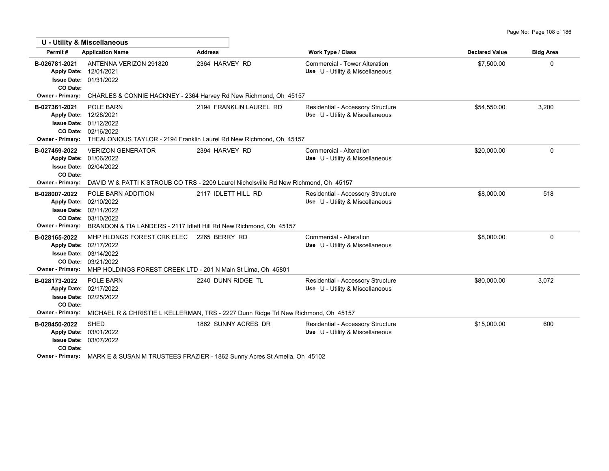|                                                                            | <b>U - Utility &amp; Miscellaneous</b>                                                                                                                                                     |                                                                                                        |                                                                         |                       |                  |
|----------------------------------------------------------------------------|--------------------------------------------------------------------------------------------------------------------------------------------------------------------------------------------|--------------------------------------------------------------------------------------------------------|-------------------------------------------------------------------------|-----------------------|------------------|
| Permit#                                                                    | <b>Application Name</b>                                                                                                                                                                    | <b>Address</b>                                                                                         | <b>Work Type / Class</b>                                                | <b>Declared Value</b> | <b>Bldg Area</b> |
| B-026781-2021<br><b>Issue Date:</b><br>CO Date:<br>Owner - Primary:        | ANTENNA VERIZON 291820<br>Apply Date: 12/01/2021<br>01/31/2022                                                                                                                             | 2364 HARVEY RD<br>CHARLES & CONNIE HACKNEY - 2364 Harvey Rd New Richmond, Oh 45157                     | <b>Commercial - Tower Alteration</b><br>Use U - Utility & Miscellaneous | \$7.500.00            | 0                |
|                                                                            |                                                                                                                                                                                            |                                                                                                        |                                                                         |                       |                  |
| B-027361-2021                                                              | POLE BARN<br>Apply Date: 12/28/2021<br><b>Issue Date: 01/12/2022</b><br>CO Date: 02/16/2022<br>Owner - Primary: THEALONIOUS TAYLOR - 2194 Franklin Laurel Rd New Richmond, Oh 45157        | 2194 FRANKLIN LAUREL RD                                                                                | Residential - Accessory Structure<br>Use U - Utility & Miscellaneous    | \$54,550.00           | 3,200            |
| B-027459-2022<br><b>Issue Date:</b><br>CO Date:<br><b>Owner - Primary:</b> | <b>VERIZON GENERATOR</b><br>Apply Date: 01/06/2022<br>02/04/2022                                                                                                                           | 2394 HARVEY RD<br>DAVID W & PATTI K STROUB CO TRS - 2209 Laurel Nicholsville Rd New Richmond, Oh 45157 | Commercial - Alteration<br>Use U - Utility & Miscellaneous              | \$20,000.00           | $\mathbf{0}$     |
| B-028007-2022                                                              | POLE BARN ADDITION                                                                                                                                                                         | 2117 IDLETT HILL RD                                                                                    | Residential - Accessory Structure                                       | \$8,000.00            | 518              |
| <b>Apply Date:</b><br><b>Issue Date:</b><br>Owner - Primary:               | 02/10/2022<br>02/11/2022<br>CO Date: 03/10/2022<br>BRANDON & TIA LANDERS - 2117 Idlett Hill Rd New Richmond, Oh 45157                                                                      |                                                                                                        | Use U - Utility & Miscellaneous                                         |                       |                  |
| B-028165-2022<br><b>Owner - Primary:</b>                                   | MHP HLDNGS FOREST CRK ELEC 2265 BERRY RD<br>Apply Date: 02/17/2022<br><b>Issue Date: 03/14/2022</b><br>CO Date: 03/21/2022<br>MHP HOLDINGS FOREST CREEK LTD - 201 N Main St Lima, Oh 45801 |                                                                                                        | Commercial - Alteration<br>Use U - Utility & Miscellaneous              | \$8,000.00            | $\Omega$         |
| B-028173-2022<br><b>Apply Date:</b><br>CO Date:                            | <b>POLE BARN</b><br>02/17/2022<br><b>Issue Date: 02/25/2022</b>                                                                                                                            | 2240 DUNN RIDGE TL                                                                                     | Residential - Accessory Structure<br>Use U - Utility & Miscellaneous    | \$80,000.00           | 3,072            |
| <b>Owner - Primary:</b>                                                    |                                                                                                                                                                                            | MICHAEL R & CHRISTIE L KELLERMAN, TRS - 2227 Dunn Ridge Trl New Richmond, Oh 45157                     |                                                                         |                       |                  |
| B-028450-2022<br><b>Apply Date:</b><br><b>Issue Date:</b><br>CO Date:      | <b>SHED</b><br>03/01/2022<br>03/07/2022                                                                                                                                                    | 1862 SUNNY ACRES DR                                                                                    | Residential - Accessory Structure<br>Use U - Utility & Miscellaneous    | \$15,000.00           | 600              |
|                                                                            |                                                                                                                                                                                            |                                                                                                        |                                                                         |                       |                  |

**Owner - Primary:** MARK E & SUSAN M TRUSTEES FRAZIER - 1862 Sunny Acres St Amelia, Oh 45102

F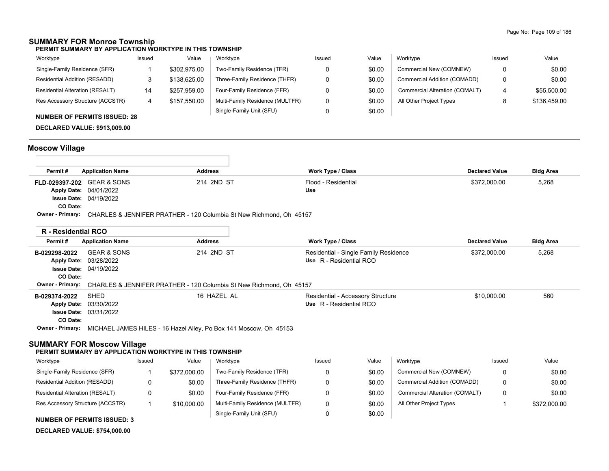### **SUMMARY FOR Monroe Township**

**PERMIT SUMMARY BY APPLICATION WORKTYPE IN THIS TOWNSHIP**

| Worktype                         | Issued | Value        | Worktype                        | Issued | Value  | Worktype                       | Issued | Value        |
|----------------------------------|--------|--------------|---------------------------------|--------|--------|--------------------------------|--------|--------------|
| Single-Family Residence (SFR)    |        | \$302.975.00 | Two-Family Residence (TFR)      |        | \$0.00 | Commercial New (COMNEW)        | 0      | \$0.00       |
| Residential Addition (RESADD)    |        | \$138,625.00 | Three-Family Residence (THFR)   |        | \$0.00 | Commercial Addition (COMADD)   | 0      | \$0.00       |
| Residential Alteration (RESALT)  | 14     | \$257,959.00 | Four-Family Residence (FFR)     |        | \$0.00 | Commercial Alteration (COMALT) | 4      | \$55,500.00  |
| Res Accessory Structure (ACCSTR) | 4      | \$157.550.00 | Multi-Family Residence (MULTFR) |        | \$0.00 | All Other Project Types        |        | \$136,459.00 |
|                                  |        |              | Single-Family Unit (SFU)        |        | \$0.00 |                                |        |              |

#### **NUMBER OF PERMITS ISSUED: 28**

**DECLARED VALUE: \$913,009.00**

## **Moscow Village**

| Permit#                           | <b>Application Name</b>                                             | <b>Address</b> | Work Type / Class   | <b>Declared Value</b> | <b>Bldg Area</b> |
|-----------------------------------|---------------------------------------------------------------------|----------------|---------------------|-----------------------|------------------|
| <b>FLD-029397-202</b> GEAR & SONS |                                                                     | 214 2ND ST     | Flood - Residential | \$372.000.00          | 5,268            |
|                                   | <b>Apply Date: 04/01/2022</b>                                       |                | Use                 |                       |                  |
|                                   | <b>Issue Date: 04/19/2022</b>                                       |                |                     |                       |                  |
| CO Date:                          |                                                                     |                |                     |                       |                  |
| Owner - Primary:                  | CHARLES & JENNIFER PRATHER - 120 Columbia St New Richmond, Oh 45157 |                |                     |                       |                  |

|                           | <b>R</b> - Residential RCO                                                                |                |                                                                  |                       |                  |
|---------------------------|-------------------------------------------------------------------------------------------|----------------|------------------------------------------------------------------|-----------------------|------------------|
| Permit#                   | <b>Application Name</b>                                                                   | <b>Address</b> | <b>Work Type / Class</b>                                         | <b>Declared Value</b> | <b>Bldg Area</b> |
| B-029298-2022<br>CO Date: | <b>GEAR &amp; SONS</b><br>Apply Date: 03/28/2022<br><b>Issue Date: 04/19/2022</b>         | 214 2ND ST     | Residential - Single Family Residence<br>Use R - Residential RCO | \$372,000.00          | 5,268            |
|                           | Owner - Primary: CHARLES & JENNIFER PRATHER - 120 Columbia St New Richmond, Oh 45157      |                |                                                                  |                       |                  |
| B-029374-2022             | SHED<br>Apply Date: 03/30/2022<br><b>Issue Date: 03/31/2022</b>                           | 16 HAZEL AL    | Residential - Accessory Structure<br>Use R - Residential RCO     | \$10,000.00           | 560              |
| CO Date:                  | <b>Owner - Primary:</b> MICHAEL JAMES HILES - 16 Hazel Alley, Po Box 141 Moscow, Oh 45153 |                |                                                                  |                       |                  |

#### **SUMMARY FOR Moscow Village**

#### **PERMIT SUMMARY BY APPLICATION WORKTYPE IN THIS TOWNSHIP**

| Worktype                               | Issued | Value        | Worktype                        | Issued | Value  | Worktype                       | Issued | Value        |
|----------------------------------------|--------|--------------|---------------------------------|--------|--------|--------------------------------|--------|--------------|
| Single-Family Residence (SFR)          |        | \$372,000.00 | Two-Family Residence (TFR)      |        | \$0.00 | Commercial New (COMNEW)        | 0      | \$0.00       |
| Residential Addition (RESADD)          |        | \$0.00       | Three-Family Residence (THFR)   |        | \$0.00 | Commercial Addition (COMADD)   | 0      | \$0.00       |
| <b>Residential Alteration (RESALT)</b> |        | \$0.00       | Four-Family Residence (FFR)     |        | \$0.00 | Commercial Alteration (COMALT) | 0      | \$0.00       |
| Res Accessory Structure (ACCSTR)       |        | \$10,000.00  | Multi-Family Residence (MULTFR) |        | \$0.00 | All Other Project Types        |        | \$372,000.00 |
|                                        |        |              | Single-Family Unit (SFU)        |        | \$0.00 |                                |        |              |

#### **NUMBER OF PERMITS ISSUED: 3**

```
DECLARED VALUE: $754,000.00
```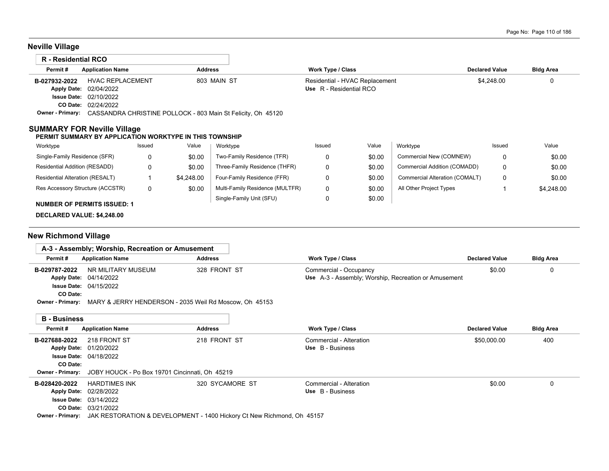# **Neville Village**

| R - Residential RCO |                                                                               |                |                                                           |                       |                  |
|---------------------|-------------------------------------------------------------------------------|----------------|-----------------------------------------------------------|-----------------------|------------------|
| Permit#             | <b>Application Name</b>                                                       | <b>Address</b> | <b>Work Type / Class</b>                                  | <b>Declared Value</b> | <b>Bldg Area</b> |
| B-027932-2022       | <b>HVAC REPLACEMENT</b><br><b>Apply Date: 02/04/2022</b>                      | 803 MAIN ST    | Residential - HVAC Replacement<br>Use R - Residential RCO | \$4,248.00            |                  |
|                     | <b>Issue Date: 02/10/2022</b>                                                 |                |                                                           |                       |                  |
|                     | <b>CO Date: 02/24/2022</b>                                                    |                |                                                           |                       |                  |
|                     | Owner - Primary: CASSANDRA CHRISTINE POLLOCK - 803 Main St Felicity, Oh 45120 |                |                                                           |                       |                  |

#### **SUMMARY FOR Neville Village**

#### **PERMIT SUMMARY BY APPLICATION WORKTYPE IN THIS TOWNSHIP**

| Worktype                           | Issued | Value      | Worktype                        | Issued | Value  | Worktype                       | Issued | Value      |
|------------------------------------|--------|------------|---------------------------------|--------|--------|--------------------------------|--------|------------|
| Single-Family Residence (SFR)      |        | \$0.00     | Two-Family Residence (TFR)      |        | \$0.00 | Commercial New (COMNEW)        |        | \$0.00     |
| Residential Addition (RESADD)      |        | \$0.00     | Three-Family Residence (THFR)   | 0      | \$0.00 | Commercial Addition (COMADD)   |        | \$0.00     |
| Residential Alteration (RESALT)    |        | \$4,248.00 | Four-Family Residence (FFR)     |        | \$0.00 | Commercial Alteration (COMALT) |        | \$0.00     |
| Res Accessory Structure (ACCSTR)   | O      | \$0.00     | Multi-Family Residence (MULTFR) | 0      | \$0.00 | All Other Project Types        |        | \$4,248.00 |
| <b>NUMBER OF PERMITS ISSUED: 1</b> |        |            | Single-Family Unit (SFU)        |        | \$0.00 |                                |        |            |
|                                    |        |            |                                 |        |        |                                |        |            |

#### **DECLARED VALUE: \$4,248.00**

## **New Richmond Village**

|                         | A-3 - Assembly: Worship. Recreation or Amusement                                                                                                                                                                                                                                                                                                                                                                                                       |                 |                                                      |                       |                  |
|-------------------------|--------------------------------------------------------------------------------------------------------------------------------------------------------------------------------------------------------------------------------------------------------------------------------------------------------------------------------------------------------------------------------------------------------------------------------------------------------|-----------------|------------------------------------------------------|-----------------------|------------------|
| Permit#                 | <b>Application Name</b>                                                                                                                                                                                                                                                                                                                                                                                                                                | <b>Address</b>  | <b>Work Type / Class</b>                             | <b>Declared Value</b> | <b>Bldg Area</b> |
| B-029787-2022           | NR MILITARY MUSEUM                                                                                                                                                                                                                                                                                                                                                                                                                                     | 328 FRONT ST    | Commercial - Occupancy                               | \$0.00                | 0                |
| <b>Apply Date:</b>      | 04/14/2022                                                                                                                                                                                                                                                                                                                                                                                                                                             |                 | Use A-3 - Assembly; Worship, Recreation or Amusement |                       |                  |
|                         | <b>Issue Date: 04/15/2022</b>                                                                                                                                                                                                                                                                                                                                                                                                                          |                 |                                                      |                       |                  |
| CO Date:                |                                                                                                                                                                                                                                                                                                                                                                                                                                                        |                 |                                                      |                       |                  |
|                         | <b>Owner - Primary:</b> MARY & JERRY HENDERSON - 2035 Weil Rd Moscow, Oh 45153                                                                                                                                                                                                                                                                                                                                                                         |                 |                                                      |                       |                  |
|                         |                                                                                                                                                                                                                                                                                                                                                                                                                                                        |                 |                                                      |                       |                  |
| <b>B</b> - Business     |                                                                                                                                                                                                                                                                                                                                                                                                                                                        |                 |                                                      |                       |                  |
| Permit#                 | <b>Application Name</b>                                                                                                                                                                                                                                                                                                                                                                                                                                | <b>Address</b>  | <b>Work Type / Class</b>                             | <b>Declared Value</b> | <b>Bldg Area</b> |
| B-027688-2022           | 218 FRONT ST                                                                                                                                                                                                                                                                                                                                                                                                                                           | 218 FRONT ST    | Commercial - Alteration                              | \$50,000.00           | 400              |
| <b>Apply Date:</b>      | 01/20/2022                                                                                                                                                                                                                                                                                                                                                                                                                                             |                 | Use B - Business                                     |                       |                  |
| <b>Issue Date:</b>      | 04/18/2022                                                                                                                                                                                                                                                                                                                                                                                                                                             |                 |                                                      |                       |                  |
| CO Date:                |                                                                                                                                                                                                                                                                                                                                                                                                                                                        |                 |                                                      |                       |                  |
| <b>Owner - Primary:</b> | JOBY HOUCK - Po Box 19701 Cincinnati, Oh 45219                                                                                                                                                                                                                                                                                                                                                                                                         |                 |                                                      |                       |                  |
| B-028420-2022           | <b>HARDTIMES INK</b>                                                                                                                                                                                                                                                                                                                                                                                                                                   | 320 SYCAMORE ST | Commercial - Alteration                              | \$0.00                | 0                |
|                         | Apply Date: 02/28/2022                                                                                                                                                                                                                                                                                                                                                                                                                                 |                 | Use B - Business                                     |                       |                  |
| <b>Issue Date:</b>      | 03/14/2022                                                                                                                                                                                                                                                                                                                                                                                                                                             |                 |                                                      |                       |                  |
| <b>CO Date:</b>         | 03/21/2022                                                                                                                                                                                                                                                                                                                                                                                                                                             |                 |                                                      |                       |                  |
|                         | $Q_{\text{unnew}}$ , $P_{\text{unnew}}$ , $\begin{bmatrix} 1 \\ 0 \end{bmatrix}$ $\begin{bmatrix} P \cap (T \cap A) \cap (B \cap T) \cap (T \cap A) \cap (B \cap T) \cap (T \cap B) \cap (B \cap A) \cap (B \cap A) \cap (B \cap A) \cap (B \cap A) \cap (B \cap A) \cap (B \cap A) \cap (B \cap A) \cap (B \cap A) \cap (B \cap A) \cap (B \cap A) \cap (B \cap A) \cap (B \cap A) \cap (B \cap A) \cap (B \cap A) \cap (B \cap A) \cap (B \cap A) \$ |                 |                                                      |                       |                  |

**Owner - Primary:** JAK RESTORATION & DEVELOPMENT - 1400 Hickory Ct New Richmond, Oh 45157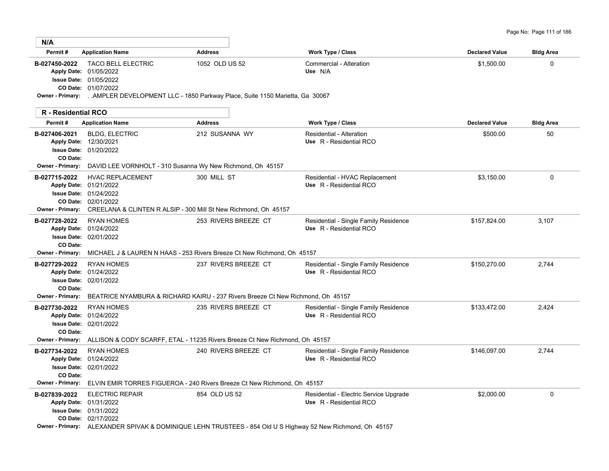| N/A                                                  |                                                                                                                                                                                                                         |                                                                                                                                                                                        |                                                                   |                       |                  |
|------------------------------------------------------|-------------------------------------------------------------------------------------------------------------------------------------------------------------------------------------------------------------------------|----------------------------------------------------------------------------------------------------------------------------------------------------------------------------------------|-------------------------------------------------------------------|-----------------------|------------------|
| Permit#                                              | <b>Application Name</b>                                                                                                                                                                                                 | <b>Address</b>                                                                                                                                                                         | Work Type / Class                                                 | <b>Declared Value</b> | <b>Bldg Area</b> |
| B-027450-2022                                        | <b>TACO BELL ELECTRIC</b><br>Apply Date: 01/05/2022<br><b>Issue Date: 01/05/2022</b><br>CO Date: 01/07/2022<br>Owner - Primary: AMPLER DEVELOPMENT LLC - 1850 Parkway Place, Suite 1150 Marietta, Ga 30067              | 1052 OLD US 52                                                                                                                                                                         | Commercial - Alteration<br>Use N/A                                | \$1,500.00            | $\mathbf 0$      |
| R - Residential RCO                                  |                                                                                                                                                                                                                         |                                                                                                                                                                                        |                                                                   |                       |                  |
| Permit#                                              | <b>Application Name</b>                                                                                                                                                                                                 | <b>Address</b>                                                                                                                                                                         | Work Type / Class                                                 | <b>Declared Value</b> | <b>Bldg Area</b> |
| B-027406-2021<br>CO Date:                            | <b>BLDG, ELECTRIC</b><br>Apply Date: 12/30/2021<br><b>Issue Date: 01/20/2022</b>                                                                                                                                        | 212 SUSANNA WY                                                                                                                                                                         | Residential - Alteration<br>Use R - Residential RCO               | \$500.00              | 50               |
| <b>Owner - Primary:</b>                              | DAVID LEE VORNHOLT - 310 Susanna Wy New Richmond, Oh 45157                                                                                                                                                              |                                                                                                                                                                                        |                                                                   |                       |                  |
| B-027715-2022<br><b>Owner - Primary:</b>             | <b>HVAC REPLACEMENT</b><br>Apply Date: 01/21/2022<br><b>Issue Date: 01/24/2022</b><br>CO Date: 02/01/2022<br>CREELANA & CLINTEN R ALSIP - 300 Mill St New Richmond, Oh 45157                                            | 300 MILL ST                                                                                                                                                                            | Residential - HVAC Replacement<br>Use R - Residential RCO         | \$3.150.00            | $\Omega$         |
| B-027728-2022<br>CO Date:<br><b>Owner - Primary:</b> | <b>RYAN HOMES</b><br>Apply Date: 01/24/2022<br><b>Issue Date: 02/01/2022</b>                                                                                                                                            | 253 RIVERS BREEZE CT<br>MICHAEL J & LAUREN N HAAS - 253 Rivers Breeze Ct New Richmond, Oh 45157                                                                                        | Residential - Single Family Residence<br>Use R - Residential RCO  | \$157,824.00          | 3,107            |
| B-027729-2022<br>CO Date:<br><b>Owner - Primary:</b> | <b>RYAN HOMES</b><br>Apply Date: 01/24/2022<br><b>Issue Date: 02/01/2022</b>                                                                                                                                            | 237 RIVERS BREEZE CT                                                                                                                                                                   | Residential - Single Family Residence<br>Use R - Residential RCO  | \$150,270.00          | 2,744            |
| B-027730-2022<br>CO Date:<br><b>Owner - Primary:</b> | <b>RYAN HOMES</b><br>Apply Date: 01/24/2022<br><b>Issue Date: 02/01/2022</b>                                                                                                                                            | BEATRICE NYAMBURA & RICHARD KAIRU - 237 Rivers Breeze Ct New Richmond, Oh 45157<br>235 RIVERS BREEZE CT<br>ALLISON & CODY SCARFF, ETAL - 11235 Rivers Breeze Ct New Richmond, Oh 45157 | Residential - Single Family Residence<br>Use R - Residential RCO  | \$133,472.00          | 2,424            |
| B-027734-2022<br>CO Date:<br><b>Owner - Primary:</b> | <b>RYAN HOMES</b><br>Apply Date: 01/24/2022<br><b>Issue Date: 02/01/2022</b>                                                                                                                                            | 240 RIVERS BREEZE CT<br>ELVIN EMIR TORRES FIGUEROA - 240 Rivers Breeze Ct New Richmond, Oh 45157                                                                                       | Residential - Single Family Residence<br>Use R - Residential RCO  | \$146,097.00          | 2,744            |
| B-027839-2022                                        | <b>ELECTRIC REPAIR</b><br>Apply Date: 01/31/2022<br><b>Issue Date: 01/31/2022</b><br>CO Date: 02/17/2022<br>Owner - Primary: ALEXANDER SPIVAK & DOMINIQUE LEHN TRUSTEES - 854 Old U S Highway 52 New Richmond, Oh 45157 | 854 OLD US 52                                                                                                                                                                          | Residential - Electric Service Upgrade<br>Use R - Residential RCO | \$2,000.00            | $\mathbf 0$      |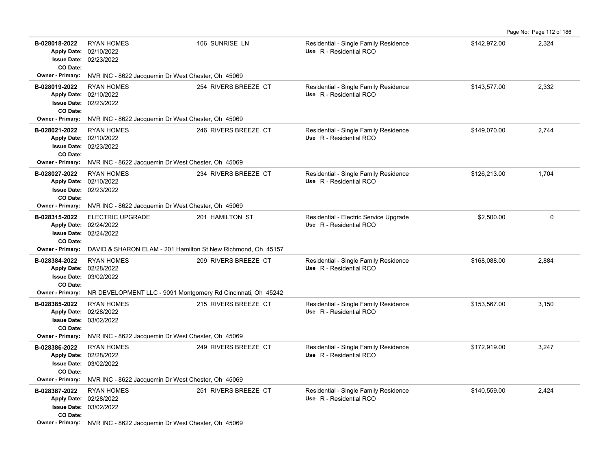| B-028018-2022<br><b>Apply Date:</b><br>CO Date:                       | <b>RYAN HOMES</b><br>02/10/2022<br><b>Issue Date: 02/23/2022</b>             | 106 SUNRISE LN       | Residential - Single Family Residence<br>Use R - Residential RCO  | \$142,972.00 | 2,324    |
|-----------------------------------------------------------------------|------------------------------------------------------------------------------|----------------------|-------------------------------------------------------------------|--------------|----------|
| <b>Owner - Primary:</b>                                               | NVR INC - 8622 Jacquemin Dr West Chester, Oh 45069                           |                      |                                                                   |              |          |
| B-028019-2022<br><b>Apply Date:</b><br><b>Issue Date:</b><br>CO Date: | <b>RYAN HOMES</b><br>02/10/2022<br>02/23/2022                                | 254 RIVERS BREEZE CT | Residential - Single Family Residence<br>Use R - Residential RCO  | \$143,577.00 | 2,332    |
| <b>Owner - Primary:</b>                                               | NVR INC - 8622 Jacquemin Dr West Chester, Oh 45069                           |                      |                                                                   |              |          |
| B-028021-2022<br>CO Date:                                             | <b>RYAN HOMES</b><br>Apply Date: 02/10/2022<br><b>Issue Date: 02/23/2022</b> | 246 RIVERS BREEZE CT | Residential - Single Family Residence<br>Use R - Residential RCO  | \$149,070.00 | 2.744    |
| <b>Owner - Primary:</b>                                               | NVR INC - 8622 Jacquemin Dr West Chester, Oh 45069                           |                      |                                                                   |              |          |
| B-028027-2022<br>CO Date:                                             | <b>RYAN HOMES</b><br>Apply Date: 02/10/2022<br><b>Issue Date: 02/23/2022</b> | 234 RIVERS BREEZE CT | Residential - Single Family Residence<br>Use R - Residential RCO  | \$126,213.00 | 1,704    |
| Owner - Primary:                                                      | NVR INC - 8622 Jacquemin Dr West Chester, Oh 45069                           |                      |                                                                   |              |          |
| B-028315-2022<br><b>Apply Date:</b><br>CO Date:                       | <b>ELECTRIC UPGRADE</b><br>02/24/2022<br><b>Issue Date: 02/24/2022</b>       | 201 HAMILTON ST      | Residential - Electric Service Upgrade<br>Use R - Residential RCO | \$2,500.00   | $\Omega$ |
| <b>Owner - Primary:</b>                                               | DAVID & SHARON ELAM - 201 Hamilton St New Richmond, Oh 45157                 |                      |                                                                   |              |          |
| B-028384-2022<br>CO Date:                                             | <b>RYAN HOMES</b><br>Apply Date: 02/28/2022<br><b>Issue Date: 03/02/2022</b> | 209 RIVERS BREEZE CT | Residential - Single Family Residence<br>Use R - Residential RCO  | \$168,088.00 | 2,884    |
| <b>Owner - Primary:</b>                                               | NR DEVELOPMENT LLC - 9091 Montgomery Rd Cincinnati, Oh 45242                 |                      |                                                                   |              |          |
| B-028385-2022<br><b>Apply Date:</b><br>CO Date:                       | <b>RYAN HOMES</b><br>02/28/2022<br><b>Issue Date: 03/02/2022</b>             | 215 RIVERS BREEZE CT | Residential - Single Family Residence<br>Use R - Residential RCO  | \$153,567.00 | 3,150    |
| <b>Owner - Primary:</b>                                               | NVR INC - 8622 Jacquemin Dr West Chester, Oh 45069                           |                      |                                                                   |              |          |
| B-028386-2022<br><b>Issue Date:</b><br>CO Date:                       | <b>RYAN HOMES</b><br>Apply Date: 02/28/2022<br>03/02/2022                    | 249 RIVERS BREEZE CT | Residential - Single Family Residence<br>Use R - Residential RCO  | \$172,919.00 | 3,247    |
| <b>Owner - Primary:</b>                                               | NVR INC - 8622 Jacquemin Dr West Chester, Oh 45069                           |                      |                                                                   |              |          |
| B-028387-2022<br>CO Date:                                             | <b>RYAN HOMES</b><br>Apply Date: 02/28/2022<br><b>Issue Date: 03/02/2022</b> | 251 RIVERS BREEZE CT | Residential - Single Family Residence<br>Use R - Residential RCO  | \$140,559.00 | 2,424    |
|                                                                       | Owner - Primary: NVR INC - 8622 Jacquemin Dr West Chester, Oh 45069          |                      |                                                                   |              |          |

Page No: Page 112 of 186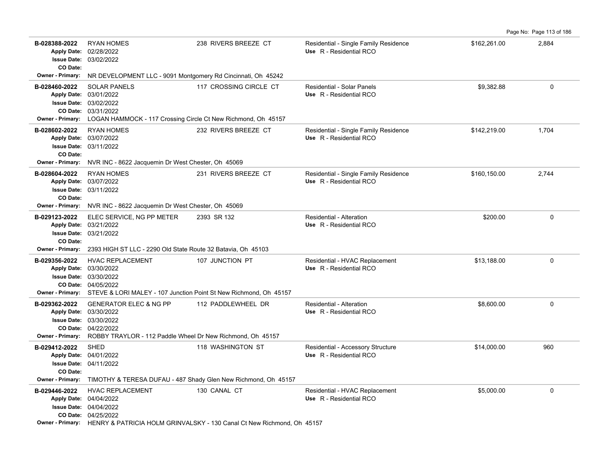|                                                                                                  |                                                                                                                                                                                                        |                                                                                                               |                                                                  |              | Page No: Page 113 of 186 |
|--------------------------------------------------------------------------------------------------|--------------------------------------------------------------------------------------------------------------------------------------------------------------------------------------------------------|---------------------------------------------------------------------------------------------------------------|------------------------------------------------------------------|--------------|--------------------------|
| B-028388-2022<br><b>Issue Date:</b><br>CO Date:                                                  | <b>RYAN HOMES</b><br>Apply Date: 02/28/2022<br>03/02/2022                                                                                                                                              | 238 RIVERS BREEZE CT                                                                                          | Residential - Single Family Residence<br>Use R - Residential RCO | \$162,261.00 | 2,884                    |
| Owner - Primary:                                                                                 | NR DEVELOPMENT LLC - 9091 Montgomery Rd Cincinnati, Oh 45242                                                                                                                                           |                                                                                                               |                                                                  |              |                          |
| B-028460-2022<br>CO Date:<br><b>Owner - Primary:</b>                                             | <b>SOLAR PANELS</b><br>Apply Date: 03/01/2022<br>Issue Date: 03/02/2022<br>03/31/2022<br>LOGAN HAMMOCK - 117 Crossing Circle Ct New Richmond, Oh 45157                                                 | 117 CROSSING CIRCLE CT                                                                                        | Residential - Solar Panels<br>Use R - Residential RCO            | \$9,382.88   | 0                        |
| B-028602-2022<br><b>Apply Date:</b><br>CO Date:<br><b>Owner - Primary:</b>                       | <b>RYAN HOMES</b><br>03/07/2022<br><b>Issue Date: 03/11/2022</b><br>NVR INC - 8622 Jacquemin Dr West Chester, Oh 45069                                                                                 | 232 RIVERS BREEZE CT                                                                                          | Residential - Single Family Residence<br>Use R - Residential RCO | \$142,219.00 | 1,704                    |
| B-028604-2022<br><b>Apply Date:</b><br><b>Issue Date:</b><br>CO Date:<br><b>Owner - Primary:</b> | <b>RYAN HOMES</b><br>03/07/2022<br>03/11/2022<br>NVR INC - 8622 Jacquemin Dr West Chester, Oh 45069                                                                                                    | 231 RIVERS BREEZE CT                                                                                          | Residential - Single Family Residence<br>Use R - Residential RCO | \$160,150.00 | 2,744                    |
| B-029123-2022<br>CO Date:                                                                        | ELEC SERVICE, NG PP METER<br>Apply Date: 03/21/2022<br><b>Issue Date: 03/21/2022</b>                                                                                                                   | 2393 SR 132                                                                                                   | Residential - Alteration<br>Use R - Residential RCO              | \$200.00     | 0                        |
| <b>Owner - Primary:</b>                                                                          | 2393 HIGH ST LLC - 2290 Old State Route 32 Batavia, Oh 45103                                                                                                                                           |                                                                                                               |                                                                  |              |                          |
| B-029356-2022                                                                                    | <b>HVAC REPLACEMENT</b><br>Apply Date: 03/30/2022<br><b>Issue Date: 03/30/2022</b><br>CO Date: 04/05/2022<br><b>Owner - Primary:</b> STEVE & LORI MALEY - 107 Junction Point St New Richmond, Oh 45157 | 107 JUNCTION PT                                                                                               | Residential - HVAC Replacement<br>Use R - Residential RCO        | \$13,188.00  | 0                        |
| B-029362-2022<br><b>Owner - Primary:</b>                                                         | <b>GENERATOR ELEC &amp; NG PP</b><br>Apply Date: 03/30/2022<br><b>Issue Date: 03/30/2022</b><br>CO Date: 04/22/2022<br>ROBBY TRAYLOR - 112 Paddle Wheel Dr New Richmond, Oh 45157                      | 112 PADDLEWHEEL DR                                                                                            | Residential - Alteration<br>Use R - Residential RCO              | \$8,600.00   | 0                        |
| B-029412-2022<br>CO Date:<br><b>Owner - Primary:</b>                                             | <b>SHED</b><br>Apply Date: 04/01/2022<br><b>Issue Date: 04/11/2022</b><br>TIMOTHY & TERESA DUFAU - 487 Shady Glen New Richmond, Oh 45157                                                               | 118 WASHINGTON ST                                                                                             | Residential - Accessory Structure<br>Use R - Residential RCO     | \$14,000.00  | 960                      |
| B-029446-2022                                                                                    | <b>HVAC REPLACEMENT</b><br>Apply Date: 04/04/2022<br><b>Issue Date: 04/04/2022</b><br>CO Date: 04/25/2022                                                                                              | 130 CANAL CT<br><b>Owner - Primary:</b> HENRY & PATRICIA HOLM GRINVALSKY - 130 Canal Ct New Richmond Ob 45157 | Residential - HVAC Replacement<br>Use R - Residential RCO        | \$5,000.00   | $\Omega$                 |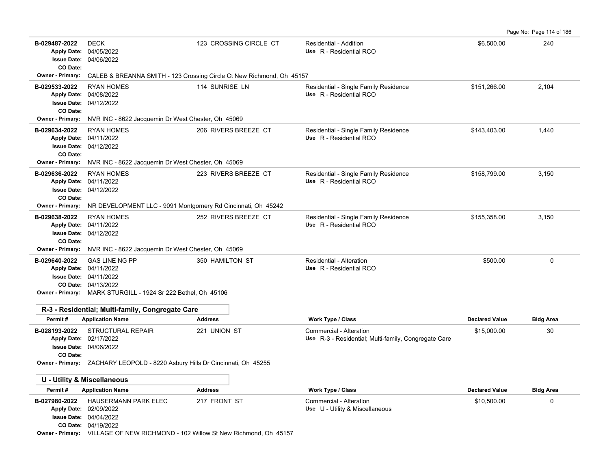**B-029487-2022** \$6,500.00 240 DECK 123 CROSSING CIRCLE CT Residential - Addition 04/06/2022 **Issue Date:** Apply Date: 04/05/2022 **Apply Date: Use** R - Residential RCO **CO Date: Owner - Primary:** CALEB & BREANNA SMITH - 123 Crossing Circle Ct New Richmond, Oh 45157 B-029533-2022 RYAN HOMES 114 SUNRISE LN Residential - Single Family Residence \$151,266.00 2,104 04/12/2022 **Issue Date:** 04/08/2022 **Apply Date: Use** R - Residential RCO **CO Date: Owner - Primary:** NVR INC - 8622 Jacquemin Dr West Chester, Oh 45069 B-029634-2022 RYAN HOMES 206 RIVERS BREEZE CT Residential - Single Family Residence \$143,403.00 1,440 04/12/2022 **Issue Date:** 04/11/2022 **Apply Date: Use** R - Residential RCO **CO Date: Owner - Primary:** NVR INC - 8622 Jacquemin Dr West Chester, Oh 45069 B-029636-2022 RYAN HOMES 223 RIVERS BREEZE CT Residential - Single Family Residence \$158,799.00 3,150 04/12/2022 **Issue Date:** Apply Date: 04/11/2022 **Apply Date: Use** R - Residential RCO **CO Date: Owner - Primary:** NR DEVELOPMENT LLC - 9091 Montgomery Rd Cincinnati, Oh 45242 B-029638-2022 RYAN HOMES 252 RIVERS BREEZE CT Residential - Single Family Residence \$155,358.00 3,150 04/12/2022 **Issue Date:** Apply Date: 04/11/2022 **Apply Date: Use** R - Residential RCO **CO Date: Owner - Primary:** NVR INC - 8622 Jacquemin Dr West Chester, Oh 45069 **B-029640-2022** \$500.00 0 04/13/2022 **CO Date:** 04/11/2022 **Issue Date:** Apply Date: 04/11/2022 GAS LINE NG PP 350 HAMILTON ST Residential - Alteration **Apply Date: Use** R - Residential RCO **Owner - Primary:** MARK STURGILL - 1924 Sr 222 Bethel, Oh 45106 **R-3 - Residential; Multi-family, Congregate Care Permit # Application Name Address Work Type / Class Declared Value Bldg Area B-028193-2022** \$15,000.00 30 04/06/2022 **Issue Date:** Apply Date: 02/17/2022 STRUCTURAL REPAIR 221 UNION ST Commercial - Alteration Use R-3 - Residential; Multi-family, Congregate Care **CO Date: Owner - Primary:** ZACHARY LEOPOLD - 8220 Asbury Hills Dr Cincinnati, Oh 45255 **U - Utility & Miscellaneous Permit # Application Name Address Work Type / Class Declared Value Bldg Area B-027980-2022** HAUSERMANN PARK ELEC 217 FRONT ST Commercial - Alteration 31 Commercial - Alteration 310,500.00 04/19/2022 **CO Date:** 04/04/2022 **Issue Date:** Apply Date: 02/09/2022 **Apply Date: Use** U - Utility & Miscellaneous **Owner - Primary:** VILLAGE OF NEW RICHMOND - 102 Willow St New Richmond, Oh 45157

Page No: Page 114 of 186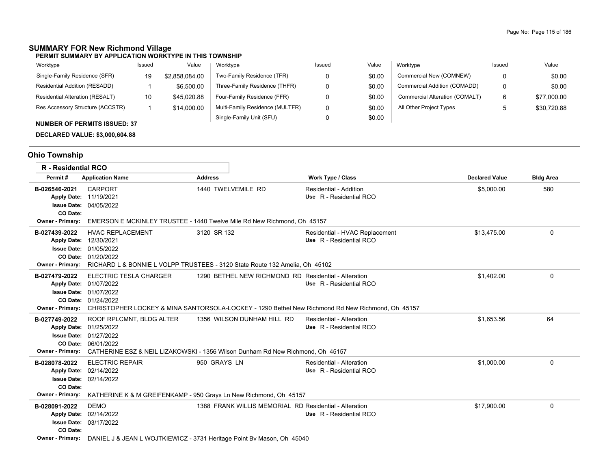# **SUMMARY FOR New Richmond Village**

| Worktype                               | Issued | Value          | Worktype                        | Issued | Value  | Worktype                       | Issued | Value       |
|----------------------------------------|--------|----------------|---------------------------------|--------|--------|--------------------------------|--------|-------------|
| Single-Family Residence (SFR)          | 19     | \$2.858.084.00 | Two-Family Residence (TFR)      |        | \$0.00 | Commercial New (COMNEW)        |        | \$0.00      |
| Residential Addition (RESADD)          |        | \$6,500.00     | Three-Family Residence (THFR)   |        | \$0.00 | Commercial Addition (COMADD)   |        | \$0.00      |
| <b>Residential Alteration (RESALT)</b> | 10     | \$45,020.88    | Four-Family Residence (FFR)     |        | \$0.00 | Commercial Alteration (COMALT) |        | \$77,000.00 |
| Res Accessory Structure (ACCSTR)       |        | \$14,000.00    | Multi-Family Residence (MULTFR) | 0      | \$0.00 | All Other Project Types        |        | \$30,720.88 |
| <b>NUMBER OF PERMITS ISSUED: 37</b>    |        |                | Single-Family Unit (SFU)        |        | \$0.00 |                                |        |             |

### **DECLARED VALUE: \$3,000,604.88**

# **Ohio Township**

| <b>R</b> - Residential RCO                                         |                                                                                                            |                                                                                                                                  |                                                                                                                             |                       |                  |
|--------------------------------------------------------------------|------------------------------------------------------------------------------------------------------------|----------------------------------------------------------------------------------------------------------------------------------|-----------------------------------------------------------------------------------------------------------------------------|-----------------------|------------------|
| Permit#                                                            | <b>Application Name</b>                                                                                    | <b>Address</b>                                                                                                                   | <b>Work Type / Class</b>                                                                                                    | <b>Declared Value</b> | <b>Bldg Area</b> |
| B-026546-2021<br>CO Date:<br><b>Owner - Primary:</b>               | <b>CARPORT</b><br>Apply Date: 11/19/2021<br><b>Issue Date: 04/05/2022</b>                                  | 1440 TWELVEMILE RD<br>EMERSON E MCKINLEY TRUSTEE - 1440 Twelve Mile Rd New Richmond, Oh 45157                                    | Residential - Addition<br>Use R - Residential RCO                                                                           | \$5,000.00            | 580              |
| B-027439-2022<br>Apply Date: 12/30/2021<br><b>Owner - Primary:</b> | <b>HVAC REPLACEMENT</b><br><b>Issue Date: 01/05/2022</b><br>CO Date: 01/20/2022                            | 3120 SR 132<br>RICHARD L & BONNIE L VOLPP TRUSTEES - 3120 State Route 132 Amelia, Oh 45102                                       | Residential - HVAC Replacement<br>Use R - Residential RCO                                                                   | \$13.475.00           | 0                |
| B-027479-2022<br>Owner - Primary:                                  | ELECTRIC TESLA CHARGER<br>Apply Date: 01/07/2022<br><b>Issue Date: 01/07/2022</b><br>CO Date: 01/24/2022   | 1290 BETHEL NEW RICHMOND RD Residential - Alteration                                                                             | Use R - Residential RCO<br>CHRISTOPHER LOCKEY & MINA SANTORSOLA-LOCKEY - 1290 Bethel New Richmond Rd New Richmond. Oh 45157 | \$1,402.00            | 0                |
| B-027749-2022<br><b>Owner - Primary:</b>                           | ROOF RPLCMNT, BLDG ALTER<br>Apply Date: 01/25/2022<br><b>Issue Date: 01/27/2022</b><br>CO Date: 06/01/2022 | 1356 WILSON DUNHAM HILL RD<br>CATHERINE ESZ & NEIL LIZAKOWSKI - 1356 Wilson Dunham Rd New Richmond, Oh 45157                     | Residential - Alteration<br>Use R - Residential RCO                                                                         | \$1.653.56            | 64               |
| B-028078-2022<br>CO Date:<br><b>Owner - Primary:</b>               | <b>ELECTRIC REPAIR</b><br>Apply Date: 02/14/2022<br><b>Issue Date: 02/14/2022</b>                          | 950 GRAYS LN<br>KATHERINE K & M GREIFENKAMP - 950 Grays Ln New Richmond, Oh 45157                                                | Residential - Alteration<br>Use R - Residential RCO                                                                         | \$1,000.00            | 0                |
| B-028091-2022<br>CO Date:<br><b>Owner - Primary:</b>               | <b>DEMO</b><br>Apply Date: 02/14/2022<br><b>Issue Date: 03/17/2022</b>                                     | 1388 FRANK WILLIS MEMORIAL RD Residential - Alteration<br>DANIEL J & JEAN L WOJTKIEWICZ - 3731 Heritage Point By Mason, Oh 45040 | Use R - Residential RCO                                                                                                     | \$17,900.00           | 0                |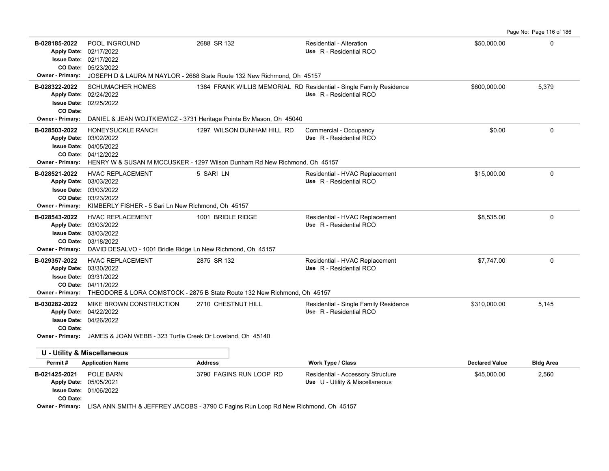Page No: Page 116 of 186

| B-028185-2022<br>CO Date:<br><b>Owner - Primary:</b>                      | <b>POOL INGROUND</b><br>Apply Date: 02/17/2022<br><b>Issue Date: 02/17/2022</b><br>05/23/2022                                                                     | 2688 SR 132<br>JOSEPH D & LAURA M NAYLOR - 2688 State Route 132 New Richmond, Oh 45157                                                                                                                                                                                                                                                                        | Residential - Alteration<br>Use R - Residential RCO                                            | \$50,000.00           | $\Omega$         |
|---------------------------------------------------------------------------|-------------------------------------------------------------------------------------------------------------------------------------------------------------------|---------------------------------------------------------------------------------------------------------------------------------------------------------------------------------------------------------------------------------------------------------------------------------------------------------------------------------------------------------------|------------------------------------------------------------------------------------------------|-----------------------|------------------|
| B-028322-2022<br>Apply Date: 02/24/2022<br>CO Date:                       | <b>SCHUMACHER HOMES</b><br><b>Issue Date: 02/25/2022</b>                                                                                                          |                                                                                                                                                                                                                                                                                                                                                               | 1384 FRANK WILLIS MEMORIAL RD Residential - Single Family Residence<br>Use R - Residential RCO | \$600,000.00          | 5,379            |
| <b>Owner - Primary:</b>                                                   |                                                                                                                                                                   | DANIEL & JEAN WOJTKIEWICZ - 3731 Heritage Pointe By Mason, Oh 45040                                                                                                                                                                                                                                                                                           |                                                                                                |                       |                  |
| B-028503-2022<br><b>Apply Date:</b><br><b>Issue Date:</b>                 | HONEYSUCKLE RANCH<br>03/02/2022<br>04/05/2022<br>CO Date: 04/12/2022                                                                                              | 1297 WILSON DUNHAM HILL RD<br>Owner - Primary: HENRY W & SUSAN M MCCUSKER - 1297 Wilson Dunham Rd New Richmond, Oh 45157                                                                                                                                                                                                                                      | Commercial - Occupancy<br>Use R - Residential RCO                                              | \$0.00                | $\Omega$         |
| B-028521-2022<br><b>Apply Date:</b><br><b>Owner - Primary:</b>            | <b>HVAC REPLACEMENT</b><br>03/03/2022<br><b>Issue Date: 03/03/2022</b><br>CO Date: 03/23/2022<br>KIMBERLY FISHER - 5 Sari Ln New Richmond, Oh 45157               | 5 SARI LN                                                                                                                                                                                                                                                                                                                                                     | Residential - HVAC Replacement<br>Use R - Residential RCO                                      | \$15,000.00           | $\mathbf 0$      |
| B-028543-2022<br><b>Apply Date:</b><br><b>Owner - Primary:</b>            | <b>HVAC REPLACEMENT</b><br>03/03/2022<br><b>Issue Date: 03/03/2022</b><br>CO Date: 03/18/2022<br>DAVID DESALVO - 1001 Bridle Ridge Ln New Richmond, Oh 45157      | 1001 BRIDLE RIDGE                                                                                                                                                                                                                                                                                                                                             | Residential - HVAC Replacement<br>Use R - Residential RCO                                      | \$8,535.00            | $\Omega$         |
| B-029357-2022                                                             | <b>HVAC REPLACEMENT</b><br>Apply Date: 03/30/2022<br><b>Issue Date: 03/31/2022</b><br>CO Date: 04/11/2022                                                         | 2875 SR 132<br>Owner - Primary: THEODORE & LORA COMSTOCK - 2875 B State Route 132 New Richmond, Oh 45157                                                                                                                                                                                                                                                      | Residential - HVAC Replacement<br>Use R - Residential RCO                                      | \$7,747.00            | $\Omega$         |
| B-030282-2022<br>CO Date:                                                 | MIKE BROWN CONSTRUCTION<br>Apply Date: 04/22/2022<br><b>Issue Date: 04/26/2022</b><br>Owner - Primary: JAMES & JOAN WEBB - 323 Turtle Creek Dr Loveland, Oh 45140 | 2710 CHESTNUT HILL                                                                                                                                                                                                                                                                                                                                            | Residential - Single Family Residence<br>Use R - Residential RCO                               | \$310,000.00          | 5,145            |
|                                                                           |                                                                                                                                                                   |                                                                                                                                                                                                                                                                                                                                                               |                                                                                                |                       |                  |
| <b>U - Utility &amp; Miscellaneous</b>                                    |                                                                                                                                                                   |                                                                                                                                                                                                                                                                                                                                                               |                                                                                                |                       |                  |
| Permit#                                                                   | <b>Application Name</b>                                                                                                                                           | <b>Address</b>                                                                                                                                                                                                                                                                                                                                                | Work Type / Class                                                                              | <b>Declared Value</b> | <b>Bldg Area</b> |
| B-021425-2021<br>Apply Date: 05/05/2021<br><b>Issue Date:</b><br>CO Date: | POLE BARN<br>01/06/2022<br>$\cdots$                                                                                                                               | 3790 FAGINS RUN LOOP RD<br>$\mathbf{u}$ $\mathbf{v}$ $\mathbf{v}$ $\mathbf{v}$ $\mathbf{v}$ $\mathbf{v}$ $\mathbf{v}$ $\mathbf{v}$ $\mathbf{v}$ $\mathbf{v}$ $\mathbf{v}$ $\mathbf{v}$ $\mathbf{v}$ $\mathbf{v}$ $\mathbf{v}$ $\mathbf{v}$ $\mathbf{v}$ $\mathbf{v}$ $\mathbf{v}$ $\mathbf{v}$ $\mathbf{v}$ $\mathbf{v}$ $\mathbf{v}$ $\mathbf{v}$ $\mathbf{$ | Residential - Accessory Structure<br>Use U - Utility & Miscellaneous                           | \$45,000.00           | 2,560            |

**Owner - Primary:** LISA ANN SMITH & JEFFREY JACOBS - 3790 C Fagins Run Loop Rd New Richmond, Oh 45157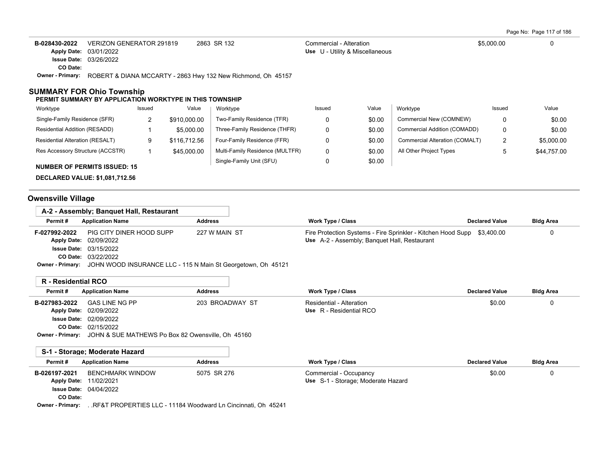Page No: Page 117 of 186

| B-028430-2022    | VERIZON GENERATOR 291819                                     | 2863 SR 132 | Commercial - Alteration         | \$5,000.00 | 0 |
|------------------|--------------------------------------------------------------|-------------|---------------------------------|------------|---|
|                  | <b>Apply Date: 03/01/2022</b>                                |             | Use U - Utility & Miscellaneous |            |   |
|                  | <b>Issue Date: 03/26/2022</b>                                |             |                                 |            |   |
| CO Date:         |                                                              |             |                                 |            |   |
| Owner - Primary: | ROBERT & DIANA MCCARTY - 2863 Hwy 132 New Richmond, Oh 45157 |             |                                 |            |   |

#### **SUMMARY FOR Ohio Township**

#### **PERMIT SUMMARY BY APPLICATION WORKTYPE IN THIS TOWNSHIP**

| Worktype                               | Issued | Value        | Worktype                        | Issued | Value  | Worktype                       | Issued | Value       |
|----------------------------------------|--------|--------------|---------------------------------|--------|--------|--------------------------------|--------|-------------|
| Single-Family Residence (SFR)          |        | \$910,000.00 | Two-Family Residence (TFR)      |        | \$0.00 | Commercial New (COMNEW)        |        | \$0.00      |
| Residential Addition (RESADD)          |        | \$5,000.00   | Three-Family Residence (THFR)   |        | \$0.00 | Commercial Addition (COMADD)   |        | \$0.00      |
| <b>Residential Alteration (RESALT)</b> | 9      | \$116,712.56 | Four-Family Residence (FFR)     |        | \$0.00 | Commercial Alteration (COMALT) |        | \$5,000.00  |
| Res Accessory Structure (ACCSTR)       |        | \$45,000.00  | Multi-Family Residence (MULTFR) |        | \$0.00 | All Other Project Types        |        | \$44,757.00 |
| <b>NUMBER OF PERMITS ISSUED: 15</b>    |        |              | Single-Family Unit (SFU)        |        | \$0.00 |                                |        |             |

**DECLARED VALUE: \$1,081,712.56**

# **Owensville Village**

|               | A-2 - Assembly; Banguet Hall, Restaurant                                      |                |                                                                         |                       |                  |
|---------------|-------------------------------------------------------------------------------|----------------|-------------------------------------------------------------------------|-----------------------|------------------|
| Permit#       | <b>Application Name</b>                                                       | <b>Address</b> | Work Type / Class                                                       | <b>Declared Value</b> | <b>Bldg Area</b> |
| F-027992-2022 | PIG CITY DINER HOOD SUPP                                                      | 227 W MAIN ST  | Fire Protection Systems - Fire Sprinkler - Kitchen Hood Supp \$3,400.00 |                       |                  |
|               | Apply Date: 02/09/2022                                                        |                | Use A-2 - Assembly: Banquet Hall, Restaurant                            |                       |                  |
|               | <b>Issue Date: 03/15/2022</b>                                                 |                |                                                                         |                       |                  |
|               | <b>CO Date: 03/22/2022</b>                                                    |                |                                                                         |                       |                  |
|               | Owner - Primary: JOHN WOOD INSURANCE LLC - 115 N Main St Georgetown, Oh 45121 |                |                                                                         |                       |                  |

### **R - Residential RCO**

| Permit#       | Application Name                                                   | <b>Address</b>  | Work Type / Class        | <b>Declared Value</b> | <b>Bldg Area</b> |
|---------------|--------------------------------------------------------------------|-----------------|--------------------------|-----------------------|------------------|
| B-027983-2022 | GAS LINE NG PP                                                     | 203 BROADWAY ST | Residential - Alteration | \$0.00                |                  |
|               | Apply Date: 02/09/2022                                             |                 | Use R - Residential RCO  |                       |                  |
|               | <b>Issue Date: 02/09/2022</b>                                      |                 |                          |                       |                  |
|               | <b>CO Date: 02/15/2022</b>                                         |                 |                          |                       |                  |
|               | Owner - Primary: JOHN & SUE MATHEWS Po Box 82 Owensville, Oh 45160 |                 |                          |                       |                  |

|               | S-1 - Storage: Moderate Hazard |                |                                    |                       |                  |
|---------------|--------------------------------|----------------|------------------------------------|-----------------------|------------------|
| Permit#       | <b>Application Name</b>        | <b>Address</b> | Work Type / Class                  | <b>Declared Value</b> | <b>Bldg Area</b> |
| B-026197-2021 | BENCHMARK WINDOW               | 5075 SR 276    | Commercial - Occupancy             | \$0.00                |                  |
|               | <b>Apply Date: 11/02/2021</b>  |                | Use S-1 - Storage; Moderate Hazard |                       |                  |
|               | <b>Issue Date: 04/04/2022</b>  |                |                                    |                       |                  |
| CO Date:      |                                |                |                                    |                       |                  |

**Owner - Primary:** . .RF&T PROPERTIES LLC - 11184 Woodward Ln Cincinnati, Oh 45241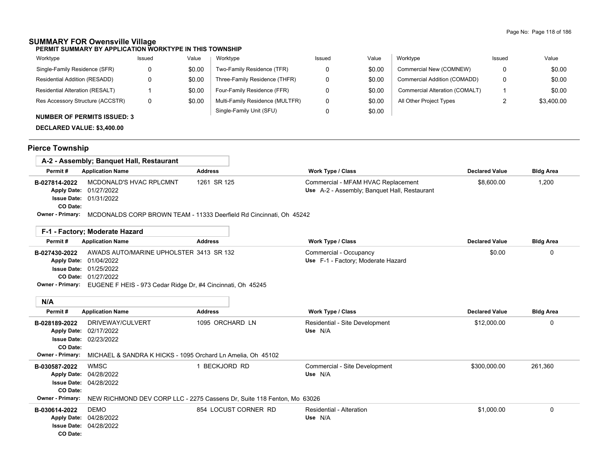## **SUMMARY FOR Owensville Village**

**PERMIT SUMMARY BY APPLICATION WORKTYPE IN THIS TOWNSHIP**

| Worktype                               | Issued | Value  | Worktype                        | Issued | Value  | Worktype                       | Issued | Value      |
|----------------------------------------|--------|--------|---------------------------------|--------|--------|--------------------------------|--------|------------|
| Single-Family Residence (SFR)          |        | \$0.00 | Two-Family Residence (TFR)      |        | \$0.00 | Commercial New (COMNEW)        |        | \$0.00     |
| Residential Addition (RESADD)          |        | \$0.00 | Three-Family Residence (THFR)   |        | \$0.00 | Commercial Addition (COMADD)   |        | \$0.00     |
| <b>Residential Alteration (RESALT)</b> |        | \$0.00 | Four-Family Residence (FFR)     |        | \$0.00 | Commercial Alteration (COMALT) |        | \$0.00     |
| Res Accessory Structure (ACCSTR)       | 0      | \$0.00 | Multi-Family Residence (MULTFR) |        | \$0.00 | All Other Project Types        |        | \$3.400.00 |
| <b>NUMBER OF PERMITS ISSUED: 3</b>     |        |        | Single-Family Unit (SFU)        |        | \$0.00 |                                |        |            |

### **DECLARED VALUE: \$3,400.00**

# **Pierce Township**

|                                  | A-2 - Assembly; Banguet Hall, Restaurant                                                    |                |                                                                                    |                       |                  |
|----------------------------------|---------------------------------------------------------------------------------------------|----------------|------------------------------------------------------------------------------------|-----------------------|------------------|
| Permit#                          | <b>Application Name</b>                                                                     | <b>Address</b> | <b>Work Type / Class</b>                                                           | <b>Declared Value</b> | <b>Bldg Area</b> |
| B-027814-2022<br><b>CO Date:</b> | MCDONALD'S HVAC RPLCMNT<br>Apply Date: 01/27/2022<br><b>Issue Date: 01/31/2022</b>          | 1261 SR 125    | Commercial - MFAM HVAC Replacement<br>Use A-2 - Assembly; Banquet Hall, Restaurant | \$8,600.00            | 1,200            |
|                                  | <b>Owner - Primary:</b> MCDONALDS CORP BROWN TEAM - 11333 Deerfield Rd Cincinnati, Oh 45242 |                |                                                                                    |                       |                  |

|               | F-1 - Factory: Moderate Hazard          |                                                                              |                                    |                       |                  |
|---------------|-----------------------------------------|------------------------------------------------------------------------------|------------------------------------|-----------------------|------------------|
| Permit#       | <b>Application Name</b>                 | <b>Address</b>                                                               | <b>Work Type / Class</b>           | <b>Declared Value</b> | <b>Bldg Area</b> |
| B-027430-2022 | AWADS AUTO/MARINE UPHOLSTER 3413 SR 132 |                                                                              | Commercial - Occupancy             | \$0.00                |                  |
|               | <b>Apply Date: 01/04/2022</b>           |                                                                              | Use F-1 - Factory; Moderate Hazard |                       |                  |
|               | <b>Issue Date: 01/25/2022</b>           |                                                                              |                                    |                       |                  |
|               | <b>CO Date: 01/27/2022</b>              |                                                                              |                                    |                       |                  |
|               |                                         | Owner - Primary: EUGENE F HEIS - 973 Cedar Ridge Dr, #4 Cincinnati, Oh 45245 |                                    |                       |                  |

| N/A                     |                                                             |                                                                         |                                |                       |                  |
|-------------------------|-------------------------------------------------------------|-------------------------------------------------------------------------|--------------------------------|-----------------------|------------------|
| Permit#                 | <b>Application Name</b>                                     | <b>Address</b>                                                          | <b>Work Type / Class</b>       | <b>Declared Value</b> | <b>Bldg Area</b> |
| B-028189-2022           | DRIVEWAY/CULVERT                                            | 1095 ORCHARD LN                                                         | Residential - Site Development | \$12,000.00           | 0                |
|                         | Apply Date: 02/17/2022                                      |                                                                         | Use N/A                        |                       |                  |
|                         | <b>Issue Date: 02/23/2022</b>                               |                                                                         |                                |                       |                  |
| CO Date:                |                                                             |                                                                         |                                |                       |                  |
| <b>Owner - Primary:</b> | MICHAEL & SANDRA K HICKS - 1095 Orchard Ln Amelia, Oh 45102 |                                                                         |                                |                       |                  |
| B-030587-2022           | WMSC                                                        | BECKJORD RD                                                             | Commercial - Site Development  | \$300,000.00          | 261,360          |
|                         | Apply Date: 04/28/2022                                      |                                                                         | Use N/A                        |                       |                  |
|                         | <b>Issue Date: 04/28/2022</b>                               |                                                                         |                                |                       |                  |
| CO Date:                |                                                             |                                                                         |                                |                       |                  |
| <b>Owner - Primary:</b> |                                                             | NEW RICHMOND DEV CORP LLC - 2275 Cassens Dr, Suite 118 Fenton, Mo 63026 |                                |                       |                  |
| B-030614-2022           | DEMO                                                        | 854 LOCUST CORNER RD                                                    | Residential - Alteration       | \$1,000.00            | $\Omega$         |
|                         | Apply Date: 04/28/2022                                      |                                                                         | Use N/A                        |                       |                  |
|                         | <b>Issue Date: 04/28/2022</b>                               |                                                                         |                                |                       |                  |
| CO Date:                |                                                             |                                                                         |                                |                       |                  |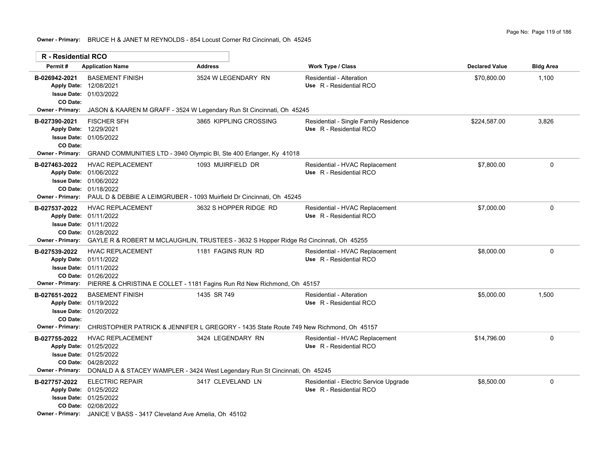**Owner - Primary:** BRUCE H & JANET M REYNOLDS - 854 Locust Corner Rd Cincinnati, Oh 45245

| <b>R</b> - Residential RCO                           |                                                                                                                                                                                                     |                                                                                                  |                                                                   |                       |                  |
|------------------------------------------------------|-----------------------------------------------------------------------------------------------------------------------------------------------------------------------------------------------------|--------------------------------------------------------------------------------------------------|-------------------------------------------------------------------|-----------------------|------------------|
| Permit#                                              | <b>Application Name</b>                                                                                                                                                                             | <b>Address</b>                                                                                   | <b>Work Type / Class</b>                                          | <b>Declared Value</b> | <b>Bldg Area</b> |
| B-026942-2021<br>CO Date:                            | <b>BASEMENT FINISH</b><br>Apply Date: 12/08/2021<br><b>Issue Date: 01/03/2022</b>                                                                                                                   | 3524 W LEGENDARY RN                                                                              | <b>Residential - Alteration</b><br>Use R - Residential RCO        | \$70,800.00           | 1,100            |
| Owner - Primary:                                     |                                                                                                                                                                                                     | JASON & KAAREN M GRAFF - 3524 W Legendary Run St Cincinnati, Oh 45245                            |                                                                   |                       |                  |
| B-027390-2021<br>CO Date:                            | <b>FISCHER SFH</b><br>Apply Date: 12/29/2021<br><b>Issue Date: 01/05/2022</b>                                                                                                                       | 3865 KIPPLING CROSSING                                                                           | Residential - Single Family Residence<br>Use R - Residential RCO  | \$224,587.00          | 3.826            |
| Owner - Primary:                                     |                                                                                                                                                                                                     | GRAND COMMUNITIES LTD - 3940 Olympic BI, Ste 400 Erlanger, Ky 41018                              |                                                                   |                       |                  |
| B-027463-2022                                        | <b>HVAC REPLACEMENT</b><br>Apply Date: 01/06/2022<br><b>Issue Date: 01/06/2022</b><br>CO Date: 01/18/2022<br>Owner - Primary: PAUL D & DEBBIE A LEIMGRUBER - 1093 Muirfield Dr Cincinnati, Oh 45245 | 1093 MUIRFIELD DR                                                                                | Residential - HVAC Replacement<br>Use R - Residential RCO         | \$7,800.00            | $\Omega$         |
| B-027537-2022<br><b>Owner - Primary:</b>             | <b>HVAC REPLACEMENT</b><br>Apply Date: 01/11/2022<br><b>Issue Date: 01/11/2022</b><br>CO Date: 01/28/2022<br>GAYLE R & ROBERT M MCLAUGHLIN, TRUSTEES - 3632 S Hopper Ridge Rd Cincinnati, Oh 45255  | 3632 S HOPPER RIDGE RD                                                                           | Residential - HVAC Replacement<br>Use R - Residential RCO         | \$7,000.00            | 0                |
| B-027539-2022<br>Owner - Primary:                    | <b>HVAC REPLACEMENT</b><br>Apply Date: 01/11/2022<br><b>Issue Date: 01/11/2022</b><br>CO Date: 01/26/2022                                                                                           | 1181 FAGINS RUN RD<br>PIERRE & CHRISTINA E COLLET - 1181 Fagins Run Rd New Richmond, Oh 45157    | Residential - HVAC Replacement<br>Use R - Residential RCO         | \$8.000.00            | $\Omega$         |
| B-027651-2022<br>CO Date:<br><b>Owner - Primary:</b> | <b>BASEMENT FINISH</b><br>Apply Date: 01/19/2022<br><b>Issue Date: 01/20/2022</b><br>CHRISTOPHER PATRICK & JENNIFER L GREGORY - 1435 State Route 749 New Richmond, Oh 45157                         | 1435 SR 749                                                                                      | <b>Residential - Alteration</b><br>Use R - Residential RCO        | \$5,000.00            | 1,500            |
| B-027755-2022<br><b>Owner - Primary:</b>             | <b>HVAC REPLACEMENT</b><br>Apply Date: 01/25/2022<br>Issue Date: 01/25/2022<br>CO Date: 04/28/2022                                                                                                  | 3424 LEGENDARY RN<br>DONALD A & STACEY WAMPLER - 3424 West Legendary Run St Cincinnati, Oh 45245 | Residential - HVAC Replacement<br>Use R - Residential RCO         | \$14,796.00           | 0                |
| B-027757-2022                                        | <b>ELECTRIC REPAIR</b><br>Apply Date: 01/25/2022<br><b>Issue Date: 01/25/2022</b><br>CO Date: 02/08/2022<br><b>Owner - Primary:</b> JANICE V BASS - 3417 Cleveland Ave Amelia. Oh 45102             | 3417 CLEVELAND LN                                                                                | Residential - Electric Service Upgrade<br>Use R - Residential RCO | \$8,500.00            | $\mathbf 0$      |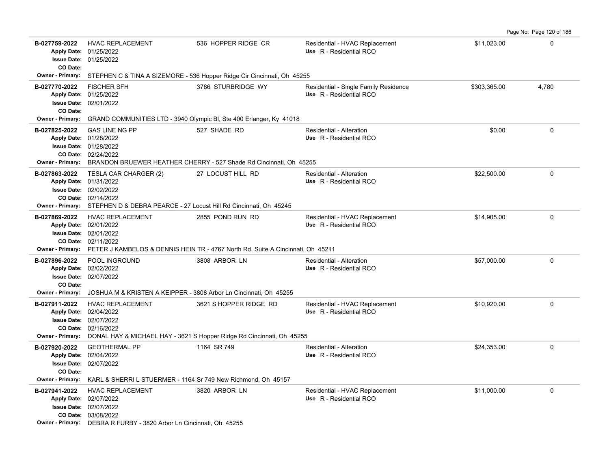| B-027759-2022<br>CO Date:                     | <b>HVAC REPLACEMENT</b><br>Apply Date: 01/25/2022<br>Issue Date: 01/25/2022                                                                                                                    | 536 HOPPER RIDGE CR                                                                                 | Residential - HVAC Replacement<br>Use R - Residential RCO        | \$11,023.00  | 0        |
|-----------------------------------------------|------------------------------------------------------------------------------------------------------------------------------------------------------------------------------------------------|-----------------------------------------------------------------------------------------------------|------------------------------------------------------------------|--------------|----------|
| <b>Owner - Primary:</b>                       | STEPHEN C & TINA A SIZEMORE - 536 Hopper Ridge Cir Cincinnati, Oh 45255                                                                                                                        |                                                                                                     |                                                                  |              |          |
| B-027770-2022<br>CO Date:                     | <b>FISCHER SFH</b><br>Apply Date: 01/25/2022<br><b>Issue Date: 02/01/2022</b>                                                                                                                  | 3786 STURBRIDGE WY                                                                                  | Residential - Single Family Residence<br>Use R - Residential RCO | \$303,365.00 | 4,780    |
|                                               | Owner - Primary: GRAND COMMUNITIES LTD - 3940 Olympic BI, Ste 400 Erlanger, Ky 41018                                                                                                           |                                                                                                     |                                                                  |              |          |
| B-027825-2022                                 | <b>GAS LINE NG PP</b><br>Apply Date: 01/28/2022<br><b>Issue Date: 01/28/2022</b><br>CO Date: 02/24/2022<br>Owner - Primary: BRANDON BRUEWER HEATHER CHERRY - 527 Shade Rd Cincinnati, Oh 45255 | 527 SHADE RD                                                                                        | Residential - Alteration<br>Use R - Residential RCO              | \$0.00       | 0        |
| B-027863-2022                                 | TESLA CAR CHARGER (2)                                                                                                                                                                          | 27 LOCUST HILL RD                                                                                   | Residential - Alteration                                         | \$22,500.00  | $\Omega$ |
|                                               | Apply Date: 01/31/2022<br><b>Issue Date: 02/02/2022</b><br>CO Date: 02/14/2022<br>Owner - Primary: STEPHEN D & DEBRA PEARCE - 27 Locust Hill Rd Cincinnati, Oh 45245                           |                                                                                                     | Use R - Residential RCO                                          |              |          |
| B-027869-2022<br><b>Owner - Primary:</b>      | <b>HVAC REPLACEMENT</b><br>Apply Date: 02/01/2022<br><b>Issue Date: 02/01/2022</b><br>CO Date: 02/11/2022                                                                                      | 2855 POND RUN RD<br>PETER J KAMBELOS & DENNIS HEIN TR - 4767 North Rd, Suite A Cincinnati, Oh 45211 | Residential - HVAC Replacement<br>Use R - Residential RCO        | \$14,905.00  | 0        |
| B-027896-2022<br>CO Date:<br>Owner - Primary: | POOL INGROUND<br>Apply Date: 02/02/2022<br><b>Issue Date: 02/07/2022</b><br>JOSHUA M & KRISTEN A KEIPPER - 3808 Arbor Ln Cincinnati, Oh 45255                                                  | 3808 ARBOR LN                                                                                       | Residential - Alteration<br>Use R - Residential RCO              | \$57,000.00  | $\Omega$ |
| B-027911-2022<br><b>Owner - Primary:</b>      | <b>HVAC REPLACEMENT</b><br>Apply Date: 02/04/2022<br><b>Issue Date: 02/07/2022</b><br>CO Date: 02/16/2022                                                                                      | 3621 S HOPPER RIDGE RD<br>DONAL HAY & MICHAEL HAY - 3621 S Hopper Ridge Rd Cincinnati, Oh 45255     | Residential - HVAC Replacement<br>Use R - Residential RCO        | \$10,920.00  | 0        |
| B-027920-2022<br>CO Date:                     | <b>GEOTHERMAL PP</b><br>Apply Date: 02/04/2022<br><b>Issue Date: 02/07/2022</b>                                                                                                                | 1164 SR 749                                                                                         | Residential - Alteration<br>Use R - Residential RCO              | \$24,353.00  | 0        |
| Owner - Primary:                              | KARL & SHERRI L STUERMER - 1164 Sr 749 New Richmond, Oh 45157                                                                                                                                  |                                                                                                     |                                                                  |              |          |
| B-027941-2022                                 | <b>HVAC REPLACEMENT</b><br>Apply Date: 02/07/2022<br><b>Issue Date: 02/07/2022</b><br>CO Date: 03/08/2022<br>Owner - Primary: DEBRA R FURBY - 3820 Arbor Ln Cincinnati, Oh 45255               | 3820 ARBOR LN                                                                                       | Residential - HVAC Replacement<br>Use R - Residential RCO        | \$11,000.00  | 0        |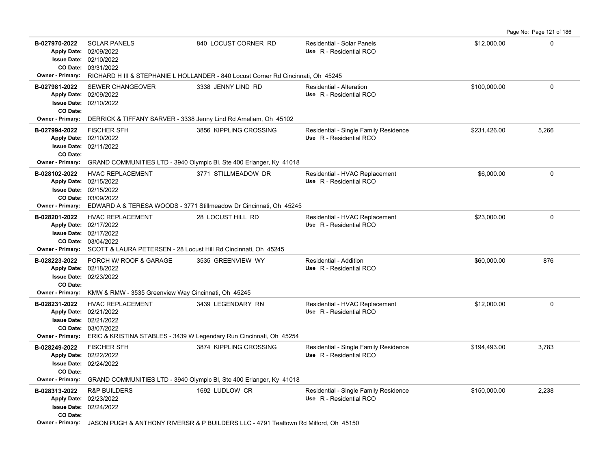Page No: Page 121 of 186

| B-027970-2022                       | <b>SOLAR PANELS</b><br>Apply Date: 02/09/2022<br><b>Issue Date: 02/10/2022</b><br>CO Date: 03/31/2022     | 840 LOCUST CORNER RD                                                                                | <b>Residential - Solar Panels</b><br>Use R - Residential RCO     | \$12,000.00  | $\mathbf{0}$ |
|-------------------------------------|-----------------------------------------------------------------------------------------------------------|-----------------------------------------------------------------------------------------------------|------------------------------------------------------------------|--------------|--------------|
| Owner - Primary:                    |                                                                                                           | RICHARD H III & STEPHANIE L HOLLANDER - 840 Locust Corner Rd Cincinnati, Oh 45245                   |                                                                  |              |              |
| B-027981-2022<br>CO Date:           | <b>SEWER CHANGEOVER</b><br>Apply Date: 02/09/2022<br><b>Issue Date: 02/10/2022</b>                        | 3338 JENNY LIND RD                                                                                  | Residential - Alteration<br>Use R - Residential RCO              | \$100.000.00 | $\mathbf 0$  |
| Owner - Primary:                    | DERRICK & TIFFANY SARVER - 3338 Jenny Lind Rd Ameliam, Oh 45102                                           |                                                                                                     |                                                                  |              |              |
| B-027994-2022<br>CO Date:           | <b>FISCHER SFH</b><br>Apply Date: 02/10/2022<br><b>Issue Date: 02/11/2022</b>                             | 3856 KIPPLING CROSSING                                                                              | Residential - Single Family Residence<br>Use R - Residential RCO | \$231.426.00 | 5,266        |
| <b>Owner - Primary:</b>             |                                                                                                           | GRAND COMMUNITIES LTD - 3940 Olympic BI, Ste 400 Erlanger, Ky 41018                                 |                                                                  |              |              |
| B-028102-2022<br>Owner - Primary:   | <b>HVAC REPLACEMENT</b><br>Apply Date: 02/15/2022<br><b>Issue Date: 02/15/2022</b><br>CO Date: 03/09/2022 | 3771 STILLMEADOW DR<br>EDWARD A & TERESA WOODS - 3771 Stillmeadow Dr Cincinnati, Oh 45245           | Residential - HVAC Replacement<br>Use R - Residential RCO        | \$6,000.00   | 0            |
| B-028201-2022                       | <b>HVAC REPLACEMENT</b>                                                                                   | 28 LOCUST HILL RD                                                                                   | Residential - HVAC Replacement                                   | \$23,000.00  | $\mathbf 0$  |
|                                     | Apply Date: 02/17/2022                                                                                    |                                                                                                     | Use R - Residential RCO                                          |              |              |
|                                     | <b>Issue Date: 02/17/2022</b>                                                                             |                                                                                                     |                                                                  |              |              |
| <b>Owner - Primary:</b>             | CO Date: 03/04/2022<br>SCOTT & LAURA PETERSEN - 28 Locust Hill Rd Cincinnati, Oh 45245                    |                                                                                                     |                                                                  |              |              |
|                                     |                                                                                                           |                                                                                                     |                                                                  |              |              |
| B-028223-2022                       | PORCH W/ ROOF & GARAGE<br>Apply Date: 02/18/2022                                                          | 3535 GREENVIEW WY                                                                                   | Residential - Addition<br>Use R - Residential RCO                | \$60,000.00  | 876          |
|                                     | <b>Issue Date: 02/23/2022</b>                                                                             |                                                                                                     |                                                                  |              |              |
| CO Date:                            |                                                                                                           |                                                                                                     |                                                                  |              |              |
| Owner - Primary:                    | KMW & RMW - 3535 Greenview Way Cincinnati, Oh 45245                                                       |                                                                                                     |                                                                  |              |              |
| B-028231-2022                       | <b>HVAC REPLACEMENT</b><br>Apply Date: 02/21/2022<br><b>Issue Date: 02/21/2022</b><br>CO Date: 03/07/2022 | 3439 LEGENDARY RN                                                                                   | Residential - HVAC Replacement<br>Use R - Residential RCO        | \$12,000.00  | $\mathsf 0$  |
| Owner - Primary:                    |                                                                                                           | ERIC & KRISTINA STABLES - 3439 W Legendary Run Cincinnati, Oh 45254                                 |                                                                  |              |              |
| B-028249-2022                       | <b>FISCHER SFH</b><br>Apply Date: 02/22/2022<br><b>Issue Date: 02/24/2022</b>                             | 3874 KIPPLING CROSSING                                                                              | Residential - Single Family Residence<br>Use R - Residential RCO | \$194,493.00 | 3,783        |
| CO Date:<br><b>Owner - Primary:</b> |                                                                                                           | GRAND COMMUNITIES LTD - 3940 Olympic BI, Ste 400 Erlanger, Ky 41018                                 |                                                                  |              |              |
| B-028313-2022                       | <b>R&amp;P BUILDERS</b>                                                                                   | 1692 LUDLOW CR                                                                                      | Residential - Single Family Residence                            | \$150,000.00 | 2,238        |
|                                     | Apply Date: 02/23/2022                                                                                    |                                                                                                     | Use R - Residential RCO                                          |              |              |
|                                     | <b>Issue Date: 02/24/2022</b>                                                                             |                                                                                                     |                                                                  |              |              |
| CO Date:                            |                                                                                                           |                                                                                                     |                                                                  |              |              |
|                                     |                                                                                                           | Owner - Primary: JASON PUGH & ANTHONY RIVERSR & P BUILDERS LLC - 4791 Tealtown Rd Milford, Oh 45150 |                                                                  |              |              |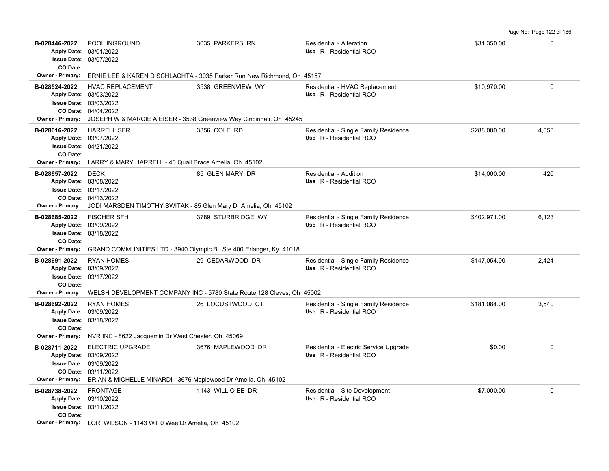Page No: Page 122 of 186

| B-028446-2022<br>CO Date:                | POOL INGROUND<br>Apply Date: 03/01/2022<br><b>Issue Date: 03/07/2022</b>                                                                                                   | 3035 PARKERS RN                                                                          | Residential - Alteration<br>Use R - Residential RCO               | \$31,350.00  | 0           |
|------------------------------------------|----------------------------------------------------------------------------------------------------------------------------------------------------------------------------|------------------------------------------------------------------------------------------|-------------------------------------------------------------------|--------------|-------------|
| <b>Owner - Primary:</b>                  |                                                                                                                                                                            | ERNIE LEE & KAREN D SCHLACHTA - 3035 Parker Run New Richmond, Oh 45157                   |                                                                   |              |             |
| B-028524-2022<br><b>Owner - Primary:</b> | <b>HVAC REPLACEMENT</b><br>Apply Date: 03/03/2022<br>Issue Date: 03/03/2022<br>CO Date: 04/04/2022                                                                         | 3538 GREENVIEW WY<br>JOSEPH W & MARCIE A EISER - 3538 Greenview Way Cincinnati, Oh 45245 | Residential - HVAC Replacement<br>Use R - Residential RCO         | \$10,970.00  | 0           |
| B-028616-2022<br>CO Date:                | <b>HARRELL SFR</b><br>Apply Date: 03/07/2022<br><b>Issue Date: 04/21/2022</b>                                                                                              | 3356 COLE RD                                                                             | Residential - Single Family Residence<br>Use R - Residential RCO  | \$288,000.00 | 4,058       |
| Owner - Primary:                         | LARRY & MARY HARRELL - 40 Quail Brace Amelia, Oh 45102                                                                                                                     |                                                                                          |                                                                   |              |             |
| B-028657-2022<br>Owner - Primary:        | <b>DECK</b><br>Apply Date: 03/08/2022<br>Issue Date: 03/17/2022<br>CO Date: 04/13/2022<br>JODI MARSDEN TIMOTHY SWITAK - 85 Glen Mary Dr Amelia, Oh 45102                   | 85 GLEN MARY DR                                                                          | Residential - Addition<br>Use R - Residential RCO                 | \$14,000.00  | 420         |
| B-028685-2022                            | <b>FISCHER SFH</b>                                                                                                                                                         | 3789 STURBRIDGE WY                                                                       | Residential - Single Family Residence                             | \$402,971.00 | 6,123       |
| CO Date:                                 | Apply Date: 03/09/2022<br><b>Issue Date: 03/18/2022</b>                                                                                                                    |                                                                                          | Use R - Residential RCO                                           |              |             |
| <b>Owner - Primary:</b>                  |                                                                                                                                                                            | GRAND COMMUNITIES LTD - 3940 Olympic BI, Ste 400 Erlanger, Ky 41018                      |                                                                   |              |             |
| B-028691-2022<br>CO Date:                | <b>RYAN HOMES</b><br>Apply Date: 03/09/2022<br><b>Issue Date: 03/17/2022</b>                                                                                               | 29 CEDARWOOD DR                                                                          | Residential - Single Family Residence<br>Use R - Residential RCO  | \$147,054.00 | 2,424       |
| <b>Owner - Primary:</b>                  | WELSH DEVELOPMENT COMPANY INC - 5780 State Route 128 Cleves, Oh 45002                                                                                                      |                                                                                          |                                                                   |              |             |
| B-028692-2022<br>CO Date:                | <b>RYAN HOMES</b><br>Apply Date: 03/09/2022<br><b>Issue Date: 03/18/2022</b>                                                                                               | 26 LOCUSTWOOD CT                                                                         | Residential - Single Family Residence<br>Use R - Residential RCO  | \$181,084.00 | 3,540       |
| Owner - Primary:                         | NVR INC - 8622 Jacquemin Dr West Chester, Oh 45069                                                                                                                         |                                                                                          |                                                                   |              |             |
| B-028711-2022<br>Owner - Primary:        | <b>ELECTRIC UPGRADE</b><br>Apply Date: 03/09/2022<br><b>Issue Date: 03/09/2022</b><br>CO Date: 03/11/2022<br>BRIAN & MICHELLE MINARDI - 3676 Maplewood Dr Amelia, Oh 45102 | 3676 MAPLEWOOD DR                                                                        | Residential - Electric Service Upgrade<br>Use R - Residential RCO | \$0.00       | $\mathsf 0$ |
| B-028738-2022                            | <b>FRONTAGE</b>                                                                                                                                                            | 1143 WILL O EE DR                                                                        | Residential - Site Development                                    | \$7,000.00   | 0           |
| CO Date:                                 | Apply Date: 03/10/2022<br><b>Issue Date: 03/11/2022</b>                                                                                                                    |                                                                                          | Use R - Residential RCO                                           |              |             |
|                                          | Owner - Primary: LORI WILSON - 1143 Will 0 Wee Dr Amelia, Oh 45102                                                                                                         |                                                                                          |                                                                   |              |             |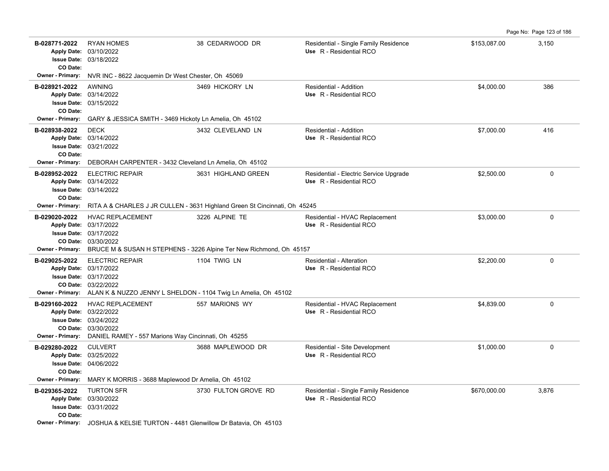|                                                                            |                                                                                                                                                                                             |                                                                                                        |                                                                   |              | Page No: Page 123 of 186 |
|----------------------------------------------------------------------------|---------------------------------------------------------------------------------------------------------------------------------------------------------------------------------------------|--------------------------------------------------------------------------------------------------------|-------------------------------------------------------------------|--------------|--------------------------|
| B-028771-2022<br><b>Apply Date:</b><br><b>Issue Date:</b><br>CO Date:      | <b>RYAN HOMES</b><br>03/10/2022<br>03/18/2022                                                                                                                                               | 38 CEDARWOOD DR                                                                                        | Residential - Single Family Residence<br>Use R - Residential RCO  | \$153,087.00 | 3,150                    |
| <b>Owner - Primary:</b>                                                    | NVR INC - 8622 Jacquemin Dr West Chester, Oh 45069                                                                                                                                          |                                                                                                        |                                                                   |              |                          |
| B-028921-2022<br>CO Date:                                                  | <b>AWNING</b><br>Apply Date: 03/14/2022<br>Issue Date: 03/15/2022                                                                                                                           | 3469 HICKORY LN                                                                                        | Residential - Addition<br>Use R - Residential RCO                 | \$4,000.00   | 386                      |
| <b>Owner - Primary:</b>                                                    | GARY & JESSICA SMITH - 3469 Hickoty Ln Amelia, Oh 45102                                                                                                                                     |                                                                                                        |                                                                   |              |                          |
| B-028938-2022<br>CO Date:<br><b>Owner - Primary:</b>                       | <b>DECK</b><br>Apply Date: 03/14/2022<br><b>Issue Date: 03/21/2022</b><br>DEBORAH CARPENTER - 3432 Cleveland Ln Amelia, Oh 45102                                                            | 3432 CLEVELAND LN                                                                                      | Residential - Addition<br>Use R - Residential RCO                 | \$7,000.00   | 416                      |
| B-028952-2022<br>CO Date:<br>Owner - Primary:                              | <b>ELECTRIC REPAIR</b><br>Apply Date: 03/14/2022<br><b>Issue Date: 03/14/2022</b>                                                                                                           | 3631 HIGHLAND GREEN                                                                                    | Residential - Electric Service Upgrade<br>Use R - Residential RCO | \$2,500.00   | $\Omega$                 |
|                                                                            |                                                                                                                                                                                             | RITA A & CHARLES J JR CULLEN - 3631 Highland Green St Cincinnati, Oh 45245                             |                                                                   |              |                          |
| B-029020-2022                                                              | <b>HVAC REPLACEMENT</b><br>Apply Date: 03/17/2022<br><b>Issue Date: 03/17/2022</b><br>CO Date: 03/30/2022                                                                                   | 3226 ALPINE TE<br>Owner - Primary: BRUCE M & SUSAN H STEPHENS - 3226 Alpine Ter New Richmond, Oh 45157 | Residential - HVAC Replacement<br>Use R - Residential RCO         | \$3,000.00   | $\mathbf 0$              |
| B-029025-2022                                                              | <b>ELECTRIC REPAIR</b><br>Apply Date: 03/17/2022<br><b>Issue Date: 03/17/2022</b><br>CO Date: 03/22/2022<br>Owner - Primary: ALAN K & NUZZO JENNY L SHELDON - 1104 Twig Ln Amelia, Oh 45102 | 1104 TWIG LN                                                                                           | Residential - Alteration<br>Use R - Residential RCO               | \$2,200.00   | $\mathbf 0$              |
| B-029160-2022                                                              | <b>HVAC REPLACEMENT</b><br>Apply Date: 03/22/2022<br><b>Issue Date: 03/24/2022</b><br>CO Date: 03/30/2022<br><b>Owner - Primary:</b> DANIEL RAMEY - 557 Marions Way Cincinnati, Oh 45255    | 557 MARIONS WY                                                                                         | Residential - HVAC Replacement<br>Use R - Residential RCO         | \$4,839.00   | $\mathbf 0$              |
| B-029280-2022<br><b>Issue Date:</b><br>CO Date:<br><b>Owner - Primary:</b> | <b>CULVERT</b><br>Apply Date: 03/25/2022<br>04/06/2022<br>MARY K MORRIS - 3688 Maplewood Dr Amelia, Oh 45102                                                                                | 3688 MAPLEWOOD DR                                                                                      | Residential - Site Development<br>Use R - Residential RCO         | \$1,000.00   | $\mathbf 0$              |
| B-029365-2022<br>CO Date:<br><b>Owner - Primary:</b>                       | <b>TURTON SFR</b><br>Apply Date: 03/30/2022<br><b>Issue Date: 03/31/2022</b><br>JOSHUA & KELSIE TURTON - 4481 Glenwillow Dr Batavia, Oh 45103                                               | 3730 FULTON GROVE RD                                                                                   | Residential - Single Family Residence<br>Use R - Residential RCO  | \$670,000.00 | 3,876                    |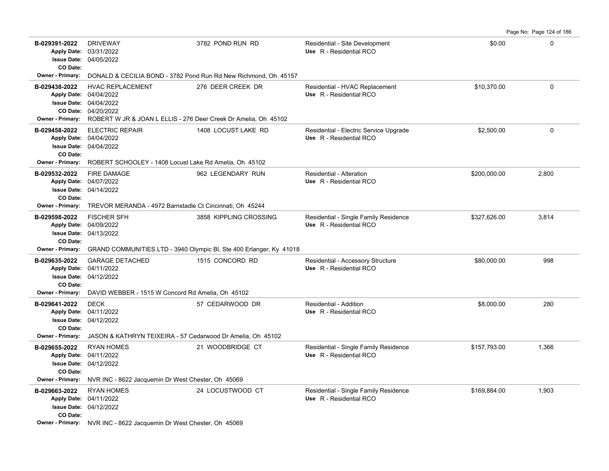| B-029391-2022<br><b>Apply Date:</b><br>CO Date:      | <b>DRIVEWAY</b><br>03/31/2022<br><b>Issue Date: 04/05/2022</b>                                                                                                      | 3782 POND RUN RD                                                    | Residential - Site Development<br>Use R - Residential RCO         | \$0.00       | $\Omega$    |
|------------------------------------------------------|---------------------------------------------------------------------------------------------------------------------------------------------------------------------|---------------------------------------------------------------------|-------------------------------------------------------------------|--------------|-------------|
| <b>Owner - Primary:</b>                              |                                                                                                                                                                     | DONALD & CECILIA BOND - 3782 Pond Run Rd New Richmond, Oh 45157     |                                                                   |              |             |
| B-029438-2022<br>CO Date:<br><b>Owner - Primary:</b> | <b>HVAC REPLACEMENT</b><br>Apply Date: 04/04/2022<br><b>Issue Date: 04/04/2022</b><br>04/20/2022<br>ROBERT W JR & JOAN L ELLIS - 276 Deer Creek Dr Amelia, Oh 45102 | 276 DEER CREEK DR                                                   | Residential - HVAC Replacement<br>Use R - Residential RCO         | \$10,370.00  | $\Omega$    |
| B-029458-2022<br>CO Date:<br><b>Owner - Primary:</b> | <b>ELECTRIC REPAIR</b><br>Apply Date: 04/04/2022<br>Issue Date: 04/04/2022<br>ROBERT SCHOOLEY - 1408 Locust Lake Rd Amelia, Oh 45102                                | 1408 LOCUST LAKE RD                                                 | Residential - Electric Service Upgrade<br>Use R - Residential RCO | \$2,500.00   | $\mathbf 0$ |
| B-029532-2022<br>CO Date:                            | <b>FIRE DAMAGE</b><br>Apply Date: 04/07/2022<br><b>Issue Date: 04/14/2022</b>                                                                                       | 962 LEGENDARY RUN                                                   | Residential - Alteration<br>Use R - Residential RCO               | \$200,000.00 | 2,800       |
| <b>Owner - Primary:</b><br>B-029598-2022             | TREVOR MERANDA - 4972 Barnstadle Ct Cincinnati, Oh 45244                                                                                                            |                                                                     |                                                                   |              |             |
| <b>Apply Date:</b><br>CO Date:                       | <b>FISCHER SFH</b><br>04/09/2022<br><b>Issue Date: 04/13/2022</b>                                                                                                   | 3858 KIPPLING CROSSING                                              | Residential - Single Family Residence<br>Use R - Residential RCO  | \$327,626.00 | 3,814       |
| <b>Owner - Primary:</b>                              |                                                                                                                                                                     | GRAND COMMUNITIES LTD - 3940 Olympic BI, Ste 400 Erlanger, Ky 41018 |                                                                   |              |             |
| B-029635-2022<br>CO Date:                            | <b>GARAGE DETACHED</b><br>Apply Date: 04/11/2022<br><b>Issue Date: 04/12/2022</b>                                                                                   | 1515 CONCORD RD                                                     | Residential - Accessory Structure<br>Use R - Residential RCO      | \$80,000.00  | 998         |
| <b>Owner - Primary:</b>                              | DAVID WEBBER - 1515 W Concord Rd Amelia, Oh 45102                                                                                                                   |                                                                     |                                                                   |              |             |
| B-029641-2022<br>CO Date:                            | <b>DECK</b><br>Apply Date: 04/11/2022<br><b>Issue Date: 04/12/2022</b>                                                                                              | 57 CEDARWOOD DR                                                     | Residential - Addition<br>Use R - Residential RCO                 | \$8,000.00   | 280         |
| <b>Owner - Primary:</b>                              | JASON & KATHRYN TEIXEIRA - 57 Cedarwood Dr Amelia, Oh 45102                                                                                                         |                                                                     |                                                                   |              |             |
| B-029655-2022<br>CO Date:                            | <b>RYAN HOMES</b><br>Apply Date: 04/11/2022<br><b>Issue Date: 04/12/2022</b>                                                                                        | 21 WOODBRIDGE CT                                                    | Residential - Single Family Residence<br>Use R - Residential RCO  | \$157,793.00 | 1,366       |
| <b>Owner - Primary:</b>                              | NVR INC - 8622 Jacquemin Dr West Chester, Oh 45069                                                                                                                  |                                                                     |                                                                   |              |             |
| B-029663-2022<br>CO Date:                            | <b>RYAN HOMES</b><br>Apply Date: 04/11/2022<br>Issue Date: 04/12/2022                                                                                               | 24 LOCUSTWOOD CT                                                    | Residential - Single Family Residence<br>Use R - Residential RCO  | \$169,884.00 | 1,903       |
|                                                      | Owner - Primary: NVR INC - 8622 Jacquemin Dr West Chester, Oh 45069                                                                                                 |                                                                     |                                                                   |              |             |

Page No: Page 124 of 186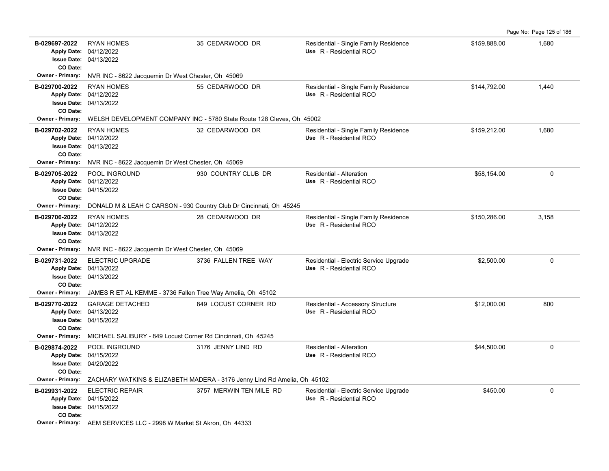| B-029697-2022<br><b>Apply Date:</b><br>CO Date:                       | <b>RYAN HOMES</b><br>04/12/2022<br><b>Issue Date: 04/13/2022</b>                   | 35 CEDARWOOD DR                                                                           | Residential - Single Family Residence<br>Use R - Residential RCO  | \$159,888.00 | 1,680    |
|-----------------------------------------------------------------------|------------------------------------------------------------------------------------|-------------------------------------------------------------------------------------------|-------------------------------------------------------------------|--------------|----------|
| <b>Owner - Primary:</b>                                               | NVR INC - 8622 Jacquemin Dr West Chester, Oh 45069                                 |                                                                                           |                                                                   |              |          |
| B-029700-2022<br>CO Date:                                             | <b>RYAN HOMES</b><br>Apply Date: 04/12/2022<br><b>Issue Date: 04/13/2022</b>       | 55 CEDARWOOD DR                                                                           | Residential - Single Family Residence<br>Use R - Residential RCO  | \$144,792.00 | 1,440    |
| <b>Owner - Primary:</b>                                               |                                                                                    | WELSH DEVELOPMENT COMPANY INC - 5780 State Route 128 Cleves, Oh 45002                     |                                                                   |              |          |
| B-029702-2022<br>CO Date:                                             | <b>RYAN HOMES</b><br>Apply Date: 04/12/2022<br><b>Issue Date: 04/13/2022</b>       | 32 CEDARWOOD DR                                                                           | Residential - Single Family Residence<br>Use R - Residential RCO  | \$159,212.00 | 1.680    |
| <b>Owner - Primary:</b>                                               | NVR INC - 8622 Jacquemin Dr West Chester, Oh 45069                                 |                                                                                           |                                                                   |              |          |
| B-029705-2022<br>CO Date:                                             | <b>POOL INGROUND</b><br>Apply Date: 04/12/2022<br><b>Issue Date: 04/15/2022</b>    | 930 COUNTRY CLUB DR                                                                       | <b>Residential - Alteration</b><br>Use R - Residential RCO        | \$58,154.00  | $\Omega$ |
| Owner - Primary:                                                      |                                                                                    | DONALD M & LEAH C CARSON - 930 Country Club Dr Cincinnati, Oh 45245                       |                                                                   |              |          |
| B-029706-2022<br><b>Apply Date:</b><br><b>Issue Date:</b><br>CO Date: | <b>RYAN HOMES</b><br>04/12/2022<br>04/13/2022                                      | 28 CEDARWOOD DR                                                                           | Residential - Single Family Residence<br>Use R - Residential RCO  | \$150,286.00 | 3,158    |
| <b>Owner - Primary:</b>                                               | NVR INC - 8622 Jacquemin Dr West Chester, Oh 45069                                 |                                                                                           |                                                                   |              |          |
| B-029731-2022<br>CO Date:                                             | <b>ELECTRIC UPGRADE</b><br>Apply Date: 04/13/2022<br><b>Issue Date: 04/13/2022</b> | 3736 FALLEN TREE WAY                                                                      | Residential - Electric Service Upgrade<br>Use R - Residential RCO | \$2,500.00   | $\Omega$ |
| <b>Owner - Primary:</b>                                               | JAMES R ET AL KEMME - 3736 Fallen Tree Way Amelia, Oh 45102                        |                                                                                           |                                                                   |              |          |
| B-029770-2022<br>CO Date:                                             | <b>GARAGE DETACHED</b><br>Apply Date: 04/13/2022<br><b>Issue Date: 04/15/2022</b>  | 849 LOCUST CORNER RD                                                                      | Residential - Accessory Structure<br>Use R - Residential RCO      | \$12,000.00  | 800      |
| <b>Owner - Primary:</b>                                               | MICHAEL SALIBURY - 849 Locust Corner Rd Cincinnati, Oh 45245                       |                                                                                           |                                                                   |              |          |
| B-029874-2022<br>CO Date:                                             | POOL INGROUND<br>Apply Date: 04/15/2022<br><b>Issue Date: 04/20/2022</b>           | 3176 JENNY LIND RD                                                                        | Residential - Alteration<br>Use R - Residential RCO               | \$44,500.00  | 0        |
|                                                                       |                                                                                    | Owner - Primary: ZACHARY WATKINS & ELIZABETH MADERA - 3176 Jenny Lind Rd Amelia, Oh 45102 |                                                                   |              |          |
| B-029931-2022<br>CO Date:                                             | <b>ELECTRIC REPAIR</b><br>Apply Date: 04/15/2022<br><b>Issue Date: 04/15/2022</b>  | 3757 MERWIN TEN MILE RD                                                                   | Residential - Electric Service Upgrade<br>Use R - Residential RCO | \$450.00     | $\Omega$ |
|                                                                       | Owner - Primary: AEM SERVICES LLC - 2998 W Market St Akron, Oh 44333               |                                                                                           |                                                                   |              |          |

Page No: Page 125 of 186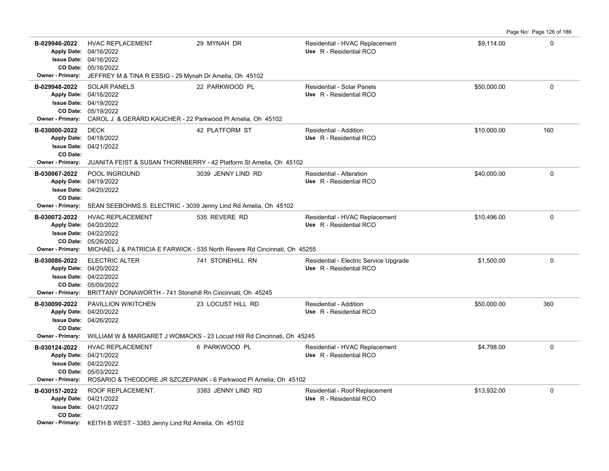|                                                      |                                                                                                                                                                                             |                                                                                                                    |                                                                   |             | Page No: Page 126 of 186 |
|------------------------------------------------------|---------------------------------------------------------------------------------------------------------------------------------------------------------------------------------------------|--------------------------------------------------------------------------------------------------------------------|-------------------------------------------------------------------|-------------|--------------------------|
| B-029946-2022                                        | <b>HVAC REPLACEMENT</b><br>Apply Date: 04/16/2022<br><b>Issue Date: 04/16/2022</b><br>CO Date: 05/16/2022<br>Owner - Primary: JEFFREY M & TINA R ESSIG - 29 Mynah Dr Amelia, Oh 45102       | 29 MYNAH DR                                                                                                        | Residential - HVAC Replacement<br>Use R - Residential RCO         | \$9,114.00  | $\Omega$                 |
| B-029948-2022                                        | <b>SOLAR PANELS</b><br>Apply Date: 04/16/2022<br><b>Issue Date: 04/19/2022</b><br>CO Date: 05/19/2022<br><b>Owner - Primary:</b> CAROL J & GERARD KAUCHER - 22 Parkwood PI Amelia, Oh 45102 | 22 PARKWOOD PL                                                                                                     | <b>Residential - Solar Panels</b><br>Use R - Residential RCO      | \$50,000.00 | $\Omega$                 |
| B-030000-2022<br>CO Date:<br><b>Owner - Primary:</b> | <b>DECK</b><br>Apply Date: 04/18/2022<br><b>Issue Date: 04/21/2022</b>                                                                                                                      | 42 PLATFORM ST<br>JUANITA FEIST & SUSAN THORNBERRY - 42 Platform St Amelia, Oh 45102                               | Residential - Addition<br>Use R - Residential RCO                 | \$10,000.00 | 160                      |
| B-030067-2022<br>CO Date:                            | POOL INGROUND<br>Apply Date: 04/19/2022<br>Issue Date: 04/20/2022<br>Owner - Primary: SEAN SEEBOHMS.S. ELECTRIC - 3039 Jenny Lind Rd Amelia, Oh 45102                                       | 3039 JENNY LIND RD                                                                                                 | <b>Residential - Alteration</b><br>Use R - Residential RCO        | \$40,000.00 | 0                        |
| B-030072-2022                                        | <b>HVAC REPLACEMENT</b><br>Apply Date: 04/20/2022<br><b>Issue Date: 04/22/2022</b><br>CO Date: 05/26/2022                                                                                   | 535 REVERE RD<br><b>Owner - Primary:</b> MICHAEL J & PATRICIA E FARWICK - 535 North Revere Rd Cincinnati, Oh 45255 | Residential - HVAC Replacement<br>Use R - Residential RCO         | \$10.496.00 | $\Omega$                 |
| B-030086-2022                                        | <b>ELECTRIC ALTER</b><br>Apply Date: 04/20/2022<br>Issue Date: 04/22/2022<br>CO Date: 05/09/2022<br><b>Owner - Primary:</b> BRITTANY DONAWORTH - 741 Stonehill Rn Cincinnati, Oh 45245      | 741 STONEHILL RN                                                                                                   | Residential - Electric Service Upgrade<br>Use R - Residential RCO | \$1,500.00  | $\mathbf 0$              |
| B-030090-2022<br>CO Date:                            | <b>PAVILLION W/KITCHEN</b><br>Apply Date: 04/20/2022<br><b>Issue Date: 04/26/2022</b>                                                                                                       | 23 LOCUST HILL RD<br>Owner - Primary: WILLIAM W & MARGARET J WOMACKS - 23 Locust Hill Rd Cincinnati, Oh 45245      | <b>Residential - Addition</b><br>Use R - Residential RCO          | \$50,000.00 | 360                      |
| B-030124-2022                                        | <b>HVAC REPLACEMENT</b><br>Apply Date: 04/21/2022<br><b>Issue Date: 04/22/2022</b><br>CO Date: 05/03/2022                                                                                   | 6 PARKWOOD PL<br>Owner - Primary: ROSARIO & THEODORE JR SZCZEPANIK - 6 Parkwood PI Amelia, Oh 45102                | Residential - HVAC Replacement<br>Use R - Residential RCO         | \$4,798.00  | $\Omega$                 |
| B-030157-2022<br>CO Date:                            | ROOF REPLACEMENT.<br>Apply Date: 04/21/2022<br><b>Issue Date: 04/21/2022</b><br>Owner - Primary: KEITH B WEST - 3383 Jenny Lind Rd Amelia, Oh 45102                                         | 3383 JENNY LIND RD                                                                                                 | Residential - Roof Replacement<br>Use R - Residential RCO         | \$13,932.00 | 0                        |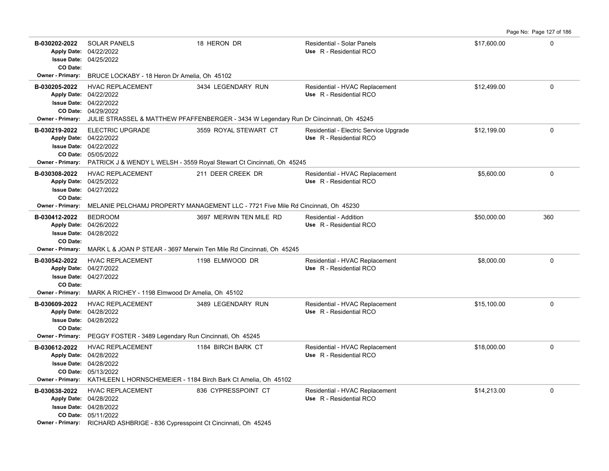| B-030202-2022<br><b>Apply Date:</b><br>CO Date: | <b>SOLAR PANELS</b><br>04/22/2022<br>Issue Date: 04/25/2022                                                                                                         | 18 HERON DR             | Residential - Solar Panels<br>Use R - Residential RCO             | \$17,600.00 | 0           |
|-------------------------------------------------|---------------------------------------------------------------------------------------------------------------------------------------------------------------------|-------------------------|-------------------------------------------------------------------|-------------|-------------|
| B-030205-2022                                   | Owner - Primary: BRUCE LOCKABY - 18 Heron Dr Amelia, Oh 45102<br><b>HVAC REPLACEMENT</b><br>Apply Date: 04/22/2022<br>Issue Date: 04/22/2022<br>CO Date: 04/29/2022 | 3434 LEGENDARY RUN      | Residential - HVAC Replacement<br>Use R - Residential RCO         | \$12,499.00 | 0           |
|                                                 | Owner - Primary: JULIE STRASSEL & MATTHEW PFAFFENBERGER - 3434 W Legendary Run Dr Ciincinnati, Oh 45245                                                             |                         |                                                                   |             |             |
| B-030219-2022                                   | <b>ELECTRIC UPGRADE</b><br>Apply Date: 04/22/2022<br>Issue Date: 04/22/2022<br>CO Date: 05/05/2022                                                                  | 3559 ROYAL STEWART CT   | Residential - Electric Service Upgrade<br>Use R - Residential RCO | \$12,199.00 | 0           |
|                                                 | Owner - Primary: PATRICK J & WENDY L WELSH - 3559 Royal Stewart Ct Cincinnati, Oh 45245                                                                             |                         |                                                                   |             |             |
| B-030308-2022<br>CO Date:                       | <b>HVAC REPLACEMENT</b><br>Apply Date: 04/25/2022<br>Issue Date: 04/27/2022                                                                                         | 211 DEER CREEK DR       | Residential - HVAC Replacement<br>Use R - Residential RCO         | \$5,600.00  | 0           |
| <b>Owner - Primary:</b>                         | MELANIE PELCHAMJ PROPERTY MANAGEMENT LLC - 7721 Five Mile Rd Cincinnati, Oh 45230                                                                                   |                         |                                                                   |             |             |
| B-030412-2022<br>CO Date:                       | <b>BEDROOM</b><br>Apply Date: 04/26/2022<br>Issue Date: 04/28/2022                                                                                                  | 3697 MERWIN TEN MILE RD | Residential - Addition<br>Use R - Residential RCO                 | \$50,000.00 | 360         |
| <b>Owner - Primary:</b>                         | MARK L & JOAN P STEAR - 3697 Merwin Ten Mile Rd Cincinnati, Oh 45245                                                                                                |                         |                                                                   |             |             |
| B-030542-2022<br>CO Date:                       | <b>HVAC REPLACEMENT</b><br>Apply Date: 04/27/2022<br>Issue Date: 04/27/2022                                                                                         | 1198 ELMWOOD DR         | Residential - HVAC Replacement<br>Use R - Residential RCO         | \$8,000.00  | $\Omega$    |
|                                                 | Owner - Primary: MARK A RICHEY - 1198 Elmwood Dr Amelia, Oh 45102                                                                                                   |                         |                                                                   |             |             |
| B-030609-2022<br>CO Date:                       | <b>HVAC REPLACEMENT</b><br>Apply Date: 04/28/2022<br><b>Issue Date: 04/28/2022</b>                                                                                  | 3489 LEGENDARY RUN      | Residential - HVAC Replacement<br>Use R - Residential RCO         | \$15,100.00 | 0           |
|                                                 | Owner - Primary: PEGGY FOSTER - 3489 Legendary Run Cincinnati, Oh 45245                                                                                             |                         |                                                                   |             |             |
| B-030612-2022                                   | <b>HVAC REPLACEMENT</b><br>Apply Date: 04/28/2022<br>Issue Date: 04/28/2022<br>CO Date: 05/13/2022                                                                  | 1184 BIRCH BARK CT      | Residential - HVAC Replacement<br>Use R - Residential RCO         | \$18,000.00 | 0           |
|                                                 | Owner - Primary: KATHLEEN L HORNSCHEMEIER - 1184 Birch Bark Ct Amelia, Oh 45102                                                                                     |                         |                                                                   |             |             |
| B-030638-2022                                   | <b>HVAC REPLACEMENT</b><br>Apply Date: 04/28/2022<br><b>Issue Date: 04/28/2022</b>                                                                                  | 836 CYPRESSPOINT CT     | Residential - HVAC Replacement<br>Use R - Residential RCO         | \$14,213.00 | $\mathbf 0$ |

Page No: Page 127 of 186

05/11/2022 **CO Date:**

**Owner - Primary:** RICHARD ASHBRIGE - 836 Cypresspoint Ct Cincinnati, Oh 45245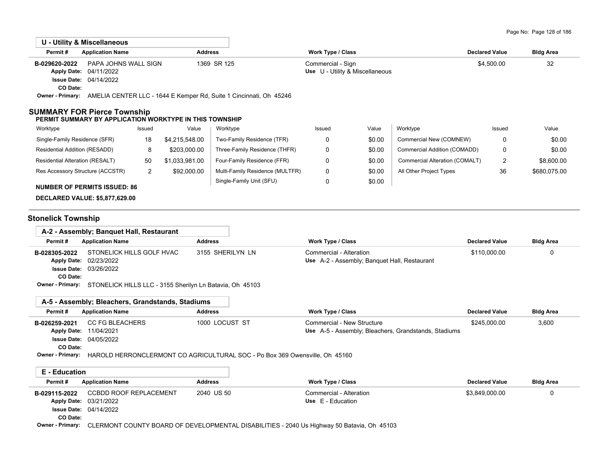|                           | U - Utility & Miscellaneous                                                                   |                |                                                      |                       |                  |
|---------------------------|-----------------------------------------------------------------------------------------------|----------------|------------------------------------------------------|-----------------------|------------------|
| Permit#                   | <b>Application Name</b>                                                                       | <b>Address</b> | Work Type / Class                                    | <b>Declared Value</b> | <b>Bldg Area</b> |
| B-029620-2022<br>CO Date: | PAPA JOHNS WALL SIGN<br><b>Apply Date: 04/11/2022</b><br><b>Issue Date: 04/14/2022</b>        | 1369 SR 125    | Commercial - Sign<br>Use U - Utility & Miscellaneous | \$4,500.00            | 32               |
|                           | Owner - Primary: AMELIA CENTER LLC - 1644 E Kemper Rd, Suite 1 Cincinnati, Oh 45246           |                |                                                      |                       |                  |
|                           | <b>SUMMARY FOR Pierce Township</b><br>PERMIT SUMMARY BY APPLICATION WORKTYPE IN THIS TOWNSHIP |                |                                                      |                       |                  |

| Worktype                               | Issued | Value          | Worktype                        | Issued | Value  | Worktype                       | Issued | Value        |
|----------------------------------------|--------|----------------|---------------------------------|--------|--------|--------------------------------|--------|--------------|
| Single-Family Residence (SFR)          | 18     | \$4.215.548.00 | Two-Family Residence (TFR)      |        | \$0.00 | Commercial New (COMNEW)        | 0      | \$0.00       |
| Residential Addition (RESADD)          |        | \$203,000.00   | Three-Family Residence (THFR)   |        | \$0.00 | Commercial Addition (COMADD)   | 0      | \$0.00       |
| <b>Residential Alteration (RESALT)</b> | 50     | \$1,033,981.00 | Four-Family Residence (FFR)     |        | \$0.00 | Commercial Alteration (COMALT) | າ<br>∠ | \$8,600.00   |
| Res Accessory Structure (ACCSTR)       | _      | \$92,000.00    | Multi-Family Residence (MULTFR) |        | \$0.00 | All Other Project Types        | 36     | \$680,075.00 |
| MIIMDED OF DEDMITS ISSUED, OF          |        |                | Single-Family Unit (SFU)        |        | \$0.00 |                                |        |              |

**NUMBER OF PERMITS ISSUED: 86**

**DECLARED VALUE: \$5,877,629.00**

# **Stonelick Township**

|                         | A-2 - Assembly; Banguet Hall, Restaurant                 |                  |                                                      |                       |                  |
|-------------------------|----------------------------------------------------------|------------------|------------------------------------------------------|-----------------------|------------------|
| Permit#                 | <b>Application Name</b>                                  | <b>Address</b>   | <b>Work Type / Class</b>                             | <b>Declared Value</b> | <b>Bldg Area</b> |
| B-028305-2022           | STONELICK HILLS GOLF HVAC                                | 3155 SHERILYN LN | Commercial - Alteration                              | \$110,000.00          |                  |
| <b>Apply Date:</b>      | 02/23/2022                                               |                  | Use A-2 - Assembly; Banquet Hall, Restaurant         |                       |                  |
|                         | <b>Issue Date: 03/26/2022</b>                            |                  |                                                      |                       |                  |
| CO Date:                |                                                          |                  |                                                      |                       |                  |
| <b>Owner - Primary:</b> | STONELICK HILLS LLC - 3155 Sherilyn Ln Batavia, Oh 45103 |                  |                                                      |                       |                  |
|                         |                                                          |                  |                                                      |                       |                  |
|                         |                                                          |                  |                                                      |                       |                  |
|                         | A-5 - Assembly; Bleachers, Grandstands, Stadiums         |                  |                                                      |                       |                  |
| Permit#                 | <b>Application Name</b>                                  | <b>Address</b>   | <b>Work Type / Class</b>                             | <b>Declared Value</b> | <b>Bldg Area</b> |
| B-026259-2021           | <b>CC FG BLEACHERS</b>                                   | 1000 LOCUST ST   | Commercial - New Structure                           | \$245,000.00          | 3,600            |
| <b>Apply Date:</b>      | 11/04/2021                                               |                  | Use A-5 - Assembly; Bleachers, Grandstands, Stadiums |                       |                  |
|                         | <b>Issue Date: 04/05/2022</b>                            |                  |                                                      |                       |                  |
| CO Date:                |                                                          |                  |                                                      |                       |                  |

| Permit#          | <b>Application Name</b>       | <b>Address</b>                                                                             | Work Type / Class       | <b>Declared Value</b> | <b>Bldg Area</b> |
|------------------|-------------------------------|--------------------------------------------------------------------------------------------|-------------------------|-----------------------|------------------|
| B-029115-2022    | <b>CCBDD ROOF REPLACEMENT</b> | 2040 US 50                                                                                 | Commercial - Alteration | \$3.849.000.00        |                  |
|                  | Apply Date: 03/21/2022        |                                                                                            | Use $E -$ Education     |                       |                  |
|                  | <b>Issue Date: 04/14/2022</b> |                                                                                            |                         |                       |                  |
| CO Date:         |                               |                                                                                            |                         |                       |                  |
| Owner - Primary: |                               | CLERMONT COUNTY BOARD OF DEVELOPMENTAL DISABILITIES - 2040 Us Highway 50 Batavia, Oh 45103 |                         |                       |                  |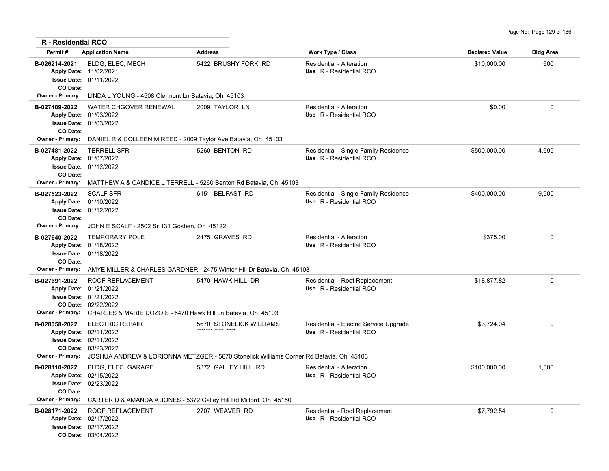| R - Residential RCO                                  |                                                                                                                                                                           |                                                                                                                   |                                                                   |                       |                  |
|------------------------------------------------------|---------------------------------------------------------------------------------------------------------------------------------------------------------------------------|-------------------------------------------------------------------------------------------------------------------|-------------------------------------------------------------------|-----------------------|------------------|
| Permit#                                              | <b>Application Name</b>                                                                                                                                                   | <b>Address</b>                                                                                                    | <b>Work Type / Class</b>                                          | <b>Declared Value</b> | <b>Bldg Area</b> |
| B-026214-2021<br>CO Date:                            | <b>BLDG, ELEC, MECH</b><br>Apply Date: 11/02/2021<br>Issue Date: 01/11/2022                                                                                               | 5422 BRUSHY FORK RD                                                                                               | Residential - Alteration<br>Use R - Residential RCO               | \$10,000.00           | 600              |
| Owner - Primary:                                     | LINDA L YOUNG - 4508 Clermont Ln Batavia, Oh 45103                                                                                                                        |                                                                                                                   |                                                                   |                       |                  |
| B-027409-2022<br>CO Date:<br><b>Owner - Primary:</b> | WATER CHGOVER RENEWAL<br>Apply Date: 01/03/2022<br><b>Issue Date: 01/03/2022</b><br>DANIEL R & COLLEEN M REED - 2009 Taylor Ave Batavia, Oh 45103                         | 2009 TAYLOR LN                                                                                                    | Residential - Alteration<br>Use R - Residential RCO               | \$0.00                | $\mathbf 0$      |
| B-027481-2022<br>CO Date:<br><b>Owner - Primary:</b> | <b>TERRELL SFR</b><br>Apply Date: 01/07/2022<br>Issue Date: 01/12/2022                                                                                                    | 5260 BENTON RD<br>MATTHEW A & CANDICE L TERRELL - 5260 Benton Rd Batavia, Oh 45103                                | Residential - Single Family Residence<br>Use R - Residential RCO  | \$500,000.00          | 4,999            |
| B-027523-2022<br>CO Date:                            | <b>SCALF SFR</b><br>Apply Date: 01/10/2022<br><b>Issue Date: 01/12/2022</b>                                                                                               | 6151 BELFAST RD                                                                                                   | Residential - Single Family Residence<br>Use R - Residential RCO  | \$400,000.00          | 9,900            |
| Owner - Primary:                                     | JOHN E SCALF - 2502 Sr 131 Goshen, Oh 45122                                                                                                                               |                                                                                                                   |                                                                   |                       |                  |
| B-027640-2022<br>CO Date:<br><b>Owner - Primary:</b> | <b>TEMPORARY POLE</b><br>Apply Date: 01/18/2022<br>Issue Date: 01/18/2022<br>AMYE MILLER & CHARLES GARDNER - 2475 Winter Hill Dr Batavia, Oh 45103                        | 2475 GRAVES RD                                                                                                    | Residential - Alteration<br>Use R - Residential RCO               | \$375.00              | $\mathbf{0}$     |
| B-027691-2022<br><b>Owner - Primary:</b>             | <b>ROOF REPLACEMENT</b><br>Apply Date: 01/21/2022<br><b>Issue Date: 01/21/2022</b><br>CO Date: 02/22/2022<br>CHARLES & MARIE DOZOIS - 5470 Hawk Hill Ln Batavia, Oh 45103 | 5470 HAWK HILL DR                                                                                                 | Residential - Roof Replacement<br>Use R - Residential RCO         | \$18,877.82           | $\mathbf 0$      |
| B-028058-2022<br><b>Owner - Primary:</b>             | <b>ELECTRIC REPAIR</b><br>Apply Date: 02/11/2022<br>Issue Date: 02/11/2022<br>CO Date: 03/23/2022                                                                         | 5670 STONELICK WILLIAMS<br>JOSHUA ANDREW & LORIONNA METZGER - 5670 Stonelick Williams Corner Rd Batavia, Oh 45103 | Residential - Electric Service Upgrade<br>Use R - Residential RCO | \$3.724.04            | $\mathbf{0}$     |
| B-028110-2022<br>CO Date:                            | BLDG, ELEC, GARAGE<br>Apply Date: 02/15/2022<br>Issue Date: 02/23/2022                                                                                                    | 5372 GALLEY HILL RD                                                                                               | Residential - Alteration<br>Use R - Residential RCO               | \$100,000.00          | 1,800            |
| Owner - Primary:<br>B-028171-2022                    | CARTER D & AMANDA A JONES - 5372 Galley Hill Rd Milford, Oh 45150<br>ROOF REPLACEMENT<br>Apply Date: 02/17/2022<br><b>Issue Date: 02/17/2022</b>                          | 2707 WEAVER RD                                                                                                    | Residential - Roof Replacement<br>Use R - Residential RCO         | \$7,792.54            | $\mathbf{0}$     |

03/04/2022 **CO Date:**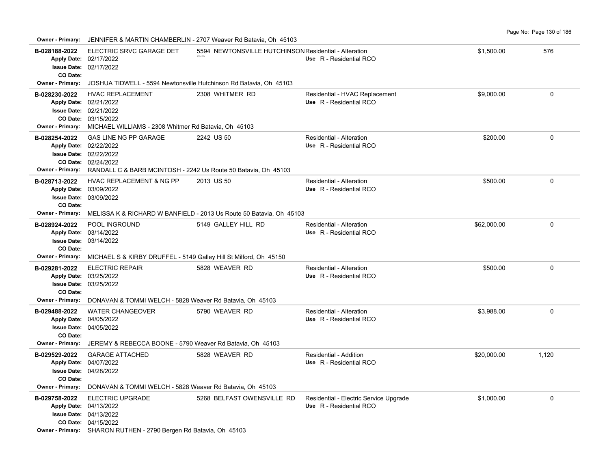Page No: Page 130 of 186

| <b>Owner - Primary:</b>                                            |                                                                                                                                                            | JENNIFER & MARTIN CHAMBERLIN - 2707 Weaver Rd Batavia, Oh 45103                   |                                                                   |             |             |
|--------------------------------------------------------------------|------------------------------------------------------------------------------------------------------------------------------------------------------------|-----------------------------------------------------------------------------------|-------------------------------------------------------------------|-------------|-------------|
| B-028188-2022<br>CO Date:                                          | ELECTRIC SRVC GARAGE DET<br>Apply Date: 02/17/2022<br>Issue Date: 02/17/2022                                                                               | 5594 NEWTONSVILLE HUTCHINSON Residential - Alteration                             | Use R - Residential RCO                                           | \$1,500.00  | 576         |
| Owner - Primary:                                                   | JOSHUA TIDWELL - 5594 Newtonsville Hutchinson Rd Batavia, Oh 45103                                                                                         |                                                                                   |                                                                   |             |             |
| B-028230-2022<br><b>Owner - Primary:</b>                           | <b>HVAC REPLACEMENT</b><br>Apply Date: 02/21/2022<br>Issue Date: 02/21/2022<br>CO Date: 03/15/2022<br>MICHAEL WILLIAMS - 2308 Whitmer Rd Batavia, Oh 45103 | 2308 WHITMER RD                                                                   | Residential - HVAC Replacement<br>Use R - Residential RCO         | \$9,000.00  | $\mathbf 0$ |
| B-028254-2022<br>Apply Date: 02/22/2022<br><b>Owner - Primary:</b> | <b>GAS LINE NG PP GARAGE</b><br>Issue Date: 02/22/2022<br>CO Date: 02/24/2022<br>RANDALL C & BARB MCINTOSH - 2242 Us Route 50 Batavia, Oh 45103            | 2242 US 50                                                                        | Residential - Alteration<br>Use R - Residential RCO               | \$200.00    | $\mathbf 0$ |
| B-028713-2022<br>CO Date:<br><b>Owner - Primary:</b>               | HVAC REPLACEMENT & NG PP<br>Apply Date: 03/09/2022<br><b>Issue Date: 03/09/2022</b>                                                                        | 2013 US 50<br>MELISSA K & RICHARD W BANFIELD - 2013 Us Route 50 Batavia, Oh 45103 | <b>Residential - Alteration</b><br>Use R - Residential RCO        | \$500.00    | $\mathbf 0$ |
| B-028924-2022<br>CO Date:                                          | POOL INGROUND<br>Apply Date: 03/14/2022<br><b>Issue Date: 03/14/2022</b>                                                                                   | 5149 GALLEY HILL RD                                                               | Residential - Alteration<br>Use R - Residential RCO               | \$62,000.00 | 0           |
| <b>Owner - Primary:</b>                                            | MICHAEL S & KIRBY DRUFFEL - 5149 Galley Hill St Milford, Oh 45150                                                                                          |                                                                                   |                                                                   |             |             |
| B-029281-2022<br>CO Date:<br>Owner - Primary:                      | <b>ELECTRIC REPAIR</b><br>Apply Date: 03/25/2022<br><b>Issue Date: 03/25/2022</b><br>DONAVAN & TOMMI WELCH - 5828 Weaver Rd Batavia, Oh 45103              | 5828 WEAVER RD                                                                    | Residential - Alteration<br>Use R - Residential RCO               | \$500.00    | $\mathbf 0$ |
| B-029488-2022<br>CO Date:<br><b>Owner - Primary:</b>               | <b>WATER CHANGEOVER</b><br>Apply Date: 04/05/2022<br><b>Issue Date: 04/05/2022</b><br>JEREMY & REBECCA BOONE - 5790 Weaver Rd Batavia, Oh 45103            | 5790 WEAVER RD                                                                    | Residential - Alteration<br>Use R - Residential RCO               | \$3,988.00  | $\mathbf 0$ |
| B-029529-2022<br>CO Date:                                          | <b>GARAGE ATTACHED</b><br>Apply Date: 04/07/2022<br><b>Issue Date: 04/28/2022</b>                                                                          | 5828 WEAVER RD                                                                    | Residential - Addition<br>Use R - Residential RCO                 | \$20,000.00 | 1,120       |
| Owner - Primary:<br>B-029758-2022<br>Apply Date: 04/13/2022        | DONAVAN & TOMMI WELCH - 5828 Weaver Rd Batavia, Oh 45103<br><b>ELECTRIC UPGRADE</b><br><b>Issue Date: 04/13/2022</b><br>CO Date: 04/15/2022                | 5268 BELFAST OWENSVILLE RD                                                        | Residential - Electric Service Upgrade<br>Use R - Residential RCO | \$1,000.00  | $\mathbf 0$ |

**Owner - Primary:** SHARON RUTHEN - 2790 Bergen Rd Batavia, Oh 45103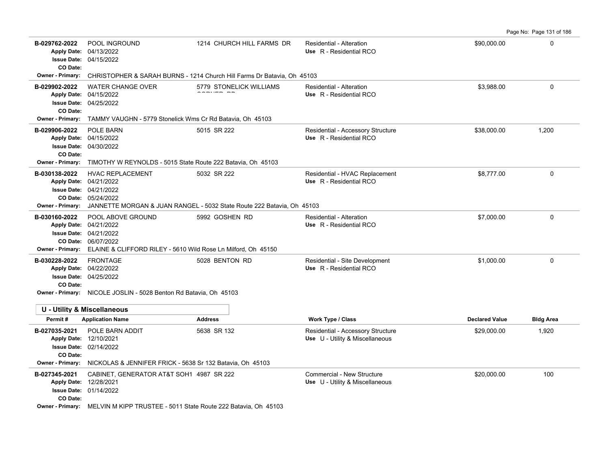B-029762-2022 POOL INGROUND 1214 CHURCH HILL FARMS DR Residential - Alteration 590,000.00 000000 000000000000000 **Apply Date: Use** R - Residential RCO

Page No: Page 131 of 186

| CO Date:<br>Owner - Primary:             | CHRISTOPHER & SARAH BURNS - 1214 Church Hill Farms Dr Batavia, Oh 45103                                                                                              |                         |                                                                      |                       |                  |
|------------------------------------------|----------------------------------------------------------------------------------------------------------------------------------------------------------------------|-------------------------|----------------------------------------------------------------------|-----------------------|------------------|
| B-029902-2022<br>CO Date:                | <b>WATER CHANGE OVER</b><br>Apply Date: 04/15/2022<br>Issue Date: 04/25/2022                                                                                         | 5779 STONELICK WILLIAMS | Residential - Alteration<br>Use R - Residential RCO                  | \$3,988.00            | 0                |
| <b>Owner - Primary:</b>                  | TAMMY VAUGHN - 5779 Stonelick Wms Cr Rd Batavia, Oh 45103                                                                                                            |                         |                                                                      |                       |                  |
| B-029906-2022<br>CO Date:                | POLE BARN<br>Apply Date: 04/15/2022<br><b>Issue Date: 04/30/2022</b>                                                                                                 | 5015 SR 222             | Residential - Accessory Structure<br>Use R - Residential RCO         | \$38,000.00           | 1,200            |
| Owner - Primary:                         | TIMOTHY W REYNOLDS - 5015 State Route 222 Batavia, Oh 45103                                                                                                          |                         |                                                                      |                       |                  |
| B-030138-2022                            | <b>HVAC REPLACEMENT</b><br>Apply Date: 04/21/2022<br>Issue Date: 04/21/2022<br>CO Date: 05/24/2022                                                                   | 5032 SR 222             | Residential - HVAC Replacement<br>Use R - Residential RCO            | \$8,777.00            | $\mathbf 0$      |
| Owner - Primary:                         | JANNETTE MORGAN & JUAN RANGEL - 5032 State Route 222 Batavia, Oh 45103                                                                                               |                         |                                                                      |                       |                  |
| B-030160-2022<br><b>Owner - Primary:</b> | POOL ABOVE GROUND<br>Apply Date: 04/21/2022<br><b>Issue Date: 04/21/2022</b><br>CO Date: 06/07/2022<br>ELAINE & CLIFFORD RILEY - 5610 Wild Rose Ln Milford, Oh 45150 | 5992 GOSHEN RD          | Residential - Alteration<br>Use R - Residential RCO                  | \$7,000.00            | 0                |
| B-030228-2022<br>CO Date:                | <b>FRONTAGE</b><br>Apply Date: 04/22/2022<br><b>Issue Date: 04/25/2022</b><br>Owner - Primary: NICOLE JOSLIN - 5028 Benton Rd Batavia, Oh 45103                      | 5028 BENTON RD          | Residential - Site Development<br>Use R - Residential RCO            | \$1,000.00            | $\mathbf{0}$     |
|                                          | <b>U - Utility &amp; Miscellaneous</b>                                                                                                                               |                         |                                                                      |                       |                  |
| Permit#                                  | <b>Application Name</b>                                                                                                                                              | <b>Address</b>          | <b>Work Type / Class</b>                                             | <b>Declared Value</b> | <b>Bldg Area</b> |
| B-027035-2021<br>CO Date:                | POLE BARN ADDIT<br>Apply Date: 12/10/2021<br><b>Issue Date: 02/14/2022</b>                                                                                           | 5638 SR 132             | Residential - Accessory Structure<br>Use U - Utility & Miscellaneous | \$29,000.00           | 1,920            |
|                                          | Owner - Primary: NICKOLAS & JENNIFER FRICK - 5638 Sr 132 Batavia, Oh 45103                                                                                           |                         |                                                                      |                       |                  |
| B-027345-2021<br>CO Date:                | CABINET, GENERATOR AT&T SOH1 4987 SR 222<br>Apply Date: 12/28/2021<br><b>Issue Date: 01/14/2022</b>                                                                  |                         | Commercial - New Structure<br>Use U - Utility & Miscellaneous        | \$20,000.00           | 100              |
|                                          | Owner - Primary: MELVINM KIDD TDUSTEE - 5011 State Doute 222 Ratavia Ob 45103                                                                                        |                         |                                                                      |                       |                  |

1214 CHURCH HILL FARMS DR

**Owner - Primary:** MELVIN M KIPP TRUSTEE - 5011 State Route 222 Batavia, Oh 45103

04/15/2022 **Issue Date:** Apply Date: 04/13/2022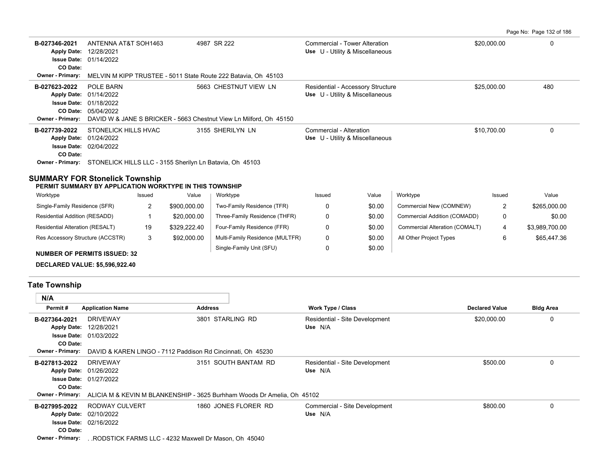Page No: Page 132 of 186

| 4987 SR 222<br>\$20,000.00<br>ANTENNA AT&T SOH1463<br>Commercial - Tower Alteration<br>0<br>B-027346-2021<br>Use U - Utility & Miscellaneous<br>Apply Date: 12/28/2021<br><b>Issue Date: 01/14/2022</b><br>CO Date:<br>Owner - Primary:<br>MELVIN M KIPP TRUSTEE - 5011 State Route 222 Batavia, Oh 45103<br>POLE BARN<br>480<br>5663 CHESTNUT VIEW LN<br>\$25,000.00<br>Residential - Accessory Structure<br>B-027623-2022<br>Use U - Utility & Miscellaneous<br>Apply Date: 01/14/2022<br><b>Issue Date: 01/18/2022</b><br><b>CO Date: 05/04/2022</b><br>DAVID W & JANE S BRICKER - 5663 Chestnut View Ln Milford, Oh 45150<br>Owner - Primary:<br>STONELICK HILLS HVAC<br>3155 SHERILYN LN<br>\$10,700.00<br>B-027739-2022<br>Commercial - Alteration<br>0<br>Use U - Utility & Miscellaneous<br>Apply Date: 01/24/2022<br><b>Issue Date: 02/04/2022</b><br>CO Date:<br>STONELICK HILLS LLC - 3155 Sherilyn Ln Batavia, Oh 45103<br><b>Owner - Primary:</b> |  |  |  |
|----------------------------------------------------------------------------------------------------------------------------------------------------------------------------------------------------------------------------------------------------------------------------------------------------------------------------------------------------------------------------------------------------------------------------------------------------------------------------------------------------------------------------------------------------------------------------------------------------------------------------------------------------------------------------------------------------------------------------------------------------------------------------------------------------------------------------------------------------------------------------------------------------------------------------------------------------------------|--|--|--|
|                                                                                                                                                                                                                                                                                                                                                                                                                                                                                                                                                                                                                                                                                                                                                                                                                                                                                                                                                                |  |  |  |
|                                                                                                                                                                                                                                                                                                                                                                                                                                                                                                                                                                                                                                                                                                                                                                                                                                                                                                                                                                |  |  |  |
|                                                                                                                                                                                                                                                                                                                                                                                                                                                                                                                                                                                                                                                                                                                                                                                                                                                                                                                                                                |  |  |  |
|                                                                                                                                                                                                                                                                                                                                                                                                                                                                                                                                                                                                                                                                                                                                                                                                                                                                                                                                                                |  |  |  |

## **SUMMARY FOR Stonelick Township**

**PERMIT SUMMARY BY APPLICATION WORKTYPE IN THIS TOWNSHIP**

| Worktype                               | Issued | Value        | Worktype                        | Issued | Value  | Worktype                       | Issued | Value          |
|----------------------------------------|--------|--------------|---------------------------------|--------|--------|--------------------------------|--------|----------------|
| Single-Family Residence (SFR)          |        | \$900,000.00 | Two-Family Residence (TFR)      |        | \$0.00 | Commercial New (COMNEW)        | -      | \$265,000.00   |
| Residential Addition (RESADD)          |        | \$20,000.00  | Three-Family Residence (THFR)   |        | \$0.00 | Commercial Addition (COMADD)   |        | \$0.00         |
| <b>Residential Alteration (RESALT)</b> | 19     | \$329.222.40 | Four-Family Residence (FFR)     |        | \$0.00 | Commercial Alteration (COMALT) | 4      | \$3,989,700.00 |
| Res Accessory Structure (ACCSTR)       | 3      | \$92,000.00  | Multi-Family Residence (MULTFR) |        | \$0.00 | All Other Project Types        |        | \$65,447.36    |
| <b>NUMBER OF PERMITS ISSUED: 32</b>    |        |              | Single-Family Unit (SFU)        |        | \$0.00 |                                |        |                |

**DECLARED VALUE: \$5,596,922.40**

# **Tate Township**

| N/A                     |                                                                                                 |                      |                                |                       |                  |
|-------------------------|-------------------------------------------------------------------------------------------------|----------------------|--------------------------------|-----------------------|------------------|
| Permit#                 | <b>Application Name</b>                                                                         | <b>Address</b>       | Work Type / Class              | <b>Declared Value</b> | <b>Bldg Area</b> |
| B-027364-2021           | <b>DRIVEWAY</b>                                                                                 | 3801 STARLING RD     | Residential - Site Development | \$20,000.00           | $\Omega$         |
|                         | Apply Date: 12/28/2021                                                                          |                      | Use N/A                        |                       |                  |
|                         | <b>Issue Date: 01/03/2022</b>                                                                   |                      |                                |                       |                  |
| CO Date:                |                                                                                                 |                      |                                |                       |                  |
|                         | Owner - Primary: DAVID & KAREN LINGO - 7112 Paddison Rd Cincinnati, Oh 45230                    |                      |                                |                       |                  |
| B-027813-2022           | DRIVEWAY                                                                                        | 3151 SOUTH BANTAM RD | Residential - Site Development | \$500.00              | 0                |
|                         | Apply Date: 01/26/2022                                                                          |                      | Use N/A                        |                       |                  |
|                         | <b>Issue Date: 01/27/2022</b>                                                                   |                      |                                |                       |                  |
| CO Date:                |                                                                                                 |                      |                                |                       |                  |
|                         | <b>Owner - Primary:</b> ALICIA M & KEVIN M BLANKENSHIP - 3625 Burhham Woods Dr Amelia, Oh 45102 |                      |                                |                       |                  |
| B-027995-2022           | RODWAY CULVERT                                                                                  | 1860 JONES FLORER RD | Commercial - Site Development  | \$800.00              | 0                |
|                         | Apply Date: 02/10/2022                                                                          |                      | Use N/A                        |                       |                  |
|                         | <b>Issue Date: 02/16/2022</b>                                                                   |                      |                                |                       |                  |
| CO Date:                |                                                                                                 |                      |                                |                       |                  |
| <b>Owner - Primary:</b> | RODSTICK FARMS LLC - 4232 Maxwell Dr Mason, Oh 45040                                            |                      |                                |                       |                  |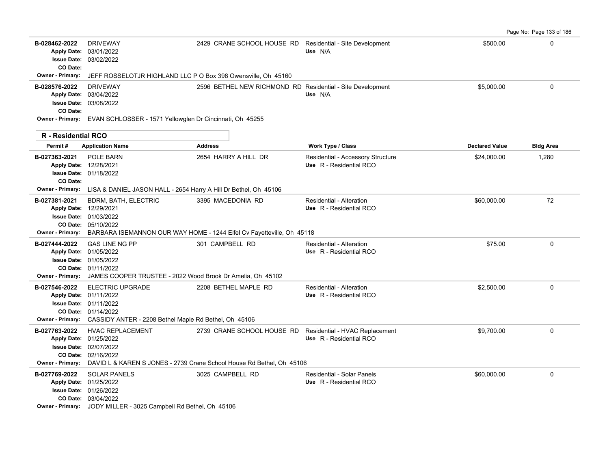|                                                                     |                                                                                                                                                                                               |                                                                                                                      |                                                              |                       | Page No: Page 133 of 186 |
|---------------------------------------------------------------------|-----------------------------------------------------------------------------------------------------------------------------------------------------------------------------------------------|----------------------------------------------------------------------------------------------------------------------|--------------------------------------------------------------|-----------------------|--------------------------|
| B-028462-2022<br><b>Issue Date:</b><br>CO Date:                     | <b>DRIVEWAY</b><br>Apply Date: 03/01/2022<br>03/02/2022                                                                                                                                       | 2429 CRANE SCHOOL HOUSE RD Residential - Site Development                                                            | Use N/A                                                      | \$500.00              | $\Omega$                 |
| <b>Owner - Primary:</b>                                             | JEFF ROSSELOTJR HIGHLAND LLC P O Box 398 Owensville, Oh 45160                                                                                                                                 |                                                                                                                      |                                                              |                       |                          |
| B-028576-2022<br><b>Issue Date:</b><br>CO Date:<br>Owner - Primary: | <b>DRIVEWAY</b><br>Apply Date: 03/04/2022<br>03/08/2022<br>EVAN SCHLOSSER - 1571 Yellowglen Dr Cincinnati, Oh 45255                                                                           | 2596 BETHEL NEW RICHMOND RD Residential - Site Development                                                           | Use N/A                                                      | \$5,000.00            | 0                        |
| R - Residential RCO                                                 |                                                                                                                                                                                               |                                                                                                                      |                                                              |                       |                          |
| Permit#                                                             | <b>Application Name</b>                                                                                                                                                                       | <b>Address</b>                                                                                                       | <b>Work Type / Class</b>                                     | <b>Declared Value</b> | <b>Bldg Area</b>         |
| B-027363-2021<br>Apply Date: 12/28/2021<br>CO Date:                 | POLE BARN<br><b>Issue Date: 01/18/2022</b><br>Owner - Primary: LISA & DANIEL JASON HALL - 2654 Harry A Hill Dr Bethel, Oh 45106                                                               | 2654 HARRY A HILL DR                                                                                                 | Residential - Accessory Structure<br>Use R - Residential RCO | \$24,000.00           | 1,280                    |
| B-027381-2021<br>Apply Date: 12/29/2021<br><b>Owner - Primary:</b>  | <b>BDRM, BATH, ELECTRIC</b><br><b>Issue Date: 01/03/2022</b><br>CO Date: 05/10/2022                                                                                                           | 3395 MACEDONIA RD<br>BARBARA ISEMANNON OUR WAY HOME - 1244 Eifel Cv Fayetteville, Oh 45118                           | Residential - Alteration<br>Use R - Residential RCO          | \$60,000.00           | 72                       |
| B-027444-2022                                                       | <b>GAS LINE NG PP</b><br>Apply Date: 01/05/2022<br><b>Issue Date: 01/05/2022</b><br>CO Date: 01/11/2022<br><b>Owner - Primary:</b> JAMES COOPER TRUSTEE - 2022 Wood Brook Dr Amelia, Oh 45102 | 301 CAMPBELL RD                                                                                                      | <b>Residential - Alteration</b><br>Use R - Residential RCO   | \$75.00               | $\mathbf 0$              |
| B-027546-2022                                                       | <b>ELECTRIC UPGRADE</b><br>Apply Date: 01/11/2022<br><b>Issue Date: 01/11/2022</b><br>CO Date: 01/14/2022<br>Owner - Primary: CASSIDY ANTER - 2208 Bethel Maple Rd Bethel, Oh 45106           | 2208 BETHEL MAPLE RD                                                                                                 | Residential - Alteration<br>Use R - Residential RCO          | \$2,500.00            | $\Omega$                 |
| B-027763-2022                                                       | <b>HVAC REPLACEMENT</b><br>Apply Date: 01/25/2022<br><b>Issue Date: 02/07/2022</b><br>CO Date: 02/16/2022                                                                                     | 2739 CRANE SCHOOL HOUSE RD<br>Owner - Primary: DAVID L & KAREN S JONES - 2739 Crane School House Rd Bethel, Oh 45106 | Residential - HVAC Replacement<br>Use R - Residential RCO    | \$9,700.00            | 0                        |
| B-027769-2022                                                       | <b>SOLAR PANELS</b><br>Apply Date: 01/25/2022<br><b>Issue Date: 01/26/2022</b><br>CO Date: 03/04/2022<br><b>Owner - Primary:</b> JODY MILLER - 3025 Campbell Rd Bethel, Oh 45106              | 3025 CAMPBELL RD                                                                                                     | Residential - Solar Panels<br>Use R - Residential RCO        | \$60,000.00           | $\Omega$                 |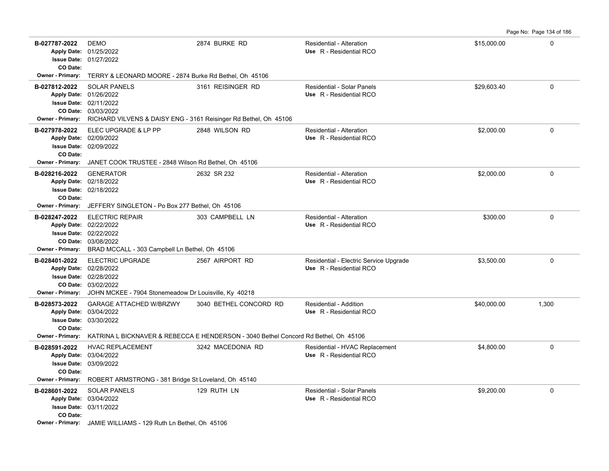Page No: Page 134 of 186

| B-027787-2022<br>CO Date:                            | <b>DEMO</b><br>Apply Date: 01/25/2022<br><b>Issue Date: 01/27/2022</b>                                                                                                                                        | 2874 BURKE RD                                                                       | Residential - Alteration<br>Use R - Residential RCO               | \$15,000.00 | 0           |
|------------------------------------------------------|---------------------------------------------------------------------------------------------------------------------------------------------------------------------------------------------------------------|-------------------------------------------------------------------------------------|-------------------------------------------------------------------|-------------|-------------|
| <b>Owner - Primary:</b>                              | TERRY & LEONARD MOORE - 2874 Burke Rd Bethel, Oh 45106                                                                                                                                                        |                                                                                     |                                                                   |             |             |
| B-027812-2022<br><b>Owner - Primary:</b>             | <b>SOLAR PANELS</b><br>Apply Date: 01/26/2022<br><b>Issue Date: 02/11/2022</b><br>CO Date: 03/03/2022<br>RICHARD VILVENS & DAISY ENG - 3161 Reisinger Rd Bethel, Oh 45106                                     | 3161 REISINGER RD                                                                   | Residential - Solar Panels<br>Use R - Residential RCO             | \$29,603.40 | 0           |
| B-027978-2022<br>CO Date:<br><b>Owner - Primary:</b> | ELEC UPGRADE & LP PP<br>Apply Date: 02/09/2022<br><b>Issue Date: 02/09/2022</b><br>JANET COOK TRUSTEE - 2848 Wilson Rd Bethel, Oh 45106                                                                       | 2848 WILSON RD                                                                      | Residential - Alteration<br>Use R - Residential RCO               | \$2,000.00  | 0           |
| B-028216-2022<br>CO Date:<br><b>Owner - Primary:</b> | <b>GENERATOR</b><br>Apply Date: 02/18/2022<br><b>Issue Date: 02/18/2022</b>                                                                                                                                   | 2632 SR 232                                                                         | Residential - Alteration<br>Use R - Residential RCO               | \$2,000.00  | 0           |
| B-028247-2022<br><b>Owner - Primary:</b>             | JEFFERY SINGLETON - Po Box 277 Bethel, Oh 45106<br><b>ELECTRIC REPAIR</b><br>Apply Date: 02/22/2022<br><b>Issue Date: 02/22/2022</b><br>CO Date: 03/08/2022<br>BRAD MCCALL - 303 Campbell Ln Bethel, Oh 45106 | 303 CAMPBELL LN                                                                     | Residential - Alteration<br>Use R - Residential RCO               | \$300.00    | $\mathbf 0$ |
| B-028401-2022<br><b>Owner - Primary:</b>             | <b>ELECTRIC UPGRADE</b><br>Apply Date: 02/28/2022<br><b>Issue Date: 02/28/2022</b><br>CO Date: 03/02/2022<br>JOHN MCKEE - 7904 Stonemeadow Dr Louisville, Ky 40218                                            | 2567 AIRPORT RD                                                                     | Residential - Electric Service Upgrade<br>Use R - Residential RCO | \$3,500.00  | 0           |
| B-028573-2022<br>CO Date:                            | <b>GARAGE ATTACHED W/BRZWY</b><br>Apply Date: 03/04/2022<br><b>Issue Date: 03/30/2022</b>                                                                                                                     | 3040 BETHEL CONCORD RD                                                              | Residential - Addition<br>Use R - Residential RCO                 | \$40,000.00 | 1,300       |
| <b>Owner - Primary:</b>                              |                                                                                                                                                                                                               | KATRINA L BICKNAVER & REBECCA E HENDERSON - 3040 Bethel Concord Rd Bethel, Oh 45106 |                                                                   |             |             |
| B-028591-2022<br>CO Date:<br><b>Owner - Primary:</b> | <b>HVAC REPLACEMENT</b><br>Apply Date: 03/04/2022<br><b>Issue Date: 03/09/2022</b><br>ROBERT ARMSTRONG - 381 Bridge St Loveland, Oh 45140                                                                     | 3242 MACEDONIA RD                                                                   | Residential - HVAC Replacement<br>Use R - Residential RCO         | \$4,800.00  | 0           |
| B-028601-2022                                        | <b>SOLAR PANELS</b>                                                                                                                                                                                           | 129 RUTH LN                                                                         | <b>Residential - Solar Panels</b>                                 | \$9,200.00  | 0           |
| CO Date:                                             | Apply Date: 03/04/2022<br><b>Issue Date: 03/11/2022</b>                                                                                                                                                       |                                                                                     | Use R - Residential RCO                                           |             |             |
|                                                      | Owner - Primary: JAMIE WILLIAMS - 129 Ruth Ln Bethel, Oh 45106                                                                                                                                                |                                                                                     |                                                                   |             |             |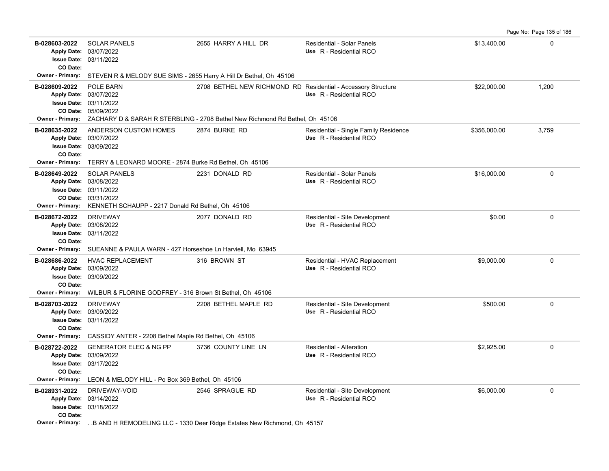| B-028603-2022<br>CO Date:                            | <b>SOLAR PANELS</b><br>Apply Date: 03/07/2022<br><b>Issue Date: 03/11/2022</b>                                                                             | 2655 HARRY A HILL DR                                                                                                                                           | Residential - Solar Panels<br>Use R - Residential RCO            | \$13,400.00  | $\mathbf 0$ |
|------------------------------------------------------|------------------------------------------------------------------------------------------------------------------------------------------------------------|----------------------------------------------------------------------------------------------------------------------------------------------------------------|------------------------------------------------------------------|--------------|-------------|
| <b>Owner - Primary:</b>                              | STEVEN R & MELODY SUE SIMS - 2655 Harry A Hill Dr Bethel, Oh 45106                                                                                         |                                                                                                                                                                |                                                                  |              |             |
| B-028609-2022                                        | POLE BARN<br>Apply Date: 03/07/2022<br><b>Issue Date: 03/11/2022</b><br>CO Date: 05/09/2022                                                                | 2708 BETHEL NEW RICHMOND RD Residential - Accessory Structure<br>Owner - Primary: ZACHARY D & SARAH R STERBLING - 2708 Bethel New Richmond Rd Bethel, Oh 45106 | Use R - Residential RCO                                          | \$22,000.00  | 1,200       |
| B-028635-2022<br>CO Date:<br><b>Owner - Primary:</b> | ANDERSON CUSTOM HOMES<br>Apply Date: 03/07/2022<br>Issue Date: 03/09/2022<br>TERRY & LEONARD MOORE - 2874 Burke Rd Bethel, Oh 45106                        | 2874 BURKE RD                                                                                                                                                  | Residential - Single Family Residence<br>Use R - Residential RCO | \$356.000.00 | 3,759       |
| B-028649-2022<br><b>Owner - Primary:</b>             | <b>SOLAR PANELS</b><br>Apply Date: 03/08/2022<br><b>Issue Date: 03/11/2022</b><br>CO Date: 03/31/2022<br>KENNETH SCHAUPP - 2217 Donald Rd Bethel, Oh 45106 | 2231 DONALD RD                                                                                                                                                 | Residential - Solar Panels<br>Use R - Residential RCO            | \$16,000.00  | $\mathbf 0$ |
| B-028672-2022<br>CO Date:                            | <b>DRIVEWAY</b><br>Apply Date: 03/08/2022<br><b>Issue Date: 03/11/2022</b><br>Owner - Primary: SUEANNE & PAULA WARN - 427 Horseshoe Ln Harviell, Mo 63945  | 2077 DONALD RD                                                                                                                                                 | Residential - Site Development<br>Use R - Residential RCO        | \$0.00       | $\mathbf 0$ |
| B-028686-2022<br>CO Date:<br>Owner - Primary:        | <b>HVAC REPLACEMENT</b><br>Apply Date: 03/09/2022<br>Issue Date: 03/09/2022<br>WILBUR & FLORINE GODFREY - 316 Brown St Bethel, Oh 45106                    | 316 BROWN ST                                                                                                                                                   | Residential - HVAC Replacement<br>Use R - Residential RCO        | \$9.000.00   | $\Omega$    |
| B-028703-2022<br>CO Date:<br><b>Owner - Primary:</b> | <b>DRIVEWAY</b><br>Apply Date: 03/09/2022<br>Issue Date: 03/11/2022<br>CASSIDY ANTER - 2208 Bethel Maple Rd Bethel, Oh 45106                               | 2208 BETHEL MAPLE RD                                                                                                                                           | Residential - Site Development<br>Use R - Residential RCO        | \$500.00     | $\mathbf 0$ |
| B-028722-2022<br>CO Date:<br><b>Owner - Primary:</b> | <b>GENERATOR ELEC &amp; NG PP</b><br>Apply Date: 03/09/2022<br><b>Issue Date: 03/17/2022</b><br>LEON & MELODY HILL - Po Box 369 Bethel, Oh 45106           | 3736 COUNTY LINE LN                                                                                                                                            | <b>Residential - Alteration</b><br>Use R - Residential RCO       | \$2,925.00   | $\mathbf 0$ |
| B-028931-2022<br>CO Date:<br><b>Owner - Primary:</b> | DRIVEWAY-VOID<br>Apply Date: 03/14/2022<br><b>Issue Date: 03/18/2022</b>                                                                                   | 2546 SPRAGUE RD<br>. B AND H REMODELING LLC - 1330 Deer Ridge Estates New Richmond, Oh 45157                                                                   | Residential - Site Development<br>Use R - Residential RCO        | \$6,000.00   | 0           |

Page No: Page 135 of 186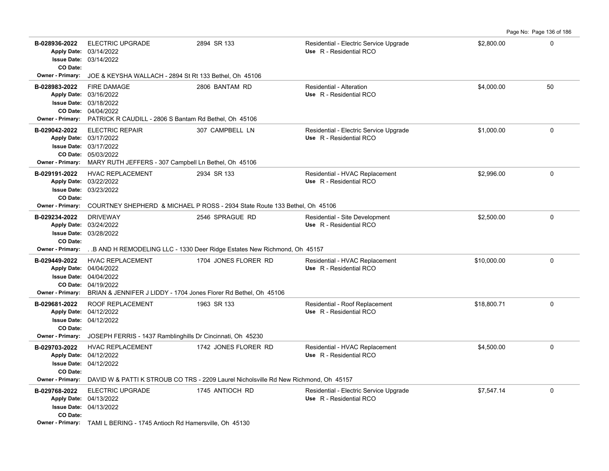|                                                      |                                                                                                                                                                                                |                                                                                                              |                                                                   |             | Page No: Page 136 of 186 |
|------------------------------------------------------|------------------------------------------------------------------------------------------------------------------------------------------------------------------------------------------------|--------------------------------------------------------------------------------------------------------------|-------------------------------------------------------------------|-------------|--------------------------|
| B-028936-2022<br>CO Date:                            | <b>ELECTRIC UPGRADE</b><br>Apply Date: 03/14/2022<br><b>Issue Date: 03/14/2022</b>                                                                                                             | 2894 SR 133                                                                                                  | Residential - Electric Service Upgrade<br>Use R - Residential RCO | \$2,800.00  | 0                        |
| Owner - Primary:                                     | JOE & KEYSHA WALLACH - 2894 St Rt 133 Bethel, Oh 45106                                                                                                                                         |                                                                                                              |                                                                   |             |                          |
| B-028983-2022<br><b>Owner - Primary:</b>             | <b>FIRE DAMAGE</b><br>Apply Date: 03/16/2022<br><b>Issue Date: 03/18/2022</b><br>CO Date: 04/04/2022<br>PATRICK R CAUDILL - 2806 S Bantam Rd Bethel, Oh 45106                                  | 2806 BANTAM RD                                                                                               | Residential - Alteration<br>Use R - Residential RCO               | \$4,000.00  | 50                       |
| B-029042-2022<br><b>Owner - Primary:</b>             | <b>ELECTRIC REPAIR</b><br>Apply Date: 03/17/2022<br>Issue Date: 03/17/2022<br>CO Date: 05/03/2022<br>MARY RUTH JEFFERS - 307 Campbell Ln Bethel, Oh 45106                                      | 307 CAMPBELL LN                                                                                              | Residential - Electric Service Upgrade<br>Use R - Residential RCO | \$1,000.00  | $\Omega$                 |
| B-029191-2022<br>CO Date:                            | <b>HVAC REPLACEMENT</b><br>Apply Date: 03/22/2022<br>Issue Date: 03/23/2022                                                                                                                    | 2934 SR 133                                                                                                  | Residential - HVAC Replacement<br>Use R - Residential RCO         | \$2,996.00  | 0                        |
| <b>Owner - Primary:</b>                              |                                                                                                                                                                                                | COURTNEY SHEPHERD & MICHAEL P ROSS - 2934 State Route 133 Bethel, Oh 45106                                   |                                                                   |             |                          |
| B-029234-2022<br>CO Date:                            | <b>DRIVEWAY</b><br>Apply Date: 03/24/2022<br>Issue Date: 03/28/2022                                                                                                                            | 2546 SPRAGUE RD                                                                                              | Residential - Site Development<br>Use R - Residential RCO         | \$2,500.00  | $\mathbf 0$              |
| <b>Owner - Primary:</b>                              |                                                                                                                                                                                                | . B AND H REMODELING LLC - 1330 Deer Ridge Estates New Richmond, Oh 45157                                    |                                                                   |             |                          |
| B-029449-2022                                        | <b>HVAC REPLACEMENT</b><br>Apply Date: 04/04/2022<br><b>Issue Date: 04/04/2022</b><br>CO Date: 04/19/2022<br>Owner - Primary: BRIAN & JENNIFER J LIDDY - 1704 Jones Florer Rd Bethel, Oh 45106 | 1704 JONES FLORER RD                                                                                         | Residential - HVAC Replacement<br>Use R - Residential RCO         | \$10,000.00 | 0                        |
| B-029681-2022<br>CO Date:<br>Owner - Primary:        | <b>ROOF REPLACEMENT</b><br>Apply Date: 04/12/2022<br><b>Issue Date: 04/12/2022</b><br>JOSEPH FERRIS - 1437 Ramblinghills Dr Cincinnati, Oh 45230                                               | 1963 SR 133                                                                                                  | Residential - Roof Replacement<br>Use R - Residential RCO         | \$18,800.71 | $\Omega$                 |
| B-029703-2022<br>CO Date:<br><b>Owner - Primary:</b> | <b>HVAC REPLACEMENT</b><br>Apply Date: 04/12/2022<br><b>Issue Date: 04/12/2022</b>                                                                                                             | 1742 JONES FLORER RD<br>DAVID W & PATTI K STROUB CO TRS - 2209 Laurel Nicholsville Rd New Richmond, Oh 45157 | Residential - HVAC Replacement<br>Use R - Residential RCO         | \$4,500.00  | $\Omega$                 |
| B-029768-2022<br>CO Date:                            | <b>ELECTRIC UPGRADE</b><br>Apply Date: 04/13/2022<br><b>Issue Date: 04/13/2022</b><br><b>Owner - Primary:</b> TAMLL BERING - 1745 Antioch Rd Hamersville Oh 45130                              | 1745 ANTIOCH RD                                                                                              | Residential - Electric Service Upgrade<br>Use R - Residential RCO | \$7,547.14  | $\Omega$                 |
|                                                      |                                                                                                                                                                                                |                                                                                                              |                                                                   |             |                          |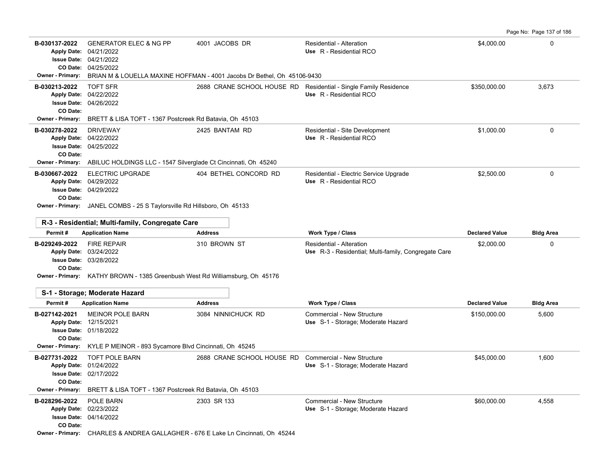Page No: Page 137 of 186

| B-030137-2022                       | <b>GENERATOR ELEC &amp; NG PP</b><br>Apply Date: 04/21/2022                             | 4001 JACOBS DR                                                          | Residential - Alteration<br>Use R - Residential RCO                              | \$4,000.00            | $\Omega$         |
|-------------------------------------|-----------------------------------------------------------------------------------------|-------------------------------------------------------------------------|----------------------------------------------------------------------------------|-----------------------|------------------|
|                                     | Issue Date: 04/21/2022                                                                  |                                                                         |                                                                                  |                       |                  |
| <b>Owner - Primary:</b>             | CO Date: 04/25/2022                                                                     | BRIAN M & LOUELLA MAXINE HOFFMAN - 4001 Jacobs Dr Bethel, Oh 45106-9430 |                                                                                  |                       |                  |
| B-030213-2022                       | <b>TOFT SFR</b>                                                                         |                                                                         | 2688 CRANE SCHOOL HOUSE RD Residential - Single Family Residence                 | \$350,000.00          | 3,673            |
|                                     | Apply Date: 04/22/2022                                                                  |                                                                         | Use R - Residential RCO                                                          |                       |                  |
|                                     | <b>Issue Date: 04/26/2022</b>                                                           |                                                                         |                                                                                  |                       |                  |
| CO Date:<br><b>Owner - Primary:</b> | BRETT & LISA TOFT - 1367 Postcreek Rd Batavia, Oh 45103                                 |                                                                         |                                                                                  |                       |                  |
| B-030278-2022                       | <b>DRIVEWAY</b>                                                                         | 2425 BANTAM RD                                                          | Residential - Site Development                                                   | \$1,000.00            | $\Omega$         |
| <b>Apply Date:</b>                  | 04/22/2022                                                                              |                                                                         | Use R - Residential RCO                                                          |                       |                  |
| CO Date:                            | <b>Issue Date: 04/25/2022</b>                                                           |                                                                         |                                                                                  |                       |                  |
| Owner - Primary:                    | ABILUC HOLDINGS LLC - 1547 Silverglade Ct Cincinnati, Oh 45240                          |                                                                         |                                                                                  |                       |                  |
| B-030667-2022                       | <b>ELECTRIC UPGRADE</b>                                                                 | 404 BETHEL CONCORD RD                                                   | Residential - Electric Service Upgrade                                           | \$2,500.00            | $\mathbf 0$      |
|                                     | Apply Date: 04/29/2022                                                                  |                                                                         | Use R - Residential RCO                                                          |                       |                  |
| CO Date:                            | Issue Date: 04/29/2022                                                                  |                                                                         |                                                                                  |                       |                  |
|                                     | Owner - Primary: JANEL COMBS - 25 S Taylorsville Rd Hillsboro, Oh 45133                 |                                                                         |                                                                                  |                       |                  |
|                                     |                                                                                         |                                                                         |                                                                                  |                       |                  |
| Permit#                             | R-3 - Residential; Multi-family, Congregate Care<br><b>Application Name</b>             | <b>Address</b>                                                          | Work Type / Class                                                                | <b>Declared Value</b> | <b>Bldg Area</b> |
|                                     |                                                                                         |                                                                         |                                                                                  |                       |                  |
|                                     |                                                                                         |                                                                         |                                                                                  |                       |                  |
| B-029249-2022                       | <b>FIRE REPAIR</b><br>Apply Date: 03/24/2022                                            | 310 BROWN ST                                                            | Residential - Alteration<br>Use R-3 - Residential; Multi-family, Congregate Care | \$2,000.00            | $\mathbf 0$      |
|                                     | Issue Date: 03/28/2022                                                                  |                                                                         |                                                                                  |                       |                  |
| CO Date:                            |                                                                                         |                                                                         |                                                                                  |                       |                  |
|                                     | Owner - Primary: KATHY BROWN - 1385 Greenbush West Rd Williamsburg, Oh 45176            |                                                                         |                                                                                  |                       |                  |
|                                     | S-1 - Storage; Moderate Hazard                                                          |                                                                         |                                                                                  |                       |                  |
| Permit#                             | <b>Application Name</b>                                                                 | <b>Address</b>                                                          | <b>Work Type / Class</b>                                                         | <b>Declared Value</b> | <b>Bldg Area</b> |
| B-027142-2021                       | <b>MEINOR POLE BARN</b>                                                                 | 3084 NINNICHUCK RD                                                      | Commercial - New Structure                                                       | \$150,000.00          | 5,600            |
|                                     | Apply Date: 12/15/2021<br><b>Issue Date: 01/18/2022</b>                                 |                                                                         | Use S-1 - Storage; Moderate Hazard                                               |                       |                  |
| CO Date:                            |                                                                                         |                                                                         |                                                                                  |                       |                  |
| <b>Owner - Primary:</b>             | KYLE P MEINOR - 893 Sycamore Blvd Cincinnati, Oh 45245                                  |                                                                         |                                                                                  |                       |                  |
| B-027731-2022                       | <b>TOFT POLE BARN</b><br>Apply Date: 01/24/2022                                         | 2688 CRANE SCHOOL HOUSE RD                                              | Commercial - New Structure                                                       | \$45,000.00           | 1,600            |
|                                     | <b>Issue Date: 02/17/2022</b>                                                           |                                                                         | Use S-1 - Storage; Moderate Hazard                                               |                       |                  |
| CO Date:                            |                                                                                         |                                                                         |                                                                                  |                       |                  |
| <b>Owner - Primary:</b>             | BRETT & LISA TOFT - 1367 Postcreek Rd Batavia, Oh 45103                                 |                                                                         |                                                                                  |                       |                  |
| B-028296-2022                       | POLE BARN<br>Apply Date: 02/23/2022                                                     | 2303 SR 133                                                             | Commercial - New Structure                                                       | \$60,000.00           | 4,558            |
|                                     | <b>Issue Date: 04/14/2022</b>                                                           |                                                                         | Use S-1 - Storage; Moderate Hazard                                               |                       |                  |
| CO Date:                            | <b>Owner - Primary:</b> CHARLES & ANDREA GALLAGHER - 676 E Lake Ln Cincinnati, Oh 45244 |                                                                         |                                                                                  |                       |                  |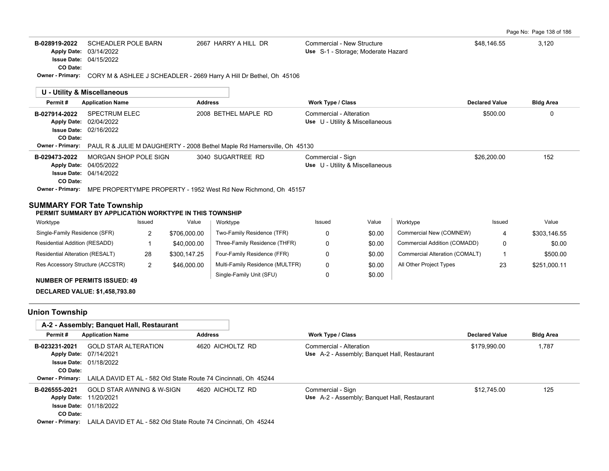| Page No: Page 138 of 186 |  |
|--------------------------|--|
|--------------------------|--|

| B-028919-2022                                                                               | <b>SCHEADLER POLE BARN</b><br>Apply Date: 03/14/2022<br><b>Issue Date: 04/15/2022</b>  |                |                | 2667 HARRY A HILL DR                                                                                 | Commercial - New Structure<br>Use S-1 - Storage; Moderate Hazard |        |                                              | \$48,146.55           | 3,120            |
|---------------------------------------------------------------------------------------------|----------------------------------------------------------------------------------------|----------------|----------------|------------------------------------------------------------------------------------------------------|------------------------------------------------------------------|--------|----------------------------------------------|-----------------------|------------------|
| CO Date:                                                                                    |                                                                                        |                |                | Owner - Primary: CORY M & ASHLEE J SCHEADLER - 2669 Harry A Hill Dr Bethel, Oh 45106                 |                                                                  |        |                                              |                       |                  |
|                                                                                             | <b>U - Utility &amp; Miscellaneous</b>                                                 |                |                |                                                                                                      |                                                                  |        |                                              |                       |                  |
| Permit#                                                                                     | <b>Application Name</b>                                                                |                | <b>Address</b> |                                                                                                      | Work Type / Class                                                |        |                                              | <b>Declared Value</b> | <b>Bldg Area</b> |
| B-027914-2022<br>CO Date:                                                                   | <b>SPECTRUM ELEC</b><br>Apply Date: 02/04/2022<br><b>Issue Date: 02/16/2022</b>        |                |                | 2008 BETHEL MAPLE RD                                                                                 | Commercial - Alteration<br>Use U - Utility & Miscellaneous       |        |                                              | \$500.00              | 0                |
| <b>Owner - Primary:</b>                                                                     |                                                                                        |                |                | PAUL R & JULIE M DAUGHERTY - 2008 Bethel Maple Rd Hamersville, Oh 45130                              |                                                                  |        |                                              |                       |                  |
| B-029473-2022<br>CO Date:                                                                   | MORGAN SHOP POLE SIGN<br>Apply Date: 04/05/2022<br><b>Issue Date: 04/14/2022</b>       |                |                | 3040 SUGARTREE RD<br>Owner - Primary: MPE PROPERTYMPE PROPERTY - 1952 West Rd New Richmond, Oh 45157 | Commercial - Sign<br>Use U - Utility & Miscellaneous             |        |                                              | \$26,200.00           | 152              |
| <b>SUMMARY FOR Tate Township</b><br>PERMIT SUMMARY BY APPLICATION WORKTYPE IN THIS TOWNSHIP |                                                                                        |                |                |                                                                                                      |                                                                  |        |                                              |                       |                  |
| Worktype                                                                                    |                                                                                        | Issued         | Value          | Worktype                                                                                             | Issued                                                           | Value  | Worktype                                     | Issued                | Value            |
| Single-Family Residence (SFR)                                                               |                                                                                        | $\overline{c}$ | \$706,000.00   | Two-Family Residence (TFR)                                                                           | $\Omega$                                                         | \$0.00 | Commercial New (COMNEW)                      | 4                     | \$303,146.55     |
| Residential Addition (RESADD)                                                               |                                                                                        | $\mathbf{1}$   | \$40,000.00    | Three-Family Residence (THFR)                                                                        | 0                                                                | \$0.00 | Commercial Addition (COMADD)                 | 0                     | \$0.00           |
| Residential Alteration (RESALT)                                                             |                                                                                        | 28             | \$300,147.25   | Four-Family Residence (FFR)                                                                          | 0                                                                | \$0.00 | Commercial Alteration (COMALT)               | 1                     | \$500.00         |
| Res Accessory Structure (ACCSTR)                                                            |                                                                                        | 2              | \$46,000.00    | Multi-Family Residence (MULTFR)                                                                      | 0                                                                | \$0.00 | All Other Project Types                      | 23                    | \$251,000.11     |
| <b>NUMBER OF PERMITS ISSUED: 49</b>                                                         |                                                                                        |                |                | Single-Family Unit (SFU)                                                                             | 0                                                                | \$0.00 |                                              |                       |                  |
| <b>DECLARED VALUE: \$1,458,793.80</b>                                                       |                                                                                        |                |                |                                                                                                      |                                                                  |        |                                              |                       |                  |
| <b>Union Township</b>                                                                       |                                                                                        |                |                |                                                                                                      |                                                                  |        |                                              |                       |                  |
|                                                                                             | A-2 - Assembly; Banquet Hall, Restaurant                                               |                |                |                                                                                                      |                                                                  |        |                                              |                       |                  |
| Permit#                                                                                     | <b>Application Name</b>                                                                |                | <b>Address</b> |                                                                                                      | <b>Work Type / Class</b>                                         |        |                                              | <b>Declared Value</b> | <b>Bldg Area</b> |
| B-023231-2021<br>CO Date:                                                                   | <b>GOLD STAR ALTERATION</b><br>Apply Date: 07/14/2021<br><b>Issue Date: 01/18/2022</b> |                |                | 4620 AICHOLTZ RD                                                                                     | Commercial - Alteration                                          |        | Use A-2 - Assembly; Banquet Hall, Restaurant | \$179,990.00          | 1,787            |
| <b>Owner - Primary:</b>                                                                     |                                                                                        |                |                | LAILA DAVID ET AL - 582 Old State Route 74 Cincinnati, Oh 45244                                      |                                                                  |        |                                              |                       |                  |
| B-026555-2021<br>Apply Date: 11/20/2021                                                     | GOLD STAR AWNING & W-SIGN                                                              |                |                | 4620 AICHOLTZ RD                                                                                     | Commercial - Sign                                                |        | Use A-2 - Assembly; Banquet Hall, Restaurant | \$12,745.00           | 125              |

**Owner - Primary:** LAILA DAVID ET AL - 582 Old State Route 74 Cincinnati, Oh 45244

01/18/2022 **Issue Date:**

**CO Date:**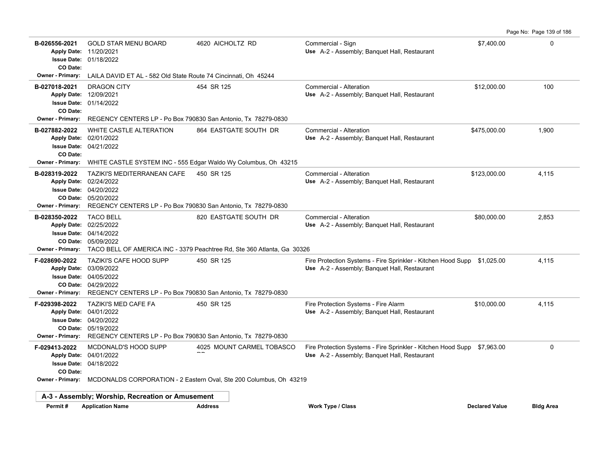**B-026556-2021** \$7,400.00 0 GOLD STAR MENU BOARD 4620 AICHOLTZ RD Commercial - Sign 01/18/2022 **Issue Date:** Apply Date: 11/20/2021 **Apply Date: Use** A-2 - Assembly; Banquet Hall, Restaurant **CO Date: Owner - Primary:** LAILA DAVID ET AL - 582 Old State Route 74 Cincinnati, Oh 45244 **B-027018-2021** DRAGON CITY **154 SR 125** Commercial - Alteration **100** 2010 00 100 01/14/2022 **Issue Date:** Apply Date: 12/09/2021 Use A-2 - Assembly; Banquet Hall, Restaurant **CO Date: Owner - Primary:** REGENCY CENTERS LP - Po Box 790830 San Antonio, Tx 78279-0830 **B-027882-2022** \$475,000.00 1,900 WHITE CASTLE ALTERATION 864 EASTGATE SOUTH DR Commercial - Alteration 04/21/2022 **Issue Date:** 02/01/2022 **Apply Date: Use** A-2 - Assembly; Banquet Hall, Restaurant **CO Date: Owner - Primary:** WHITE CASTLE SYSTEM INC - 555 Edgar Waldo Wy Columbus, Oh 43215 **B-028319-2022** \$123,000.00 4,115 TAZIKI'S MEDITERRANEAN CAFE 450 SR 125 Commercial - Alteration 05/20/2022 **CO Date:** 04/20/2022 **Issue Date:** Apply Date: 02/24/2022 Use A-2 - Assembly; Banquet Hall, Restaurant **Owner - Primary:** REGENCY CENTERS LP - Po Box 790830 San Antonio, Tx 78279-0830 **B-028350-2022** TACO BELL 820 EASTGATE SOUTH DR Commercial - Alteration 680,000.00 880,000.00 2,853 05/09/2022 **CO Date:** 04/14/2022 **Issue Date:** Apply Date: 02/25/2022 Use A-2 - Assembly; Banquet Hall, Restaurant **Owner - Primary:** TACO BELL OF AMERICA INC - 3379 Peachtree Rd, Ste 360 Atlanta, Ga 30326 **F-028690-2022** TAZIKI'S CAFE HOOD SUPP 450 SR 125 Fire Protection Systems - Fire Sprinkler - Kitchen Hood Supp \$1,025.00 4,115 04/29/2022 **CO Date:** 04/05/2022 **Issue Date:** Apply Date: 03/09/2022 Use A-2 - Assembly; Banquet Hall, Restaurant **Owner - Primary:** REGENCY CENTERS LP - Po Box 790830 San Antonio, Tx 78279-0830 **F-029398-2022 TAZIKI'S MED CAFE FA 450 SR 125 From And The Protection Systems - Fire Alarm \$10,000.00 4,115** 05/19/2022 **CO Date:** 04/20/2022 **Issue Date:** Apply Date: 04/01/2022 Use A-2 - Assembly; Banquet Hall, Restaurant **Owner - Primary:** REGENCY CENTERS LP - Po Box 790830 San Antonio, Tx 78279-0830 **F-029413-2022** MCDONALD'S HOOD SUPP 4025 MOUNT CARMEL TOBASCO Fire Protection Systems - Fire Sprinkler - Kitchen Hood Supp \$7,963.00 0 04/18/2022 **Issue Date:** Apply Date: 04/01/2022 ndia<br>Ro MCDONALD'S HOOD SUPP Use A-2 - Assembly; Banquet Hall, Restaurant **CO Date: Owner - Primary:** MCDONALDS CORPORATION - 2 Eastern Oval, Ste 200 Columbus, Oh 43219 **A-3 - Assembly; Worship, Recreation or Amusement Permit # Application Name Address Work Type / Class Declared Value Bldg Area**

Page No: Page 139 of 186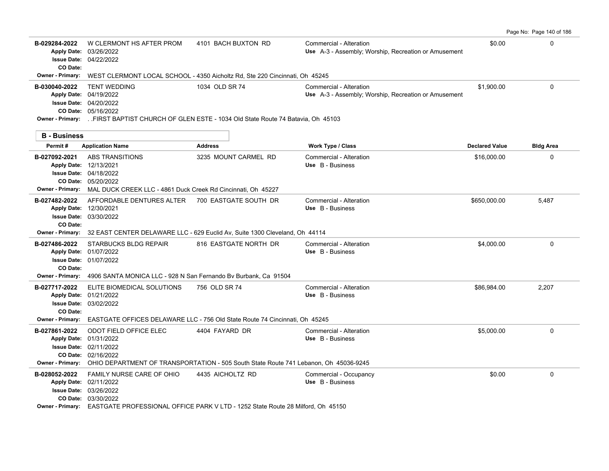|                                                      |                                                                                                                                                                                                                   |                       |                                                                                 |                       | Page No: Page 140 of 186 |
|------------------------------------------------------|-------------------------------------------------------------------------------------------------------------------------------------------------------------------------------------------------------------------|-----------------------|---------------------------------------------------------------------------------|-----------------------|--------------------------|
| B-029284-2022<br>CO Date:                            | W CLERMONT HS AFTER PROM<br>Apply Date: 03/26/2022<br><b>Issue Date: 04/22/2022</b>                                                                                                                               | 4101 BACH BUXTON RD   | Commercial - Alteration<br>Use A-3 - Assembly; Worship, Recreation or Amusement | \$0.00                | 0                        |
| <b>Owner - Primary:</b>                              | WEST CLERMONT LOCAL SCHOOL - 4350 Aicholtz Rd, Ste 220 Cincinnati, Oh 45245                                                                                                                                       |                       |                                                                                 |                       |                          |
| B-030040-2022                                        | <b>TENT WEDDING</b><br>Apply Date: 04/19/2022<br><b>Issue Date: 04/20/2022</b><br>CO Date: 05/16/2022<br>Owner - Primary: FIRST BAPTIST CHURCH OF GLEN ESTE - 1034 Old State Route 74 Batavia, Oh 45103           | 1034 OLD SR 74        | Commercial - Alteration<br>Use A-3 - Assembly; Worship, Recreation or Amusement | \$1.900.00            | $\Omega$                 |
| <b>B</b> - Business                                  |                                                                                                                                                                                                                   |                       |                                                                                 |                       |                          |
| Permit#                                              | <b>Application Name</b>                                                                                                                                                                                           | <b>Address</b>        | <b>Work Type / Class</b>                                                        | <b>Declared Value</b> | <b>Bldg Area</b>         |
| B-027092-2021                                        | ABS TRANSITIONS<br>Apply Date: 12/13/2021<br><b>Issue Date: 04/18/2022</b><br>CO Date: 05/20/2022<br>Owner - Primary: MAL DUCK CREEK LLC - 4861 Duck Creek Rd Cincinnati, Oh 45227                                | 3235 MOUNT CARMEL RD  | Commercial - Alteration<br>Use B - Business                                     | \$16,000.00           | $\Omega$                 |
| B-027482-2022<br>CO Date:<br><b>Owner - Primary:</b> | AFFORDABLE DENTURES ALTER<br>Apply Date: 12/30/2021<br><b>Issue Date: 03/30/2022</b><br>32 EAST CENTER DELAWARE LLC - 629 Euclid Av, Suite 1300 Cleveland, Oh 44114                                               | 700 EASTGATE SOUTH DR | Commercial - Alteration<br>Use B - Business                                     | \$650,000.00          | 5,487                    |
| B-027486-2022<br>CO Date:                            | STARBUCKS BLDG REPAIR<br>Apply Date: 01/07/2022<br><b>Issue Date: 01/07/2022</b><br>Owner - Primary: 4906 SANTA MONICA LLC - 928 N San Fernando By Burbank, Ca 91504                                              | 816 EASTGATE NORTH DR | Commercial - Alteration<br>Use B - Business                                     | \$4,000.00            | $\Omega$                 |
| B-027717-2022<br>CO Date:<br><b>Owner - Primary:</b> | ELITE BIOMEDICAL SOLUTIONS<br>Apply Date: 01/21/2022<br><b>Issue Date: 03/02/2022</b><br>EASTGATE OFFICES DELAWARE LLC - 756 Old State Route 74 Cincinnati, Oh 45245                                              | 756 OLD SR 74         | Commercial - Alteration<br>Use B - Business                                     | \$86,984.00           | 2,207                    |
| B-027861-2022                                        | ODOT FIELD OFFICE ELEC<br>Apply Date: 01/31/2022<br><b>Issue Date: 02/11/2022</b><br>CO Date: 02/16/2022<br>Owner - Primary: OHIO DEPARTMENT OF TRANSPORTATION - 505 South State Route 741 Lebanon, Oh 45036-9245 | 4404 FAYARD DR        | Commercial - Alteration<br>Use B - Business                                     | \$5,000.00            | $\mathbf 0$              |
| B-028052-2022                                        | FAMILY NURSE CARE OF OHIO<br>Apply Date: 02/11/2022<br>Issue Date: 03/26/2022<br>CO Date: 03/30/2022<br>Owner - Primary: EASTGATE PROFESSIONAL OFFICE PARK V LTD - 1252 State Route 28 Milford, Oh 45150          | 4435 AICHOLTZ RD      | Commercial - Occupancy<br>Use B - Business                                      | \$0.00                | $\Omega$                 |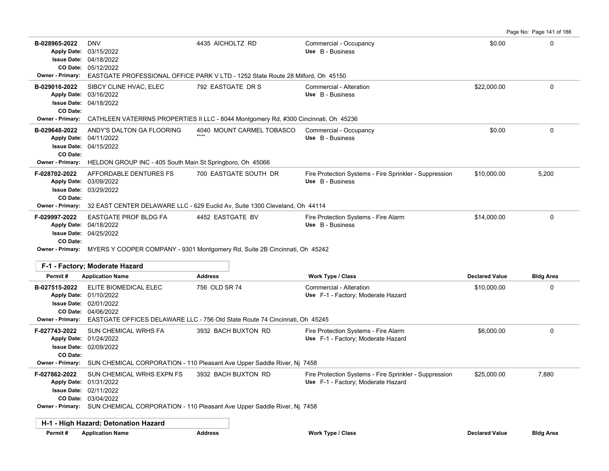|                                                                       |                                                                                                                               |                                                                                                                 |                                                                            |                       | Page No: Page 141 of 186 |  |  |
|-----------------------------------------------------------------------|-------------------------------------------------------------------------------------------------------------------------------|-----------------------------------------------------------------------------------------------------------------|----------------------------------------------------------------------------|-----------------------|--------------------------|--|--|
| B-028965-2022<br><b>Apply Date:</b><br><b>Owner - Primary:</b>        | <b>DNV</b><br>03/15/2022<br><b>Issue Date: 04/18/2022</b><br>CO Date: 05/12/2022                                              | 4435 AICHOLTZ RD<br>EASTGATE PROFESSIONAL OFFICE PARK V LTD - 1252 State Route 28 Milford, Oh 45150             | Commercial - Occupancy<br>Use B - Business                                 | \$0.00                | 0                        |  |  |
| B-029016-2022<br><b>Apply Date:</b><br><b>Issue Date:</b><br>CO Date: | SIBCY CLINE HVAC, ELEC<br>03/16/2022<br>04/18/2022                                                                            | 792 EASTGATE DR S                                                                                               | Commercial - Alteration<br>Use B - Business                                | \$22,000.00           | 0                        |  |  |
| <b>Owner - Primary:</b>                                               |                                                                                                                               | CATHLEEN VATERRNS PROPERTIES II LLC - 8044 Montgomery Rd, #300 Cincinnati, Oh 45236                             |                                                                            |                       |                          |  |  |
| B-029648-2022<br><b>Issue Date:</b><br>CO Date:                       | ANDY'S DALTON GA FLOORING<br>Apply Date: 04/11/2022<br>04/15/2022                                                             | 4040 MOUNT CARMEL TOBASCO                                                                                       | Commercial - Occupancy<br>Use B - Business                                 | \$0.00                | 0                        |  |  |
| <b>Owner - Primary:</b>                                               | HELDON GROUP INC - 405 South Main St Springboro, Oh 45066                                                                     |                                                                                                                 |                                                                            |                       |                          |  |  |
| F-028702-2022<br><b>Apply Date:</b><br><b>Issue Date:</b><br>CO Date: | AFFORDABLE DENTURES FS<br>03/09/2022<br>03/29/2022                                                                            | 700 EASTGATE SOUTH DR                                                                                           | Fire Protection Systems - Fire Sprinkler - Suppression<br>Use B - Business | \$10,000.00           | 5,200                    |  |  |
|                                                                       | Owner - Primary: 32 EAST CENTER DELAWARE LLC - 629 Euclid Av, Suite 1300 Cleveland, Oh 44114                                  |                                                                                                                 |                                                                            |                       |                          |  |  |
| F-029997-2022<br><b>Apply Date:</b><br><b>Issue Date:</b><br>CO Date: | <b>EASTGATE PROF BLDG FA</b><br>04/18/2022<br>04/25/2022                                                                      | 4452 EASTGATE BV                                                                                                | Fire Protection Systems - Fire Alarm<br>Use B - Business                   | \$14,000.00           | 0                        |  |  |
|                                                                       | Owner - Primary: MYERS Y COOPER COMPANY - 9301 Montgomery Rd, Suite 2B Cincinnati, Oh 45242<br>F-1 - Factory; Moderate Hazard |                                                                                                                 |                                                                            |                       |                          |  |  |
| Permit#                                                               | <b>Application Name</b>                                                                                                       | <b>Address</b>                                                                                                  | <b>Work Type / Class</b>                                                   | <b>Declared Value</b> | <b>Bldg Area</b>         |  |  |
| B-027515-2022<br><b>Owner - Primary:</b>                              | ELITE BIOMEDICAL ELEC<br>Apply Date: 01/10/2022<br><b>Issue Date: 02/01/2022</b><br>CO Date: 04/06/2022                       | 756 OLD SR 74<br>EASTGATE OFFICES DELAWARE LLC - 756 Old State Route 74 Cincinnati, Oh 45245                    | Commercial - Alteration<br>Use F-1 - Factory; Moderate Hazard              | \$10,000.00           | 0                        |  |  |
| F-027743-2022<br>CO Date:                                             | SUN CHEMICAL WRHS FA<br>Apply Date: 01/24/2022<br><b>Issue Date: 02/09/2022</b>                                               | 3932 BACH BUXTON RD<br>Owner - Primary: SUN CHEMICAL CORPORATION - 110 Pleasant Ave Upper Saddle River, Nj 7458 | Fire Protection Systems - Fire Alarm<br>Use F-1 - Factory; Moderate Hazard | \$6,000.00            | 0                        |  |  |
| F-027862-2022                                                         | SUN CHEMICAL WRHS EXPN FS                                                                                                     | 3932 BACH BUXTON RD                                                                                             | Fire Protection Systems - Fire Sprinkler - Suppression                     | \$25,000.00           | 7,880                    |  |  |
|                                                                       | Apply Date: 01/31/2022<br>Issue Date: 02/11/2022<br>CO Date: 03/04/2022                                                       | Owner - Primary: SUN CHEMICAL CORPORATION - 110 Pleasant Ave Upper Saddle River, Nj 7458                        | Use F-1 - Factory; Moderate Hazard                                         |                       |                          |  |  |
|                                                                       | H-1 - High Hazard; Detonation Hazard                                                                                          |                                                                                                                 |                                                                            |                       |                          |  |  |
| Permit#                                                               | <b>Application Name</b>                                                                                                       | <b>Address</b>                                                                                                  | Work Type / Class                                                          | <b>Declared Value</b> | <b>Bldg Area</b>         |  |  |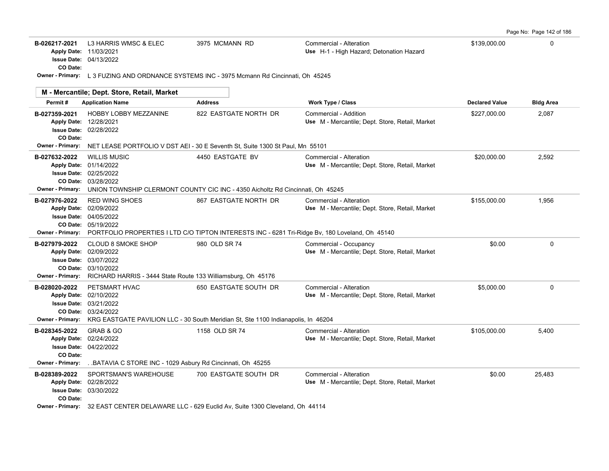| Page No: Page 142 of 186 |  |  |  |  |  |  |
|--------------------------|--|--|--|--|--|--|
|--------------------------|--|--|--|--|--|--|

| B-026217-2021<br>Apply Date: 11/03/2021<br>CO Date: | L3 HARRIS WMSC & ELEC<br><b>Issue Date: 04/13/2022</b>                                                                                                                                                                      | 3975 MCMANN RD        | Commercial - Alteration<br>Use H-1 - High Hazard; Detonation Hazard        | \$139,000.00          | $\Omega$         |
|-----------------------------------------------------|-----------------------------------------------------------------------------------------------------------------------------------------------------------------------------------------------------------------------------|-----------------------|----------------------------------------------------------------------------|-----------------------|------------------|
|                                                     | Owner - Primary: L 3 FUZING AND ORDNANCE SYSTEMS INC - 3975 Mcmann Rd Cincinnati, Oh 45245                                                                                                                                  |                       |                                                                            |                       |                  |
|                                                     | M - Mercantile; Dept. Store, Retail, Market                                                                                                                                                                                 |                       |                                                                            |                       |                  |
| Permit#                                             | <b>Application Name</b>                                                                                                                                                                                                     | <b>Address</b>        | <b>Work Type / Class</b>                                                   | <b>Declared Value</b> | <b>Bldg Area</b> |
| B-027359-2021<br>CO Date:                           | <b>HOBBY LOBBY MEZZANINE</b><br>Apply Date: 12/28/2021<br><b>Issue Date: 02/28/2022</b>                                                                                                                                     | 822 EASTGATE NORTH DR | Commercial - Addition<br>Use M - Mercantile: Dept. Store, Retail, Market   | \$227,000.00          | 2,087            |
|                                                     | Owner - Primary: NET LEASE PORTFOLIO V DST AEI - 30 E Seventh St. Suite 1300 St Paul, Mn 55101                                                                                                                              |                       |                                                                            |                       |                  |
| B-027632-2022                                       | <b>WILLIS MUSIC</b><br>Apply Date: 01/14/2022<br><b>Issue Date: 02/25/2022</b><br>CO Date: 03/28/2022<br>Owner - Primary: UNION TOWNSHIP CLERMONT COUNTY CIC INC - 4350 Aicholtz Rd Cincinnati, Oh 45245                    | 4450 EASTGATE BV      | Commercial - Alteration<br>Use M - Mercantile; Dept. Store, Retail, Market | \$20,000.00           | 2,592            |
| B-027976-2022                                       | <b>RED WING SHOES</b><br>Apply Date: 02/09/2022<br><b>Issue Date: 04/05/2022</b><br>CO Date: 05/19/2022<br>Owner - Primary: PORTFOLIO PROPERTIES I LTD C/O TIPTON INTERESTS INC - 6281 Tri-Ridge Bv, 180 Loveland, Oh 45140 | 867 EASTGATE NORTH DR | Commercial - Alteration<br>Use M - Mercantile; Dept. Store, Retail, Market | \$155,000.00          | 1,956            |
| B-027979-2022                                       | <b>CLOUD 8 SMOKE SHOP</b><br>Apply Date: 02/09/2022<br>Issue Date: 03/07/2022<br>CO Date: 03/10/2022<br>Owner - Primary: RICHARD HARRIS - 3444 State Route 133 Williamsburg, Oh 45176                                       | 980 OLD SR 74         | Commercial - Occupancy<br>Use M - Mercantile; Dept. Store, Retail, Market  | \$0.00                | $\mathbf 0$      |
| B-028020-2022                                       | PETSMART HVAC<br>Apply Date: 02/10/2022<br><b>Issue Date: 03/21/2022</b><br>CO Date: 03/24/2022<br>Owner - Primary: KRG EASTGATE PAVILION LLC - 30 South Meridian St, Ste 1100 Indianapolis, In 46204                       | 650 EASTGATE SOUTH DR | Commercial - Alteration<br>Use M - Mercantile; Dept. Store, Retail, Market | \$5,000.00            | 0                |
| B-028345-2022<br>CO Date:                           | GRAB & GO<br>Apply Date: 02/24/2022<br><b>Issue Date: 04/22/2022</b>                                                                                                                                                        | 1158 OLD SR 74        | Commercial - Alteration<br>Use M - Mercantile; Dept. Store, Retail, Market | \$105,000.00          | 5,400            |
| <b>Owner - Primary:</b>                             | BATAVIA C STORE INC - 1029 Asbury Rd Cincinnati, Oh 45255                                                                                                                                                                   |                       |                                                                            |                       |                  |
| B-028389-2022<br>CO Date:                           | SPORTSMAN'S WAREHOUSE<br>Apply Date: 02/28/2022<br><b>Issue Date: 03/30/2022</b><br>Owner - Primary: 32 EAST CENTER DELAWARE LLC - 629 Euclid Av, Suite 1300 Cleveland, Oh 44114                                            | 700 EASTGATE SOUTH DR | Commercial - Alteration<br>Use M - Mercantile; Dept. Store, Retail, Market | \$0.00                | 25,483           |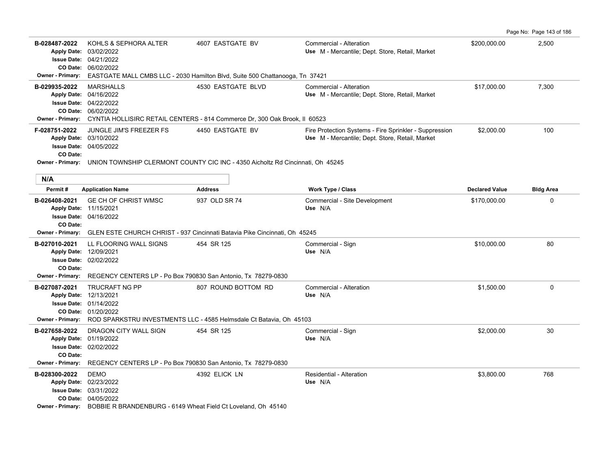Page No: Page 143 of 186

| B-028487-2022<br><b>Apply Date:</b><br>Owner - Primary:                        | KOHLS & SEPHORA ALTER<br>03/02/2022<br>Issue Date: 04/21/2022<br>CO Date: 06/02/2022                                                                                                                                                             | 4607 EASTGATE BV<br>EASTGATE MALL CMBS LLC - 2030 Hamilton Blvd, Suite 500 Chattanooga, Tn 37421                    | Commercial - Alteration<br>Use M - Mercantile: Dept. Store, Retail, Market                                | \$200,000.00          | 2,500            |
|--------------------------------------------------------------------------------|--------------------------------------------------------------------------------------------------------------------------------------------------------------------------------------------------------------------------------------------------|---------------------------------------------------------------------------------------------------------------------|-----------------------------------------------------------------------------------------------------------|-----------------------|------------------|
| B-029935-2022<br><b>Owner - Primary:</b>                                       | <b>MARSHALLS</b><br>Apply Date: 04/16/2022<br><b>Issue Date: 04/22/2022</b><br>CO Date: 06/02/2022                                                                                                                                               | 4530 EASTGATE BLVD<br>CYNTIA HOLLISIRC RETAIL CENTERS - 814 Commerce Dr, 300 Oak Brook, II 60523                    | Commercial - Alteration<br>Use M - Mercantile; Dept. Store, Retail, Market                                | \$17,000.00           | 7,300            |
| F-028751-2022<br>CO Date:                                                      | <b>JUNGLE JIM'S FREEZER FS</b><br>Apply Date: 03/10/2022<br>Issue Date: 04/05/2022                                                                                                                                                               | 4450 EASTGATE BV<br>Owner - Primary: UNION TOWNSHIP CLERMONT COUNTY CIC INC - 4350 Aicholtz Rd Cincinnati, Oh 45245 | Fire Protection Systems - Fire Sprinkler - Suppression<br>Use M - Mercantile: Dept. Store, Retail, Market | \$2,000.00            | 100              |
| N/A                                                                            |                                                                                                                                                                                                                                                  |                                                                                                                     |                                                                                                           |                       |                  |
| Permit#                                                                        | <b>Application Name</b>                                                                                                                                                                                                                          | <b>Address</b>                                                                                                      | Work Type / Class                                                                                         | <b>Declared Value</b> | <b>Bldg Area</b> |
| B-026408-2021<br>CO Date:<br><b>Owner - Primary:</b>                           | GE CH OF CHRIST WMSC<br>Apply Date: 11/15/2021<br><b>Issue Date: 04/16/2022</b>                                                                                                                                                                  | 937 OLD SR 74<br>GLEN ESTE CHURCH CHRIST - 937 Cincinnati Batavia Pike Cincinnati, Oh 45245                         | Commercial - Site Development<br>Use N/A                                                                  | \$170,000.00          | 0                |
| B-027010-2021<br>Apply Date: 12/09/2021<br>CO Date:<br><b>Owner - Primary:</b> | LL FLOORING WALL SIGNS<br>Issue Date: 02/02/2022<br>REGENCY CENTERS LP - Po Box 790830 San Antonio, Tx 78279-0830                                                                                                                                | 454 SR 125                                                                                                          | Commercial - Sign<br>Use N/A                                                                              | \$10,000.00           | 80               |
| B-027087-2021<br>Apply Date: 12/13/2021<br><b>Owner - Primary:</b>             | <b>TRUCRAFT NG PP</b><br><b>Issue Date: 01/14/2022</b><br>CO Date: 01/20/2022                                                                                                                                                                    | 807 ROUND BOTTOM RD<br>ROD SPARKSTRU INVESTMENTS LLC - 4585 Helmsdale Ct Batavia, Oh 45103                          | Commercial - Alteration<br>Use N/A                                                                        | \$1,500.00            | 0                |
| B-027658-2022<br>CO Date:<br><b>Owner - Primary:</b>                           | DRAGON CITY WALL SIGN<br>Apply Date: 01/19/2022<br>Issue Date: 02/02/2022                                                                                                                                                                        | 454 SR 125                                                                                                          | Commercial - Sign<br>Use N/A                                                                              | \$2,000.00            | 30               |
| B-028300-2022                                                                  | REGENCY CENTERS LP - Po Box 790830 San Antonio, Tx 78279-0830<br><b>DEMO</b><br>Apply Date: 02/23/2022<br><b>Issue Date: 03/31/2022</b><br>CO Date: 04/05/2022<br>Owner - Primary: BOBBIE R BRANDENBURG - 6149 Wheat Field Ct Loveland, Oh 45140 | 4392 ELICK LN                                                                                                       | Residential - Alteration<br>Use N/A                                                                       | \$3,800.00            | 768              |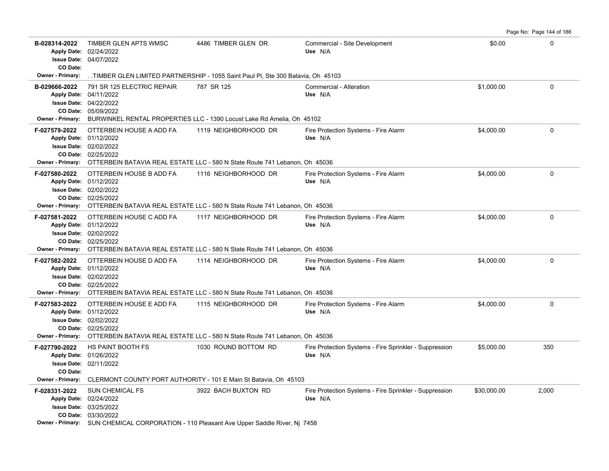| B-028314-2022<br>CO Date:                            | TIMBER GLEN APTS WMSC<br>Apply Date: 02/24/2022<br>Issue Date: 04/07/2022                                    | 4486 TIMBER GLEN DR                                                                                                  | Commercial - Site Development<br>Use N/A                          | \$0.00      | 0        |
|------------------------------------------------------|--------------------------------------------------------------------------------------------------------------|----------------------------------------------------------------------------------------------------------------------|-------------------------------------------------------------------|-------------|----------|
| <b>Owner - Primary:</b>                              |                                                                                                              | TIMBER GLEN LIMITED PARTNERSHIP - 1055 Saint Paul PI, Ste 300 Batavia, Oh 45103                                      |                                                                   |             |          |
| B-029666-2022<br><b>Owner - Primary:</b>             | 791 SR 125 ELECTRIC REPAIR<br>Apply Date: 04/11/2022<br><b>Issue Date: 04/22/2022</b><br>CO Date: 05/09/2022 | 787 SR 125<br>BURWINKEL RENTAL PROPERTIES LLC - 1390 Locust Lake Rd Amelia, Oh 45102                                 | Commercial - Alteration<br>Use N/A                                | \$1,000.00  | $\Omega$ |
| F-027579-2022<br><b>Owner - Primary:</b>             | OTTERBEIN HOUSE A ADD FA<br>Apply Date: 01/12/2022<br>Issue Date: 02/02/2022<br>CO Date: 02/25/2022          | 1119 NEIGHBORHOOD DR<br>OTTERBEIN BATAVIA REAL ESTATE LLC - 580 N State Route 741 Lebanon, Oh 45036                  | Fire Protection Systems - Fire Alarm<br>Use N/A                   | \$4,000.00  | $\Omega$ |
| F-027580-2022<br>Owner - Primary:                    | OTTERBEIN HOUSE B ADD FA<br>Apply Date: 01/12/2022<br>Issue Date: 02/02/2022<br>CO Date: 02/25/2022          | 1116 NEIGHBORHOOD DR<br>OTTERBEIN BATAVIA REAL ESTATE LLC - 580 N State Route 741 Lebanon, Oh 45036                  | Fire Protection Systems - Fire Alarm<br>Use N/A                   | \$4,000.00  | 0        |
| F-027581-2022<br><b>Owner - Primary:</b>             | OTTERBEIN HOUSE C ADD FA<br>Apply Date: 01/12/2022<br><b>Issue Date: 02/02/2022</b><br>CO Date: 02/25/2022   | 1117 NEIGHBORHOOD DR<br>OTTERBEIN BATAVIA REAL ESTATE LLC - 580 N State Route 741 Lebanon, Oh 45036                  | Fire Protection Systems - Fire Alarm<br>Use N/A                   | \$4.000.00  | $\Omega$ |
| F-027582-2022                                        | OTTERBEIN HOUSE D ADD FA<br>Apply Date: 01/12/2022<br><b>Issue Date: 02/02/2022</b><br>CO Date: 02/25/2022   | 1114 NEIGHBORHOOD DR<br>Owner - Primary: OTTERBEIN BATAVIA REAL ESTATE LLC - 580 N State Route 741 Lebanon, Oh 45036 | Fire Protection Systems - Fire Alarm<br>Use N/A                   | \$4,000.00  | $\Omega$ |
| F-027583-2022<br>Owner - Primary:                    | OTTERBEIN HOUSE E ADD FA<br>Apply Date: 01/12/2022<br>Issue Date: 02/02/2022<br>CO Date: 02/25/2022          | 1115 NEIGHBORHOOD DR<br>OTTERBEIN BATAVIA REAL ESTATE LLC - 580 N State Route 741 Lebanon, Oh 45036                  | Fire Protection Systems - Fire Alarm<br>Use N/A                   | \$4,000.00  | 0        |
| F-027790-2022<br>CO Date:<br><b>Owner - Primary:</b> | <b>HS PAINT BOOTH FS</b><br>Apply Date: 01/26/2022<br><b>Issue Date: 02/11/2022</b>                          | 1030 ROUND BOTTOM RD<br>CLERMONT COUNTY PORT AUTHORITY - 101 E Main St Batavia, Oh 45103                             | Fire Protection Systems - Fire Sprinkler - Suppression<br>Use N/A | \$5,000.00  | 350      |
| F-028331-2022                                        | <b>SUN CHEMICAL FS</b><br>Apply Date: 02/24/2022<br>Issue Date: 03/25/2022<br>CO Date: 03/30/2022            | 3922 BACH BUXTON RD<br>Owner - Primary: SUN CHEMICAL CORPORATION - 110 Pleasant Ave Upper Saddle River, Nj 7458      | Fire Protection Systems - Fire Sprinkler - Suppression<br>Use N/A | \$30,000.00 | 2,000    |

Page No: Page 144 of 186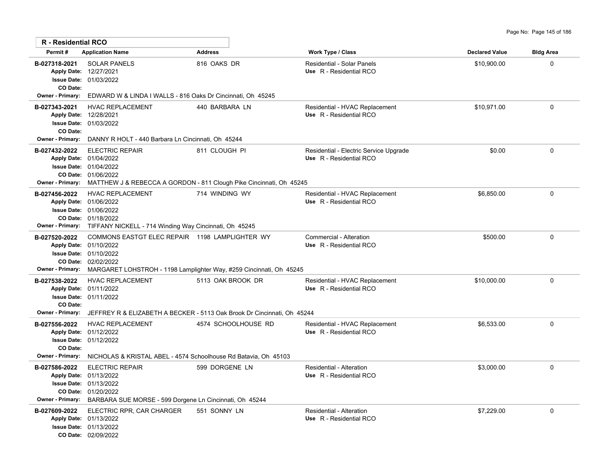| R - Residential RCO                                                             |                                                                                                                                                                                                                           |                     |                                                                   |                       |                  |
|---------------------------------------------------------------------------------|---------------------------------------------------------------------------------------------------------------------------------------------------------------------------------------------------------------------------|---------------------|-------------------------------------------------------------------|-----------------------|------------------|
| Permit#                                                                         | <b>Application Name</b>                                                                                                                                                                                                   | <b>Address</b>      | <b>Work Type / Class</b>                                          | <b>Declared Value</b> | <b>Bldg Area</b> |
| B-027318-2021<br>CO Date:                                                       | <b>SOLAR PANELS</b><br>Apply Date: 12/27/2021<br>Issue Date: 01/03/2022                                                                                                                                                   | 816 OAKS DR         | Residential - Solar Panels<br>Use R - Residential RCO             | \$10,900.00           | $\Omega$         |
| <b>Owner - Primary:</b>                                                         | EDWARD W & LINDA I WALLS - 816 Oaks Dr Cincinnati, Oh 45245                                                                                                                                                               |                     |                                                                   |                       |                  |
| B-027343-2021<br>CO Date:<br><b>Owner - Primary:</b>                            | HVAC REPLACEMENT<br>Apply Date: 12/28/2021<br><b>Issue Date: 01/03/2022</b><br>DANNY R HOLT - 440 Barbara Ln Cincinnati, Oh 45244                                                                                         | 440 BARBARA LN      | Residential - HVAC Replacement<br>Use R - Residential RCO         | \$10,971.00           | $\Omega$         |
| B-027432-2022                                                                   | <b>ELECTRIC REPAIR</b><br>Apply Date: 01/04/2022<br><b>Issue Date: 01/04/2022</b><br>CO Date: 01/06/2022<br>Owner - Primary: MATTHEW J & REBECCA A GORDON - 811 Clough Pike Cincinnati, Oh 45245                          | 811 CLOUGH PI       | Residential - Electric Service Upgrade<br>Use R - Residential RCO | \$0.00                | $\mathbf 0$      |
| B-027456-2022<br>Owner - Primary:                                               | <b>HVAC REPLACEMENT</b><br>Apply Date: 01/06/2022<br><b>Issue Date: 01/06/2022</b><br>CO Date: 01/18/2022<br>TIFFANY NICKELL - 714 Winding Way Cincinnati, Oh 45245                                                       | 714 WINDING WY      | Residential - HVAC Replacement<br>Use R - Residential RCO         | \$6,850.00            | $\mathbf 0$      |
| B-027520-2022<br><b>Owner - Primary:</b>                                        | COMMONS EASTGT ELEC REPAIR 1198 LAMPLIGHTER WY<br>Apply Date: 01/10/2022<br><b>Issue Date: 01/10/2022</b><br>CO Date: 02/02/2022<br>MARGARET LOHSTROH - 1198 Lamplighter Way, #259 Cincinnati, Oh 45245                   |                     | Commercial - Alteration<br>Use R - Residential RCO                | \$500.00              | $\Omega$         |
| B-027538-2022<br>CO Date:                                                       | <b>HVAC REPLACEMENT</b><br>Apply Date: 01/11/2022<br>Issue Date: 01/11/2022                                                                                                                                               | 5113 OAK BROOK DR   | Residential - HVAC Replacement<br>Use R - Residential RCO         | \$10,000.00           | $\Omega$         |
| <b>Owner - Primary:</b><br>B-027556-2022<br>CO Date:<br><b>Owner - Primary:</b> | JEFFREY R & ELIZABETH A BECKER - 5113 Oak Brook Dr Cincinnati, Oh 45244<br><b>HVAC REPLACEMENT</b><br>Apply Date: 01/12/2022<br>Issue Date: 01/12/2022<br>NICHOLAS & KRISTAL ABEL - 4574 Schoolhouse Rd Batavia, Oh 45103 | 4574 SCHOOLHOUSE RD | Residential - HVAC Replacement<br>Use R - Residential RCO         | \$6,533.00            | $\mathbf 0$      |
| B-027586-2022<br><b>Owner - Primary:</b>                                        | <b>ELECTRIC REPAIR</b><br>Apply Date: 01/13/2022<br><b>Issue Date: 01/13/2022</b><br>CO Date: 01/20/2022<br>BARBARA SUE MORSE - 599 Dorgene Ln Cincinnati, Oh 45244                                                       | 599 DORGENE LN      | Residential - Alteration<br>Use R - Residential RCO               | \$3,000.00            | $\mathbf 0$      |
| B-027609-2022                                                                   | ELECTRIC RPR, CAR CHARGER<br>Apply Date: 01/13/2022<br>Issue Date: 01/13/2022<br>CO Date: 02/09/2022                                                                                                                      | 551 SONNY LN        | Residential - Alteration<br>Use R - Residential RCO               | \$7,229.00            | $\mathbf 0$      |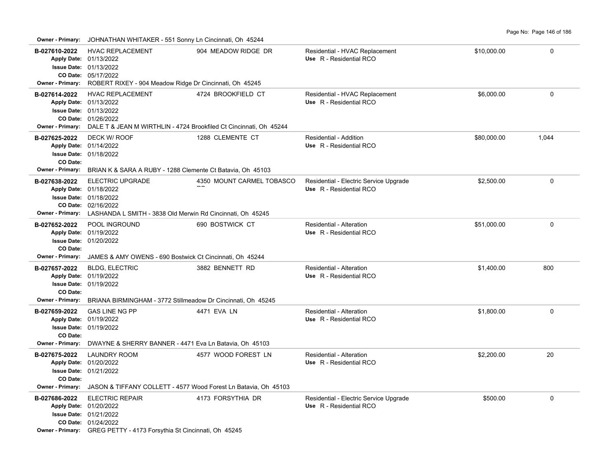**Owner - Primary:** JOHNATHAN WHITAKER - 551 Sonny Ln Cincinnati, Oh 45244

|                                                      | $\frac{1}{2}$                                                                                                                                                                                    |                           |                                                                   |             |             |  |  |
|------------------------------------------------------|--------------------------------------------------------------------------------------------------------------------------------------------------------------------------------------------------|---------------------------|-------------------------------------------------------------------|-------------|-------------|--|--|
| B-027610-2022                                        | <b>HVAC REPLACEMENT</b><br>Apply Date: 01/13/2022<br><b>Issue Date: 01/13/2022</b><br>CO Date: 05/17/2022<br>Owner - Primary: ROBERT RIXEY - 904 Meadow Ridge Dr Cincinnati, Oh 45245            | 904 MEADOW RIDGE DR       | Residential - HVAC Replacement<br>Use R - Residential RCO         | \$10,000.00 | 0           |  |  |
| B-027614-2022                                        | <b>HVAC REPLACEMENT</b><br>Apply Date: 01/13/2022<br><b>Issue Date: 01/13/2022</b><br>CO Date: 01/26/2022<br>Owner - Primary: DALE T & JEAN M WIRTHLIN - 4724 Brookfiled Ct Cincinnati, Oh 45244 | 4724 BROOKFIELD CT        | Residential - HVAC Replacement<br>Use R - Residential RCO         | \$6,000.00  | $\Omega$    |  |  |
| B-027625-2022<br>CO Date:                            | DECK W/ ROOF<br>Apply Date: 01/14/2022<br><b>Issue Date: 01/18/2022</b>                                                                                                                          | 1288 CLEMENTE CT          | Residential - Addition<br>Use R - Residential RCO                 | \$80,000.00 | 1,044       |  |  |
| Owner - Primary:<br>B-027638-2022                    | BRIAN K & SARA A RUBY - 1288 Clemente Ct Batavia, Oh 45103<br><b>ELECTRIC UPGRADE</b><br>Apply Date: 01/18/2022<br><b>Issue Date: 01/18/2022</b>                                                 | 4350 MOUNT CARMEL TOBASCO | Residential - Electric Service Upgrade<br>Use R - Residential RCO | \$2,500.00  | $\Omega$    |  |  |
|                                                      | CO Date: 02/16/2022<br><b>Owner - Primary:</b> LASHANDA L SMITH - 3838 Old Merwin Rd Cincinnati, Oh 45245                                                                                        |                           |                                                                   |             |             |  |  |
| B-027652-2022<br>CO Date:<br><b>Owner - Primary:</b> | POOL INGROUND<br>Apply Date: 01/19/2022<br><b>Issue Date: 01/20/2022</b>                                                                                                                         | 690 BOSTWICK CT           | Residential - Alteration<br>Use R - Residential RCO               | \$51,000.00 | $\Omega$    |  |  |
|                                                      | JAMES & AMY OWENS - 690 Bostwick Ct Cincinnati, Oh 45244                                                                                                                                         |                           |                                                                   |             |             |  |  |
| B-027657-2022                                        | <b>BLDG, ELECTRIC</b><br>Apply Date: 01/19/2022                                                                                                                                                  | 3882 BENNETT RD           | Residential - Alteration<br>Use R - Residential RCO               | \$1,400.00  | 800         |  |  |
|                                                      | <b>Issue Date: 01/19/2022</b>                                                                                                                                                                    |                           |                                                                   |             |             |  |  |
| CO Date:<br><b>Owner - Primary:</b>                  | BRIANA BIRMINGHAM - 3772 Stillmeadow Dr Cincinnati, Oh 45245                                                                                                                                     |                           |                                                                   |             |             |  |  |
| B-027659-2022<br>CO Date:                            | <b>GAS LINE NG PP</b><br>Apply Date: 01/19/2022<br><b>Issue Date: 01/19/2022</b>                                                                                                                 | 4471 EVA LN               | Residential - Alteration<br>Use R - Residential RCO               | \$1,800.00  | $\mathbf 0$ |  |  |
|                                                      | Owner - Primary: DWAYNE & SHERRY BANNER - 4471 Eva Ln Batavia, Oh 45103                                                                                                                          |                           |                                                                   |             |             |  |  |
| B-027675-2022<br>CO Date:                            | <b>LAUNDRY ROOM</b><br>Apply Date: 01/20/2022<br><b>Issue Date: 01/21/2022</b>                                                                                                                   | 4577 WOOD FOREST LN       | Residential - Alteration<br>Use R - Residential RCO               | \$2,200.00  | 20          |  |  |
|                                                      | Owner - Primary: JASON & TIFFANY COLLETT - 4577 Wood Forest Ln Batavia, Oh 45103                                                                                                                 |                           |                                                                   |             |             |  |  |
| B-027686-2022                                        | <b>ELECTRIC REPAIR</b><br>Apply Date: 01/20/2022<br><b>Issue Date: 01/21/2022</b><br>CO Date: 01/24/2022<br>Owner - Primary: GREG PETTY - 4173 Forsythia St Cincinnati, Oh 45245                 | 4173 FORSYTHIA DR         | Residential - Electric Service Upgrade<br>Use R - Residential RCO | \$500.00    | $\mathbf 0$ |  |  |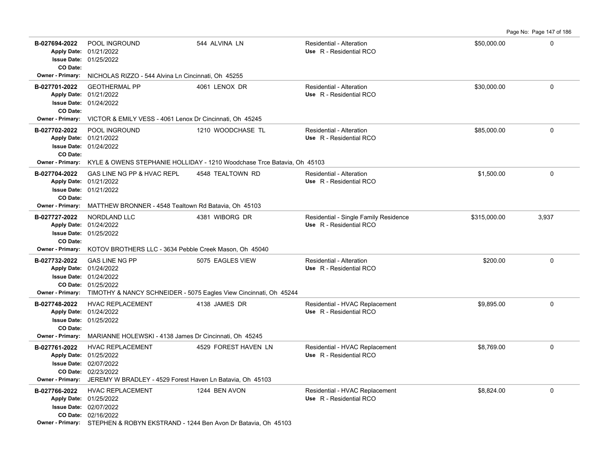Page No: Page 147 of 186

| B-027694-2022<br>CO Date:                | POOL INGROUND<br>Apply Date: 01/21/2022<br><b>Issue Date: 01/25/2022</b>                                                                                                                      | 544 ALVINA LN                                                           | Residential - Alteration<br>Use R - Residential RCO              | \$50,000.00  | 0           |  |  |  |  |
|------------------------------------------|-----------------------------------------------------------------------------------------------------------------------------------------------------------------------------------------------|-------------------------------------------------------------------------|------------------------------------------------------------------|--------------|-------------|--|--|--|--|
| Owner - Primary:                         | NICHOLAS RIZZO - 544 Alvina Ln Cincinnati, Oh 45255                                                                                                                                           |                                                                         |                                                                  |              |             |  |  |  |  |
| B-027701-2022<br>CO Date:                | <b>GEOTHERMAL PP</b><br>Apply Date: 01/21/2022<br><b>Issue Date: 01/24/2022</b>                                                                                                               | 4061 LENOX DR                                                           | Residential - Alteration<br>Use R - Residential RCO              | \$30,000.00  | 0           |  |  |  |  |
| <b>Owner - Primary:</b>                  |                                                                                                                                                                                               | VICTOR & EMILY VESS - 4061 Lenox Dr Cincinnati, Oh 45245                |                                                                  |              |             |  |  |  |  |
| B-027702-2022<br>CO Date:                | POOL INGROUND<br>Apply Date: 01/21/2022<br><b>Issue Date: 01/24/2022</b>                                                                                                                      | 1210 WOODCHASE TL                                                       | Residential - Alteration<br>Use R - Residential RCO              | \$85,000.00  | 0           |  |  |  |  |
| Owner - Primary:                         |                                                                                                                                                                                               | KYLE & OWENS STEPHANIE HOLLIDAY - 1210 Woodchase Trce Batavia, Oh 45103 |                                                                  |              |             |  |  |  |  |
| B-027704-2022<br>CO Date:                | GAS LINE NG PP & HVAC REPL<br>Apply Date: 01/21/2022<br><b>Issue Date: 01/21/2022</b>                                                                                                         | 4548 TEALTOWN RD                                                        | Residential - Alteration<br>Use R - Residential RCO              | \$1,500.00   | $\mathbf 0$ |  |  |  |  |
| <b>Owner - Primary:</b>                  | MATTHEW BRONNER - 4548 Tealtown Rd Batavia, Oh 45103                                                                                                                                          |                                                                         |                                                                  |              |             |  |  |  |  |
| B-027727-2022<br>CO Date:                | NORDLAND LLC<br>Apply Date: 01/24/2022<br><b>Issue Date: 01/25/2022</b>                                                                                                                       | 4381 WIBORG DR                                                          | Residential - Single Family Residence<br>Use R - Residential RCO | \$315,000.00 | 3,937       |  |  |  |  |
|                                          | Owner - Primary: KOTOV BROTHERS LLC - 3634 Pebble Creek Mason, Oh 45040                                                                                                                       |                                                                         |                                                                  |              |             |  |  |  |  |
| B-027732-2022                            | <b>GAS LINE NG PP</b><br>Apply Date: 01/24/2022<br><b>Issue Date: 01/24/2022</b><br>CO Date: 01/25/2022<br>Owner - Primary: TIMOTHY & NANCY SCHNEIDER - 5075 Eagles View Cincinnati, Oh 45244 | 5075 EAGLES VIEW                                                        | Residential - Alteration<br>Use R - Residential RCO              | \$200.00     | 0           |  |  |  |  |
| B-027748-2022<br>CO Date:                | <b>HVAC REPLACEMENT</b><br>Apply Date: 01/24/2022<br><b>Issue Date: 01/25/2022</b>                                                                                                            | 4138 JAMES DR                                                           | Residential - HVAC Replacement<br>Use R - Residential RCO        | \$9,895.00   | $\pmb{0}$   |  |  |  |  |
| <b>Owner - Primary:</b>                  | MARIANNE HOLEWSKI - 4138 James Dr Cincinnati, Oh 45245                                                                                                                                        |                                                                         |                                                                  |              |             |  |  |  |  |
| B-027761-2022<br><b>Owner - Primary:</b> | <b>HVAC REPLACEMENT</b><br>Apply Date: 01/25/2022<br><b>Issue Date: 02/07/2022</b><br>CO Date: 02/23/2022<br>JEREMY W BRADLEY - 4529 Forest Haven Ln Batavia, Oh 45103                        | 4529 FOREST HAVEN LN                                                    | Residential - HVAC Replacement<br>Use R - Residential RCO        | \$8,769.00   | 0           |  |  |  |  |
| B-027766-2022                            | <b>HVAC REPLACEMENT</b><br>Apply Date: 01/25/2022<br><b>Issue Date: 02/07/2022</b><br>CO Date: 02/16/2022<br>Owner - Primary: STEPHEN & ROBYN EKSTRAND - 1244 Ben Avon Dr Batavia, Oh 45103   | 1244 BEN AVON                                                           | Residential - HVAC Replacement<br>Use R - Residential RCO        | \$8,824.00   | $\mathbf 0$ |  |  |  |  |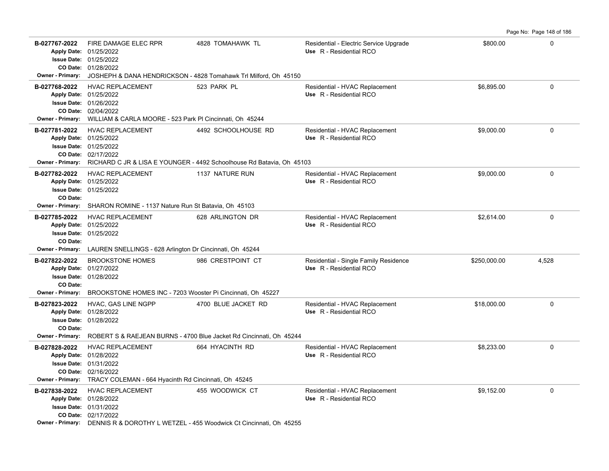|                                                                                 |                                                                                                                                                                       |                                                                                                              |                                                                   |              | Page No: Page 148 of 186 |
|---------------------------------------------------------------------------------|-----------------------------------------------------------------------------------------------------------------------------------------------------------------------|--------------------------------------------------------------------------------------------------------------|-------------------------------------------------------------------|--------------|--------------------------|
| B-027767-2022<br>Owner - Primary:                                               | FIRE DAMAGE ELEC RPR<br>Apply Date: 01/25/2022<br><b>Issue Date: 01/25/2022</b><br>CO Date: 01/28/2022                                                                | 4828 TOMAHAWK TL<br>JOSHEPH & DANA HENDRICKSON - 4828 Tomahawk Trl Milford, Oh 45150                         | Residential - Electric Service Upgrade<br>Use R - Residential RCO | \$800.00     | 0                        |
| B-027768-2022<br><b>Owner - Primary:</b>                                        | <b>HVAC REPLACEMENT</b><br>Apply Date: 01/25/2022<br><b>Issue Date: 01/26/2022</b><br>CO Date: 02/04/2022<br>WILLIAM & CARLA MOORE - 523 Park PI Cincinnati, Oh 45244 | 523 PARK PL                                                                                                  | Residential - HVAC Replacement<br>Use R - Residential RCO         | \$6,895.00   | $\mathbf 0$              |
| B-027781-2022<br><b>Owner - Primary:</b>                                        | <b>HVAC REPLACEMENT</b><br>Apply Date: 01/25/2022<br>Issue Date: 01/25/2022<br>CO Date: 02/17/2022                                                                    | 4492 SCHOOLHOUSE RD<br>RICHARD C JR & LISA E YOUNGER - 4492 Schoolhouse Rd Batavia, Oh 45103                 | Residential - HVAC Replacement<br>Use R - Residential RCO         | \$9,000.00   | 0                        |
| B-027782-2022<br>CO Date:<br><b>Owner - Primary:</b>                            | HVAC REPLACEMENT<br>Apply Date: 01/25/2022<br><b>Issue Date: 01/25/2022</b>                                                                                           | 1137 NATURE RUN                                                                                              | Residential - HVAC Replacement<br>Use R - Residential RCO         | \$9,000.00   | 0                        |
| B-027785-2022<br>CO Date:                                                       | SHARON ROMINE - 1137 Nature Run St Batavia, Oh 45103<br><b>HVAC REPLACEMENT</b><br>Apply Date: 01/25/2022<br><b>Issue Date: 01/25/2022</b>                            | 628 ARLINGTON DR                                                                                             | Residential - HVAC Replacement<br>Use R - Residential RCO         | \$2,614.00   | 0                        |
| <b>Owner - Primary:</b>                                                         | LAUREN SNELLINGS - 628 Arlington Dr Cincinnati, Oh 45244                                                                                                              |                                                                                                              |                                                                   |              |                          |
| B-027822-2022<br>CO Date:                                                       | <b>BROOKSTONE HOMES</b><br>Apply Date: 01/27/2022<br><b>Issue Date: 01/28/2022</b>                                                                                    | 986 CRESTPOINT CT                                                                                            | Residential - Single Family Residence<br>Use R - Residential RCO  | \$250,000.00 | 4,528                    |
| <b>Owner - Primary:</b><br>B-027823-2022<br>CO Date:<br><b>Owner - Primary:</b> | BROOKSTONE HOMES INC - 7203 Wooster Pi Cincinnati, Oh 45227<br>HVAC, GAS LINE NGPP<br>Apply Date: 01/28/2022<br><b>Issue Date: 01/28/2022</b>                         | 4700 BLUE JACKET RD<br>ROBERT S & RAEJEAN BURNS - 4700 Blue Jacket Rd Cincinnati, Oh 45244                   | Residential - HVAC Replacement<br>Use R - Residential RCO         | \$18,000.00  | 0                        |
| B-027828-2022<br>Apply Date: 01/28/2022<br><b>Owner - Primary:</b>              | <b>HVAC REPLACEMENT</b><br><b>Issue Date: 01/31/2022</b><br>CO Date: 02/16/2022<br>TRACY COLEMAN - 664 Hyacinth Rd Cincinnati, Oh 45245                               | 664 HYACINTH RD                                                                                              | Residential - HVAC Replacement<br>Use R - Residential RCO         | \$8,233.00   | $\Omega$                 |
| B-027838-2022                                                                   | <b>HVAC REPLACEMENT</b><br>Apply Date: 01/28/2022<br><b>Issue Date: 01/31/2022</b><br>CO Date: 02/17/2022                                                             | 455 WOODWICK CT<br><b>Owner - Primary:</b> DENNIS R & DOROTHY L WETZEL - 455 Woodwick Ct Cincinnati Ob 45255 | Residential - HVAC Replacement<br>Use R - Residential RCO         | \$9,152.00   | 0                        |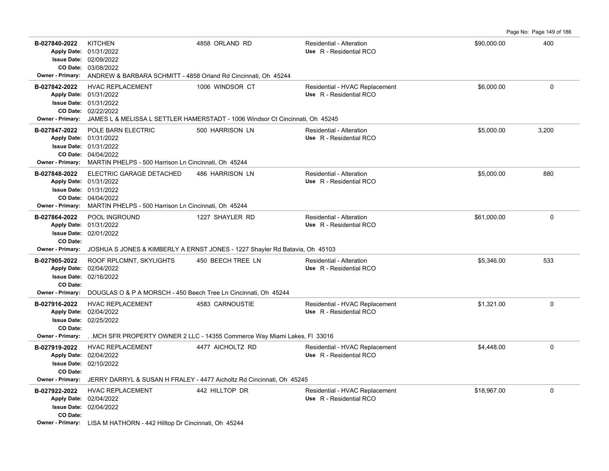Page No: Page 149 of 186

| B-027840-2022<br><b>Owner - Primary:</b> | <b>KITCHEN</b><br>Apply Date: 01/31/2022<br><b>Issue Date: 02/09/2022</b><br>CO Date: 03/08/2022<br>ANDREW & BARBARA SCHMITT - 4858 Orland Rd Cincinnati, Oh 45244 | 4858 ORLAND RD                                                                                 | Residential - Alteration<br>Use R - Residential RCO       | \$90,000.00 | 400         |  |  |
|------------------------------------------|--------------------------------------------------------------------------------------------------------------------------------------------------------------------|------------------------------------------------------------------------------------------------|-----------------------------------------------------------|-------------|-------------|--|--|
| B-027842-2022                            | <b>HVAC REPLACEMENT</b>                                                                                                                                            | 1006 WINDSOR CT                                                                                | Residential - HVAC Replacement                            | \$6,000.00  | 0           |  |  |
|                                          | Apply Date: 01/31/2022                                                                                                                                             |                                                                                                | Use R - Residential RCO                                   |             |             |  |  |
|                                          | <b>Issue Date: 01/31/2022</b>                                                                                                                                      |                                                                                                |                                                           |             |             |  |  |
|                                          | CO Date: 02/22/2022                                                                                                                                                | Owner - Primary: JAMES L & MELISSA L SETTLER HAMERSTADT - 1006 Windsor Ct Cincinnati, Oh 45245 |                                                           |             |             |  |  |
| B-027847-2022                            | POLE BARN ELECTRIC                                                                                                                                                 | 500 HARRISON LN                                                                                | Residential - Alteration                                  | \$5,000.00  | 3,200       |  |  |
|                                          | Apply Date: 01/31/2022                                                                                                                                             |                                                                                                | Use R - Residential RCO                                   |             |             |  |  |
|                                          | <b>Issue Date: 01/31/2022</b>                                                                                                                                      |                                                                                                |                                                           |             |             |  |  |
|                                          | CO Date: 04/04/2022                                                                                                                                                |                                                                                                |                                                           |             |             |  |  |
|                                          | Owner - Primary: MARTIN PHELPS - 500 Harrison Ln Cincinnati, Oh 45244                                                                                              |                                                                                                |                                                           |             |             |  |  |
| B-027848-2022                            | ELECTRIC GARAGE DETACHED<br>Apply Date: 01/31/2022                                                                                                                 | 486 HARRISON LN                                                                                | Residential - Alteration<br>Use R - Residential RCO       | \$5,000.00  | 880         |  |  |
|                                          | <b>Issue Date: 01/31/2022</b>                                                                                                                                      |                                                                                                |                                                           |             |             |  |  |
|                                          | CO Date: 04/04/2022                                                                                                                                                |                                                                                                |                                                           |             |             |  |  |
|                                          | Owner - Primary: MARTIN PHELPS - 500 Harrison Ln Cincinnati, Oh 45244                                                                                              |                                                                                                |                                                           |             |             |  |  |
| B-027864-2022                            | POOL INGROUND<br>Apply Date: 01/31/2022                                                                                                                            | 1227 SHAYLER RD                                                                                | Residential - Alteration<br>Use R - Residential RCO       | \$61,000.00 | $\mathbf 0$ |  |  |
|                                          | <b>Issue Date: 02/01/2022</b>                                                                                                                                      |                                                                                                |                                                           |             |             |  |  |
| CO Date:                                 |                                                                                                                                                                    |                                                                                                |                                                           |             |             |  |  |
| <b>Owner - Primary:</b>                  |                                                                                                                                                                    | JOSHUA S JONES & KIMBERLY A ERNST JONES - 1227 Shayler Rd Batavia, Oh 45103                    |                                                           |             |             |  |  |
| B-027905-2022                            | ROOF RPLCMNT, SKYLIGHTS<br>Apply Date: 02/04/2022                                                                                                                  | 450 BEECH TREE LN                                                                              | Residential - Alteration<br>Use R - Residential RCO       | \$5,346.00  | 533         |  |  |
|                                          | <b>Issue Date: 02/16/2022</b>                                                                                                                                      |                                                                                                |                                                           |             |             |  |  |
| CO Date:                                 |                                                                                                                                                                    |                                                                                                |                                                           |             |             |  |  |
| <b>Owner - Primary:</b>                  | DOUGLAS O & P A MORSCH - 450 Beech Tree Ln Cincinnati, Oh 45244                                                                                                    |                                                                                                |                                                           |             |             |  |  |
| B-027916-2022                            | <b>HVAC REPLACEMENT</b><br>Apply Date: 02/04/2022                                                                                                                  | 4583 CARNOUSTIE                                                                                | Residential - HVAC Replacement<br>Use R - Residential RCO | \$1,321.00  | 0           |  |  |
|                                          | <b>Issue Date: 02/25/2022</b>                                                                                                                                      |                                                                                                |                                                           |             |             |  |  |
| CO Date:                                 |                                                                                                                                                                    |                                                                                                |                                                           |             |             |  |  |
| <b>Owner - Primary:</b>                  |                                                                                                                                                                    | MCH SFR PROPERTY OWNER 2 LLC - 14355 Commerce Way Miami Lakes, FI 33016                        |                                                           |             |             |  |  |
| B-027919-2022                            | <b>HVAC REPLACEMENT</b><br>Apply Date: 02/04/2022                                                                                                                  | 4477 AICHOLTZ RD                                                                               | Residential - HVAC Replacement<br>Use R - Residential RCO | \$4,448.00  | $\mathbf 0$ |  |  |
|                                          | <b>Issue Date: 02/10/2022</b>                                                                                                                                      |                                                                                                |                                                           |             |             |  |  |
| CO Date:                                 |                                                                                                                                                                    |                                                                                                |                                                           |             |             |  |  |
| Owner - Primary:                         |                                                                                                                                                                    | JERRY DARRYL & SUSAN H FRALEY - 4477 Aicholtz Rd Cincinnati, Oh 45245                          |                                                           |             |             |  |  |
| B-027922-2022                            | <b>HVAC REPLACEMENT</b>                                                                                                                                            | 442 HILLTOP DR                                                                                 | Residential - HVAC Replacement                            | \$18,967.00 | 0           |  |  |
|                                          | Apply Date: 02/04/2022<br><b>Issue Date: 02/04/2022</b>                                                                                                            |                                                                                                | Use R - Residential RCO                                   |             |             |  |  |
| CO Date:                                 |                                                                                                                                                                    |                                                                                                |                                                           |             |             |  |  |
|                                          | Owner - Primary: LISA M HATHORN - 442 Hilltop Dr Cincinnati, Oh 45244                                                                                              |                                                                                                |                                                           |             |             |  |  |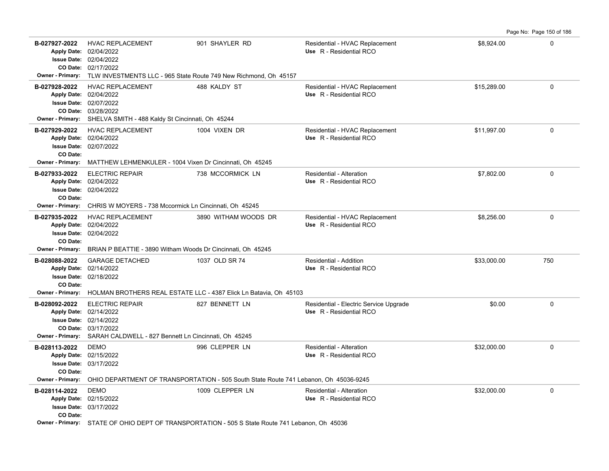|                                                      |                                                                                                                                                                                                |                                                                                                                    |                                                                   |             | $1$ ago No. 1 ago 100 or 100 |
|------------------------------------------------------|------------------------------------------------------------------------------------------------------------------------------------------------------------------------------------------------|--------------------------------------------------------------------------------------------------------------------|-------------------------------------------------------------------|-------------|------------------------------|
| B-027927-2022                                        | <b>HVAC REPLACEMENT</b><br>Apply Date: 02/04/2022<br><b>Issue Date: 02/04/2022</b><br>CO Date: 02/17/2022<br>Owner - Primary: TLW INVESTMENTS LLC - 965 State Route 749 New Richmond, Oh 45157 | 901 SHAYLER RD                                                                                                     | Residential - HVAC Replacement<br>Use R - Residential RCO         | \$8,924.00  | 0                            |
| B-027928-2022                                        | <b>HVAC REPLACEMENT</b><br>Apply Date: 02/04/2022<br><b>Issue Date: 02/07/2022</b><br>CO Date: 03/28/2022<br>Owner - Primary: SHELVA SMITH - 488 Kaldy St Cincinnati, Oh 45244                 | 488 KALDY ST                                                                                                       | Residential - HVAC Replacement<br>Use R - Residential RCO         | \$15,289.00 | $\mathbf 0$                  |
| B-027929-2022<br>CO Date:                            | <b>HVAC REPLACEMENT</b><br>Apply Date: 02/04/2022<br><b>Issue Date: 02/07/2022</b><br>Owner - Primary: MATTHEW LEHMENKULER - 1004 Vixen Dr Cincinnati, Oh 45245                                | 1004 VIXEN DR                                                                                                      | Residential - HVAC Replacement<br>Use R - Residential RCO         | \$11,997.00 | $\mathbf 0$                  |
| B-027933-2022<br>CO Date:                            | <b>ELECTRIC REPAIR</b><br>Apply Date: 02/04/2022<br><b>Issue Date: 02/04/2022</b><br>Owner - Primary: CHRIS W MOYERS - 738 Mccormick Ln Cincinnati, Oh 45245                                   | 738 MCCORMICK LN                                                                                                   | <b>Residential - Alteration</b><br>Use R - Residential RCO        | \$7,802.00  | $\mathbf 0$                  |
| B-027935-2022<br>CO Date:                            | <b>HVAC REPLACEMENT</b><br>Apply Date: 02/04/2022<br><b>Issue Date: 02/04/2022</b><br>Owner - Primary: BRIAN P BEATTIE - 3890 Witham Woods Dr Cincinnati, Oh 45245                             | 3890 WITHAM WOODS DR                                                                                               | Residential - HVAC Replacement<br>Use R - Residential RCO         | \$8.256.00  | $\mathbf 0$                  |
| B-028088-2022<br>CO Date:                            | <b>GARAGE DETACHED</b><br>Apply Date: 02/14/2022<br><b>Issue Date: 02/18/2022</b>                                                                                                              | 1037 OLD SR 74<br>Owner - Primary: HOLMAN BROTHERS REAL ESTATE LLC - 4387 Elick Ln Batavia, Oh 45103               | <b>Residential - Addition</b><br>Use R - Residential RCO          | \$33,000.00 | 750                          |
| B-028092-2022                                        | <b>ELECTRIC REPAIR</b><br>Apply Date: 02/14/2022<br><b>Issue Date: 02/14/2022</b><br>CO Date: 03/17/2022<br>Owner - Primary: SARAH CALDWELL - 827 Bennett Ln Cincinnati, Oh 45245              | 827 BENNETT LN                                                                                                     | Residential - Electric Service Upgrade<br>Use R - Residential RCO | \$0.00      | $\Omega$                     |
| B-028113-2022<br>CO Date:<br><b>Owner - Primary:</b> | <b>DEMO</b><br>Apply Date: 02/15/2022<br><b>Issue Date: 03/17/2022</b>                                                                                                                         | 996 CLEPPER LN<br>OHIO DEPARTMENT OF TRANSPORTATION - 505 South State Route 741 Lebanon, Oh 45036-9245             | <b>Residential - Alteration</b><br>Use R - Residential RCO        | \$32,000.00 | $\mathbf 0$                  |
| B-028114-2022<br>CO Date:                            | <b>DEMO</b><br>Apply Date: 02/15/2022<br>Issue Date: 03/17/2022                                                                                                                                | 1009 CLEPPER LN<br>Owner - Primary: STATE OF OHIO DEPT OF TRANSPORTATION - 505 S State Route 741 Lebanon, Oh 45036 | <b>Residential - Alteration</b><br>Use R - Residential RCO        | \$32,000.00 | $\mathbf 0$                  |

Page No: Page 150 of 186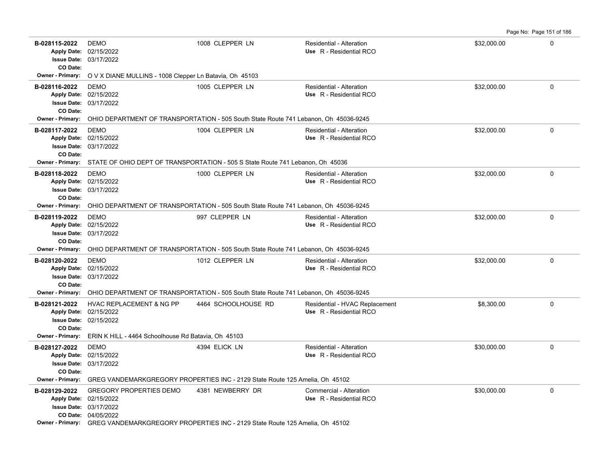Page No: Page 151 of 186

| B-028115-2022<br>CO Date:           | <b>DEMO</b><br>Apply Date: 02/15/2022<br><b>Issue Date: 03/17/2022</b>                                           | 1008 CLEPPER LN                                                                      | Residential - Alteration<br>Use R - Residential RCO       | \$32,000.00 | $\Omega$            |  |
|-------------------------------------|------------------------------------------------------------------------------------------------------------------|--------------------------------------------------------------------------------------|-----------------------------------------------------------|-------------|---------------------|--|
| Owner - Primary:                    | O V X DIANE MULLINS - 1008 Clepper Ln Batavia, Oh 45103                                                          |                                                                                      |                                                           |             |                     |  |
| B-028116-2022                       | <b>DEMO</b><br>Apply Date: 02/15/2022<br><b>Issue Date: 03/17/2022</b>                                           | 1005 CLEPPER LN                                                                      | Residential - Alteration<br>Use R - Residential RCO       | \$32,000.00 | $\Omega$            |  |
| CO Date:<br><b>Owner - Primary:</b> |                                                                                                                  | OHIO DEPARTMENT OF TRANSPORTATION - 505 South State Route 741 Lebanon, Oh 45036-9245 |                                                           |             |                     |  |
| B-028117-2022<br>CO Date:           | <b>DEMO</b><br>Apply Date: 02/15/2022<br><b>Issue Date: 03/17/2022</b>                                           | 1004 CLEPPER LN                                                                      | Residential - Alteration<br>Use R - Residential RCO       | \$32,000.00 | $\mathbf 0$         |  |
| <b>Owner - Primary:</b>             |                                                                                                                  | STATE OF OHIO DEPT OF TRANSPORTATION - 505 S State Route 741 Lebanon, Oh 45036       |                                                           |             |                     |  |
| B-028118-2022<br>CO Date:           | <b>DEMO</b><br>Apply Date: 02/15/2022<br>Issue Date: 03/17/2022                                                  | 1000 CLEPPER LN                                                                      | Residential - Alteration<br>Use R - Residential RCO       | \$32,000.00 | $\Omega$            |  |
| Owner - Primary:                    |                                                                                                                  | OHIO DEPARTMENT OF TRANSPORTATION - 505 South State Route 741 Lebanon, Oh 45036-9245 |                                                           |             |                     |  |
| B-028119-2022<br>CO Date:           | <b>DEMO</b><br>Apply Date: 02/15/2022<br>Issue Date: 03/17/2022                                                  | 997 CLEPPER LN                                                                       | Residential - Alteration<br>Use R - Residential RCO       | \$32,000.00 | $\Omega$            |  |
| <b>Owner - Primary:</b>             |                                                                                                                  | OHIO DEPARTMENT OF TRANSPORTATION - 505 South State Route 741 Lebanon, Oh 45036-9245 |                                                           |             |                     |  |
| B-028120-2022<br>CO Date:           | <b>DEMO</b><br>Apply Date: 02/15/2022<br><b>Issue Date: 03/17/2022</b>                                           | 1012 CLEPPER LN                                                                      | Residential - Alteration<br>Use R - Residential RCO       | \$32,000.00 | $\mathbf 0$         |  |
| <b>Owner - Primary:</b>             | OHIO DEPARTMENT OF TRANSPORTATION - 505 South State Route 741 Lebanon, Oh 45036-9245                             |                                                                                      |                                                           |             |                     |  |
| B-028121-2022<br>CO Date:           | <b>HVAC REPLACEMENT &amp; NG PP</b><br>Apply Date: 02/15/2022<br><b>Issue Date: 02/15/2022</b>                   | 4464 SCHOOLHOUSE RD                                                                  | Residential - HVAC Replacement<br>Use R - Residential RCO | \$8,300.00  | 0                   |  |
| Owner - Primary:                    | ERIN K HILL - 4464 Schoolhouse Rd Batavia, Oh 45103                                                              |                                                                                      |                                                           |             |                     |  |
| B-028127-2022<br>CO Date:           | <b>DEMO</b><br>Apply Date: 02/15/2022<br>Issue Date: 03/17/2022                                                  | 4394 ELICK LN                                                                        | Residential - Alteration<br>Use R - Residential RCO       | \$30,000.00 | $\mathsf{O}\xspace$ |  |
| <b>Owner - Primary:</b>             | GREG VANDEMARKGREGORY PROPERTIES INC - 2129 State Route 125 Amelia, Oh 45102                                     |                                                                                      |                                                           |             |                     |  |
| B-028129-2022                       | <b>GREGORY PROPERTIES DEMO</b><br>Apply Date: 02/15/2022<br><b>Issue Date: 03/17/2022</b><br>CO Date: 04/05/2022 | 4381 NEWBERRY DR                                                                     | Commercial - Alteration<br>Use R - Residential RCO        | \$30,000.00 | 0                   |  |
|                                     | Owner - Primary: GREG VANDEMARKGREGORY PROPERTIES INC - 2129 State Route 125 Amelia, Oh 45102                    |                                                                                      |                                                           |             |                     |  |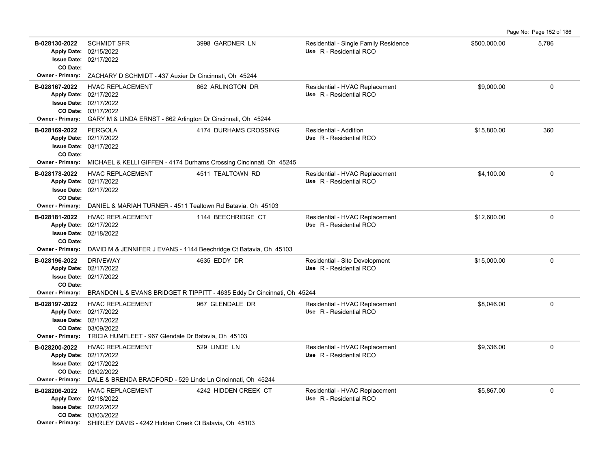| B-028130-2022<br>CO Date:                     | <b>SCHMIDT SFR</b><br>Apply Date: 02/15/2022<br><b>Issue Date: 02/17/2022</b>                                                                                                        | 3998 GARDNER LN                                                         | Residential - Single Family Residence<br>Use R - Residential RCO | \$500,000.00 | 5,786       |
|-----------------------------------------------|--------------------------------------------------------------------------------------------------------------------------------------------------------------------------------------|-------------------------------------------------------------------------|------------------------------------------------------------------|--------------|-------------|
|                                               | Owner - Primary: ZACHARY D SCHMIDT - 437 Auxier Dr Cincinnati, Oh 45244                                                                                                              |                                                                         |                                                                  |              |             |
| B-028167-2022<br><b>Owner - Primary:</b>      | <b>HVAC REPLACEMENT</b><br>Apply Date: 02/17/2022<br>Issue Date: 02/17/2022<br>CO Date: 03/17/2022<br>GARY M & LINDA ERNST - 662 Arlington Dr Cincinnati, Oh 45244                   | 662 ARLINGTON DR                                                        | Residential - HVAC Replacement<br>Use R - Residential RCO        | \$9,000.00   | $\mathbf 0$ |
| B-028169-2022<br>CO Date:<br>Owner - Primary: | PERGOLA<br>Apply Date: 02/17/2022<br><b>Issue Date: 03/17/2022</b><br>MICHAEL & KELLI GIFFEN - 4174 Durhams Crossing Cincinnati, Oh 45245                                            | 4174 DURHAMS CROSSING                                                   | Residential - Addition<br>Use R - Residential RCO                | \$15,800.00  | 360         |
| B-028178-2022<br>CO Date:                     | <b>HVAC REPLACEMENT</b><br>Apply Date: 02/17/2022<br><b>Issue Date: 02/17/2022</b>                                                                                                   | 4511 TEALTOWN RD                                                        | Residential - HVAC Replacement<br>Use R - Residential RCO        | \$4,100.00   | $\mathbf 0$ |
| <b>Owner - Primary:</b>                       | DANIEL & MARIAH TURNER - 4511 Tealtown Rd Batavia, Oh 45103                                                                                                                          |                                                                         |                                                                  |              |             |
| B-028181-2022<br>CO Date:                     | <b>HVAC REPLACEMENT</b><br>Apply Date: 02/17/2022<br><b>Issue Date: 02/18/2022</b><br><b>Owner - Primary:</b> DAVID M & JENNIFER J EVANS - 1144 Beechridge Ct Batavia, Oh 45103      | 1144 BEECHRIDGE CT                                                      | Residential - HVAC Replacement<br>Use R - Residential RCO        | \$12,600.00  | $\mathbf 0$ |
| B-028196-2022                                 | <b>DRIVEWAY</b>                                                                                                                                                                      | 4635 EDDY DR                                                            | Residential - Site Development                                   | \$15,000.00  | $\mathbf 0$ |
| CO Date:                                      | Apply Date: 02/17/2022<br><b>Issue Date: 02/17/2022</b>                                                                                                                              |                                                                         | Use R - Residential RCO                                          |              |             |
| Owner - Primary:                              |                                                                                                                                                                                      | BRANDON L & EVANS BRIDGET R TIPPITT - 4635 Eddy Dr Cincinnati, Oh 45244 |                                                                  |              |             |
| B-028197-2022<br><b>Owner - Primary:</b>      | <b>HVAC REPLACEMENT</b><br>Apply Date: 02/17/2022<br><b>Issue Date: 02/17/2022</b><br>CO Date: 03/09/2022<br>TRICIA HUMFLEET - 967 Glendale Dr Batavia, Oh 45103                     | 967 GLENDALE DR                                                         | Residential - HVAC Replacement<br>Use R - Residential RCO        | \$8,046.00   | 0           |
| B-028200-2022                                 | <b>HVAC REPLACEMENT</b><br>Apply Date: 02/17/2022<br>Issue Date: 02/17/2022<br>CO Date: 03/02/2022<br>Owner - Primary: DALE & BRENDA BRADFORD - 529 Linde Ln Cincinnati, Oh 45244    | 529 LINDE LN                                                            | Residential - HVAC Replacement<br>Use R - Residential RCO        | \$9,336.00   | $\mathbf 0$ |
| B-028206-2022                                 | <b>HVAC REPLACEMENT</b><br>Apply Date: 02/18/2022<br><b>Issue Date: 02/22/2022</b><br>CO Date: 03/03/2022<br>Owner - Primary: SHIRLEY DAVIS - 4242 Hidden Creek Ct Batavia, Oh 45103 | 4242 HIDDEN CREEK CT                                                    | Residential - HVAC Replacement<br>Use R - Residential RCO        | \$5,867.00   | $\Omega$    |

Page No: Page 152 of 186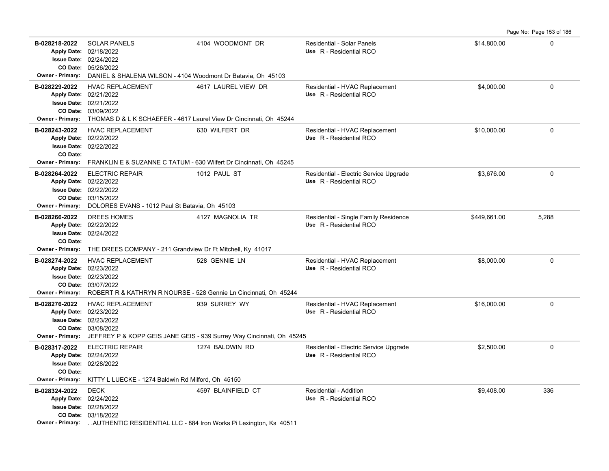|--|

| B-028218-2022                                        | <b>SOLAR PANELS</b><br>Apply Date: 02/18/2022<br><b>Issue Date: 02/24/2022</b><br>CO Date: 05/26/2022                                                                                     | 4104 WOODMONT DR                                                                       | Residential - Solar Panels<br>Use R - Residential RCO             | \$14,800.00  | 0        |
|------------------------------------------------------|-------------------------------------------------------------------------------------------------------------------------------------------------------------------------------------------|----------------------------------------------------------------------------------------|-------------------------------------------------------------------|--------------|----------|
| <b>Owner - Primary:</b>                              | DANIEL & SHALENA WILSON - 4104 Woodmont Dr Batavia, Oh 45103                                                                                                                              |                                                                                        |                                                                   |              |          |
| B-028229-2022                                        | HVAC REPLACEMENT<br>Apply Date: 02/21/2022<br><b>Issue Date: 02/21/2022</b><br>CO Date: 03/09/2022<br>Owner - Primary: THOMAS D & L K SCHAEFER - 4617 Laurel View Dr Cincinnati, Oh 45244 | 4617 LAUREL VIEW DR                                                                    | Residential - HVAC Replacement<br>Use R - Residential RCO         | \$4,000.00   | 0        |
| B-028243-2022<br>CO Date:<br><b>Owner - Primary:</b> | <b>HVAC REPLACEMENT</b><br>Apply Date: 02/22/2022<br><b>Issue Date: 02/22/2022</b><br>FRANKLIN E & SUZANNE C TATUM - 630 Wilfert Dr Cincinnati, Oh 45245                                  | 630 WILFERT DR                                                                         | Residential - HVAC Replacement<br>Use R - Residential RCO         | \$10,000.00  | 0        |
|                                                      |                                                                                                                                                                                           |                                                                                        |                                                                   |              |          |
| B-028264-2022<br>Owner - Primary:                    | <b>ELECTRIC REPAIR</b><br>Apply Date: 02/22/2022<br><b>Issue Date: 02/22/2022</b><br>CO Date: 03/15/2022<br>DOLORES EVANS - 1012 Paul St Batavia, Oh 45103                                | 1012 PAUL ST                                                                           | Residential - Electric Service Upgrade<br>Use R - Residential RCO | \$3,676.00   | 0        |
| B-028266-2022<br>CO Date:                            | DREES HOMES<br>Apply Date: 02/22/2022<br><b>Issue Date: 02/24/2022</b><br>Owner - Primary: THE DREES COMPANY - 211 Grandview Dr Ft Mitchell, Ky 41017                                     | 4127 MAGNOLIA TR                                                                       | Residential - Single Family Residence<br>Use R - Residential RCO  | \$449,661.00 | 5,288    |
| B-028274-2022                                        | <b>HVAC REPLACEMENT</b><br>Apply Date: 02/23/2022<br><b>Issue Date: 02/23/2022</b><br>CO Date: 03/07/2022                                                                                 | 528 GENNIE LN                                                                          | Residential - HVAC Replacement<br>Use R - Residential RCO         | \$8,000.00   | $\Omega$ |
|                                                      | Owner - Primary: ROBERT R & KATHRYN R NOURSE - 528 Gennie Ln Cincinnati, Oh 45244                                                                                                         |                                                                                        |                                                                   |              |          |
| B-028276-2022<br><b>Owner - Primary:</b>             | <b>HVAC REPLACEMENT</b><br>Apply Date: 02/23/2022<br><b>Issue Date: 02/23/2022</b><br>CO Date: 03/08/2022                                                                                 | 939 SURREY WY<br>JEFFREY P & KOPP GEIS JANE GEIS - 939 Surrey Way Cincinnati, Oh 45245 | Residential - HVAC Replacement<br>Use R - Residential RCO         | \$16,000.00  | 0        |
| B-028317-2022<br>CO Date:<br>Owner - Primary:        | <b>ELECTRIC REPAIR</b><br>Apply Date: 02/24/2022<br><b>Issue Date: 02/28/2022</b>                                                                                                         | 1274 BALDWIN RD                                                                        | Residential - Electric Service Upgrade<br>Use R - Residential RCO | \$2,500.00   | 0        |
|                                                      | KITTY L LUECKE - 1274 Baldwin Rd Milford, Oh 45150                                                                                                                                        |                                                                                        |                                                                   |              |          |
| B-028324-2022                                        | <b>DECK</b><br>Apply Date: 02/24/2022<br><b>Issue Date: 02/28/2022</b><br>CO Date: 03/18/2022<br>Owner - Primary:  AUTHENTIC RESIDENTIAL LLC - 884 Iron Works Pi Lexington, Ks 40511      | 4597 BLAINFIELD CT                                                                     | Residential - Addition<br>Use R - Residential RCO                 | \$9,408.00   | 336      |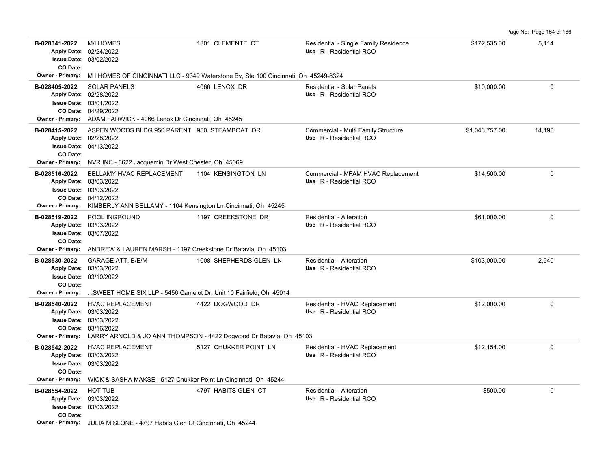|                                                                                |                                                                                                                                                                 |                        |                                                                  |                | Page No: Page 154 of 186 |
|--------------------------------------------------------------------------------|-----------------------------------------------------------------------------------------------------------------------------------------------------------------|------------------------|------------------------------------------------------------------|----------------|--------------------------|
| B-028341-2022<br><b>Apply Date:</b><br><b>Issue Date:</b><br>CO Date:          | <b>M/I HOMES</b><br>02/24/2022<br>03/02/2022                                                                                                                    | 1301 CLEMENTE CT       | Residential - Single Family Residence<br>Use R - Residential RCO | \$172,535.00   | 5,114                    |
| Owner - Primary:                                                               | M I HOMES OF CINCINNATI LLC - 9349 Waterstone Bv, Ste 100 Cincinnati, Oh 45249-8324                                                                             |                        |                                                                  |                |                          |
| B-028405-2022<br><b>Owner - Primary:</b>                                       | <b>SOLAR PANELS</b><br>Apply Date: 02/28/2022<br><b>Issue Date: 03/01/2022</b><br>CO Date: 04/29/2022<br>ADAM FARWICK - 4066 Lenox Dr Cincinnati, Oh 45245      | 4066 LENOX DR          | Residential - Solar Panels<br>Use R - Residential RCO            | \$10,000.00    | $\mathbf 0$              |
| B-028415-2022<br>Apply Date: 02/28/2022<br>CO Date:<br><b>Owner - Primary:</b> | ASPEN WOODS BLDG 950 PARENT 950 STEAMBOAT DR<br><b>Issue Date: 04/13/2022</b><br>NVR INC - 8622 Jacquemin Dr West Chester, Oh 45069                             |                        | Commercial - Multi Family Structure<br>Use R - Residential RCO   | \$1,043,757.00 | 14,198                   |
| B-028516-2022<br>Apply Date: 03/03/2022<br>CO Date:<br><b>Owner - Primary:</b> | BELLAMY HVAC REPLACEMENT<br><b>Issue Date: 03/03/2022</b><br>04/12/2022<br>KIMBERLY ANN BELLAMY - 1104 Kensington Ln Cincinnati, Oh 45245                       | 1104 KENSINGTON LN     | Commercial - MFAM HVAC Replacement<br>Use R - Residential RCO    | \$14,500.00    | $\mathbf 0$              |
| B-028519-2022<br>Apply Date: 03/03/2022<br>CO Date:                            | POOL INGROUND<br>Issue Date: 03/07/2022                                                                                                                         | 1197 CREEKSTONE DR     | Residential - Alteration<br>Use R - Residential RCO              | \$61,000.00    | $\mathbf 0$              |
| <b>Owner - Primary:</b>                                                        | ANDREW & LAUREN MARSH - 1197 Creekstone Dr Batavia, Oh 45103                                                                                                    |                        |                                                                  |                |                          |
| B-028530-2022<br>CO Date:<br><b>Owner - Primary:</b>                           | <b>GARAGE ATT, B/E/M</b><br>Apply Date: 03/03/2022<br><b>Issue Date: 03/10/2022</b><br>SWEET HOME SIX LLP - 5456 Camelot Dr, Unit 10 Fairfield, Oh 45014        | 1008 SHEPHERDS GLEN LN | <b>Residential - Alteration</b><br>Use R - Residential RCO       | \$103,000.00   | 2,940                    |
| B-028540-2022<br>Apply Date: 03/03/2022                                        | HVAC REPLACEMENT<br><b>Issue Date: 03/03/2022</b><br>CO Date: 03/16/2022<br>Owner - Primary: LARRY ARNOLD & JO ANN THOMPSON - 4422 Dogwood Dr Batavia, Oh 45103 | 4422 DOGWOOD DR        | Residential - HVAC Replacement<br>Use R - Residential RCO        | \$12,000.00    | $\mathbf 0$              |
| B-028542-2022<br>Apply Date: 03/03/2022<br>CO Date:<br><b>Owner - Primary:</b> | <b>HVAC REPLACEMENT</b><br><b>Issue Date: 03/03/2022</b><br>WICK & SASHA MAKSE - 5127 Chukker Point Ln Cincinnati, Oh 45244                                     | 5127 CHUKKER POINT LN  | Residential - HVAC Replacement<br>Use R - Residential RCO        | \$12,154.00    | $\Omega$                 |
| B-028554-2022<br>CO Date:                                                      | <b>HOT TUB</b><br>Apply Date: 03/03/2022<br><b>Issue Date: 03/03/2022</b><br><b>Owner - Primary:</b> JUJ JA M SLONE - 4797 Habits Glen Ct Cincinnati Oh 45244   | 4797 HABITS GLEN CT    | Residential - Alteration<br>Use R - Residential RCO              | \$500.00       | $\Omega$                 |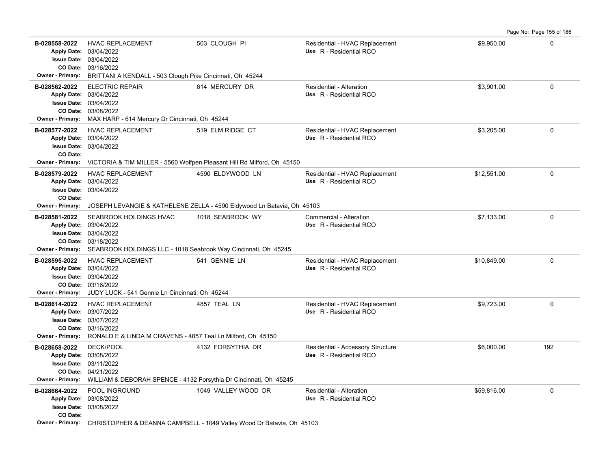|                                                                                |                                                                                                                                                            |                                                                                                                      |                                                              |             | Page No: Page 155 of 186 |
|--------------------------------------------------------------------------------|------------------------------------------------------------------------------------------------------------------------------------------------------------|----------------------------------------------------------------------------------------------------------------------|--------------------------------------------------------------|-------------|--------------------------|
| B-028558-2022<br>Apply Date: 03/04/2022<br><b>Owner - Primary:</b>             | <b>HVAC REPLACEMENT</b><br><b>Issue Date: 03/04/2022</b><br>CO Date: 03/16/2022<br>BRITTANI A KENDALL - 503 Clough Pike Cincinnati, Oh 45244               | 503 CLOUGH PI                                                                                                        | Residential - HVAC Replacement<br>Use R - Residential RCO    | \$9,950.00  | 0                        |
| B-028562-2022<br>Apply Date: 03/04/2022<br><b>Owner - Primary:</b>             | <b>ELECTRIC REPAIR</b><br><b>Issue Date: 03/04/2022</b><br>CO Date: 03/08/2022<br>MAX HARP - 614 Mercury Dr Cincinnati, Oh 45244                           | 614 MERCURY DR                                                                                                       | Residential - Alteration<br>Use R - Residential RCO          | \$3,901.00  | $\mathbf 0$              |
| B-028577-2022<br>Apply Date: 03/04/2022<br>CO Date:<br><b>Owner - Primary:</b> | <b>HVAC REPLACEMENT</b><br><b>Issue Date: 03/04/2022</b>                                                                                                   | 519 ELM RIDGE CT<br>VICTORIA & TIM MILLER - 5560 Wolfpen Pleasant Hill Rd Milford, Oh 45150                          | Residential - HVAC Replacement<br>Use R - Residential RCO    | \$3,205.00  | $\mathbf 0$              |
| B-028579-2022<br>CO Date:<br>Owner - Primary:                                  | <b>HVAC REPLACEMENT</b><br>Apply Date: 03/04/2022<br><b>Issue Date: 03/04/2022</b>                                                                         | 4590 ELDYWOOD LN<br>JOSEPH LEVANGIE & KATHELENE ZELLA - 4590 Eldywood Ln Batavia, Oh 45103                           | Residential - HVAC Replacement<br>Use R - Residential RCO    | \$12,551.00 | 0                        |
| B-028581-2022<br>Issue Date: 03/04/2022                                        | SEABROOK HOLDINGS HVAC<br>Apply Date: 03/04/2022<br>CO Date: 03/18/2022<br>Owner - Primary: SEABROOK HOLDINGS LLC - 1018 Seabrook Way Cincinnati, Oh 45245 | 1018 SEABROOK WY                                                                                                     | Commercial - Alteration<br>Use R - Residential RCO           | \$7,133.00  | $\Omega$                 |
| B-028595-2022<br>Apply Date: 03/04/2022<br><b>Owner - Primary:</b>             | <b>HVAC REPLACEMENT</b><br>Issue Date: 03/04/2022<br>CO Date: 03/16/2022<br>JUDY LUCK - 541 Gennie Ln Cincinnati, Oh 45244                                 | 541 GENNIE LN                                                                                                        | Residential - HVAC Replacement<br>Use R - Residential RCO    | \$10,849.00 | $\mathbf 0$              |
| B-028614-2022<br>Apply Date: 03/07/2022<br><b>Owner - Primary:</b>             | <b>HVAC REPLACEMENT</b><br><b>Issue Date: 03/07/2022</b><br>CO Date: 03/16/2022<br>RONALD E & LINDA M CRAVENS - 4857 Teal Ln Milford, Oh 45150             | 4857 TEAL LN                                                                                                         | Residential - HVAC Replacement<br>Use R - Residential RCO    | \$9,723.00  | $\mathbf 0$              |
| B-028658-2022<br>Apply Date: 03/08/2022<br><b>Owner - Primary:</b>             | <b>DECK/POOL</b><br>Issue Date: 03/11/2022<br>CO Date: 04/21/2022<br>WILLIAM & DEBORAH SPENCE - 4132 Forsythia Dr Cincinnati, Oh 45245                     | 4132 FORSYTHIA DR                                                                                                    | Residential - Accessory Structure<br>Use R - Residential RCO | \$6,000.00  | 192                      |
| B-028664-2022<br>Apply Date: 03/08/2022<br>CO Date:                            | POOL INGROUND<br><b>Issue Date: 03/08/2022</b>                                                                                                             | 1049 VALLEY WOOD DR<br><b>Owner - Primary:</b> CHRISTOPHER & DEANNA CAMPBELL - 1049 Valley Wood Dr Batavia, Oh 45103 | <b>Residential - Alteration</b><br>Use R - Residential RCO   | \$59,816.00 | $\mathbf 0$              |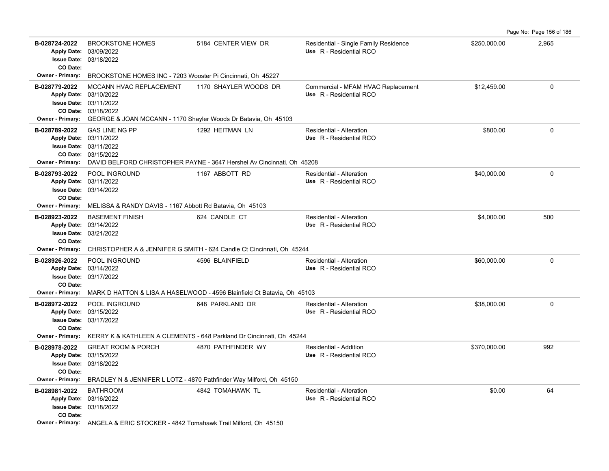| B-028724-2022<br><b>Apply Date:</b><br><b>Issue Date:</b><br>CO Date: | <b>BROOKSTONE HOMES</b><br>03/09/2022<br>03/18/2022                                                                                                                                          | 5184 CENTER VIEW DR                                                                                        | Residential - Single Family Residence<br>Use R - Residential RCO | \$250,000.00 | 2,965 |
|-----------------------------------------------------------------------|----------------------------------------------------------------------------------------------------------------------------------------------------------------------------------------------|------------------------------------------------------------------------------------------------------------|------------------------------------------------------------------|--------------|-------|
| <b>Owner - Primary:</b>                                               | BROOKSTONE HOMES INC - 7203 Wooster Pi Cincinnati, Oh 45227                                                                                                                                  |                                                                                                            |                                                                  |              |       |
| B-028779-2022                                                         | MCCANN HVAC REPLACEMENT<br>Apply Date: 03/10/2022<br><b>Issue Date: 03/11/2022</b><br>CO Date: 03/18/2022<br>Owner - Primary: GEORGE & JOAN MCCANN - 1170 Shayler Woods Dr Batavia, Oh 45103 | 1170 SHAYLER WOODS DR                                                                                      | Commercial - MFAM HVAC Replacement<br>Use R - Residential RCO    | \$12,459.00  | 0     |
| B-028789-2022                                                         | <b>GAS LINE NG PP</b><br>Apply Date: 03/11/2022<br><b>Issue Date: 03/11/2022</b><br>CO Date: 03/15/2022                                                                                      | 1292 HEITMAN LN<br>Owner - Primary: DAVID BELFORD CHRISTOPHER PAYNE - 3647 Hershel Av Cincinnati, Oh 45208 | Residential - Alteration<br>Use R - Residential RCO              | \$800.00     | 0     |
| B-028793-2022<br>CO Date:<br>Owner - Primary:                         | POOL INGROUND<br>Apply Date: 03/11/2022<br><b>Issue Date: 03/14/2022</b><br>MELISSA & RANDY DAVIS - 1167 Abbott Rd Batavia, Oh 45103                                                         | 1167 ABBOTT RD                                                                                             | Residential - Alteration<br>Use R - Residential RCO              | \$40,000.00  | 0     |
|                                                                       |                                                                                                                                                                                              |                                                                                                            | Residential - Alteration                                         |              | 500   |
| B-028923-2022<br>CO Date:                                             | <b>BASEMENT FINISH</b><br>Apply Date: 03/14/2022<br><b>Issue Date: 03/21/2022</b>                                                                                                            | 624 CANDLE CT                                                                                              | Use R - Residential RCO                                          | \$4,000.00   |       |
|                                                                       | POOL INGROUND                                                                                                                                                                                | Owner - Primary: CHRISTOPHER A & JENNIFER G SMITH - 624 Candle Ct Cincinnati, Oh 45244                     |                                                                  |              | 0     |
| B-028926-2022<br>CO Date:                                             | Apply Date: 03/14/2022<br><b>Issue Date: 03/17/2022</b>                                                                                                                                      | 4596 BLAINFIELD                                                                                            | Residential - Alteration<br>Use R - Residential RCO              | \$60,000.00  |       |
| <b>Owner - Primary:</b>                                               |                                                                                                                                                                                              | MARK D HATTON & LISA A HASELWOOD - 4596 Blainfield Ct Batavia, Oh 45103                                    |                                                                  |              |       |
| B-028972-2022<br>CO Date:                                             | POOL INGROUND<br>Apply Date: 03/15/2022<br><b>Issue Date: 03/17/2022</b>                                                                                                                     | 648 PARKLAND DR                                                                                            | Residential - Alteration<br>Use R - Residential RCO              | \$38,000.00  | 0     |
| Owner - Primary:                                                      |                                                                                                                                                                                              | KERRY K & KATHLEEN A CLEMENTS - 648 Parkland Dr Cincinnati, Oh 45244                                       |                                                                  |              |       |
| B-028978-2022<br>CO Date:                                             | <b>GREAT ROOM &amp; PORCH</b><br>Apply Date: 03/15/2022<br><b>Issue Date: 03/18/2022</b><br>Owner - Primary: BRADLEY N & JENNIFER L LOTZ - 4870 Pathfinder Way Milford, Oh 45150             | 4870 PATHFINDER WY                                                                                         | Residential - Addition<br>Use R - Residential RCO                | \$370,000.00 | 992   |
| B-028981-2022                                                         | <b>BATHROOM</b>                                                                                                                                                                              | 4842 TOMAHAWK TL                                                                                           | Residential - Alteration                                         | \$0.00       | 64    |
| CO Date:                                                              | Apply Date: 03/16/2022<br><b>Issue Date: 03/18/2022</b>                                                                                                                                      |                                                                                                            | Use R - Residential RCO                                          |              |       |
|                                                                       | Owner - Primary: ANGELA & ERIC STOCKER - 4842 Tomahawk Trail Milford, Oh 45150                                                                                                               |                                                                                                            |                                                                  |              |       |

Page No: Page 156 of 186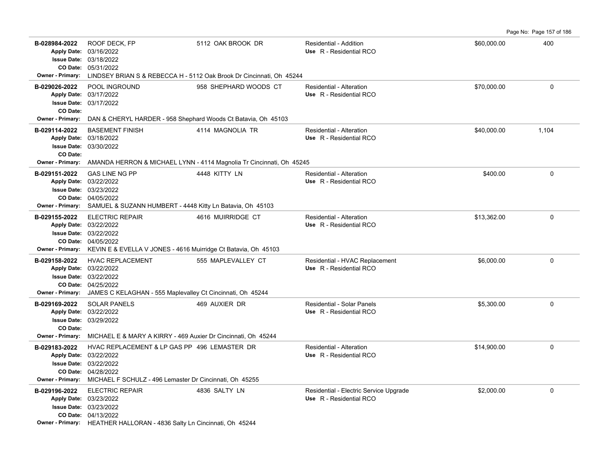Page No: Page 157 of 186

| B-028984-2022                                        | ROOF DECK, FP<br>Apply Date: 03/16/2022<br><b>Issue Date: 03/18/2022</b><br>CO Date: 05/31/2022<br><b>Owner - Primary:</b> LINDSEY BRIAN S & REBECCA H - 5112 Oak Brook Dr Cincinnati, Oh 45244            | 5112 OAK BROOK DR     | Residential - Addition<br>Use R - Residential RCO                 | \$60,000.00 | 400      |
|------------------------------------------------------|------------------------------------------------------------------------------------------------------------------------------------------------------------------------------------------------------------|-----------------------|-------------------------------------------------------------------|-------------|----------|
| B-029026-2022<br>CO Date:                            | POOL INGROUND<br>Apply Date: 03/17/2022<br><b>Issue Date: 03/17/2022</b><br>Owner - Primary: DAN & CHERYL HARDER - 958 Shephard Woods Ct Batavia, Oh 45103                                                 | 958 SHEPHARD WOODS CT | Residential - Alteration<br>Use R - Residential RCO               | \$70,000.00 | $\Omega$ |
| B-029114-2022<br>CO Date:<br><b>Owner - Primary:</b> | <b>BASEMENT FINISH</b><br>Apply Date: 03/18/2022<br><b>Issue Date: 03/30/2022</b><br>AMANDA HERRON & MICHAEL LYNN - 4114 Magnolia Tr Cincinnati, Oh 45245                                                  | 4114 MAGNOLIA TR      | Residential - Alteration<br>Use R - Residential RCO               | \$40,000.00 | 1,104    |
| B-029151-2022                                        | <b>GAS LINE NG PP</b><br>Apply Date: 03/22/2022<br><b>Issue Date: 03/23/2022</b><br>CO Date: 04/05/2022<br>Owner - Primary: SAMUEL & SUZANN HUMBERT - 4448 Kitty Ln Batavia, Oh 45103                      | 4448 KITTY LN         | Residential - Alteration<br>Use R - Residential RCO               | \$400.00    | 0        |
| B-029155-2022                                        | <b>ELECTRIC REPAIR</b><br>Apply Date: 03/22/2022<br><b>Issue Date: 03/22/2022</b><br>CO Date: 04/05/2022<br>Owner - Primary: KEVIN E & EVELLA V JONES - 4616 Muirridge Ct Batavia, Oh 45103                | 4616 MUIRRIDGE CT     | Residential - Alteration<br>Use R - Residential RCO               | \$13,362.00 | $\Omega$ |
| B-029158-2022<br><b>Owner - Primary:</b>             | <b>HVAC REPLACEMENT</b><br>Apply Date: 03/22/2022<br><b>Issue Date: 03/22/2022</b><br>CO Date: 04/25/2022<br>JAMES C KELAGHAN - 555 Maplevalley Ct Cincinnati, Oh 45244                                    | 555 MAPLEVALLEY CT    | Residential - HVAC Replacement<br>Use R - Residential RCO         | \$6,000.00  | 0        |
| B-029169-2022<br>CO Date:                            | <b>SOLAR PANELS</b><br>Apply Date: 03/22/2022<br><b>Issue Date: 03/29/2022</b><br>Owner - Primary: MICHAEL E & MARY A KIRRY - 469 Auxier Dr Cincinnati, Oh 45244                                           | 469 AUXIER DR         | Residential - Solar Panels<br>Use R - Residential RCO             | \$5,300.00  | 0        |
| B-029183-2022                                        | HVAC REPLACEMENT & LP GAS PP 496 LEMASTER DR<br>Apply Date: 03/22/2022<br><b>Issue Date: 03/22/2022</b><br>CO Date: 04/28/2022<br>Owner - Primary: MICHAEL F SCHULZ - 496 Lemaster Dr Cincinnati, Oh 45255 |                       | Residential - Alteration<br>Use R - Residential RCO               | \$14,900.00 | 0        |
| B-029196-2022                                        | <b>ELECTRIC REPAIR</b><br>Apply Date: 03/23/2022<br><b>Issue Date: 03/23/2022</b><br>CO Date: 04/13/2022<br>Owner - Primary: HEATHER HALLORAN - 4836 Salty Ln Cincinnati, Oh 45244                         | 4836 SALTY LN         | Residential - Electric Service Upgrade<br>Use R - Residential RCO | \$2,000.00  | 0        |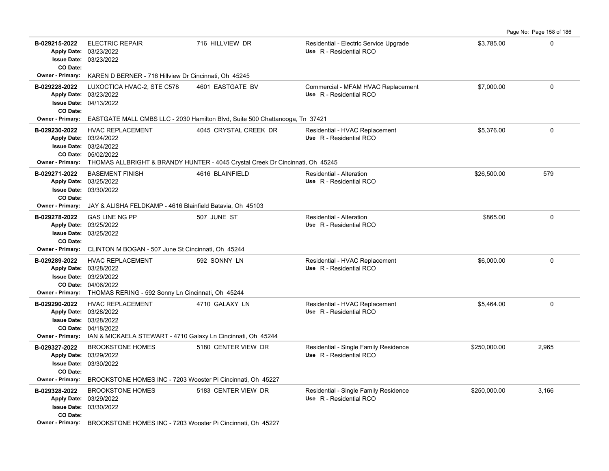|                                                                                |                                                                                                                                                                                 |                       |                                                                   |              | Page No: Page 158 of 186 |
|--------------------------------------------------------------------------------|---------------------------------------------------------------------------------------------------------------------------------------------------------------------------------|-----------------------|-------------------------------------------------------------------|--------------|--------------------------|
| B-029215-2022<br><b>Issue Date:</b><br>CO Date:                                | <b>ELECTRIC REPAIR</b><br>Apply Date: 03/23/2022<br>03/23/2022                                                                                                                  | 716 HILLVIEW DR       | Residential - Electric Service Upgrade<br>Use R - Residential RCO | \$3,785.00   | $\Omega$                 |
| Owner - Primary:                                                               | KAREN D BERNER - 716 Hillview Dr Cincinnati, Oh 45245                                                                                                                           |                       |                                                                   |              |                          |
| B-029228-2022<br>CO Date:                                                      | LUXOCTICA HVAC-2, STE C578<br>Apply Date: 03/23/2022<br><b>Issue Date: 04/13/2022</b>                                                                                           | 4601 EASTGATE BV      | Commercial - MFAM HVAC Replacement<br>Use R - Residential RCO     | \$7,000.00   | $\mathbf 0$              |
| <b>Owner - Primary:</b>                                                        | EASTGATE MALL CMBS LLC - 2030 Hamilton Blvd, Suite 500 Chattanooga, Tn 37421                                                                                                    |                       |                                                                   |              |                          |
| B-029230-2022<br><b>Apply Date:</b><br>Owner - Primary:                        | <b>HVAC REPLACEMENT</b><br>03/24/2022<br>Issue Date: 03/24/2022<br>CO Date: 05/02/2022<br>THOMAS ALLBRIGHT & BRANDY HUNTER - 4045 Crystal Creek Dr Cincinnati, Oh 45245         | 4045 CRYSTAL CREEK DR | Residential - HVAC Replacement<br>Use R - Residential RCO         | \$5,376.00   | $\Omega$                 |
| B-029271-2022<br>Apply Date: 03/25/2022<br>CO Date:                            | <b>BASEMENT FINISH</b><br><b>Issue Date: 03/30/2022</b>                                                                                                                         | 4616 BLAINFIELD       | Residential - Alteration<br>Use R - Residential RCO               | \$26,500.00  | 579                      |
| <b>Owner - Primary:</b>                                                        | JAY & ALISHA FELDKAMP - 4616 Blainfield Batavia, Oh 45103                                                                                                                       |                       |                                                                   |              |                          |
| B-029278-2022<br>Apply Date: 03/25/2022<br>CO Date:                            | <b>GAS LINE NG PP</b><br>Issue Date: 03/25/2022                                                                                                                                 | 507 JUNE ST           | Residential - Alteration<br>Use R - Residential RCO               | \$865.00     | $\mathbf 0$              |
|                                                                                | <b>Owner - Primary:</b> CLINTON M BOGAN - 507 June St Cincinnati, Oh 45244                                                                                                      |                       |                                                                   |              |                          |
| B-029289-2022                                                                  | <b>HVAC REPLACEMENT</b><br>Apply Date: 03/28/2022<br>Issue Date: 03/29/2022<br>CO Date: 04/06/2022<br><b>Owner - Primary:</b> THOMAS RERING - 592 Sonny Ln Cincinnati, Oh 45244 | 592 SONNY LN          | Residential - HVAC Replacement<br>Use R - Residential RCO         | \$6,000.00   | $\Omega$                 |
| B-029290-2022<br>Apply Date: 03/28/2022<br><b>Owner - Primary:</b>             | <b>HVAC REPLACEMENT</b><br><b>Issue Date: 03/28/2022</b><br>CO Date: 04/18/2022<br>IAN & MICKAELA STEWART - 4710 Galaxy Ln Cincinnati, Oh 45244                                 | 4710 GALAXY LN        | Residential - HVAC Replacement<br>Use R - Residential RCO         | \$5,464.00   | $\mathbf 0$              |
| B-029327-2022<br>Apply Date: 03/29/2022<br>CO Date:<br><b>Owner - Primary:</b> | <b>BROOKSTONE HOMES</b><br><b>Issue Date: 03/30/2022</b><br>BROOKSTONE HOMES INC - 7203 Wooster Pi Cincinnati, Oh 45227                                                         | 5180 CENTER VIEW DR   | Residential - Single Family Residence<br>Use R - Residential RCO  | \$250,000.00 | 2,965                    |
| B-029328-2022<br>CO Date:                                                      | <b>BROOKSTONE HOMES</b><br>Apply Date: 03/29/2022<br><b>Issue Date: 03/30/2022</b><br><b>Owner - Primary:</b> RROOKSTONE HOMES INC - 7203 Wooster Pi Cincinnati Oh 45227        | 5183 CENTER VIEW DR   | Residential - Single Family Residence<br>Use R - Residential RCO  | \$250,000.00 | 3,166                    |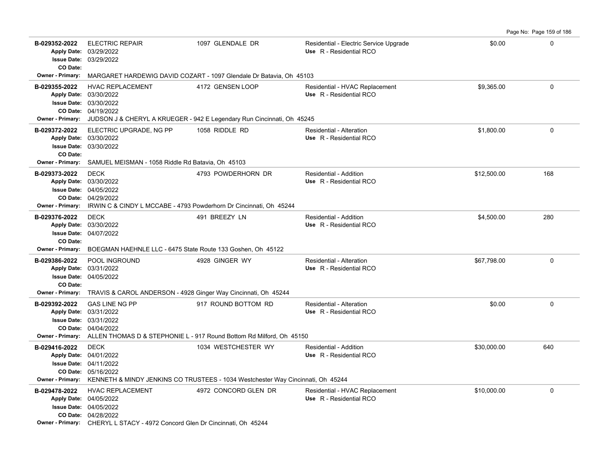| B-029352-2022<br><b>Apply Date:</b><br>CO Date:                                                  | <b>ELECTRIC REPAIR</b><br>03/29/2022<br><b>Issue Date: 03/29/2022</b>                                                                                                                             | 1097 GLENDALE DR     | Residential - Electric Service Upgrade<br>Use R - Residential RCO | \$0.00      | $\Omega$ |
|--------------------------------------------------------------------------------------------------|---------------------------------------------------------------------------------------------------------------------------------------------------------------------------------------------------|----------------------|-------------------------------------------------------------------|-------------|----------|
| <b>Owner - Primary:</b>                                                                          | MARGARET HARDEWIG DAVID COZART - 1097 Glendale Dr Batavia, Oh 45103                                                                                                                               |                      |                                                                   |             |          |
| B-029355-2022<br><b>Owner - Primary:</b>                                                         | <b>HVAC REPLACEMENT</b><br>Apply Date: 03/30/2022<br><b>Issue Date: 03/30/2022</b><br>CO Date: 04/19/2022<br>JUDSON J & CHERYL A KRUEGER - 942 E Legendary Run Cincinnati, Oh 45245               | 4172 GENSEN LOOP     | Residential - HVAC Replacement<br>Use R - Residential RCO         | \$9.365.00  | $\Omega$ |
| B-029372-2022<br>CO Date:<br><b>Owner - Primary:</b>                                             | ELECTRIC UPGRADE, NG PP<br>Apply Date: 03/30/2022<br><b>Issue Date: 03/30/2022</b><br>SAMUEL MEISMAN - 1058 Riddle Rd Batavia, Oh 45103                                                           | 1058 RIDDLE RD       | Residential - Alteration<br>Use R - Residential RCO               | \$1.800.00  | $\Omega$ |
| B-029373-2022<br><b>Owner - Primary:</b>                                                         | <b>DECK</b><br>Apply Date: 03/30/2022<br><b>Issue Date: 04/05/2022</b><br>CO Date: 04/29/2022<br>IRWIN C & CINDY L MCCABE - 4793 Powderhorn Dr Cincinnati, Oh 45244                               | 4793 POWDERHORN DR   | Residential - Addition<br>Use R - Residential RCO                 | \$12,500.00 | 168      |
| B-029376-2022<br><b>Apply Date:</b><br><b>Issue Date:</b><br>CO Date:<br><b>Owner - Primary:</b> | <b>DECK</b><br>03/30/2022<br>04/07/2022<br>BOEGMAN HAEHNLE LLC - 6475 State Route 133 Goshen, Oh 45122                                                                                            | 491 BREEZY LN        | Residential - Addition<br>Use R - Residential RCO                 | \$4,500.00  | 280      |
| B-029386-2022<br>CO Date:                                                                        | POOL INGROUND<br>Apply Date: 03/31/2022<br><b>Issue Date: 04/05/2022</b><br><b>Owner - Primary:</b> TRAVIS & CAROL ANDERSON - 4928 Ginger Way Cincinnati, Oh 45244                                | 4928 GINGER WY       | <b>Residential - Alteration</b><br>Use R - Residential RCO        | \$67,798.00 | $\Omega$ |
| B-029392-2022                                                                                    | <b>GAS LINE NG PP</b><br>Apply Date: 03/31/2022<br><b>Issue Date: 03/31/2022</b><br>CO Date: 04/04/2022<br>Owner - Primary: ALLEN THOMAS D & STEPHONIE L - 917 Round Bottom Rd Milford, Oh 45150  | 917 ROUND BOTTOM RD  | Residential - Alteration<br>Use R - Residential RCO               | \$0.00      | 0        |
| B-029416-2022                                                                                    | <b>DECK</b><br>Apply Date: 04/01/2022<br><b>Issue Date: 04/11/2022</b><br>CO Date: 05/16/2022<br>Owner - Primary: KENNETH & MINDY JENKINS CO TRUSTEES - 1034 Westchester Way Cincinnati, Oh 45244 | 1034 WESTCHESTER WY  | Residential - Addition<br>Use R - Residential RCO                 | \$30,000.00 | 640      |
| B-029478-2022                                                                                    | <b>HVAC REPLACEMENT</b><br>Apply Date: 04/05/2022<br><b>Issue Date: 04/05/2022</b><br>CO Date: 04/28/2022<br>Owner - Primary: CHERYL L STACY - 4972 Concord Glen Dr Cincinnati, Oh 45244          | 4972 CONCORD GLEN DR | Residential - HVAC Replacement<br>Use R - Residential RCO         | \$10,000.00 | $\Omega$ |

Page No: Page 159 of 186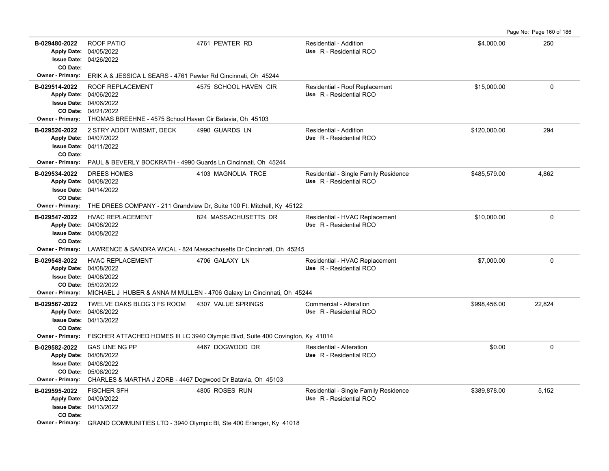Page No: Page 160 of 186

| B-029480-2022           | <b>ROOF PATIO</b>                                                                             | 4761 PEWTER RD        | Residential - Addition                | \$4,000.00   | 250          |
|-------------------------|-----------------------------------------------------------------------------------------------|-----------------------|---------------------------------------|--------------|--------------|
|                         | Apply Date: 04/05/2022                                                                        |                       | Use R - Residential RCO               |              |              |
| CO Date:                | <b>Issue Date: 04/26/2022</b>                                                                 |                       |                                       |              |              |
| <b>Owner - Primary:</b> | ERIK A & JESSICA L SEARS - 4761 Pewter Rd Cincinnati, Oh 45244                                |                       |                                       |              |              |
| B-029514-2022           | <b>ROOF REPLACEMENT</b>                                                                       | 4575 SCHOOL HAVEN CIR | Residential - Roof Replacement        | \$15,000.00  | $\mathbf 0$  |
|                         | Apply Date: 04/06/2022                                                                        |                       | Use R - Residential RCO               |              |              |
|                         | <b>Issue Date: 04/06/2022</b>                                                                 |                       |                                       |              |              |
|                         | CO Date: 04/21/2022                                                                           |                       |                                       |              |              |
|                         | Owner - Primary: THOMAS BREEHNE - 4575 School Haven Cir Batavia, Oh 45103                     |                       |                                       |              |              |
| B-029526-2022           | 2 STRY ADDIT W/BSMT, DECK                                                                     | 4990 GUARDS LN        | Residential - Addition                | \$120,000.00 | 294          |
|                         | Apply Date: 04/07/2022                                                                        |                       | Use R - Residential RCO               |              |              |
|                         | <b>Issue Date: 04/11/2022</b>                                                                 |                       |                                       |              |              |
| CO Date:                |                                                                                               |                       |                                       |              |              |
| Owner - Primary:        | PAUL & BEVERLY BOCKRATH - 4990 Guards Ln Cincinnati, Oh 45244                                 |                       |                                       |              |              |
| B-029534-2022           | DREES HOMES                                                                                   | 4103 MAGNOLIA TRCE    | Residential - Single Family Residence | \$485,579.00 | 4,862        |
|                         | Apply Date: 04/08/2022                                                                        |                       | Use R - Residential RCO               |              |              |
|                         | <b>Issue Date: 04/14/2022</b>                                                                 |                       |                                       |              |              |
| CO Date:                |                                                                                               |                       |                                       |              |              |
| Owner - Primary:        | THE DREES COMPANY - 211 Grandview Dr, Suite 100 Ft. Mitchell, Ky 45122                        |                       |                                       |              |              |
| B-029547-2022           | <b>HVAC REPLACEMENT</b>                                                                       | 824 MASSACHUSETTS DR  | Residential - HVAC Replacement        | \$10,000.00  | 0            |
|                         | Apply Date: 04/08/2022                                                                        |                       | Use R - Residential RCO               |              |              |
|                         | <b>Issue Date: 04/08/2022</b>                                                                 |                       |                                       |              |              |
| CO Date:                |                                                                                               |                       |                                       |              |              |
| <b>Owner - Primary:</b> | LAWRENCE & SANDRA WICAL - 824 Massachusetts Dr Cincinnati, Oh 45245                           |                       |                                       |              |              |
| B-029548-2022           | <b>HVAC REPLACEMENT</b>                                                                       | 4706 GALAXY LN        | Residential - HVAC Replacement        | \$7,000.00   | $\mathbf{0}$ |
|                         | Apply Date: 04/08/2022                                                                        |                       | Use R - Residential RCO               |              |              |
|                         |                                                                                               |                       |                                       |              |              |
|                         | <b>Issue Date: 04/08/2022</b>                                                                 |                       |                                       |              |              |
|                         | CO Date: 05/02/2022                                                                           |                       |                                       |              |              |
|                         | <b>Owner - Primary:</b> MICHAEL J HUBER & ANNA M MULLEN - 4706 Galaxy Ln Cincinnati, Oh 45244 |                       |                                       |              |              |
| B-029567-2022           | TWELVE OAKS BLDG 3 FS ROOM                                                                    | 4307 VALUE SPRINGS    | Commercial - Alteration               | \$998,456.00 | 22.824       |
|                         | Apply Date: 04/08/2022                                                                        |                       | Use R - Residential RCO               |              |              |
|                         | <b>Issue Date: 04/13/2022</b>                                                                 |                       |                                       |              |              |
| CO Date:                |                                                                                               |                       |                                       |              |              |
| <b>Owner - Primary:</b> | FISCHER ATTACHED HOMES III LC 3940 Olympic Blvd, Suite 400 Covington, Ky 41014                |                       |                                       |              |              |
| B-029582-2022           | <b>GAS LINE NG PP</b>                                                                         | 4467 DOGWOOD DR       | Residential - Alteration              | \$0.00       | 0            |
|                         | Apply Date: 04/08/2022                                                                        |                       | Use R - Residential RCO               |              |              |
|                         | <b>Issue Date: 04/08/2022</b>                                                                 |                       |                                       |              |              |
|                         | CO Date: 05/06/2022                                                                           |                       |                                       |              |              |
| Owner - Primary:        | CHARLES & MARTHA J ZORB - 4467 Dogwood Dr Batavia, Oh 45103                                   |                       |                                       |              |              |
| B-029595-2022           | <b>FISCHER SFH</b>                                                                            | 4805 ROSES RUN        | Residential - Single Family Residence | \$389,878.00 | 5,152        |
|                         | Apply Date: 04/09/2022                                                                        |                       | Use R - Residential RCO               |              |              |
|                         | <b>Issue Date: 04/13/2022</b>                                                                 |                       |                                       |              |              |
| CO Date:                | Owner - Primary: GRAND COMMUNITIES LTD - 3940 Olympic Bl, Ste 400 Erlanger, Ky 41018          |                       |                                       |              |              |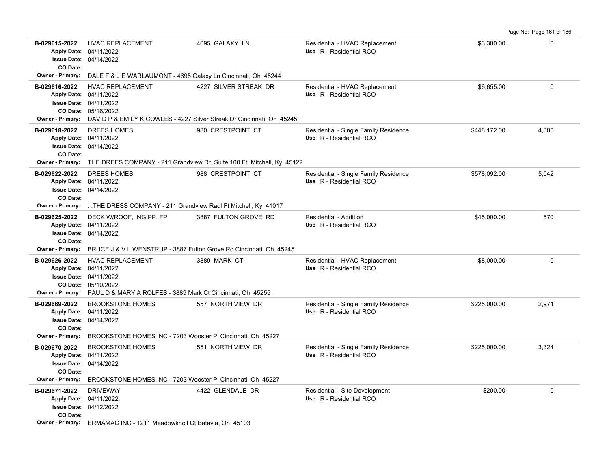| B-029615-2022<br>CO Date:                            | <b>HVAC REPLACEMENT</b><br>Apply Date: 04/11/2022<br><b>Issue Date: 04/14/2022</b>                                                                                                       | 4695 GALAXY LN                                                                                                         | Residential - HVAC Replacement<br>Use R - Residential RCO        | \$3,300.00   | 0           |
|------------------------------------------------------|------------------------------------------------------------------------------------------------------------------------------------------------------------------------------------------|------------------------------------------------------------------------------------------------------------------------|------------------------------------------------------------------|--------------|-------------|
| <b>Owner - Primary:</b>                              | DALE F & J E WARLAUMONT - 4695 Galaxy Ln Cincinnati, Oh 45244                                                                                                                            |                                                                                                                        |                                                                  |              |             |
| B-029616-2022                                        | <b>HVAC REPLACEMENT</b><br>Apply Date: 04/11/2022<br><b>Issue Date: 04/11/2022</b><br>CO Date: 05/16/2022                                                                                | 4227 SILVER STREAK DR<br><b>Owner - Primary:</b> DAVID P & EMILY K COWLES - 4227 Silver Streak Dr Cincinnati, Oh 45245 | Residential - HVAC Replacement<br>Use R - Residential RCO        | \$6,655.00   | 0           |
| B-029618-2022<br>CO Date:                            | DREES HOMES<br>Apply Date: 04/11/2022<br><b>Issue Date: 04/14/2022</b>                                                                                                                   | 980 CRESTPOINT CT<br>Owner - Primary: THE DREES COMPANY - 211 Grandview Dr, Suite 100 Ft. Mitchell, Ky 45122           | Residential - Single Family Residence<br>Use R - Residential RCO | \$448,172.00 | 4,300       |
| B-029622-2022<br>CO Date:<br>Owner - Primary:        | DREES HOMES<br>Apply Date: 04/11/2022<br><b>Issue Date: 04/14/2022</b><br>THE DRESS COMPANY - 211 Grandview Radl Ft Mitchell, Ky 41017                                                   | 988 CRESTPOINT CT                                                                                                      | Residential - Single Family Residence<br>Use R - Residential RCO | \$578,092.00 | 5,042       |
| B-029625-2022<br>CO Date:                            | DECK W/ROOF, NG PP, FP<br>Apply Date: 04/11/2022<br><b>Issue Date: 04/14/2022</b><br>Owner - Primary: BRUCE J & V L WENSTRUP - 3887 Fulton Grove Rd Cincinnati, Oh 45245                 | 3887 FULTON GROVE RD                                                                                                   | Residential - Addition<br>Use R - Residential RCO                | \$45,000.00  | 570         |
| B-029626-2022                                        | <b>HVAC REPLACEMENT</b><br>Apply Date: 04/11/2022<br><b>Issue Date: 04/11/2022</b><br>CO Date: 05/10/2022<br>Owner - Primary: PAUL D & MARY A ROLFES - 3889 Mark Ct Cincinnati, Oh 45255 | 3889 MARK CT                                                                                                           | Residential - HVAC Replacement<br>Use R - Residential RCO        | \$8,000.00   | 0           |
| B-029669-2022<br>CO Date:                            | <b>BROOKSTONE HOMES</b><br>Apply Date: 04/11/2022<br><b>Issue Date: 04/14/2022</b><br>Owner - Primary: BROOKSTONE HOMES INC - 7203 Wooster Pi Cincinnati, Oh 45227                       | 557 NORTH VIEW DR                                                                                                      | Residential - Single Family Residence<br>Use R - Residential RCO | \$225,000.00 | 2,971       |
| B-029670-2022<br>CO Date:<br><b>Owner - Primary:</b> | <b>BROOKSTONE HOMES</b><br>Apply Date: 04/11/2022<br>Issue Date: 04/14/2022<br>BROOKSTONE HOMES INC - 7203 Wooster Pi Cincinnati, Oh 45227                                               | 551 NORTH VIEW DR                                                                                                      | Residential - Single Family Residence<br>Use R - Residential RCO | \$225,000.00 | 3,324       |
| B-029671-2022<br>CO Date:                            | <b>DRIVEWAY</b><br>Apply Date: 04/11/2022<br><b>Issue Date: 04/12/2022</b><br>Owner - Primary: ERMAMAC INC - 1211 Meadowknoll Ct Batavia, Oh 45103                                       | 4422 GLENDALE DR                                                                                                       | Residential - Site Development<br>Use R - Residential RCO        | \$200.00     | $\mathbf 0$ |

Page No: Page 161 of 186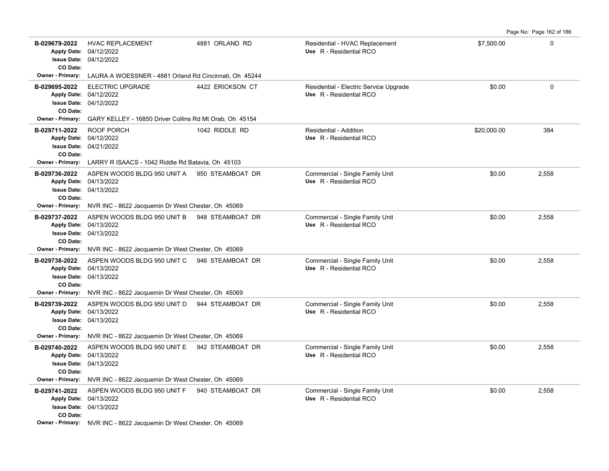| B-029679-2022<br>CO Date: | <b>HVAC REPLACEMENT</b><br>Apply Date: 04/12/2022<br>Issue Date: 04/12/2022                             | 4881 ORLAND RD   | Residential - HVAC Replacement<br>Use R - Residential RCO         | \$7,500.00  | 0           |
|---------------------------|---------------------------------------------------------------------------------------------------------|------------------|-------------------------------------------------------------------|-------------|-------------|
| <b>Owner - Primary:</b>   | LAURA A WOESSNER - 4881 Orland Rd Cincinnati, Oh 45244                                                  |                  |                                                                   |             |             |
| B-029695-2022<br>CO Date: | <b>ELECTRIC UPGRADE</b><br>Apply Date: 04/12/2022<br><b>Issue Date: 04/12/2022</b>                      | 4422 ERICKSON CT | Residential - Electric Service Upgrade<br>Use R - Residential RCO | \$0.00      | $\mathbf 0$ |
|                           | Owner - Primary: GARY KELLEY - 16850 Driver Collins Rd Mt Orab, Oh 45154                                |                  |                                                                   |             |             |
| B-029711-2022<br>CO Date: | ROOF PORCH<br>Apply Date: 04/12/2022<br><b>Issue Date: 04/21/2022</b>                                   | 1042 RIDDLE RD   | Residential - Addition<br>Use R - Residential RCO                 | \$20,000.00 | 384         |
|                           | Owner - Primary: LARRY R ISAACS - 1042 Riddle Rd Batavia, Oh 45103                                      |                  |                                                                   |             |             |
| B-029736-2022<br>CO Date: | ASPEN WOODS BLDG 950 UNIT A 950 STEAMBOAT DR<br>Apply Date: 04/13/2022<br><b>Issue Date: 04/13/2022</b> |                  | Commercial - Single Family Unit<br>Use R - Residential RCO        | \$0.00      | 2,558       |
|                           | Owner - Primary: NVR INC - 8622 Jacquemin Dr West Chester, Oh 45069                                     |                  |                                                                   |             |             |
| B-029737-2022<br>CO Date: | ASPEN WOODS BLDG 950 UNIT B<br>Apply Date: 04/13/2022<br><b>Issue Date: 04/13/2022</b>                  | 948 STEAMBOAT DR | Commercial - Single Family Unit<br>Use R - Residential RCO        | \$0.00      | 2,558       |
|                           | Owner - Primary: NVR INC - 8622 Jacquemin Dr West Chester, Oh 45069                                     |                  |                                                                   |             |             |
| B-029738-2022<br>CO Date: | ASPEN WOODS BLDG 950 UNIT C 946 STEAMBOAT DR<br>Apply Date: 04/13/2022<br><b>Issue Date: 04/13/2022</b> |                  | Commercial - Single Family Unit<br>Use R - Residential RCO        | \$0.00      | 2,558       |
|                           | Owner - Primary: NVR INC - 8622 Jacquemin Dr West Chester, Oh 45069                                     |                  |                                                                   |             |             |
| B-029739-2022<br>CO Date: | ASPEN WOODS BLDG 950 UNIT D 944 STEAMBOAT DR<br>Apply Date: 04/13/2022<br><b>Issue Date: 04/13/2022</b> |                  | Commercial - Single Family Unit<br>Use R - Residential RCO        | \$0.00      | 2,558       |
| <b>Owner - Primary:</b>   | NVR INC - 8622 Jacquemin Dr West Chester, Oh 45069                                                      |                  |                                                                   |             |             |
| B-029740-2022<br>CO Date: | ASPEN WOODS BLDG 950 UNIT E 942 STEAMBOAT DR<br>Apply Date: 04/13/2022<br><b>Issue Date: 04/13/2022</b> |                  | Commercial - Single Family Unit<br>Use R - Residential RCO        | \$0.00      | 2,558       |
|                           | Owner - Primary: NVR INC - 8622 Jacquemin Dr West Chester, Oh 45069                                     |                  |                                                                   |             |             |
| B-029741-2022<br>CO Date: | ASPEN WOODS BLDG 950 UNIT F 940 STEAMBOAT DR<br>Apply Date: 04/13/2022<br><b>Issue Date: 04/13/2022</b> |                  | Commercial - Single Family Unit<br>Use R - Residential RCO        | \$0.00      | 2,558       |
|                           | Owner - Primary: NVR INC - 8622 Jacquemin Dr West Chester, Oh 45069                                     |                  |                                                                   |             |             |

Page No: Page 162 of 186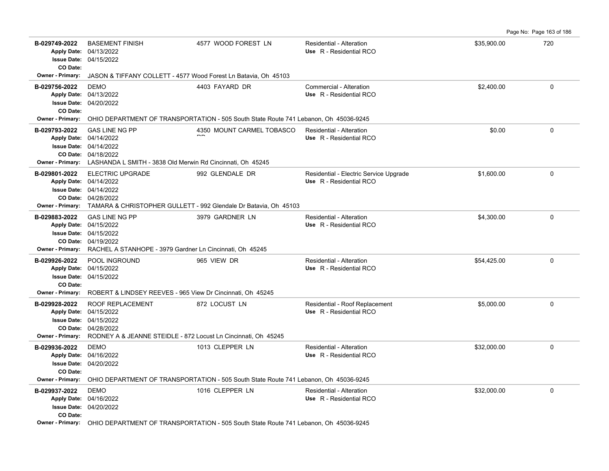**B-029749-2022** \$35,900.00 720 BASEMENT FINISH 4577 WOOD FOREST LN Residential - Alteration 04/15/2022 **Issue Date:** Apply Date: 04/13/2022 **Apply Date: Use** R - Residential RCO **CO Date: Owner - Primary:** JASON & TIFFANY COLLETT - 4577 Wood Forest Ln Batavia, Oh 45103 **B-029756-2022** DEMO 4403 FAYARD DR Commercial - Alteration \$2,400.00 0 04/20/2022 **Issue Date:** 04/13/2022 **Apply Date: Use** R - Residential RCO **CO Date: Owner - Primary:** OHIO DEPARTMENT OF TRANSPORTATION - 505 South State Route 741 Lebanon, Oh 45036-9245 **B-029793-2022** \$0.00 0 4350 MOUNT CARMEL TOBASCO Residential - Alteration 04/18/2022 **CO Date:** 04/14/2022 **Issue Date:** 04/14/2022 **Apply Date: Use** R - Residential RCO  $\overline{\phantom{a}}$ GAS LINE NG PP **Owner - Primary:** LASHANDA L SMITH - 3838 Old Merwin Rd Cincinnati, Oh 45245 B-029801-2022 ELECTRIC UPGRADE 992 GLENDALE DR Residential - Electric Service Upgrade \$1,600.00 \$1,600.00 04/28/2022 **CO Date:** 04/14/2022 **Issue Date:** Apply Date: 04/14/2022 **Apply Date: Use** R - Residential RCO **Owner - Primary:** TAMARA & CHRISTOPHER GULLETT - 992 Glendale Dr Batavia, Oh 45103 **B-029883-2022** GAS LINE NG PP 3979 GARDNER LN Residential - Alteration \$4,300.00 0 04/19/2022 **CO Date:** 04/15/2022 **Issue Date:** Apply Date: 04/15/2022 GAS LINE NG PP 3979 GARDNER LN Residential - Alteration **Apply Date: Use** R - Residential RCO **Owner - Primary:** RACHEL A STANHOPE - 3979 Gardner Ln Cincinnati, Oh 45245 **B-029926-2022** POOL INGROUND 965 VIEW DR Residential - Alteration 1965 1965 1976 10 000 000 000 000 000 000 000 04/15/2022 **Issue Date:** Apply Date: 04/15/2022 **Apply Date: Use** R - Residential RCO **CO Date: Owner - Primary:** ROBERT & LINDSEY REEVES - 965 View Dr Cincinnati, Oh 45245 **B-029928-2022** \$5,000.00 0 ROOF REPLACEMENT 872 LOCUST LN Residential - Roof Replacement 04/28/2022 **CO Date:** 04/15/2022 **Issue Date:** Apply Date: 04/15/2022 **Apply Date: Use** R - Residential RCO **Owner - Primary:** RODNEY A & JEANNE STEIDLE - 872 Locust Ln Cincinnati, Oh 45245 **B-029936-2022** DEMO 1013 CLEPPER LN Residential - Alteration \$32,000.00 0 04/20/2022 **Issue Date:** Apply Date: 04/16/2022 DEMO 1013 CLEPPER LN Residential - Alteration **Apply Date: Use** R - Residential RCO **CO Date: Owner - Primary:** OHIO DEPARTMENT OF TRANSPORTATION - 505 South State Route 741 Lebanon, Oh 45036-9245 **B-029937-2022** DEMO 1016 CLEPPER LN Residential - Alteration \$32,000.00 0 04/20/2022 **Issue Date:** Apply Date: 04/16/2022 DEMO 1016 CLEPPER LN Residential - Alteration **Apply Date: Use** R - Residential RCO **CO Date: Owner - Primary:** OHIO DEPARTMENT OF TRANSPORTATION - 505 South State Route 741 Lebanon, Oh 45036-9245

Page No: Page 163 of 186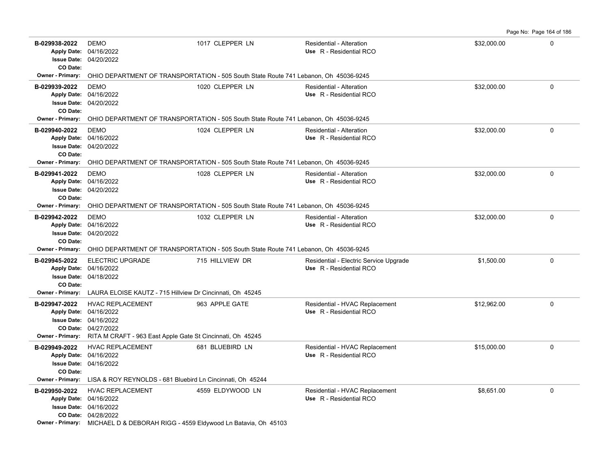**B-029938-2022** DEMO 1017 CLEPPER LN Residential - Alteration \$32,000.00 0 04/20/2022 **Issue Date:** 04/16/2022 **Apply Date: Use** R - Residential RCO DEMO 1017 CLEPPER LN Residential - Alteration **CO Date: Owner - Primary:** OHIO DEPARTMENT OF TRANSPORTATION - 505 South State Route 741 Lebanon, Oh 45036-9245 **B-029939-2022** \$32,000.00 0 DEMO 1020 CLEPPER LN Residential - Alteration 04/20/2022 **Issue Date:** 04/16/2022 **Apply Date: Use** R - Residential RCO **CO Date: Owner - Primary:** OHIO DEPARTMENT OF TRANSPORTATION - 505 South State Route 741 Lebanon, Oh 45036-9245 **B-029940-2022** \$32,000.00 0 04/20/2022 **Issue Date:** 04/16/2022 **Apply Date: Use** R - Residential RCO DEMO 1024 CLEPPER LN Residential - Alteration **CO Date: Owner - Primary:** OHIO DEPARTMENT OF TRANSPORTATION - 505 South State Route 741 Lebanon, Oh 45036-9245 **B-029941-2022** \$32,000.00 0 04/20/2022 **Issue Date:** Apply Date: 04/16/2022 DEMO 1028 CLEPPER LN Residential - Alteration **Apply Date: Use** R - Residential RCO **CO Date: Owner - Primary:** OHIO DEPARTMENT OF TRANSPORTATION - 505 South State Route 741 Lebanon, Oh 45036-9245 **B-029942-2022** \$32,000.00 0 04/20/2022 **Issue Date:** Apply Date: 04/16/2022 DEMO 1032 CLEPPER LN Residential - Alteration **Apply Date: Use** R - Residential RCO **CO Date: Owner - Primary:** OHIO DEPARTMENT OF TRANSPORTATION - 505 South State Route 741 Lebanon, Oh 45036-9245 B-029945-2022 ELECTRIC UPGRADE 715 HILLVIEW DR Residential - Electric Service Upgrade \$1,500.00 \$1,500.00 0 04/18/2022 **Issue Date:** Apply Date: 04/16/2022 **Apply Date: Use** R - Residential RCO **CO Date: Owner - Primary:** LAURA ELOISE KAUTZ - 715 Hillview Dr Cincinnati, Oh 45245 **B-029947-2022** HVAC REPLACEMENT 963 APPLE GATE Residential - HVAC Replacement \$12,962.00 0 0 04/27/2022 **CO Date:** 04/16/2022 **Issue Date:** Apply Date: 04/16/2022 **Apply Date: Use** R - Residential RCO **Owner - Primary:** RITA M CRAFT - 963 East Apple Gate St Cincinnati, Oh 45245 B-029949-2022 HVAC REPLACEMENT 681 BLUEBIRD LN Residential - HVAC Replacement \$15,000.00 0 0 0 04/16/2022 **Issue Date:** 04/16/2022 **Apply Date: Use** R - Residential RCO **CO Date: Owner - Primary:** LISA & ROY REYNOLDS - 681 Bluebird Ln Cincinnati, Oh 45244 **B-029950-2022** HVAC REPLACEMENT 4559 ELDYWOOD LN Residential - HVAC Replacement \$8,651.00 \$8,651.00 04/28/2022 **CO Date:** 04/16/2022 **Issue Date:** Apply Date: 04/16/2022 **Apply Date: Use** R - Residential RCO **Owner - Primary:** MICHAEL D & DEBORAH RIGG - 4559 Eldywood Ln Batavia, Oh 45103

Page No: Page 164 of 186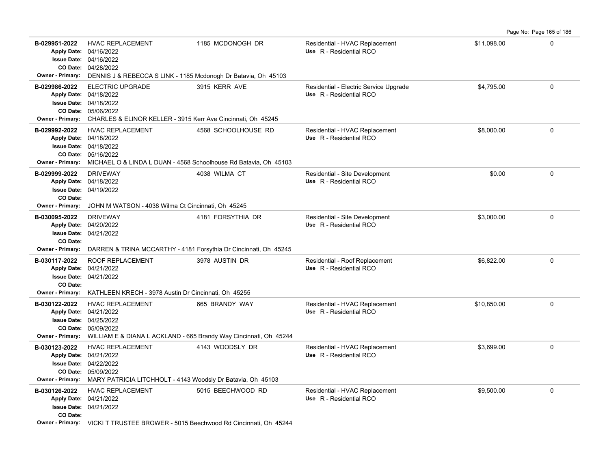**B-029951-2022** HVAC REPLACEMENT 1185 MCDONOGH DR Residential - HVAC Replacement \$11,098.00 \$11,098.00 0 04/28/2022 **CO Date:** 04/16/2022 **Issue Date:** Apply Date: 04/16/2022 **Apply Date: Use** R - Residential RCO **Owner - Primary:** DENNIS J & REBECCA S LINK - 1185 Mcdonogh Dr Batavia, Oh 45103 B-029986-2022 ELECTRIC UPGRADE 3915 KERR AVE Residential - Electric Service Upgrade \$4,795.00 **\$4,795**.00 0 05/06/2022 **CO Date:** 04/18/2022 **Issue Date:** 04/18/2022 **Apply Date: Use** R - Residential RCO **Owner - Primary:** CHARLES & ELINOR KELLER - 3915 Kerr Ave Cincinnati, Oh 45245 **B-029992-2022** \$8,000.00 0 HVAC REPLACEMENT 4568 SCHOOLHOUSE RD Residential - HVAC Replacement 05/16/2022 **CO Date:** 04/18/2022 **Issue Date:** 04/18/2022 **Apply Date: Use** R - Residential RCO **Owner - Primary:** MICHAEL O & LINDA L DUAN - 4568 Schoolhouse Rd Batavia, Oh 45103 **B-029999-2022** DRIVEWAY 10 1000 4038 WILMA CT 1 Residential - Site Development 1 1000 50.00 1 1000 0 0 1000 0 10 04/19/2022 **Issue Date:** Apply Date: 04/18/2022 **Apply Date: Use** R - Residential RCO **CO Date: Owner - Primary:** JOHN M WATSON - 4038 Wilma Ct Cincinnati, Oh 45245 **B-030095-2022** DRIVEWAY **181 March 2018 12 March 2018** Residential - Site Development 53,000.00 6 0 04/21/2022 **Issue Date:** Apply Date: 04/20/2022 **Apply Date: Use** R - Residential RCO **CO Date: Owner - Primary:** DARREN & TRINA MCCARTHY - 4181 Forsythia Dr Cincinnati, Oh 45245 **B-030117-2022** ROOF REPLACEMENT 3978 AUSTIN DR Residential - Roof Replacement \$6,822.00 \$6,822.00 04/21/2022 **Issue Date:** Apply Date: 04/21/2022 **Apply Date: Use** R - Residential RCO **CO Date: Owner - Primary:** KATHLEEN KRECH - 3978 Austin Dr Cincinnati, Oh 45255 **B-030122-2022** HVAC REPLACEMENT 665 BRANDY WAY Residential - HVAC Replacement \$10,850.00 \$10,850.00 05/09/2022 **CO Date:** 04/25/2022 **Issue Date:** Apply Date: 04/21/2022 **Apply Date: Use** R - Residential RCO **Owner - Primary:** WILLIAM E & DIANA L ACKLAND - 665 Brandy Way Cincinnati, Oh 45244 **B-030123-2022** HVAC REPLACEMENT 4143 WOODSLY DR Residential - HVAC Replacement \$3,699.00 \$3,699.00 05/09/2022 **CO Date:** 04/22/2022 **Issue Date:** 04/21/2022 **Apply Date: Use** R - Residential RCO **Owner - Primary:** MARY PATRICIA LITCHHOLT - 4143 Woodsly Dr Batavia, Oh 45103 **B-030126-2022** HVAC REPLACEMENT 5015 BEECHWOOD RD Residential - HVAC Replacement \$9,500.00 \$9,500.00 04/21/2022 **Issue Date:** 04/21/2022 **Apply Date: Use** R - Residential RCO **CO Date: Owner - Primary:** VICKI T TRUSTEE BROWER - 5015 Beechwood Rd Cincinnati, Oh 45244

Page No: Page 165 of 186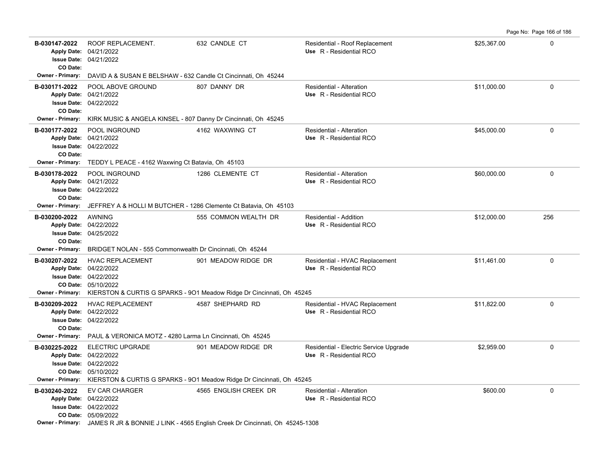Page No: Page 166 of 186

| B-030147-2022<br>CO Date:                | ROOF REPLACEMENT.<br>Apply Date: 04/21/2022<br><b>Issue Date: 04/21/2022</b>                                                                                     | 632 CANDLE CT                                                                                                          | Residential - Roof Replacement<br>Use R - Residential RCO         | \$25,367.00 | 0           |
|------------------------------------------|------------------------------------------------------------------------------------------------------------------------------------------------------------------|------------------------------------------------------------------------------------------------------------------------|-------------------------------------------------------------------|-------------|-------------|
| Owner - Primary:                         | DAVID A & SUSAN E BELSHAW - 632 Candle Ct Cincinnati, Oh 45244                                                                                                   |                                                                                                                        |                                                                   |             |             |
| B-030171-2022<br>CO Date:                | POOL ABOVE GROUND<br>Apply Date: 04/21/2022<br><b>Issue Date: 04/22/2022</b>                                                                                     | 807 DANNY DR                                                                                                           | Residential - Alteration<br>Use R - Residential RCO               | \$11,000.00 | $\mathsf 0$ |
| <b>Owner - Primary:</b>                  | KIRK MUSIC & ANGELA KINSEL - 807 Danny Dr Cincinnati, Oh 45245                                                                                                   |                                                                                                                        |                                                                   |             |             |
| B-030177-2022<br>CO Date:                | <b>POOL INGROUND</b><br>Apply Date: 04/21/2022<br><b>Issue Date: 04/22/2022</b>                                                                                  | 4162 WAXWING CT                                                                                                        | <b>Residential - Alteration</b><br>Use R - Residential RCO        | \$45,000.00 | $\mathbf 0$ |
| <b>Owner - Primary:</b>                  | TEDDY L PEACE - 4162 Waxwing Ct Batavia, Oh 45103                                                                                                                |                                                                                                                        |                                                                   |             |             |
| B-030178-2022<br>CO Date:                | POOL INGROUND<br>Apply Date: 04/21/2022<br><b>Issue Date: 04/22/2022</b>                                                                                         | 1286 CLEMENTE CT                                                                                                       | Residential - Alteration<br>Use R - Residential RCO               | \$60,000.00 | 0           |
| <b>Owner - Primary:</b>                  | JEFFREY A & HOLLI M BUTCHER - 1286 Clemente Ct Batavia, Oh 45103                                                                                                 |                                                                                                                        |                                                                   |             |             |
| B-030200-2022<br>CO Date:                | <b>AWNING</b><br>Apply Date: 04/22/2022<br><b>Issue Date: 04/25/2022</b>                                                                                         | 555 COMMON WEALTH DR                                                                                                   | Residential - Addition<br>Use R - Residential RCO                 | \$12,000.00 | 256         |
| <b>Owner - Primary:</b>                  | BRIDGET NOLAN - 555 Commonwealth Dr Cincinnati, Oh 45244                                                                                                         |                                                                                                                        |                                                                   |             |             |
| B-030207-2022<br><b>Owner - Primary:</b> | <b>HVAC REPLACEMENT</b><br>Apply Date: 04/22/2022<br><b>Issue Date: 04/22/2022</b><br>CO Date: 05/10/2022                                                        | 901 MEADOW RIDGE DR<br>KIERSTON & CURTIS G SPARKS - 901 Meadow Ridge Dr Cincinnati, Oh 45245                           | Residential - HVAC Replacement<br>Use R - Residential RCO         | \$11,461.00 | $\mathbf 0$ |
| B-030209-2022<br>CO Date:                | <b>HVAC REPLACEMENT</b><br>Apply Date: 04/22/2022<br><b>Issue Date: 04/22/2022</b><br>Owner - Primary: PAUL & VERONICA MOTZ - 4280 Larma Ln Cincinnati, Oh 45245 | 4587 SHEPHARD RD                                                                                                       | Residential - HVAC Replacement<br>Use R - Residential RCO         | \$11,822.00 | $\mathbf 0$ |
| B-030225-2022                            | <b>ELECTRIC UPGRADE</b><br>Apply Date: 04/22/2022<br><b>Issue Date: 04/22/2022</b><br>CO Date: 05/10/2022                                                        | 901 MEADOW RIDGE DR<br>Owner - Primary: KIERSTON & CURTIS G SPARKS - 901 Meadow Ridge Dr Cincinnati, Oh 45245          | Residential - Electric Service Upgrade<br>Use R - Residential RCO | \$2,959.00  | 0           |
| B-030240-2022                            | EV CAR CHARGER<br>Apply Date: 04/22/2022<br><b>Issue Date: 04/22/2022</b><br>CO Date: 05/09/2022                                                                 | 4565 ENGLISH CREEK DR<br>Owner - Primary: JAMES R JR & BONNIE J LINK - 4565 English Creek Dr Cincinnati, Oh 45245-1308 | <b>Residential - Alteration</b><br>Use R - Residential RCO        | \$600.00    | $\mathbf 0$ |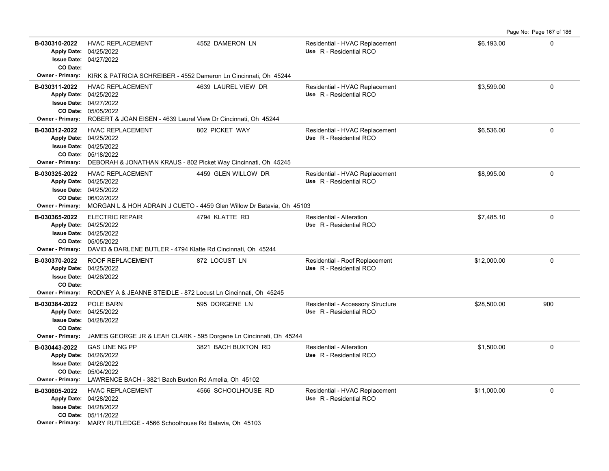| B-030310-2022<br>CO Date:                | <b>HVAC REPLACEMENT</b><br>Apply Date: 04/25/2022<br><b>Issue Date: 04/27/2022</b>                                                                                                           | 4552 DAMERON LN                                                                              | Residential - HVAC Replacement<br>Use R - Residential RCO    | \$6,193.00  | $\mathbf 0$ |
|------------------------------------------|----------------------------------------------------------------------------------------------------------------------------------------------------------------------------------------------|----------------------------------------------------------------------------------------------|--------------------------------------------------------------|-------------|-------------|
| <b>Owner - Primary:</b>                  | KIRK & PATRICIA SCHREIBER - 4552 Dameron Ln Cincinnati, Oh 45244                                                                                                                             |                                                                                              |                                                              |             |             |
| B-030311-2022<br><b>Owner - Primary:</b> | <b>HVAC REPLACEMENT</b><br>Apply Date: 04/25/2022<br><b>Issue Date: 04/27/2022</b><br>CO Date: 05/05/2022<br>ROBERT & JOAN EISEN - 4639 Laurel View Dr Cincinnati, Oh 45244                  | 4639 LAUREL VIEW DR                                                                          | Residential - HVAC Replacement<br>Use R - Residential RCO    | \$3,599.00  | $\mathbf 0$ |
| B-030312-2022                            | <b>HVAC REPLACEMENT</b><br>Apply Date: 04/25/2022<br><b>Issue Date: 04/25/2022</b><br>CO Date: 05/18/2022<br>Owner - Primary: DEBORAH & JONATHAN KRAUS - 802 Picket Way Cincinnati, Oh 45245 | 802 PICKET WAY                                                                               | Residential - HVAC Replacement<br>Use R - Residential RCO    | \$6,536.00  | $\mathbf 0$ |
| B-030325-2022<br>Owner - Primary:        | <b>HVAC REPLACEMENT</b><br>Apply Date: 04/25/2022<br>Issue Date: 04/25/2022<br>CO Date: 06/02/2022                                                                                           | 4459 GLEN WILLOW DR<br>MORGAN L & HOH ADRAIN J CUETO - 4459 Glen Willow Dr Batavia, Oh 45103 | Residential - HVAC Replacement<br>Use R - Residential RCO    | \$8,995.00  | 0           |
| B-030365-2022<br><b>Owner - Primary:</b> | <b>ELECTRIC REPAIR</b><br>Apply Date: 04/25/2022<br>Issue Date: 04/25/2022<br>CO Date: 05/05/2022<br>DAVID & DARLENE BUTLER - 4794 Klatte Rd Cincinnati, Oh 45244                            | 4794 KLATTE RD                                                                               | Residential - Alteration<br>Use R - Residential RCO          | \$7.485.10  | $\Omega$    |
| B-030370-2022<br>CO Date:                | <b>ROOF REPLACEMENT</b><br>Apply Date: 04/25/2022<br><b>Issue Date: 04/26/2022</b><br><b>Owner - Primary:</b> RODNEY A & JEANNE STEIDLE - 872 Locust Ln Cincinnati, Oh 45245                 | 872 LOCUST LN                                                                                | Residential - Roof Replacement<br>Use R - Residential RCO    | \$12,000.00 | $\mathbf 0$ |
| B-030384-2022<br>CO Date:                | POLE BARN<br>Apply Date: 04/25/2022<br><b>Issue Date: 04/28/2022</b>                                                                                                                         | 595 DORGENE LN                                                                               | Residential - Accessory Structure<br>Use R - Residential RCO | \$28,500.00 | 900         |
|                                          |                                                                                                                                                                                              | Owner - Primary: JAMES GEORGE JR & LEAH CLARK - 595 Dorgene Ln Cincinnati, Oh 45244          |                                                              |             |             |
| B-030443-2022                            | <b>GAS LINE NG PP</b><br>Apply Date: 04/26/2022<br>Issue Date: 04/26/2022<br>CO Date: 05/04/2022<br>Owner - Primary: LAWRENCE BACH - 3821 Bach Buxton Rd Amelia, Oh 45102                    | 3821 BACH BUXTON RD                                                                          | Residential - Alteration<br>Use R - Residential RCO          | \$1,500.00  | $\mathbf 0$ |
| B-030605-2022                            | <b>HVAC REPLACEMENT</b><br>Apply Date: 04/28/2022<br><b>Issue Date: 04/28/2022</b><br>CO Date: 05/11/2022<br>Owner - Primary: MARY RUTLEDGE - 4566 Schoolhouse Rd Batavia, Oh 45103          | 4566 SCHOOLHOUSE RD                                                                          | Residential - HVAC Replacement<br>Use R - Residential RCO    | \$11,000.00 | $\mathbf 0$ |

Page No: Page 167 of 186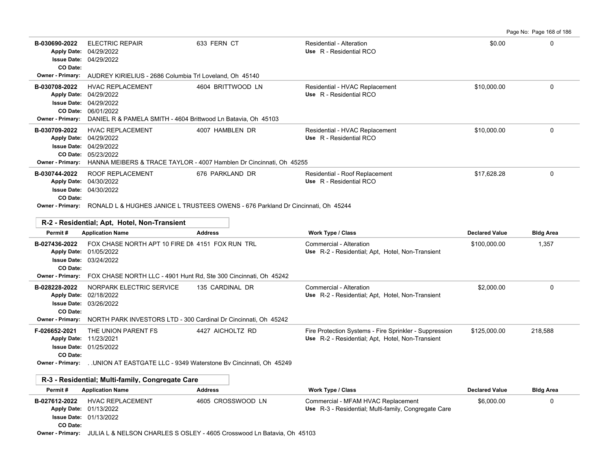Page No: Page 168 of 186

| B-030690-2022<br><b>Apply Date:</b><br>CO Date:                                | <b>ELECTRIC REPAIR</b><br>04/29/2022<br><b>Issue Date: 04/29/2022</b>                                                                                  | 633 FERN CT       | Residential - Alteration<br>Use R - Residential RCO                                                        | \$0.00                | $\mathbf 0$      |
|--------------------------------------------------------------------------------|--------------------------------------------------------------------------------------------------------------------------------------------------------|-------------------|------------------------------------------------------------------------------------------------------------|-----------------------|------------------|
|                                                                                | Owner - Primary: AUDREY KIRIELIUS - 2686 Columbia Trl Loveland, Oh 45140                                                                               |                   |                                                                                                            |                       |                  |
| B-030708-2022<br>Apply Date: 04/29/2022<br>CO Date:<br><b>Owner - Primary:</b> | <b>HVAC REPLACEMENT</b><br>Issue Date: 04/29/2022<br>06/01/2022<br>DANIEL R & PAMELA SMITH - 4604 Brittwood Ln Batavia, Oh 45103                       | 4604 BRITTWOOD LN | Residential - HVAC Replacement<br>Use R - Residential RCO                                                  | \$10,000.00           | $\mathbf 0$      |
| B-030709-2022<br>Apply Date: 04/29/2022<br><b>Owner - Primary:</b>             | <b>HVAC REPLACEMENT</b><br><b>Issue Date: 04/29/2022</b><br>CO Date: 05/23/2022<br>HANNA MEIBERS & TRACE TAYLOR - 4007 Hamblen Dr Cincinnati, Oh 45255 | 4007 HAMBLEN DR   | Residential - HVAC Replacement<br>Use R - Residential RCO                                                  | \$10,000.00           | $\Omega$         |
| B-030744-2022<br><b>Apply Date:</b><br><b>Issue Date:</b><br>CO Date:          | ROOF REPLACEMENT<br>04/30/2022<br>04/30/2022<br>Owner - Primary: RONALD L & HUGHES JANICE L TRUSTEES OWENS - 676 Parkland Dr Cincinnati, Oh 45244      | 676 PARKLAND DR   | Residential - Roof Replacement<br>Use R - Residential RCO                                                  | \$17,628.28           | $\Omega$         |
|                                                                                |                                                                                                                                                        |                   |                                                                                                            |                       |                  |
|                                                                                | R-2 - Residential; Apt, Hotel, Non-Transient                                                                                                           |                   |                                                                                                            |                       |                  |
| Permit#                                                                        | <b>Application Name</b>                                                                                                                                | <b>Address</b>    | <b>Work Type / Class</b>                                                                                   | <b>Declared Value</b> | <b>Bldg Area</b> |
| B-027436-2022<br>Apply Date: 01/05/2022<br><b>Issue Date:</b><br>CO Date:      | FOX CHASE NORTH APT 10 FIRE DN 4151 FOX RUN TRL<br>03/24/2022                                                                                          |                   | Commercial - Alteration<br>Use R-2 - Residential; Apt, Hotel, Non-Transient                                | \$100,000.00          | 1,357            |
|                                                                                | Owner - Primary: FOX CHASE NORTH LLC - 4901 Hunt Rd, Ste 300 Cincinnati, Oh 45242                                                                      |                   |                                                                                                            |                       |                  |
| B-028228-2022<br><b>Apply Date:</b><br>CO Date:<br>Owner - Primary:            | NORPARK ELECTRIC SERVICE<br>02/18/2022<br><b>Issue Date: 03/26/2022</b><br>NORTH PARK INVESTORS LTD - 300 Cardinal Dr Cincinnati, Oh 45242             | 135 CARDINAL DR   | Commercial - Alteration<br>Use R-2 - Residential; Apt, Hotel, Non-Transient                                | \$2,000.00            | $\Omega$         |
| F-026652-2021<br>Apply Date: 11/23/2021<br>CO Date:<br><b>Owner - Primary:</b> | THE UNION PARENT FS<br>Issue Date: 01/25/2022<br>UNION AT EASTGATE LLC - 9349 Waterstone By Cincinnati, Oh 45249                                       | 4427 AICHOLTZ RD  | Fire Protection Systems - Fire Sprinkler - Suppression<br>Use R-2 - Residential; Apt, Hotel, Non-Transient | \$125,000.00          | 218,588          |
|                                                                                |                                                                                                                                                        |                   |                                                                                                            |                       |                  |
|                                                                                | R-3 - Residential; Multi-family, Congregate Care                                                                                                       |                   |                                                                                                            |                       |                  |
| Permit#                                                                        | <b>Application Name</b>                                                                                                                                | <b>Address</b>    | Work Type / Class                                                                                          | <b>Declared Value</b> | <b>Bldg Area</b> |
| B-027612-2022<br>Apply Date: 01/13/2022<br>CO Date:                            | <b>HVAC REPLACEMENT</b><br>Issue Date: 01/13/2022<br>Owner - Primary: JULIA L & NELSON CHARLES S OSLEY - 4605 Crosswood Ln Batavia, Oh 45103           | 4605 CROSSWOOD LN | Commercial - MFAM HVAC Replacement<br>Use R-3 - Residential; Multi-family, Congregate Care                 | \$6,000.00            | $\mathbf 0$      |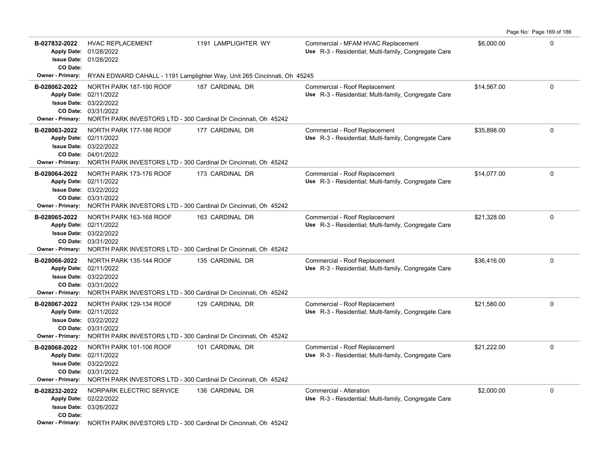|                                                                    |                                                                                                                                                    |                     |                                                                                            | Page No: Page 169 of 186 |          |
|--------------------------------------------------------------------|----------------------------------------------------------------------------------------------------------------------------------------------------|---------------------|--------------------------------------------------------------------------------------------|--------------------------|----------|
| B-027832-2022<br>Apply Date: 01/28/2022<br>CO Date:                | <b>HVAC REPLACEMENT</b><br>Issue Date: 01/28/2022                                                                                                  | 1191 LAMPLIGHTER WY | Commercial - MFAM HVAC Replacement<br>Use R-3 - Residential; Multi-family, Congregate Care | \$6,000.00               | $\Omega$ |
| <b>Owner - Primary:</b>                                            | RYAN EDWARD CAHALL - 1191 Lamplighter Way, Unit 265 Cincinnati, Oh 45245                                                                           |                     |                                                                                            |                          |          |
| B-028062-2022<br>Apply Date: 02/11/2022<br><b>Owner - Primary:</b> | NORTH PARK 187-190 ROOF<br><b>Issue Date: 03/22/2022</b><br>CO Date: 03/31/2022<br>NORTH PARK INVESTORS LTD - 300 Cardinal Dr Cincinnati, Oh 45242 | 187 CARDINAL DR     | Commercial - Roof Replacement<br>Use R-3 - Residential; Multi-family, Congregate Care      | \$14.567.00              | $\Omega$ |
| B-028063-2022<br>Apply Date: 02/11/2022<br><b>Owner - Primary:</b> | NORTH PARK 177-186 ROOF<br><b>Issue Date: 03/22/2022</b><br>CO Date: 04/01/2022<br>NORTH PARK INVESTORS LTD - 300 Cardinal Dr Cincinnati, Oh 45242 | 177 CARDINAL DR     | Commercial - Roof Replacement<br>Use R-3 - Residential; Multi-family, Congregate Care      | \$35,898.00              | $\Omega$ |
| B-028064-2022<br>Apply Date: 02/11/2022<br><b>Owner - Primary:</b> | NORTH PARK 173-176 ROOF<br><b>Issue Date: 03/22/2022</b><br>CO Date: 03/31/2022<br>NORTH PARK INVESTORS LTD - 300 Cardinal Dr Cincinnati, Oh 45242 | 173 CARDINAL DR     | Commercial - Roof Replacement<br>Use R-3 - Residential; Multi-family, Congregate Care      | \$14,077.00              | $\Omega$ |
| B-028065-2022<br>Apply Date: 02/11/2022<br><b>Owner - Primary:</b> | NORTH PARK 163-168 ROOF<br><b>Issue Date: 03/22/2022</b><br>CO Date: 03/31/2022<br>NORTH PARK INVESTORS LTD - 300 Cardinal Dr Cincinnati, Oh 45242 | 163 CARDINAL DR     | Commercial - Roof Replacement<br>Use R-3 - Residential; Multi-family, Congregate Care      | \$21,328.00              | 0        |
| B-028066-2022<br>Apply Date: 02/11/2022<br>Owner - Primary:        | NORTH PARK 135-144 ROOF<br><b>Issue Date: 03/22/2022</b><br>CO Date: 03/31/2022<br>NORTH PARK INVESTORS LTD - 300 Cardinal Dr Cincinnati, Oh 45242 | 135 CARDINAL DR     | Commercial - Roof Replacement<br>Use R-3 - Residential; Multi-family, Congregate Care      | \$36,416.00              | 0        |
| B-028067-2022<br>Apply Date: 02/11/2022<br><b>Owner - Primary:</b> | NORTH PARK 129-134 ROOF<br><b>Issue Date: 03/22/2022</b><br>CO Date: 03/31/2022<br>NORTH PARK INVESTORS LTD - 300 Cardinal Dr Cincinnati, Oh 45242 | 129 CARDINAL DR     | Commercial - Roof Replacement<br>Use R-3 - Residential; Multi-family, Congregate Care      | \$21,580.00              | 0        |
| B-028068-2022<br>Apply Date: 02/11/2022<br><b>Owner - Primary:</b> | NORTH PARK 101-106 ROOF<br>Issue Date: 03/22/2022<br>CO Date: 03/31/2022<br>NORTH PARK INVESTORS LTD - 300 Cardinal Dr Cincinnati, Oh 45242        | 101 CARDINAL DR     | Commercial - Roof Replacement<br>Use R-3 - Residential; Multi-family, Congregate Care      | \$21,222.00              | 0        |
| B-028232-2022<br>Apply Date: 02/22/2022<br>CO Date:                | NORPARK ELECTRIC SERVICE<br><b>Issue Date: 03/26/2022</b><br>Owner - Primary: NORTH PARK INVESTORS LTD - 300 Cardinal Dr Cincinnati, Oh 45242      | 136 CARDINAL DR     | Commercial - Alteration<br><b>Use</b> R-3 - Residential; Multi-family, Congregate Care     | \$2,000.00               | 0        |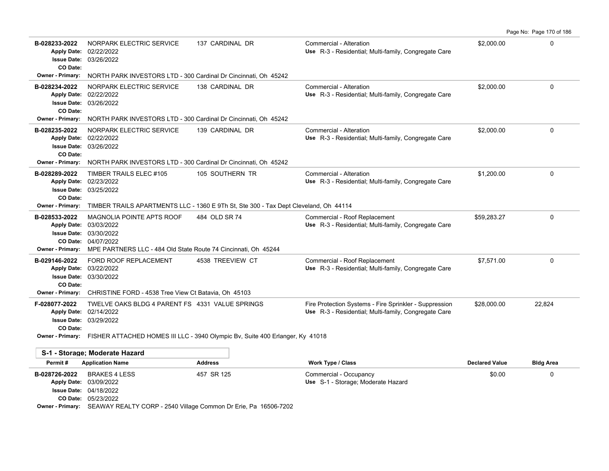| B-028233-2022<br><b>Apply Date:</b><br>CO Date:                                           | NORPARK ELECTRIC SERVICE<br>02/22/2022<br><b>Issue Date: 03/26/2022</b>                                                                                                       | 137 CARDINAL DR  | Commercial - Alteration<br>Use R-3 - Residential; Multi-family, Congregate Care                                | \$2,000.00            | $\mathbf 0$      |
|-------------------------------------------------------------------------------------------|-------------------------------------------------------------------------------------------------------------------------------------------------------------------------------|------------------|----------------------------------------------------------------------------------------------------------------|-----------------------|------------------|
| <b>Owner - Primary:</b>                                                                   | NORTH PARK INVESTORS LTD - 300 Cardinal Dr Cincinnati, Oh 45242                                                                                                               |                  |                                                                                                                |                       |                  |
| B-028234-2022<br><b>Apply Date:</b><br><b>Issue Date:</b><br>CO Date:                     | NORPARK ELECTRIC SERVICE<br>02/22/2022<br>03/26/2022                                                                                                                          | 138 CARDINAL DR  | Commercial - Alteration<br>Use R-3 - Residential; Multi-family, Congregate Care                                | \$2,000.00            | $\mathbf 0$      |
| <b>Owner - Primary:</b>                                                                   | NORTH PARK INVESTORS LTD - 300 Cardinal Dr Cincinnati, Oh 45242                                                                                                               |                  |                                                                                                                |                       |                  |
| B-028235-2022<br><b>Apply Date:</b><br><b>Issue Date:</b><br>CO Date:                     | NORPARK ELECTRIC SERVICE<br>02/22/2022<br>03/26/2022                                                                                                                          | 139 CARDINAL DR  | Commercial - Alteration<br>Use R-3 - Residential; Multi-family, Congregate Care                                | \$2,000.00            | $\mathbf 0$      |
| <b>Owner - Primary:</b>                                                                   | NORTH PARK INVESTORS LTD - 300 Cardinal Dr Cincinnati, Oh 45242                                                                                                               |                  |                                                                                                                |                       |                  |
| B-028289-2022<br><b>Apply Date:</b><br>CO Date:                                           | TIMBER TRAILS ELEC #105<br>02/23/2022<br><b>Issue Date: 03/25/2022</b>                                                                                                        | 105 SOUTHERN TR  | Commercial - Alteration<br>Use R-3 - Residential; Multi-family, Congregate Care                                | \$1,200.00            | $\mathbf 0$      |
| <b>Owner - Primary:</b>                                                                   | TIMBER TRAILS APARTMENTS LLC - 1360 E 9Th St, Ste 300 - Tax Dept Cleveland, Oh 44114                                                                                          |                  |                                                                                                                |                       |                  |
| B-028533-2022<br><b>Apply Date:</b><br><b>Issue Date:</b><br><b>Owner - Primary:</b>      | MAGNOLIA POINTE APTS ROOF<br>03/03/2022<br>03/30/2022<br>CO Date: 04/07/2022<br>MPE PARTNERS LLC - 484 Old State Route 74 Cincinnati, Oh 45244                                | 484 OLD SR 74    | Commercial - Roof Replacement<br>Use R-3 - Residential: Multi-family, Congregate Care                          | \$59,283.27           | $\mathbf 0$      |
| B-029146-2022<br><b>Apply Date:</b><br><b>Issue Date:</b><br>CO Date:<br>Owner - Primary: | FORD ROOF REPLACEMENT<br>03/22/2022<br>03/30/2022<br>CHRISTINE FORD - 4538 Tree View Ct Batavia, Oh 45103                                                                     | 4538 TREEVIEW CT | Commercial - Roof Replacement<br>Use R-3 - Residential; Multi-family, Congregate Care                          | \$7,571.00            | $\Omega$         |
| F-028077-2022<br><b>Apply Date:</b><br><b>Issue Date:</b><br>CO Date:                     | TWELVE OAKS BLDG 4 PARENT FS 4331 VALUE SPRINGS<br>02/14/2022<br>03/29/2022<br>Owner - Primary: FISHER ATTACHED HOMES III LLC - 3940 Olympic Bv, Suite 400 Erlanger, Ky 41018 |                  | Fire Protection Systems - Fire Sprinkler - Suppression<br>Use R-3 - Residential; Multi-family, Congregate Care | \$28,000.00           | 22.824           |
|                                                                                           |                                                                                                                                                                               |                  |                                                                                                                |                       |                  |
|                                                                                           | S-1 - Storage; Moderate Hazard                                                                                                                                                |                  |                                                                                                                |                       |                  |
| Permit#                                                                                   | <b>Application Name</b>                                                                                                                                                       | <b>Address</b>   | Work Type / Class                                                                                              | <b>Declared Value</b> | <b>Bldg Area</b> |
| B-028726-2022                                                                             | <b>BRAKES 4 LESS</b><br>Apply Date: 03/09/2022<br><b>Issue Date: 04/18/2022</b>                                                                                               | 457 SR 125       | Commercial - Occupancy<br>Use S-1 - Storage; Moderate Hazard                                                   | \$0.00                | 0                |

Page No: Page 170 of 186

05/23/2022 **CO Date:**

**Owner - Primary:** SEAWAY REALTY CORP - 2540 Village Common Dr Erie, Pa 16506-7202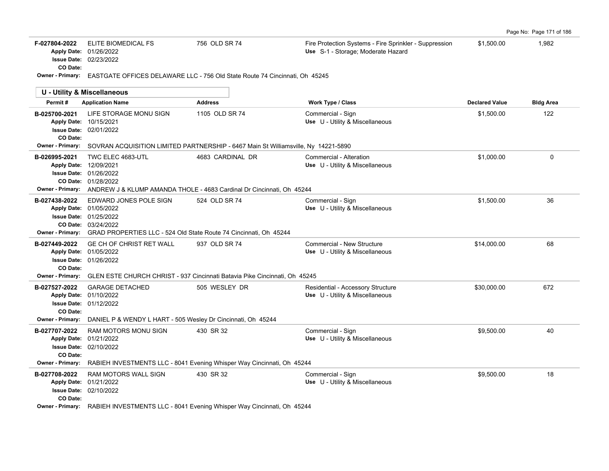|  | Page No: Page 171 of 186 |  |  |
|--|--------------------------|--|--|
|--|--------------------------|--|--|

| F-027804-2022           | ELITE BIOMEDICAL FS           | 756 OLD SR 74                                                               | Fire Protection Systems - Fire Sprinkler - Suppression | \$1.500.00 | 982. ا |
|-------------------------|-------------------------------|-----------------------------------------------------------------------------|--------------------------------------------------------|------------|--------|
|                         | <b>Apply Date: 01/26/2022</b> |                                                                             | Use S-1 - Storage: Moderate Hazard                     |            |        |
|                         | <b>Issue Date: 02/23/2022</b> |                                                                             |                                                        |            |        |
| CO Date:                |                               |                                                                             |                                                        |            |        |
| <b>Owner - Primary:</b> |                               | EASTGATE OFFICES DELAWARE LLC - 756 Old State Route 74 Cincinnati, Oh 45245 |                                                        |            |        |

|                                                      | U - Utility & Miscellaneous                                                                                                                                                   |                  |                                                                      |                       |                  |
|------------------------------------------------------|-------------------------------------------------------------------------------------------------------------------------------------------------------------------------------|------------------|----------------------------------------------------------------------|-----------------------|------------------|
| Permit#                                              | <b>Application Name</b>                                                                                                                                                       | <b>Address</b>   | Work Type / Class                                                    | <b>Declared Value</b> | <b>Bldg Area</b> |
| B-025700-2021<br>CO Date:                            | LIFE STORAGE MONU SIGN<br>Apply Date: 10/15/2021<br><b>Issue Date: 02/01/2022</b>                                                                                             | 1105 OLD SR 74   | Commercial - Sign<br>Use U - Utility & Miscellaneous                 | \$1,500.00            | 122              |
|                                                      | Owner - Primary: SOVRAN ACQUISITION LIMITED PARTNERSHIP - 6467 Main St Williamsville, Ny 14221-5890                                                                           |                  |                                                                      |                       |                  |
| B-026995-2021<br><b>Owner - Primary:</b>             | TWC ELEC 4683-UTL<br>Apply Date: 12/09/2021<br><b>Issue Date: 01/26/2022</b><br>CO Date: 01/28/2022<br>ANDREW J & KLUMP AMANDA THOLE - 4683 Cardinal Dr Cincinnati. Oh 45244  | 4683 CARDINAL DR | Commercial - Alteration<br>Use U - Utility & Miscellaneous           | \$1.000.00            | $\mathbf{0}$     |
| B-027438-2022<br><b>Owner - Primary:</b>             | EDWARD JONES POLE SIGN<br>Apply Date: 01/05/2022<br><b>Issue Date: 01/25/2022</b><br>CO Date: 03/24/2022<br>GRAD PROPERTIES LLC - 524 Old State Route 74 Cincinnati, Oh 45244 | 524 OLD SR 74    | Commercial - Sign<br>Use U - Utility & Miscellaneous                 | \$1.500.00            | 36               |
| B-027449-2022<br>CO Date:<br><b>Owner - Primary:</b> | <b>GE CH OF CHRIST RET WALL</b><br>Apply Date: 01/05/2022<br><b>Issue Date: 01/26/2022</b><br>GLEN ESTE CHURCH CHRIST - 937 Cincinnati Batavia Pike Cincinnati, Oh 45245      | 937 OLD SR 74    | Commercial - New Structure<br>Use U - Utility & Miscellaneous        | \$14,000.00           | 68               |
| B-027527-2022<br>CO Date:<br><b>Owner - Primary:</b> | <b>GARAGE DETACHED</b><br>Apply Date: 01/10/2022<br><b>Issue Date: 01/12/2022</b><br>DANIEL P & WENDY L HART - 505 Wesley Dr Cincinnati, Oh 45244                             | 505 WESLEY DR    | Residential - Accessory Structure<br>Use U - Utility & Miscellaneous | \$30,000.00           | 672              |
| B-027707-2022<br>CO Date:<br>Owner - Primary:        | RAM MOTORS MONU SIGN<br>Apply Date: 01/21/2022<br><b>Issue Date: 02/10/2022</b><br>RABIEH INVESTMENTS LLC - 8041 Evening Whisper Way Cincinnati, Oh 45244                     | 430 SR 32        | Commercial - Sign<br>Use U - Utility & Miscellaneous                 | \$9,500.00            | 40               |
| B-027708-2022<br>CO Date:                            | <b>RAM MOTORS WALL SIGN</b><br>Apply Date: 01/21/2022<br><b>Issue Date: 02/10/2022</b><br>Owner Primary: PADIELLINI/COTMENTO LLC 0044 Evening Whigper Way Cincinnati Ob 45244 | 430 SR 32        | Commercial - Sign<br>Use U - Utility & Miscellaneous                 | \$9,500.00            | 18               |

**Owner - Primary:** RABIEH INVESTMENTS LLC - 8041 Evening Whisper Way Cincinnati, Oh 45244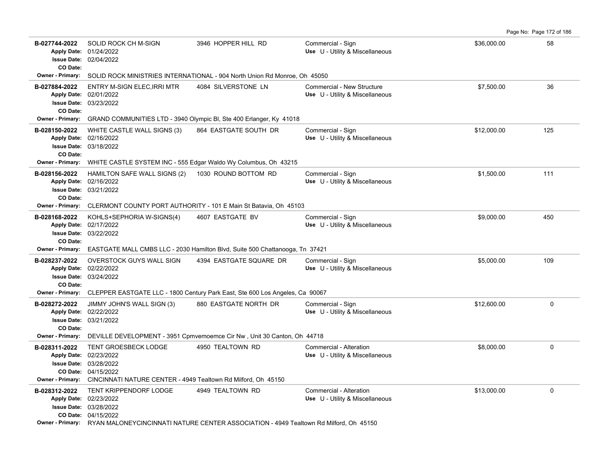Page No: Page 172 of 186

| B-027744-2022<br>CO Date: | SOLID ROCK CH M-SIGN<br>Apply Date: 01/24/2022<br><b>Issue Date: 02/04/2022</b>                          | 3946 HOPPER HILL RD                                                                                    | Commercial - Sign<br>Use U - Utility & Miscellaneous          | \$36,000.00 | 58          |
|---------------------------|----------------------------------------------------------------------------------------------------------|--------------------------------------------------------------------------------------------------------|---------------------------------------------------------------|-------------|-------------|
|                           |                                                                                                          | Owner - Primary: SOLID ROCK MINISTRIES INTERNATIONAL - 904 North Union Rd Monroe, Oh 45050             |                                                               |             |             |
| B-027884-2022<br>CO Date: | ENTRY M-SIGN ELEC, IRRI MTR<br>Apply Date: 02/01/2022<br><b>Issue Date: 03/23/2022</b>                   | 4084 SILVERSTONE LN                                                                                    | Commercial - New Structure<br>Use U - Utility & Miscellaneous | \$7,500.00  | 36          |
| <b>Owner - Primary:</b>   |                                                                                                          | GRAND COMMUNITIES LTD - 3940 Olympic BI, Ste 400 Erlanger, Ky 41018                                    |                                                               |             |             |
| B-028150-2022<br>CO Date: | WHITE CASTLE WALL SIGNS (3)<br>Apply Date: 02/16/2022<br><b>Issue Date: 03/18/2022</b>                   | 864 EASTGATE SOUTH DR                                                                                  | Commercial - Sign<br>Use U - Utility & Miscellaneous          | \$12,000.00 | 125         |
| Owner - Primary:          | WHITE CASTLE SYSTEM INC - 555 Edgar Waldo Wy Columbus, Oh 43215                                          |                                                                                                        |                                                               |             |             |
| B-028156-2022<br>CO Date: | HAMILTON SAFE WALL SIGNS (2)<br>Apply Date: 02/16/2022<br>Issue Date: 03/21/2022                         | 1030 ROUND BOTTOM RD                                                                                   | Commercial - Sign<br>Use U - Utility & Miscellaneous          | \$1,500.00  | 111         |
| <b>Owner - Primary:</b>   |                                                                                                          | CLERMONT COUNTY PORT AUTHORITY - 101 E Main St Batavia, Oh 45103                                       |                                                               |             |             |
| B-028168-2022<br>CO Date: | KOHLS+SEPHORIA W-SIGNS(4)<br>Apply Date: 02/17/2022<br><b>Issue Date: 03/22/2022</b>                     | 4607 EASTGATE BV                                                                                       | Commercial - Sign<br>Use U - Utility & Miscellaneous          | \$9,000.00  | 450         |
| Owner - Primary:          |                                                                                                          | EASTGATE MALL CMBS LLC - 2030 Hamilton Blvd, Suite 500 Chattanooga, Tn 37421                           |                                                               |             |             |
| B-028237-2022<br>CO Date: | OVERSTOCK GUYS WALL SIGN<br>Apply Date: 02/22/2022<br><b>Issue Date: 03/24/2022</b>                      | 4394 EASTGATE SQUARE DR                                                                                | Commercial - Sign<br>Use U - Utility & Miscellaneous          | \$5,000.00  | 109         |
| <b>Owner - Primary:</b>   |                                                                                                          | CLEPPER EASTGATE LLC - 1800 Century Park East, Ste 600 Los Angeles, Ca 90067                           |                                                               |             |             |
| B-028272-2022<br>CO Date: | JIMMY JOHN'S WALL SIGN (3)<br>Apply Date: 02/22/2022<br><b>Issue Date: 03/21/2022</b>                    | 880 EASTGATE NORTH DR                                                                                  | Commercial - Sign<br>Use U - Utility & Miscellaneous          | \$12,600.00 | 0           |
| Owner - Primary:          |                                                                                                          | DEVILLE DEVELOPMENT - 3951 Cpmvemoemce Cir Nw, Unit 30 Canton, Oh 44718                                |                                                               |             |             |
| B-028311-2022             | TENT GROESBECK LODGE<br>Apply Date: 02/23/2022<br><b>Issue Date: 03/28/2022</b><br>CO Date: 04/15/2022   | 4950 TEALTOWN RD                                                                                       | Commercial - Alteration<br>Use U - Utility & Miscellaneous    | \$8,000.00  | $\mathsf 0$ |
|                           | Owner - Primary: CINCINNATI NATURE CENTER - 4949 Tealtown Rd Milford, Oh 45150                           |                                                                                                        |                                                               |             |             |
| B-028312-2022             | TENT KRIPPENDORF LODGE<br>Apply Date: 02/23/2022<br><b>Issue Date: 03/28/2022</b><br>CO Date: 04/15/2022 | 4949 TEALTOWN RD                                                                                       | Commercial - Alteration<br>Use U - Utility & Miscellaneous    | \$13,000.00 | 0           |
|                           |                                                                                                          | Owner - Primary: RYAN MALONEYCINCINNATI NATURE CENTER ASSOCIATION - 4949 Tealtown Rd Milford, Oh 45150 |                                                               |             |             |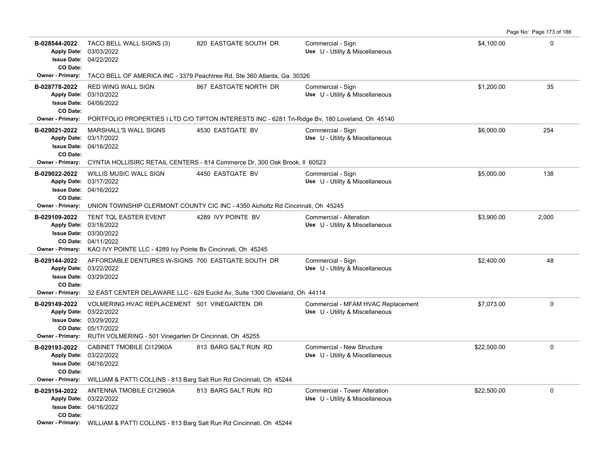**B-028544-2022** \$4,100.00 0 TACO BELL WALL SIGNS (3) 820 EASTGATE SOUTH DR Commercial - Sign 04/22/2022 **Issue Date:** Apply Date: 03/03/2022 **Apply Date: Use** U - Utility & Miscellaneous **CO Date: Owner - Primary:** TACO BELL OF AMERICA INC - 3379 Peachtree Rd, Ste 360 Atlanta, Ga 30326 **B-028778-2022** \$1,200.00 35 RED WING WALL SIGN 867 EASTGATE NORTH DR Commercial - Sign 04/06/2022 **Issue Date:** Apply Date: 03/10/2022 **Apply Date: Use** U - Utility & Miscellaneous **CO Date: Owner - Primary:** PORTFOLIO PROPERTIES I LTD C/O TIPTON INTERESTS INC - 6281 Tri-Ridge Bv, 180 Loveland, Oh 45140 **B-029021-2022** \$6,000.00 254 MARSHALL'S WALL SIGNS 4530 EASTGATE BV Commercial - Sign 04/16/2022 **Issue Date:** Apply Date: 03/17/2022 **Apply Date: Use** U - Utility & Miscellaneous **CO Date: Owner - Primary:** CYNTIA HOLLISIRC RETAIL CENTERS - 814 Commerce Dr, 300 Oak Brook, Il 60523 **B-029022-2022** \$5,000.00 138 WILLIS MUSIC WALL SIGN 4450 EASTGATE BV Commercial - Sign 04/16/2022 **Issue Date:** Apply Date: 03/17/2022 **Apply Date: Use** U - Utility & Miscellaneous **CO Date: Owner - Primary:** UNION TOWNSHIP CLERMONT COUNTY CIC INC - 4350 Aicholtz Rd Cincinnati, Oh 45245 **B-029109-2022** \$3,900.00 2,000 TENT TQL EASTER EVENT 4289 IVY POINTE BV Commercial - Alteration 04/11/2022 **CO Date:** 03/30/2022 **Issue Date:** Apply Date: 03/18/2022 **Apply Date: Use** U - Utility & Miscellaneous **Owner - Primary:** KAO IVY POINTE LLC - 4289 Ivy Pointe Bv Cincinnati, Oh 45245 **B-029144-2022** \$2,400.00 48 AFFORDABLE DENTURES W-SIGNS 700 EASTGATE SOUTH DR Commercial - Sign 03/29/2022 **Issue Date:** Apply Date: 03/22/2022 **Apply Date: Use** U - Utility & Miscellaneous **CO Date: Owner - Primary:** 32 EAST CENTER DELAWARE LLC - 629 Euclid Av, Suite 1300 Cleveland, Oh 44114 B-029149-2022 VOLMERING HVAC REPLACEMENT 501 VINEGARTEN DR Commercial - MFAM HVAC Replacement \$7,073.00 \$7,073.00 05/17/2022 **CO Date:** 03/29/2022 **Issue Date:** Apply Date: 03/22/2022 **Apply Date: Use** U - Utility & Miscellaneous **Owner - Primary:** RUTH VOLMERING - 501 Vinegarten Dr Cincinnati, Oh 45255 B-029193-2022 CABINET TMOBILE CI12960A 813 BARG SALT RUN RD Commercial - New Structure  $$22,500.00$  0 04/16/2022 **Issue Date:** Apply Date: 03/22/2022 **Apply Date: Use** U - Utility & Miscellaneous **CO Date: Owner - Primary:** WILLIAM & PATTI COLLINS - 813 Barg Salt Run Rd Cincinnati, Oh 45244 **B-029194-2022** \$22,500.00 0 ANTENNA TMOBILE CI12960A 813 BARG SALT RUN RD Commercial - Tower Alteration 04/16/2022 **Issue Date:** Apply Date: 03/22/2022 **Apply Date: Use** U - Utility & Miscellaneous **CO Date: Owner - Primary:** WILLIAM & PATTI COLLINS - 813 Barg Salt Run Rd Cincinnati, Oh 45244

Page No: Page 173 of 186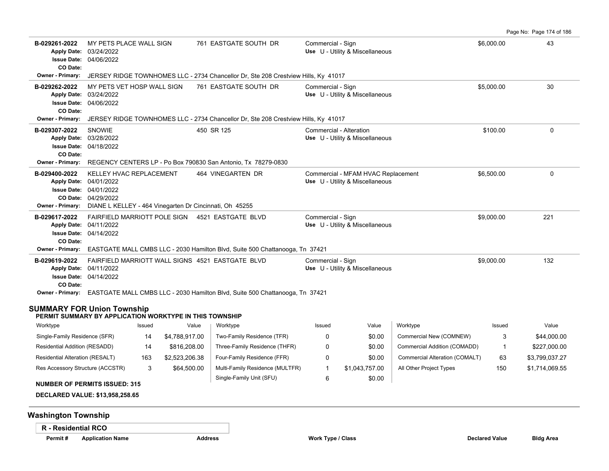Page No: Page 174 of 186 **B-029261-2022** \$6,000.00 43 MY PETS PLACE WALL SIGN 761 EASTGATE SOUTH DR Commercial - Sign 04/06/2022 **Issue Date:** Apply Date: 03/24/2022 **Apply Date: Use** U - Utility & Miscellaneous **CO Date: Owner - Primary:** JERSEY RIDGE TOWNHOMES LLC - 2734 Chancellor Dr, Ste 208 Crestview Hills, Ky 41017 **B-029262-2022** \$5,000.00 30 MY PETS VET HOSP WALL SIGN 761 EASTGATE SOUTH DR Commercial - Sign 04/06/2022 **Issue Date:** Apply Date: 03/24/2022 **Apply Date: Use** U - Utility & Miscellaneous **CO Date: Owner - Primary:** JERSEY RIDGE TOWNHOMES LLC - 2734 Chancellor Dr, Ste 208 Crestview Hills, Ky 41017 **B-029307-2022** \$100.00 0 04/18/2022 **Issue Date:** Apply Date: 03/28/2022 SNOWIE 450 SR 125 Commercial - Alteration **Apply Date: Use** U - Utility & Miscellaneous **CO Date: Owner - Primary:** REGENCY CENTERS LP - Po Box 790830 San Antonio, Tx 78279-0830 **B-029400-2022** \$6,500.00 0 KELLEY HVAC REPLACEMENT 464 VINEGARTEN DR Commercial - MFAM HVAC Replacement 04/29/2022 **CO Date:** 04/01/2022 **Issue Date:** Apply Date: 04/01/2022 **Apply Date: Use** U - Utility & Miscellaneous **Owner - Primary:** DIANE L KELLEY - 464 Vinegarten Dr Cincinnati, Oh 45255 **B-029617-2022** \$9,000.00 221 FAIRFIELD MARRIOTT POLE SIGN 4521 EASTGATE BLVD Commercial - Sign 04/14/2022 **Issue Date:** Apply Date: 04/11/2022 **Apply Date: Use** U - Utility & Miscellaneous **CO Date: Owner - Primary:** EASTGATE MALL CMBS LLC - 2030 Hamilton Blvd, Suite 500 Chattanooga, Tn 37421 **B-029619-2022** \$9,000.00 132 FAIRFIELD MARRIOTT WALL SIGNS 4521 EASTGATE BLVD Commercial - Sign 04/14/2022 **Issue Date:** Apply Date: 04/11/2022 **Apply Date: Use** U - Utility & Miscellaneous **CO Date: Owner - Primary:** EASTGATE MALL CMBS LLC - 2030 Hamilton Blvd, Suite 500 Chattanooga, Tn 37421

#### **SUMMARY FOR Union Township**

#### **PERMIT SUMMARY BY APPLICATION WORKTYPE IN THIS TOWNSHIP**

| Worktype                         | Issued | Value          | Worktype                        | Issued | Value          | Worktype                       | Issued | Value          |
|----------------------------------|--------|----------------|---------------------------------|--------|----------------|--------------------------------|--------|----------------|
| Single-Family Residence (SFR)    | 14     | \$4.788.917.00 | Two-Family Residence (TFR)      |        | \$0.00         | Commercial New (COMNEW)        | 3      | \$44,000.00    |
| Residential Addition (RESADD)    | 14     | \$816,208.00   | Three-Family Residence (THFR)   |        | \$0.00         | Commercial Addition (COMADD)   |        | \$227,000.00   |
| Residential Alteration (RESALT)  | 163    | \$2,523,206.38 | Four-Family Residence (FFR)     |        | \$0.00         | Commercial Alteration (COMALT) | 63     | \$3,799,037.27 |
| Res Accessory Structure (ACCSTR) |        | \$64,500.00    | Multi-Family Residence (MULTFR) |        | \$1.043.757.00 | All Other Project Types        | 150    | \$1,714,069.55 |
|                                  |        |                | Single-Family Unit (SFU)        |        | \$0.00         |                                |        |                |

#### **NUMBER OF PERMITS ISSUED: 315**

**DECLARED VALUE: \$13,958,258.65**

# **Washington Township**

**R - Residential RCO**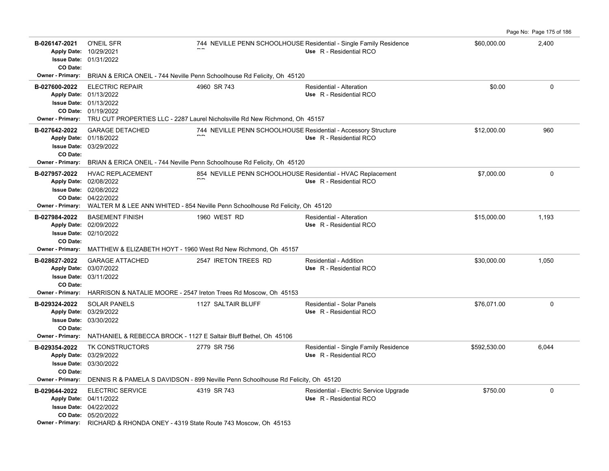|                                                                                                                 |                                                                                                                                                                   |                                                                                                                                               |                                                                                               |              | Page No: Page 175 of 186 |
|-----------------------------------------------------------------------------------------------------------------|-------------------------------------------------------------------------------------------------------------------------------------------------------------------|-----------------------------------------------------------------------------------------------------------------------------------------------|-----------------------------------------------------------------------------------------------|--------------|--------------------------|
| B-026147-2021<br>Apply Date: 10/29/2021<br><b>Issue Date: 01/31/2022</b><br>CO Date:                            | <b>O'NEIL SFR</b>                                                                                                                                                 |                                                                                                                                               | 744 NEVILLE PENN SCHOOLHOUSE Residential - Single Family Residence<br>Use R - Residential RCO | \$60,000.00  | 2,400                    |
| Owner - Primary:                                                                                                |                                                                                                                                                                   | BRIAN & ERICA ONEIL - 744 Neville Penn Schoolhouse Rd Felicity, Oh 45120                                                                      |                                                                                               |              |                          |
| B-027600-2022<br>Apply Date: 01/13/2022<br><b>Issue Date: 01/13/2022</b><br><b>Owner - Primary:</b>             | <b>ELECTRIC REPAIR</b><br>CO Date: 01/19/2022                                                                                                                     | 4960 SR 743<br>TRU CUT PROPERTIES LLC - 2287 Laurel Nicholsville Rd New Richmond, Oh 45157                                                    | Residential - Alteration<br>Use R - Residential RCO                                           | \$0.00       | $\mathbf 0$              |
| B-027642-2022<br>Apply Date: 01/18/2022<br><b>Issue Date: 03/29/2022</b><br>CO Date:<br>Owner - Primary:        | <b>GARAGE DETACHED</b>                                                                                                                                            | 744 NEVILLE PENN SCHOOLHOUSE Residential - Accessory Structure<br>BRIAN & ERICA ONEIL - 744 Neville Penn Schoolhouse Rd Felicity, Oh 45120    | Use R - Residential RCO                                                                       | \$12,000.00  | 960                      |
| B-027957-2022<br>Apply Date: 02/08/2022<br><b>Issue Date: 02/08/2022</b><br><b>Owner - Primary:</b>             | <b>HVAC REPLACEMENT</b><br>CO Date: 04/22/2022                                                                                                                    | 854 NEVILLE PENN SCHOOLHOUSE Residential - HVAC Replacement<br>WALTER M & LEE ANN WHITED - 854 Neville Penn Schoolhouse Rd Felicity, Oh 45120 | Use R - Residential RCO                                                                       | \$7,000.00   | $\mathbf 0$              |
| B-027984-2022<br>Apply Date: 02/09/2022<br><b>Issue Date: 02/10/2022</b><br>CO Date:<br><b>Owner - Primary:</b> | <b>BASEMENT FINISH</b>                                                                                                                                            | 1960 WEST RD<br>MATTHEW & ELIZABETH HOYT - 1960 West Rd New Richmond, Oh 45157                                                                | Residential - Alteration<br>Use R - Residential RCO                                           | \$15,000.00  | 1,193                    |
| B-028627-2022<br>Apply Date: 03/07/2022<br><b>Issue Date: 03/11/2022</b><br>CO Date:<br><b>Owner - Primary:</b> | <b>GARAGE ATTACHED</b><br>HARRISON & NATALIE MOORE - 2547 Ireton Trees Rd Moscow, Oh 45153                                                                        | 2547 IRETON TREES RD                                                                                                                          | Residential - Addition<br>Use R - Residential RCO                                             | \$30,000.00  | 1,050                    |
| B-029324-2022<br>Apply Date: 03/29/2022<br><b>Issue Date: 03/30/2022</b><br>CO Date:<br><b>Owner - Primary:</b> | <b>SOLAR PANELS</b><br>NATHANIEL & REBECCA BROCK - 1127 E Saltair Bluff Bethel, Oh 45106                                                                          | 1127 SALTAIR BLUFF                                                                                                                            | Residential - Solar Panels<br>Use R - Residential RCO                                         | \$76.071.00  | $\Omega$                 |
| B-029354-2022<br>Apply Date: 03/29/2022<br><b>Issue Date: 03/30/2022</b><br>CO Date:<br><b>Owner - Primary:</b> | TK CONSTRUCTORS                                                                                                                                                   | 2779 SR 756<br>DENNIS R & PAMELA S DAVIDSON - 899 Neville Penn Schoolhouse Rd Felicity, Oh 45120                                              | Residential - Single Family Residence<br>Use R - Residential RCO                              | \$592,530.00 | 6,044                    |
| B-029644-2022<br>Apply Date: 04/11/2022                                                                         | <b>ELECTRIC SERVICE</b><br>Issue Date: 04/22/2022<br>CO Date: 05/20/2022<br><b>Owner - Primary:</b> RICHARD & RHONDA ONEY - 4319 State Route 743 Moscow, Oh 45153 | 4319 SR 743                                                                                                                                   | Residential - Electric Service Upgrade<br>Use R - Residential RCO                             | \$750.00     | $\mathbf 0$              |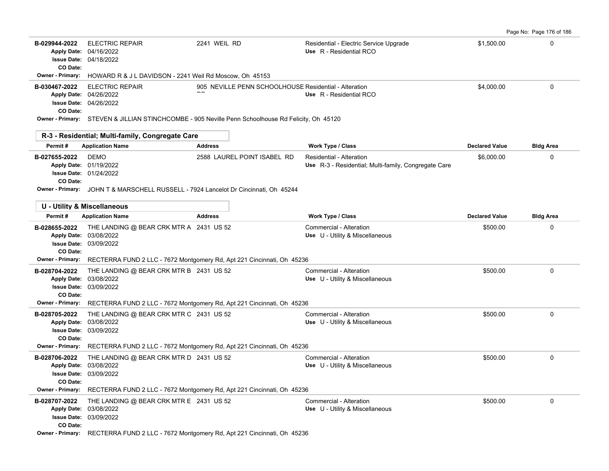| Page No: Page 176 of 186 |  |  |  |
|--------------------------|--|--|--|
|--------------------------|--|--|--|

| B-029944-2022<br>CO Date: | <b>ELECTRIC REPAIR</b><br>Apply Date: 04/16/2022<br><b>Issue Date: 04/18/2022</b>                                                                      | 2241 WEIL RD                                                                                       | Residential - Electric Service Upgrade<br>Use R - Residential RCO                | \$1,500.00            | $\Omega$         |
|---------------------------|--------------------------------------------------------------------------------------------------------------------------------------------------------|----------------------------------------------------------------------------------------------------|----------------------------------------------------------------------------------|-----------------------|------------------|
| <b>Owner - Primary:</b>   | HOWARD R & J L DAVIDSON - 2241 Weil Rd Moscow, Oh 45153                                                                                                |                                                                                                    |                                                                                  |                       |                  |
| B-030467-2022<br>CO Date: | <b>ELECTRIC REPAIR</b><br>Apply Date: 04/26/2022<br><b>Issue Date: 04/26/2022</b>                                                                      | 905 NEVILLE PENN SCHOOLHOUSE Residential - Alteration                                              | Use R - Residential RCO                                                          | \$4,000.00            | $\Omega$         |
|                           |                                                                                                                                                        | Owner - Primary: STEVEN & JILLIAN STINCHCOMBE - 905 Neville Penn Schoolhouse Rd Felicity, Oh 45120 |                                                                                  |                       |                  |
|                           | R-3 - Residential; Multi-family, Congregate Care                                                                                                       |                                                                                                    |                                                                                  |                       |                  |
| Permit#                   | <b>Application Name</b>                                                                                                                                | <b>Address</b>                                                                                     | Work Type / Class                                                                | <b>Declared Value</b> | <b>Bldg Area</b> |
| B-027655-2022<br>CO Date: | DEMO<br>Apply Date: 01/19/2022<br><b>Issue Date: 01/24/2022</b><br>Owner - Primary: JOHN T & MARSCHELL RUSSELL - 7924 Lancelot Dr Cincinnati, Oh 45244 | 2588 LAUREL POINT ISABEL RD                                                                        | Residential - Alteration<br>Use R-3 - Residential; Multi-family, Congregate Care | \$6,000.00            | $\Omega$         |
|                           | <b>U - Utility &amp; Miscellaneous</b>                                                                                                                 |                                                                                                    |                                                                                  |                       |                  |
| Permit#                   | <b>Application Name</b>                                                                                                                                | <b>Address</b>                                                                                     | <b>Work Type / Class</b>                                                         | <b>Declared Value</b> | <b>Bldg Area</b> |
| B-028655-2022<br>CO Date: | THE LANDING @ BEAR CRK MTR A 2431 US 52<br>Apply Date: 03/08/2022<br><b>Issue Date: 03/09/2022</b>                                                     |                                                                                                    | Commercial - Alteration<br>Use U - Utility & Miscellaneous                       | \$500.00              | 0                |
|                           |                                                                                                                                                        | Owner - Primary: RECTERRA FUND 2 LLC - 7672 Montgomery Rd, Apt 221 Cincinnati, Oh 45236            |                                                                                  |                       |                  |
| B-028704-2022<br>CO Date: | THE LANDING @ BEAR CRK MTR B 2431 US 52<br>Apply Date: 03/08/2022<br><b>Issue Date: 03/09/2022</b>                                                     |                                                                                                    | Commercial - Alteration<br>Use U - Utility & Miscellaneous                       | \$500.00              | $\mathbf 0$      |
|                           |                                                                                                                                                        | <b>Owner - Primary:</b> RECTERRA FUND 2 LLC - 7672 Montgomery Rd, Apt 221 Cincinnati, Oh 45236     |                                                                                  |                       |                  |
| B-028705-2022<br>CO Date: | THE LANDING @ BEAR CRK MTR C 2431 US 52<br>Apply Date: 03/08/2022<br><b>Issue Date: 03/09/2022</b>                                                     |                                                                                                    | Commercial - Alteration<br>Use U - Utility & Miscellaneous                       | \$500.00              | $\mathbf 0$      |
|                           |                                                                                                                                                        | Owner - Primary: RECTERRA FUND 2 LLC - 7672 Montgomery Rd, Apt 221 Cincinnati, Oh 45236            |                                                                                  |                       |                  |
| B-028706-2022<br>CO Date: | THE LANDING @ BEAR CRK MTR D 2431 US 52<br>Apply Date: 03/08/2022<br><b>Issue Date: 03/09/2022</b>                                                     |                                                                                                    | Commercial - Alteration<br>Use U - Utility & Miscellaneous                       | \$500.00              | $\mathbf 0$      |
| <b>Owner - Primary:</b>   |                                                                                                                                                        | RECTERRA FUND 2 LLC - 7672 Montgomery Rd, Apt 221 Cincinnati, Oh 45236                             |                                                                                  |                       |                  |
| B-028707-2022<br>CO Date: | THE LANDING @ BEAR CRK MTR E 2431 US 52<br>Apply Date: 03/08/2022<br><b>Issue Date: 03/09/2022</b>                                                     |                                                                                                    | Commercial - Alteration<br>Use U - Utility & Miscellaneous                       | \$500.00              | $\mathbf 0$      |
|                           |                                                                                                                                                        | Owner - Primary: RECTERRA FUND 2 LLC - 7672 Montgomery Rd, Apt 221 Cincinnati, Oh 45236            |                                                                                  |                       |                  |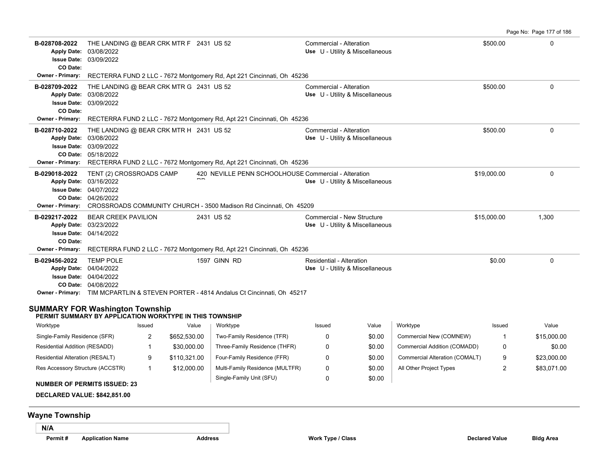Page No: Page 177 of 186 **B-028708-2022** THE LANDING @ BEAR CRK MTR F 2431 US 52 Commercial - Alteration 6 Commercial - Alteration 5500.00 03/09/2022 Apply Date: 03/08/2022 **Apply Date: Use** U - Utility & Miscellaneous **Issue Date: CO Date: Owner - Primary:** RECTERRA FUND 2 LLC - 7672 Montgomery Rd, Apt 221 Cincinnati, Oh 45236 **B-028709-2022** THE LANDING @ BEAR CRK MTR G 2431 US 52 Commercial - Alteration 6 Commercial - Alteration 6 \$500.00 03/09/2022 **Issue Date:** 03/08/2022 **Apply Date: Use** U - Utility & Miscellaneous **CO Date: Owner - Primary:** RECTERRA FUND 2 LLC - 7672 Montgomery Rd, Apt 221 Cincinnati, Oh 45236 **B-028710-2022** THE LANDING @ BEAR CRK MTR H 2431 US 52 Commercial - Alteration 6 Commercial - Alteration 5500.00 05/18/2022 **CO Date:** 03/09/2022 **Issue Date:** Apply Date: 03/08/2022 **Apply Date: Use** U - Utility & Miscellaneous **Owner - Primary:** RECTERRA FUND 2 LLC - 7672 Montgomery Rd, Apt 221 Cincinnati, Oh 45236 B-029018-2022 TENT (2) CROSSROADS CAMP 420 NEVILLE PENN SCHOOLHOUSE Commercial - Alteration \$19,000.00 \$19,000.00 04/26/2022 **CO Date:** 04/07/2022 **Issue Date:** Apply Date: 03/16/2022  $\overline{\phantom{a}}$ TENT (2) CROSSROADS CAMP **Apply Date: Use** U - Utility & Miscellaneous **Owner - Primary:** CROSSROADS COMMUNITY CHURCH - 3500 Madison Rd Cincinnati, Oh 45209 **B-029217-2022** BEAR CREEK PAVILION 2431 US 52 Commercial - New Structure \$15,000.00 \$15,000.00 1,300 04/14/2022 **Issue Date:** Apply Date: 03/23/2022 **Apply Date: Use** U - Utility & Miscellaneous **CO Date: Owner - Primary:** RECTERRA FUND 2 LLC - 7672 Montgomery Rd, Apt 221 Cincinnati, Oh 45236 **B-029456-2022** \$0.00 0 TEMP POLE 1597 GINN RD Residential - Alteration 04/08/2022 **CO Date:** 04/04/2022 **Issue Date:** Apply Date: 04/04/2022 **Apply Date: Use** U - Utility & Miscellaneous **Owner - Primary:** TIM MCPARTLIN & STEVEN PORTER - 4814 Andalus Ct Cincinnati, Oh 45217 **SUMMARY FOR Washington Township**

# **PERMIT SUMMARY BY APPLICATION WORKTYPE IN THIS TOWNSHIP**

| Worktype                            | Issued | Value        | Worktype                        | Issued | Value  | Worktvpe                       | Issued | Value       |
|-------------------------------------|--------|--------------|---------------------------------|--------|--------|--------------------------------|--------|-------------|
| Single-Family Residence (SFR)       | -      | \$652,530.00 | Two-Family Residence (TFR)      |        | \$0.00 | Commercial New (COMNEW)        |        | \$15,000.00 |
| Residential Addition (RESADD)       |        | \$30,000.00  | Three-Family Residence (THFR)   |        | \$0.00 | Commercial Addition (COMADD)   |        | \$0.00      |
| Residential Alteration (RESALT)     |        | \$110.321.00 | Four-Family Residence (FFR)     |        | \$0.00 | Commercial Alteration (COMALT) | 9      | \$23,000.00 |
| Res Accessory Structure (ACCSTR)    |        | \$12,000.00  | Multi-Family Residence (MULTFR) |        | \$0.00 | All Other Project Types        |        | \$83.071.00 |
| <b>NUMBER OF BEBMITS ISSUED, 22</b> |        |              | Single-Family Unit (SFU)        |        | \$0.00 |                                |        |             |

#### **NUMBER OF PERMITS ISSUED: 23**

**DECLARED VALUE: \$842,851.00**

# **Wayne Township**

**N/A**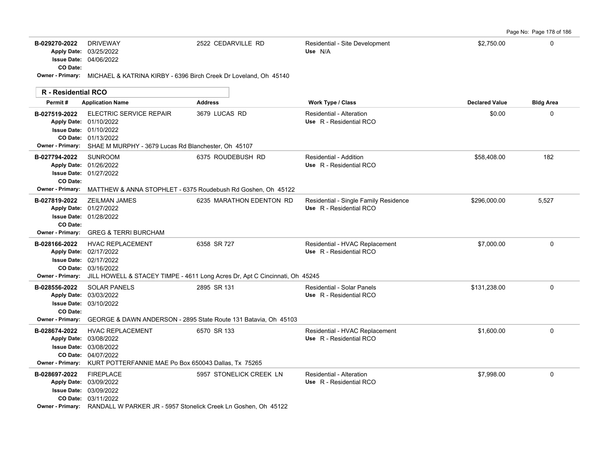Page No: Page 178 of 186

| B-029270-2022           | <b>DRIVEWAY</b>               | 2522 CEDARVILLE RD                                               | Residential - Site Development | \$2,750.00 |  |
|-------------------------|-------------------------------|------------------------------------------------------------------|--------------------------------|------------|--|
|                         | <b>Apply Date: 03/25/2022</b> |                                                                  | Use N/A                        |            |  |
|                         | <b>Issue Date: 04/06/2022</b> |                                                                  |                                |            |  |
| CO Date:                |                               |                                                                  |                                |            |  |
| <b>Owner - Primary:</b> |                               | MICHAEL & KATRINA KIRBY - 6396 Birch Creek Dr Loveland, Oh 45140 |                                |            |  |
|                         |                               |                                                                  |                                |            |  |

| <b>R</b> - Residential RCO               |                                                                                                                                                                                          |                                                                                                 |                                                                  |                       |                  |
|------------------------------------------|------------------------------------------------------------------------------------------------------------------------------------------------------------------------------------------|-------------------------------------------------------------------------------------------------|------------------------------------------------------------------|-----------------------|------------------|
| Permit#                                  | <b>Application Name</b>                                                                                                                                                                  | <b>Address</b>                                                                                  | Work Type / Class                                                | <b>Declared Value</b> | <b>Bldg Area</b> |
| B-027519-2022                            | <b>ELECTRIC SERVICE REPAIR</b><br>Apply Date: 01/10/2022<br><b>Issue Date: 01/10/2022</b><br>CO Date: 01/13/2022<br>Owner - Primary: SHAE M MURPHY - 3679 Lucas Rd Blanchester, Oh 45107 | 3679 LUCAS RD                                                                                   | Residential - Alteration<br>Use R - Residential RCO              | \$0.00                | 0                |
| B-027794-2022<br>CO Date:                | <b>SUNROOM</b><br>Apply Date: 01/26/2022<br>Issue Date: 01/27/2022<br>Owner - Primary: MATTHEW & ANNA STOPHLET - 6375 Roudebush Rd Goshen, Oh 45122                                      | 6375 ROUDEBUSH RD                                                                               | Residential - Addition<br>Use R - Residential RCO                | \$58,408.00           | 182              |
| B-027819-2022<br>CO Date:                | <b>ZEILMAN JAMES</b><br>Apply Date: 01/27/2022<br><b>Issue Date: 01/28/2022</b><br>Owner - Primary: GREG & TERRI BURCHAM                                                                 | 6235 MARATHON EDENTON RD                                                                        | Residential - Single Family Residence<br>Use R - Residential RCO | \$296,000.00          | 5,527            |
| B-028166-2022<br><b>Owner - Primary:</b> | <b>HVAC REPLACEMENT</b><br>Apply Date: 02/17/2022<br><b>Issue Date: 02/17/2022</b><br>CO Date: 03/16/2022                                                                                | 6358 SR 727<br>JILL HOWELL & STACEY TIMPE - 4611 Long Acres Dr, Apt C Cincinnati, Oh 45245      | Residential - HVAC Replacement<br>Use R - Residential RCO        | \$7,000.00            | 0                |
| B-028556-2022<br>CO Date:                | <b>SOLAR PANELS</b><br>Apply Date: 03/03/2022<br><b>Issue Date: 03/10/2022</b>                                                                                                           | 2895 SR 131<br>Owner - Primary: GEORGE & DAWN ANDERSON - 2895 State Route 131 Batavia, Oh 45103 | <b>Residential - Solar Panels</b><br>Use R - Residential RCO     | \$131,238.00          | 0                |
| B-028674-2022<br>Owner - Primary:        | <b>HVAC REPLACEMENT</b><br>Apply Date: 03/08/2022<br><b>Issue Date: 03/08/2022</b><br>CO Date: 04/07/2022<br>KURT POTTERFANNIE MAE Po Box 650043 Dallas, Tx 75265                        | 6570 SR 133                                                                                     | Residential - HVAC Replacement<br>Use R - Residential RCO        | \$1,600.00            | 0                |
| B-028697-2022                            | <b>FIREPLACE</b><br>Apply Date: 03/09/2022<br><b>Issue Date: 03/09/2022</b><br>CO Date: 03/11/2022<br>Owner - Primary: RANDALL W PARKER JR - 5957 Stonelick Creek Ln Goshen, Oh 45122    | 5957 STONELICK CREEK LN                                                                         | Residential - Alteration<br>Use R - Residential RCO              | \$7,998.00            | 0                |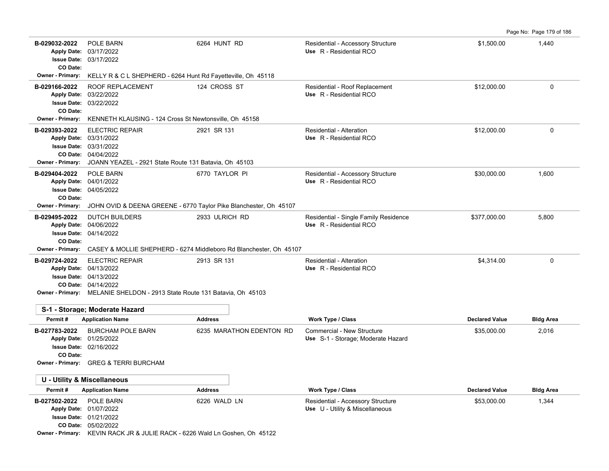| B-029032-2022<br><b>Apply Date:</b>                                        | POLE BARN<br>03/17/2022<br><b>Issue Date: 03/17/2022</b>                                                                                                                              | 6264 HUNT RD                                                                         | Residential - Accessory Structure<br>Use R - Residential RCO         | \$1,500.00            | 1,440            |
|----------------------------------------------------------------------------|---------------------------------------------------------------------------------------------------------------------------------------------------------------------------------------|--------------------------------------------------------------------------------------|----------------------------------------------------------------------|-----------------------|------------------|
| CO Date:<br>Owner - Primary:                                               | KELLY R & C L SHEPHERD - 6264 Hunt Rd Fayetteville, Oh 45118                                                                                                                          |                                                                                      |                                                                      |                       |                  |
| B-029166-2022<br><b>Apply Date:</b><br>CO Date:                            | ROOF REPLACEMENT<br>03/22/2022<br>Issue Date: 03/22/2022                                                                                                                              | 124 CROSS ST                                                                         | Residential - Roof Replacement<br>Use R - Residential RCO            | \$12,000.00           | $\pmb{0}$        |
| <b>Owner - Primary:</b>                                                    | KENNETH KLAUSING - 124 Cross St Newtonsville, Oh 45158                                                                                                                                |                                                                                      |                                                                      |                       |                  |
| B-029393-2022<br><b>Apply Date:</b><br>CO Date:<br>Owner - Primary:        | <b>ELECTRIC REPAIR</b><br>03/31/2022<br><b>Issue Date: 03/31/2022</b><br>04/04/2022<br>JOANN YEAZEL - 2921 State Route 131 Batavia, Oh 45103                                          | 2921 SR 131                                                                          | Residential - Alteration<br>Use R - Residential RCO                  | \$12,000.00           | $\mathbf 0$      |
| B-029404-2022<br><b>Issue Date:</b><br>CO Date:<br><b>Owner - Primary:</b> | POLE BARN<br>Apply Date: 04/01/2022<br>04/05/2022<br>JOHN OVID & DEENA GREENE - 6770 Taylor Pike Blanchester, Oh 45107                                                                | 6770 TAYLOR PI                                                                       | Residential - Accessory Structure<br>Use R - Residential RCO         | \$30,000.00           | 1,600            |
| B-029495-2022<br><b>Apply Date:</b><br>CO Date:<br><b>Owner - Primary:</b> | <b>DUTCH BUILDERS</b><br>04/06/2022<br><b>Issue Date: 04/14/2022</b>                                                                                                                  | 2933 ULRICH RD<br>CASEY & MOLLIE SHEPHERD - 6274 Middleboro Rd Blanchester, Oh 45107 | Residential - Single Family Residence<br>Use R - Residential RCO     | \$377,000.00          | 5,800            |
| B-029724-2022                                                              | <b>ELECTRIC REPAIR</b><br>Apply Date: 04/13/2022<br><b>Issue Date: 04/13/2022</b><br>CO Date: 04/14/2022<br>Owner - Primary: MELANIE SHELDON - 2913 State Route 131 Batavia, Oh 45103 | 2913 SR 131                                                                          | Residential - Alteration<br>Use R - Residential RCO                  | \$4,314.00            | $\mathbf 0$      |
| Permit#                                                                    | S-1 - Storage; Moderate Hazard<br><b>Application Name</b>                                                                                                                             | <b>Address</b>                                                                       | <b>Work Type / Class</b>                                             | <b>Declared Value</b> | <b>Bldg Area</b> |
| B-027783-2022<br><b>Issue Date:</b><br>CO Date:                            | <b>BURCHAM POLE BARN</b><br>Apply Date: 01/25/2022<br>02/16/2022<br>Owner - Primary: GREG & TERRI BURCHAM                                                                             | 6235 MARATHON EDENTON RD                                                             | Commercial - New Structure<br>Use S-1 - Storage; Moderate Hazard     | \$35,000.00           | 2,016            |
|                                                                            | <b>U - Utility &amp; Miscellaneous</b>                                                                                                                                                |                                                                                      |                                                                      |                       |                  |
| Permit#                                                                    | <b>Application Name</b>                                                                                                                                                               | <b>Address</b>                                                                       | Work Type / Class                                                    | <b>Declared Value</b> | <b>Bldg Area</b> |
| B-027502-2022                                                              | POLE BARN<br>Apply Date: 01/07/2022<br><b>Issue Date: 01/21/2022</b><br>CO Date: 05/02/2022<br>Owner - Primary: KEVIN RACK JR & JULIE RACK - 6226 Wald Ln Goshen, Oh 45122            | 6226 WALD LN                                                                         | Residential - Accessory Structure<br>Use U - Utility & Miscellaneous | \$53,000.00           | 1,344            |

Page No: Page 179 of 186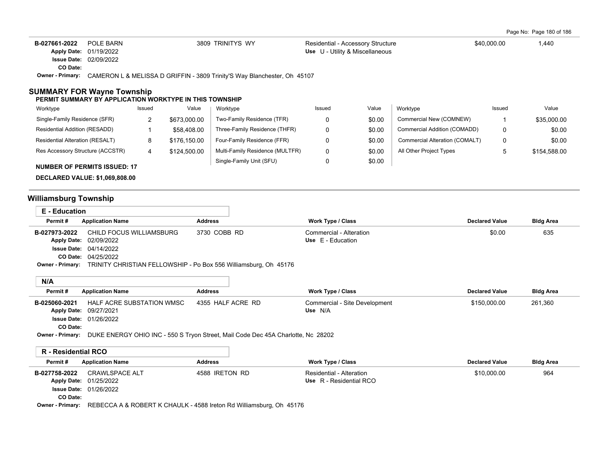| B-027661-2022    | POLE BARN                                                                | 3809 TRINITYS WY | Residential - Accessory Structure | \$40,000.00 | 1,440 |
|------------------|--------------------------------------------------------------------------|------------------|-----------------------------------|-------------|-------|
|                  | <b>Apply Date: 01/19/2022</b>                                            |                  | Use U - Utility & Miscellaneous   |             |       |
|                  | <b>Issue Date: 02/09/2022</b>                                            |                  |                                   |             |       |
| CO Date:         |                                                                          |                  |                                   |             |       |
| Owner - Primarv: | CAMERON L & MELISSA D GRIFFIN - 3809 Trinity'S Way Blanchester, Oh 45107 |                  |                                   |             |       |
|                  |                                                                          |                  |                                   |             |       |

## **SUMMARY FOR Wayne Township**

#### **PERMIT SUMMARY BY APPLICATION WORKTYPE IN THIS TOWNSHIP**

| Worktype                               | Issued | Value        | Worktype                        | Issued | Value  | Worktype                       | Issued | Value        |
|----------------------------------------|--------|--------------|---------------------------------|--------|--------|--------------------------------|--------|--------------|
| Single-Family Residence (SFR)          | _      | \$673,000.00 | Two-Family Residence (TFR)      |        | \$0.00 | Commercial New (COMNEW)        |        | \$35,000.00  |
| Residential Addition (RESADD)          |        | \$58,408.00  | Three-Family Residence (THFR)   |        | \$0.00 | Commercial Addition (COMADD)   | 0      | \$0.00       |
| <b>Residential Alteration (RESALT)</b> | 8      | \$176.150.00 | Four-Family Residence (FFR)     |        | \$0.00 | Commercial Alteration (COMALT) | 0      | \$0.00       |
| Res Accessory Structure (ACCSTR)       | 4      | \$124,500.00 | Multi-Family Residence (MULTFR) |        | \$0.00 | All Other Project Types        |        | \$154,588.00 |
| <b>NUMBER OF PERMITS ISSUED: 17</b>    |        |              | Single-Family Unit (SFU)        |        | \$0.00 |                                |        |              |

**DECLARED VALUE: \$1,069,808.00**

# **Williamsburg Township**

| E - Education    |                                                                  |                |                         |                       |                  |
|------------------|------------------------------------------------------------------|----------------|-------------------------|-----------------------|------------------|
| Permit#          | <b>Application Name</b>                                          | <b>Address</b> | Work Type / Class       | <b>Declared Value</b> | <b>Bldg Area</b> |
| B-027973-2022    | CHILD FOCUS WILLIAMSBURG                                         | 3730 COBB RD   | Commercial - Alteration | \$0.00                | 635              |
|                  | Apply Date: 02/09/2022                                           |                | Use E - Education       |                       |                  |
|                  | <b>Issue Date: 04/14/2022</b>                                    |                |                         |                       |                  |
|                  | <b>CO Date: 04/25/2022</b>                                       |                |                         |                       |                  |
| Owner - Primary: | TRINITY CHRISTIAN FELLOWSHIP - Po Box 556 Williamsburg, Oh 45176 |                |                         |                       |                  |

## **N/A**

| .             |                               |                   |                               |                       |                  |
|---------------|-------------------------------|-------------------|-------------------------------|-----------------------|------------------|
| Permit#       | <b>Application Name</b>       | Address           | Work Type / Class             | <b>Declared Value</b> | <b>Bldg Area</b> |
| B-025060-2021 | HALF ACRE SUBSTATION WMSC     | 4355 HALF ACRE RD | Commercial - Site Development | \$150,000.00          | 261,360          |
|               | Apply Date: 09/27/2021        |                   | Use N/A                       |                       |                  |
|               | <b>Issue Date: 01/26/2022</b> |                   |                               |                       |                  |
| CO Date:      |                               |                   |                               |                       |                  |

**Owner - Primary:** DUKE ENERGY OHIO INC - 550 S Tryon Street, Mail Code Dec 45A Charlotte, Nc 28202

# **R - Residential RCO**

| Permit#       | <b>Application Name</b>       | Address        | Work Type / Class        | <b>Declared Value</b> | <b>Bldg Area</b> |
|---------------|-------------------------------|----------------|--------------------------|-----------------------|------------------|
| B-027758-2022 | CRAWLSPACE ALT                | 4588 IRETON RD | Residential - Alteration | \$10,000.00           | 964              |
|               | <b>Apply Date: 01/25/2022</b> |                | Use R - Residential RCO  |                       |                  |
|               | <b>Issue Date: 01/26/2022</b> |                |                          |                       |                  |
| CO Date:      |                               |                |                          |                       |                  |

**Owner - Primary:** REBECCA A & ROBERT K CHAULK - 4588 Ireton Rd Williamsburg, Oh 45176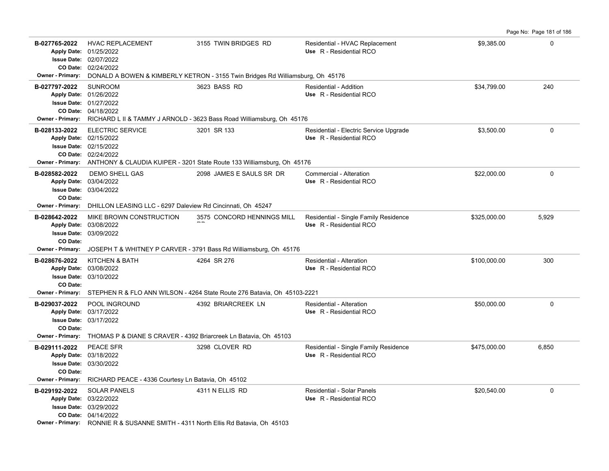**B-027765-2022** HVAC REPLACEMENT 3155 TWIN BRIDGES RD Residential - HVAC Replacement \$9,385.00 \$9,385.00 0 02/24/2022 **CO Date:** 02/07/2022 **Issue Date:** Apply Date: 01/25/2022 **Apply Date: Use** R - Residential RCO **Owner - Primary:** DONALD A BOWEN & KIMBERLY KETRON - 3155 Twin Bridges Rd Williamsburg, Oh 45176 **B-027797-2022** \$34,799.00 240 04/18/2022 **CO Date:** 01/27/2022 **Issue Date:** 01/26/2022 **Apply Date: Use** R - Residential RCO SUNROOM 3623 BASS RD Residential - Addition **Owner - Primary:** RICHARD L II & TAMMY J ARNOLD - 3623 Bass Road Williamsburg, Oh 45176 **B-028133-2022** ELECTRIC SERVICE 3201 SR 133 Residential - Electric Service Upgrade \$3,500.00 \$3,500.00 0 02/24/2022 **CO Date:** 02/15/2022 **Issue Date:** 02/15/2022 **Apply Date: Use** R - Residential RCO **Owner - Primary:** ANTHONY & CLAUDIA KUIPER - 3201 State Route 133 Williamsburg, Oh 45176 **B-028582-2022** DEMO SHELL GAS 2098 JAMES E SAULS SR DR Commercial - Alteration 322,000.00 \$22,000.00 0 0 0 0 0 0 03/04/2022 **Issue Date:** Apply Date: 03/04/2022 **Apply Date: Use** R - Residential RCO **CO Date: Owner - Primary:** DHILLON LEASING LLC - 6297 Daleview Rd Cincinnati, Oh 45247 B-028642-2022 MIKE BROWN CONSTRUCTION 3575 CONCORD HENNINGS MILL Residential - Single Family Residence \$325,000.00 5,929 03/09/2022 **Issue Date:** Apply Date: 03/08/2022  $\overline{\phantom{a}}$ MIKE BROWN CONSTRUCTION **Apply Date: Use** R - Residential RCO **CO Date: Owner - Primary:** JOSEPH T & WHITNEY P CARVER - 3791 Bass Rd Williamsburg, Oh 45176 **B-028676-2022** \$100,000.00 300 03/10/2022 **Issue Date:** Apply Date: 03/08/2022 KITCHEN & BATH **4264 SR 276** Residential - Alteration **Apply Date: Use** R - Residential RCO **CO Date: Owner - Primary:** STEPHEN R & FLO ANN WILSON - 4264 State Route 276 Batavia, Oh 45103-2221 **B-029037-2022** POOL INGROUND 4392 BRIARCREEK LN Residential - Alteration \$50,000.00 \$50,000.00 0 03/17/2022 **Issue Date:** Apply Date: 03/17/2022 **Apply Date: Use** R - Residential RCO **CO Date: Owner - Primary:** THOMAS P & DIANE S CRAVER - 4392 Briarcreek Ln Batavia, Oh 45103 **B-029111-2022** \$475,000.00 6,850 PEACE SFR 3298 CLOVER RD Residential - Single Family Residence 03/30/2022 **Issue Date:** 03/18/2022 **Apply Date: Use** R - Residential RCO **CO Date: Owner - Primary:** RICHARD PEACE - 4336 Courtesy Ln Batavia, Oh 45102 **B-029192-2022** \$20,540.00 0 SOLAR PANELS 4311 N ELLIS RD Residential - Solar Panels 04/14/2022 **CO Date:** 03/29/2022 **Issue Date:** 03/22/2022 **Apply Date: Use** R - Residential RCO **Owner - Primary:** RONNIE R & SUSANNE SMITH - 4311 North Ellis Rd Batavia, Oh 45103

Page No: Page 181 of 186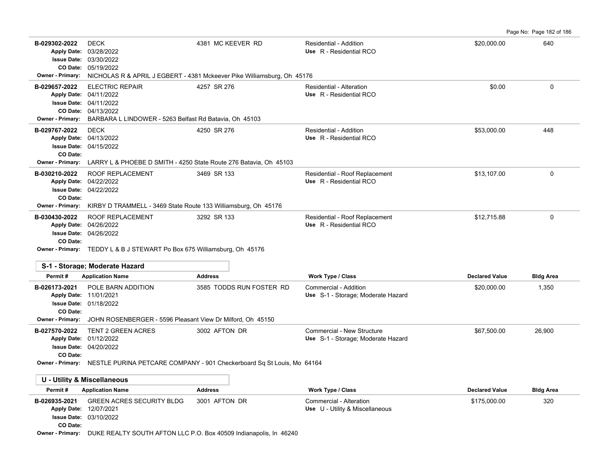Page No: Page 182 of 186

| B-029302-2022                                        | <b>DECK</b><br>Apply Date: 03/28/2022<br>Issue Date: 03/30/2022<br>CO Date: 05/19/2022                                                                                                   | 4381 MC KEEVER RD                                                                                        | Residential - Addition<br>Use R - Residential RCO                | \$20,000.00           | 640              |  |  |  |  |
|------------------------------------------------------|------------------------------------------------------------------------------------------------------------------------------------------------------------------------------------------|----------------------------------------------------------------------------------------------------------|------------------------------------------------------------------|-----------------------|------------------|--|--|--|--|
| <b>Owner - Primary:</b>                              | NICHOLAS R & APRIL J EGBERT - 4381 Mckeever Pike Williamsburg, Oh 45176                                                                                                                  |                                                                                                          |                                                                  |                       |                  |  |  |  |  |
| B-029657-2022<br><b>Owner - Primary:</b>             | <b>ELECTRIC REPAIR</b><br>Apply Date: 04/11/2022<br><b>Issue Date: 04/11/2022</b><br>CO Date: 04/13/2022<br>BARBARA L LINDOWER - 5263 Belfast Rd Batavia, Oh 45103                       | 4257 SR 276                                                                                              | Residential - Alteration<br>Use R - Residential RCO              | \$0.00                | $\Omega$         |  |  |  |  |
| B-029767-2022<br>CO Date:                            | <b>DECK</b><br>Apply Date: 04/13/2022<br><b>Issue Date: 04/15/2022</b><br>Owner - Primary: LARRY L & PHOEBE D SMITH - 4250 State Route 276 Batavia, Oh 45103                             | 4250 SR 276                                                                                              | Residential - Addition<br>Use R - Residential RCO                | \$53,000.00           | 448              |  |  |  |  |
| B-030210-2022<br>CO Date:<br>Owner - Primary:        | ROOF REPLACEMENT<br>Apply Date: 04/22/2022<br><b>Issue Date: 04/22/2022</b><br>KIRBY D TRAMMELL - 3469 State Route 133 Williamsburg, Oh 45176                                            | 3469 SR 133                                                                                              | Residential - Roof Replacement<br>Use R - Residential RCO        | \$13,107.00           | 0                |  |  |  |  |
| B-030430-2022<br>CO Date:                            | ROOF REPLACEMENT<br>Apply Date: 04/26/2022<br><b>Issue Date: 04/26/2022</b><br>Owner - Primary: TEDDY L & B J STEWART Po Box 675 Williamsburg, Oh 45176                                  | 3292 SR 133                                                                                              | Residential - Roof Replacement<br>Use R - Residential RCO        | \$12,715.88           | $\Omega$         |  |  |  |  |
|                                                      | S-1 - Storage; Moderate Hazard                                                                                                                                                           |                                                                                                          |                                                                  |                       |                  |  |  |  |  |
| Permit#                                              | <b>Application Name</b>                                                                                                                                                                  | <b>Address</b>                                                                                           | Work Type / Class                                                | <b>Declared Value</b> | <b>Bldg Area</b> |  |  |  |  |
| B-026173-2021<br>CO Date:<br><b>Owner - Primary:</b> | POLE BARN ADDITION<br>Apply Date: 11/01/2021<br><b>Issue Date: 01/18/2022</b><br>JOHN ROSENBERGER - 5596 Pleasant View Dr Milford, Oh 45150                                              | 3585 TODDS RUN FOSTER RD                                                                                 | Commercial - Addition<br>Use S-1 - Storage; Moderate Hazard      | \$20,000.00           | 1,350            |  |  |  |  |
| B-027570-2022<br>CO Date:                            | TENT 2 GREEN ACRES<br>Apply Date: 01/12/2022<br><b>Issue Date: 04/20/2022</b>                                                                                                            | 3002 AFTON DR<br>Owner - Primary: NESTLE PURINA PETCARE COMPANY - 901 Checkerboard Sq St Louis, Mo 64164 | Commercial - New Structure<br>Use S-1 - Storage; Moderate Hazard | \$67,500.00           | 26,900           |  |  |  |  |
|                                                      |                                                                                                                                                                                          |                                                                                                          |                                                                  |                       |                  |  |  |  |  |
|                                                      | U - Utility & Miscellaneous                                                                                                                                                              |                                                                                                          |                                                                  |                       |                  |  |  |  |  |
| Permit#                                              | <b>Application Name</b>                                                                                                                                                                  | <b>Address</b>                                                                                           | Work Type / Class                                                | <b>Declared Value</b> | <b>Bldg Area</b> |  |  |  |  |
| B-026935-2021<br>CO Date:                            | <b>GREEN ACRES SECURITY BLDG</b><br>Apply Date: 12/07/2021<br><b>Issue Date: 03/10/2022</b><br><b>Owner - Primary:</b> DUKE REALTY SOUTH AFTON LLC P.O. Box 40509 Indianapolis, In 46240 | 3001 AFTON DR                                                                                            | Commercial - Alteration<br>Use U - Utility & Miscellaneous       | \$175,000.00          | 320              |  |  |  |  |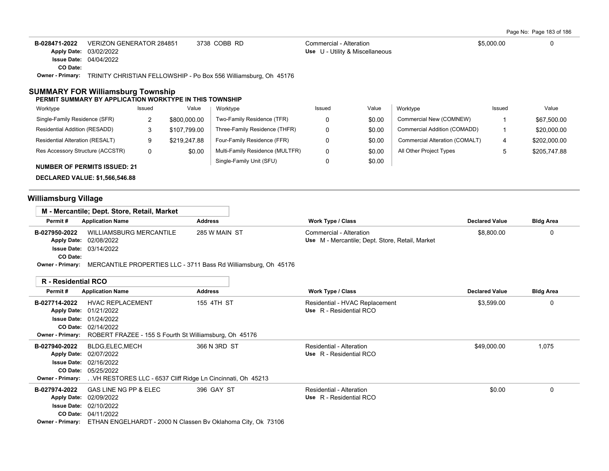Page No: Page 183 of 186

| B-028471-2022    | VERIZON GENERATOR 284851                                         | 3738 COBB RD | Commercial - Alteration         | \$5,000.00 |  |
|------------------|------------------------------------------------------------------|--------------|---------------------------------|------------|--|
|                  | Apply Date: 03/02/2022                                           |              | Use U - Utility & Miscellaneous |            |  |
|                  | <b>Issue Date: 04/04/2022</b>                                    |              |                                 |            |  |
| CO Date:         |                                                                  |              |                                 |            |  |
| Owner - Primary: | TRINITY CHRISTIAN FELLOWSHIP - Po Box 556 Williamsburg, Oh 45176 |              |                                 |            |  |

## **SUMMARY FOR Williamsburg Township PERMIT SUMMARY BY APPLICATION WORKTYPE IN THIS TOWNSHIP**

| Worktype                            | Issued | Value        | Worktype                        | Issued | Value  | Worktype                       | Issued | Value        |
|-------------------------------------|--------|--------------|---------------------------------|--------|--------|--------------------------------|--------|--------------|
| Single-Family Residence (SFR)       |        | \$800,000.00 | Two-Family Residence (TFR)      |        | \$0.00 | Commercial New (COMNEW)        |        | \$67,500.00  |
| Residential Addition (RESADD)       |        | \$107,799.00 | Three-Family Residence (THFR)   |        | \$0.00 | Commercial Addition (COMADD)   |        | \$20,000.00  |
| Residential Alteration (RESALT)     | 9      | \$219,247.88 | Four-Family Residence (FFR)     |        | \$0.00 | Commercial Alteration (COMALT) |        | \$202,000.00 |
| Res Accessory Structure (ACCSTR)    | 0      | \$0.00       | Multi-Family Residence (MULTFR) |        | \$0.00 | All Other Project Types        |        | \$205,747.88 |
| <b>NUMBER OF PERMITS ISSUED: 21</b> |        |              | Single-Family Unit (SFU)        |        | \$0.00 |                                |        |              |

**DECLARED VALUE: \$1,566,546.88**

# **Williamsburg Village**

|                         | M - Mercantile; Dept. Store, Retail, Market                     |                |                                                 |                       |                  |
|-------------------------|-----------------------------------------------------------------|----------------|-------------------------------------------------|-----------------------|------------------|
| Permit#                 | <b>Application Name</b>                                         | <b>Address</b> | <b>Work Type / Class</b>                        | <b>Declared Value</b> | <b>Bldg Area</b> |
| B-027950-2022           | WILLIAMSBURG MERCANTILE                                         | 285 W MAIN ST  | Commercial - Alteration                         | \$8,800.00            |                  |
|                         | Apply Date: 02/08/2022                                          |                | Use M - Mercantile; Dept. Store, Retail, Market |                       |                  |
|                         | <b>Issue Date: 03/14/2022</b>                                   |                |                                                 |                       |                  |
| CO Date:                |                                                                 |                |                                                 |                       |                  |
| <b>Owner - Primary:</b> | MERCANTILE PROPERTIES LLC - 3711 Bass Rd Williamsburg, Oh 45176 |                |                                                 |                       |                  |

| <b>R</b> - Residential RCO |  |
|----------------------------|--|
|----------------------------|--|

| <b>Application Name</b><br><b>HVAC REPLACEMENT</b> | Address      | <b>Work Type / Class</b>                                                                                                                                                                                                                        | <b>Declared Value</b> | <b>Bldg Area</b> |
|----------------------------------------------------|--------------|-------------------------------------------------------------------------------------------------------------------------------------------------------------------------------------------------------------------------------------------------|-----------------------|------------------|
|                                                    |              |                                                                                                                                                                                                                                                 |                       |                  |
|                                                    | 155 4TH ST   | Residential - HVAC Replacement                                                                                                                                                                                                                  | \$3,599.00            | 0                |
| Apply Date: 01/21/2022                             |              | Use R - Residential RCO                                                                                                                                                                                                                         |                       |                  |
| <b>Issue Date: 01/24/2022</b>                      |              |                                                                                                                                                                                                                                                 |                       |                  |
| CO Date: 02/14/2022                                |              |                                                                                                                                                                                                                                                 |                       |                  |
|                                                    |              |                                                                                                                                                                                                                                                 |                       |                  |
| BLDG, ELEC, MECH                                   | 366 N 3RD ST | Residential - Alteration                                                                                                                                                                                                                        | \$49,000.00           | 1,075            |
| Apply Date: 02/07/2022                             |              | Use R - Residential RCO                                                                                                                                                                                                                         |                       |                  |
| <b>Issue Date: 02/16/2022</b>                      |              |                                                                                                                                                                                                                                                 |                       |                  |
| <b>CO Date: 05/25/2022</b>                         |              |                                                                                                                                                                                                                                                 |                       |                  |
|                                                    |              |                                                                                                                                                                                                                                                 |                       |                  |
| <b>GAS LINE NG PP &amp; ELEC</b><br>B-027974-2022  | 396 GAY ST   | Residential - Alteration                                                                                                                                                                                                                        | \$0.00                | 0                |
| Apply Date: 02/09/2022                             |              | Use R - Residential RCO                                                                                                                                                                                                                         |                       |                  |
| <b>Issue Date: 02/10/2022</b>                      |              |                                                                                                                                                                                                                                                 |                       |                  |
| <b>CO Date: 04/11/2022</b>                         |              |                                                                                                                                                                                                                                                 |                       |                  |
|                                                    |              |                                                                                                                                                                                                                                                 |                       |                  |
|                                                    |              | <b>Owner - Primary:</b> ROBERT FRAZEE - 155 S Fourth St Williamsburg, Oh 45176<br>Owner - Primary:  VH RESTORES LLC - 6537 Cliff Ridge Ln Cincinnati, Oh 45213<br>Owner - Primary: ETHAN ENGELHARDT - 2000 N Classen By Oklahoma City, Ok 73106 |                       |                  |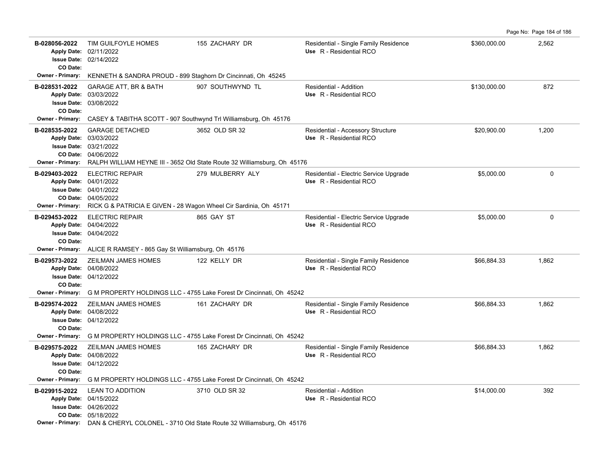| B-028056-2022<br><b>Apply Date:</b> | TIM GUILFOYLE HOMES<br>02/11/2022                                                                                                                   | 155 ZACHARY DR                                                                                                | Residential - Single Family Residence<br>Use R - Residential RCO | \$360,000.00 | 2,562       |
|-------------------------------------|-----------------------------------------------------------------------------------------------------------------------------------------------------|---------------------------------------------------------------------------------------------------------------|------------------------------------------------------------------|--------------|-------------|
|                                     | <b>Issue Date: 02/14/2022</b>                                                                                                                       |                                                                                                               |                                                                  |              |             |
| CO Date:<br><b>Owner - Primary:</b> | KENNETH & SANDRA PROUD - 899 Staghorn Dr Cincinnati, Oh 45245                                                                                       |                                                                                                               |                                                                  |              |             |
| B-028531-2022<br>CO Date:           | <b>GARAGE ATT, BR &amp; BATH</b><br>Apply Date: 03/03/2022<br><b>Issue Date: 03/08/2022</b>                                                         | 907 SOUTHWYND TL                                                                                              | <b>Residential - Addition</b><br>Use R - Residential RCO         | \$130,000.00 | 872         |
| <b>Owner - Primary:</b>             | CASEY & TABITHA SCOTT - 907 Southwynd Trl Williamsburg, Oh 45176                                                                                    |                                                                                                               |                                                                  |              |             |
| B-028535-2022                       | <b>GARAGE DETACHED</b><br>Apply Date: 03/03/2022<br><b>Issue Date: 03/21/2022</b><br>CO Date: 04/06/2022                                            | 3652 OLD SR 32                                                                                                | Residential - Accessory Structure<br>Use R - Residential RCO     | \$20,900.00  | 1,200       |
| B-029403-2022                       | <b>ELECTRIC REPAIR</b>                                                                                                                              | Owner - Primary: RALPH WILLIAM HEYNE III - 3652 Old State Route 32 Williamsburg, Oh 45176<br>279 MULBERRY ALY | Residential - Electric Service Upgrade                           | \$5,000.00   | $\mathbf 0$ |
| <b>Owner - Primary:</b>             | Apply Date: 04/01/2022<br><b>Issue Date: 04/01/2022</b><br>CO Date: 04/05/2022<br>RICK G & PATRICIA E GIVEN - 28 Wagon Wheel Cir Sardinia, Oh 45171 |                                                                                                               | Use R - Residential RCO                                          |              |             |
| B-029453-2022                       | <b>ELECTRIC REPAIR</b>                                                                                                                              | 865 GAY ST                                                                                                    | Residential - Electric Service Upgrade                           | \$5,000.00   | $\mathbf 0$ |
| CO Date:                            | Apply Date: 04/04/2022<br><b>Issue Date: 04/04/2022</b>                                                                                             |                                                                                                               | Use R - Residential RCO                                          |              |             |
|                                     | Owner - Primary: ALICE R RAMSEY - 865 Gay St Williamsburg, Oh 45176                                                                                 |                                                                                                               |                                                                  |              |             |
| B-029573-2022<br>CO Date:           | ZEILMAN JAMES HOMES<br>Apply Date: 04/08/2022<br><b>Issue Date: 04/12/2022</b>                                                                      | 122 KELLY DR                                                                                                  | Residential - Single Family Residence<br>Use R - Residential RCO | \$66,884.33  | 1,862       |
|                                     |                                                                                                                                                     | Owner - Primary: G M PROPERTY HOLDINGS LLC - 4755 Lake Forest Dr Cincinnati, Oh 45242                         |                                                                  |              |             |
| B-029574-2022<br>CO Date:           | ZEILMAN JAMES HOMES<br>Apply Date: 04/08/2022<br><b>Issue Date: 04/12/2022</b>                                                                      | 161 ZACHARY DR                                                                                                | Residential - Single Family Residence<br>Use R - Residential RCO | \$66,884.33  | 1,862       |
| <b>Owner - Primary:</b>             |                                                                                                                                                     | G M PROPERTY HOLDINGS LLC - 4755 Lake Forest Dr Cincinnati, Oh 45242                                          |                                                                  |              |             |
| B-029575-2022<br>CO Date:           | ZEILMAN JAMES HOMES<br>Apply Date: 04/08/2022<br><b>Issue Date: 04/12/2022</b>                                                                      | 165 ZACHARY DR                                                                                                | Residential - Single Family Residence<br>Use R - Residential RCO | \$66,884.33  | 1,862       |
|                                     |                                                                                                                                                     | Owner - Primary: G M PROPERTY HOLDINGS LLC - 4755 Lake Forest Dr Cincinnati, Oh 45242                         |                                                                  |              |             |
| B-029915-2022                       | <b>LEAN TO ADDITION</b><br>Apply Date: 04/15/2022<br><b>Issue Date: 04/26/2022</b><br>CO Date: 05/18/2022                                           | 3710 OLD SR 32                                                                                                | Residential - Addition<br>Use R - Residential RCO                | \$14,000.00  | 392         |
|                                     |                                                                                                                                                     | <b>Owner - Primary:</b> DAN & CHERYL COLONEL - 3710 Old State Route 32 Williamsburg, Oh 45176                 |                                                                  |              |             |

Page No: Page 184 of 186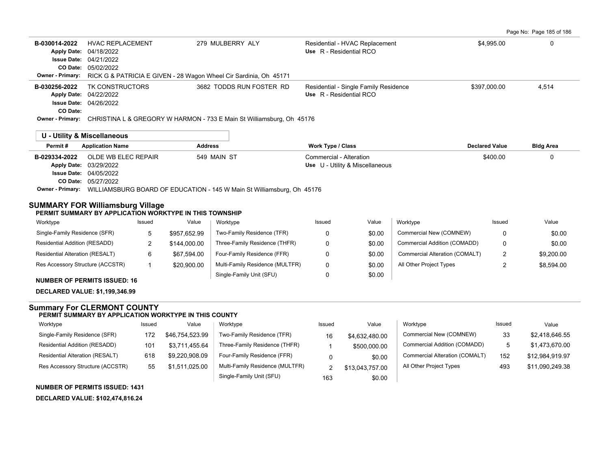Page No: Page 185 of 186

| B-030014-2022                       | <b>HVAC REPLACEMENT</b><br>Apply Date: 04/18/2022 | 279 MULBERRY ALY                                                                          | Residential - HVAC Replacement<br>Use R - Residential RCO        | \$4.995.00   | 0     |  |  |  |  |
|-------------------------------------|---------------------------------------------------|-------------------------------------------------------------------------------------------|------------------------------------------------------------------|--------------|-------|--|--|--|--|
|                                     | <b>Issue Date: 04/21/2022</b>                     |                                                                                           |                                                                  |              |       |  |  |  |  |
|                                     | CO Date: 05/02/2022                               |                                                                                           |                                                                  |              |       |  |  |  |  |
|                                     |                                                   | <b>Owner - Primary:</b> RICK G & PATRICIA E GIVEN - 28 Wagon Wheel Cir Sardinia, Oh 45171 |                                                                  |              |       |  |  |  |  |
| B-030256-2022<br><b>Apply Date:</b> | TK CONSTRUCTORS<br>04/22/2022                     | 3682 TODDS RUN FOSTER RD                                                                  | Residential - Single Family Residence<br>Use R - Residential RCO | \$397,000.00 | 4,514 |  |  |  |  |
|                                     | <b>Issue Date: 04/26/2022</b>                     |                                                                                           |                                                                  |              |       |  |  |  |  |
| CO Date:                            |                                                   |                                                                                           |                                                                  |              |       |  |  |  |  |
| <b>Owner - Primary:</b>             |                                                   | CHRISTINA L & GREGORY W HARMON - 733 E Main St Williamsburg, Oh 45176                     |                                                                  |              |       |  |  |  |  |
|                                     | <b>IL. Hility &amp; Miscollanoous</b>             |                                                                                           |                                                                  |              |       |  |  |  |  |

|               | <b>U</b> - Utility & Miscellaric US |                |                                 |                       |                  |
|---------------|-------------------------------------|----------------|---------------------------------|-----------------------|------------------|
| Permit#       | <b>Application Name</b>             | <b>Address</b> | <b>Work Type / Class</b>        | <b>Declared Value</b> | <b>Bldg Area</b> |
| B-029334-2022 | OLDE WB ELEC REPAIR                 | 549 MAIN ST    | Commercial - Alteration         | \$400.00              |                  |
|               | <b>Apply Date: 03/29/2022</b>       |                | Use U - Utility & Miscellaneous |                       |                  |
|               | <b>Issue Date: 04/05/2022</b>       |                |                                 |                       |                  |
|               | <b>CO Date: 05/27/2022</b>          |                |                                 |                       |                  |
|               |                                     |                |                                 |                       |                  |

**Owner - Primary:** WILLIAMSBURG BOARD OF EDUCATION - 145 W Main St Williamsburg, Oh 45176

### **SUMMARY FOR Williamsburg Village PERMIT SUMMARY BY APPLICATION WORKTYPE IN THIS TOWNSHIP**

| Worktype                               | Issued | Value        | Worktype                        | Issued | Value  | Worktype                       | Issued | Value      |
|----------------------------------------|--------|--------------|---------------------------------|--------|--------|--------------------------------|--------|------------|
| Single-Family Residence (SFR)          |        | \$957.652.99 | Two-Family Residence (TFR)      |        | \$0.00 | Commercial New (COMNEW)        |        | \$0.00     |
| Residential Addition (RESADD)          |        | \$144,000.00 | Three-Family Residence (THFR)   |        | \$0.00 | Commercial Addition (COMADD)   |        | \$0.00     |
| <b>Residential Alteration (RESALT)</b> |        | \$67.594.00  | Four-Family Residence (FFR)     |        | \$0.00 | Commercial Alteration (COMALT) |        | \$9,200.00 |
| Res Accessory Structure (ACCSTR)       |        | \$20,900.00  | Multi-Family Residence (MULTFR) |        | \$0.00 | All Other Project Types        |        | \$8,594.00 |
|                                        |        |              | Single-Family Unit (SFU)        |        | \$0.00 |                                |        |            |

#### **NUMBER OF PERMITS ISSUED: 16**

**DECLARED VALUE: \$1,199,346.99**

## **Summary For CLERMONT COUNTY**

#### **PERMIT SUMMARY BY APPLICATION WORKTYPE IN THIS COUNTY**

| Worktype                               | Issued | Value           | Worktype                        | Issued | Value           | Worktype                       | Issued | Value           |
|----------------------------------------|--------|-----------------|---------------------------------|--------|-----------------|--------------------------------|--------|-----------------|
| Single-Family Residence (SFR)          | 172    | \$46,754,523.99 | Two-Family Residence (TFR)      | 16     | \$4,632,480.00  | Commercial New (COMNEW)        | 33     | \$2,418,646.55  |
| Residential Addition (RESADD)          | 101    | \$3,711,455.64  | Three-Family Residence (THFR)   |        | \$500,000.00    | Commercial Addition (COMADD)   |        | \$1,473,670.00  |
| <b>Residential Alteration (RESALT)</b> | 618    | \$9,220,908.09  | Four-Family Residence (FFR)     |        | \$0.00          | Commercial Alteration (COMALT) | 152    | \$12.984.919.97 |
| Res Accessory Structure (ACCSTR)       | 55     | \$1,511,025.00  | Multi-Family Residence (MULTFR) |        | \$13,043,757.00 | All Other Project Types        | 493    | \$11,090,249.38 |
|                                        |        |                 | Single-Family Unit (SFU)        | 163    | \$0.00          |                                |        |                 |

## **NUMBER OF PERMITS ISSUED: 1431**

**DECLARED VALUE: \$102,474,816.24**